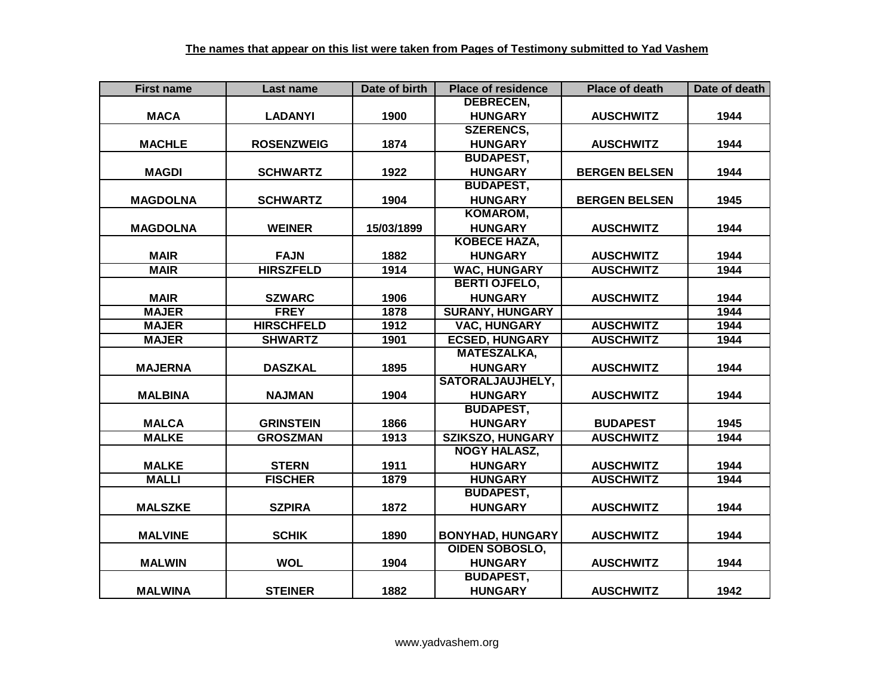| <b>First name</b> | Last name         | Date of birth | <b>Place of residence</b> | <b>Place of death</b> | Date of death |
|-------------------|-------------------|---------------|---------------------------|-----------------------|---------------|
|                   |                   |               | <b>DEBRECEN,</b>          |                       |               |
| <b>MACA</b>       | <b>LADANYI</b>    | 1900          | <b>HUNGARY</b>            | <b>AUSCHWITZ</b>      | 1944          |
|                   |                   |               | <b>SZERENCS,</b>          |                       |               |
| <b>MACHLE</b>     | <b>ROSENZWEIG</b> | 1874          | <b>HUNGARY</b>            | <b>AUSCHWITZ</b>      | 1944          |
|                   |                   |               | <b>BUDAPEST,</b>          |                       |               |
| <b>MAGDI</b>      | <b>SCHWARTZ</b>   | 1922          | <b>HUNGARY</b>            | <b>BERGEN BELSEN</b>  | 1944          |
|                   |                   |               | <b>BUDAPEST,</b>          |                       |               |
| <b>MAGDOLNA</b>   | <b>SCHWARTZ</b>   | 1904          | <b>HUNGARY</b>            | <b>BERGEN BELSEN</b>  | 1945          |
|                   |                   |               | KOMAROM,                  |                       |               |
| <b>MAGDOLNA</b>   | <b>WEINER</b>     | 15/03/1899    | <b>HUNGARY</b>            | <b>AUSCHWITZ</b>      | 1944          |
|                   |                   |               | <b>KOBECE HAZA,</b>       |                       |               |
| <b>MAIR</b>       | <b>FAJN</b>       | 1882          | <b>HUNGARY</b>            | <b>AUSCHWITZ</b>      | 1944          |
| <b>MAIR</b>       | <b>HIRSZFELD</b>  | 1914          | <b>WAC, HUNGARY</b>       | <b>AUSCHWITZ</b>      | 1944          |
|                   |                   |               | <b>BERTI OJFELO,</b>      |                       |               |
| <b>MAIR</b>       | <b>SZWARC</b>     | 1906          | <b>HUNGARY</b>            | <b>AUSCHWITZ</b>      | 1944          |
| <b>MAJER</b>      | <b>FREY</b>       | 1878          | <b>SURANY, HUNGARY</b>    |                       | 1944          |
| <b>MAJER</b>      | <b>HIRSCHFELD</b> | 1912          | <b>VAC, HUNGARY</b>       | <b>AUSCHWITZ</b>      | 1944          |
| <b>MAJER</b>      | <b>SHWARTZ</b>    | 1901          | <b>ECSED, HUNGARY</b>     | <b>AUSCHWITZ</b>      | 1944          |
|                   |                   |               | <b>MATESZALKA,</b>        |                       |               |
| <b>MAJERNA</b>    | <b>DASZKAL</b>    | 1895          | <b>HUNGARY</b>            | <b>AUSCHWITZ</b>      | 1944          |
|                   |                   |               | SATORALJAUJHELY,          |                       |               |
| <b>MALBINA</b>    | <b>NAJMAN</b>     | 1904          | <b>HUNGARY</b>            | <b>AUSCHWITZ</b>      | 1944          |
|                   |                   |               | <b>BUDAPEST,</b>          |                       |               |
| <b>MALCA</b>      | <b>GRINSTEIN</b>  | 1866          | <b>HUNGARY</b>            | <b>BUDAPEST</b>       | 1945          |
| <b>MALKE</b>      | <b>GROSZMAN</b>   | 1913          | <b>SZIKSZO, HUNGARY</b>   | <b>AUSCHWITZ</b>      | 1944          |
|                   |                   |               | <b>NOGY HALASZ,</b>       |                       |               |
| <b>MALKE</b>      | <b>STERN</b>      | 1911          | <b>HUNGARY</b>            | <b>AUSCHWITZ</b>      | 1944          |
| <b>MALLI</b>      | <b>FISCHER</b>    | 1879          | <b>HUNGARY</b>            | <b>AUSCHWITZ</b>      | 1944          |
|                   |                   |               | <b>BUDAPEST,</b>          |                       |               |
| <b>MALSZKE</b>    | <b>SZPIRA</b>     | 1872          | <b>HUNGARY</b>            | <b>AUSCHWITZ</b>      | 1944          |
|                   |                   |               |                           |                       |               |
| <b>MALVINE</b>    | <b>SCHIK</b>      | 1890          | <b>BONYHAD, HUNGARY</b>   | <b>AUSCHWITZ</b>      | 1944          |
|                   |                   |               | <b>OIDEN SOBOSLO,</b>     |                       |               |
| <b>MALWIN</b>     | <b>WOL</b>        | 1904          | <b>HUNGARY</b>            | <b>AUSCHWITZ</b>      | 1944          |
|                   |                   |               | <b>BUDAPEST,</b>          |                       |               |
| <b>MALWINA</b>    | <b>STEINER</b>    | 1882          | <b>HUNGARY</b>            | <b>AUSCHWITZ</b>      | 1942          |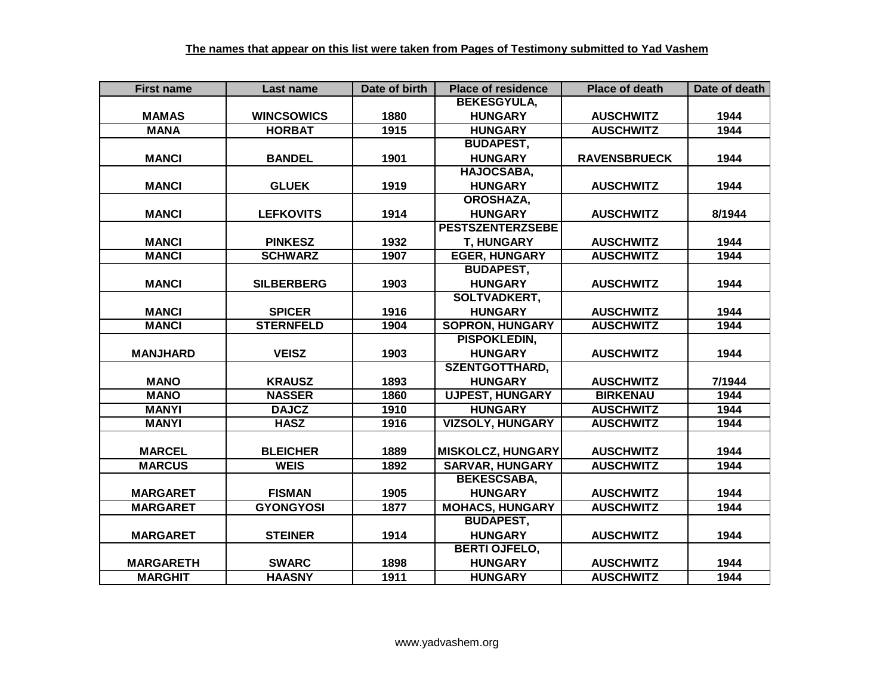| <b>First name</b> | Last name         | Date of birth | <b>Place of residence</b> | <b>Place of death</b> | Date of death |
|-------------------|-------------------|---------------|---------------------------|-----------------------|---------------|
|                   |                   |               | <b>BEKESGYULA,</b>        |                       |               |
| <b>MAMAS</b>      | <b>WINCSOWICS</b> | 1880          | <b>HUNGARY</b>            | <b>AUSCHWITZ</b>      | 1944          |
| <b>MANA</b>       | <b>HORBAT</b>     | 1915          | <b>HUNGARY</b>            | <b>AUSCHWITZ</b>      | 1944          |
|                   |                   |               | <b>BUDAPEST,</b>          |                       |               |
| <b>MANCI</b>      | <b>BANDEL</b>     | 1901          | <b>HUNGARY</b>            | <b>RAVENSBRUECK</b>   | 1944          |
|                   |                   |               | HAJOCSABA,                |                       |               |
| <b>MANCI</b>      | <b>GLUEK</b>      | 1919          | <b>HUNGARY</b>            | <b>AUSCHWITZ</b>      | 1944          |
|                   |                   |               | OROSHAZA,                 |                       |               |
| <b>MANCI</b>      | <b>LEFKOVITS</b>  | 1914          | <b>HUNGARY</b>            | <b>AUSCHWITZ</b>      | 8/1944        |
|                   |                   |               | <b>PESTSZENTERZSEBE</b>   |                       |               |
| <b>MANCI</b>      | <b>PINKESZ</b>    | 1932          | <b>T, HUNGARY</b>         | <b>AUSCHWITZ</b>      | 1944          |
| <b>MANCI</b>      | <b>SCHWARZ</b>    | 1907          | <b>EGER, HUNGARY</b>      | <b>AUSCHWITZ</b>      | 1944          |
|                   |                   |               | <b>BUDAPEST,</b>          |                       |               |
| <b>MANCI</b>      | <b>SILBERBERG</b> | 1903          | <b>HUNGARY</b>            | <b>AUSCHWITZ</b>      | 1944          |
|                   |                   |               | <b>SOLTVADKERT,</b>       |                       |               |
| <b>MANCI</b>      | <b>SPICER</b>     | 1916          | <b>HUNGARY</b>            | <b>AUSCHWITZ</b>      | 1944          |
| <b>MANCI</b>      | <b>STERNFELD</b>  | 1904          | <b>SOPRON, HUNGARY</b>    | <b>AUSCHWITZ</b>      | 1944          |
|                   |                   |               | PISPOKLEDIN,              |                       |               |
| <b>MANJHARD</b>   | <b>VEISZ</b>      | 1903          | <b>HUNGARY</b>            | <b>AUSCHWITZ</b>      | 1944          |
|                   |                   |               | <b>SZENTGOTTHARD,</b>     |                       |               |
| <b>MANO</b>       | <b>KRAUSZ</b>     | 1893          | <b>HUNGARY</b>            | <b>AUSCHWITZ</b>      | 7/1944        |
| <b>MANO</b>       | <b>NASSER</b>     | 1860          | <b>UJPEST, HUNGARY</b>    | <b>BIRKENAU</b>       | 1944          |
| <b>MANYI</b>      | <b>DAJCZ</b>      | 1910          | <b>HUNGARY</b>            | <b>AUSCHWITZ</b>      | 1944          |
| <b>MANYI</b>      | <b>HASZ</b>       | 1916          | <b>VIZSOLY, HUNGARY</b>   | <b>AUSCHWITZ</b>      | 1944          |
|                   |                   |               |                           |                       |               |
| <b>MARCEL</b>     | <b>BLEICHER</b>   | 1889          | <b>MISKOLCZ, HUNGARY</b>  | <b>AUSCHWITZ</b>      | 1944          |
| <b>MARCUS</b>     | <b>WEIS</b>       | 1892          | <b>SARVAR, HUNGARY</b>    | <b>AUSCHWITZ</b>      | 1944          |
|                   |                   |               | <b>BEKESCSABA,</b>        |                       |               |
| <b>MARGARET</b>   | <b>FISMAN</b>     | 1905          | <b>HUNGARY</b>            | <b>AUSCHWITZ</b>      | 1944          |
| <b>MARGARET</b>   | <b>GYONGYOSI</b>  | 1877          | <b>MOHACS, HUNGARY</b>    | <b>AUSCHWITZ</b>      | 1944          |
|                   |                   |               | <b>BUDAPEST,</b>          |                       |               |
| <b>MARGARET</b>   | <b>STEINER</b>    | 1914          | <b>HUNGARY</b>            | <b>AUSCHWITZ</b>      | 1944          |
|                   |                   |               | <b>BERTI OJFELO,</b>      |                       |               |
| <b>MARGARETH</b>  | <b>SWARC</b>      | 1898          | <b>HUNGARY</b>            | <b>AUSCHWITZ</b>      | 1944          |
| <b>MARGHIT</b>    | <b>HAASNY</b>     | 1911          | <b>HUNGARY</b>            | <b>AUSCHWITZ</b>      | 1944          |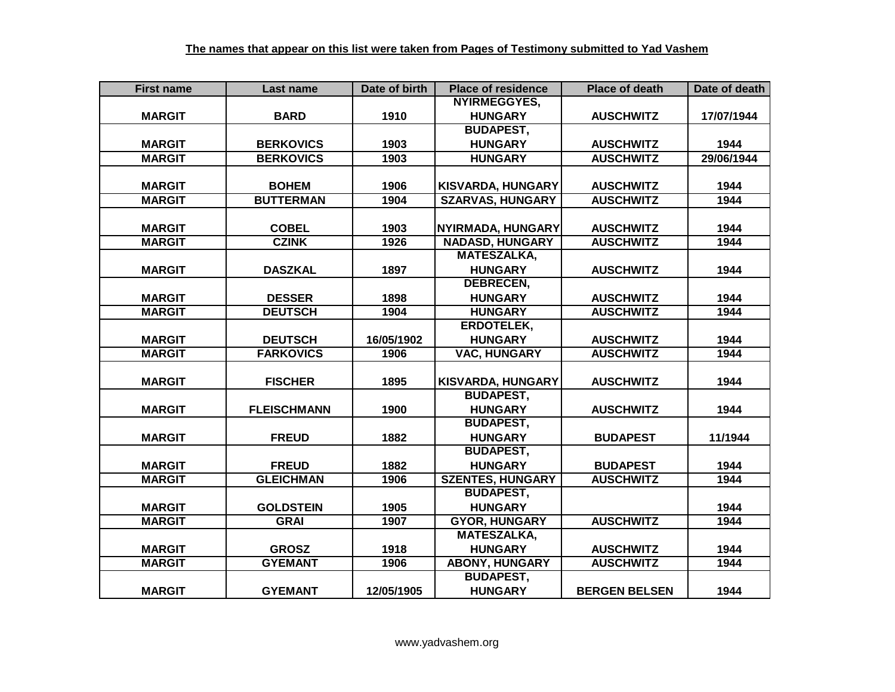| <b>First name</b> | Last name          | Date of birth | <b>Place of residence</b> | <b>Place of death</b> | Date of death |
|-------------------|--------------------|---------------|---------------------------|-----------------------|---------------|
|                   |                    |               | NYIRMEGGYES,              |                       |               |
| <b>MARGIT</b>     | <b>BARD</b>        | 1910          | <b>HUNGARY</b>            | <b>AUSCHWITZ</b>      | 17/07/1944    |
|                   |                    |               | <b>BUDAPEST,</b>          |                       |               |
| <b>MARGIT</b>     | <b>BERKOVICS</b>   | 1903          | <b>HUNGARY</b>            | <b>AUSCHWITZ</b>      | 1944          |
| <b>MARGIT</b>     | <b>BERKOVICS</b>   | 1903          | <b>HUNGARY</b>            | <b>AUSCHWITZ</b>      | 29/06/1944    |
|                   |                    |               |                           |                       |               |
| <b>MARGIT</b>     | <b>BOHEM</b>       | 1906          | <b>KISVARDA, HUNGARY</b>  | <b>AUSCHWITZ</b>      | 1944          |
| <b>MARGIT</b>     | <b>BUTTERMAN</b>   | 1904          | <b>SZARVAS, HUNGARY</b>   | <b>AUSCHWITZ</b>      | 1944          |
|                   |                    |               |                           |                       |               |
| <b>MARGIT</b>     | <b>COBEL</b>       | 1903          | <b>NYIRMADA, HUNGARY</b>  | <b>AUSCHWITZ</b>      | 1944          |
| <b>MARGIT</b>     | <b>CZINK</b>       | 1926          | <b>NADASD, HUNGARY</b>    | <b>AUSCHWITZ</b>      | 1944          |
|                   |                    |               | <b>MATESZALKA,</b>        |                       |               |
| <b>MARGIT</b>     | <b>DASZKAL</b>     | 1897          | <b>HUNGARY</b>            | <b>AUSCHWITZ</b>      | 1944          |
|                   |                    |               | <b>DEBRECEN,</b>          |                       |               |
| <b>MARGIT</b>     | <b>DESSER</b>      | 1898          | <b>HUNGARY</b>            | <b>AUSCHWITZ</b>      | 1944          |
| <b>MARGIT</b>     | <b>DEUTSCH</b>     | 1904          | <b>HUNGARY</b>            | <b>AUSCHWITZ</b>      | 1944          |
|                   |                    |               | <b>ERDOTELEK,</b>         |                       |               |
| <b>MARGIT</b>     | <b>DEUTSCH</b>     | 16/05/1902    | <b>HUNGARY</b>            | <b>AUSCHWITZ</b>      | 1944          |
| <b>MARGIT</b>     | <b>FARKOVICS</b>   | 1906          | <b>VAC, HUNGARY</b>       | <b>AUSCHWITZ</b>      | 1944          |
|                   |                    |               |                           |                       |               |
| <b>MARGIT</b>     | <b>FISCHER</b>     | 1895          | <b>KISVARDA, HUNGARY</b>  | <b>AUSCHWITZ</b>      | 1944          |
|                   |                    |               | <b>BUDAPEST,</b>          |                       |               |
| <b>MARGIT</b>     | <b>FLEISCHMANN</b> | 1900          | <b>HUNGARY</b>            | <b>AUSCHWITZ</b>      | 1944          |
|                   |                    |               | <b>BUDAPEST,</b>          |                       |               |
| <b>MARGIT</b>     | <b>FREUD</b>       | 1882          | <b>HUNGARY</b>            | <b>BUDAPEST</b>       | 11/1944       |
|                   |                    |               | <b>BUDAPEST,</b>          |                       |               |
| <b>MARGIT</b>     | <b>FREUD</b>       | 1882          | <b>HUNGARY</b>            | <b>BUDAPEST</b>       | 1944          |
| <b>MARGIT</b>     | <b>GLEICHMAN</b>   | 1906          | <b>SZENTES, HUNGARY</b>   | <b>AUSCHWITZ</b>      | 1944          |
|                   |                    |               | <b>BUDAPEST,</b>          |                       |               |
| <b>MARGIT</b>     | <b>GOLDSTEIN</b>   | 1905          | <b>HUNGARY</b>            |                       | 1944          |
| <b>MARGIT</b>     | <b>GRAI</b>        | 1907          | <b>GYOR, HUNGARY</b>      | <b>AUSCHWITZ</b>      | 1944          |
|                   |                    |               | <b>MATESZALKA,</b>        |                       |               |
| <b>MARGIT</b>     | <b>GROSZ</b>       | 1918          | <b>HUNGARY</b>            | <b>AUSCHWITZ</b>      | 1944          |
| <b>MARGIT</b>     | <b>GYEMANT</b>     | 1906          | <b>ABONY, HUNGARY</b>     | <b>AUSCHWITZ</b>      | 1944          |
|                   |                    |               | <b>BUDAPEST,</b>          |                       |               |
| <b>MARGIT</b>     | <b>GYEMANT</b>     | 12/05/1905    | <b>HUNGARY</b>            | <b>BERGEN BELSEN</b>  | 1944          |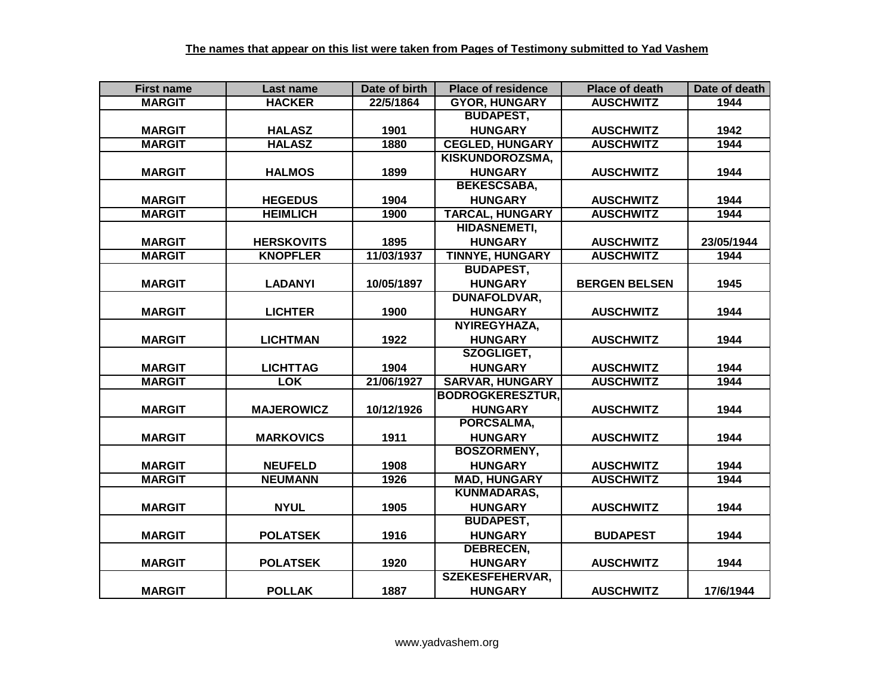| <b>First name</b> | Last name         | Date of birth | <b>Place of residence</b> | <b>Place of death</b> | Date of death |
|-------------------|-------------------|---------------|---------------------------|-----------------------|---------------|
| <b>MARGIT</b>     | <b>HACKER</b>     | 22/5/1864     | <b>GYOR, HUNGARY</b>      | <b>AUSCHWITZ</b>      | 1944          |
|                   |                   |               | <b>BUDAPEST,</b>          |                       |               |
| <b>MARGIT</b>     | <b>HALASZ</b>     | 1901          | <b>HUNGARY</b>            | <b>AUSCHWITZ</b>      | 1942          |
| <b>MARGIT</b>     | <b>HALASZ</b>     | 1880          | <b>CEGLED, HUNGARY</b>    | <b>AUSCHWITZ</b>      | 1944          |
|                   |                   |               | <b>KISKUNDOROZSMA,</b>    |                       |               |
| <b>MARGIT</b>     | <b>HALMOS</b>     | 1899          | <b>HUNGARY</b>            | <b>AUSCHWITZ</b>      | 1944          |
|                   |                   |               | <b>BEKESCSABA,</b>        |                       |               |
| <b>MARGIT</b>     | <b>HEGEDUS</b>    | 1904          | <b>HUNGARY</b>            | <b>AUSCHWITZ</b>      | 1944          |
| <b>MARGIT</b>     | <b>HEIMLICH</b>   | 1900          | <b>TARCAL, HUNGARY</b>    | <b>AUSCHWITZ</b>      | 1944          |
|                   |                   |               | <b>HIDASNEMETI,</b>       |                       |               |
| <b>MARGIT</b>     | <b>HERSKOVITS</b> | 1895          | <b>HUNGARY</b>            | <b>AUSCHWITZ</b>      | 23/05/1944    |
| <b>MARGIT</b>     | <b>KNOPFLER</b>   | 11/03/1937    | <b>TINNYE, HUNGARY</b>    | <b>AUSCHWITZ</b>      | 1944          |
|                   |                   |               | <b>BUDAPEST,</b>          |                       |               |
| <b>MARGIT</b>     | <b>LADANYI</b>    | 10/05/1897    | <b>HUNGARY</b>            | <b>BERGEN BELSEN</b>  | 1945          |
|                   |                   |               | DUNAFOLDVAR,              |                       |               |
| <b>MARGIT</b>     | <b>LICHTER</b>    | 1900          | <b>HUNGARY</b>            | <b>AUSCHWITZ</b>      | 1944          |
|                   |                   |               | NYIREGYHAZA,              |                       |               |
| <b>MARGIT</b>     | <b>LICHTMAN</b>   | 1922          | <b>HUNGARY</b>            | <b>AUSCHWITZ</b>      | 1944          |
|                   |                   |               | SZOGLIGET,                |                       |               |
| <b>MARGIT</b>     | <b>LICHTTAG</b>   | 1904          | <b>HUNGARY</b>            | <b>AUSCHWITZ</b>      | 1944          |
| <b>MARGIT</b>     | <b>LOK</b>        | 21/06/1927    | <b>SARVAR, HUNGARY</b>    | <b>AUSCHWITZ</b>      | 1944          |
|                   |                   |               | <b>BODROGKERESZTUR,</b>   |                       |               |
| <b>MARGIT</b>     | <b>MAJEROWICZ</b> | 10/12/1926    | <b>HUNGARY</b>            | <b>AUSCHWITZ</b>      | 1944          |
|                   |                   |               | PORCSALMA,                |                       |               |
| <b>MARGIT</b>     | <b>MARKOVICS</b>  | 1911          | <b>HUNGARY</b>            | <b>AUSCHWITZ</b>      | 1944          |
|                   |                   |               | <b>BOSZORMENY,</b>        |                       |               |
| <b>MARGIT</b>     | <b>NEUFELD</b>    | 1908          | <b>HUNGARY</b>            | <b>AUSCHWITZ</b>      | 1944          |
| <b>MARGIT</b>     | <b>NEUMANN</b>    | 1926          | <b>MAD, HUNGARY</b>       | <b>AUSCHWITZ</b>      | 1944          |
|                   |                   |               | <b>KUNMADARAS,</b>        |                       |               |
| <b>MARGIT</b>     | <b>NYUL</b>       | 1905          | <b>HUNGARY</b>            | <b>AUSCHWITZ</b>      | 1944          |
|                   |                   |               | <b>BUDAPEST,</b>          |                       |               |
| <b>MARGIT</b>     | <b>POLATSEK</b>   | 1916          | <b>HUNGARY</b>            | <b>BUDAPEST</b>       | 1944          |
|                   |                   |               | <b>DEBRECEN,</b>          |                       |               |
| <b>MARGIT</b>     | <b>POLATSEK</b>   | 1920          | <b>HUNGARY</b>            | <b>AUSCHWITZ</b>      | 1944          |
|                   |                   |               | <b>SZEKESFEHERVAR,</b>    |                       |               |
| <b>MARGIT</b>     | <b>POLLAK</b>     | 1887          | <b>HUNGARY</b>            | <b>AUSCHWITZ</b>      | 17/6/1944     |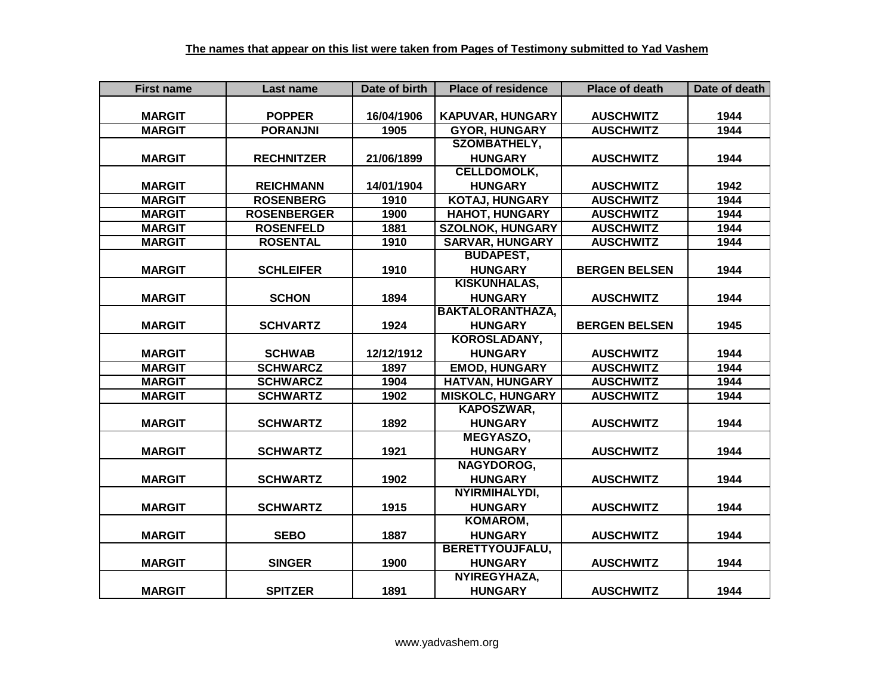| <b>First name</b> | Last name          | Date of birth | <b>Place of residence</b> | <b>Place of death</b> | Date of death |
|-------------------|--------------------|---------------|---------------------------|-----------------------|---------------|
|                   |                    |               |                           |                       |               |
| <b>MARGIT</b>     | <b>POPPER</b>      | 16/04/1906    | <b>KAPUVAR, HUNGARY</b>   | <b>AUSCHWITZ</b>      | 1944          |
| <b>MARGIT</b>     | <b>PORANJNI</b>    | 1905          | <b>GYOR, HUNGARY</b>      | <b>AUSCHWITZ</b>      | 1944          |
|                   |                    |               | <b>SZOMBATHELY,</b>       |                       |               |
| <b>MARGIT</b>     | <b>RECHNITZER</b>  | 21/06/1899    | <b>HUNGARY</b>            | <b>AUSCHWITZ</b>      | 1944          |
|                   |                    |               | <b>CELLDOMOLK,</b>        |                       |               |
| <b>MARGIT</b>     | <b>REICHMANN</b>   | 14/01/1904    | <b>HUNGARY</b>            | <b>AUSCHWITZ</b>      | 1942          |
| <b>MARGIT</b>     | <b>ROSENBERG</b>   | 1910          | <b>KOTAJ, HUNGARY</b>     | <b>AUSCHWITZ</b>      | 1944          |
| <b>MARGIT</b>     | <b>ROSENBERGER</b> | 1900          | <b>HAHOT, HUNGARY</b>     | <b>AUSCHWITZ</b>      | 1944          |
| <b>MARGIT</b>     | <b>ROSENFELD</b>   | 1881          | <b>SZOLNOK, HUNGARY</b>   | <b>AUSCHWITZ</b>      | 1944          |
| <b>MARGIT</b>     | <b>ROSENTAL</b>    | 1910          | <b>SARVAR, HUNGARY</b>    | <b>AUSCHWITZ</b>      | 1944          |
|                   |                    |               | <b>BUDAPEST,</b>          |                       |               |
| <b>MARGIT</b>     | <b>SCHLEIFER</b>   | 1910          | <b>HUNGARY</b>            | <b>BERGEN BELSEN</b>  | 1944          |
|                   |                    |               | <b>KISKUNHALAS,</b>       |                       |               |
| <b>MARGIT</b>     | <b>SCHON</b>       | 1894          | <b>HUNGARY</b>            | <b>AUSCHWITZ</b>      | 1944          |
|                   |                    |               | <b>BAKTALORANTHAZA,</b>   |                       |               |
| <b>MARGIT</b>     | <b>SCHVARTZ</b>    | 1924          | <b>HUNGARY</b>            | <b>BERGEN BELSEN</b>  | 1945          |
|                   |                    |               | KOROSLADANY,              |                       |               |
| <b>MARGIT</b>     | <b>SCHWAB</b>      | 12/12/1912    | <b>HUNGARY</b>            | <b>AUSCHWITZ</b>      | 1944          |
| <b>MARGIT</b>     | <b>SCHWARCZ</b>    | 1897          | <b>EMOD, HUNGARY</b>      | <b>AUSCHWITZ</b>      | 1944          |
| <b>MARGIT</b>     | <b>SCHWARCZ</b>    | 1904          | <b>HATVAN, HUNGARY</b>    | <b>AUSCHWITZ</b>      | 1944          |
| <b>MARGIT</b>     | <b>SCHWARTZ</b>    | 1902          | <b>MISKOLC, HUNGARY</b>   | <b>AUSCHWITZ</b>      | 1944          |
|                   |                    |               | <b>KAPOSZWAR,</b>         |                       |               |
| <b>MARGIT</b>     | <b>SCHWARTZ</b>    | 1892          | <b>HUNGARY</b>            | <b>AUSCHWITZ</b>      | 1944          |
|                   |                    |               | MEGYASZO,                 |                       |               |
| <b>MARGIT</b>     | <b>SCHWARTZ</b>    | 1921          | <b>HUNGARY</b>            | <b>AUSCHWITZ</b>      | 1944          |
|                   |                    |               | NAGYDOROG,                |                       |               |
| <b>MARGIT</b>     | <b>SCHWARTZ</b>    | 1902          | <b>HUNGARY</b>            | <b>AUSCHWITZ</b>      | 1944          |
|                   |                    |               | NYIRMIHALYDI,             |                       |               |
| <b>MARGIT</b>     | <b>SCHWARTZ</b>    | 1915          | <b>HUNGARY</b>            | <b>AUSCHWITZ</b>      | 1944          |
|                   |                    |               | KOMAROM,                  |                       |               |
| <b>MARGIT</b>     | <b>SEBO</b>        | 1887          | <b>HUNGARY</b>            | <b>AUSCHWITZ</b>      | 1944          |
|                   |                    |               | <b>BERETTYOUJFALU,</b>    |                       |               |
| <b>MARGIT</b>     | <b>SINGER</b>      | 1900          | <b>HUNGARY</b>            | <b>AUSCHWITZ</b>      | 1944          |
|                   |                    |               | NYIREGYHAZA,              |                       |               |
| <b>MARGIT</b>     | <b>SPITZER</b>     | 1891          | <b>HUNGARY</b>            | <b>AUSCHWITZ</b>      | 1944          |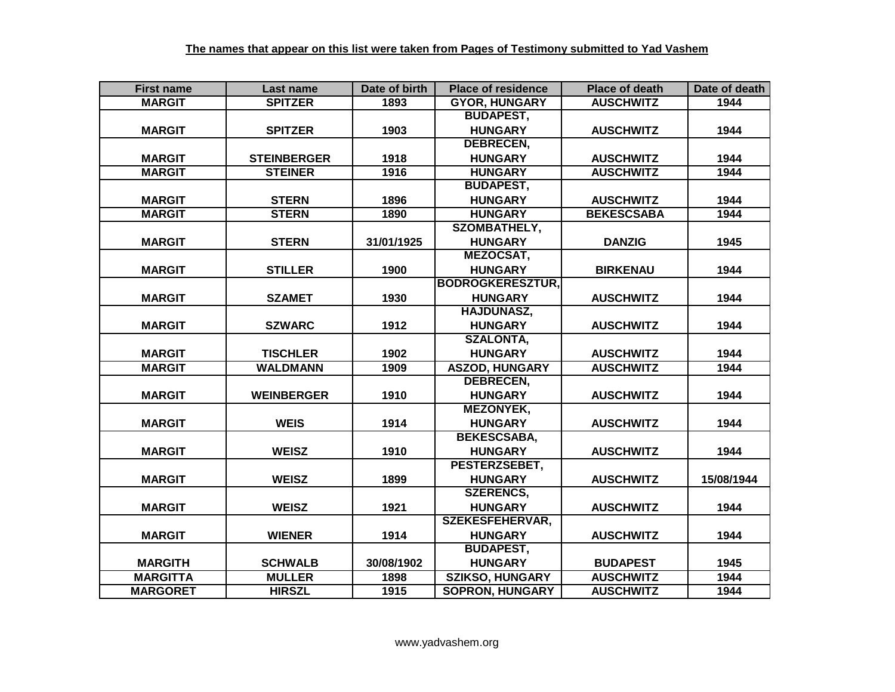| <b>First name</b> | Last name          | Date of birth | <b>Place of residence</b> | <b>Place of death</b> | Date of death |
|-------------------|--------------------|---------------|---------------------------|-----------------------|---------------|
| <b>MARGIT</b>     | <b>SPITZER</b>     | 1893          | <b>GYOR, HUNGARY</b>      | <b>AUSCHWITZ</b>      | 1944          |
|                   |                    |               | <b>BUDAPEST,</b>          |                       |               |
| <b>MARGIT</b>     | <b>SPITZER</b>     | 1903          | <b>HUNGARY</b>            | <b>AUSCHWITZ</b>      | 1944          |
|                   |                    |               | <b>DEBRECEN,</b>          |                       |               |
| <b>MARGIT</b>     | <b>STEINBERGER</b> | 1918          | <b>HUNGARY</b>            | <b>AUSCHWITZ</b>      | 1944          |
| <b>MARGIT</b>     | <b>STEINER</b>     | 1916          | <b>HUNGARY</b>            | <b>AUSCHWITZ</b>      | 1944          |
|                   |                    |               | <b>BUDAPEST,</b>          |                       |               |
| <b>MARGIT</b>     | <b>STERN</b>       | 1896          | <b>HUNGARY</b>            | <b>AUSCHWITZ</b>      | 1944          |
| <b>MARGIT</b>     | <b>STERN</b>       | 1890          | <b>HUNGARY</b>            | <b>BEKESCSABA</b>     | 1944          |
|                   |                    |               | <b>SZOMBATHELY,</b>       |                       |               |
| <b>MARGIT</b>     | <b>STERN</b>       | 31/01/1925    | <b>HUNGARY</b>            | <b>DANZIG</b>         | 1945          |
|                   |                    |               | <b>MEZOCSAT,</b>          |                       |               |
| <b>MARGIT</b>     | <b>STILLER</b>     | 1900          | <b>HUNGARY</b>            | <b>BIRKENAU</b>       | 1944          |
|                   |                    |               | <b>BODROGKERESZTUR,</b>   |                       |               |
| <b>MARGIT</b>     | <b>SZAMET</b>      | 1930          | <b>HUNGARY</b>            | <b>AUSCHWITZ</b>      | 1944          |
|                   |                    |               | <b>HAJDUNASZ,</b>         |                       |               |
| <b>MARGIT</b>     | <b>SZWARC</b>      | 1912          | <b>HUNGARY</b>            | <b>AUSCHWITZ</b>      | 1944          |
|                   |                    |               | <b>SZALONTA,</b>          |                       |               |
| <b>MARGIT</b>     | <b>TISCHLER</b>    | 1902          | <b>HUNGARY</b>            | <b>AUSCHWITZ</b>      | 1944          |
| <b>MARGIT</b>     | <b>WALDMANN</b>    | 1909          | <b>ASZOD, HUNGARY</b>     | <b>AUSCHWITZ</b>      | 1944          |
|                   |                    |               | <b>DEBRECEN,</b>          |                       |               |
| <b>MARGIT</b>     | <b>WEINBERGER</b>  | 1910          | <b>HUNGARY</b>            | <b>AUSCHWITZ</b>      | 1944          |
|                   |                    |               | <b>MEZONYEK,</b>          |                       |               |
| <b>MARGIT</b>     | <b>WEIS</b>        | 1914          | <b>HUNGARY</b>            | <b>AUSCHWITZ</b>      | 1944          |
|                   |                    |               | <b>BEKESCSABA,</b>        |                       |               |
| <b>MARGIT</b>     | <b>WEISZ</b>       | 1910          | <b>HUNGARY</b>            | <b>AUSCHWITZ</b>      | 1944          |
|                   |                    |               | PESTERZSEBET,             |                       |               |
| <b>MARGIT</b>     | <b>WEISZ</b>       | 1899          | <b>HUNGARY</b>            | <b>AUSCHWITZ</b>      | 15/08/1944    |
|                   |                    |               | <b>SZERENCS,</b>          |                       |               |
| <b>MARGIT</b>     | <b>WEISZ</b>       | 1921          | <b>HUNGARY</b>            | <b>AUSCHWITZ</b>      | 1944          |
|                   |                    |               | <b>SZEKESFEHERVAR,</b>    |                       |               |
| <b>MARGIT</b>     | <b>WIENER</b>      | 1914          | <b>HUNGARY</b>            | <b>AUSCHWITZ</b>      | 1944          |
|                   |                    |               | <b>BUDAPEST,</b>          |                       |               |
| <b>MARGITH</b>    | <b>SCHWALB</b>     | 30/08/1902    | <b>HUNGARY</b>            | <b>BUDAPEST</b>       | 1945          |
| <b>MARGITTA</b>   | <b>MULLER</b>      | 1898          | <b>SZIKSO, HUNGARY</b>    | <b>AUSCHWITZ</b>      | 1944          |
| <b>MARGORET</b>   | <b>HIRSZL</b>      | 1915          | <b>SOPRON, HUNGARY</b>    | <b>AUSCHWITZ</b>      | 1944          |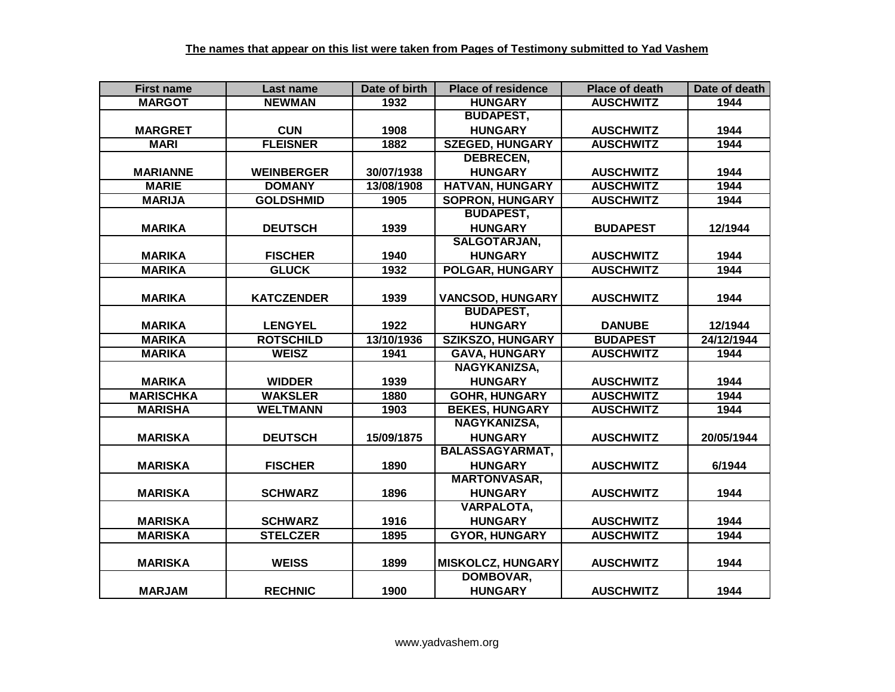| <b>First name</b> | Last name         | Date of birth | <b>Place of residence</b> | <b>Place of death</b> | Date of death |
|-------------------|-------------------|---------------|---------------------------|-----------------------|---------------|
| <b>MARGOT</b>     | <b>NEWMAN</b>     | 1932          | <b>HUNGARY</b>            | <b>AUSCHWITZ</b>      | 1944          |
|                   |                   |               | <b>BUDAPEST,</b>          |                       |               |
| <b>MARGRET</b>    | <b>CUN</b>        | 1908          | <b>HUNGARY</b>            | <b>AUSCHWITZ</b>      | 1944          |
| <b>MARI</b>       | <b>FLEISNER</b>   | 1882          | <b>SZEGED, HUNGARY</b>    | <b>AUSCHWITZ</b>      | 1944          |
|                   |                   |               | <b>DEBRECEN,</b>          |                       |               |
| <b>MARIANNE</b>   | <b>WEINBERGER</b> | 30/07/1938    | <b>HUNGARY</b>            | <b>AUSCHWITZ</b>      | 1944          |
| <b>MARIE</b>      | <b>DOMANY</b>     | 13/08/1908    | <b>HATVAN, HUNGARY</b>    | <b>AUSCHWITZ</b>      | 1944          |
| <b>MARIJA</b>     | <b>GOLDSHMID</b>  | 1905          | <b>SOPRON, HUNGARY</b>    | <b>AUSCHWITZ</b>      | 1944          |
|                   |                   |               | <b>BUDAPEST,</b>          |                       |               |
| <b>MARIKA</b>     | <b>DEUTSCH</b>    | 1939          | <b>HUNGARY</b>            | <b>BUDAPEST</b>       | 12/1944       |
|                   |                   |               | SALGOTARJAN,              |                       |               |
| <b>MARIKA</b>     | <b>FISCHER</b>    | 1940          | <b>HUNGARY</b>            | <b>AUSCHWITZ</b>      | 1944          |
| <b>MARIKA</b>     | <b>GLUCK</b>      | 1932          | POLGAR, HUNGARY           | <b>AUSCHWITZ</b>      | 1944          |
|                   |                   |               |                           |                       |               |
| <b>MARIKA</b>     | <b>KATCZENDER</b> | 1939          | <b>VANCSOD, HUNGARY</b>   | <b>AUSCHWITZ</b>      | 1944          |
|                   |                   |               | <b>BUDAPEST,</b>          |                       |               |
| <b>MARIKA</b>     | <b>LENGYEL</b>    | 1922          | <b>HUNGARY</b>            | <b>DANUBE</b>         | 12/1944       |
| <b>MARIKA</b>     | <b>ROTSCHILD</b>  | 13/10/1936    | <b>SZIKSZO, HUNGARY</b>   | <b>BUDAPEST</b>       | 24/12/1944    |
| <b>MARIKA</b>     | <b>WEISZ</b>      | 1941          | <b>GAVA, HUNGARY</b>      | <b>AUSCHWITZ</b>      | 1944          |
|                   |                   |               | NAGYKANIZSA,              |                       |               |
| <b>MARIKA</b>     | <b>WIDDER</b>     | 1939          | <b>HUNGARY</b>            | <b>AUSCHWITZ</b>      | 1944          |
| <b>MARISCHKA</b>  | <b>WAKSLER</b>    | 1880          | <b>GOHR, HUNGARY</b>      | <b>AUSCHWITZ</b>      | 1944          |
| <b>MARISHA</b>    | <b>WELTMANN</b>   | 1903          | <b>BEKES, HUNGARY</b>     | <b>AUSCHWITZ</b>      | 1944          |
|                   |                   |               | NAGYKANIZSA,              |                       |               |
| <b>MARISKA</b>    | <b>DEUTSCH</b>    | 15/09/1875    | <b>HUNGARY</b>            | <b>AUSCHWITZ</b>      | 20/05/1944    |
|                   |                   |               | <b>BALASSAGYARMAT,</b>    |                       |               |
| <b>MARISKA</b>    | <b>FISCHER</b>    | 1890          | <b>HUNGARY</b>            | <b>AUSCHWITZ</b>      | 6/1944        |
|                   |                   |               | <b>MARTONVASAR,</b>       |                       |               |
| <b>MARISKA</b>    | <b>SCHWARZ</b>    | 1896          | <b>HUNGARY</b>            | <b>AUSCHWITZ</b>      | 1944          |
|                   |                   |               | <b>VARPALOTA,</b>         |                       |               |
| <b>MARISKA</b>    | <b>SCHWARZ</b>    | 1916          | <b>HUNGARY</b>            | <b>AUSCHWITZ</b>      | 1944          |
| <b>MARISKA</b>    | <b>STELCZER</b>   | 1895          | <b>GYOR, HUNGARY</b>      | <b>AUSCHWITZ</b>      | 1944          |
|                   |                   |               |                           |                       |               |
| <b>MARISKA</b>    | <b>WEISS</b>      | 1899          | <b>MISKOLCZ, HUNGARY</b>  | <b>AUSCHWITZ</b>      | 1944          |
|                   |                   |               | DOMBOVAR,                 |                       |               |
| <b>MARJAM</b>     | <b>RECHNIC</b>    | 1900          | <b>HUNGARY</b>            | <b>AUSCHWITZ</b>      | 1944          |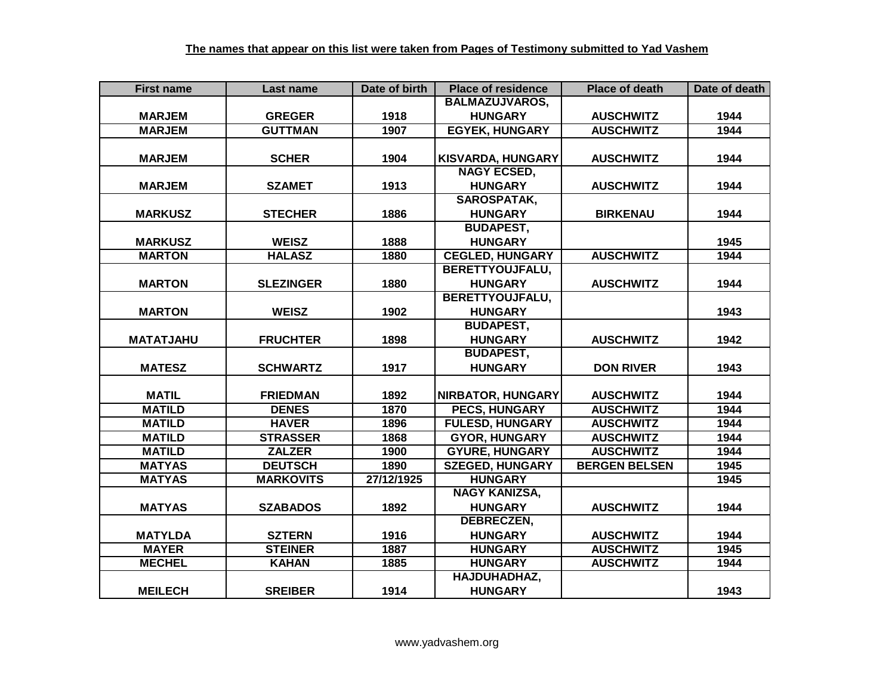| <b>First name</b> | Last name        | Date of birth | <b>Place of residence</b> | <b>Place of death</b> | Date of death |
|-------------------|------------------|---------------|---------------------------|-----------------------|---------------|
|                   |                  |               | <b>BALMAZUJVAROS,</b>     |                       |               |
| <b>MARJEM</b>     | <b>GREGER</b>    | 1918          | <b>HUNGARY</b>            | <b>AUSCHWITZ</b>      | 1944          |
| <b>MARJEM</b>     | <b>GUTTMAN</b>   | 1907          | <b>EGYEK, HUNGARY</b>     | <b>AUSCHWITZ</b>      | 1944          |
|                   |                  |               |                           |                       |               |
| <b>MARJEM</b>     | <b>SCHER</b>     | 1904          | <b>KISVARDA, HUNGARY</b>  | <b>AUSCHWITZ</b>      | 1944          |
|                   |                  |               | <b>NAGY ECSED,</b>        |                       |               |
| <b>MARJEM</b>     | <b>SZAMET</b>    | 1913          | <b>HUNGARY</b>            | <b>AUSCHWITZ</b>      | 1944          |
|                   |                  |               | SAROSPATAK,               |                       |               |
| <b>MARKUSZ</b>    | <b>STECHER</b>   | 1886          | <b>HUNGARY</b>            | <b>BIRKENAU</b>       | 1944          |
|                   |                  |               | <b>BUDAPEST,</b>          |                       |               |
| <b>MARKUSZ</b>    | <b>WEISZ</b>     | 1888          | <b>HUNGARY</b>            |                       | 1945          |
| <b>MARTON</b>     | <b>HALASZ</b>    | 1880          | <b>CEGLED, HUNGARY</b>    | <b>AUSCHWITZ</b>      | 1944          |
|                   |                  |               | <b>BERETTYOUJFALU,</b>    |                       |               |
| <b>MARTON</b>     | <b>SLEZINGER</b> | 1880          | <b>HUNGARY</b>            | <b>AUSCHWITZ</b>      | 1944          |
|                   |                  |               | <b>BERETTYOUJFALU,</b>    |                       |               |
| <b>MARTON</b>     | <b>WEISZ</b>     | 1902          | <b>HUNGARY</b>            |                       | 1943          |
|                   |                  |               | <b>BUDAPEST,</b>          |                       |               |
| <b>MATATJAHU</b>  | <b>FRUCHTER</b>  | 1898          | <b>HUNGARY</b>            | <b>AUSCHWITZ</b>      | 1942          |
|                   |                  |               | <b>BUDAPEST,</b>          |                       |               |
| <b>MATESZ</b>     | <b>SCHWARTZ</b>  | 1917          | <b>HUNGARY</b>            | <b>DON RIVER</b>      | 1943          |
|                   |                  |               |                           |                       |               |
| <b>MATIL</b>      | <b>FRIEDMAN</b>  | 1892          | <b>NIRBATOR, HUNGARY</b>  | <b>AUSCHWITZ</b>      | 1944          |
| <b>MATILD</b>     | <b>DENES</b>     | 1870          | <b>PECS, HUNGARY</b>      | <b>AUSCHWITZ</b>      | 1944          |
| <b>MATILD</b>     | <b>HAVER</b>     | 1896          | <b>FULESD, HUNGARY</b>    | <b>AUSCHWITZ</b>      | 1944          |
| <b>MATILD</b>     | <b>STRASSER</b>  | 1868          | <b>GYOR, HUNGARY</b>      | <b>AUSCHWITZ</b>      | 1944          |
| <b>MATILD</b>     | <b>ZALZER</b>    | 1900          | <b>GYURE, HUNGARY</b>     | <b>AUSCHWITZ</b>      | 1944          |
| <b>MATYAS</b>     | <b>DEUTSCH</b>   | 1890          | <b>SZEGED, HUNGARY</b>    | <b>BERGEN BELSEN</b>  | 1945          |
| <b>MATYAS</b>     | <b>MARKOVITS</b> | 27/12/1925    | <b>HUNGARY</b>            |                       | 1945          |
|                   |                  |               | <b>NAGY KANIZSA,</b>      |                       |               |
| <b>MATYAS</b>     | <b>SZABADOS</b>  | 1892          | <b>HUNGARY</b>            | <b>AUSCHWITZ</b>      | 1944          |
|                   |                  |               | <b>DEBRECZEN,</b>         |                       |               |
| <b>MATYLDA</b>    | <b>SZTERN</b>    | 1916          | <b>HUNGARY</b>            | <b>AUSCHWITZ</b>      | 1944          |
| <b>MAYER</b>      | <b>STEINER</b>   | 1887          | <b>HUNGARY</b>            | <b>AUSCHWITZ</b>      | 1945          |
| <b>MECHEL</b>     | <b>KAHAN</b>     | 1885          | <b>HUNGARY</b>            | <b>AUSCHWITZ</b>      | 1944          |
|                   |                  |               | HAJDUHADHAZ,              |                       |               |
| <b>MEILECH</b>    | <b>SREIBER</b>   | 1914          | <b>HUNGARY</b>            |                       | 1943          |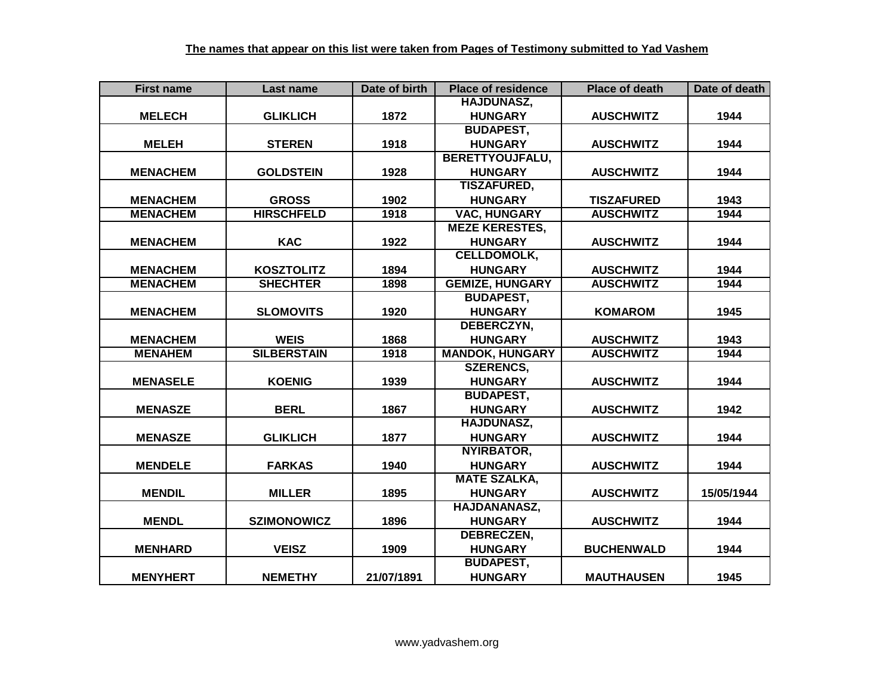| <b>First name</b> | Last name          | Date of birth | <b>Place of residence</b> | <b>Place of death</b> | Date of death |
|-------------------|--------------------|---------------|---------------------------|-----------------------|---------------|
|                   |                    |               | <b>HAJDUNASZ,</b>         |                       |               |
| <b>MELECH</b>     | <b>GLIKLICH</b>    | 1872          | <b>HUNGARY</b>            | <b>AUSCHWITZ</b>      | 1944          |
|                   |                    |               | <b>BUDAPEST,</b>          |                       |               |
| <b>MELEH</b>      | <b>STEREN</b>      | 1918          | <b>HUNGARY</b>            | <b>AUSCHWITZ</b>      | 1944          |
|                   |                    |               | <b>BERETTYOUJFALU,</b>    |                       |               |
| <b>MENACHEM</b>   | <b>GOLDSTEIN</b>   | 1928          | <b>HUNGARY</b>            | <b>AUSCHWITZ</b>      | 1944          |
|                   |                    |               | <b>TISZAFURED,</b>        |                       |               |
| <b>MENACHEM</b>   | <b>GROSS</b>       | 1902          | <b>HUNGARY</b>            | <b>TISZAFURED</b>     | 1943          |
| <b>MENACHEM</b>   | <b>HIRSCHFELD</b>  | 1918          | <b>VAC, HUNGARY</b>       | <b>AUSCHWITZ</b>      | 1944          |
|                   |                    |               | <b>MEZE KERESTES,</b>     |                       |               |
| <b>MENACHEM</b>   | <b>KAC</b>         | 1922          | <b>HUNGARY</b>            | <b>AUSCHWITZ</b>      | 1944          |
|                   |                    |               | <b>CELLDOMOLK,</b>        |                       |               |
| <b>MENACHEM</b>   | <b>KOSZTOLITZ</b>  | 1894          | <b>HUNGARY</b>            | <b>AUSCHWITZ</b>      | 1944          |
| <b>MENACHEM</b>   | <b>SHECHTER</b>    | 1898          | <b>GEMIZE, HUNGARY</b>    | <b>AUSCHWITZ</b>      | 1944          |
|                   |                    |               | <b>BUDAPEST,</b>          |                       |               |
| <b>MENACHEM</b>   | <b>SLOMOVITS</b>   | 1920          | <b>HUNGARY</b>            | <b>KOMAROM</b>        | 1945          |
|                   |                    |               | DEBERCZYN,                |                       |               |
| <b>MENACHEM</b>   | <b>WEIS</b>        | 1868          | <b>HUNGARY</b>            | <b>AUSCHWITZ</b>      | 1943          |
| <b>MENAHEM</b>    | <b>SILBERSTAIN</b> | 1918          | <b>MANDOK, HUNGARY</b>    | <b>AUSCHWITZ</b>      | 1944          |
|                   |                    |               | <b>SZERENCS,</b>          |                       |               |
| <b>MENASELE</b>   | <b>KOENIG</b>      | 1939          | <b>HUNGARY</b>            | <b>AUSCHWITZ</b>      | 1944          |
|                   |                    |               | <b>BUDAPEST,</b>          |                       |               |
| <b>MENASZE</b>    | <b>BERL</b>        | 1867          | <b>HUNGARY</b>            | <b>AUSCHWITZ</b>      | 1942          |
|                   |                    |               | <b>HAJDUNASZ,</b>         |                       |               |
| <b>MENASZE</b>    | <b>GLIKLICH</b>    | 1877          | <b>HUNGARY</b>            | <b>AUSCHWITZ</b>      | 1944          |
|                   |                    |               | NYIRBATOR,                |                       |               |
| <b>MENDELE</b>    | <b>FARKAS</b>      | 1940          | <b>HUNGARY</b>            | <b>AUSCHWITZ</b>      | 1944          |
|                   |                    |               | <b>MATE SZALKA,</b>       |                       |               |
| <b>MENDIL</b>     | <b>MILLER</b>      | 1895          | <b>HUNGARY</b>            | <b>AUSCHWITZ</b>      | 15/05/1944    |
|                   |                    |               | HAJDANANASZ,              |                       |               |
| <b>MENDL</b>      | <b>SZIMONOWICZ</b> | 1896          | <b>HUNGARY</b>            | <b>AUSCHWITZ</b>      | 1944          |
|                   |                    |               | DEBRECZEN,                |                       |               |
| <b>MENHARD</b>    | <b>VEISZ</b>       | 1909          | <b>HUNGARY</b>            | <b>BUCHENWALD</b>     | 1944          |
|                   |                    |               | <b>BUDAPEST,</b>          |                       |               |
| <b>MENYHERT</b>   | <b>NEMETHY</b>     | 21/07/1891    | <b>HUNGARY</b>            | <b>MAUTHAUSEN</b>     | 1945          |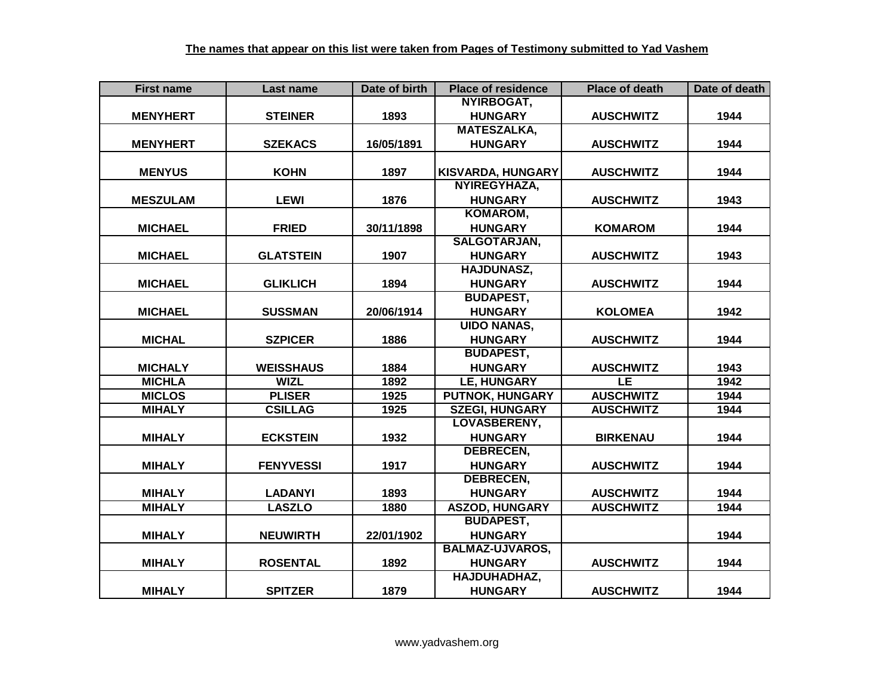| <b>First name</b> | Last name        | Date of birth | <b>Place of residence</b> | <b>Place of death</b> | Date of death |
|-------------------|------------------|---------------|---------------------------|-----------------------|---------------|
|                   |                  |               | NYIRBOGAT,                |                       |               |
| <b>MENYHERT</b>   | <b>STEINER</b>   | 1893          | <b>HUNGARY</b>            | <b>AUSCHWITZ</b>      | 1944          |
|                   |                  |               | <b>MATESZALKA,</b>        |                       |               |
| <b>MENYHERT</b>   | <b>SZEKACS</b>   | 16/05/1891    | <b>HUNGARY</b>            | <b>AUSCHWITZ</b>      | 1944          |
|                   |                  |               |                           |                       |               |
| <b>MENYUS</b>     | <b>KOHN</b>      | 1897          | <b>KISVARDA, HUNGARY</b>  | <b>AUSCHWITZ</b>      | 1944          |
|                   |                  |               | NYIREGYHAZA,              |                       |               |
| <b>MESZULAM</b>   | <b>LEWI</b>      | 1876          | <b>HUNGARY</b>            | <b>AUSCHWITZ</b>      | 1943          |
|                   |                  |               | KOMAROM,                  |                       |               |
| <b>MICHAEL</b>    | <b>FRIED</b>     | 30/11/1898    | <b>HUNGARY</b>            | <b>KOMAROM</b>        | 1944          |
|                   |                  |               | SALGOTARJAN,              |                       |               |
| <b>MICHAEL</b>    | <b>GLATSTEIN</b> | 1907          | <b>HUNGARY</b>            | <b>AUSCHWITZ</b>      | 1943          |
|                   |                  |               | <b>HAJDUNASZ,</b>         |                       |               |
| <b>MICHAEL</b>    | <b>GLIKLICH</b>  | 1894          | <b>HUNGARY</b>            | <b>AUSCHWITZ</b>      | 1944          |
|                   |                  |               | <b>BUDAPEST,</b>          |                       |               |
| <b>MICHAEL</b>    | <b>SUSSMAN</b>   | 20/06/1914    | <b>HUNGARY</b>            | <b>KOLOMEA</b>        | 1942          |
|                   |                  |               | <b>UIDO NANAS,</b>        |                       |               |
| <b>MICHAL</b>     | <b>SZPICER</b>   | 1886          | <b>HUNGARY</b>            | <b>AUSCHWITZ</b>      | 1944          |
|                   |                  |               | <b>BUDAPEST,</b>          |                       |               |
| <b>MICHALY</b>    | <b>WEISSHAUS</b> | 1884          | <b>HUNGARY</b>            | <b>AUSCHWITZ</b>      | 1943          |
| <b>MICHLA</b>     | <b>WIZL</b>      | 1892          | <b>LE, HUNGARY</b>        | LE                    | 1942          |
| <b>MICLOS</b>     | <b>PLISER</b>    | 1925          | <b>PUTNOK, HUNGARY</b>    | <b>AUSCHWITZ</b>      | 1944          |
| <b>MIHALY</b>     | <b>CSILLAG</b>   | 1925          | <b>SZEGI, HUNGARY</b>     | <b>AUSCHWITZ</b>      | 1944          |
|                   |                  |               | LOVASBERENY,              |                       |               |
| <b>MIHALY</b>     | <b>ECKSTEIN</b>  | 1932          | <b>HUNGARY</b>            | <b>BIRKENAU</b>       | 1944          |
|                   |                  |               | <b>DEBRECEN,</b>          |                       |               |
| <b>MIHALY</b>     | <b>FENYVESSI</b> | 1917          | <b>HUNGARY</b>            | <b>AUSCHWITZ</b>      | 1944          |
|                   |                  |               | <b>DEBRECEN,</b>          |                       |               |
| <b>MIHALY</b>     | <b>LADANYI</b>   | 1893          | <b>HUNGARY</b>            | <b>AUSCHWITZ</b>      | 1944          |
| <b>MIHALY</b>     | <b>LASZLO</b>    | 1880          | <b>ASZOD, HUNGARY</b>     | <b>AUSCHWITZ</b>      | 1944          |
|                   |                  |               | <b>BUDAPEST,</b>          |                       |               |
| <b>MIHALY</b>     | <b>NEUWIRTH</b>  | 22/01/1902    | <b>HUNGARY</b>            |                       | 1944          |
|                   |                  |               | <b>BALMAZ-UJVAROS,</b>    |                       |               |
| <b>MIHALY</b>     | <b>ROSENTAL</b>  | 1892          | <b>HUNGARY</b>            | <b>AUSCHWITZ</b>      | 1944          |
|                   |                  |               | HAJDUHADHAZ,              |                       |               |
| <b>MIHALY</b>     | <b>SPITZER</b>   | 1879          | <b>HUNGARY</b>            | <b>AUSCHWITZ</b>      | 1944          |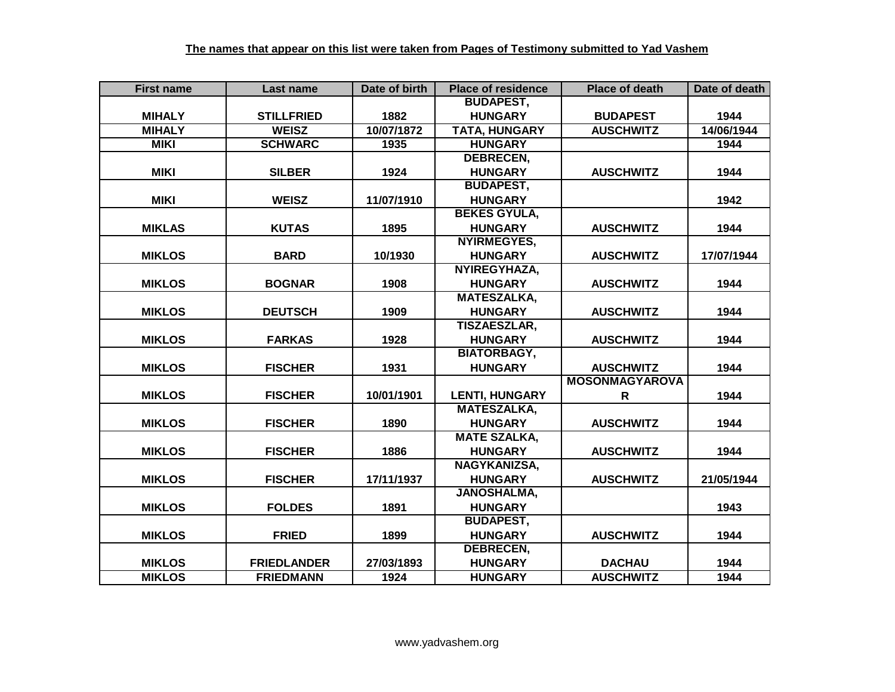| <b>First name</b> | Last name          | Date of birth | <b>Place of residence</b> | <b>Place of death</b> | Date of death |
|-------------------|--------------------|---------------|---------------------------|-----------------------|---------------|
|                   |                    |               | <b>BUDAPEST,</b>          |                       |               |
| <b>MIHALY</b>     | <b>STILLFRIED</b>  | 1882          | <b>HUNGARY</b>            | <b>BUDAPEST</b>       | 1944          |
| <b>MIHALY</b>     | <b>WEISZ</b>       | 10/07/1872    | <b>TATA, HUNGARY</b>      | <b>AUSCHWITZ</b>      | 14/06/1944    |
| <b>MIKI</b>       | <b>SCHWARC</b>     | 1935          | <b>HUNGARY</b>            |                       | 1944          |
|                   |                    |               | <b>DEBRECEN,</b>          |                       |               |
| <b>MIKI</b>       | <b>SILBER</b>      | 1924          | <b>HUNGARY</b>            | <b>AUSCHWITZ</b>      | 1944          |
|                   |                    |               | <b>BUDAPEST,</b>          |                       |               |
| <b>MIKI</b>       | <b>WEISZ</b>       | 11/07/1910    | <b>HUNGARY</b>            |                       | 1942          |
|                   |                    |               | <b>BEKES GYULA,</b>       |                       |               |
| <b>MIKLAS</b>     | <b>KUTAS</b>       | 1895          | <b>HUNGARY</b>            | <b>AUSCHWITZ</b>      | 1944          |
|                   |                    |               | <b>NYIRMEGYES,</b>        |                       |               |
| <b>MIKLOS</b>     | <b>BARD</b>        | 10/1930       | <b>HUNGARY</b>            | <b>AUSCHWITZ</b>      | 17/07/1944    |
|                   |                    |               | NYIREGYHAZA,              |                       |               |
| <b>MIKLOS</b>     | <b>BOGNAR</b>      | 1908          | <b>HUNGARY</b>            | <b>AUSCHWITZ</b>      | 1944          |
|                   |                    |               | <b>MATESZALKA,</b>        |                       |               |
| <b>MIKLOS</b>     | <b>DEUTSCH</b>     | 1909          | <b>HUNGARY</b>            | <b>AUSCHWITZ</b>      | 1944          |
|                   |                    |               | <b>TISZAESZLAR,</b>       |                       |               |
| <b>MIKLOS</b>     | <b>FARKAS</b>      | 1928          | <b>HUNGARY</b>            | <b>AUSCHWITZ</b>      | 1944          |
|                   |                    |               | <b>BIATORBAGY,</b>        |                       |               |
| <b>MIKLOS</b>     | <b>FISCHER</b>     | 1931          | <b>HUNGARY</b>            | <b>AUSCHWITZ</b>      | 1944          |
|                   |                    |               |                           | <b>MOSONMAGYAROVA</b> |               |
| <b>MIKLOS</b>     | <b>FISCHER</b>     | 10/01/1901    | <b>LENTI, HUNGARY</b>     | $\mathsf{R}$          | 1944          |
|                   |                    |               | <b>MATESZALKA,</b>        |                       |               |
| <b>MIKLOS</b>     | <b>FISCHER</b>     | 1890          | <b>HUNGARY</b>            | <b>AUSCHWITZ</b>      | 1944          |
|                   |                    |               | <b>MATE SZALKA,</b>       |                       |               |
| <b>MIKLOS</b>     | <b>FISCHER</b>     | 1886          | <b>HUNGARY</b>            | <b>AUSCHWITZ</b>      | 1944          |
|                   |                    |               | NAGYKANIZSA,              |                       |               |
| <b>MIKLOS</b>     | <b>FISCHER</b>     | 17/11/1937    | <b>HUNGARY</b>            | <b>AUSCHWITZ</b>      | 21/05/1944    |
|                   |                    |               | <b>JANOSHALMA,</b>        |                       |               |
| <b>MIKLOS</b>     | <b>FOLDES</b>      | 1891          | <b>HUNGARY</b>            |                       | 1943          |
|                   |                    |               | <b>BUDAPEST,</b>          |                       |               |
| <b>MIKLOS</b>     | <b>FRIED</b>       | 1899          | <b>HUNGARY</b>            | <b>AUSCHWITZ</b>      | 1944          |
|                   |                    |               | <b>DEBRECEN,</b>          |                       |               |
| <b>MIKLOS</b>     | <b>FRIEDLANDER</b> | 27/03/1893    | <b>HUNGARY</b>            | <b>DACHAU</b>         | 1944          |
| <b>MIKLOS</b>     | <b>FRIEDMANN</b>   | 1924          | <b>HUNGARY</b>            | <b>AUSCHWITZ</b>      | 1944          |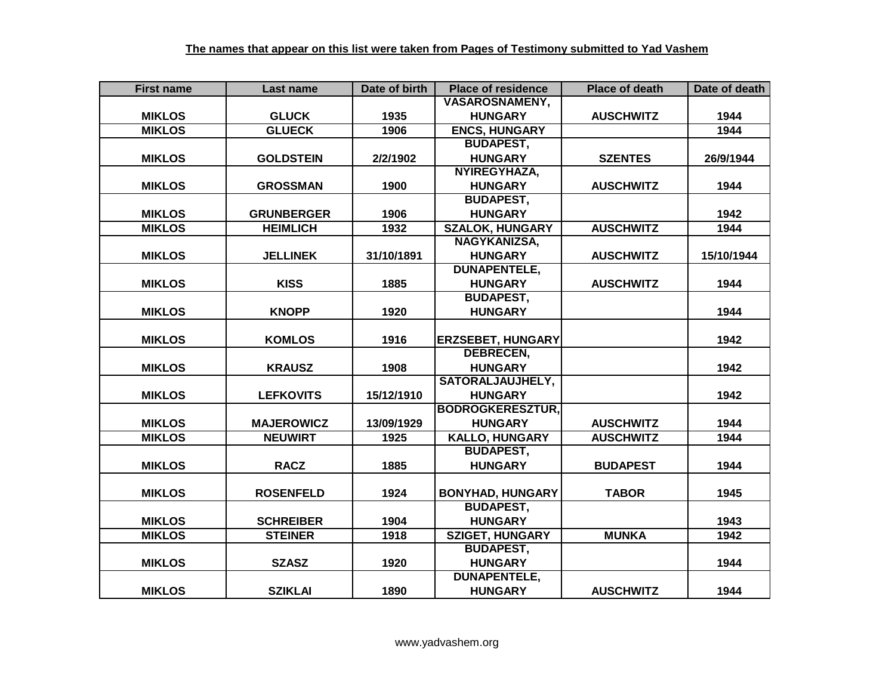| <b>First name</b> | Last name         | Date of birth | <b>Place of residence</b> | <b>Place of death</b> | Date of death |
|-------------------|-------------------|---------------|---------------------------|-----------------------|---------------|
|                   |                   |               | <b>VASAROSNAMENY,</b>     |                       |               |
| <b>MIKLOS</b>     | <b>GLUCK</b>      | 1935          | <b>HUNGARY</b>            | <b>AUSCHWITZ</b>      | 1944          |
| <b>MIKLOS</b>     | <b>GLUECK</b>     | 1906          | <b>ENCS, HUNGARY</b>      |                       | 1944          |
|                   |                   |               | <b>BUDAPEST,</b>          |                       |               |
| <b>MIKLOS</b>     | <b>GOLDSTEIN</b>  | 2/2/1902      | <b>HUNGARY</b>            | <b>SZENTES</b>        | 26/9/1944     |
|                   |                   |               | NYIREGYHAZA,              |                       |               |
| <b>MIKLOS</b>     | <b>GROSSMAN</b>   | 1900          | <b>HUNGARY</b>            | <b>AUSCHWITZ</b>      | 1944          |
|                   |                   |               | <b>BUDAPEST,</b>          |                       |               |
| <b>MIKLOS</b>     | <b>GRUNBERGER</b> | 1906          | <b>HUNGARY</b>            |                       | 1942          |
| <b>MIKLOS</b>     | <b>HEIMLICH</b>   | 1932          | <b>SZALOK, HUNGARY</b>    | <b>AUSCHWITZ</b>      | 1944          |
|                   |                   |               | NAGYKANIZSA,              |                       |               |
| <b>MIKLOS</b>     | <b>JELLINEK</b>   | 31/10/1891    | <b>HUNGARY</b>            | <b>AUSCHWITZ</b>      | 15/10/1944    |
|                   |                   |               | <b>DUNAPENTELE,</b>       |                       |               |
| <b>MIKLOS</b>     | <b>KISS</b>       | 1885          | <b>HUNGARY</b>            | <b>AUSCHWITZ</b>      | 1944          |
|                   |                   |               | <b>BUDAPEST,</b>          |                       |               |
| <b>MIKLOS</b>     | <b>KNOPP</b>      | 1920          | <b>HUNGARY</b>            |                       | 1944          |
|                   |                   |               |                           |                       |               |
| <b>MIKLOS</b>     | <b>KOMLOS</b>     | 1916          | <b>ERZSEBET, HUNGARY</b>  |                       | 1942          |
|                   |                   |               | <b>DEBRECEN,</b>          |                       |               |
| <b>MIKLOS</b>     | <b>KRAUSZ</b>     | 1908          | <b>HUNGARY</b>            |                       | 1942          |
|                   |                   |               | <b>SATORALJAUJHELY,</b>   |                       |               |
| <b>MIKLOS</b>     | <b>LEFKOVITS</b>  | 15/12/1910    | <b>HUNGARY</b>            |                       | 1942          |
|                   |                   |               | <b>BODROGKERESZTUR,</b>   |                       |               |
| <b>MIKLOS</b>     | <b>MAJEROWICZ</b> | 13/09/1929    | <b>HUNGARY</b>            | <b>AUSCHWITZ</b>      | 1944          |
| <b>MIKLOS</b>     | <b>NEUWIRT</b>    | 1925          | <b>KALLO, HUNGARY</b>     | <b>AUSCHWITZ</b>      | 1944          |
|                   |                   |               | <b>BUDAPEST,</b>          |                       |               |
| <b>MIKLOS</b>     | <b>RACZ</b>       | 1885          | <b>HUNGARY</b>            | <b>BUDAPEST</b>       | 1944          |
|                   |                   |               |                           |                       |               |
| <b>MIKLOS</b>     | <b>ROSENFELD</b>  | 1924          | <b>BONYHAD, HUNGARY</b>   | <b>TABOR</b>          | 1945          |
|                   |                   |               | <b>BUDAPEST,</b>          |                       |               |
| <b>MIKLOS</b>     | <b>SCHREIBER</b>  | 1904          | <b>HUNGARY</b>            |                       | 1943          |
| <b>MIKLOS</b>     | <b>STEINER</b>    | 1918          | <b>SZIGET, HUNGARY</b>    | <b>MUNKA</b>          | 1942          |
|                   |                   |               | <b>BUDAPEST,</b>          |                       |               |
| <b>MIKLOS</b>     | <b>SZASZ</b>      | 1920          | <b>HUNGARY</b>            |                       | 1944          |
|                   |                   |               | <b>DUNAPENTELE,</b>       |                       |               |
| <b>MIKLOS</b>     | <b>SZIKLAI</b>    | 1890          | <b>HUNGARY</b>            | <b>AUSCHWITZ</b>      | 1944          |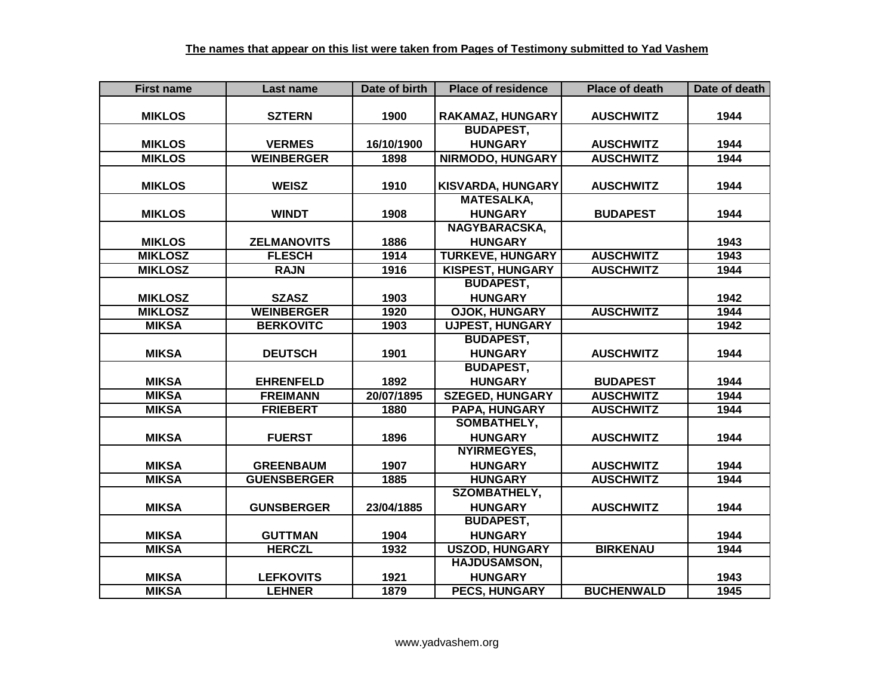| <b>First name</b> | Last name          | Date of birth | <b>Place of residence</b> | <b>Place of death</b> | Date of death |
|-------------------|--------------------|---------------|---------------------------|-----------------------|---------------|
|                   |                    |               |                           |                       |               |
| <b>MIKLOS</b>     | <b>SZTERN</b>      | 1900          | RAKAMAZ, HUNGARY          | <b>AUSCHWITZ</b>      | 1944          |
|                   |                    |               | <b>BUDAPEST,</b>          |                       |               |
| <b>MIKLOS</b>     | <b>VERMES</b>      | 16/10/1900    | <b>HUNGARY</b>            | <b>AUSCHWITZ</b>      | 1944          |
| <b>MIKLOS</b>     | <b>WEINBERGER</b>  | 1898          | <b>NIRMODO, HUNGARY</b>   | <b>AUSCHWITZ</b>      | 1944          |
|                   |                    |               |                           |                       |               |
| <b>MIKLOS</b>     | <b>WEISZ</b>       | 1910          | <b>KISVARDA, HUNGARY</b>  | <b>AUSCHWITZ</b>      | 1944          |
|                   |                    |               | <b>MATESALKA,</b>         |                       |               |
| <b>MIKLOS</b>     | <b>WINDT</b>       | 1908          | <b>HUNGARY</b>            | <b>BUDAPEST</b>       | 1944          |
|                   |                    |               | NAGYBARACSKA,             |                       |               |
| <b>MIKLOS</b>     | <b>ZELMANOVITS</b> | 1886          | <b>HUNGARY</b>            |                       | 1943          |
| <b>MIKLOSZ</b>    | <b>FLESCH</b>      | 1914          | <b>TURKEVE, HUNGARY</b>   | <b>AUSCHWITZ</b>      | 1943          |
| <b>MIKLOSZ</b>    | <b>RAJN</b>        | 1916          | <b>KISPEST, HUNGARY</b>   | <b>AUSCHWITZ</b>      | 1944          |
|                   |                    |               | <b>BUDAPEST,</b>          |                       |               |
| <b>MIKLOSZ</b>    | <b>SZASZ</b>       | 1903          | <b>HUNGARY</b>            |                       | 1942          |
| <b>MIKLOSZ</b>    | <b>WEINBERGER</b>  | 1920          | <b>OJOK, HUNGARY</b>      | <b>AUSCHWITZ</b>      | 1944          |
| <b>MIKSA</b>      | <b>BERKOVITC</b>   | 1903          | <b>UJPEST, HUNGARY</b>    |                       | 1942          |
|                   |                    |               | <b>BUDAPEST,</b>          |                       |               |
| <b>MIKSA</b>      | <b>DEUTSCH</b>     | 1901          | <b>HUNGARY</b>            | <b>AUSCHWITZ</b>      | 1944          |
|                   |                    |               | <b>BUDAPEST,</b>          |                       |               |
| <b>MIKSA</b>      | <b>EHRENFELD</b>   | 1892          | <b>HUNGARY</b>            | <b>BUDAPEST</b>       | 1944          |
| <b>MIKSA</b>      | <b>FREIMANN</b>    | 20/07/1895    | <b>SZEGED, HUNGARY</b>    | <b>AUSCHWITZ</b>      | 1944          |
| <b>MIKSA</b>      | <b>FRIEBERT</b>    | 1880          | <b>PAPA, HUNGARY</b>      | <b>AUSCHWITZ</b>      | 1944          |
|                   |                    |               | <b>SOMBATHELY,</b>        |                       |               |
| <b>MIKSA</b>      | <b>FUERST</b>      | 1896          | <b>HUNGARY</b>            | <b>AUSCHWITZ</b>      | 1944          |
|                   |                    |               | NYIRMEGYES,               |                       |               |
| <b>MIKSA</b>      | <b>GREENBAUM</b>   | 1907          | <b>HUNGARY</b>            | <b>AUSCHWITZ</b>      | 1944          |
| <b>MIKSA</b>      | <b>GUENSBERGER</b> | 1885          | <b>HUNGARY</b>            | <b>AUSCHWITZ</b>      | 1944          |
|                   |                    |               | <b>SZOMBATHELY,</b>       |                       |               |
| <b>MIKSA</b>      | <b>GUNSBERGER</b>  | 23/04/1885    | <b>HUNGARY</b>            | <b>AUSCHWITZ</b>      | 1944          |
|                   |                    |               | <b>BUDAPEST,</b>          |                       |               |
| <b>MIKSA</b>      | <b>GUTTMAN</b>     | 1904          | <b>HUNGARY</b>            |                       | 1944          |
| <b>MIKSA</b>      | <b>HERCZL</b>      | 1932          | <b>USZOD, HUNGARY</b>     | <b>BIRKENAU</b>       | 1944          |
|                   |                    |               | <b>HAJDUSAMSON,</b>       |                       |               |
| <b>MIKSA</b>      | <b>LEFKOVITS</b>   | 1921          | <b>HUNGARY</b>            |                       | 1943          |
| <b>MIKSA</b>      | <b>LEHNER</b>      | 1879          | <b>PECS, HUNGARY</b>      | <b>BUCHENWALD</b>     | 1945          |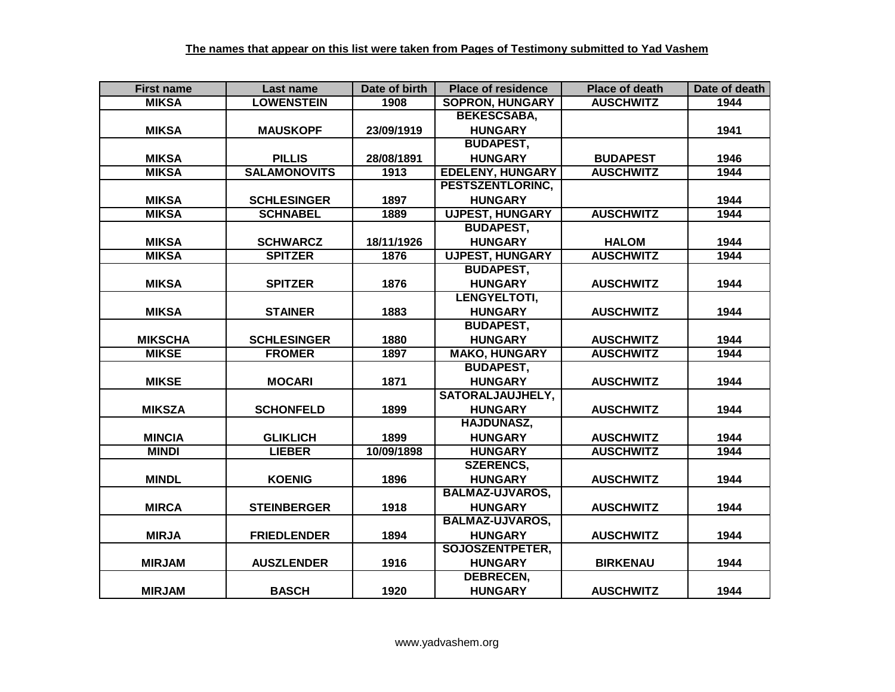| <b>First name</b> | Last name           | Date of birth | <b>Place of residence</b> | <b>Place of death</b> | Date of death |
|-------------------|---------------------|---------------|---------------------------|-----------------------|---------------|
| <b>MIKSA</b>      | <b>LOWENSTEIN</b>   | 1908          | <b>SOPRON, HUNGARY</b>    | <b>AUSCHWITZ</b>      | 1944          |
|                   |                     |               | <b>BEKESCSABA,</b>        |                       |               |
| <b>MIKSA</b>      | <b>MAUSKOPF</b>     | 23/09/1919    | <b>HUNGARY</b>            |                       | 1941          |
|                   |                     |               | <b>BUDAPEST,</b>          |                       |               |
| <b>MIKSA</b>      | <b>PILLIS</b>       | 28/08/1891    | <b>HUNGARY</b>            | <b>BUDAPEST</b>       | 1946          |
| <b>MIKSA</b>      | <b>SALAMONOVITS</b> | 1913          | <b>EDELENY, HUNGARY</b>   | <b>AUSCHWITZ</b>      | 1944          |
|                   |                     |               | PESTSZENTLORINC,          |                       |               |
| <b>MIKSA</b>      | <b>SCHLESINGER</b>  | 1897          | <b>HUNGARY</b>            |                       | 1944          |
| <b>MIKSA</b>      | <b>SCHNABEL</b>     | 1889          | <b>UJPEST, HUNGARY</b>    | <b>AUSCHWITZ</b>      | 1944          |
|                   |                     |               | <b>BUDAPEST,</b>          |                       |               |
| <b>MIKSA</b>      | <b>SCHWARCZ</b>     | 18/11/1926    | <b>HUNGARY</b>            | <b>HALOM</b>          | 1944          |
| <b>MIKSA</b>      | <b>SPITZER</b>      | 1876          | <b>UJPEST, HUNGARY</b>    | <b>AUSCHWITZ</b>      | 1944          |
|                   |                     |               | <b>BUDAPEST,</b>          |                       |               |
| <b>MIKSA</b>      | <b>SPITZER</b>      | 1876          | <b>HUNGARY</b>            | <b>AUSCHWITZ</b>      | 1944          |
|                   |                     |               | <b>LENGYELTOTI,</b>       |                       |               |
| <b>MIKSA</b>      | <b>STAINER</b>      | 1883          | <b>HUNGARY</b>            | <b>AUSCHWITZ</b>      | 1944          |
|                   |                     |               | <b>BUDAPEST,</b>          |                       |               |
| <b>MIKSCHA</b>    | <b>SCHLESINGER</b>  | 1880          | <b>HUNGARY</b>            | <b>AUSCHWITZ</b>      | 1944          |
| <b>MIKSE</b>      | <b>FROMER</b>       | 1897          | <b>MAKO, HUNGARY</b>      | <b>AUSCHWITZ</b>      | 1944          |
|                   |                     |               | <b>BUDAPEST,</b>          |                       |               |
| <b>MIKSE</b>      | <b>MOCARI</b>       | 1871          | <b>HUNGARY</b>            | <b>AUSCHWITZ</b>      | 1944          |
|                   |                     |               | <b>SATORALJAUJHELY,</b>   |                       |               |
| <b>MIKSZA</b>     | <b>SCHONFELD</b>    | 1899          | <b>HUNGARY</b>            | <b>AUSCHWITZ</b>      | 1944          |
|                   |                     |               | <b>HAJDUNASZ,</b>         |                       |               |
| <b>MINCIA</b>     | <b>GLIKLICH</b>     | 1899          | <b>HUNGARY</b>            | <b>AUSCHWITZ</b>      | 1944          |
| <b>MINDI</b>      | <b>LIEBER</b>       | 10/09/1898    | <b>HUNGARY</b>            | <b>AUSCHWITZ</b>      | 1944          |
|                   |                     |               | <b>SZERENCS,</b>          |                       |               |
| <b>MINDL</b>      | <b>KOENIG</b>       | 1896          | <b>HUNGARY</b>            | <b>AUSCHWITZ</b>      | 1944          |
|                   |                     |               | <b>BALMAZ-UJVAROS,</b>    |                       |               |
| <b>MIRCA</b>      | <b>STEINBERGER</b>  | 1918          | <b>HUNGARY</b>            | <b>AUSCHWITZ</b>      | 1944          |
|                   |                     |               | <b>BALMAZ-UJVAROS,</b>    |                       |               |
| <b>MIRJA</b>      | <b>FRIEDLENDER</b>  | 1894          | <b>HUNGARY</b>            | <b>AUSCHWITZ</b>      | 1944          |
|                   |                     |               | <b>SOJOSZENTPETER,</b>    |                       |               |
| <b>MIRJAM</b>     | <b>AUSZLENDER</b>   | 1916          | <b>HUNGARY</b>            | <b>BIRKENAU</b>       | 1944          |
|                   |                     |               | DEBRECEN,                 |                       |               |
| <b>MIRJAM</b>     | <b>BASCH</b>        | 1920          | <b>HUNGARY</b>            | <b>AUSCHWITZ</b>      | 1944          |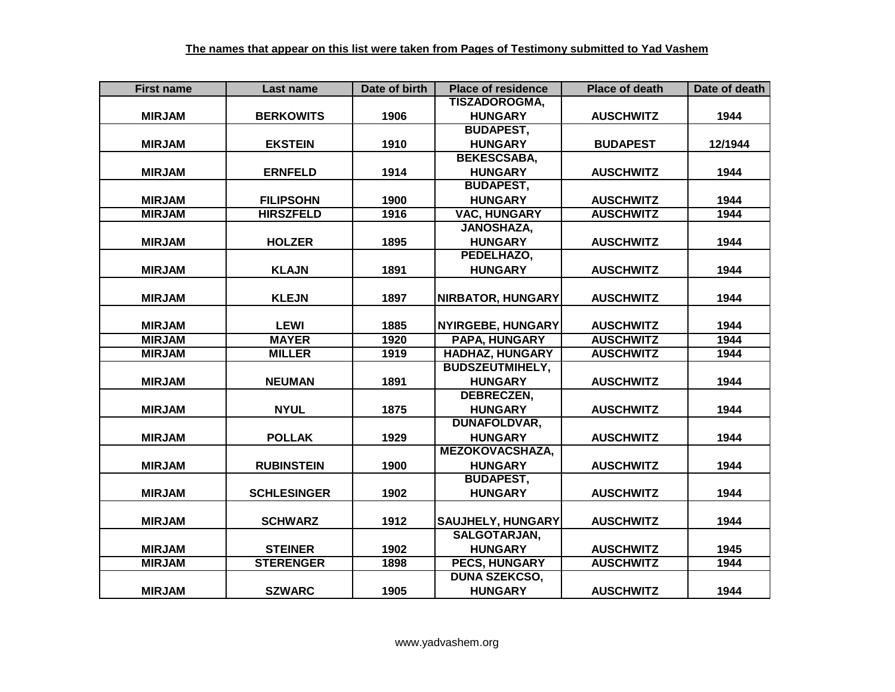| <b>First name</b> | Last name          | Date of birth | <b>Place of residence</b> | <b>Place of death</b> | Date of death |
|-------------------|--------------------|---------------|---------------------------|-----------------------|---------------|
|                   |                    |               | <b>TISZADOROGMA,</b>      |                       |               |
| <b>MIRJAM</b>     | <b>BERKOWITS</b>   | 1906          | <b>HUNGARY</b>            | <b>AUSCHWITZ</b>      | 1944          |
|                   |                    |               | <b>BUDAPEST,</b>          |                       |               |
| <b>MIRJAM</b>     | <b>EKSTEIN</b>     | 1910          | <b>HUNGARY</b>            | <b>BUDAPEST</b>       | 12/1944       |
|                   |                    |               | <b>BEKESCSABA,</b>        |                       |               |
| <b>MIRJAM</b>     | <b>ERNFELD</b>     | 1914          | <b>HUNGARY</b>            | <b>AUSCHWITZ</b>      | 1944          |
|                   |                    |               | <b>BUDAPEST,</b>          |                       |               |
| <b>MIRJAM</b>     | <b>FILIPSOHN</b>   | 1900          | <b>HUNGARY</b>            | <b>AUSCHWITZ</b>      | 1944          |
| <b>MIRJAM</b>     | <b>HIRSZFELD</b>   | 1916          | VAC, HUNGARY              | <b>AUSCHWITZ</b>      | 1944          |
|                   |                    |               | <b>JANOSHAZA,</b>         |                       |               |
| <b>MIRJAM</b>     | <b>HOLZER</b>      | 1895          | <b>HUNGARY</b>            | <b>AUSCHWITZ</b>      | 1944          |
|                   |                    |               | PEDELHAZO,                |                       |               |
| <b>MIRJAM</b>     | <b>KLAJN</b>       | 1891          | <b>HUNGARY</b>            | <b>AUSCHWITZ</b>      | 1944          |
|                   |                    |               |                           |                       |               |
| <b>MIRJAM</b>     | <b>KLEJN</b>       | 1897          | <b>NIRBATOR, HUNGARY</b>  | <b>AUSCHWITZ</b>      | 1944          |
|                   |                    |               |                           |                       |               |
| <b>MIRJAM</b>     | <b>LEWI</b>        | 1885          | <b>NYIRGEBE, HUNGARY</b>  | <b>AUSCHWITZ</b>      | 1944          |
| <b>MIRJAM</b>     | <b>MAYER</b>       | 1920          | <b>PAPA, HUNGARY</b>      | <b>AUSCHWITZ</b>      | 1944          |
| <b>MIRJAM</b>     | <b>MILLER</b>      | 1919          | <b>HADHAZ, HUNGARY</b>    | <b>AUSCHWITZ</b>      | 1944          |
|                   |                    |               | <b>BUDSZEUTMIHELY,</b>    |                       |               |
| <b>MIRJAM</b>     | <b>NEUMAN</b>      | 1891          | <b>HUNGARY</b>            | <b>AUSCHWITZ</b>      | 1944          |
|                   |                    |               | <b>DEBRECZEN,</b>         |                       |               |
| <b>MIRJAM</b>     | <b>NYUL</b>        | 1875          | <b>HUNGARY</b>            | <b>AUSCHWITZ</b>      | 1944          |
|                   |                    |               | DUNAFOLDVAR,              |                       |               |
| <b>MIRJAM</b>     | <b>POLLAK</b>      | 1929          | <b>HUNGARY</b>            | <b>AUSCHWITZ</b>      | 1944          |
|                   |                    |               | <b>MEZOKOVACSHAZA,</b>    |                       |               |
| <b>MIRJAM</b>     | <b>RUBINSTEIN</b>  | 1900          | <b>HUNGARY</b>            | <b>AUSCHWITZ</b>      | 1944          |
|                   |                    |               | <b>BUDAPEST,</b>          |                       |               |
| <b>MIRJAM</b>     | <b>SCHLESINGER</b> | 1902          | <b>HUNGARY</b>            | <b>AUSCHWITZ</b>      | 1944          |
|                   |                    |               |                           |                       |               |
| <b>MIRJAM</b>     | <b>SCHWARZ</b>     | 1912          | <b>SAUJHELY, HUNGARY</b>  | <b>AUSCHWITZ</b>      | 1944          |
|                   |                    |               | <b>SALGOTARJAN,</b>       |                       |               |
| <b>MIRJAM</b>     | <b>STEINER</b>     | 1902          | <b>HUNGARY</b>            | <b>AUSCHWITZ</b>      | 1945          |
| <b>MIRJAM</b>     | <b>STERENGER</b>   | 1898          | <b>PECS, HUNGARY</b>      | <b>AUSCHWITZ</b>      | 1944          |
|                   |                    |               | <b>DUNA SZEKCSO,</b>      |                       |               |
| <b>MIRJAM</b>     | <b>SZWARC</b>      | 1905          | <b>HUNGARY</b>            | <b>AUSCHWITZ</b>      | 1944          |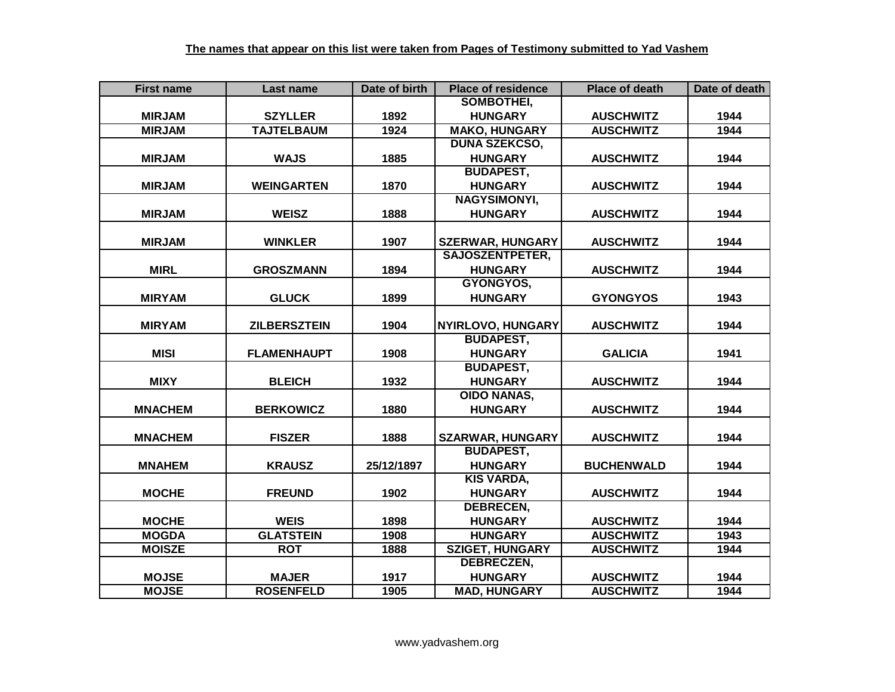| <b>First name</b> | Last name           | Date of birth | <b>Place of residence</b> | <b>Place of death</b> | Date of death |
|-------------------|---------------------|---------------|---------------------------|-----------------------|---------------|
|                   |                     |               | <b>SOMBOTHEI,</b>         |                       |               |
| <b>MIRJAM</b>     | <b>SZYLLER</b>      | 1892          | <b>HUNGARY</b>            | <b>AUSCHWITZ</b>      | 1944          |
| <b>MIRJAM</b>     | <b>TAJTELBAUM</b>   | 1924          | <b>MAKO, HUNGARY</b>      | <b>AUSCHWITZ</b>      | 1944          |
|                   |                     |               | <b>DUNA SZEKCSO,</b>      |                       |               |
| <b>MIRJAM</b>     | <b>WAJS</b>         | 1885          | <b>HUNGARY</b>            | <b>AUSCHWITZ</b>      | 1944          |
|                   |                     |               | <b>BUDAPEST,</b>          |                       |               |
| <b>MIRJAM</b>     | <b>WEINGARTEN</b>   | 1870          | <b>HUNGARY</b>            | <b>AUSCHWITZ</b>      | 1944          |
|                   |                     |               | <b>NAGYSIMONYI,</b>       |                       |               |
| <b>MIRJAM</b>     | <b>WEISZ</b>        | 1888          | <b>HUNGARY</b>            | <b>AUSCHWITZ</b>      | 1944          |
|                   |                     |               |                           |                       |               |
| <b>MIRJAM</b>     | <b>WINKLER</b>      | 1907          | <b>SZERWAR, HUNGARY</b>   | <b>AUSCHWITZ</b>      | 1944          |
|                   |                     |               | <b>SAJOSZENTPETER,</b>    |                       |               |
| <b>MIRL</b>       | <b>GROSZMANN</b>    | 1894          | <b>HUNGARY</b>            | <b>AUSCHWITZ</b>      | 1944          |
|                   |                     |               | GYONGYOS,                 |                       |               |
| <b>MIRYAM</b>     | <b>GLUCK</b>        | 1899          | <b>HUNGARY</b>            | <b>GYONGYOS</b>       | 1943          |
|                   |                     |               |                           |                       |               |
| <b>MIRYAM</b>     | <b>ZILBERSZTEIN</b> | 1904          | <b>NYIRLOVO, HUNGARY</b>  | <b>AUSCHWITZ</b>      | 1944          |
|                   |                     |               | <b>BUDAPEST,</b>          |                       |               |
| <b>MISI</b>       | <b>FLAMENHAUPT</b>  | 1908          | <b>HUNGARY</b>            | <b>GALICIA</b>        | 1941          |
|                   |                     |               | <b>BUDAPEST,</b>          |                       |               |
| <b>MIXY</b>       | <b>BLEICH</b>       | 1932          | <b>HUNGARY</b>            | <b>AUSCHWITZ</b>      | 1944          |
|                   |                     |               | <b>OIDO NANAS,</b>        |                       |               |
| <b>MNACHEM</b>    | <b>BERKOWICZ</b>    | 1880          | <b>HUNGARY</b>            | <b>AUSCHWITZ</b>      | 1944          |
|                   |                     |               |                           |                       |               |
| <b>MNACHEM</b>    | <b>FISZER</b>       | 1888          | <b>SZARWAR, HUNGARY</b>   | <b>AUSCHWITZ</b>      | 1944          |
|                   |                     |               | <b>BUDAPEST,</b>          |                       |               |
| <b>MNAHEM</b>     | <b>KRAUSZ</b>       | 25/12/1897    | <b>HUNGARY</b>            | <b>BUCHENWALD</b>     | 1944          |
|                   |                     |               | <b>KIS VARDA,</b>         |                       |               |
| <b>MOCHE</b>      | <b>FREUND</b>       | 1902          | <b>HUNGARY</b>            | <b>AUSCHWITZ</b>      | 1944          |
|                   |                     |               | <b>DEBRECEN,</b>          |                       |               |
| <b>MOCHE</b>      | <b>WEIS</b>         | 1898          | <b>HUNGARY</b>            | <b>AUSCHWITZ</b>      | 1944          |
| <b>MOGDA</b>      | <b>GLATSTEIN</b>    | 1908          | <b>HUNGARY</b>            | <b>AUSCHWITZ</b>      | 1943          |
| <b>MOISZE</b>     | <b>ROT</b>          | 1888          | <b>SZIGET, HUNGARY</b>    | <b>AUSCHWITZ</b>      | 1944          |
|                   |                     |               | <b>DEBRECZEN,</b>         |                       |               |
| <b>MOJSE</b>      | <b>MAJER</b>        | 1917          | <b>HUNGARY</b>            | <b>AUSCHWITZ</b>      | 1944          |
| <b>MOJSE</b>      | <b>ROSENFELD</b>    | 1905          | <b>MAD, HUNGARY</b>       | <b>AUSCHWITZ</b>      | 1944          |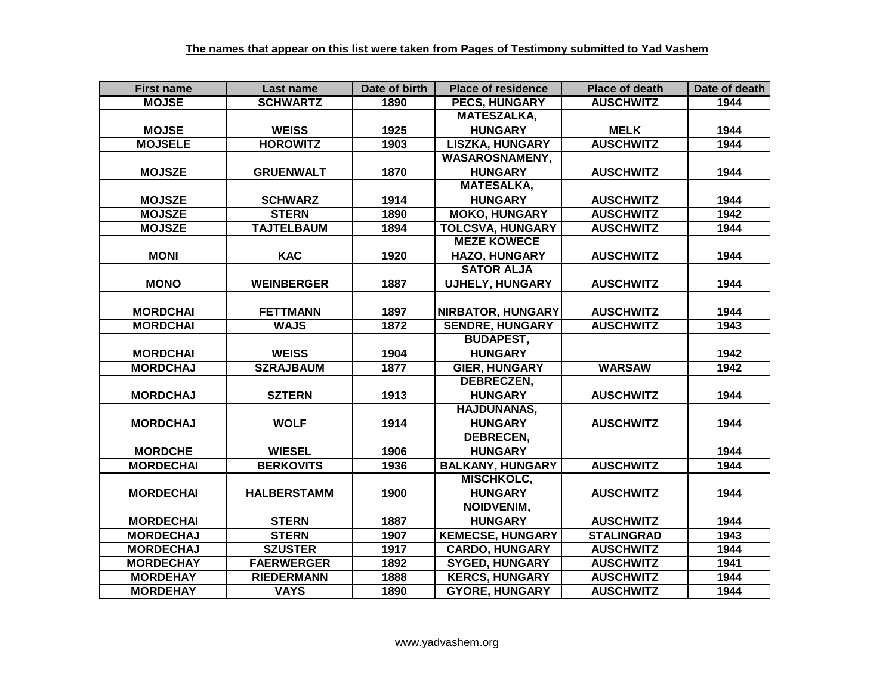| <b>First name</b> | Last name          | Date of birth | <b>Place of residence</b> | <b>Place of death</b> | Date of death |
|-------------------|--------------------|---------------|---------------------------|-----------------------|---------------|
| <b>MOJSE</b>      | <b>SCHWARTZ</b>    | 1890          | <b>PECS, HUNGARY</b>      | <b>AUSCHWITZ</b>      | 1944          |
|                   |                    |               | <b>MATESZALKA,</b>        |                       |               |
| <b>MOJSE</b>      | <b>WEISS</b>       | 1925          | <b>HUNGARY</b>            | <b>MELK</b>           | 1944          |
| <b>MOJSELE</b>    | <b>HOROWITZ</b>    | 1903          | <b>LISZKA, HUNGARY</b>    | <b>AUSCHWITZ</b>      | 1944          |
|                   |                    |               | <b>WASAROSNAMENY,</b>     |                       |               |
| <b>MOJSZE</b>     | <b>GRUENWALT</b>   | 1870          | <b>HUNGARY</b>            | <b>AUSCHWITZ</b>      | 1944          |
|                   |                    |               | <b>MATESALKA,</b>         |                       |               |
| <b>MOJSZE</b>     | <b>SCHWARZ</b>     | 1914          | <b>HUNGARY</b>            | <b>AUSCHWITZ</b>      | 1944          |
| <b>MOJSZE</b>     | <b>STERN</b>       | 1890          | <b>MOKO, HUNGARY</b>      | <b>AUSCHWITZ</b>      | 1942          |
| <b>MOJSZE</b>     | <b>TAJTELBAUM</b>  | 1894          | <b>TOLCSVA, HUNGARY</b>   | <b>AUSCHWITZ</b>      | 1944          |
|                   |                    |               | <b>MEZE KOWECE</b>        |                       |               |
| <b>MONI</b>       | <b>KAC</b>         | 1920          | <b>HAZO, HUNGARY</b>      | <b>AUSCHWITZ</b>      | 1944          |
|                   |                    |               | <b>SATOR ALJA</b>         |                       |               |
| <b>MONO</b>       | <b>WEINBERGER</b>  | 1887          | <b>UJHELY, HUNGARY</b>    | <b>AUSCHWITZ</b>      | 1944          |
|                   |                    |               |                           |                       |               |
| <b>MORDCHAI</b>   | <b>FETTMANN</b>    | 1897          | <b>NIRBATOR, HUNGARY</b>  | <b>AUSCHWITZ</b>      | 1944          |
| <b>MORDCHAI</b>   | <b>WAJS</b>        | 1872          | <b>SENDRE, HUNGARY</b>    | <b>AUSCHWITZ</b>      | 1943          |
|                   |                    |               | <b>BUDAPEST,</b>          |                       |               |
| <b>MORDCHAI</b>   | <b>WEISS</b>       | 1904          | <b>HUNGARY</b>            |                       | 1942          |
| <b>MORDCHAJ</b>   | <b>SZRAJBAUM</b>   | 1877          | <b>GIER, HUNGARY</b>      | <b>WARSAW</b>         | 1942          |
|                   |                    |               | <b>DEBRECZEN,</b>         |                       |               |
| <b>MORDCHAJ</b>   | <b>SZTERN</b>      | 1913          | <b>HUNGARY</b>            | <b>AUSCHWITZ</b>      | 1944          |
|                   |                    |               | <b>HAJDUNANAS,</b>        |                       |               |
| <b>MORDCHAJ</b>   | <b>WOLF</b>        | 1914          | <b>HUNGARY</b>            | <b>AUSCHWITZ</b>      | 1944          |
|                   |                    |               | <b>DEBRECEN,</b>          |                       |               |
| <b>MORDCHE</b>    | <b>WIESEL</b>      | 1906          | <b>HUNGARY</b>            |                       | 1944          |
| <b>MORDECHAI</b>  | <b>BERKOVITS</b>   | 1936          | <b>BALKANY, HUNGARY</b>   | <b>AUSCHWITZ</b>      | 1944          |
|                   |                    |               | <b>MISCHKOLC.</b>         |                       |               |
| <b>MORDECHAI</b>  | <b>HALBERSTAMM</b> | 1900          | <b>HUNGARY</b>            | <b>AUSCHWITZ</b>      | 1944          |
|                   |                    |               | NOIDVENIM,                |                       |               |
| <b>MORDECHAI</b>  | <b>STERN</b>       | 1887          | <b>HUNGARY</b>            | <b>AUSCHWITZ</b>      | 1944          |
| <b>MORDECHAJ</b>  | <b>STERN</b>       | 1907          | <b>KEMECSE, HUNGARY</b>   | <b>STALINGRAD</b>     | 1943          |
| <b>MORDECHAJ</b>  | <b>SZUSTER</b>     | 1917          | <b>CARDO, HUNGARY</b>     | <b>AUSCHWITZ</b>      | 1944          |
| <b>MORDECHAY</b>  | <b>FAERWERGER</b>  | 1892          | <b>SYGED, HUNGARY</b>     | <b>AUSCHWITZ</b>      | 1941          |
| <b>MORDEHAY</b>   | <b>RIEDERMANN</b>  | 1888          | <b>KERCS, HUNGARY</b>     | <b>AUSCHWITZ</b>      | 1944          |
| <b>MORDEHAY</b>   | <b>VAYS</b>        | 1890          | <b>GYORE, HUNGARY</b>     | <b>AUSCHWITZ</b>      | 1944          |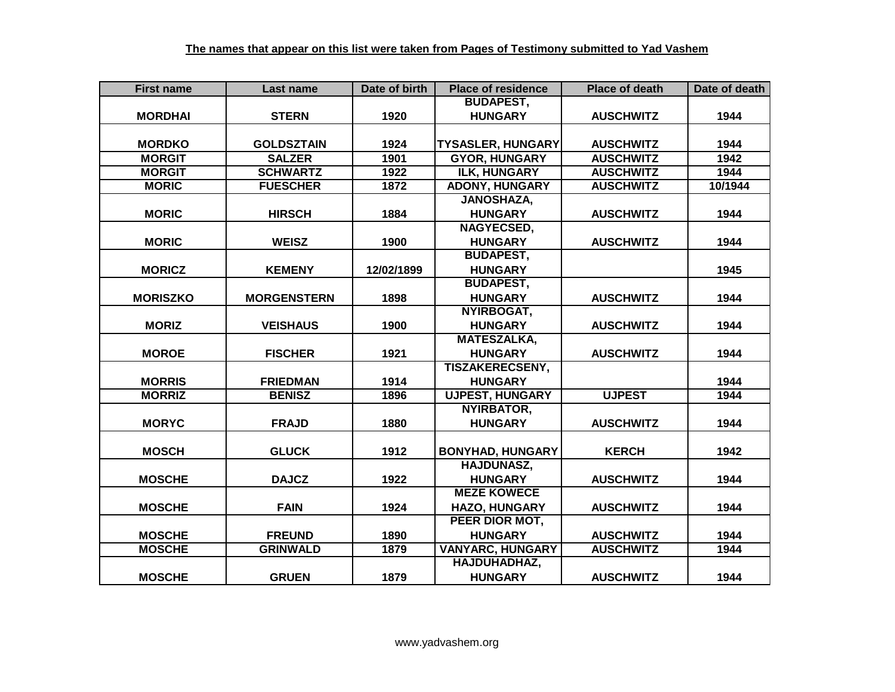| <b>First name</b> | Last name          | Date of birth | <b>Place of residence</b> | <b>Place of death</b> | Date of death |
|-------------------|--------------------|---------------|---------------------------|-----------------------|---------------|
|                   |                    |               | <b>BUDAPEST,</b>          |                       |               |
| <b>MORDHAI</b>    | <b>STERN</b>       | 1920          | <b>HUNGARY</b>            | <b>AUSCHWITZ</b>      | 1944          |
|                   |                    |               |                           |                       |               |
| <b>MORDKO</b>     | <b>GOLDSZTAIN</b>  | 1924          | <b>TYSASLER, HUNGARY</b>  | <b>AUSCHWITZ</b>      | 1944          |
| <b>MORGIT</b>     | <b>SALZER</b>      | 1901          | <b>GYOR, HUNGARY</b>      | <b>AUSCHWITZ</b>      | 1942          |
| <b>MORGIT</b>     | <b>SCHWARTZ</b>    | 1922          | <b>ILK, HUNGARY</b>       | <b>AUSCHWITZ</b>      | 1944          |
| <b>MORIC</b>      | <b>FUESCHER</b>    | 1872          | <b>ADONY, HUNGARY</b>     | <b>AUSCHWITZ</b>      | 10/1944       |
|                   |                    |               | <b>JANOSHAZA,</b>         |                       |               |
| <b>MORIC</b>      | <b>HIRSCH</b>      | 1884          | <b>HUNGARY</b>            | <b>AUSCHWITZ</b>      | 1944          |
|                   |                    |               | NAGYECSED,                |                       |               |
| <b>MORIC</b>      | <b>WEISZ</b>       | 1900          | <b>HUNGARY</b>            | <b>AUSCHWITZ</b>      | 1944          |
|                   |                    |               | <b>BUDAPEST,</b>          |                       |               |
| <b>MORICZ</b>     | <b>KEMENY</b>      | 12/02/1899    | <b>HUNGARY</b>            |                       | 1945          |
|                   |                    |               | <b>BUDAPEST,</b>          |                       |               |
| <b>MORISZKO</b>   | <b>MORGENSTERN</b> | 1898          | <b>HUNGARY</b>            | <b>AUSCHWITZ</b>      | 1944          |
|                   |                    |               | NYIRBOGAT,                |                       |               |
| <b>MORIZ</b>      | <b>VEISHAUS</b>    | 1900          | <b>HUNGARY</b>            | <b>AUSCHWITZ</b>      | 1944          |
|                   |                    |               | <b>MATESZALKA,</b>        |                       |               |
| <b>MOROE</b>      | <b>FISCHER</b>     | 1921          | <b>HUNGARY</b>            | <b>AUSCHWITZ</b>      | 1944          |
|                   |                    |               | <b>TISZAKERECSENY,</b>    |                       |               |
| <b>MORRIS</b>     | <b>FRIEDMAN</b>    | 1914          | <b>HUNGARY</b>            |                       | 1944          |
| <b>MORRIZ</b>     | <b>BENISZ</b>      | 1896          | <b>UJPEST, HUNGARY</b>    | <b>UJPEST</b>         | 1944          |
|                   |                    |               | <b>NYIRBATOR,</b>         |                       |               |
| <b>MORYC</b>      | <b>FRAJD</b>       | 1880          | <b>HUNGARY</b>            | <b>AUSCHWITZ</b>      | 1944          |
|                   |                    |               |                           |                       |               |
| <b>MOSCH</b>      | <b>GLUCK</b>       | 1912          | <b>BONYHAD, HUNGARY</b>   | <b>KERCH</b>          | 1942          |
|                   |                    |               | <b>HAJDUNASZ,</b>         |                       |               |
| <b>MOSCHE</b>     | <b>DAJCZ</b>       | 1922          | <b>HUNGARY</b>            | <b>AUSCHWITZ</b>      | 1944          |
|                   |                    |               | <b>MEZE KOWECE</b>        |                       |               |
| <b>MOSCHE</b>     | <b>FAIN</b>        | 1924          | <b>HAZO, HUNGARY</b>      | <b>AUSCHWITZ</b>      | 1944          |
|                   |                    |               | PEER DIOR MOT,            |                       |               |
| <b>MOSCHE</b>     | <b>FREUND</b>      | 1890          | <b>HUNGARY</b>            | <b>AUSCHWITZ</b>      | 1944          |
| <b>MOSCHE</b>     | <b>GRINWALD</b>    | 1879          | <b>VANYARC, HUNGARY</b>   | <b>AUSCHWITZ</b>      | 1944          |
|                   |                    |               | HAJDUHADHAZ,              |                       |               |
| <b>MOSCHE</b>     | <b>GRUEN</b>       | 1879          | <b>HUNGARY</b>            | <b>AUSCHWITZ</b>      | 1944          |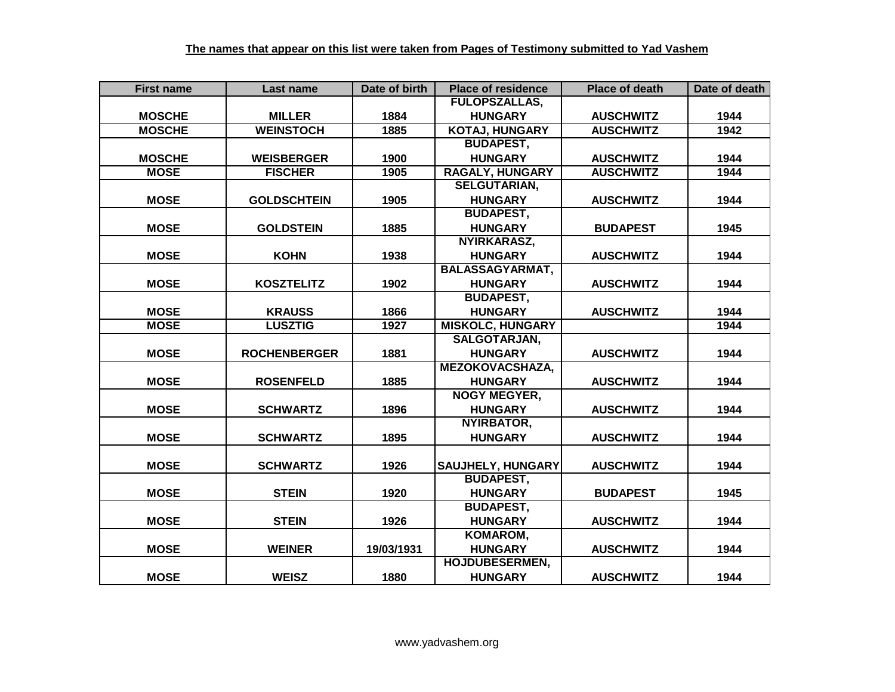| <b>First name</b> | Last name           | Date of birth | <b>Place of residence</b> | <b>Place of death</b> | Date of death |
|-------------------|---------------------|---------------|---------------------------|-----------------------|---------------|
|                   |                     |               | <b>FULOPSZALLAS,</b>      |                       |               |
| <b>MOSCHE</b>     | <b>MILLER</b>       | 1884          | <b>HUNGARY</b>            | <b>AUSCHWITZ</b>      | 1944          |
| <b>MOSCHE</b>     | <b>WEINSTOCH</b>    | 1885          | <b>KOTAJ, HUNGARY</b>     | <b>AUSCHWITZ</b>      | 1942          |
|                   |                     |               | <b>BUDAPEST,</b>          |                       |               |
| <b>MOSCHE</b>     | <b>WEISBERGER</b>   | 1900          | <b>HUNGARY</b>            | <b>AUSCHWITZ</b>      | 1944          |
| <b>MOSE</b>       | <b>FISCHER</b>      | 1905          | <b>RAGALY, HUNGARY</b>    | <b>AUSCHWITZ</b>      | 1944          |
|                   |                     |               | <b>SELGUTARIAN,</b>       |                       |               |
| <b>MOSE</b>       | <b>GOLDSCHTEIN</b>  | 1905          | <b>HUNGARY</b>            | <b>AUSCHWITZ</b>      | 1944          |
|                   |                     |               | <b>BUDAPEST,</b>          |                       |               |
| <b>MOSE</b>       | <b>GOLDSTEIN</b>    | 1885          | <b>HUNGARY</b>            | <b>BUDAPEST</b>       | 1945          |
|                   |                     |               | NYIRKARASZ,               |                       |               |
| <b>MOSE</b>       | <b>KOHN</b>         | 1938          | <b>HUNGARY</b>            | <b>AUSCHWITZ</b>      | 1944          |
|                   |                     |               | <b>BALASSAGYARMAT,</b>    |                       |               |
| <b>MOSE</b>       | <b>KOSZTELITZ</b>   | 1902          | <b>HUNGARY</b>            | <b>AUSCHWITZ</b>      | 1944          |
|                   |                     |               | <b>BUDAPEST,</b>          |                       |               |
| <b>MOSE</b>       | <b>KRAUSS</b>       | 1866          | <b>HUNGARY</b>            | <b>AUSCHWITZ</b>      | 1944          |
| <b>MOSE</b>       | <b>LUSZTIG</b>      | 1927          | <b>MISKOLC, HUNGARY</b>   |                       | 1944          |
|                   |                     |               | SALGOTARJAN,              |                       |               |
| <b>MOSE</b>       | <b>ROCHENBERGER</b> | 1881          | <b>HUNGARY</b>            | <b>AUSCHWITZ</b>      | 1944          |
|                   |                     |               | <b>MEZOKOVACSHAZA,</b>    |                       |               |
| <b>MOSE</b>       | <b>ROSENFELD</b>    | 1885          | <b>HUNGARY</b>            | <b>AUSCHWITZ</b>      | 1944          |
|                   |                     |               | <b>NOGY MEGYER,</b>       |                       |               |
| <b>MOSE</b>       | <b>SCHWARTZ</b>     | 1896          | <b>HUNGARY</b>            | <b>AUSCHWITZ</b>      | 1944          |
|                   |                     |               | <b>NYIRBATOR,</b>         |                       |               |
| <b>MOSE</b>       | <b>SCHWARTZ</b>     | 1895          | <b>HUNGARY</b>            | <b>AUSCHWITZ</b>      | 1944          |
|                   |                     |               |                           |                       |               |
| <b>MOSE</b>       | <b>SCHWARTZ</b>     | 1926          | <b>SAUJHELY, HUNGARY</b>  | <b>AUSCHWITZ</b>      | 1944          |
|                   |                     |               | <b>BUDAPEST,</b>          |                       |               |
| <b>MOSE</b>       | <b>STEIN</b>        | 1920          | <b>HUNGARY</b>            | <b>BUDAPEST</b>       | 1945          |
|                   |                     |               | <b>BUDAPEST,</b>          |                       |               |
| <b>MOSE</b>       | <b>STEIN</b>        | 1926          | <b>HUNGARY</b>            | <b>AUSCHWITZ</b>      | 1944          |
|                   |                     |               | KOMAROM,                  |                       |               |
| <b>MOSE</b>       | <b>WEINER</b>       | 19/03/1931    | <b>HUNGARY</b>            | <b>AUSCHWITZ</b>      | 1944          |
|                   |                     |               | HOJDUBESERMEN,            |                       |               |
| <b>MOSE</b>       | <b>WEISZ</b>        | 1880          | <b>HUNGARY</b>            | <b>AUSCHWITZ</b>      | 1944          |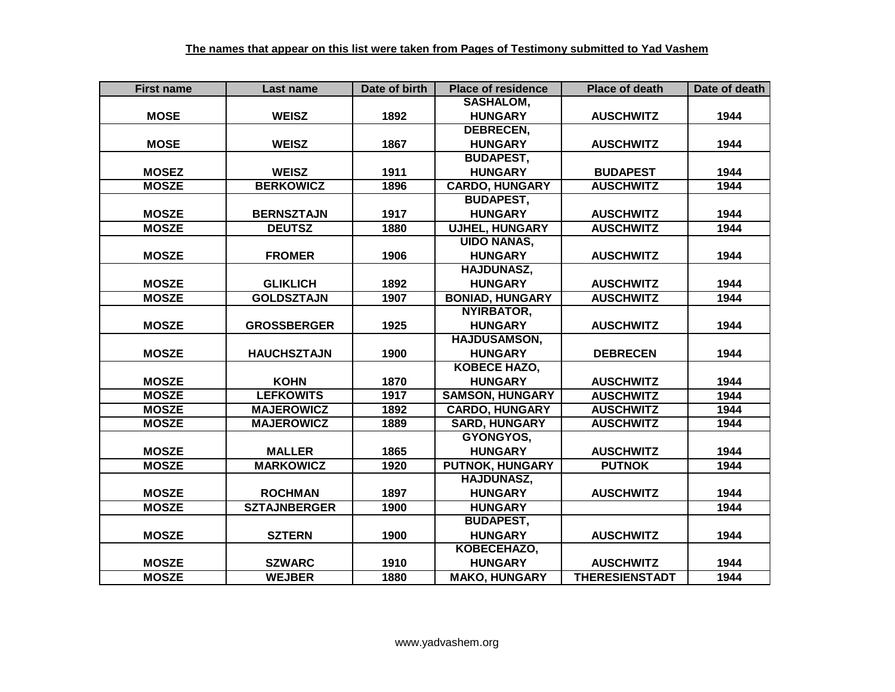| <b>First name</b> | Last name           | Date of birth | <b>Place of residence</b> | <b>Place of death</b> | Date of death |
|-------------------|---------------------|---------------|---------------------------|-----------------------|---------------|
|                   |                     |               | <b>SASHALOM,</b>          |                       |               |
| <b>MOSE</b>       | <b>WEISZ</b>        | 1892          | <b>HUNGARY</b>            | <b>AUSCHWITZ</b>      | 1944          |
|                   |                     |               | <b>DEBRECEN,</b>          |                       |               |
| <b>MOSE</b>       | <b>WEISZ</b>        | 1867          | <b>HUNGARY</b>            | <b>AUSCHWITZ</b>      | 1944          |
|                   |                     |               | <b>BUDAPEST,</b>          |                       |               |
| <b>MOSEZ</b>      | <b>WEISZ</b>        | 1911          | <b>HUNGARY</b>            | <b>BUDAPEST</b>       | 1944          |
| <b>MOSZE</b>      | <b>BERKOWICZ</b>    | 1896          | <b>CARDO, HUNGARY</b>     | <b>AUSCHWITZ</b>      | 1944          |
|                   |                     |               | <b>BUDAPEST,</b>          |                       |               |
| <b>MOSZE</b>      | <b>BERNSZTAJN</b>   | 1917          | <b>HUNGARY</b>            | <b>AUSCHWITZ</b>      | 1944          |
| <b>MOSZE</b>      | <b>DEUTSZ</b>       | 1880          | <b>UJHEL, HUNGARY</b>     | <b>AUSCHWITZ</b>      | 1944          |
|                   |                     |               | <b>UIDO NANAS,</b>        |                       |               |
| <b>MOSZE</b>      | <b>FROMER</b>       | 1906          | <b>HUNGARY</b>            | <b>AUSCHWITZ</b>      | 1944          |
|                   |                     |               | <b>HAJDUNASZ,</b>         |                       |               |
| <b>MOSZE</b>      | <b>GLIKLICH</b>     | 1892          | <b>HUNGARY</b>            | <b>AUSCHWITZ</b>      | 1944          |
| <b>MOSZE</b>      | <b>GOLDSZTAJN</b>   | 1907          | <b>BONIAD, HUNGARY</b>    | <b>AUSCHWITZ</b>      | 1944          |
|                   |                     |               | NYIRBATOR,                |                       |               |
| <b>MOSZE</b>      | <b>GROSSBERGER</b>  | 1925          | <b>HUNGARY</b>            | <b>AUSCHWITZ</b>      | 1944          |
|                   |                     |               | <b>HAJDUSAMSON,</b>       |                       |               |
| <b>MOSZE</b>      | <b>HAUCHSZTAJN</b>  | 1900          | <b>HUNGARY</b>            | <b>DEBRECEN</b>       | 1944          |
|                   |                     |               | <b>KOBECE HAZO,</b>       |                       |               |
| <b>MOSZE</b>      | <b>KOHN</b>         | 1870          | <b>HUNGARY</b>            | <b>AUSCHWITZ</b>      | 1944          |
| <b>MOSZE</b>      | <b>LEFKOWITS</b>    | 1917          | <b>SAMSON, HUNGARY</b>    | <b>AUSCHWITZ</b>      | 1944          |
| <b>MOSZE</b>      | <b>MAJEROWICZ</b>   | 1892          | <b>CARDO, HUNGARY</b>     | <b>AUSCHWITZ</b>      | 1944          |
| <b>MOSZE</b>      | <b>MAJEROWICZ</b>   | 1889          | <b>SARD, HUNGARY</b>      | <b>AUSCHWITZ</b>      | 1944          |
|                   |                     |               | GYONGYOS,                 |                       |               |
| <b>MOSZE</b>      | <b>MALLER</b>       | 1865          | <b>HUNGARY</b>            | <b>AUSCHWITZ</b>      | 1944          |
| <b>MOSZE</b>      | <b>MARKOWICZ</b>    | 1920          | <b>PUTNOK, HUNGARY</b>    | <b>PUTNOK</b>         | 1944          |
|                   |                     |               | <b>HAJDUNASZ,</b>         |                       |               |
| <b>MOSZE</b>      | <b>ROCHMAN</b>      | 1897          | <b>HUNGARY</b>            | <b>AUSCHWITZ</b>      | 1944          |
| <b>MOSZE</b>      | <b>SZTAJNBERGER</b> | 1900          | <b>HUNGARY</b>            |                       | 1944          |
|                   |                     |               | <b>BUDAPEST,</b>          |                       |               |
| <b>MOSZE</b>      | <b>SZTERN</b>       | 1900          | <b>HUNGARY</b>            | <b>AUSCHWITZ</b>      | 1944          |
|                   |                     |               | KOBECEHAZO,               |                       |               |
| <b>MOSZE</b>      | <b>SZWARC</b>       | 1910          | <b>HUNGARY</b>            | <b>AUSCHWITZ</b>      | 1944          |
| <b>MOSZE</b>      | <b>WEJBER</b>       | 1880          | <b>MAKO, HUNGARY</b>      | <b>THERESIENSTADT</b> | 1944          |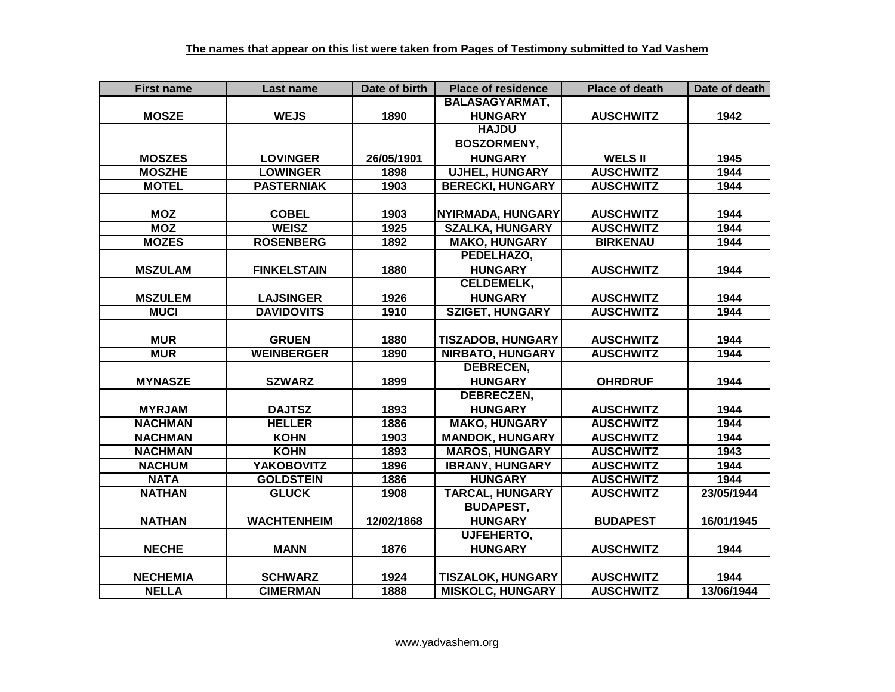| <b>First name</b> | Last name          | Date of birth | <b>Place of residence</b> | <b>Place of death</b> | Date of death |
|-------------------|--------------------|---------------|---------------------------|-----------------------|---------------|
|                   |                    |               | <b>BALASAGYARMAT,</b>     |                       |               |
| <b>MOSZE</b>      | <b>WEJS</b>        | 1890          | <b>HUNGARY</b>            | <b>AUSCHWITZ</b>      | 1942          |
|                   |                    |               | <b>HAJDU</b>              |                       |               |
|                   |                    |               | <b>BOSZORMENY,</b>        |                       |               |
| <b>MOSZES</b>     | <b>LOVINGER</b>    | 26/05/1901    | <b>HUNGARY</b>            | <b>WELS II</b>        | 1945          |
| <b>MOSZHE</b>     | <b>LOWINGER</b>    | 1898          | <b>UJHEL, HUNGARY</b>     | <b>AUSCHWITZ</b>      | 1944          |
| <b>MOTEL</b>      | <b>PASTERNIAK</b>  | 1903          | <b>BERECKI, HUNGARY</b>   | <b>AUSCHWITZ</b>      | 1944          |
|                   |                    |               |                           |                       |               |
| <b>MOZ</b>        | <b>COBEL</b>       | 1903          | <b>NYIRMADA, HUNGARY</b>  | <b>AUSCHWITZ</b>      | 1944          |
| <b>MOZ</b>        | <b>WEISZ</b>       | 1925          | <b>SZALKA, HUNGARY</b>    | <b>AUSCHWITZ</b>      | 1944          |
| <b>MOZES</b>      | <b>ROSENBERG</b>   | 1892          | <b>MAKO, HUNGARY</b>      | <b>BIRKENAU</b>       | 1944          |
|                   |                    |               | PEDELHAZO,                |                       |               |
| <b>MSZULAM</b>    | <b>FINKELSTAIN</b> | 1880          | <b>HUNGARY</b>            | <b>AUSCHWITZ</b>      | 1944          |
|                   |                    |               | <b>CELDEMELK,</b>         |                       |               |
| <b>MSZULEM</b>    | <b>LAJSINGER</b>   | 1926          | <b>HUNGARY</b>            | <b>AUSCHWITZ</b>      | 1944          |
| <b>MUCI</b>       | <b>DAVIDOVITS</b>  | 1910          | <b>SZIGET, HUNGARY</b>    | <b>AUSCHWITZ</b>      | 1944          |
|                   |                    |               |                           |                       |               |
| <b>MUR</b>        | <b>GRUEN</b>       | 1880          | <b>TISZADOB, HUNGARY</b>  | <b>AUSCHWITZ</b>      | 1944          |
| <b>MUR</b>        | <b>WEINBERGER</b>  | 1890          | <b>NIRBATO, HUNGARY</b>   | <b>AUSCHWITZ</b>      | 1944          |
|                   |                    |               | <b>DEBRECEN,</b>          |                       |               |
| <b>MYNASZE</b>    | <b>SZWARZ</b>      | 1899          | <b>HUNGARY</b>            | <b>OHRDRUF</b>        | 1944          |
|                   |                    |               | <b>DEBRECZEN,</b>         |                       |               |
| <b>MYRJAM</b>     | <b>DAJTSZ</b>      | 1893          | <b>HUNGARY</b>            | <b>AUSCHWITZ</b>      | 1944          |
| <b>NACHMAN</b>    | <b>HELLER</b>      | 1886          | <b>MAKO, HUNGARY</b>      | <b>AUSCHWITZ</b>      | 1944          |
| <b>NACHMAN</b>    | <b>KOHN</b>        | 1903          | <b>MANDOK, HUNGARY</b>    | <b>AUSCHWITZ</b>      | 1944          |
| <b>NACHMAN</b>    | <b>KOHN</b>        | 1893          | <b>MAROS, HUNGARY</b>     | <b>AUSCHWITZ</b>      | 1943          |
| <b>NACHUM</b>     | <b>YAKOBOVITZ</b>  | 1896          | <b>IBRANY, HUNGARY</b>    | <b>AUSCHWITZ</b>      | 1944          |
| <b>NATA</b>       | <b>GOLDSTEIN</b>   | 1886          | <b>HUNGARY</b>            | <b>AUSCHWITZ</b>      | 1944          |
| <b>NATHAN</b>     | <b>GLUCK</b>       | 1908          | <b>TARCAL, HUNGARY</b>    | <b>AUSCHWITZ</b>      | 23/05/1944    |
|                   |                    |               | <b>BUDAPEST,</b>          |                       |               |
| <b>NATHAN</b>     | <b>WACHTENHEIM</b> | 12/02/1868    | <b>HUNGARY</b>            | <b>BUDAPEST</b>       | 16/01/1945    |
|                   |                    |               | UJFEHERTO,                |                       |               |
| <b>NECHE</b>      | <b>MANN</b>        | 1876          | <b>HUNGARY</b>            | <b>AUSCHWITZ</b>      | 1944          |
|                   |                    |               |                           |                       |               |
| <b>NECHEMIA</b>   | <b>SCHWARZ</b>     | 1924          | <b>TISZALOK, HUNGARY</b>  | <b>AUSCHWITZ</b>      | 1944          |
| <b>NELLA</b>      | <b>CIMERMAN</b>    | 1888          | <b>MISKOLC, HUNGARY</b>   | <b>AUSCHWITZ</b>      | 13/06/1944    |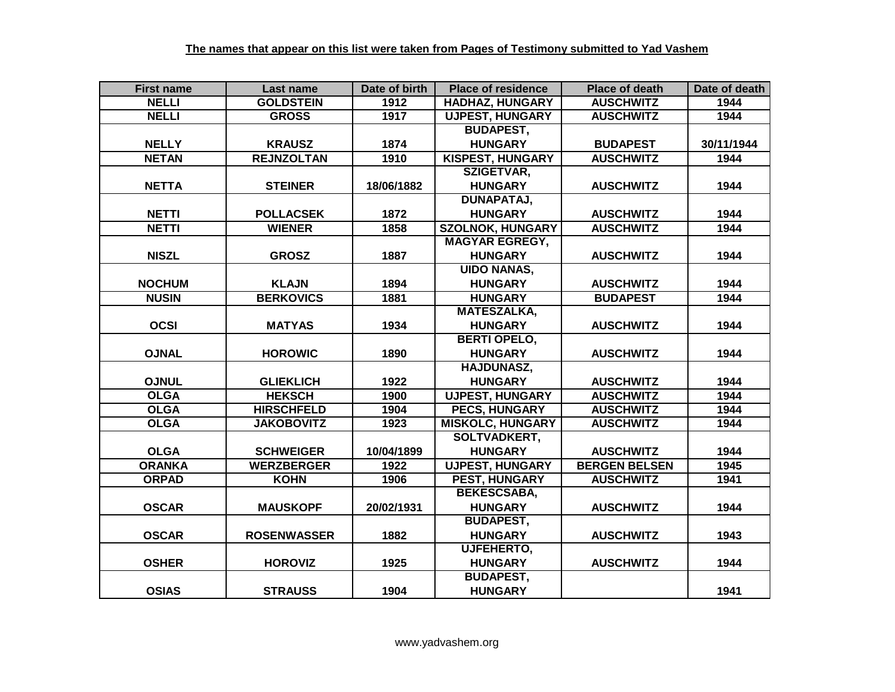| <b>First name</b> | Last name          | Date of birth | <b>Place of residence</b> | <b>Place of death</b> | Date of death |
|-------------------|--------------------|---------------|---------------------------|-----------------------|---------------|
| <b>NELLI</b>      | <b>GOLDSTEIN</b>   | 1912          | <b>HADHAZ, HUNGARY</b>    | <b>AUSCHWITZ</b>      | 1944          |
| <b>NELLI</b>      | <b>GROSS</b>       | 1917          | <b>UJPEST, HUNGARY</b>    | <b>AUSCHWITZ</b>      | 1944          |
|                   |                    |               | <b>BUDAPEST,</b>          |                       |               |
| <b>NELLY</b>      | <b>KRAUSZ</b>      | 1874          | <b>HUNGARY</b>            | <b>BUDAPEST</b>       | 30/11/1944    |
| <b>NETAN</b>      | <b>REJNZOLTAN</b>  | 1910          | <b>KISPEST, HUNGARY</b>   | <b>AUSCHWITZ</b>      | 1944          |
|                   |                    |               | <b>SZIGETVAR,</b>         |                       |               |
| <b>NETTA</b>      | <b>STEINER</b>     | 18/06/1882    | <b>HUNGARY</b>            | <b>AUSCHWITZ</b>      | 1944          |
|                   |                    |               | <b>DUNAPATAJ,</b>         |                       |               |
| <b>NETTI</b>      | <b>POLLACSEK</b>   | 1872          | <b>HUNGARY</b>            | <b>AUSCHWITZ</b>      | 1944          |
| <b>NETTI</b>      | <b>WIENER</b>      | 1858          | <b>SZOLNOK, HUNGARY</b>   | <b>AUSCHWITZ</b>      | 1944          |
|                   |                    |               | <b>MAGYAR EGREGY,</b>     |                       |               |
| <b>NISZL</b>      | <b>GROSZ</b>       | 1887          | <b>HUNGARY</b>            | <b>AUSCHWITZ</b>      | 1944          |
|                   |                    |               | <b>UIDO NANAS,</b>        |                       |               |
| <b>NOCHUM</b>     | <b>KLAJN</b>       | 1894          | <b>HUNGARY</b>            | <b>AUSCHWITZ</b>      | 1944          |
| <b>NUSIN</b>      | <b>BERKOVICS</b>   | 1881          | <b>HUNGARY</b>            | <b>BUDAPEST</b>       | 1944          |
|                   |                    |               | <b>MATESZALKA,</b>        |                       |               |
| <b>OCSI</b>       | <b>MATYAS</b>      | 1934          | <b>HUNGARY</b>            | <b>AUSCHWITZ</b>      | 1944          |
|                   |                    |               | <b>BERTI OPELO,</b>       |                       |               |
| <b>OJNAL</b>      | <b>HOROWIC</b>     | 1890          | <b>HUNGARY</b>            | <b>AUSCHWITZ</b>      | 1944          |
|                   |                    |               | <b>HAJDUNASZ,</b>         |                       |               |
| <b>OJNUL</b>      | <b>GLIEKLICH</b>   | 1922          | <b>HUNGARY</b>            | <b>AUSCHWITZ</b>      | 1944          |
| <b>OLGA</b>       | <b>HEKSCH</b>      | 1900          | <b>UJPEST, HUNGARY</b>    | <b>AUSCHWITZ</b>      | 1944          |
| <b>OLGA</b>       | <b>HIRSCHFELD</b>  | 1904          | <b>PECS, HUNGARY</b>      | <b>AUSCHWITZ</b>      | 1944          |
| <b>OLGA</b>       | <b>JAKOBOVITZ</b>  | 1923          | <b>MISKOLC, HUNGARY</b>   | <b>AUSCHWITZ</b>      | 1944          |
|                   |                    |               | <b>SOLTVADKERT,</b>       |                       |               |
| <b>OLGA</b>       | <b>SCHWEIGER</b>   | 10/04/1899    | <b>HUNGARY</b>            | <b>AUSCHWITZ</b>      | 1944          |
| <b>ORANKA</b>     | <b>WERZBERGER</b>  | 1922          | <b>UJPEST, HUNGARY</b>    | <b>BERGEN BELSEN</b>  | 1945          |
| <b>ORPAD</b>      | <b>KOHN</b>        | 1906          | PEST, HUNGARY             | <b>AUSCHWITZ</b>      | 1941          |
|                   |                    |               | <b>BEKESCSABA,</b>        |                       |               |
| <b>OSCAR</b>      | <b>MAUSKOPF</b>    | 20/02/1931    | <b>HUNGARY</b>            | <b>AUSCHWITZ</b>      | 1944          |
|                   |                    |               | <b>BUDAPEST,</b>          |                       |               |
| <b>OSCAR</b>      | <b>ROSENWASSER</b> | 1882          | <b>HUNGARY</b>            | <b>AUSCHWITZ</b>      | 1943          |
|                   |                    |               | UJFEHERTO,                |                       |               |
| <b>OSHER</b>      | <b>HOROVIZ</b>     | 1925          | <b>HUNGARY</b>            | <b>AUSCHWITZ</b>      | 1944          |
|                   |                    |               | <b>BUDAPEST,</b>          |                       |               |
| <b>OSIAS</b>      | <b>STRAUSS</b>     | 1904          | <b>HUNGARY</b>            |                       | 1941          |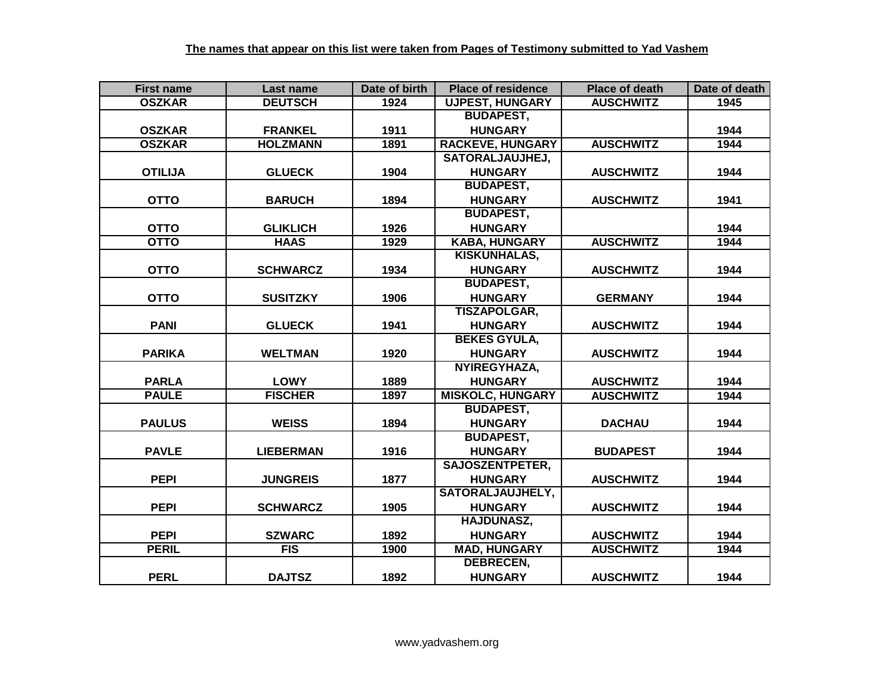| <b>First name</b> | Last name        | Date of birth | <b>Place of residence</b> | <b>Place of death</b> | Date of death |
|-------------------|------------------|---------------|---------------------------|-----------------------|---------------|
| <b>OSZKAR</b>     | <b>DEUTSCH</b>   | 1924          | <b>UJPEST, HUNGARY</b>    | <b>AUSCHWITZ</b>      | 1945          |
|                   |                  |               | <b>BUDAPEST,</b>          |                       |               |
| <b>OSZKAR</b>     | <b>FRANKEL</b>   | 1911          | <b>HUNGARY</b>            |                       | 1944          |
| <b>OSZKAR</b>     | <b>HOLZMANN</b>  | 1891          | <b>RACKEVE, HUNGARY</b>   | <b>AUSCHWITZ</b>      | 1944          |
|                   |                  |               | <b>SATORALJAUJHEJ,</b>    |                       |               |
| <b>OTILIJA</b>    | <b>GLUECK</b>    | 1904          | <b>HUNGARY</b>            | <b>AUSCHWITZ</b>      | 1944          |
|                   |                  |               | <b>BUDAPEST,</b>          |                       |               |
| <b>OTTO</b>       | <b>BARUCH</b>    | 1894          | <b>HUNGARY</b>            | <b>AUSCHWITZ</b>      | 1941          |
|                   |                  |               | <b>BUDAPEST,</b>          |                       |               |
| <b>OTTO</b>       | <b>GLIKLICH</b>  | 1926          | <b>HUNGARY</b>            |                       | 1944          |
| <b>OTTO</b>       | <b>HAAS</b>      | 1929          | <b>KABA, HUNGARY</b>      | <b>AUSCHWITZ</b>      | 1944          |
|                   |                  |               | <b>KISKUNHALAS,</b>       |                       |               |
| <b>OTTO</b>       | <b>SCHWARCZ</b>  | 1934          | <b>HUNGARY</b>            | <b>AUSCHWITZ</b>      | 1944          |
|                   |                  |               | <b>BUDAPEST,</b>          |                       |               |
| <b>OTTO</b>       | <b>SUSITZKY</b>  | 1906          | <b>HUNGARY</b>            | <b>GERMANY</b>        | 1944          |
|                   |                  |               | <b>TISZAPOLGAR,</b>       |                       |               |
| <b>PANI</b>       | <b>GLUECK</b>    | 1941          | <b>HUNGARY</b>            | <b>AUSCHWITZ</b>      | 1944          |
|                   |                  |               | <b>BEKES GYULA,</b>       |                       |               |
| <b>PARIKA</b>     | <b>WELTMAN</b>   | 1920          | <b>HUNGARY</b>            | <b>AUSCHWITZ</b>      | 1944          |
|                   |                  |               | NYIREGYHAZA,              |                       |               |
| <b>PARLA</b>      | <b>LOWY</b>      | 1889          | <b>HUNGARY</b>            | <b>AUSCHWITZ</b>      | 1944          |
| <b>PAULE</b>      | <b>FISCHER</b>   | 1897          | <b>MISKOLC, HUNGARY</b>   | <b>AUSCHWITZ</b>      | 1944          |
|                   |                  |               | <b>BUDAPEST,</b>          |                       |               |
| <b>PAULUS</b>     | <b>WEISS</b>     | 1894          | <b>HUNGARY</b>            | <b>DACHAU</b>         | 1944          |
|                   |                  |               | <b>BUDAPEST,</b>          |                       |               |
| <b>PAVLE</b>      | <b>LIEBERMAN</b> | 1916          | <b>HUNGARY</b>            | <b>BUDAPEST</b>       | 1944          |
|                   |                  |               | <b>SAJOSZENTPETER,</b>    |                       |               |
| <b>PEPI</b>       | <b>JUNGREIS</b>  | 1877          | <b>HUNGARY</b>            | <b>AUSCHWITZ</b>      | 1944          |
|                   |                  |               | SATORALJAUJHELY,          |                       |               |
| <b>PEPI</b>       | <b>SCHWARCZ</b>  | 1905          | <b>HUNGARY</b>            | <b>AUSCHWITZ</b>      | 1944          |
|                   |                  |               | <b>HAJDUNASZ,</b>         |                       |               |
| <b>PEPI</b>       | <b>SZWARC</b>    | 1892          | <b>HUNGARY</b>            | <b>AUSCHWITZ</b>      | 1944          |
| <b>PERIL</b>      | $\overline{FIS}$ | 1900          | <b>MAD, HUNGARY</b>       | <b>AUSCHWITZ</b>      | 1944          |
|                   |                  |               | DEBRECEN,                 |                       |               |
| <b>PERL</b>       | <b>DAJTSZ</b>    | 1892          | <b>HUNGARY</b>            | <b>AUSCHWITZ</b>      | 1944          |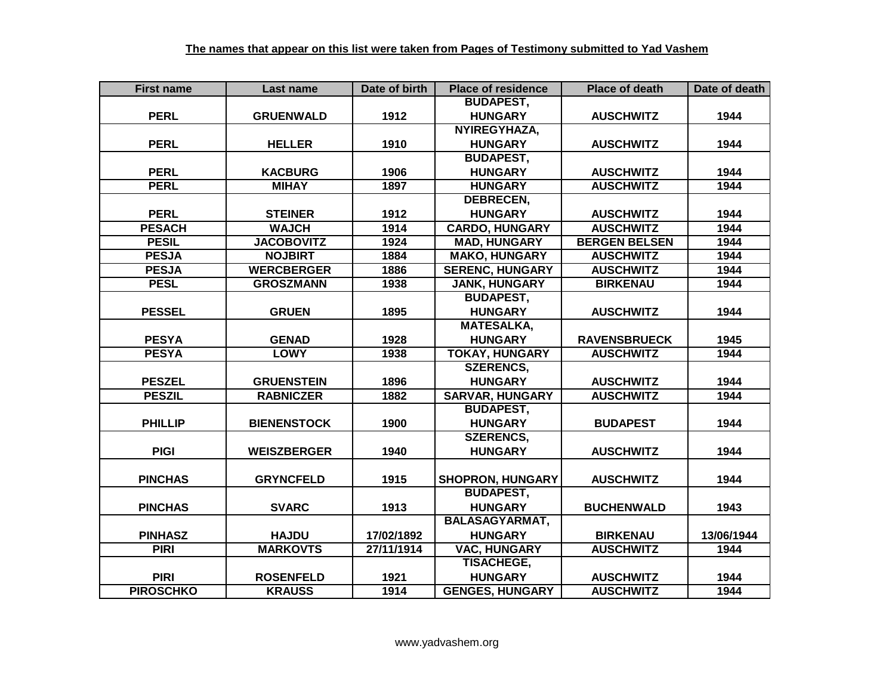| <b>First name</b> | Last name          | Date of birth | <b>Place of residence</b> | <b>Place of death</b> | Date of death |
|-------------------|--------------------|---------------|---------------------------|-----------------------|---------------|
|                   |                    |               | <b>BUDAPEST,</b>          |                       |               |
| <b>PERL</b>       | <b>GRUENWALD</b>   | 1912          | <b>HUNGARY</b>            | <b>AUSCHWITZ</b>      | 1944          |
|                   |                    |               | NYIREGYHAZA,              |                       |               |
| <b>PERL</b>       | <b>HELLER</b>      | 1910          | <b>HUNGARY</b>            | <b>AUSCHWITZ</b>      | 1944          |
|                   |                    |               | <b>BUDAPEST,</b>          |                       |               |
| <b>PERL</b>       | <b>KACBURG</b>     | 1906          | <b>HUNGARY</b>            | <b>AUSCHWITZ</b>      | 1944          |
| <b>PERL</b>       | <b>MIHAY</b>       | 1897          | <b>HUNGARY</b>            | <b>AUSCHWITZ</b>      | 1944          |
|                   |                    |               | DEBRECEN,                 |                       |               |
| <b>PERL</b>       | <b>STEINER</b>     | 1912          | <b>HUNGARY</b>            | <b>AUSCHWITZ</b>      | 1944          |
| <b>PESACH</b>     | <b>WAJCH</b>       | 1914          | <b>CARDO, HUNGARY</b>     | <b>AUSCHWITZ</b>      | 1944          |
| <b>PESIL</b>      | <b>JACOBOVITZ</b>  | 1924          | <b>MAD, HUNGARY</b>       | <b>BERGEN BELSEN</b>  | 1944          |
| <b>PESJA</b>      | <b>NOJBIRT</b>     | 1884          | <b>MAKO, HUNGARY</b>      | <b>AUSCHWITZ</b>      | 1944          |
| <b>PESJA</b>      | <b>WERCBERGER</b>  | 1886          | <b>SERENC, HUNGARY</b>    | <b>AUSCHWITZ</b>      | 1944          |
| <b>PESL</b>       | <b>GROSZMANN</b>   | 1938          | <b>JANK, HUNGARY</b>      | <b>BIRKENAU</b>       | 1944          |
|                   |                    |               | <b>BUDAPEST,</b>          |                       |               |
| <b>PESSEL</b>     | <b>GRUEN</b>       | 1895          | <b>HUNGARY</b>            | <b>AUSCHWITZ</b>      | 1944          |
|                   |                    |               | <b>MATESALKA,</b>         |                       |               |
| <b>PESYA</b>      | <b>GENAD</b>       | 1928          | <b>HUNGARY</b>            | <b>RAVENSBRUECK</b>   | 1945          |
| <b>PESYA</b>      | <b>LOWY</b>        | 1938          | <b>TOKAY, HUNGARY</b>     | <b>AUSCHWITZ</b>      | 1944          |
|                   |                    |               | <b>SZERENCS,</b>          |                       |               |
| <b>PESZEL</b>     | <b>GRUENSTEIN</b>  | 1896          | <b>HUNGARY</b>            | <b>AUSCHWITZ</b>      | 1944          |
| <b>PESZIL</b>     | <b>RABNICZER</b>   | 1882          | <b>SARVAR, HUNGARY</b>    | <b>AUSCHWITZ</b>      | 1944          |
|                   |                    |               | <b>BUDAPEST,</b>          |                       |               |
| <b>PHILLIP</b>    | <b>BIENENSTOCK</b> | 1900          | <b>HUNGARY</b>            | <b>BUDAPEST</b>       | 1944          |
|                   |                    |               | <b>SZERENCS,</b>          |                       |               |
| <b>PIGI</b>       | <b>WEISZBERGER</b> | 1940          | <b>HUNGARY</b>            | <b>AUSCHWITZ</b>      | 1944          |
|                   |                    |               |                           |                       |               |
| <b>PINCHAS</b>    | <b>GRYNCFELD</b>   | 1915          | <b>SHOPRON, HUNGARY</b>   | <b>AUSCHWITZ</b>      | 1944          |
|                   |                    |               | <b>BUDAPEST,</b>          |                       |               |
| <b>PINCHAS</b>    | <b>SVARC</b>       | 1913          | <b>HUNGARY</b>            | <b>BUCHENWALD</b>     | 1943          |
|                   |                    |               | <b>BALASAGYARMAT,</b>     |                       |               |
| <b>PINHASZ</b>    | <b>HAJDU</b>       | 17/02/1892    | <b>HUNGARY</b>            | <b>BIRKENAU</b>       | 13/06/1944    |
| <b>PIRI</b>       | <b>MARKOVTS</b>    | 27/11/1914    | <b>VAC, HUNGARY</b>       | <b>AUSCHWITZ</b>      | 1944          |
|                   |                    |               | <b>TISACHEGE,</b>         |                       |               |
| <b>PIRI</b>       | <b>ROSENFELD</b>   | 1921          | <b>HUNGARY</b>            | <b>AUSCHWITZ</b>      | 1944          |
| <b>PIROSCHKO</b>  | <b>KRAUSS</b>      | 1914          | <b>GENGES, HUNGARY</b>    | <b>AUSCHWITZ</b>      | 1944          |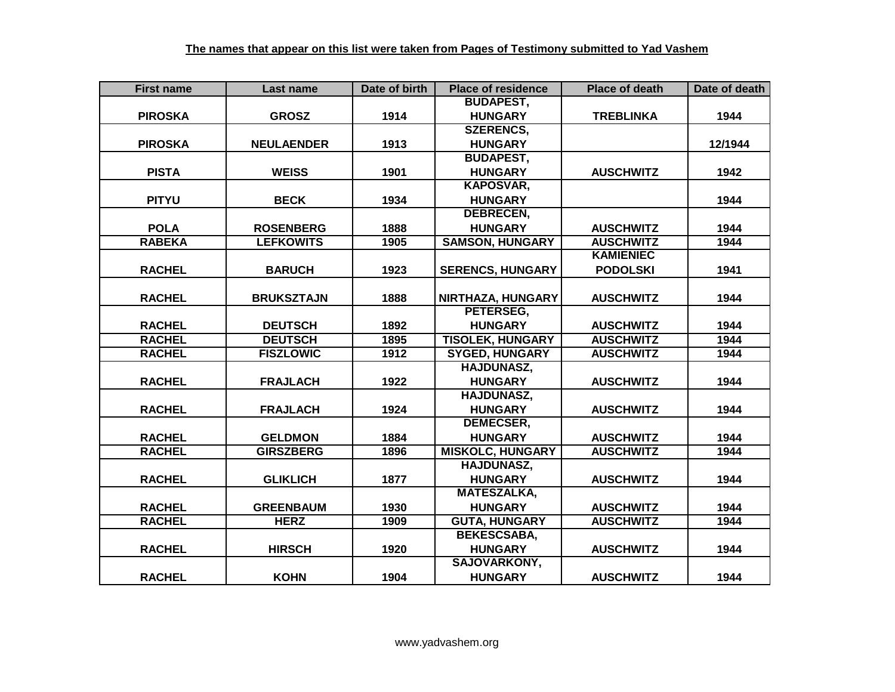| <b>First name</b> | Last name         | Date of birth | <b>Place of residence</b> | <b>Place of death</b> | Date of death |
|-------------------|-------------------|---------------|---------------------------|-----------------------|---------------|
|                   |                   |               | <b>BUDAPEST,</b>          |                       |               |
| <b>PIROSKA</b>    | <b>GROSZ</b>      | 1914          | <b>HUNGARY</b>            | <b>TREBLINKA</b>      | 1944          |
|                   |                   |               | <b>SZERENCS,</b>          |                       |               |
| <b>PIROSKA</b>    | <b>NEULAENDER</b> | 1913          | <b>HUNGARY</b>            |                       | 12/1944       |
|                   |                   |               | <b>BUDAPEST,</b>          |                       |               |
| <b>PISTA</b>      | <b>WEISS</b>      | 1901          | <b>HUNGARY</b>            | <b>AUSCHWITZ</b>      | 1942          |
|                   |                   |               | <b>KAPOSVAR,</b>          |                       |               |
| <b>PITYU</b>      | <b>BECK</b>       | 1934          | <b>HUNGARY</b>            |                       | 1944          |
|                   |                   |               | DEBRECEN,                 |                       |               |
| <b>POLA</b>       | <b>ROSENBERG</b>  | 1888          | <b>HUNGARY</b>            | <b>AUSCHWITZ</b>      | 1944          |
| <b>RABEKA</b>     | <b>LEFKOWITS</b>  | 1905          | <b>SAMSON, HUNGARY</b>    | <b>AUSCHWITZ</b>      | 1944          |
|                   |                   |               |                           | <b>KAMIENIEC</b>      |               |
| <b>RACHEL</b>     | <b>BARUCH</b>     | 1923          | <b>SERENCS, HUNGARY</b>   | <b>PODOLSKI</b>       | 1941          |
|                   |                   |               |                           |                       |               |
| <b>RACHEL</b>     | <b>BRUKSZTAJN</b> | 1888          | NIRTHAZA, HUNGARY         | <b>AUSCHWITZ</b>      | 1944          |
|                   |                   |               | PETERSEG,                 |                       |               |
| <b>RACHEL</b>     | <b>DEUTSCH</b>    | 1892          | <b>HUNGARY</b>            | <b>AUSCHWITZ</b>      | 1944          |
| <b>RACHEL</b>     | <b>DEUTSCH</b>    | 1895          | <b>TISOLEK, HUNGARY</b>   | <b>AUSCHWITZ</b>      | 1944          |
| <b>RACHEL</b>     | <b>FISZLOWIC</b>  | 1912          | <b>SYGED, HUNGARY</b>     | <b>AUSCHWITZ</b>      | 1944          |
|                   |                   |               | <b>HAJDUNASZ,</b>         |                       |               |
| <b>RACHEL</b>     | <b>FRAJLACH</b>   | 1922          | <b>HUNGARY</b>            | <b>AUSCHWITZ</b>      | 1944          |
|                   |                   |               | <b>HAJDUNASZ,</b>         |                       |               |
| <b>RACHEL</b>     | <b>FRAJLACH</b>   | 1924          | <b>HUNGARY</b>            | <b>AUSCHWITZ</b>      | 1944          |
|                   |                   |               | DEMECSER,                 |                       |               |
| <b>RACHEL</b>     | <b>GELDMON</b>    | 1884          | <b>HUNGARY</b>            | <b>AUSCHWITZ</b>      | 1944          |
| <b>RACHEL</b>     | <b>GIRSZBERG</b>  | 1896          | <b>MISKOLC, HUNGARY</b>   | <b>AUSCHWITZ</b>      | 1944          |
|                   |                   |               | <b>HAJDUNASZ,</b>         |                       |               |
| <b>RACHEL</b>     | <b>GLIKLICH</b>   | 1877          | <b>HUNGARY</b>            | <b>AUSCHWITZ</b>      | 1944          |
|                   |                   |               | <b>MATESZALKA,</b>        |                       |               |
| <b>RACHEL</b>     | <b>GREENBAUM</b>  | 1930          | <b>HUNGARY</b>            | <b>AUSCHWITZ</b>      | 1944          |
| <b>RACHEL</b>     | <b>HERZ</b>       | 1909          | <b>GUTA, HUNGARY</b>      | <b>AUSCHWITZ</b>      | 1944          |
|                   |                   |               | <b>BEKESCSABA,</b>        |                       |               |
| <b>RACHEL</b>     | <b>HIRSCH</b>     | 1920          | <b>HUNGARY</b>            | <b>AUSCHWITZ</b>      | 1944          |
|                   |                   |               | SAJOVARKONY,              |                       |               |
| <b>RACHEL</b>     | <b>KOHN</b>       | 1904          | <b>HUNGARY</b>            | <b>AUSCHWITZ</b>      | 1944          |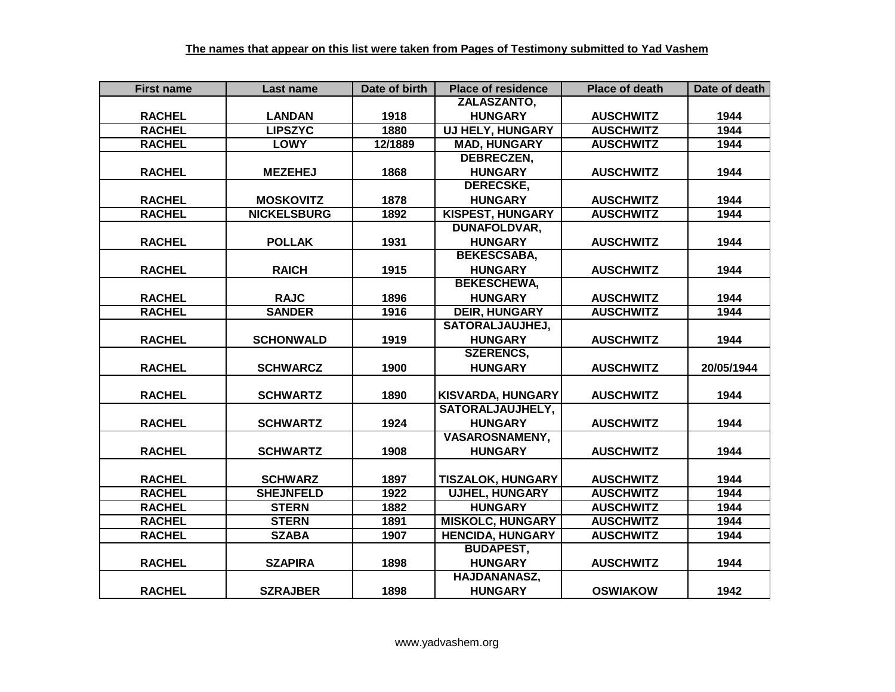| <b>First name</b> | Last name          | Date of birth | <b>Place of residence</b> | <b>Place of death</b> | Date of death |
|-------------------|--------------------|---------------|---------------------------|-----------------------|---------------|
|                   |                    |               | ZALASZANTO,               |                       |               |
| <b>RACHEL</b>     | <b>LANDAN</b>      | 1918          | <b>HUNGARY</b>            | <b>AUSCHWITZ</b>      | 1944          |
| <b>RACHEL</b>     | <b>LIPSZYC</b>     | 1880          | <b>UJ HELY, HUNGARY</b>   | <b>AUSCHWITZ</b>      | 1944          |
| <b>RACHEL</b>     | <b>LOWY</b>        | 12/1889       | <b>MAD, HUNGARY</b>       | <b>AUSCHWITZ</b>      | 1944          |
|                   |                    |               | <b>DEBRECZEN,</b>         |                       |               |
| <b>RACHEL</b>     | <b>MEZEHEJ</b>     | 1868          | <b>HUNGARY</b>            | <b>AUSCHWITZ</b>      | 1944          |
|                   |                    |               | <b>DERECSKE,</b>          |                       |               |
| <b>RACHEL</b>     | <b>MOSKOVITZ</b>   | 1878          | <b>HUNGARY</b>            | <b>AUSCHWITZ</b>      | 1944          |
| <b>RACHEL</b>     | <b>NICKELSBURG</b> | 1892          | <b>KISPEST, HUNGARY</b>   | <b>AUSCHWITZ</b>      | 1944          |
|                   |                    |               | DUNAFOLDVAR,              |                       |               |
| <b>RACHEL</b>     | <b>POLLAK</b>      | 1931          | <b>HUNGARY</b>            | <b>AUSCHWITZ</b>      | 1944          |
|                   |                    |               | <b>BEKESCSABA,</b>        |                       |               |
| <b>RACHEL</b>     | <b>RAICH</b>       | 1915          | <b>HUNGARY</b>            | <b>AUSCHWITZ</b>      | 1944          |
|                   |                    |               | <b>BEKESCHEWA,</b>        |                       |               |
| <b>RACHEL</b>     | <b>RAJC</b>        | 1896          | <b>HUNGARY</b>            | <b>AUSCHWITZ</b>      | 1944          |
| <b>RACHEL</b>     | <b>SANDER</b>      | 1916          | <b>DEIR, HUNGARY</b>      | <b>AUSCHWITZ</b>      | 1944          |
|                   |                    |               | <b>SATORALJAUJHEJ,</b>    |                       |               |
| <b>RACHEL</b>     | <b>SCHONWALD</b>   | 1919          | <b>HUNGARY</b>            | <b>AUSCHWITZ</b>      | 1944          |
|                   |                    |               | <b>SZERENCS,</b>          |                       |               |
| <b>RACHEL</b>     | <b>SCHWARCZ</b>    | 1900          | <b>HUNGARY</b>            | <b>AUSCHWITZ</b>      | 20/05/1944    |
|                   |                    |               |                           |                       |               |
| <b>RACHEL</b>     | <b>SCHWARTZ</b>    | 1890          | KISVARDA, HUNGARY         | <b>AUSCHWITZ</b>      | 1944          |
|                   |                    |               | <b>SATORALJAUJHELY,</b>   |                       |               |
| <b>RACHEL</b>     | <b>SCHWARTZ</b>    | 1924          | <b>HUNGARY</b>            | <b>AUSCHWITZ</b>      | 1944          |
|                   |                    |               | <b>VASAROSNAMENY,</b>     |                       |               |
| <b>RACHEL</b>     | <b>SCHWARTZ</b>    | 1908          | <b>HUNGARY</b>            | <b>AUSCHWITZ</b>      | 1944          |
|                   |                    |               |                           |                       |               |
| <b>RACHEL</b>     | <b>SCHWARZ</b>     | 1897          | <b>TISZALOK, HUNGARY</b>  | <b>AUSCHWITZ</b>      | 1944          |
| <b>RACHEL</b>     | <b>SHEJNFELD</b>   | 1922          | <b>UJHEL, HUNGARY</b>     | <b>AUSCHWITZ</b>      | 1944          |
| <b>RACHEL</b>     | <b>STERN</b>       | 1882          | <b>HUNGARY</b>            | <b>AUSCHWITZ</b>      | 1944          |
| <b>RACHEL</b>     | <b>STERN</b>       | 1891          | <b>MISKOLC, HUNGARY</b>   | <b>AUSCHWITZ</b>      | 1944          |
| <b>RACHEL</b>     | <b>SZABA</b>       | 1907          | <b>HENCIDA, HUNGARY</b>   | <b>AUSCHWITZ</b>      | 1944          |
|                   |                    |               | <b>BUDAPEST,</b>          |                       |               |
| <b>RACHEL</b>     | <b>SZAPIRA</b>     | 1898          | <b>HUNGARY</b>            | <b>AUSCHWITZ</b>      | 1944          |
|                   |                    |               | HAJDANANASZ,              |                       |               |
| <b>RACHEL</b>     | <b>SZRAJBER</b>    | 1898          | <b>HUNGARY</b>            | <b>OSWIAKOW</b>       | 1942          |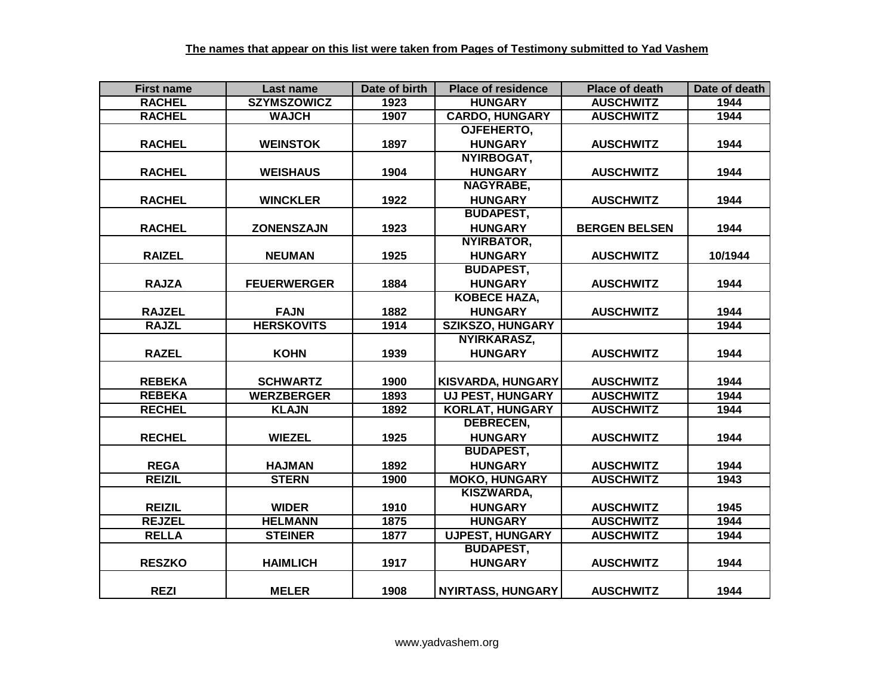| <b>First name</b> | Last name          | Date of birth | <b>Place of residence</b> | <b>Place of death</b> | Date of death |
|-------------------|--------------------|---------------|---------------------------|-----------------------|---------------|
| <b>RACHEL</b>     | <b>SZYMSZOWICZ</b> | 1923          | <b>HUNGARY</b>            | <b>AUSCHWITZ</b>      | 1944          |
| <b>RACHEL</b>     | <b>WAJCH</b>       | 1907          | <b>CARDO, HUNGARY</b>     | <b>AUSCHWITZ</b>      | 1944          |
|                   |                    |               | OJFEHERTO,                |                       |               |
| <b>RACHEL</b>     | <b>WEINSTOK</b>    | 1897          | <b>HUNGARY</b>            | <b>AUSCHWITZ</b>      | 1944          |
|                   |                    |               | NYIRBOGAT,                |                       |               |
| <b>RACHEL</b>     | <b>WEISHAUS</b>    | 1904          | <b>HUNGARY</b>            | <b>AUSCHWITZ</b>      | 1944          |
|                   |                    |               | <b>NAGYRABE,</b>          |                       |               |
| <b>RACHEL</b>     | <b>WINCKLER</b>    | 1922          | <b>HUNGARY</b>            | <b>AUSCHWITZ</b>      | 1944          |
|                   |                    |               | <b>BUDAPEST,</b>          |                       |               |
| <b>RACHEL</b>     | <b>ZONENSZAJN</b>  | 1923          | <b>HUNGARY</b>            | <b>BERGEN BELSEN</b>  | 1944          |
|                   |                    |               | <b>NYIRBATOR,</b>         |                       |               |
| <b>RAIZEL</b>     | <b>NEUMAN</b>      | 1925          | <b>HUNGARY</b>            | <b>AUSCHWITZ</b>      | 10/1944       |
|                   |                    |               | <b>BUDAPEST,</b>          |                       |               |
| <b>RAJZA</b>      | <b>FEUERWERGER</b> | 1884          | <b>HUNGARY</b>            | <b>AUSCHWITZ</b>      | 1944          |
|                   |                    |               | <b>KOBECE HAZA,</b>       |                       |               |
| <b>RAJZEL</b>     | <b>FAJN</b>        | 1882          | <b>HUNGARY</b>            | <b>AUSCHWITZ</b>      | 1944          |
| <b>RAJZL</b>      | <b>HERSKOVITS</b>  | 1914          | <b>SZIKSZO, HUNGARY</b>   |                       | 1944          |
|                   |                    |               | NYIRKARASZ,               |                       |               |
| <b>RAZEL</b>      | <b>KOHN</b>        | 1939          | <b>HUNGARY</b>            | <b>AUSCHWITZ</b>      | 1944          |
|                   |                    |               |                           |                       |               |
| <b>REBEKA</b>     | <b>SCHWARTZ</b>    | 1900          | KISVARDA, HUNGARY         | <b>AUSCHWITZ</b>      | 1944          |
| <b>REBEKA</b>     | <b>WERZBERGER</b>  | 1893          | <b>UJ PEST, HUNGARY</b>   | <b>AUSCHWITZ</b>      | 1944          |
| <b>RECHEL</b>     | <b>KLAJN</b>       | 1892          | <b>KORLAT, HUNGARY</b>    | <b>AUSCHWITZ</b>      | 1944          |
|                   |                    |               | <b>DEBRECEN,</b>          |                       |               |
| <b>RECHEL</b>     | <b>WIEZEL</b>      | 1925          | <b>HUNGARY</b>            | <b>AUSCHWITZ</b>      | 1944          |
|                   |                    |               | <b>BUDAPEST,</b>          |                       |               |
| <b>REGA</b>       | <b>HAJMAN</b>      | 1892          | <b>HUNGARY</b>            | <b>AUSCHWITZ</b>      | 1944          |
| <b>REIZIL</b>     | <b>STERN</b>       | 1900          | <b>MOKO, HUNGARY</b>      | <b>AUSCHWITZ</b>      | 1943          |
|                   |                    |               | <b>KISZWARDA,</b>         |                       |               |
| <b>REIZIL</b>     | <b>WIDER</b>       | 1910          | <b>HUNGARY</b>            | <b>AUSCHWITZ</b>      | 1945          |
| <b>REJZEL</b>     | <b>HELMANN</b>     | 1875          | <b>HUNGARY</b>            | <b>AUSCHWITZ</b>      | 1944          |
| <b>RELLA</b>      | <b>STEINER</b>     | 1877          | <b>UJPEST, HUNGARY</b>    | <b>AUSCHWITZ</b>      | 1944          |
|                   |                    |               | <b>BUDAPEST,</b>          |                       |               |
| <b>RESZKO</b>     | <b>HAIMLICH</b>    | 1917          | <b>HUNGARY</b>            | <b>AUSCHWITZ</b>      | 1944          |
|                   |                    |               |                           |                       |               |
| <b>REZI</b>       | <b>MELER</b>       | 1908          | NYIRTASS, HUNGARY         | <b>AUSCHWITZ</b>      | 1944          |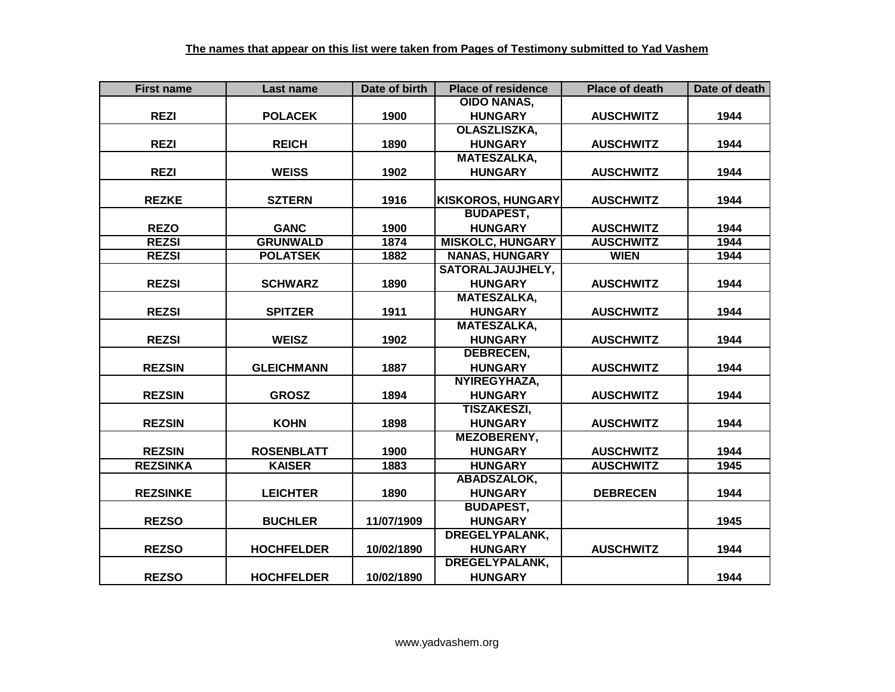| <b>First name</b> | Last name         | Date of birth | <b>Place of residence</b> | <b>Place of death</b> | Date of death |
|-------------------|-------------------|---------------|---------------------------|-----------------------|---------------|
|                   |                   |               | <b>OIDO NANAS,</b>        |                       |               |
| <b>REZI</b>       | <b>POLACEK</b>    | 1900          | <b>HUNGARY</b>            | <b>AUSCHWITZ</b>      | 1944          |
|                   |                   |               | <b>OLASZLISZKA,</b>       |                       |               |
| <b>REZI</b>       | <b>REICH</b>      | 1890          | <b>HUNGARY</b>            | <b>AUSCHWITZ</b>      | 1944          |
|                   |                   |               | <b>MATESZALKA,</b>        |                       |               |
| <b>REZI</b>       | <b>WEISS</b>      | 1902          | <b>HUNGARY</b>            | <b>AUSCHWITZ</b>      | 1944          |
|                   |                   |               |                           |                       |               |
| <b>REZKE</b>      | <b>SZTERN</b>     | 1916          | <b>KISKOROS, HUNGARY</b>  | <b>AUSCHWITZ</b>      | 1944          |
|                   |                   |               | <b>BUDAPEST,</b>          |                       |               |
| <b>REZO</b>       | <b>GANC</b>       | 1900          | <b>HUNGARY</b>            | <b>AUSCHWITZ</b>      | 1944          |
| <b>REZSI</b>      | <b>GRUNWALD</b>   | 1874          | <b>MISKOLC, HUNGARY</b>   | <b>AUSCHWITZ</b>      | 1944          |
| <b>REZSI</b>      | <b>POLATSEK</b>   | 1882          | <b>NANAS, HUNGARY</b>     | <b>WIEN</b>           | 1944          |
|                   |                   |               | SATORALJAUJHELY,          |                       |               |
| <b>REZSI</b>      | <b>SCHWARZ</b>    | 1890          | <b>HUNGARY</b>            | <b>AUSCHWITZ</b>      | 1944          |
|                   |                   |               | <b>MATESZALKA,</b>        |                       |               |
| <b>REZSI</b>      | <b>SPITZER</b>    | 1911          | <b>HUNGARY</b>            | <b>AUSCHWITZ</b>      | 1944          |
|                   |                   |               | <b>MATESZALKA,</b>        |                       |               |
| <b>REZSI</b>      | <b>WEISZ</b>      | 1902          | <b>HUNGARY</b>            | <b>AUSCHWITZ</b>      | 1944          |
|                   |                   |               | <b>DEBRECEN,</b>          |                       |               |
| <b>REZSIN</b>     | <b>GLEICHMANN</b> | 1887          | <b>HUNGARY</b>            | <b>AUSCHWITZ</b>      | 1944          |
|                   |                   |               | NYIREGYHAZA,              |                       |               |
| <b>REZSIN</b>     | <b>GROSZ</b>      | 1894          | <b>HUNGARY</b>            | <b>AUSCHWITZ</b>      | 1944          |
|                   |                   |               | <b>TISZAKESZI,</b>        |                       |               |
| <b>REZSIN</b>     | <b>KOHN</b>       | 1898          | <b>HUNGARY</b>            | <b>AUSCHWITZ</b>      | 1944          |
|                   |                   |               | <b>MEZOBERENY,</b>        |                       |               |
| <b>REZSIN</b>     | <b>ROSENBLATT</b> | 1900          | <b>HUNGARY</b>            | <b>AUSCHWITZ</b>      | 1944          |
| <b>REZSINKA</b>   | <b>KAISER</b>     | 1883          | <b>HUNGARY</b>            | <b>AUSCHWITZ</b>      | 1945          |
|                   |                   |               | ABADSZALOK,               |                       |               |
| <b>REZSINKE</b>   | <b>LEICHTER</b>   | 1890          | <b>HUNGARY</b>            | <b>DEBRECEN</b>       | 1944          |
|                   |                   |               | <b>BUDAPEST,</b>          |                       |               |
| <b>REZSO</b>      | <b>BUCHLER</b>    | 11/07/1909    | <b>HUNGARY</b>            |                       | 1945          |
|                   |                   |               | DREGELYPALANK,            |                       |               |
| <b>REZSO</b>      | <b>HOCHFELDER</b> | 10/02/1890    | <b>HUNGARY</b>            | <b>AUSCHWITZ</b>      | 1944          |
|                   |                   |               | DREGELYPALANK,            |                       |               |
| <b>REZSO</b>      | <b>HOCHFELDER</b> | 10/02/1890    | <b>HUNGARY</b>            |                       | 1944          |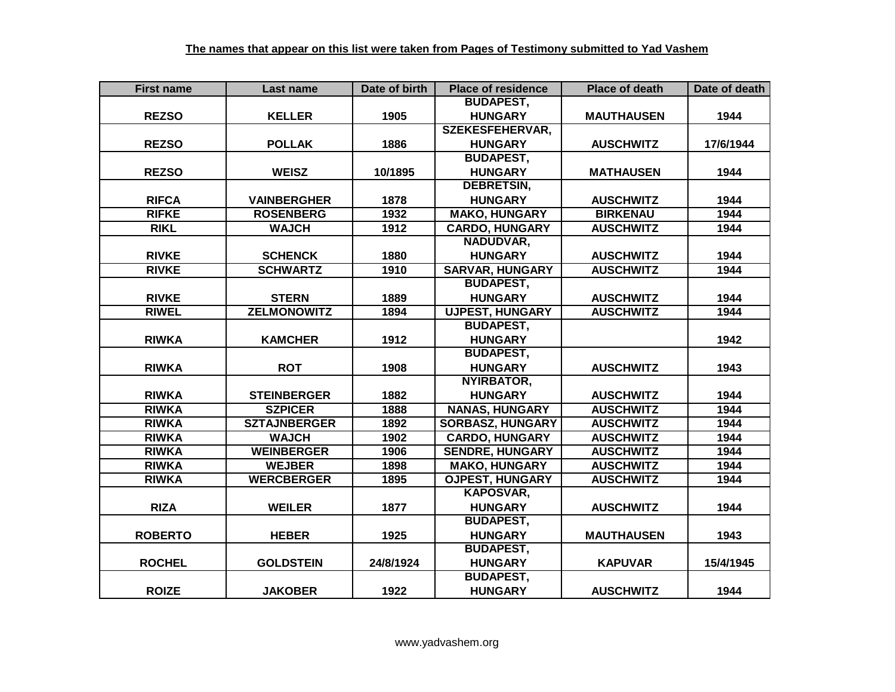| <b>First name</b> | Last name           | Date of birth | <b>Place of residence</b> | <b>Place of death</b> | Date of death |
|-------------------|---------------------|---------------|---------------------------|-----------------------|---------------|
|                   |                     |               | <b>BUDAPEST,</b>          |                       |               |
| <b>REZSO</b>      | <b>KELLER</b>       | 1905          | <b>HUNGARY</b>            | <b>MAUTHAUSEN</b>     | 1944          |
|                   |                     |               | <b>SZEKESFEHERVAR,</b>    |                       |               |
| <b>REZSO</b>      | <b>POLLAK</b>       | 1886          | <b>HUNGARY</b>            | <b>AUSCHWITZ</b>      | 17/6/1944     |
|                   |                     |               | <b>BUDAPEST,</b>          |                       |               |
| <b>REZSO</b>      | <b>WEISZ</b>        | 10/1895       | <b>HUNGARY</b>            | <b>MATHAUSEN</b>      | 1944          |
|                   |                     |               | <b>DEBRETSIN,</b>         |                       |               |
| <b>RIFCA</b>      | <b>VAINBERGHER</b>  | 1878          | <b>HUNGARY</b>            | <b>AUSCHWITZ</b>      | 1944          |
| <b>RIFKE</b>      | <b>ROSENBERG</b>    | 1932          | <b>MAKO, HUNGARY</b>      | <b>BIRKENAU</b>       | 1944          |
| <b>RIKL</b>       | <b>WAJCH</b>        | 1912          | <b>CARDO, HUNGARY</b>     | <b>AUSCHWITZ</b>      | 1944          |
|                   |                     |               | NADUDVAR,                 |                       |               |
| <b>RIVKE</b>      | <b>SCHENCK</b>      | 1880          | <b>HUNGARY</b>            | <b>AUSCHWITZ</b>      | 1944          |
| <b>RIVKE</b>      | <b>SCHWARTZ</b>     | 1910          | <b>SARVAR, HUNGARY</b>    | <b>AUSCHWITZ</b>      | 1944          |
|                   |                     |               | <b>BUDAPEST,</b>          |                       |               |
| <b>RIVKE</b>      | <b>STERN</b>        | 1889          | <b>HUNGARY</b>            | <b>AUSCHWITZ</b>      | 1944          |
| <b>RIWEL</b>      | <b>ZELMONOWITZ</b>  | 1894          | <b>UJPEST, HUNGARY</b>    | <b>AUSCHWITZ</b>      | 1944          |
|                   |                     |               | <b>BUDAPEST,</b>          |                       |               |
| <b>RIWKA</b>      | <b>KAMCHER</b>      | 1912          | <b>HUNGARY</b>            |                       | 1942          |
|                   |                     |               | <b>BUDAPEST,</b>          |                       |               |
| <b>RIWKA</b>      | <b>ROT</b>          | 1908          | <b>HUNGARY</b>            | <b>AUSCHWITZ</b>      | 1943          |
|                   |                     |               | <b>NYIRBATOR,</b>         |                       |               |
| <b>RIWKA</b>      | <b>STEINBERGER</b>  | 1882          | <b>HUNGARY</b>            | <b>AUSCHWITZ</b>      | 1944          |
| <b>RIWKA</b>      | <b>SZPICER</b>      | 1888          | <b>NANAS, HUNGARY</b>     | <b>AUSCHWITZ</b>      | 1944          |
| <b>RIWKA</b>      | <b>SZTAJNBERGER</b> | 1892          | <b>SORBASZ, HUNGARY</b>   | <b>AUSCHWITZ</b>      | 1944          |
| <b>RIWKA</b>      | <b>WAJCH</b>        | 1902          | <b>CARDO, HUNGARY</b>     | <b>AUSCHWITZ</b>      | 1944          |
| <b>RIWKA</b>      | <b>WEINBERGER</b>   | 1906          | <b>SENDRE, HUNGARY</b>    | <b>AUSCHWITZ</b>      | 1944          |
| <b>RIWKA</b>      | <b>WEJBER</b>       | 1898          | <b>MAKO, HUNGARY</b>      | <b>AUSCHWITZ</b>      | 1944          |
| <b>RIWKA</b>      | <b>WERCBERGER</b>   | 1895          | <b>OJPEST, HUNGARY</b>    | <b>AUSCHWITZ</b>      | 1944          |
|                   |                     |               | <b>KAPOSVAR,</b>          |                       |               |
| <b>RIZA</b>       | <b>WEILER</b>       | 1877          | <b>HUNGARY</b>            | <b>AUSCHWITZ</b>      | 1944          |
|                   |                     |               | <b>BUDAPEST,</b>          |                       |               |
| <b>ROBERTO</b>    | <b>HEBER</b>        | 1925          | <b>HUNGARY</b>            | <b>MAUTHAUSEN</b>     | 1943          |
|                   |                     |               | <b>BUDAPEST,</b>          |                       |               |
| <b>ROCHEL</b>     | <b>GOLDSTEIN</b>    | 24/8/1924     | <b>HUNGARY</b>            | <b>KAPUVAR</b>        | 15/4/1945     |
|                   |                     |               | <b>BUDAPEST,</b>          |                       |               |
| <b>ROIZE</b>      | <b>JAKOBER</b>      | 1922          | <b>HUNGARY</b>            | <b>AUSCHWITZ</b>      | 1944          |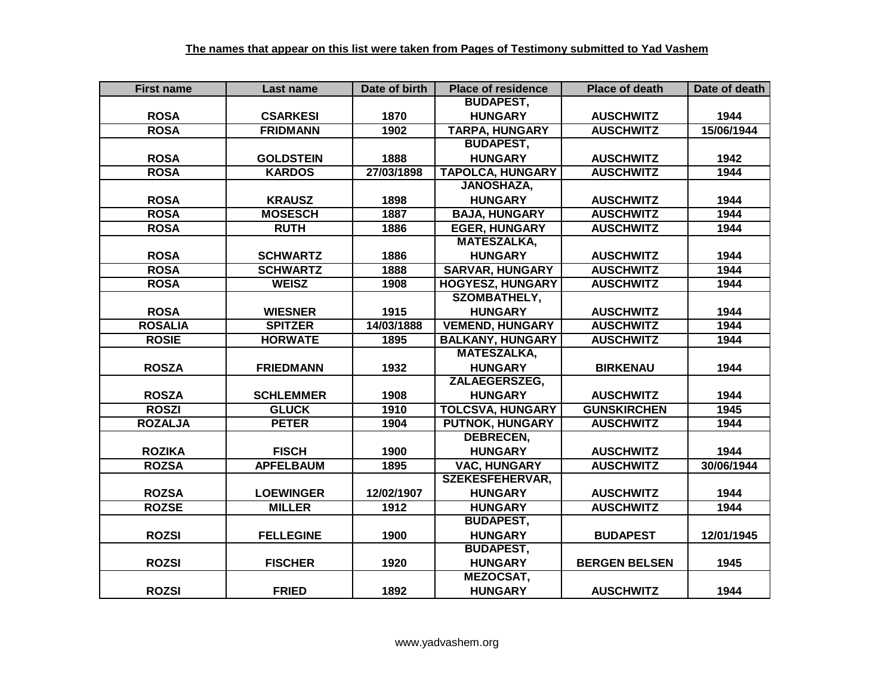| <b>First name</b> | Last name        | Date of birth | <b>Place of residence</b> | <b>Place of death</b> | Date of death |
|-------------------|------------------|---------------|---------------------------|-----------------------|---------------|
|                   |                  |               | <b>BUDAPEST,</b>          |                       |               |
| <b>ROSA</b>       | <b>CSARKESI</b>  | 1870          | <b>HUNGARY</b>            | <b>AUSCHWITZ</b>      | 1944          |
| <b>ROSA</b>       | <b>FRIDMANN</b>  | 1902          | <b>TARPA, HUNGARY</b>     | <b>AUSCHWITZ</b>      | 15/06/1944    |
|                   |                  |               | <b>BUDAPEST,</b>          |                       |               |
| <b>ROSA</b>       | <b>GOLDSTEIN</b> | 1888          | <b>HUNGARY</b>            | <b>AUSCHWITZ</b>      | 1942          |
| <b>ROSA</b>       | <b>KARDOS</b>    | 27/03/1898    | <b>TAPOLCA, HUNGARY</b>   | <b>AUSCHWITZ</b>      | 1944          |
|                   |                  |               | <b>JANOSHAZA,</b>         |                       |               |
| <b>ROSA</b>       | <b>KRAUSZ</b>    | 1898          | <b>HUNGARY</b>            | <b>AUSCHWITZ</b>      | 1944          |
| <b>ROSA</b>       | <b>MOSESCH</b>   | 1887          | <b>BAJA, HUNGARY</b>      | <b>AUSCHWITZ</b>      | 1944          |
| <b>ROSA</b>       | <b>RUTH</b>      | 1886          | <b>EGER, HUNGARY</b>      | <b>AUSCHWITZ</b>      | 1944          |
|                   |                  |               | <b>MATESZALKA,</b>        |                       |               |
| <b>ROSA</b>       | <b>SCHWARTZ</b>  | 1886          | <b>HUNGARY</b>            | <b>AUSCHWITZ</b>      | 1944          |
| <b>ROSA</b>       | <b>SCHWARTZ</b>  | 1888          | <b>SARVAR, HUNGARY</b>    | <b>AUSCHWITZ</b>      | 1944          |
| <b>ROSA</b>       | <b>WEISZ</b>     | 1908          | <b>HOGYESZ, HUNGARY</b>   | <b>AUSCHWITZ</b>      | 1944          |
|                   |                  |               | <b>SZOMBATHELY,</b>       |                       |               |
| <b>ROSA</b>       | <b>WIESNER</b>   | 1915          | <b>HUNGARY</b>            | <b>AUSCHWITZ</b>      | 1944          |
| <b>ROSALIA</b>    | <b>SPITZER</b>   | 14/03/1888    | <b>VEMEND, HUNGARY</b>    | <b>AUSCHWITZ</b>      | 1944          |
| <b>ROSIE</b>      | <b>HORWATE</b>   | 1895          | <b>BALKANY, HUNGARY</b>   | <b>AUSCHWITZ</b>      | 1944          |
|                   |                  |               | <b>MATESZALKA,</b>        |                       |               |
| <b>ROSZA</b>      | <b>FRIEDMANN</b> | 1932          | <b>HUNGARY</b>            | <b>BIRKENAU</b>       | 1944          |
|                   |                  |               | <b>ZALAEGERSZEG,</b>      |                       |               |
| <b>ROSZA</b>      | <b>SCHLEMMER</b> | 1908          | <b>HUNGARY</b>            | <b>AUSCHWITZ</b>      | 1944          |
| <b>ROSZI</b>      | <b>GLUCK</b>     | 1910          | <b>TOLCSVA, HUNGARY</b>   | <b>GUNSKIRCHEN</b>    | 1945          |
| <b>ROZALJA</b>    | <b>PETER</b>     | 1904          | <b>PUTNOK, HUNGARY</b>    | <b>AUSCHWITZ</b>      | 1944          |
|                   |                  |               | <b>DEBRECEN,</b>          |                       |               |
| <b>ROZIKA</b>     | <b>FISCH</b>     | 1900          | <b>HUNGARY</b>            | <b>AUSCHWITZ</b>      | 1944          |
| <b>ROZSA</b>      | <b>APFELBAUM</b> | 1895          | <b>VAC, HUNGARY</b>       | <b>AUSCHWITZ</b>      | 30/06/1944    |
|                   |                  |               | <b>SZEKESFEHERVAR,</b>    |                       |               |
| <b>ROZSA</b>      | <b>LOEWINGER</b> | 12/02/1907    | <b>HUNGARY</b>            | <b>AUSCHWITZ</b>      | 1944          |
| <b>ROZSE</b>      | <b>MILLER</b>    | 1912          | <b>HUNGARY</b>            | <b>AUSCHWITZ</b>      | 1944          |
|                   |                  |               | <b>BUDAPEST,</b>          |                       |               |
| <b>ROZSI</b>      | <b>FELLEGINE</b> | 1900          | <b>HUNGARY</b>            | <b>BUDAPEST</b>       | 12/01/1945    |
|                   |                  |               | <b>BUDAPEST,</b>          |                       |               |
| <b>ROZSI</b>      | <b>FISCHER</b>   | 1920          | <b>HUNGARY</b>            | <b>BERGEN BELSEN</b>  | 1945          |
|                   |                  |               | MEZOCSAT,                 |                       |               |
| <b>ROZSI</b>      | <b>FRIED</b>     | 1892          | <b>HUNGARY</b>            | <b>AUSCHWITZ</b>      | 1944          |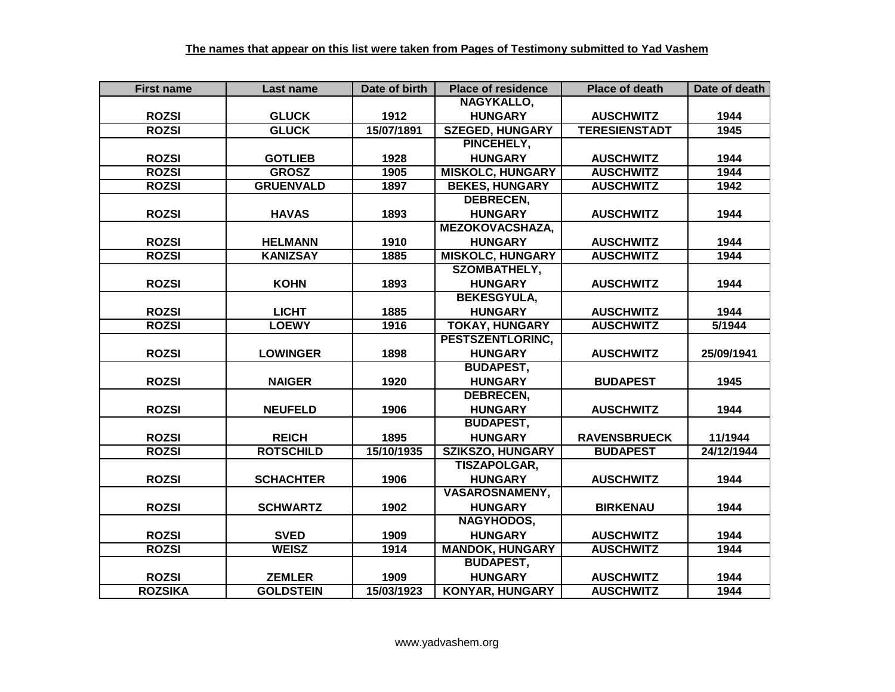| <b>First name</b> | Last name        | Date of birth | <b>Place of residence</b> | <b>Place of death</b> | Date of death |
|-------------------|------------------|---------------|---------------------------|-----------------------|---------------|
|                   |                  |               | NAGYKALLO,                |                       |               |
| <b>ROZSI</b>      | <b>GLUCK</b>     | 1912          | <b>HUNGARY</b>            | <b>AUSCHWITZ</b>      | 1944          |
| <b>ROZSI</b>      | <b>GLUCK</b>     | 15/07/1891    | <b>SZEGED, HUNGARY</b>    | <b>TERESIENSTADT</b>  | 1945          |
|                   |                  |               | PINCEHELY,                |                       |               |
| <b>ROZSI</b>      | <b>GOTLIEB</b>   | 1928          | <b>HUNGARY</b>            | <b>AUSCHWITZ</b>      | 1944          |
| <b>ROZSI</b>      | <b>GROSZ</b>     | 1905          | <b>MISKOLC, HUNGARY</b>   | <b>AUSCHWITZ</b>      | 1944          |
| <b>ROZSI</b>      | <b>GRUENVALD</b> | 1897          | <b>BEKES, HUNGARY</b>     | <b>AUSCHWITZ</b>      | 1942          |
|                   |                  |               | <b>DEBRECEN,</b>          |                       |               |
| <b>ROZSI</b>      | <b>HAVAS</b>     | 1893          | <b>HUNGARY</b>            | <b>AUSCHWITZ</b>      | 1944          |
|                   |                  |               | MEZOKOVACSHAZA,           |                       |               |
| <b>ROZSI</b>      | <b>HELMANN</b>   | 1910          | <b>HUNGARY</b>            | <b>AUSCHWITZ</b>      | 1944          |
| <b>ROZSI</b>      | <b>KANIZSAY</b>  | 1885          | <b>MISKOLC, HUNGARY</b>   | <b>AUSCHWITZ</b>      | 1944          |
|                   |                  |               | <b>SZOMBATHELY,</b>       |                       |               |
| <b>ROZSI</b>      | <b>KOHN</b>      | 1893          | <b>HUNGARY</b>            | <b>AUSCHWITZ</b>      | 1944          |
|                   |                  |               | <b>BEKESGYULA,</b>        |                       |               |
| <b>ROZSI</b>      | <b>LICHT</b>     | 1885          | <b>HUNGARY</b>            | <b>AUSCHWITZ</b>      | 1944          |
| <b>ROZSI</b>      | <b>LOEWY</b>     | 1916          | <b>TOKAY, HUNGARY</b>     | <b>AUSCHWITZ</b>      | 5/1944        |
|                   |                  |               | PESTSZENTLORINC,          |                       |               |
| <b>ROZSI</b>      | <b>LOWINGER</b>  | 1898          | <b>HUNGARY</b>            | <b>AUSCHWITZ</b>      | 25/09/1941    |
|                   |                  |               | <b>BUDAPEST,</b>          |                       |               |
| <b>ROZSI</b>      | <b>NAIGER</b>    | 1920          | <b>HUNGARY</b>            | <b>BUDAPEST</b>       | 1945          |
|                   |                  |               | <b>DEBRECEN,</b>          |                       |               |
| <b>ROZSI</b>      | <b>NEUFELD</b>   | 1906          | <b>HUNGARY</b>            | <b>AUSCHWITZ</b>      | 1944          |
|                   |                  |               | <b>BUDAPEST,</b>          |                       |               |
| <b>ROZSI</b>      | <b>REICH</b>     | 1895          | <b>HUNGARY</b>            | <b>RAVENSBRUECK</b>   | 11/1944       |
| <b>ROZSI</b>      | <b>ROTSCHILD</b> | 15/10/1935    | <b>SZIKSZO, HUNGARY</b>   | <b>BUDAPEST</b>       | 24/12/1944    |
|                   |                  |               | TISZAPOLGAR,              |                       |               |
| <b>ROZSI</b>      | <b>SCHACHTER</b> | 1906          | <b>HUNGARY</b>            | <b>AUSCHWITZ</b>      | 1944          |
|                   |                  |               | <b>VASAROSNAMENY,</b>     |                       |               |
| <b>ROZSI</b>      | <b>SCHWARTZ</b>  | 1902          | <b>HUNGARY</b>            | <b>BIRKENAU</b>       | 1944          |
|                   |                  |               | NAGYHODOS,                |                       |               |
| <b>ROZSI</b>      | <b>SVED</b>      | 1909          | <b>HUNGARY</b>            | <b>AUSCHWITZ</b>      | 1944          |
| <b>ROZSI</b>      | <b>WEISZ</b>     | 1914          | <b>MANDOK, HUNGARY</b>    | <b>AUSCHWITZ</b>      | 1944          |
|                   |                  |               | <b>BUDAPEST,</b>          |                       |               |
| <b>ROZSI</b>      | <b>ZEMLER</b>    | 1909          | <b>HUNGARY</b>            | <b>AUSCHWITZ</b>      | 1944          |
| <b>ROZSIKA</b>    | <b>GOLDSTEIN</b> | 15/03/1923    | <b>KONYAR, HUNGARY</b>    | <b>AUSCHWITZ</b>      | 1944          |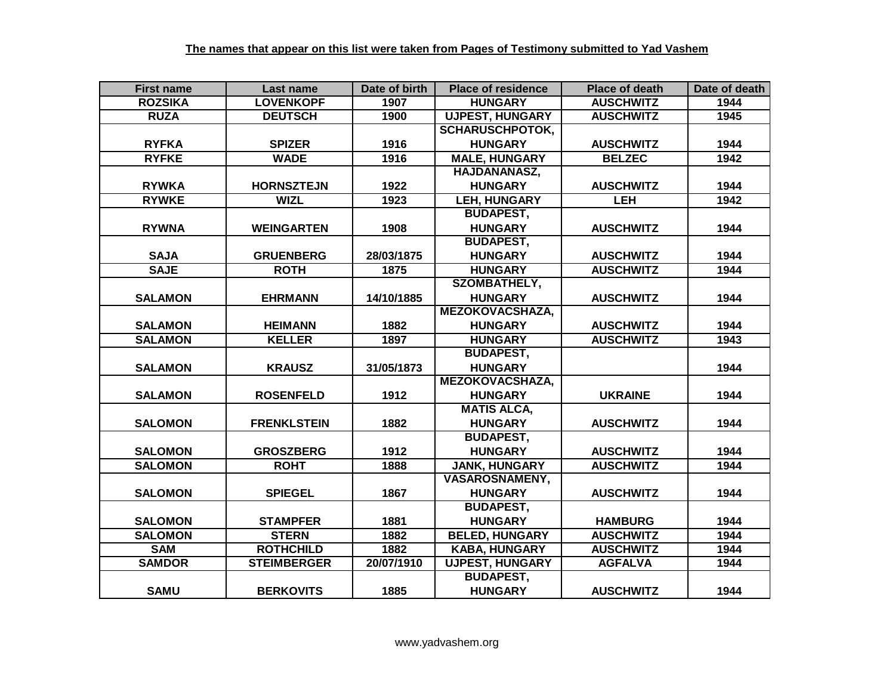| <b>First name</b> | Last name          | Date of birth | <b>Place of residence</b> | <b>Place of death</b> | Date of death |
|-------------------|--------------------|---------------|---------------------------|-----------------------|---------------|
| <b>ROZSIKA</b>    | <b>LOVENKOPF</b>   | 1907          | <b>HUNGARY</b>            | <b>AUSCHWITZ</b>      | 1944          |
| <b>RUZA</b>       | <b>DEUTSCH</b>     | 1900          | <b>UJPEST, HUNGARY</b>    | <b>AUSCHWITZ</b>      | 1945          |
|                   |                    |               | <b>SCHARUSCHPOTOK,</b>    |                       |               |
| <b>RYFKA</b>      | <b>SPIZER</b>      | 1916          | <b>HUNGARY</b>            | <b>AUSCHWITZ</b>      | 1944          |
| <b>RYFKE</b>      | <b>WADE</b>        | 1916          | <b>MALE, HUNGARY</b>      | <b>BELZEC</b>         | 1942          |
|                   |                    |               | HAJDANANASZ,              |                       |               |
| <b>RYWKA</b>      | <b>HORNSZTEJN</b>  | 1922          | <b>HUNGARY</b>            | <b>AUSCHWITZ</b>      | 1944          |
| <b>RYWKE</b>      | <b>WIZL</b>        | 1923          | <b>LEH, HUNGARY</b>       | <b>LEH</b>            | 1942          |
|                   |                    |               | <b>BUDAPEST,</b>          |                       |               |
| <b>RYWNA</b>      | <b>WEINGARTEN</b>  | 1908          | <b>HUNGARY</b>            | <b>AUSCHWITZ</b>      | 1944          |
|                   |                    |               | <b>BUDAPEST,</b>          |                       |               |
| <b>SAJA</b>       | <b>GRUENBERG</b>   | 28/03/1875    | <b>HUNGARY</b>            | <b>AUSCHWITZ</b>      | 1944          |
| <b>SAJE</b>       | <b>ROTH</b>        | 1875          | <b>HUNGARY</b>            | <b>AUSCHWITZ</b>      | 1944          |
|                   |                    |               | <b>SZOMBATHELY,</b>       |                       |               |
| <b>SALAMON</b>    | <b>EHRMANN</b>     | 14/10/1885    | <b>HUNGARY</b>            | <b>AUSCHWITZ</b>      | 1944          |
|                   |                    |               | <b>MEZOKOVACSHAZA,</b>    |                       |               |
| <b>SALAMON</b>    | <b>HEIMANN</b>     | 1882          | <b>HUNGARY</b>            | <b>AUSCHWITZ</b>      | 1944          |
| <b>SALAMON</b>    | <b>KELLER</b>      | 1897          | <b>HUNGARY</b>            | <b>AUSCHWITZ</b>      | 1943          |
|                   |                    |               | <b>BUDAPEST,</b>          |                       |               |
| <b>SALAMON</b>    | <b>KRAUSZ</b>      | 31/05/1873    | <b>HUNGARY</b>            |                       | 1944          |
|                   |                    |               | <b>MEZOKOVACSHAZA,</b>    |                       |               |
| <b>SALAMON</b>    | <b>ROSENFELD</b>   | 1912          | <b>HUNGARY</b>            | <b>UKRAINE</b>        | 1944          |
|                   |                    |               | <b>MATIS ALCA,</b>        |                       |               |
| <b>SALOMON</b>    | <b>FRENKLSTEIN</b> | 1882          | <b>HUNGARY</b>            | <b>AUSCHWITZ</b>      | 1944          |
|                   |                    |               | <b>BUDAPEST,</b>          |                       |               |
| <b>SALOMON</b>    | <b>GROSZBERG</b>   | 1912          | <b>HUNGARY</b>            | <b>AUSCHWITZ</b>      | 1944          |
| <b>SALOMON</b>    | <b>ROHT</b>        | 1888          | <b>JANK, HUNGARY</b>      | <b>AUSCHWITZ</b>      | 1944          |
|                   |                    |               | <b>VASAROSNAMENY,</b>     |                       |               |
| <b>SALOMON</b>    | <b>SPIEGEL</b>     | 1867          | <b>HUNGARY</b>            | <b>AUSCHWITZ</b>      | 1944          |
|                   |                    |               | <b>BUDAPEST,</b>          |                       |               |
| <b>SALOMON</b>    | <b>STAMPFER</b>    | 1881          | <b>HUNGARY</b>            | <b>HAMBURG</b>        | 1944          |
| <b>SALOMON</b>    | <b>STERN</b>       | 1882          | <b>BELED, HUNGARY</b>     | <b>AUSCHWITZ</b>      | 1944          |
| <b>SAM</b>        | <b>ROTHCHILD</b>   | 1882          | <b>KABA, HUNGARY</b>      | <b>AUSCHWITZ</b>      | 1944          |
| <b>SAMDOR</b>     | <b>STEIMBERGER</b> | 20/07/1910    | <b>UJPEST, HUNGARY</b>    | <b>AGFALVA</b>        | 1944          |
|                   |                    |               | <b>BUDAPEST,</b>          |                       |               |
| <b>SAMU</b>       | <b>BERKOVITS</b>   | 1885          | <b>HUNGARY</b>            | <b>AUSCHWITZ</b>      | 1944          |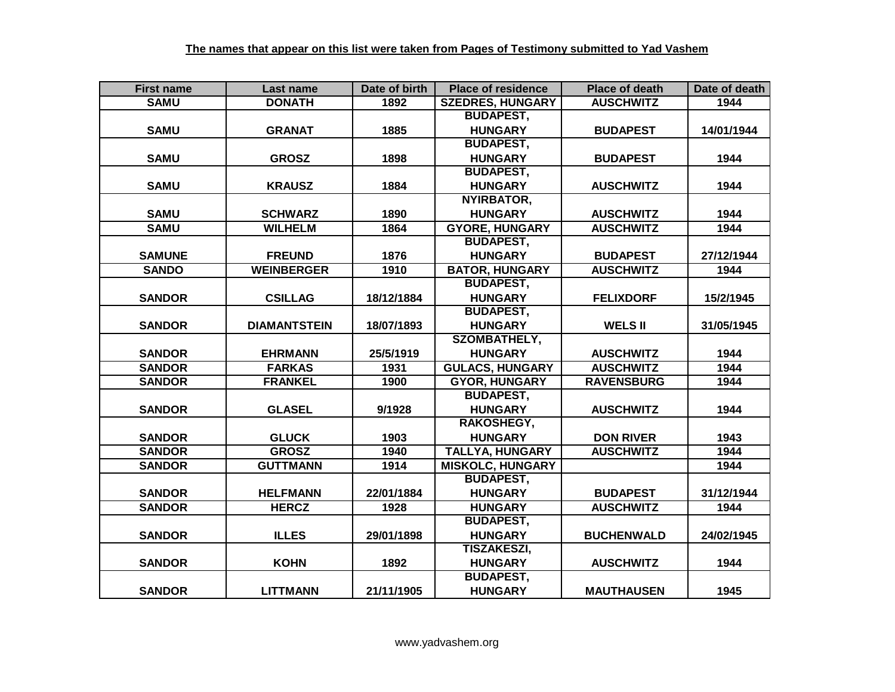| <b>First name</b> | Last name           | Date of birth | <b>Place of residence</b> | <b>Place of death</b> | Date of death |
|-------------------|---------------------|---------------|---------------------------|-----------------------|---------------|
| <b>SAMU</b>       | <b>DONATH</b>       | 1892          | <b>SZEDRES, HUNGARY</b>   | <b>AUSCHWITZ</b>      | 1944          |
|                   |                     |               | <b>BUDAPEST,</b>          |                       |               |
| <b>SAMU</b>       | <b>GRANAT</b>       | 1885          | <b>HUNGARY</b>            | <b>BUDAPEST</b>       | 14/01/1944    |
|                   |                     |               | <b>BUDAPEST,</b>          |                       |               |
| <b>SAMU</b>       | <b>GROSZ</b>        | 1898          | <b>HUNGARY</b>            | <b>BUDAPEST</b>       | 1944          |
|                   |                     |               | <b>BUDAPEST,</b>          |                       |               |
| <b>SAMU</b>       | <b>KRAUSZ</b>       | 1884          | <b>HUNGARY</b>            | <b>AUSCHWITZ</b>      | 1944          |
|                   |                     |               | NYIRBATOR,                |                       |               |
| <b>SAMU</b>       | <b>SCHWARZ</b>      | 1890          | <b>HUNGARY</b>            | <b>AUSCHWITZ</b>      | 1944          |
| <b>SAMU</b>       | <b>WILHELM</b>      | 1864          | <b>GYORE, HUNGARY</b>     | <b>AUSCHWITZ</b>      | 1944          |
|                   |                     |               | <b>BUDAPEST,</b>          |                       |               |
| <b>SAMUNE</b>     | <b>FREUND</b>       | 1876          | <b>HUNGARY</b>            | <b>BUDAPEST</b>       | 27/12/1944    |
| <b>SANDO</b>      | <b>WEINBERGER</b>   | 1910          | <b>BATOR, HUNGARY</b>     | <b>AUSCHWITZ</b>      | 1944          |
|                   |                     |               | <b>BUDAPEST,</b>          |                       |               |
| <b>SANDOR</b>     | <b>CSILLAG</b>      | 18/12/1884    | <b>HUNGARY</b>            | <b>FELIXDORF</b>      | 15/2/1945     |
|                   |                     |               | <b>BUDAPEST,</b>          |                       |               |
| <b>SANDOR</b>     | <b>DIAMANTSTEIN</b> | 18/07/1893    | <b>HUNGARY</b>            | <b>WELS II</b>        | 31/05/1945    |
|                   |                     |               | <b>SZOMBATHELY,</b>       |                       |               |
| <b>SANDOR</b>     | <b>EHRMANN</b>      | 25/5/1919     | <b>HUNGARY</b>            | <b>AUSCHWITZ</b>      | 1944          |
| <b>SANDOR</b>     | <b>FARKAS</b>       | 1931          | <b>GULACS, HUNGARY</b>    | <b>AUSCHWITZ</b>      | 1944          |
| <b>SANDOR</b>     | <b>FRANKEL</b>      | 1900          | <b>GYOR, HUNGARY</b>      | <b>RAVENSBURG</b>     | 1944          |
|                   |                     |               | <b>BUDAPEST,</b>          |                       |               |
| <b>SANDOR</b>     | <b>GLASEL</b>       | 9/1928        | <b>HUNGARY</b>            | <b>AUSCHWITZ</b>      | 1944          |
|                   |                     |               | RAKOSHEGY,                |                       |               |
| <b>SANDOR</b>     | <b>GLUCK</b>        | 1903          | <b>HUNGARY</b>            | <b>DON RIVER</b>      | 1943          |
| <b>SANDOR</b>     | <b>GROSZ</b>        | 1940          | <b>TALLYA, HUNGARY</b>    | <b>AUSCHWITZ</b>      | 1944          |
| <b>SANDOR</b>     | <b>GUTTMANN</b>     | 1914          | <b>MISKOLC, HUNGARY</b>   |                       | 1944          |
|                   |                     |               | <b>BUDAPEST,</b>          |                       |               |
| <b>SANDOR</b>     | <b>HELFMANN</b>     | 22/01/1884    | <b>HUNGARY</b>            | <b>BUDAPEST</b>       | 31/12/1944    |
| <b>SANDOR</b>     | <b>HERCZ</b>        | 1928          | <b>HUNGARY</b>            | <b>AUSCHWITZ</b>      | 1944          |
|                   |                     |               | <b>BUDAPEST,</b>          |                       |               |
| <b>SANDOR</b>     | <b>ILLES</b>        | 29/01/1898    | <b>HUNGARY</b>            | <b>BUCHENWALD</b>     | 24/02/1945    |
|                   |                     |               | <b>TISZAKESZI,</b>        |                       |               |
| <b>SANDOR</b>     | <b>KOHN</b>         | 1892          | <b>HUNGARY</b>            | <b>AUSCHWITZ</b>      | 1944          |
|                   |                     |               | <b>BUDAPEST,</b>          |                       |               |
| <b>SANDOR</b>     | <b>LITTMANN</b>     | 21/11/1905    | <b>HUNGARY</b>            | <b>MAUTHAUSEN</b>     | 1945          |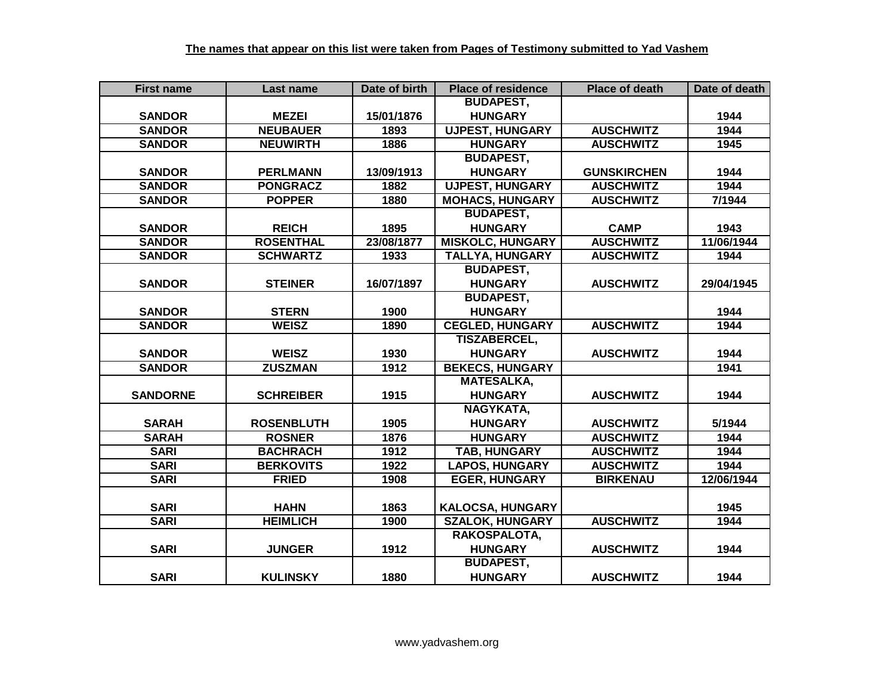| <b>First name</b> | Last name         | Date of birth | <b>Place of residence</b> | <b>Place of death</b> | Date of death |
|-------------------|-------------------|---------------|---------------------------|-----------------------|---------------|
|                   |                   |               | <b>BUDAPEST,</b>          |                       |               |
| <b>SANDOR</b>     | <b>MEZEI</b>      | 15/01/1876    | <b>HUNGARY</b>            |                       | 1944          |
| <b>SANDOR</b>     | <b>NEUBAUER</b>   | 1893          | <b>UJPEST, HUNGARY</b>    | <b>AUSCHWITZ</b>      | 1944          |
| <b>SANDOR</b>     | <b>NEUWIRTH</b>   | 1886          | <b>HUNGARY</b>            | <b>AUSCHWITZ</b>      | 1945          |
|                   |                   |               | <b>BUDAPEST,</b>          |                       |               |
| <b>SANDOR</b>     | <b>PERLMANN</b>   | 13/09/1913    | <b>HUNGARY</b>            | <b>GUNSKIRCHEN</b>    | 1944          |
| <b>SANDOR</b>     | <b>PONGRACZ</b>   | 1882          | <b>UJPEST, HUNGARY</b>    | <b>AUSCHWITZ</b>      | 1944          |
| <b>SANDOR</b>     | <b>POPPER</b>     | 1880          | <b>MOHACS, HUNGARY</b>    | <b>AUSCHWITZ</b>      | 7/1944        |
|                   |                   |               | <b>BUDAPEST,</b>          |                       |               |
| <b>SANDOR</b>     | <b>REICH</b>      | 1895          | <b>HUNGARY</b>            | <b>CAMP</b>           | 1943          |
| <b>SANDOR</b>     | <b>ROSENTHAL</b>  | 23/08/1877    | <b>MISKOLC, HUNGARY</b>   | <b>AUSCHWITZ</b>      | 11/06/1944    |
| <b>SANDOR</b>     | <b>SCHWARTZ</b>   | 1933          | <b>TALLYA, HUNGARY</b>    | <b>AUSCHWITZ</b>      | 1944          |
|                   |                   |               | <b>BUDAPEST,</b>          |                       |               |
| <b>SANDOR</b>     | <b>STEINER</b>    | 16/07/1897    | <b>HUNGARY</b>            | <b>AUSCHWITZ</b>      | 29/04/1945    |
|                   |                   |               | <b>BUDAPEST,</b>          |                       |               |
| <b>SANDOR</b>     | <b>STERN</b>      | 1900          | <b>HUNGARY</b>            |                       | 1944          |
| <b>SANDOR</b>     | <b>WEISZ</b>      | 1890          | <b>CEGLED, HUNGARY</b>    | <b>AUSCHWITZ</b>      | 1944          |
|                   |                   |               | <b>TISZABERCEL,</b>       |                       |               |
| <b>SANDOR</b>     | <b>WEISZ</b>      | 1930          | <b>HUNGARY</b>            | <b>AUSCHWITZ</b>      | 1944          |
| <b>SANDOR</b>     | <b>ZUSZMAN</b>    | 1912          | <b>BEKECS, HUNGARY</b>    |                       | 1941          |
|                   |                   |               | <b>MATESALKA,</b>         |                       |               |
| <b>SANDORNE</b>   | <b>SCHREIBER</b>  | 1915          | <b>HUNGARY</b>            | <b>AUSCHWITZ</b>      | 1944          |
|                   |                   |               | NAGYKATA,                 |                       |               |
| <b>SARAH</b>      | <b>ROSENBLUTH</b> | 1905          | <b>HUNGARY</b>            | <b>AUSCHWITZ</b>      | 5/1944        |
| <b>SARAH</b>      | <b>ROSNER</b>     | 1876          | <b>HUNGARY</b>            | <b>AUSCHWITZ</b>      | 1944          |
| <b>SARI</b>       | <b>BACHRACH</b>   | 1912          | <b>TAB, HUNGARY</b>       | <b>AUSCHWITZ</b>      | 1944          |
| <b>SARI</b>       | <b>BERKOVITS</b>  | 1922          | <b>LAPOS, HUNGARY</b>     | <b>AUSCHWITZ</b>      | 1944          |
| <b>SARI</b>       | <b>FRIED</b>      | 1908          | <b>EGER, HUNGARY</b>      | <b>BIRKENAU</b>       | 12/06/1944    |
|                   |                   |               |                           |                       |               |
| <b>SARI</b>       | <b>HAHN</b>       | 1863          | KALOCSA, HUNGARY          |                       | 1945          |
| <b>SARI</b>       | <b>HEIMLICH</b>   | 1900          | <b>SZALOK, HUNGARY</b>    | <b>AUSCHWITZ</b>      | 1944          |
|                   |                   |               | RAKOSPALOTA,              |                       |               |
| <b>SARI</b>       | <b>JUNGER</b>     | 1912          | <b>HUNGARY</b>            | <b>AUSCHWITZ</b>      | 1944          |
|                   |                   |               | <b>BUDAPEST,</b>          |                       |               |
| <b>SARI</b>       | <b>KULINSKY</b>   | 1880          | <b>HUNGARY</b>            | <b>AUSCHWITZ</b>      | 1944          |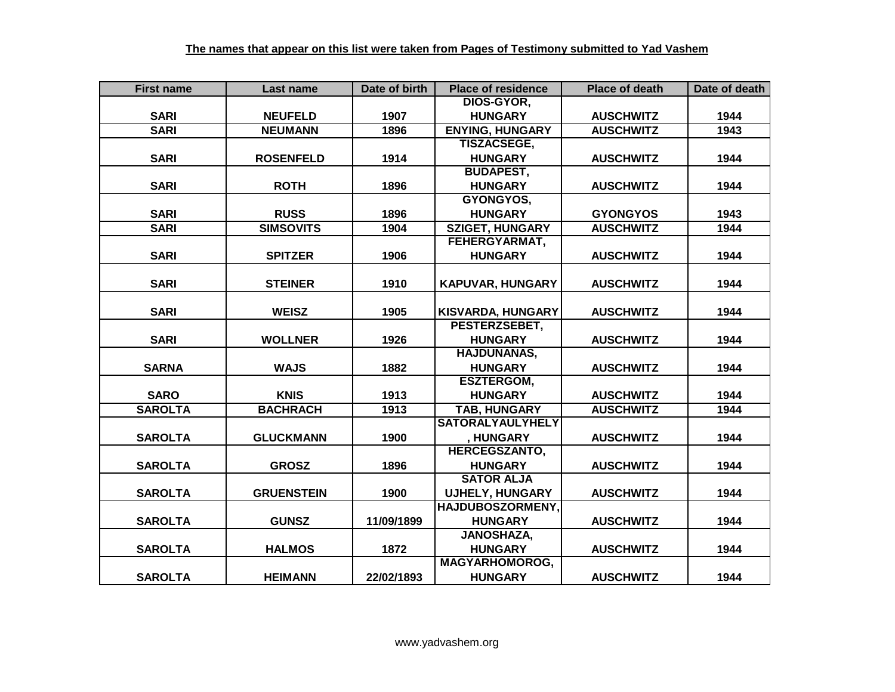| <b>First name</b> | Last name         | Date of birth | <b>Place of residence</b> | <b>Place of death</b> | Date of death |
|-------------------|-------------------|---------------|---------------------------|-----------------------|---------------|
|                   |                   |               | DIOS-GYOR,                |                       |               |
| <b>SARI</b>       | <b>NEUFELD</b>    | 1907          | <b>HUNGARY</b>            | <b>AUSCHWITZ</b>      | 1944          |
| <b>SARI</b>       | <b>NEUMANN</b>    | 1896          | <b>ENYING, HUNGARY</b>    | <b>AUSCHWITZ</b>      | 1943          |
|                   |                   |               | <b>TISZACSEGE,</b>        |                       |               |
| <b>SARI</b>       | <b>ROSENFELD</b>  | 1914          | <b>HUNGARY</b>            | <b>AUSCHWITZ</b>      | 1944          |
|                   |                   |               | <b>BUDAPEST,</b>          |                       |               |
| <b>SARI</b>       | <b>ROTH</b>       | 1896          | <b>HUNGARY</b>            | <b>AUSCHWITZ</b>      | 1944          |
|                   |                   |               | GYONGYOS,                 |                       |               |
| <b>SARI</b>       | <b>RUSS</b>       | 1896          | <b>HUNGARY</b>            | <b>GYONGYOS</b>       | 1943          |
| <b>SARI</b>       | <b>SIMSOVITS</b>  | 1904          | <b>SZIGET, HUNGARY</b>    | <b>AUSCHWITZ</b>      | 1944          |
|                   |                   |               | FEHERGYARMAT,             |                       |               |
| <b>SARI</b>       | <b>SPITZER</b>    | 1906          | <b>HUNGARY</b>            | <b>AUSCHWITZ</b>      | 1944          |
|                   |                   |               |                           |                       |               |
| <b>SARI</b>       | <b>STEINER</b>    | 1910          | <b>KAPUVAR, HUNGARY</b>   | <b>AUSCHWITZ</b>      | 1944          |
|                   |                   |               |                           |                       |               |
| <b>SARI</b>       | <b>WEISZ</b>      | 1905          | <b>KISVARDA, HUNGARY</b>  | <b>AUSCHWITZ</b>      | 1944          |
|                   |                   |               | PESTERZSEBET,             |                       |               |
| <b>SARI</b>       | <b>WOLLNER</b>    | 1926          | <b>HUNGARY</b>            | <b>AUSCHWITZ</b>      | 1944          |
|                   |                   |               | <b>HAJDUNANAS,</b>        |                       |               |
| <b>SARNA</b>      | <b>WAJS</b>       | 1882          | <b>HUNGARY</b>            | <b>AUSCHWITZ</b>      | 1944          |
|                   |                   |               | <b>ESZTERGOM,</b>         |                       |               |
| <b>SARO</b>       | <b>KNIS</b>       | 1913          | <b>HUNGARY</b>            | <b>AUSCHWITZ</b>      | 1944          |
| <b>SAROLTA</b>    | <b>BACHRACH</b>   | 1913          | <b>TAB, HUNGARY</b>       | <b>AUSCHWITZ</b>      | 1944          |
|                   |                   |               | <b>SATORALYAULYHELY</b>   |                       |               |
| <b>SAROLTA</b>    | <b>GLUCKMANN</b>  | 1900          | , HUNGARY                 | <b>AUSCHWITZ</b>      | 1944          |
|                   |                   |               | <b>HERCEGSZANTO,</b>      |                       |               |
| <b>SAROLTA</b>    | <b>GROSZ</b>      | 1896          | <b>HUNGARY</b>            | <b>AUSCHWITZ</b>      | 1944          |
|                   |                   |               | <b>SATOR ALJA</b>         |                       |               |
| <b>SAROLTA</b>    | <b>GRUENSTEIN</b> | 1900          | <b>UJHELY, HUNGARY</b>    | <b>AUSCHWITZ</b>      | 1944          |
|                   |                   |               | HAJDUBOSZORMENY,          |                       |               |
| <b>SAROLTA</b>    | <b>GUNSZ</b>      | 11/09/1899    | <b>HUNGARY</b>            | <b>AUSCHWITZ</b>      | 1944          |
|                   |                   |               | <b>JANOSHAZA,</b>         |                       |               |
| <b>SAROLTA</b>    | <b>HALMOS</b>     | 1872          | <b>HUNGARY</b>            | <b>AUSCHWITZ</b>      | 1944          |
|                   |                   |               | <b>MAGYARHOMOROG,</b>     |                       |               |
| <b>SAROLTA</b>    | <b>HEIMANN</b>    | 22/02/1893    | <b>HUNGARY</b>            | <b>AUSCHWITZ</b>      | 1944          |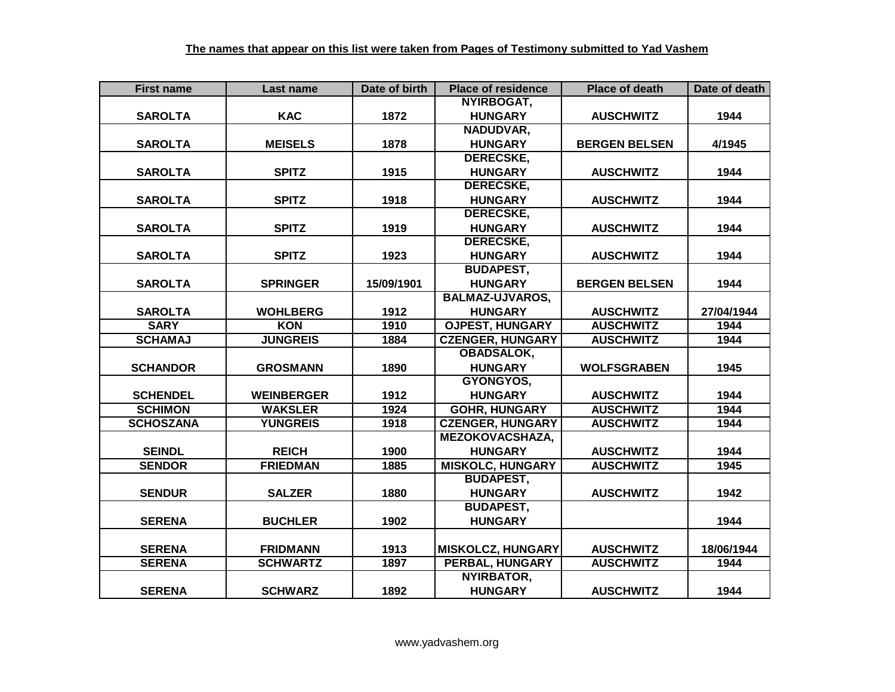| <b>First name</b> | Last name         | Date of birth | <b>Place of residence</b> | <b>Place of death</b> | Date of death |
|-------------------|-------------------|---------------|---------------------------|-----------------------|---------------|
|                   |                   |               | NYIRBOGAT,                |                       |               |
| <b>SAROLTA</b>    | <b>KAC</b>        | 1872          | <b>HUNGARY</b>            | <b>AUSCHWITZ</b>      | 1944          |
|                   |                   |               | NADUDVAR,                 |                       |               |
| <b>SAROLTA</b>    | <b>MEISELS</b>    | 1878          | <b>HUNGARY</b>            | <b>BERGEN BELSEN</b>  | 4/1945        |
|                   |                   |               | <b>DERECSKE,</b>          |                       |               |
| <b>SAROLTA</b>    | <b>SPITZ</b>      | 1915          | <b>HUNGARY</b>            | <b>AUSCHWITZ</b>      | 1944          |
|                   |                   |               | <b>DERECSKE,</b>          |                       |               |
| <b>SAROLTA</b>    | <b>SPITZ</b>      | 1918          | <b>HUNGARY</b>            | <b>AUSCHWITZ</b>      | 1944          |
|                   |                   |               | <b>DERECSKE,</b>          |                       |               |
| <b>SAROLTA</b>    | <b>SPITZ</b>      | 1919          | <b>HUNGARY</b>            | <b>AUSCHWITZ</b>      | 1944          |
|                   |                   |               | <b>DERECSKE,</b>          |                       |               |
| <b>SAROLTA</b>    | <b>SPITZ</b>      | 1923          | <b>HUNGARY</b>            | <b>AUSCHWITZ</b>      | 1944          |
|                   |                   |               | <b>BUDAPEST,</b>          |                       |               |
| <b>SAROLTA</b>    | <b>SPRINGER</b>   | 15/09/1901    | <b>HUNGARY</b>            | <b>BERGEN BELSEN</b>  | 1944          |
|                   |                   |               | <b>BALMAZ-UJVAROS,</b>    |                       |               |
| <b>SAROLTA</b>    | <b>WOHLBERG</b>   | 1912          | <b>HUNGARY</b>            | <b>AUSCHWITZ</b>      | 27/04/1944    |
| <b>SARY</b>       | <b>KON</b>        | 1910          | <b>OJPEST, HUNGARY</b>    | <b>AUSCHWITZ</b>      | 1944          |
| <b>SCHAMAJ</b>    | <b>JUNGREIS</b>   | 1884          | <b>CZENGER, HUNGARY</b>   | <b>AUSCHWITZ</b>      | 1944          |
|                   |                   |               | <b>OBADSALOK,</b>         |                       |               |
| <b>SCHANDOR</b>   | <b>GROSMANN</b>   | 1890          | <b>HUNGARY</b>            | <b>WOLFSGRABEN</b>    | 1945          |
|                   |                   |               | GYONGYOS,                 |                       |               |
| <b>SCHENDEL</b>   | <b>WEINBERGER</b> | 1912          | <b>HUNGARY</b>            | <b>AUSCHWITZ</b>      | 1944          |
| <b>SCHIMON</b>    | <b>WAKSLER</b>    | 1924          | <b>GOHR, HUNGARY</b>      | <b>AUSCHWITZ</b>      | 1944          |
| <b>SCHOSZANA</b>  | <b>YUNGREIS</b>   | 1918          | <b>CZENGER, HUNGARY</b>   | <b>AUSCHWITZ</b>      | 1944          |
|                   |                   |               | <b>MEZOKOVACSHAZA,</b>    |                       |               |
| <b>SEINDL</b>     | <b>REICH</b>      | 1900          | <b>HUNGARY</b>            | <b>AUSCHWITZ</b>      | 1944          |
| <b>SENDOR</b>     | <b>FRIEDMAN</b>   | 1885          | <b>MISKOLC, HUNGARY</b>   | <b>AUSCHWITZ</b>      | 1945          |
|                   |                   |               | <b>BUDAPEST,</b>          |                       |               |
| <b>SENDUR</b>     | <b>SALZER</b>     | 1880          | <b>HUNGARY</b>            | <b>AUSCHWITZ</b>      | 1942          |
|                   |                   |               | <b>BUDAPEST,</b>          |                       |               |
| <b>SERENA</b>     | <b>BUCHLER</b>    | 1902          | <b>HUNGARY</b>            |                       | 1944          |
|                   |                   |               |                           |                       |               |
| <b>SERENA</b>     | <b>FRIDMANN</b>   | 1913          | <b>MISKOLCZ, HUNGARY</b>  | <b>AUSCHWITZ</b>      | 18/06/1944    |
| <b>SERENA</b>     | <b>SCHWARTZ</b>   | 1897          | PERBAL, HUNGARY           | <b>AUSCHWITZ</b>      | 1944          |
|                   |                   |               | <b>NYIRBATOR,</b>         |                       |               |
| <b>SERENA</b>     | <b>SCHWARZ</b>    | 1892          | <b>HUNGARY</b>            | <b>AUSCHWITZ</b>      | 1944          |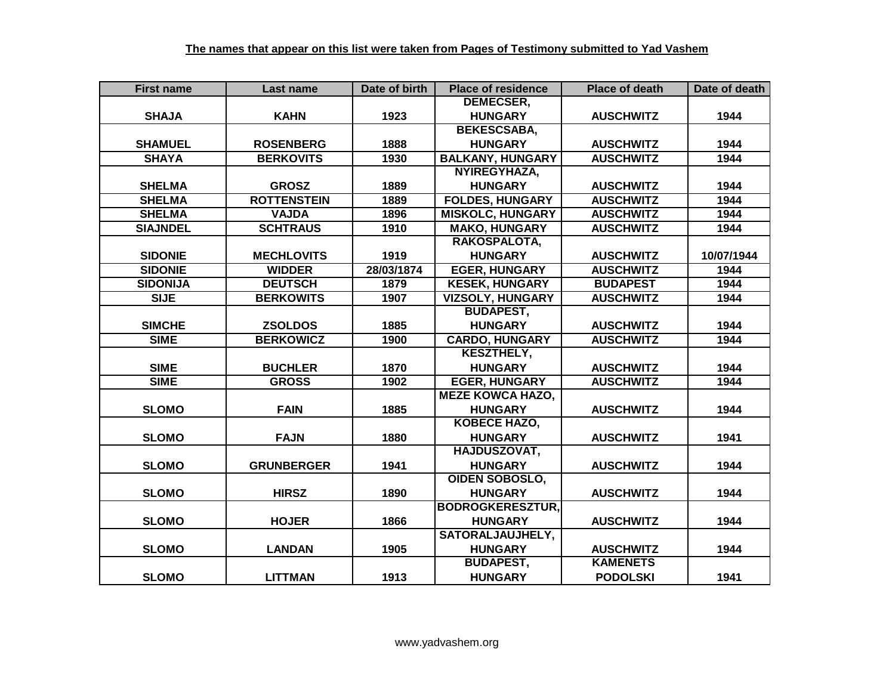| <b>First name</b> | Last name          | Date of birth | <b>Place of residence</b> | <b>Place of death</b> | Date of death |
|-------------------|--------------------|---------------|---------------------------|-----------------------|---------------|
|                   |                    |               | <b>DEMECSER,</b>          |                       |               |
| <b>SHAJA</b>      | <b>KAHN</b>        | 1923          | <b>HUNGARY</b>            | <b>AUSCHWITZ</b>      | 1944          |
|                   |                    |               | <b>BEKESCSABA,</b>        |                       |               |
| <b>SHAMUEL</b>    | <b>ROSENBERG</b>   | 1888          | <b>HUNGARY</b>            | <b>AUSCHWITZ</b>      | 1944          |
| <b>SHAYA</b>      | <b>BERKOVITS</b>   | 1930          | <b>BALKANY, HUNGARY</b>   | <b>AUSCHWITZ</b>      | 1944          |
|                   |                    |               | NYIREGYHAZA,              |                       |               |
| <b>SHELMA</b>     | <b>GROSZ</b>       | 1889          | <b>HUNGARY</b>            | <b>AUSCHWITZ</b>      | 1944          |
| <b>SHELMA</b>     | <b>ROTTENSTEIN</b> | 1889          | <b>FOLDES, HUNGARY</b>    | <b>AUSCHWITZ</b>      | 1944          |
| <b>SHELMA</b>     | <b>VAJDA</b>       | 1896          | <b>MISKOLC, HUNGARY</b>   | <b>AUSCHWITZ</b>      | 1944          |
| <b>SIAJNDEL</b>   | <b>SCHTRAUS</b>    | 1910          | <b>MAKO, HUNGARY</b>      | <b>AUSCHWITZ</b>      | 1944          |
|                   |                    |               | RAKOSPALOTA,              |                       |               |
| <b>SIDONIE</b>    | <b>MECHLOVITS</b>  | 1919          | <b>HUNGARY</b>            | <b>AUSCHWITZ</b>      | 10/07/1944    |
| <b>SIDONIE</b>    | <b>WIDDER</b>      | 28/03/1874    | <b>EGER, HUNGARY</b>      | <b>AUSCHWITZ</b>      | 1944          |
| <b>SIDONIJA</b>   | <b>DEUTSCH</b>     | 1879          | <b>KESEK, HUNGARY</b>     | <b>BUDAPEST</b>       | 1944          |
| <b>SIJE</b>       | <b>BERKOWITS</b>   | 1907          | <b>VIZSOLY, HUNGARY</b>   | <b>AUSCHWITZ</b>      | 1944          |
|                   |                    |               | <b>BUDAPEST,</b>          |                       |               |
| <b>SIMCHE</b>     | <b>ZSOLDOS</b>     | 1885          | <b>HUNGARY</b>            | <b>AUSCHWITZ</b>      | 1944          |
| <b>SIME</b>       | <b>BERKOWICZ</b>   | 1900          | <b>CARDO, HUNGARY</b>     | <b>AUSCHWITZ</b>      | 1944          |
|                   |                    |               | <b>KESZTHELY,</b>         |                       |               |
| <b>SIME</b>       | <b>BUCHLER</b>     | 1870          | <b>HUNGARY</b>            | <b>AUSCHWITZ</b>      | 1944          |
| <b>SIME</b>       | <b>GROSS</b>       | 1902          | <b>EGER, HUNGARY</b>      | <b>AUSCHWITZ</b>      | 1944          |
|                   |                    |               | <b>MEZE KOWCA HAZO,</b>   |                       |               |
| <b>SLOMO</b>      | <b>FAIN</b>        | 1885          | <b>HUNGARY</b>            | <b>AUSCHWITZ</b>      | 1944          |
|                   |                    |               | <b>KOBECE HAZO,</b>       |                       |               |
| <b>SLOMO</b>      | <b>FAJN</b>        | 1880          | <b>HUNGARY</b>            | <b>AUSCHWITZ</b>      | 1941          |
|                   |                    |               | HAJDUSZOVAT,              |                       |               |
| <b>SLOMO</b>      | <b>GRUNBERGER</b>  | 1941          | <b>HUNGARY</b>            | <b>AUSCHWITZ</b>      | 1944          |
|                   |                    |               | <b>OIDEN SOBOSLO,</b>     |                       |               |
| <b>SLOMO</b>      | <b>HIRSZ</b>       | 1890          | <b>HUNGARY</b>            | <b>AUSCHWITZ</b>      | 1944          |
|                   |                    |               | <b>BODROGKERESZTUR,</b>   |                       |               |
| <b>SLOMO</b>      | <b>HOJER</b>       | 1866          | <b>HUNGARY</b>            | <b>AUSCHWITZ</b>      | 1944          |
|                   |                    |               | SATORALJAUJHELY,          |                       |               |
| <b>SLOMO</b>      | <b>LANDAN</b>      | 1905          | <b>HUNGARY</b>            | <b>AUSCHWITZ</b>      | 1944          |
|                   |                    |               | <b>BUDAPEST,</b>          | <b>KAMENETS</b>       |               |
| <b>SLOMO</b>      | <b>LITTMAN</b>     | 1913          | <b>HUNGARY</b>            | <b>PODOLSKI</b>       | 1941          |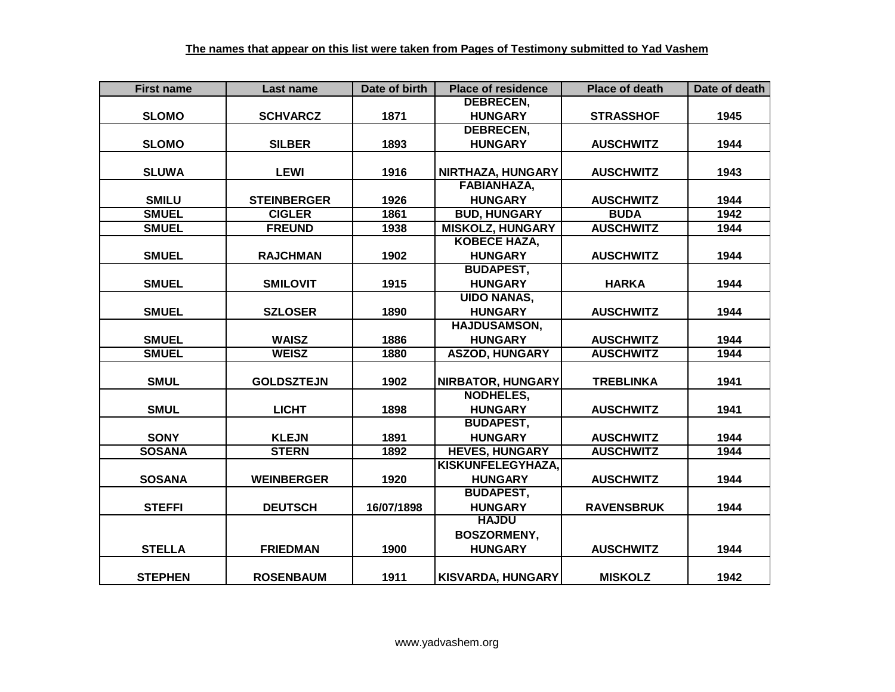| <b>First name</b> | Last name          | Date of birth | <b>Place of residence</b> | <b>Place of death</b> | Date of death |
|-------------------|--------------------|---------------|---------------------------|-----------------------|---------------|
|                   |                    |               | <b>DEBRECEN,</b>          |                       |               |
| <b>SLOMO</b>      | <b>SCHVARCZ</b>    | 1871          | <b>HUNGARY</b>            | <b>STRASSHOF</b>      | 1945          |
|                   |                    |               | <b>DEBRECEN,</b>          |                       |               |
| <b>SLOMO</b>      | <b>SILBER</b>      | 1893          | <b>HUNGARY</b>            | <b>AUSCHWITZ</b>      | 1944          |
|                   |                    |               |                           |                       |               |
| <b>SLUWA</b>      | <b>LEWI</b>        | 1916          | NIRTHAZA, HUNGARY         | <b>AUSCHWITZ</b>      | 1943          |
|                   |                    |               | <b>FABIANHAZA,</b>        |                       |               |
| <b>SMILU</b>      | <b>STEINBERGER</b> | 1926          | <b>HUNGARY</b>            | <b>AUSCHWITZ</b>      | 1944          |
| <b>SMUEL</b>      | <b>CIGLER</b>      | 1861          | <b>BUD, HUNGARY</b>       | <b>BUDA</b>           | 1942          |
| <b>SMUEL</b>      | <b>FREUND</b>      | 1938          | <b>MISKOLZ, HUNGARY</b>   | <b>AUSCHWITZ</b>      | 1944          |
|                   |                    |               | KOBECE HAZA,              |                       |               |
| <b>SMUEL</b>      | <b>RAJCHMAN</b>    | 1902          | <b>HUNGARY</b>            | <b>AUSCHWITZ</b>      | 1944          |
|                   |                    |               | <b>BUDAPEST,</b>          |                       |               |
| <b>SMUEL</b>      | <b>SMILOVIT</b>    | 1915          | <b>HUNGARY</b>            | <b>HARKA</b>          | 1944          |
|                   |                    |               | <b>UIDO NANAS,</b>        |                       |               |
| <b>SMUEL</b>      | <b>SZLOSER</b>     | 1890          | <b>HUNGARY</b>            | <b>AUSCHWITZ</b>      | 1944          |
|                   |                    |               | <b>HAJDUSAMSON,</b>       |                       |               |
| <b>SMUEL</b>      | <b>WAISZ</b>       | 1886          | <b>HUNGARY</b>            | <b>AUSCHWITZ</b>      | 1944          |
| <b>SMUEL</b>      | <b>WEISZ</b>       | 1880          | <b>ASZOD, HUNGARY</b>     | <b>AUSCHWITZ</b>      | 1944          |
|                   |                    |               |                           |                       |               |
| <b>SMUL</b>       | <b>GOLDSZTEJN</b>  | 1902          | <b>NIRBATOR, HUNGARY</b>  | <b>TREBLINKA</b>      | 1941          |
|                   |                    |               | <b>NODHELES,</b>          |                       |               |
| <b>SMUL</b>       | <b>LICHT</b>       | 1898          | <b>HUNGARY</b>            | <b>AUSCHWITZ</b>      | 1941          |
|                   |                    |               | <b>BUDAPEST,</b>          |                       |               |
| <b>SONY</b>       | <b>KLEJN</b>       | 1891          | <b>HUNGARY</b>            | <b>AUSCHWITZ</b>      | 1944          |
| <b>SOSANA</b>     | <b>STERN</b>       | 1892          | <b>HEVES, HUNGARY</b>     | <b>AUSCHWITZ</b>      | 1944          |
|                   |                    |               | <b>KISKUNFELEGYHAZA,</b>  |                       |               |
| <b>SOSANA</b>     | <b>WEINBERGER</b>  | 1920          | <b>HUNGARY</b>            | <b>AUSCHWITZ</b>      | 1944          |
|                   |                    |               | <b>BUDAPEST,</b>          |                       |               |
| <b>STEFFI</b>     | <b>DEUTSCH</b>     | 16/07/1898    | <b>HUNGARY</b>            | <b>RAVENSBRUK</b>     | 1944          |
|                   |                    |               | <b>HAJDU</b>              |                       |               |
|                   |                    |               | <b>BOSZORMENY,</b>        |                       |               |
| <b>STELLA</b>     | <b>FRIEDMAN</b>    | 1900          | <b>HUNGARY</b>            | <b>AUSCHWITZ</b>      | 1944          |
|                   |                    |               |                           |                       |               |
| <b>STEPHEN</b>    | <b>ROSENBAUM</b>   | 1911          | <b>KISVARDA, HUNGARY</b>  | <b>MISKOLZ</b>        | 1942          |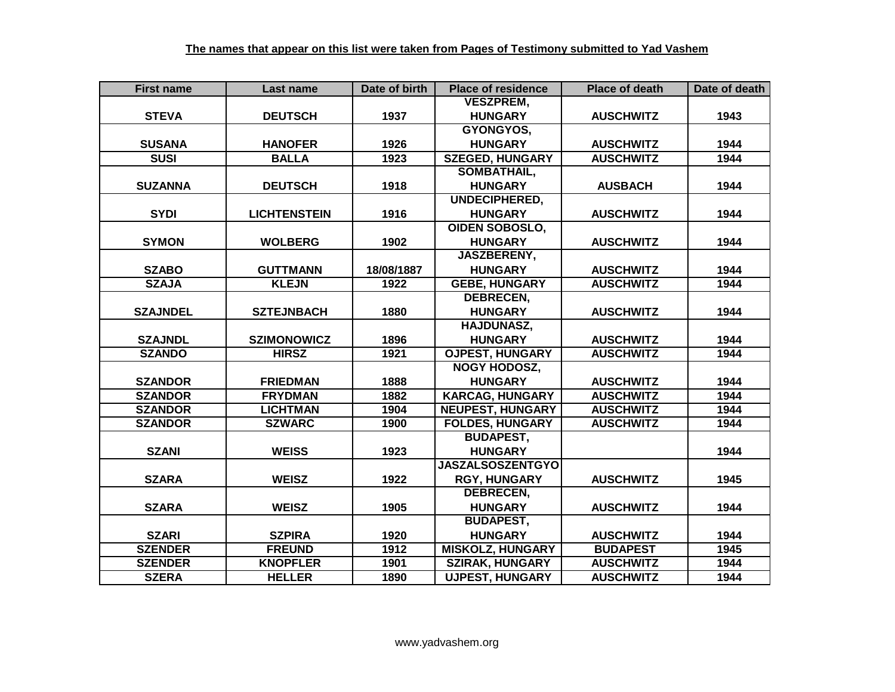| <b>First name</b> | Last name           | Date of birth | <b>Place of residence</b> | <b>Place of death</b> | Date of death |
|-------------------|---------------------|---------------|---------------------------|-----------------------|---------------|
|                   |                     |               | <b>VESZPREM,</b>          |                       |               |
| <b>STEVA</b>      | <b>DEUTSCH</b>      | 1937          | <b>HUNGARY</b>            | <b>AUSCHWITZ</b>      | 1943          |
|                   |                     |               | GYONGYOS,                 |                       |               |
| <b>SUSANA</b>     | <b>HANOFER</b>      | 1926          | <b>HUNGARY</b>            | <b>AUSCHWITZ</b>      | 1944          |
| <b>SUSI</b>       | <b>BALLA</b>        | 1923          | <b>SZEGED, HUNGARY</b>    | <b>AUSCHWITZ</b>      | 1944          |
|                   |                     |               | SOMBATHAIL,               |                       |               |
| <b>SUZANNA</b>    | <b>DEUTSCH</b>      | 1918          | <b>HUNGARY</b>            | <b>AUSBACH</b>        | 1944          |
|                   |                     |               | UNDECIPHERED,             |                       |               |
| <b>SYDI</b>       | <b>LICHTENSTEIN</b> | 1916          | <b>HUNGARY</b>            | <b>AUSCHWITZ</b>      | 1944          |
|                   |                     |               | <b>OIDEN SOBOSLO,</b>     |                       |               |
| <b>SYMON</b>      | <b>WOLBERG</b>      | 1902          | <b>HUNGARY</b>            | <b>AUSCHWITZ</b>      | 1944          |
|                   |                     |               | JASZBERENY,               |                       |               |
| <b>SZABO</b>      | <b>GUTTMANN</b>     | 18/08/1887    | <b>HUNGARY</b>            | <b>AUSCHWITZ</b>      | 1944          |
| <b>SZAJA</b>      | <b>KLEJN</b>        | 1922          | <b>GEBE, HUNGARY</b>      | <b>AUSCHWITZ</b>      | 1944          |
|                   |                     |               | <b>DEBRECEN,</b>          |                       |               |
| <b>SZAJNDEL</b>   | <b>SZTEJNBACH</b>   | 1880          | <b>HUNGARY</b>            | <b>AUSCHWITZ</b>      | 1944          |
|                   |                     |               | <b>HAJDUNASZ,</b>         |                       |               |
| <b>SZAJNDL</b>    | <b>SZIMONOWICZ</b>  | 1896          | <b>HUNGARY</b>            | <b>AUSCHWITZ</b>      | 1944          |
| <b>SZANDO</b>     | <b>HIRSZ</b>        | 1921          | <b>OJPEST, HUNGARY</b>    | <b>AUSCHWITZ</b>      | 1944          |
|                   |                     |               | <b>NOGY HODOSZ,</b>       |                       |               |
| <b>SZANDOR</b>    | <b>FRIEDMAN</b>     | 1888          | <b>HUNGARY</b>            | <b>AUSCHWITZ</b>      | 1944          |
| <b>SZANDOR</b>    | <b>FRYDMAN</b>      | 1882          | <b>KARCAG, HUNGARY</b>    | <b>AUSCHWITZ</b>      | 1944          |
| <b>SZANDOR</b>    | <b>LICHTMAN</b>     | 1904          | <b>NEUPEST, HUNGARY</b>   | <b>AUSCHWITZ</b>      | 1944          |
| <b>SZANDOR</b>    | <b>SZWARC</b>       | 1900          | <b>FOLDES, HUNGARY</b>    | <b>AUSCHWITZ</b>      | 1944          |
|                   |                     |               | <b>BUDAPEST,</b>          |                       |               |
| <b>SZANI</b>      | <b>WEISS</b>        | 1923          | <b>HUNGARY</b>            |                       | 1944          |
|                   |                     |               | <b>JASZALSOSZENTGYO</b>   |                       |               |
| <b>SZARA</b>      | <b>WEISZ</b>        | 1922          | <b>RGY, HUNGARY</b>       | <b>AUSCHWITZ</b>      | 1945          |
|                   |                     |               | <b>DEBRECEN,</b>          |                       |               |
| <b>SZARA</b>      | <b>WEISZ</b>        | 1905          | <b>HUNGARY</b>            | <b>AUSCHWITZ</b>      | 1944          |
|                   |                     |               | <b>BUDAPEST,</b>          |                       |               |
| <b>SZARI</b>      | <b>SZPIRA</b>       | 1920          | <b>HUNGARY</b>            | <b>AUSCHWITZ</b>      | 1944          |
| <b>SZENDER</b>    | <b>FREUND</b>       | 1912          | <b>MISKOLZ, HUNGARY</b>   | <b>BUDAPEST</b>       | 1945          |
| <b>SZENDER</b>    | <b>KNOPFLER</b>     | 1901          | <b>SZIRAK, HUNGARY</b>    | <b>AUSCHWITZ</b>      | 1944          |
| <b>SZERA</b>      | <b>HELLER</b>       | 1890          | <b>UJPEST, HUNGARY</b>    | <b>AUSCHWITZ</b>      | 1944          |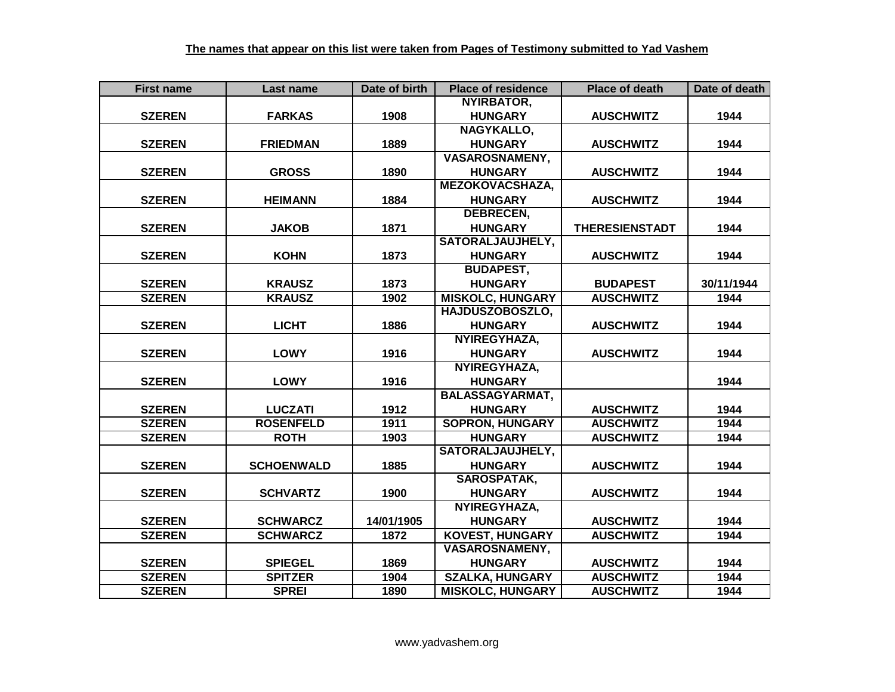| <b>First name</b> | Last name         | Date of birth | <b>Place of residence</b> | <b>Place of death</b> | Date of death |
|-------------------|-------------------|---------------|---------------------------|-----------------------|---------------|
|                   |                   |               | <b>NYIRBATOR,</b>         |                       |               |
| <b>SZEREN</b>     | <b>FARKAS</b>     | 1908          | <b>HUNGARY</b>            | <b>AUSCHWITZ</b>      | 1944          |
|                   |                   |               | NAGYKALLO,                |                       |               |
| <b>SZEREN</b>     | <b>FRIEDMAN</b>   | 1889          | <b>HUNGARY</b>            | <b>AUSCHWITZ</b>      | 1944          |
|                   |                   |               | <b>VASAROSNAMENY,</b>     |                       |               |
| <b>SZEREN</b>     | <b>GROSS</b>      | 1890          | <b>HUNGARY</b>            | <b>AUSCHWITZ</b>      | 1944          |
|                   |                   |               | <b>MEZOKOVACSHAZA,</b>    |                       |               |
| <b>SZEREN</b>     | <b>HEIMANN</b>    | 1884          | <b>HUNGARY</b>            | <b>AUSCHWITZ</b>      | 1944          |
|                   |                   |               | <b>DEBRECEN,</b>          |                       |               |
| <b>SZEREN</b>     | <b>JAKOB</b>      | 1871          | <b>HUNGARY</b>            | <b>THERESIENSTADT</b> | 1944          |
|                   |                   |               | SATORALJAUJHELY,          |                       |               |
| <b>SZEREN</b>     | <b>KOHN</b>       | 1873          | <b>HUNGARY</b>            | <b>AUSCHWITZ</b>      | 1944          |
|                   |                   |               | <b>BUDAPEST,</b>          |                       |               |
| <b>SZEREN</b>     | <b>KRAUSZ</b>     | 1873          | <b>HUNGARY</b>            | <b>BUDAPEST</b>       | 30/11/1944    |
| <b>SZEREN</b>     | <b>KRAUSZ</b>     | 1902          | <b>MISKOLC, HUNGARY</b>   | <b>AUSCHWITZ</b>      | 1944          |
|                   |                   |               | HAJDUSZOBOSZLO,           |                       |               |
| <b>SZEREN</b>     | <b>LICHT</b>      | 1886          | <b>HUNGARY</b>            | <b>AUSCHWITZ</b>      | 1944          |
|                   |                   |               | NYIREGYHAZA,              |                       |               |
| <b>SZEREN</b>     | <b>LOWY</b>       | 1916          | <b>HUNGARY</b>            | <b>AUSCHWITZ</b>      | 1944          |
|                   |                   |               | NYIREGYHAZA,              |                       |               |
| <b>SZEREN</b>     | <b>LOWY</b>       | 1916          | <b>HUNGARY</b>            |                       | 1944          |
|                   |                   |               | <b>BALASSAGYARMAT,</b>    |                       |               |
| <b>SZEREN</b>     | <b>LUCZATI</b>    | 1912          | <b>HUNGARY</b>            | <b>AUSCHWITZ</b>      | 1944          |
| <b>SZEREN</b>     | <b>ROSENFELD</b>  | 1911          | <b>SOPRON, HUNGARY</b>    | <b>AUSCHWITZ</b>      | 1944          |
| <b>SZEREN</b>     | <b>ROTH</b>       | 1903          | <b>HUNGARY</b>            | <b>AUSCHWITZ</b>      | 1944          |
|                   |                   |               | <b>SATORALJAUJHELY,</b>   |                       |               |
| <b>SZEREN</b>     | <b>SCHOENWALD</b> | 1885          | <b>HUNGARY</b>            | <b>AUSCHWITZ</b>      | 1944          |
|                   |                   |               | <b>SAROSPATAK,</b>        |                       |               |
| <b>SZEREN</b>     | <b>SCHVARTZ</b>   | 1900          | <b>HUNGARY</b>            | <b>AUSCHWITZ</b>      | 1944          |
|                   |                   |               | NYIREGYHAZA,              |                       |               |
| <b>SZEREN</b>     | <b>SCHWARCZ</b>   | 14/01/1905    | <b>HUNGARY</b>            | <b>AUSCHWITZ</b>      | 1944          |
| <b>SZEREN</b>     | <b>SCHWARCZ</b>   | 1872          | <b>KOVEST, HUNGARY</b>    | <b>AUSCHWITZ</b>      | 1944          |
|                   |                   |               | <b>VASAROSNAMENY,</b>     |                       |               |
| <b>SZEREN</b>     | <b>SPIEGEL</b>    | 1869          | <b>HUNGARY</b>            | <b>AUSCHWITZ</b>      | 1944          |
| <b>SZEREN</b>     | <b>SPITZER</b>    | 1904          | <b>SZALKA, HUNGARY</b>    | <b>AUSCHWITZ</b>      | 1944          |
| <b>SZEREN</b>     | <b>SPREI</b>      | 1890          | <b>MISKOLC, HUNGARY</b>   | <b>AUSCHWITZ</b>      | 1944          |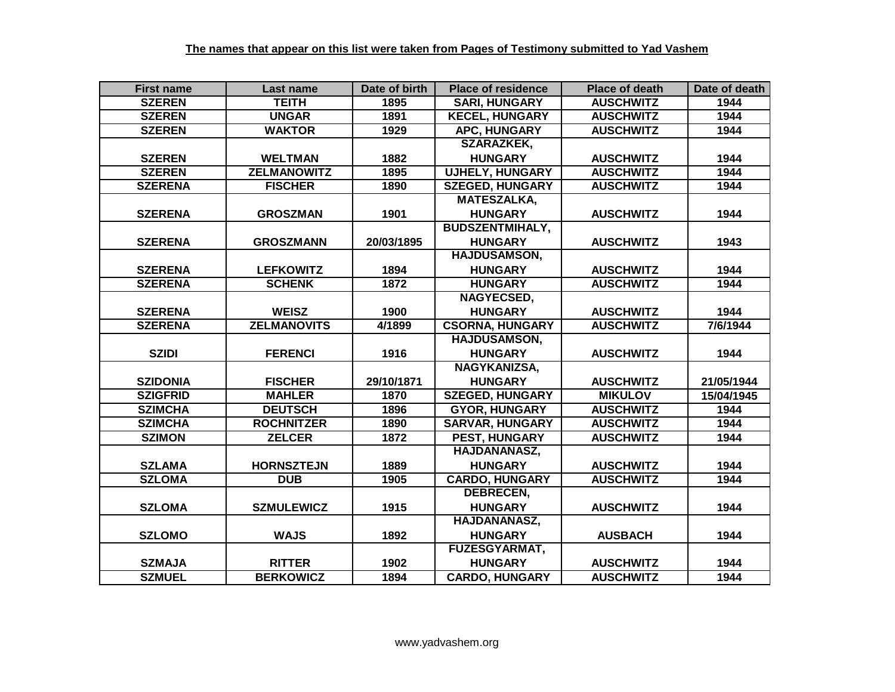| <b>First name</b> | Last name          | Date of birth | <b>Place of residence</b> | <b>Place of death</b> | Date of death |
|-------------------|--------------------|---------------|---------------------------|-----------------------|---------------|
| <b>SZEREN</b>     | <b>TEITH</b>       | 1895          | <b>SARI, HUNGARY</b>      | <b>AUSCHWITZ</b>      | 1944          |
| <b>SZEREN</b>     | <b>UNGAR</b>       | 1891          | <b>KECEL, HUNGARY</b>     | <b>AUSCHWITZ</b>      | 1944          |
| <b>SZEREN</b>     | <b>WAKTOR</b>      | 1929          | APC, HUNGARY              | <b>AUSCHWITZ</b>      | 1944          |
|                   |                    |               | <b>SZARAZKEK.</b>         |                       |               |
| <b>SZEREN</b>     | <b>WELTMAN</b>     | 1882          | <b>HUNGARY</b>            | <b>AUSCHWITZ</b>      | 1944          |
| <b>SZEREN</b>     | <b>ZELMANOWITZ</b> | 1895          | <b>UJHELY, HUNGARY</b>    | <b>AUSCHWITZ</b>      | 1944          |
| <b>SZERENA</b>    | <b>FISCHER</b>     | 1890          | <b>SZEGED, HUNGARY</b>    | <b>AUSCHWITZ</b>      | 1944          |
|                   |                    |               | <b>MATESZALKA,</b>        |                       |               |
| <b>SZERENA</b>    | <b>GROSZMAN</b>    | 1901          | <b>HUNGARY</b>            | <b>AUSCHWITZ</b>      | 1944          |
|                   |                    |               | <b>BUDSZENTMIHALY,</b>    |                       |               |
| <b>SZERENA</b>    | <b>GROSZMANN</b>   | 20/03/1895    | <b>HUNGARY</b>            | <b>AUSCHWITZ</b>      | 1943          |
|                   |                    |               | <b>HAJDUSAMSON,</b>       |                       |               |
| <b>SZERENA</b>    | <b>LEFKOWITZ</b>   | 1894          | <b>HUNGARY</b>            | <b>AUSCHWITZ</b>      | 1944          |
| <b>SZERENA</b>    | <b>SCHENK</b>      | 1872          | <b>HUNGARY</b>            | <b>AUSCHWITZ</b>      | 1944          |
|                   |                    |               | NAGYECSED,                |                       |               |
| <b>SZERENA</b>    | <b>WEISZ</b>       | 1900          | <b>HUNGARY</b>            | <b>AUSCHWITZ</b>      | 1944          |
| <b>SZERENA</b>    | <b>ZELMANOVITS</b> | 4/1899        | <b>CSORNA, HUNGARY</b>    | <b>AUSCHWITZ</b>      | 7/6/1944      |
|                   |                    |               | <b>HAJDUSAMSON,</b>       |                       |               |
| <b>SZIDI</b>      | <b>FERENCI</b>     | 1916          | <b>HUNGARY</b>            | <b>AUSCHWITZ</b>      | 1944          |
|                   |                    |               | NAGYKANIZSA,              |                       |               |
| <b>SZIDONIA</b>   | <b>FISCHER</b>     | 29/10/1871    | <b>HUNGARY</b>            | <b>AUSCHWITZ</b>      | 21/05/1944    |
| <b>SZIGFRID</b>   | <b>MAHLER</b>      | 1870          | <b>SZEGED, HUNGARY</b>    | <b>MIKULOV</b>        | 15/04/1945    |
| <b>SZIMCHA</b>    | <b>DEUTSCH</b>     | 1896          | <b>GYOR, HUNGARY</b>      | <b>AUSCHWITZ</b>      | 1944          |
| <b>SZIMCHA</b>    | <b>ROCHNITZER</b>  | 1890          | <b>SARVAR, HUNGARY</b>    | <b>AUSCHWITZ</b>      | 1944          |
| <b>SZIMON</b>     | <b>ZELCER</b>      | 1872          | <b>PEST, HUNGARY</b>      | <b>AUSCHWITZ</b>      | 1944          |
|                   |                    |               | HAJDANANASZ,              |                       |               |
| <b>SZLAMA</b>     | <b>HORNSZTEJN</b>  | 1889          | <b>HUNGARY</b>            | <b>AUSCHWITZ</b>      | 1944          |
| <b>SZLOMA</b>     | <b>DUB</b>         | 1905          | <b>CARDO, HUNGARY</b>     | <b>AUSCHWITZ</b>      | 1944          |
|                   |                    |               | <b>DEBRECEN,</b>          |                       |               |
| <b>SZLOMA</b>     | <b>SZMULEWICZ</b>  | 1915          | <b>HUNGARY</b>            | <b>AUSCHWITZ</b>      | 1944          |
|                   |                    |               | HAJDANANASZ,              |                       |               |
| <b>SZLOMO</b>     | <b>WAJS</b>        | 1892          | <b>HUNGARY</b>            | <b>AUSBACH</b>        | 1944          |
|                   |                    |               | <b>FUZESGYARMAT,</b>      |                       |               |
| <b>SZMAJA</b>     | <b>RITTER</b>      | 1902          | <b>HUNGARY</b>            | <b>AUSCHWITZ</b>      | 1944          |
| <b>SZMUEL</b>     | <b>BERKOWICZ</b>   | 1894          | <b>CARDO, HUNGARY</b>     | <b>AUSCHWITZ</b>      | 1944          |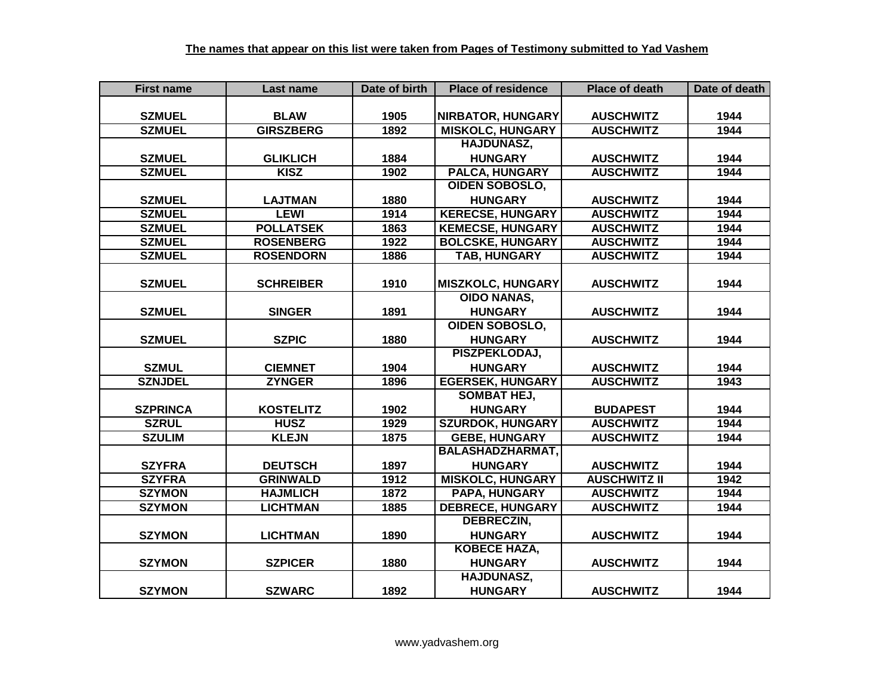| <b>First name</b> | Last name        | Date of birth | <b>Place of residence</b> | <b>Place of death</b> | Date of death |
|-------------------|------------------|---------------|---------------------------|-----------------------|---------------|
|                   |                  |               |                           |                       |               |
| <b>SZMUEL</b>     | <b>BLAW</b>      | 1905          | <b>NIRBATOR, HUNGARY</b>  | <b>AUSCHWITZ</b>      | 1944          |
| <b>SZMUEL</b>     | <b>GIRSZBERG</b> | 1892          | <b>MISKOLC, HUNGARY</b>   | <b>AUSCHWITZ</b>      | 1944          |
|                   |                  |               | <b>HAJDUNASZ,</b>         |                       |               |
| <b>SZMUEL</b>     | <b>GLIKLICH</b>  | 1884          | <b>HUNGARY</b>            | <b>AUSCHWITZ</b>      | 1944          |
| <b>SZMUEL</b>     | <b>KISZ</b>      | 1902          | PALCA, HUNGARY            | <b>AUSCHWITZ</b>      | 1944          |
|                   |                  |               | <b>OIDEN SOBOSLO,</b>     |                       |               |
| <b>SZMUEL</b>     | <b>LAJTMAN</b>   | 1880          | <b>HUNGARY</b>            | <b>AUSCHWITZ</b>      | 1944          |
| <b>SZMUEL</b>     | <b>LEWI</b>      | 1914          | <b>KERECSE, HUNGARY</b>   | <b>AUSCHWITZ</b>      | 1944          |
| <b>SZMUEL</b>     | <b>POLLATSEK</b> | 1863          | <b>KEMECSE, HUNGARY</b>   | <b>AUSCHWITZ</b>      | 1944          |
| <b>SZMUEL</b>     | <b>ROSENBERG</b> | 1922          | <b>BOLCSKE, HUNGARY</b>   | <b>AUSCHWITZ</b>      | 1944          |
| <b>SZMUEL</b>     | <b>ROSENDORN</b> | 1886          | TAB, HUNGARY              | <b>AUSCHWITZ</b>      | 1944          |
|                   |                  |               |                           |                       |               |
| <b>SZMUEL</b>     | <b>SCHREIBER</b> | 1910          | <b>MISZKOLC, HUNGARY</b>  | <b>AUSCHWITZ</b>      | 1944          |
|                   |                  |               | <b>OIDO NANAS,</b>        |                       |               |
| <b>SZMUEL</b>     | <b>SINGER</b>    | 1891          | <b>HUNGARY</b>            | <b>AUSCHWITZ</b>      | 1944          |
|                   |                  |               | <b>OIDEN SOBOSLO,</b>     |                       |               |
| <b>SZMUEL</b>     | <b>SZPIC</b>     | 1880          | <b>HUNGARY</b>            | <b>AUSCHWITZ</b>      | 1944          |
|                   |                  |               | PISZPEKLODAJ,             |                       |               |
| <b>SZMUL</b>      | <b>CIEMNET</b>   | 1904          | <b>HUNGARY</b>            | <b>AUSCHWITZ</b>      | 1944          |
| <b>SZNJDEL</b>    | <b>ZYNGER</b>    | 1896          | <b>EGERSEK, HUNGARY</b>   | <b>AUSCHWITZ</b>      | 1943          |
|                   |                  |               | <b>SOMBAT HEJ,</b>        |                       |               |
| <b>SZPRINCA</b>   | <b>KOSTELITZ</b> | 1902          | <b>HUNGARY</b>            | <b>BUDAPEST</b>       | 1944          |
| <b>SZRUL</b>      | <b>HUSZ</b>      | 1929          | <b>SZURDOK, HUNGARY</b>   | <b>AUSCHWITZ</b>      | 1944          |
| <b>SZULIM</b>     | <b>KLEJN</b>     | 1875          | <b>GEBE, HUNGARY</b>      | <b>AUSCHWITZ</b>      | 1944          |
|                   |                  |               | <b>BALASHADZHARMAT,</b>   |                       |               |
| <b>SZYFRA</b>     | <b>DEUTSCH</b>   | 1897          | <b>HUNGARY</b>            | <b>AUSCHWITZ</b>      | 1944          |
| <b>SZYFRA</b>     | <b>GRINWALD</b>  | 1912          | <b>MISKOLC, HUNGARY</b>   | <b>AUSCHWITZ II</b>   | 1942          |
| <b>SZYMON</b>     | <b>HAJMLICH</b>  | 1872          | PAPA, HUNGARY             | <b>AUSCHWITZ</b>      | 1944          |
| <b>SZYMON</b>     | <b>LICHTMAN</b>  | 1885          | <b>DEBRECE, HUNGARY</b>   | <b>AUSCHWITZ</b>      | 1944          |
|                   |                  |               | <b>DEBRECZIN,</b>         |                       |               |
| <b>SZYMON</b>     | <b>LICHTMAN</b>  | 1890          | <b>HUNGARY</b>            | <b>AUSCHWITZ</b>      | 1944          |
|                   |                  |               | <b>KOBECE HAZA,</b>       |                       |               |
| <b>SZYMON</b>     | <b>SZPICER</b>   | 1880          | <b>HUNGARY</b>            | <b>AUSCHWITZ</b>      | 1944          |
|                   |                  |               | HAJDUNASZ,                |                       |               |
| <b>SZYMON</b>     | <b>SZWARC</b>    | 1892          | <b>HUNGARY</b>            | <b>AUSCHWITZ</b>      | 1944          |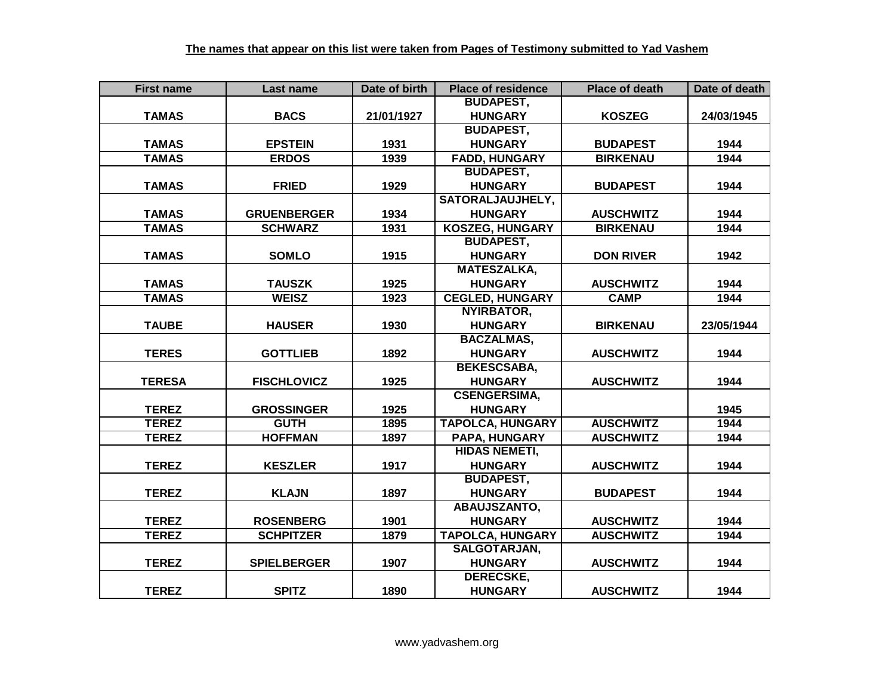| <b>First name</b> | Last name          | Date of birth | <b>Place of residence</b> | <b>Place of death</b> | Date of death |
|-------------------|--------------------|---------------|---------------------------|-----------------------|---------------|
|                   |                    |               | <b>BUDAPEST,</b>          |                       |               |
| <b>TAMAS</b>      | <b>BACS</b>        | 21/01/1927    | <b>HUNGARY</b>            | <b>KOSZEG</b>         | 24/03/1945    |
|                   |                    |               | <b>BUDAPEST,</b>          |                       |               |
| <b>TAMAS</b>      | <b>EPSTEIN</b>     | 1931          | <b>HUNGARY</b>            | <b>BUDAPEST</b>       | 1944          |
| <b>TAMAS</b>      | <b>ERDOS</b>       | 1939          | <b>FADD, HUNGARY</b>      | <b>BIRKENAU</b>       | 1944          |
|                   |                    |               | <b>BUDAPEST,</b>          |                       |               |
| <b>TAMAS</b>      | <b>FRIED</b>       | 1929          | <b>HUNGARY</b>            | <b>BUDAPEST</b>       | 1944          |
|                   |                    |               | <b>SATORALJAUJHELY,</b>   |                       |               |
| <b>TAMAS</b>      | <b>GRUENBERGER</b> | 1934          | <b>HUNGARY</b>            | <b>AUSCHWITZ</b>      | 1944          |
| <b>TAMAS</b>      | <b>SCHWARZ</b>     | 1931          | <b>KOSZEG, HUNGARY</b>    | <b>BIRKENAU</b>       | 1944          |
|                   |                    |               | <b>BUDAPEST,</b>          |                       |               |
| <b>TAMAS</b>      | <b>SOMLO</b>       | 1915          | <b>HUNGARY</b>            | <b>DON RIVER</b>      | 1942          |
|                   |                    |               | <b>MATESZALKA,</b>        |                       |               |
| <b>TAMAS</b>      | <b>TAUSZK</b>      | 1925          | <b>HUNGARY</b>            | <b>AUSCHWITZ</b>      | 1944          |
| <b>TAMAS</b>      | <b>WEISZ</b>       | 1923          | <b>CEGLED, HUNGARY</b>    | <b>CAMP</b>           | 1944          |
|                   |                    |               | <b>NYIRBATOR,</b>         |                       |               |
| <b>TAUBE</b>      | <b>HAUSER</b>      | 1930          | <b>HUNGARY</b>            | <b>BIRKENAU</b>       | 23/05/1944    |
|                   |                    |               | <b>BACZALMAS,</b>         |                       |               |
| <b>TERES</b>      | <b>GOTTLIEB</b>    | 1892          | <b>HUNGARY</b>            | <b>AUSCHWITZ</b>      | 1944          |
|                   |                    |               | <b>BEKESCSABA,</b>        |                       |               |
| <b>TERESA</b>     | <b>FISCHLOVICZ</b> | 1925          | <b>HUNGARY</b>            | <b>AUSCHWITZ</b>      | 1944          |
|                   |                    |               | <b>CSENGERSIMA,</b>       |                       |               |
| <b>TEREZ</b>      | <b>GROSSINGER</b>  | 1925          | <b>HUNGARY</b>            |                       | 1945          |
| <b>TEREZ</b>      | <b>GUTH</b>        | 1895          | <b>TAPOLCA, HUNGARY</b>   | <b>AUSCHWITZ</b>      | 1944          |
| <b>TEREZ</b>      | <b>HOFFMAN</b>     | 1897          | <b>PAPA, HUNGARY</b>      | <b>AUSCHWITZ</b>      | 1944          |
|                   |                    |               | <b>HIDAS NEMETI,</b>      |                       |               |
| <b>TEREZ</b>      | <b>KESZLER</b>     | 1917          | <b>HUNGARY</b>            | <b>AUSCHWITZ</b>      | 1944          |
|                   |                    |               | <b>BUDAPEST,</b>          |                       |               |
| <b>TEREZ</b>      | <b>KLAJN</b>       | 1897          | <b>HUNGARY</b>            | <b>BUDAPEST</b>       | 1944          |
|                   |                    |               | ABAUJSZANTO,              |                       |               |
| <b>TEREZ</b>      | <b>ROSENBERG</b>   | 1901          | <b>HUNGARY</b>            | <b>AUSCHWITZ</b>      | 1944          |
| <b>TEREZ</b>      | <b>SCHPITZER</b>   | 1879          | <b>TAPOLCA, HUNGARY</b>   | <b>AUSCHWITZ</b>      | 1944          |
|                   |                    |               | SALGOTARJAN,              |                       |               |
| <b>TEREZ</b>      | <b>SPIELBERGER</b> | 1907          | <b>HUNGARY</b>            | <b>AUSCHWITZ</b>      | 1944          |
|                   |                    |               | DERECSKE,                 |                       |               |
| <b>TEREZ</b>      | <b>SPITZ</b>       | 1890          | <b>HUNGARY</b>            | <b>AUSCHWITZ</b>      | 1944          |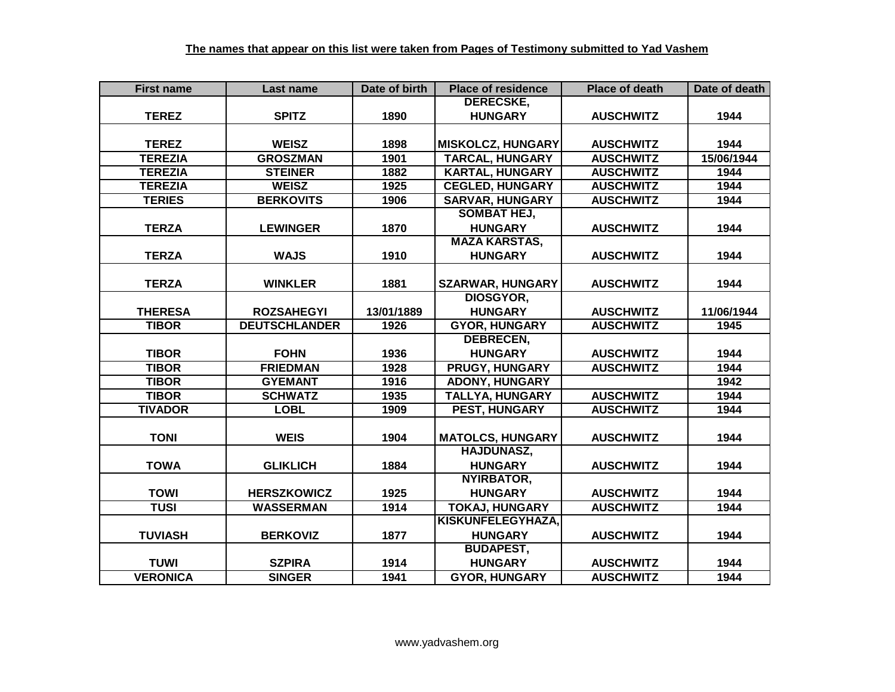| <b>First name</b> | Last name            | Date of birth | <b>Place of residence</b> | <b>Place of death</b> | Date of death |
|-------------------|----------------------|---------------|---------------------------|-----------------------|---------------|
|                   |                      |               | <b>DERECSKE,</b>          |                       |               |
| <b>TEREZ</b>      | <b>SPITZ</b>         | 1890          | <b>HUNGARY</b>            | <b>AUSCHWITZ</b>      | 1944          |
|                   |                      |               |                           |                       |               |
| <b>TEREZ</b>      | <b>WEISZ</b>         | 1898          | <b>MISKOLCZ, HUNGARY</b>  | <b>AUSCHWITZ</b>      | 1944          |
| <b>TEREZIA</b>    | <b>GROSZMAN</b>      | 1901          | <b>TARCAL, HUNGARY</b>    | <b>AUSCHWITZ</b>      | 15/06/1944    |
| <b>TEREZIA</b>    | <b>STEINER</b>       | 1882          | <b>KARTAL, HUNGARY</b>    | <b>AUSCHWITZ</b>      | 1944          |
| <b>TEREZIA</b>    | <b>WEISZ</b>         | 1925          | <b>CEGLED, HUNGARY</b>    | <b>AUSCHWITZ</b>      | 1944          |
| <b>TERIES</b>     | <b>BERKOVITS</b>     | 1906          | <b>SARVAR, HUNGARY</b>    | <b>AUSCHWITZ</b>      | 1944          |
|                   |                      |               | <b>SOMBAT HEJ,</b>        |                       |               |
| <b>TERZA</b>      | <b>LEWINGER</b>      | 1870          | <b>HUNGARY</b>            | <b>AUSCHWITZ</b>      | 1944          |
|                   |                      |               | <b>MAZA KARSTAS,</b>      |                       |               |
| <b>TERZA</b>      | <b>WAJS</b>          | 1910          | <b>HUNGARY</b>            | <b>AUSCHWITZ</b>      | 1944          |
|                   |                      |               |                           |                       |               |
| <b>TERZA</b>      | <b>WINKLER</b>       | 1881          | <b>SZARWAR, HUNGARY</b>   | <b>AUSCHWITZ</b>      | 1944          |
|                   |                      |               | <b>DIOSGYOR,</b>          |                       |               |
| <b>THERESA</b>    | <b>ROZSAHEGYI</b>    | 13/01/1889    | <b>HUNGARY</b>            | <b>AUSCHWITZ</b>      | 11/06/1944    |
| <b>TIBOR</b>      | <b>DEUTSCHLANDER</b> | 1926          | <b>GYOR, HUNGARY</b>      | <b>AUSCHWITZ</b>      | 1945          |
|                   |                      |               | <b>DEBRECEN,</b>          |                       |               |
| <b>TIBOR</b>      | <b>FOHN</b>          | 1936          | <b>HUNGARY</b>            | <b>AUSCHWITZ</b>      | 1944          |
| <b>TIBOR</b>      | <b>FRIEDMAN</b>      | 1928          | <b>PRUGY, HUNGARY</b>     | <b>AUSCHWITZ</b>      | 1944          |
| <b>TIBOR</b>      | <b>GYEMANT</b>       | 1916          | <b>ADONY, HUNGARY</b>     |                       | 1942          |
| <b>TIBOR</b>      | <b>SCHWATZ</b>       | 1935          | <b>TALLYA, HUNGARY</b>    | <b>AUSCHWITZ</b>      | 1944          |
| <b>TIVADOR</b>    | <b>LOBL</b>          | 1909          | <b>PEST, HUNGARY</b>      | <b>AUSCHWITZ</b>      | 1944          |
|                   |                      |               |                           |                       |               |
| <b>TONI</b>       | <b>WEIS</b>          | 1904          | <b>MATOLCS, HUNGARY</b>   | <b>AUSCHWITZ</b>      | 1944          |
|                   |                      |               | <b>HAJDUNASZ,</b>         |                       |               |
| <b>TOWA</b>       | <b>GLIKLICH</b>      | 1884          | <b>HUNGARY</b>            | <b>AUSCHWITZ</b>      | 1944          |
|                   |                      |               | <b>NYIRBATOR,</b>         |                       |               |
| <b>TOWI</b>       | <b>HERSZKOWICZ</b>   | 1925          | <b>HUNGARY</b>            | <b>AUSCHWITZ</b>      | 1944          |
| <b>TUSI</b>       | <b>WASSERMAN</b>     | 1914          | <b>TOKAJ, HUNGARY</b>     | <b>AUSCHWITZ</b>      | 1944          |
|                   |                      |               | <b>KISKUNFELEGYHAZA,</b>  |                       |               |
| <b>TUVIASH</b>    | <b>BERKOVIZ</b>      | 1877          | <b>HUNGARY</b>            | <b>AUSCHWITZ</b>      | 1944          |
|                   |                      |               | <b>BUDAPEST,</b>          |                       |               |
| <b>TUWI</b>       | <b>SZPIRA</b>        | 1914          | <b>HUNGARY</b>            | <b>AUSCHWITZ</b>      | 1944          |
| <b>VERONICA</b>   | <b>SINGER</b>        | 1941          | <b>GYOR, HUNGARY</b>      | <b>AUSCHWITZ</b>      | 1944          |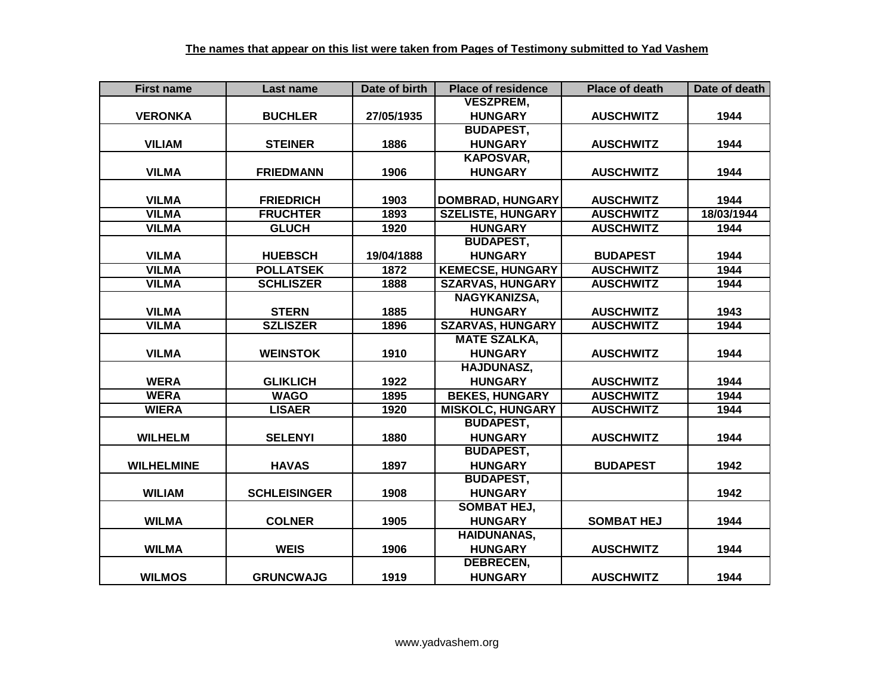| <b>First name</b> | Last name           | Date of birth | <b>Place of residence</b> | <b>Place of death</b> | Date of death |
|-------------------|---------------------|---------------|---------------------------|-----------------------|---------------|
|                   |                     |               | <b>VESZPREM,</b>          |                       |               |
| <b>VERONKA</b>    | <b>BUCHLER</b>      | 27/05/1935    | <b>HUNGARY</b>            | <b>AUSCHWITZ</b>      | 1944          |
|                   |                     |               | <b>BUDAPEST,</b>          |                       |               |
| <b>VILIAM</b>     | <b>STEINER</b>      | 1886          | <b>HUNGARY</b>            | <b>AUSCHWITZ</b>      | 1944          |
|                   |                     |               | <b>KAPOSVAR,</b>          |                       |               |
| <b>VILMA</b>      | <b>FRIEDMANN</b>    | 1906          | <b>HUNGARY</b>            | <b>AUSCHWITZ</b>      | 1944          |
|                   |                     |               |                           |                       |               |
| <b>VILMA</b>      | <b>FRIEDRICH</b>    | 1903          | <b>DOMBRAD, HUNGARY</b>   | <b>AUSCHWITZ</b>      | 1944          |
| <b>VILMA</b>      | <b>FRUCHTER</b>     | 1893          | <b>SZELISTE, HUNGARY</b>  | <b>AUSCHWITZ</b>      | 18/03/1944    |
| <b>VILMA</b>      | <b>GLUCH</b>        | 1920          | <b>HUNGARY</b>            | <b>AUSCHWITZ</b>      | 1944          |
|                   |                     |               | <b>BUDAPEST,</b>          |                       |               |
| <b>VILMA</b>      | <b>HUEBSCH</b>      | 19/04/1888    | <b>HUNGARY</b>            | <b>BUDAPEST</b>       | 1944          |
| <b>VILMA</b>      | <b>POLLATSEK</b>    | 1872          | <b>KEMECSE, HUNGARY</b>   | <b>AUSCHWITZ</b>      | 1944          |
| <b>VILMA</b>      | <b>SCHLISZER</b>    | 1888          | <b>SZARVAS, HUNGARY</b>   | <b>AUSCHWITZ</b>      | 1944          |
|                   |                     |               | NAGYKANIZSA,              |                       |               |
| <b>VILMA</b>      | <b>STERN</b>        | 1885          | <b>HUNGARY</b>            | <b>AUSCHWITZ</b>      | 1943          |
| <b>VILMA</b>      | <b>SZLISZER</b>     | 1896          | <b>SZARVAS, HUNGARY</b>   | <b>AUSCHWITZ</b>      | 1944          |
|                   |                     |               | <b>MATE SZALKA,</b>       |                       |               |
| <b>VILMA</b>      | <b>WEINSTOK</b>     | 1910          | <b>HUNGARY</b>            | <b>AUSCHWITZ</b>      | 1944          |
|                   |                     |               | <b>HAJDUNASZ,</b>         |                       |               |
| <b>WERA</b>       | <b>GLIKLICH</b>     | 1922          | <b>HUNGARY</b>            | <b>AUSCHWITZ</b>      | 1944          |
| <b>WERA</b>       | <b>WAGO</b>         | 1895          | <b>BEKES, HUNGARY</b>     | <b>AUSCHWITZ</b>      | 1944          |
| <b>WIERA</b>      | <b>LISAER</b>       | 1920          | <b>MISKOLC, HUNGARY</b>   | <b>AUSCHWITZ</b>      | 1944          |
|                   |                     |               | <b>BUDAPEST,</b>          |                       |               |
| <b>WILHELM</b>    | <b>SELENYI</b>      | 1880          | <b>HUNGARY</b>            | <b>AUSCHWITZ</b>      | 1944          |
|                   |                     |               | <b>BUDAPEST,</b>          |                       |               |
| <b>WILHELMINE</b> | <b>HAVAS</b>        | 1897          | <b>HUNGARY</b>            | <b>BUDAPEST</b>       | 1942          |
|                   |                     |               | <b>BUDAPEST,</b>          |                       |               |
| <b>WILIAM</b>     | <b>SCHLEISINGER</b> | 1908          | <b>HUNGARY</b>            |                       | 1942          |
|                   |                     |               | <b>SOMBAT HEJ,</b>        |                       |               |
| <b>WILMA</b>      | <b>COLNER</b>       | 1905          | <b>HUNGARY</b>            | <b>SOMBAT HEJ</b>     | 1944          |
|                   |                     |               | <b>HAIDUNANAS,</b>        |                       |               |
| <b>WILMA</b>      | <b>WEIS</b>         | 1906          | <b>HUNGARY</b>            | <b>AUSCHWITZ</b>      | 1944          |
|                   |                     |               | DEBRECEN,                 |                       |               |
| <b>WILMOS</b>     | <b>GRUNCWAJG</b>    | 1919          | <b>HUNGARY</b>            | <b>AUSCHWITZ</b>      | 1944          |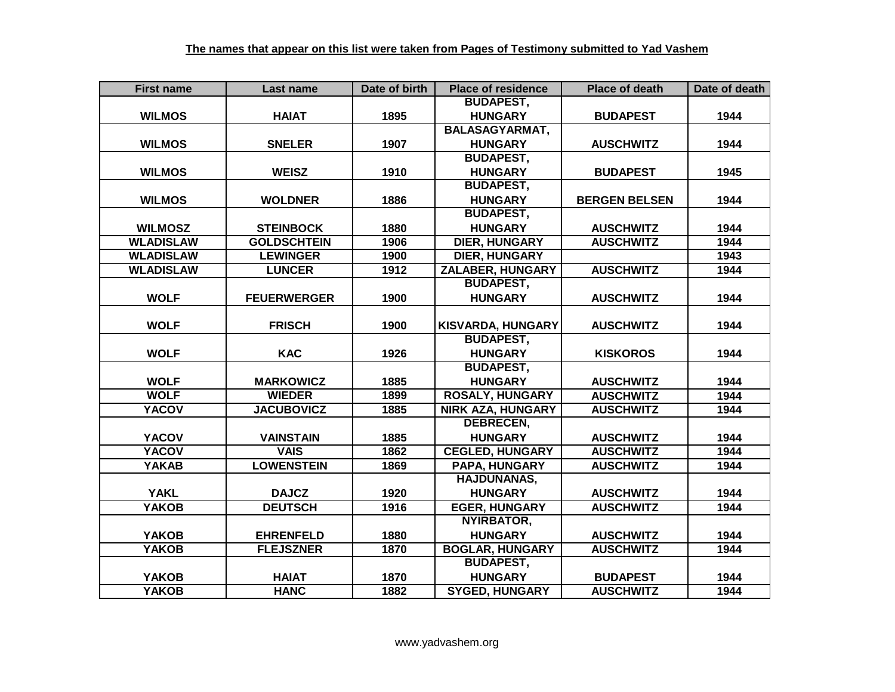| <b>First name</b> | Last name          | Date of birth | <b>Place of residence</b> | <b>Place of death</b> | Date of death |
|-------------------|--------------------|---------------|---------------------------|-----------------------|---------------|
|                   |                    |               | <b>BUDAPEST,</b>          |                       |               |
| <b>WILMOS</b>     | <b>HAIAT</b>       | 1895          | <b>HUNGARY</b>            | <b>BUDAPEST</b>       | 1944          |
|                   |                    |               | <b>BALASAGYARMAT,</b>     |                       |               |
| <b>WILMOS</b>     | <b>SNELER</b>      | 1907          | <b>HUNGARY</b>            | <b>AUSCHWITZ</b>      | 1944          |
|                   |                    |               | <b>BUDAPEST,</b>          |                       |               |
| <b>WILMOS</b>     | <b>WEISZ</b>       | 1910          | <b>HUNGARY</b>            | <b>BUDAPEST</b>       | 1945          |
|                   |                    |               | <b>BUDAPEST,</b>          |                       |               |
| <b>WILMOS</b>     | <b>WOLDNER</b>     | 1886          | <b>HUNGARY</b>            | <b>BERGEN BELSEN</b>  | 1944          |
|                   |                    |               | <b>BUDAPEST,</b>          |                       |               |
| <b>WILMOSZ</b>    | <b>STEINBOCK</b>   | 1880          | <b>HUNGARY</b>            | <b>AUSCHWITZ</b>      | 1944          |
| <b>WLADISLAW</b>  | <b>GOLDSCHTEIN</b> | 1906          | <b>DIER, HUNGARY</b>      | <b>AUSCHWITZ</b>      | 1944          |
| <b>WLADISLAW</b>  | <b>LEWINGER</b>    | 1900          | <b>DIER, HUNGARY</b>      |                       | 1943          |
| <b>WLADISLAW</b>  | <b>LUNCER</b>      | 1912          | ZALABER, HUNGARY          | <b>AUSCHWITZ</b>      | 1944          |
|                   |                    |               | <b>BUDAPEST,</b>          |                       |               |
| <b>WOLF</b>       | <b>FEUERWERGER</b> | 1900          | <b>HUNGARY</b>            | <b>AUSCHWITZ</b>      | 1944          |
|                   |                    |               |                           |                       |               |
| <b>WOLF</b>       | <b>FRISCH</b>      | 1900          | <b>KISVARDA, HUNGARY</b>  | <b>AUSCHWITZ</b>      | 1944          |
|                   |                    |               | <b>BUDAPEST,</b>          |                       |               |
| <b>WOLF</b>       | <b>KAC</b>         | 1926          | <b>HUNGARY</b>            | <b>KISKOROS</b>       | 1944          |
|                   |                    |               | <b>BUDAPEST,</b>          |                       |               |
| <b>WOLF</b>       | <b>MARKOWICZ</b>   | 1885          | <b>HUNGARY</b>            | <b>AUSCHWITZ</b>      | 1944          |
| <b>WOLF</b>       | <b>WIEDER</b>      | 1899          | <b>ROSALY, HUNGARY</b>    | <b>AUSCHWITZ</b>      | 1944          |
| <b>YACOV</b>      | <b>JACUBOVICZ</b>  | 1885          | <b>NIRK AZA, HUNGARY</b>  | <b>AUSCHWITZ</b>      | 1944          |
|                   |                    |               | <b>DEBRECEN,</b>          |                       |               |
| <b>YACOV</b>      | <b>VAINSTAIN</b>   | 1885          | <b>HUNGARY</b>            | <b>AUSCHWITZ</b>      | 1944          |
| <b>YACOV</b>      | <b>VAIS</b>        | 1862          | <b>CEGLED, HUNGARY</b>    | <b>AUSCHWITZ</b>      | 1944          |
| <b>YAKAB</b>      | <b>LOWENSTEIN</b>  | 1869          | PAPA, HUNGARY             | <b>AUSCHWITZ</b>      | 1944          |
|                   |                    |               | <b>HAJDUNANAS,</b>        |                       |               |
| <b>YAKL</b>       | <b>DAJCZ</b>       | 1920          | <b>HUNGARY</b>            | <b>AUSCHWITZ</b>      | 1944          |
| <b>YAKOB</b>      | <b>DEUTSCH</b>     | 1916          | <b>EGER, HUNGARY</b>      | <b>AUSCHWITZ</b>      | 1944          |
|                   |                    |               | <b>NYIRBATOR,</b>         |                       |               |
| <b>YAKOB</b>      | <b>EHRENFELD</b>   | 1880          | <b>HUNGARY</b>            | <b>AUSCHWITZ</b>      | 1944          |
| <b>YAKOB</b>      | <b>FLEJSZNER</b>   | 1870          | <b>BOGLAR, HUNGARY</b>    | <b>AUSCHWITZ</b>      | 1944          |
|                   |                    |               | <b>BUDAPEST,</b>          |                       |               |
| <b>YAKOB</b>      | <b>HAIAT</b>       | 1870          | <b>HUNGARY</b>            | <b>BUDAPEST</b>       | 1944          |
| <b>YAKOB</b>      | <b>HANC</b>        | 1882          | <b>SYGED, HUNGARY</b>     | <b>AUSCHWITZ</b>      | 1944          |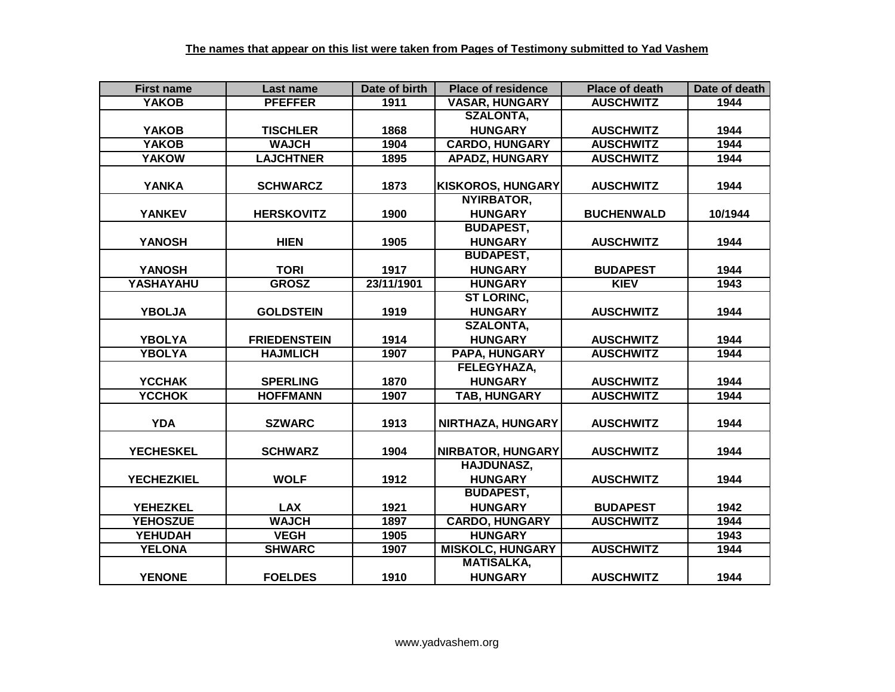| <b>First name</b> | Last name           | Date of birth | <b>Place of residence</b> | <b>Place of death</b> | Date of death |
|-------------------|---------------------|---------------|---------------------------|-----------------------|---------------|
| <b>YAKOB</b>      | <b>PFEFFER</b>      | 1911          | <b>VASAR, HUNGARY</b>     | <b>AUSCHWITZ</b>      | 1944          |
|                   |                     |               | <b>SZALONTA,</b>          |                       |               |
| <b>YAKOB</b>      | <b>TISCHLER</b>     | 1868          | <b>HUNGARY</b>            | <b>AUSCHWITZ</b>      | 1944          |
| <b>YAKOB</b>      | <b>WAJCH</b>        | 1904          | <b>CARDO, HUNGARY</b>     | <b>AUSCHWITZ</b>      | 1944          |
| <b>YAKOW</b>      | <b>LAJCHTNER</b>    | 1895          | <b>APADZ, HUNGARY</b>     | <b>AUSCHWITZ</b>      | 1944          |
|                   |                     |               |                           |                       |               |
| <b>YANKA</b>      | <b>SCHWARCZ</b>     | 1873          | <b>KISKOROS, HUNGARY</b>  | <b>AUSCHWITZ</b>      | 1944          |
|                   |                     |               | <b>NYIRBATOR,</b>         |                       |               |
| <b>YANKEV</b>     | <b>HERSKOVITZ</b>   | 1900          | <b>HUNGARY</b>            | <b>BUCHENWALD</b>     | 10/1944       |
|                   |                     |               | <b>BUDAPEST,</b>          |                       |               |
| <b>YANOSH</b>     | <b>HIEN</b>         | 1905          | <b>HUNGARY</b>            | <b>AUSCHWITZ</b>      | 1944          |
|                   |                     |               | <b>BUDAPEST,</b>          |                       |               |
| <b>YANOSH</b>     | <b>TORI</b>         | 1917          | <b>HUNGARY</b>            | <b>BUDAPEST</b>       | 1944          |
| YASHAYAHU         | <b>GROSZ</b>        | 23/11/1901    | <b>HUNGARY</b>            | <b>KIEV</b>           | 1943          |
|                   |                     |               | ST LORINC,                |                       |               |
| <b>YBOLJA</b>     | <b>GOLDSTEIN</b>    | 1919          | <b>HUNGARY</b>            | <b>AUSCHWITZ</b>      | 1944          |
|                   |                     |               | <b>SZALONTA,</b>          |                       |               |
| <b>YBOLYA</b>     | <b>FRIEDENSTEIN</b> | 1914          | <b>HUNGARY</b>            | <b>AUSCHWITZ</b>      | 1944          |
| <b>YBOLYA</b>     | <b>HAJMLICH</b>     | 1907          | PAPA, HUNGARY             | <b>AUSCHWITZ</b>      | 1944          |
|                   |                     |               | FELEGYHAZA,               |                       |               |
| <b>YCCHAK</b>     | <b>SPERLING</b>     | 1870          | <b>HUNGARY</b>            | <b>AUSCHWITZ</b>      | 1944          |
| <b>YCCHOK</b>     | <b>HOFFMANN</b>     | 1907          | <b>TAB, HUNGARY</b>       | <b>AUSCHWITZ</b>      | 1944          |
|                   |                     |               |                           |                       |               |
| <b>YDA</b>        | <b>SZWARC</b>       | 1913          | NIRTHAZA, HUNGARY         | <b>AUSCHWITZ</b>      | 1944          |
|                   |                     |               |                           |                       |               |
| <b>YECHESKEL</b>  | <b>SCHWARZ</b>      | 1904          | <b>NIRBATOR, HUNGARY</b>  | <b>AUSCHWITZ</b>      | 1944          |
|                   |                     |               | <b>HAJDUNASZ,</b>         |                       |               |
| <b>YECHEZKIEL</b> | <b>WOLF</b>         | 1912          | <b>HUNGARY</b>            | <b>AUSCHWITZ</b>      | 1944          |
|                   |                     |               | <b>BUDAPEST,</b>          |                       |               |
| <b>YEHEZKEL</b>   | <b>LAX</b>          | 1921          | <b>HUNGARY</b>            | <b>BUDAPEST</b>       | 1942          |
| <b>YEHOSZUE</b>   | <b>WAJCH</b>        | 1897          | <b>CARDO, HUNGARY</b>     | <b>AUSCHWITZ</b>      | 1944          |
| <b>YEHUDAH</b>    | <b>VEGH</b>         | 1905          | <b>HUNGARY</b>            |                       | 1943          |
| <b>YELONA</b>     | <b>SHWARC</b>       | 1907          | <b>MISKOLC, HUNGARY</b>   | <b>AUSCHWITZ</b>      | 1944          |
|                   |                     |               | <b>MATISALKA,</b>         |                       |               |
| <b>YENONE</b>     | <b>FOELDES</b>      | 1910          | <b>HUNGARY</b>            | <b>AUSCHWITZ</b>      | 1944          |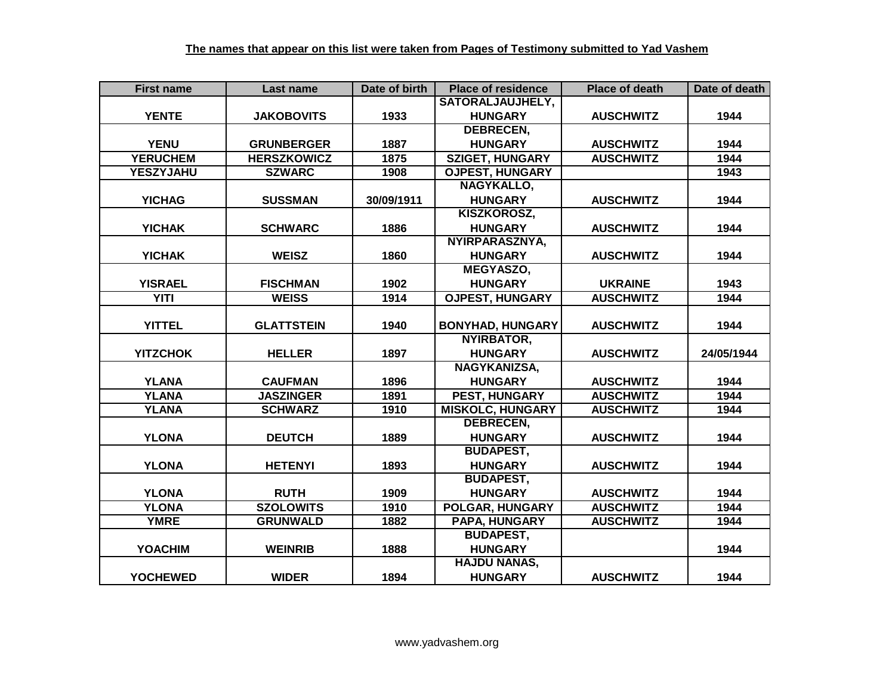| <b>First name</b> | Last name          | Date of birth | <b>Place of residence</b> | <b>Place of death</b> | Date of death |
|-------------------|--------------------|---------------|---------------------------|-----------------------|---------------|
|                   |                    |               | SATORALJAUJHELY,          |                       |               |
| <b>YENTE</b>      | <b>JAKOBOVITS</b>  | 1933          | <b>HUNGARY</b>            | <b>AUSCHWITZ</b>      | 1944          |
|                   |                    |               | <b>DEBRECEN,</b>          |                       |               |
| <b>YENU</b>       | <b>GRUNBERGER</b>  | 1887          | <b>HUNGARY</b>            | <b>AUSCHWITZ</b>      | 1944          |
| <b>YERUCHEM</b>   | <b>HERSZKOWICZ</b> | 1875          | <b>SZIGET, HUNGARY</b>    | <b>AUSCHWITZ</b>      | 1944          |
| <b>YESZYJAHU</b>  | <b>SZWARC</b>      | 1908          | <b>OJPEST, HUNGARY</b>    |                       | 1943          |
|                   |                    |               | NAGYKALLO,                |                       |               |
| <b>YICHAG</b>     | <b>SUSSMAN</b>     | 30/09/1911    | <b>HUNGARY</b>            | <b>AUSCHWITZ</b>      | 1944          |
|                   |                    |               | <b>KISZKOROSZ,</b>        |                       |               |
| <b>YICHAK</b>     | <b>SCHWARC</b>     | 1886          | <b>HUNGARY</b>            | <b>AUSCHWITZ</b>      | 1944          |
|                   |                    |               | NYIRPARASZNYA,            |                       |               |
| <b>YICHAK</b>     | <b>WEISZ</b>       | 1860          | <b>HUNGARY</b>            | <b>AUSCHWITZ</b>      | 1944          |
|                   |                    |               | MEGYASZO,                 |                       |               |
| <b>YISRAEL</b>    | <b>FISCHMAN</b>    | 1902          | <b>HUNGARY</b>            | <b>UKRAINE</b>        | 1943          |
| <b>YITI</b>       | <b>WEISS</b>       | 1914          | <b>OJPEST, HUNGARY</b>    | <b>AUSCHWITZ</b>      | 1944          |
|                   |                    |               |                           |                       |               |
| <b>YITTEL</b>     | <b>GLATTSTEIN</b>  | 1940          | <b>BONYHAD, HUNGARY</b>   | <b>AUSCHWITZ</b>      | 1944          |
|                   |                    |               | <b>NYIRBATOR,</b>         |                       |               |
| <b>YITZCHOK</b>   | <b>HELLER</b>      | 1897          | <b>HUNGARY</b>            | <b>AUSCHWITZ</b>      | 24/05/1944    |
|                   |                    |               | NAGYKANIZSA,              |                       |               |
| <b>YLANA</b>      | <b>CAUFMAN</b>     | 1896          | <b>HUNGARY</b>            | <b>AUSCHWITZ</b>      | 1944          |
| <b>YLANA</b>      | <b>JASZINGER</b>   | 1891          | <b>PEST, HUNGARY</b>      | <b>AUSCHWITZ</b>      | 1944          |
| <b>YLANA</b>      | <b>SCHWARZ</b>     | 1910          | <b>MISKOLC, HUNGARY</b>   | <b>AUSCHWITZ</b>      | 1944          |
|                   |                    |               | <b>DEBRECEN,</b>          |                       |               |
| <b>YLONA</b>      | <b>DEUTCH</b>      | 1889          | <b>HUNGARY</b>            | <b>AUSCHWITZ</b>      | 1944          |
|                   |                    |               | <b>BUDAPEST,</b>          |                       |               |
| <b>YLONA</b>      | <b>HETENYI</b>     | 1893          | <b>HUNGARY</b>            | <b>AUSCHWITZ</b>      | 1944          |
|                   |                    |               | <b>BUDAPEST,</b>          |                       |               |
| <b>YLONA</b>      | <b>RUTH</b>        | 1909          | <b>HUNGARY</b>            | <b>AUSCHWITZ</b>      | 1944          |
| <b>YLONA</b>      | <b>SZOLOWITS</b>   | 1910          | POLGAR, HUNGARY           | <b>AUSCHWITZ</b>      | 1944          |
| <b>YMRE</b>       | <b>GRUNWALD</b>    | 1882          | PAPA, HUNGARY             | <b>AUSCHWITZ</b>      | 1944          |
|                   |                    |               | <b>BUDAPEST,</b>          |                       |               |
| <b>YOACHIM</b>    | <b>WEINRIB</b>     | 1888          | <b>HUNGARY</b>            |                       | 1944          |
|                   |                    |               | <b>HAJDU NANAS,</b>       |                       |               |
| <b>YOCHEWED</b>   | <b>WIDER</b>       | 1894          | <b>HUNGARY</b>            | <b>AUSCHWITZ</b>      | 1944          |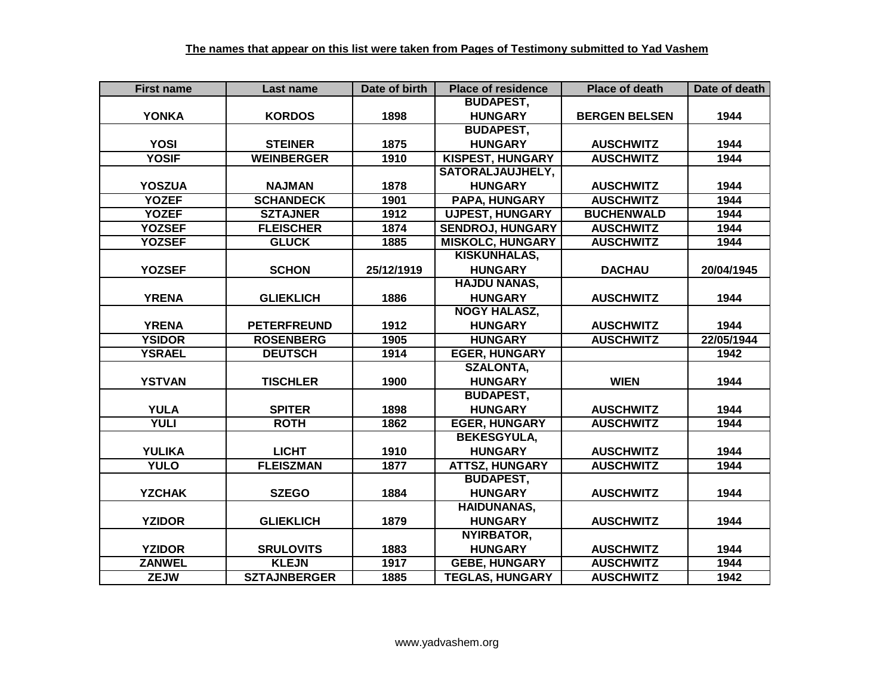| <b>First name</b> | Last name           | Date of birth | <b>Place of residence</b> | <b>Place of death</b> | Date of death |
|-------------------|---------------------|---------------|---------------------------|-----------------------|---------------|
|                   |                     |               | <b>BUDAPEST,</b>          |                       |               |
| <b>YONKA</b>      | <b>KORDOS</b>       | 1898          | <b>HUNGARY</b>            | <b>BERGEN BELSEN</b>  | 1944          |
|                   |                     |               | <b>BUDAPEST,</b>          |                       |               |
| <b>YOSI</b>       | <b>STEINER</b>      | 1875          | <b>HUNGARY</b>            | <b>AUSCHWITZ</b>      | 1944          |
| <b>YOSIF</b>      | <b>WEINBERGER</b>   | 1910          | <b>KISPEST, HUNGARY</b>   | <b>AUSCHWITZ</b>      | 1944          |
|                   |                     |               | SATORALJAUJHELY,          |                       |               |
| <b>YOSZUA</b>     | <b>NAJMAN</b>       | 1878          | <b>HUNGARY</b>            | <b>AUSCHWITZ</b>      | 1944          |
| <b>YOZEF</b>      | <b>SCHANDECK</b>    | 1901          | PAPA, HUNGARY             | <b>AUSCHWITZ</b>      | 1944          |
| <b>YOZEF</b>      | <b>SZTAJNER</b>     | 1912          | <b>UJPEST, HUNGARY</b>    | <b>BUCHENWALD</b>     | 1944          |
| <b>YOZSEF</b>     | <b>FLEISCHER</b>    | 1874          | <b>SENDROJ, HUNGARY</b>   | <b>AUSCHWITZ</b>      | 1944          |
| <b>YOZSEF</b>     | <b>GLUCK</b>        | 1885          | <b>MISKOLC, HUNGARY</b>   | <b>AUSCHWITZ</b>      | 1944          |
|                   |                     |               | <b>KISKUNHALAS,</b>       |                       |               |
| <b>YOZSEF</b>     | <b>SCHON</b>        | 25/12/1919    | <b>HUNGARY</b>            | <b>DACHAU</b>         | 20/04/1945    |
|                   |                     |               | <b>HAJDU NANAS,</b>       |                       |               |
| <b>YRENA</b>      | <b>GLIEKLICH</b>    | 1886          | <b>HUNGARY</b>            | <b>AUSCHWITZ</b>      | 1944          |
|                   |                     |               | <b>NOGY HALASZ,</b>       |                       |               |
| <b>YRENA</b>      | <b>PETERFREUND</b>  | 1912          | <b>HUNGARY</b>            | <b>AUSCHWITZ</b>      | 1944          |
| <b>YSIDOR</b>     | <b>ROSENBERG</b>    | 1905          | <b>HUNGARY</b>            | <b>AUSCHWITZ</b>      | 22/05/1944    |
| <b>YSRAEL</b>     | <b>DEUTSCH</b>      | 1914          | <b>EGER, HUNGARY</b>      |                       | 1942          |
|                   |                     |               | <b>SZALONTA,</b>          |                       |               |
| <b>YSTVAN</b>     | <b>TISCHLER</b>     | 1900          | <b>HUNGARY</b>            | <b>WIEN</b>           | 1944          |
|                   |                     |               | <b>BUDAPEST,</b>          |                       |               |
| <b>YULA</b>       | <b>SPITER</b>       | 1898          | <b>HUNGARY</b>            | <b>AUSCHWITZ</b>      | 1944          |
| <b>YULI</b>       | <b>ROTH</b>         | 1862          | <b>EGER, HUNGARY</b>      | <b>AUSCHWITZ</b>      | 1944          |
|                   |                     |               | <b>BEKESGYULA,</b>        |                       |               |
| <b>YULIKA</b>     | <b>LICHT</b>        | 1910          | <b>HUNGARY</b>            | <b>AUSCHWITZ</b>      | 1944          |
| <b>YULO</b>       | <b>FLEISZMAN</b>    | 1877          | <b>ATTSZ, HUNGARY</b>     | <b>AUSCHWITZ</b>      | 1944          |
|                   |                     |               | <b>BUDAPEST,</b>          |                       |               |
| <b>YZCHAK</b>     | <b>SZEGO</b>        | 1884          | <b>HUNGARY</b>            | <b>AUSCHWITZ</b>      | 1944          |
|                   |                     |               | <b>HAIDUNANAS,</b>        |                       |               |
| <b>YZIDOR</b>     | <b>GLIEKLICH</b>    | 1879          | <b>HUNGARY</b>            | <b>AUSCHWITZ</b>      | 1944          |
|                   |                     |               | <b>NYIRBATOR,</b>         |                       |               |
| <b>YZIDOR</b>     | <b>SRULOVITS</b>    | 1883          | <b>HUNGARY</b>            | <b>AUSCHWITZ</b>      | 1944          |
| <b>ZANWEL</b>     | <b>KLEJN</b>        | 1917          | <b>GEBE, HUNGARY</b>      | <b>AUSCHWITZ</b>      | 1944          |
| <b>ZEJW</b>       | <b>SZTAJNBERGER</b> | 1885          | <b>TEGLAS, HUNGARY</b>    | <b>AUSCHWITZ</b>      | 1942          |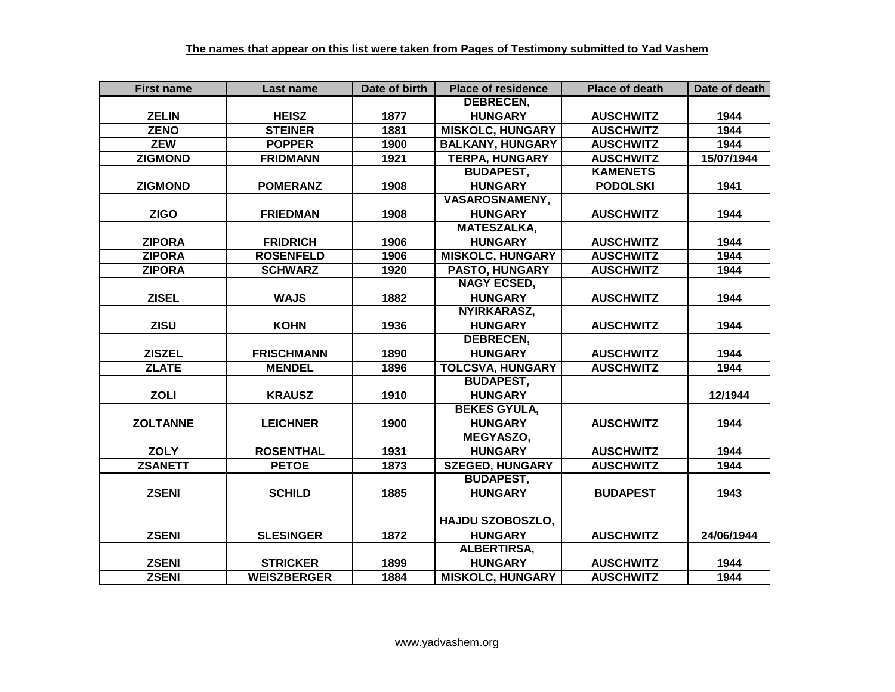| <b>First name</b> | Last name          | Date of birth | <b>Place of residence</b> | <b>Place of death</b> | Date of death |
|-------------------|--------------------|---------------|---------------------------|-----------------------|---------------|
|                   |                    |               | <b>DEBRECEN,</b>          |                       |               |
| <b>ZELIN</b>      | <b>HEISZ</b>       | 1877          | <b>HUNGARY</b>            | <b>AUSCHWITZ</b>      | 1944          |
| <b>ZENO</b>       | <b>STEINER</b>     | 1881          | <b>MISKOLC, HUNGARY</b>   | <b>AUSCHWITZ</b>      | 1944          |
| <b>ZEW</b>        | <b>POPPER</b>      | 1900          | <b>BALKANY, HUNGARY</b>   | <b>AUSCHWITZ</b>      | 1944          |
| <b>ZIGMOND</b>    | <b>FRIDMANN</b>    | 1921          | <b>TERPA, HUNGARY</b>     | <b>AUSCHWITZ</b>      | 15/07/1944    |
|                   |                    |               | <b>BUDAPEST,</b>          | <b>KAMENETS</b>       |               |
| <b>ZIGMOND</b>    | <b>POMERANZ</b>    | 1908          | <b>HUNGARY</b>            | <b>PODOLSKI</b>       | 1941          |
|                   |                    |               | <b>VASAROSNAMENY,</b>     |                       |               |
| <b>ZIGO</b>       | <b>FRIEDMAN</b>    | 1908          | <b>HUNGARY</b>            | <b>AUSCHWITZ</b>      | 1944          |
|                   |                    |               | <b>MATESZALKA,</b>        |                       |               |
| <b>ZIPORA</b>     | <b>FRIDRICH</b>    | 1906          | <b>HUNGARY</b>            | <b>AUSCHWITZ</b>      | 1944          |
| <b>ZIPORA</b>     | <b>ROSENFELD</b>   | 1906          | <b>MISKOLC, HUNGARY</b>   | <b>AUSCHWITZ</b>      | 1944          |
| <b>ZIPORA</b>     | <b>SCHWARZ</b>     | 1920          | <b>PASTO, HUNGARY</b>     | <b>AUSCHWITZ</b>      | 1944          |
|                   |                    |               | <b>NAGY ECSED,</b>        |                       |               |
| <b>ZISEL</b>      | <b>WAJS</b>        | 1882          | <b>HUNGARY</b>            | <b>AUSCHWITZ</b>      | 1944          |
|                   |                    |               | NYIRKARASZ,               |                       |               |
| <b>ZISU</b>       | <b>KOHN</b>        | 1936          | <b>HUNGARY</b>            | <b>AUSCHWITZ</b>      | 1944          |
|                   |                    |               | <b>DEBRECEN,</b>          |                       |               |
| <b>ZISZEL</b>     | <b>FRISCHMANN</b>  | 1890          | <b>HUNGARY</b>            | <b>AUSCHWITZ</b>      | 1944          |
| <b>ZLATE</b>      | <b>MENDEL</b>      | 1896          | <b>TOLCSVA, HUNGARY</b>   | <b>AUSCHWITZ</b>      | 1944          |
|                   |                    |               | <b>BUDAPEST,</b>          |                       |               |
| <b>ZOLI</b>       | <b>KRAUSZ</b>      | 1910          | <b>HUNGARY</b>            |                       | 12/1944       |
|                   |                    |               | <b>BEKES GYULA,</b>       |                       |               |
| <b>ZOLTANNE</b>   | <b>LEICHNER</b>    | 1900          | <b>HUNGARY</b>            | <b>AUSCHWITZ</b>      | 1944          |
|                   |                    |               | <b>MEGYASZO,</b>          |                       |               |
| <b>ZOLY</b>       | <b>ROSENTHAL</b>   | 1931          | <b>HUNGARY</b>            | <b>AUSCHWITZ</b>      | 1944          |
| <b>ZSANETT</b>    | <b>PETOE</b>       | 1873          | <b>SZEGED, HUNGARY</b>    | <b>AUSCHWITZ</b>      | 1944          |
|                   |                    |               | <b>BUDAPEST,</b>          |                       |               |
| <b>ZSENI</b>      | <b>SCHILD</b>      | 1885          | <b>HUNGARY</b>            | <b>BUDAPEST</b>       | 1943          |
|                   |                    |               |                           |                       |               |
|                   |                    |               | <b>HAJDU SZOBOSZLO,</b>   |                       |               |
| <b>ZSENI</b>      | <b>SLESINGER</b>   | 1872          | <b>HUNGARY</b>            | <b>AUSCHWITZ</b>      | 24/06/1944    |
|                   |                    |               | ALBERTIRSA,               |                       |               |
| <b>ZSENI</b>      | <b>STRICKER</b>    | 1899          | <b>HUNGARY</b>            | <b>AUSCHWITZ</b>      | 1944          |
| <b>ZSENI</b>      | <b>WEISZBERGER</b> | 1884          | <b>MISKOLC, HUNGARY</b>   | <b>AUSCHWITZ</b>      | 1944          |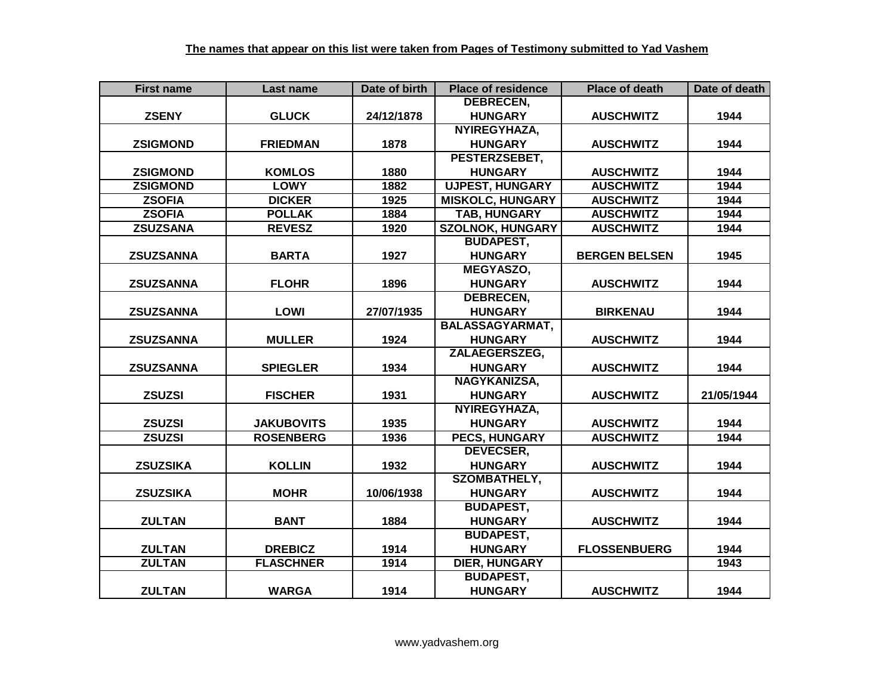| <b>First name</b> | Last name         | Date of birth | <b>Place of residence</b> | <b>Place of death</b> | Date of death |
|-------------------|-------------------|---------------|---------------------------|-----------------------|---------------|
|                   |                   |               | <b>DEBRECEN,</b>          |                       |               |
| <b>ZSENY</b>      | <b>GLUCK</b>      | 24/12/1878    | <b>HUNGARY</b>            | <b>AUSCHWITZ</b>      | 1944          |
|                   |                   |               | NYIREGYHAZA,              |                       |               |
| <b>ZSIGMOND</b>   | <b>FRIEDMAN</b>   | 1878          | <b>HUNGARY</b>            | <b>AUSCHWITZ</b>      | 1944          |
|                   |                   |               | PESTERZSEBET,             |                       |               |
| <b>ZSIGMOND</b>   | <b>KOMLOS</b>     | 1880          | <b>HUNGARY</b>            | <b>AUSCHWITZ</b>      | 1944          |
| <b>ZSIGMOND</b>   | <b>LOWY</b>       | 1882          | <b>UJPEST, HUNGARY</b>    | <b>AUSCHWITZ</b>      | 1944          |
| <b>ZSOFIA</b>     | <b>DICKER</b>     | 1925          | <b>MISKOLC, HUNGARY</b>   | <b>AUSCHWITZ</b>      | 1944          |
| <b>ZSOFIA</b>     | <b>POLLAK</b>     | 1884          | <b>TAB, HUNGARY</b>       | <b>AUSCHWITZ</b>      | 1944          |
| <b>ZSUZSANA</b>   | <b>REVESZ</b>     | 1920          | <b>SZOLNOK, HUNGARY</b>   | <b>AUSCHWITZ</b>      | 1944          |
|                   |                   |               | <b>BUDAPEST,</b>          |                       |               |
| <b>ZSUZSANNA</b>  | <b>BARTA</b>      | 1927          | <b>HUNGARY</b>            | <b>BERGEN BELSEN</b>  | 1945          |
|                   |                   |               | MEGYASZO,                 |                       |               |
| <b>ZSUZSANNA</b>  | <b>FLOHR</b>      | 1896          | <b>HUNGARY</b>            | <b>AUSCHWITZ</b>      | 1944          |
|                   |                   |               | <b>DEBRECEN,</b>          |                       |               |
| <b>ZSUZSANNA</b>  | <b>LOWI</b>       | 27/07/1935    | <b>HUNGARY</b>            | <b>BIRKENAU</b>       | 1944          |
|                   |                   |               | <b>BALASSAGYARMAT,</b>    |                       |               |
| <b>ZSUZSANNA</b>  | <b>MULLER</b>     | 1924          | <b>HUNGARY</b>            | <b>AUSCHWITZ</b>      | 1944          |
|                   |                   |               | <b>ZALAEGERSZEG,</b>      |                       |               |
| <b>ZSUZSANNA</b>  | <b>SPIEGLER</b>   | 1934          | <b>HUNGARY</b>            | <b>AUSCHWITZ</b>      | 1944          |
|                   |                   |               | NAGYKANIZSA,              |                       |               |
| <b>ZSUZSI</b>     | <b>FISCHER</b>    | 1931          | <b>HUNGARY</b>            | <b>AUSCHWITZ</b>      | 21/05/1944    |
|                   |                   |               | NYIREGYHAZA,              |                       |               |
| <b>ZSUZSI</b>     | <b>JAKUBOVITS</b> | 1935          | <b>HUNGARY</b>            | <b>AUSCHWITZ</b>      | 1944          |
| <b>ZSUZSI</b>     | <b>ROSENBERG</b>  | 1936          | <b>PECS, HUNGARY</b>      | <b>AUSCHWITZ</b>      | 1944          |
|                   |                   |               | <b>DEVECSER,</b>          |                       |               |
| <b>ZSUZSIKA</b>   | <b>KOLLIN</b>     | 1932          | <b>HUNGARY</b>            | <b>AUSCHWITZ</b>      | 1944          |
|                   |                   |               | <b>SZOMBATHELY,</b>       |                       |               |
| <b>ZSUZSIKA</b>   | <b>MOHR</b>       | 10/06/1938    | <b>HUNGARY</b>            | <b>AUSCHWITZ</b>      | 1944          |
|                   |                   |               | <b>BUDAPEST,</b>          |                       |               |
| <b>ZULTAN</b>     | <b>BANT</b>       | 1884          | <b>HUNGARY</b>            | <b>AUSCHWITZ</b>      | 1944          |
|                   |                   |               | <b>BUDAPEST,</b>          |                       |               |
| <b>ZULTAN</b>     | <b>DREBICZ</b>    | 1914          | <b>HUNGARY</b>            | <b>FLOSSENBUERG</b>   | 1944          |
| <b>ZULTAN</b>     | <b>FLASCHNER</b>  | 1914          | <b>DIER, HUNGARY</b>      |                       | 1943          |
|                   |                   |               | <b>BUDAPEST,</b>          |                       |               |
| <b>ZULTAN</b>     | <b>WARGA</b>      | 1914          | <b>HUNGARY</b>            | <b>AUSCHWITZ</b>      | 1944          |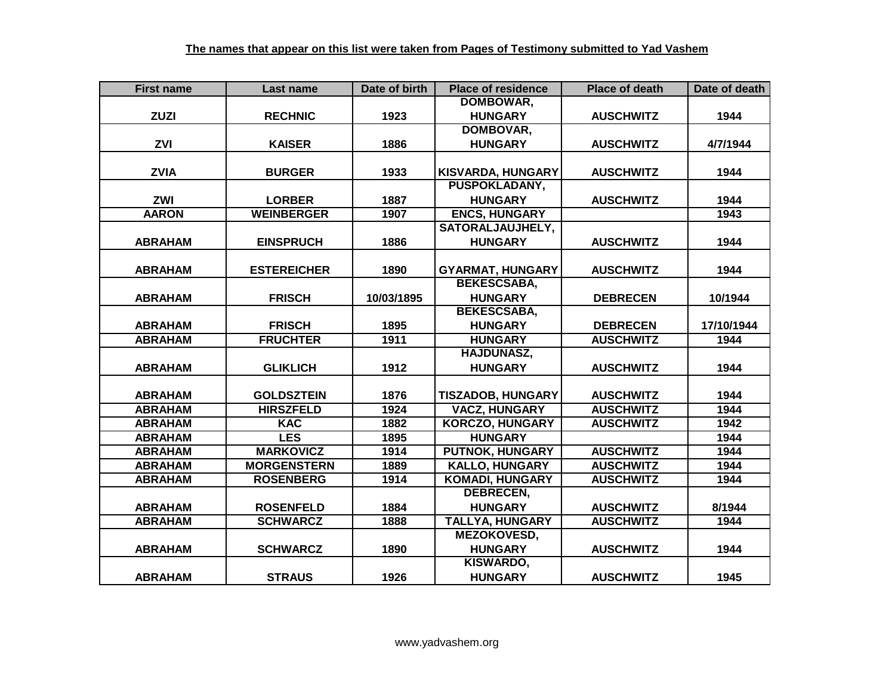| <b>First name</b> | Last name          | Date of birth | <b>Place of residence</b> | <b>Place of death</b> | Date of death |
|-------------------|--------------------|---------------|---------------------------|-----------------------|---------------|
|                   |                    |               | DOMBOWAR,                 |                       |               |
| <b>ZUZI</b>       | <b>RECHNIC</b>     | 1923          | <b>HUNGARY</b>            | <b>AUSCHWITZ</b>      | 1944          |
|                   |                    |               | <b>DOMBOVAR,</b>          |                       |               |
| ZVI               | <b>KAISER</b>      | 1886          | <b>HUNGARY</b>            | <b>AUSCHWITZ</b>      | 4/7/1944      |
|                   |                    |               |                           |                       |               |
| <b>ZVIA</b>       | <b>BURGER</b>      | 1933          | <b>KISVARDA, HUNGARY</b>  | <b>AUSCHWITZ</b>      | 1944          |
|                   |                    |               | <b>PUSPOKLADANY,</b>      |                       |               |
| <b>ZWI</b>        | <b>LORBER</b>      | 1887          | <b>HUNGARY</b>            | <b>AUSCHWITZ</b>      | 1944          |
| <b>AARON</b>      | <b>WEINBERGER</b>  | 1907          | <b>ENCS, HUNGARY</b>      |                       | 1943          |
|                   |                    |               | SATORALJAUJHELY,          |                       |               |
| <b>ABRAHAM</b>    | <b>EINSPRUCH</b>   | 1886          | <b>HUNGARY</b>            | <b>AUSCHWITZ</b>      | 1944          |
|                   |                    |               |                           |                       |               |
| <b>ABRAHAM</b>    | <b>ESTEREICHER</b> | 1890          | <b>GYARMAT, HUNGARY</b>   | <b>AUSCHWITZ</b>      | 1944          |
|                   |                    |               | <b>BEKESCSABA,</b>        |                       |               |
| <b>ABRAHAM</b>    | <b>FRISCH</b>      | 10/03/1895    | <b>HUNGARY</b>            | <b>DEBRECEN</b>       | 10/1944       |
|                   |                    |               | <b>BEKESCSABA,</b>        |                       |               |
| <b>ABRAHAM</b>    | <b>FRISCH</b>      | 1895          | <b>HUNGARY</b>            | <b>DEBRECEN</b>       | 17/10/1944    |
| <b>ABRAHAM</b>    | <b>FRUCHTER</b>    | 1911          | <b>HUNGARY</b>            | <b>AUSCHWITZ</b>      | 1944          |
|                   |                    |               | <b>HAJDUNASZ,</b>         |                       |               |
| <b>ABRAHAM</b>    | <b>GLIKLICH</b>    | 1912          | <b>HUNGARY</b>            | <b>AUSCHWITZ</b>      | 1944          |
|                   |                    |               |                           |                       |               |
| <b>ABRAHAM</b>    | <b>GOLDSZTEIN</b>  | 1876          | <b>TISZADOB, HUNGARY</b>  | <b>AUSCHWITZ</b>      | 1944          |
| <b>ABRAHAM</b>    | <b>HIRSZFELD</b>   | 1924          | <b>VACZ, HUNGARY</b>      | <b>AUSCHWITZ</b>      | 1944          |
| <b>ABRAHAM</b>    | <b>KAC</b>         | 1882          | <b>KORCZO, HUNGARY</b>    | <b>AUSCHWITZ</b>      | 1942          |
| <b>ABRAHAM</b>    | <b>LES</b>         | 1895          | <b>HUNGARY</b>            |                       | 1944          |
| <b>ABRAHAM</b>    | <b>MARKOVICZ</b>   | 1914          | <b>PUTNOK, HUNGARY</b>    | <b>AUSCHWITZ</b>      | 1944          |
| <b>ABRAHAM</b>    | <b>MORGENSTERN</b> | 1889          | <b>KALLO, HUNGARY</b>     | <b>AUSCHWITZ</b>      | 1944          |
| <b>ABRAHAM</b>    | <b>ROSENBERG</b>   | 1914          | <b>KOMADI, HUNGARY</b>    | <b>AUSCHWITZ</b>      | 1944          |
|                   |                    |               | <b>DEBRECEN,</b>          |                       |               |
| <b>ABRAHAM</b>    | <b>ROSENFELD</b>   | 1884          | <b>HUNGARY</b>            | <b>AUSCHWITZ</b>      | 8/1944        |
| <b>ABRAHAM</b>    | <b>SCHWARCZ</b>    | 1888          | <b>TALLYA, HUNGARY</b>    | <b>AUSCHWITZ</b>      | 1944          |
|                   |                    |               | MEZOKOVESD,               |                       |               |
| <b>ABRAHAM</b>    | <b>SCHWARCZ</b>    | 1890          | <b>HUNGARY</b>            | <b>AUSCHWITZ</b>      | 1944          |
|                   |                    |               | KISWARDO,                 |                       |               |
| <b>ABRAHAM</b>    | <b>STRAUS</b>      | 1926          | <b>HUNGARY</b>            | <b>AUSCHWITZ</b>      | 1945          |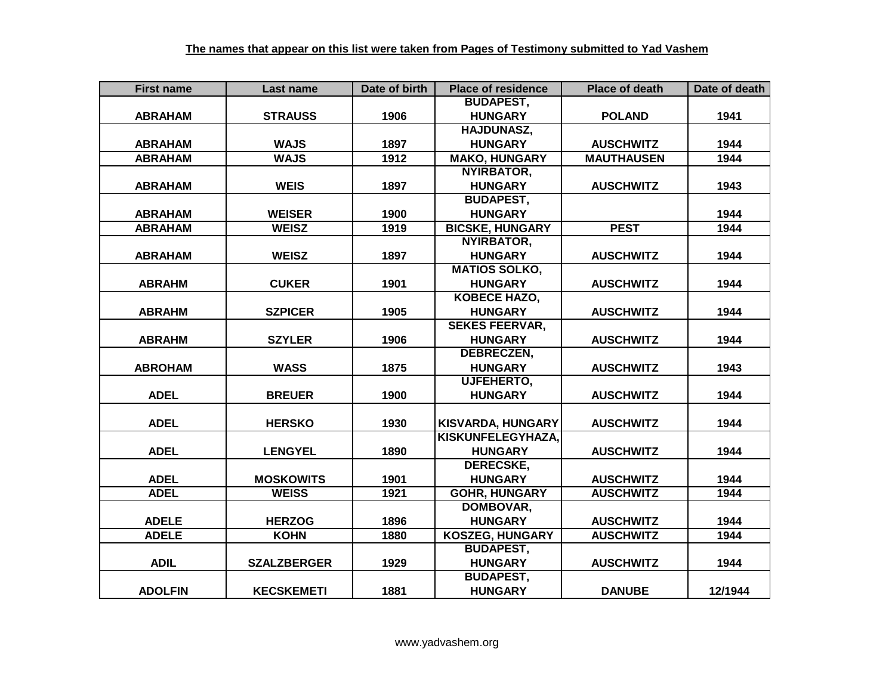| <b>First name</b> | Last name          | Date of birth | <b>Place of residence</b> | <b>Place of death</b> | Date of death |
|-------------------|--------------------|---------------|---------------------------|-----------------------|---------------|
|                   |                    |               | <b>BUDAPEST,</b>          |                       |               |
| <b>ABRAHAM</b>    | <b>STRAUSS</b>     | 1906          | <b>HUNGARY</b>            | <b>POLAND</b>         | 1941          |
|                   |                    |               | <b>HAJDUNASZ,</b>         |                       |               |
| <b>ABRAHAM</b>    | <b>WAJS</b>        | 1897          | <b>HUNGARY</b>            | <b>AUSCHWITZ</b>      | 1944          |
| <b>ABRAHAM</b>    | <b>WAJS</b>        | 1912          | <b>MAKO, HUNGARY</b>      | <b>MAUTHAUSEN</b>     | 1944          |
|                   |                    |               | <b>NYIRBATOR,</b>         |                       |               |
| <b>ABRAHAM</b>    | <b>WEIS</b>        | 1897          | <b>HUNGARY</b>            | <b>AUSCHWITZ</b>      | 1943          |
|                   |                    |               | <b>BUDAPEST,</b>          |                       |               |
| <b>ABRAHAM</b>    | <b>WEISER</b>      | 1900          | <b>HUNGARY</b>            |                       | 1944          |
| <b>ABRAHAM</b>    | <b>WEISZ</b>       | 1919          | <b>BICSKE, HUNGARY</b>    | <b>PEST</b>           | 1944          |
|                   |                    |               | <b>NYIRBATOR,</b>         |                       |               |
| <b>ABRAHAM</b>    | <b>WEISZ</b>       | 1897          | <b>HUNGARY</b>            | <b>AUSCHWITZ</b>      | 1944          |
|                   |                    |               | <b>MATIOS SOLKO,</b>      |                       |               |
| <b>ABRAHM</b>     | <b>CUKER</b>       | 1901          | <b>HUNGARY</b>            | <b>AUSCHWITZ</b>      | 1944          |
|                   |                    |               | <b>KOBECE HAZO,</b>       |                       |               |
| <b>ABRAHM</b>     | <b>SZPICER</b>     | 1905          | <b>HUNGARY</b>            | <b>AUSCHWITZ</b>      | 1944          |
|                   |                    |               | <b>SEKES FEERVAR,</b>     |                       |               |
| <b>ABRAHM</b>     | <b>SZYLER</b>      | 1906          | <b>HUNGARY</b>            | <b>AUSCHWITZ</b>      | 1944          |
|                   |                    |               | <b>DEBRECZEN,</b>         |                       |               |
| <b>ABROHAM</b>    | <b>WASS</b>        | 1875          | <b>HUNGARY</b>            | <b>AUSCHWITZ</b>      | 1943          |
|                   |                    |               | UJFEHERTO,                |                       |               |
| <b>ADEL</b>       | <b>BREUER</b>      | 1900          | <b>HUNGARY</b>            | <b>AUSCHWITZ</b>      | 1944          |
|                   |                    |               |                           |                       |               |
| <b>ADEL</b>       | <b>HERSKO</b>      | 1930          | <b>KISVARDA, HUNGARY</b>  | <b>AUSCHWITZ</b>      | 1944          |
|                   |                    |               | KISKUNFELEGYHAZA,         |                       |               |
| <b>ADEL</b>       | <b>LENGYEL</b>     | 1890          | <b>HUNGARY</b>            | <b>AUSCHWITZ</b>      | 1944          |
|                   |                    |               | <b>DERECSKE,</b>          |                       |               |
| <b>ADEL</b>       | <b>MOSKOWITS</b>   | 1901          | <b>HUNGARY</b>            | <b>AUSCHWITZ</b>      | 1944          |
| <b>ADEL</b>       | <b>WEISS</b>       | 1921          | <b>GOHR, HUNGARY</b>      | <b>AUSCHWITZ</b>      | 1944          |
|                   |                    |               | DOMBOVAR,                 |                       |               |
| <b>ADELE</b>      | <b>HERZOG</b>      | 1896          | <b>HUNGARY</b>            | <b>AUSCHWITZ</b>      | 1944          |
| <b>ADELE</b>      | <b>KOHN</b>        | 1880          | <b>KOSZEG, HUNGARY</b>    | <b>AUSCHWITZ</b>      | 1944          |
|                   |                    |               | <b>BUDAPEST,</b>          |                       |               |
| <b>ADIL</b>       | <b>SZALZBERGER</b> | 1929          | <b>HUNGARY</b>            | <b>AUSCHWITZ</b>      | 1944          |
|                   |                    |               | <b>BUDAPEST,</b>          |                       |               |
| <b>ADOLFIN</b>    | <b>KECSKEMETI</b>  | 1881          | <b>HUNGARY</b>            | <b>DANUBE</b>         | 12/1944       |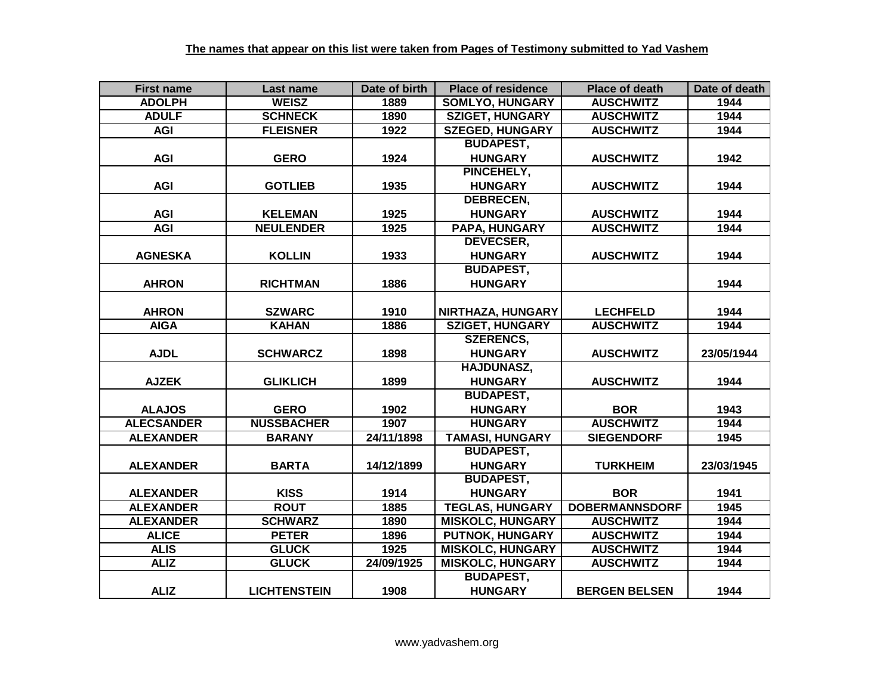| <b>First name</b> | Last name           | Date of birth | <b>Place of residence</b> | <b>Place of death</b> | Date of death |
|-------------------|---------------------|---------------|---------------------------|-----------------------|---------------|
| <b>ADOLPH</b>     | <b>WEISZ</b>        | 1889          | <b>SOMLYO, HUNGARY</b>    | <b>AUSCHWITZ</b>      | 1944          |
| <b>ADULF</b>      | <b>SCHNECK</b>      | 1890          | <b>SZIGET, HUNGARY</b>    | <b>AUSCHWITZ</b>      | 1944          |
| <b>AGI</b>        | <b>FLEISNER</b>     | 1922          | <b>SZEGED, HUNGARY</b>    | <b>AUSCHWITZ</b>      | 1944          |
|                   |                     |               | <b>BUDAPEST,</b>          |                       |               |
| <b>AGI</b>        | <b>GERO</b>         | 1924          | <b>HUNGARY</b>            | <b>AUSCHWITZ</b>      | 1942          |
|                   |                     |               | PINCEHELY,                |                       |               |
| <b>AGI</b>        | <b>GOTLIEB</b>      | 1935          | <b>HUNGARY</b>            | <b>AUSCHWITZ</b>      | 1944          |
|                   |                     |               | <b>DEBRECEN,</b>          |                       |               |
| <b>AGI</b>        | <b>KELEMAN</b>      | 1925          | <b>HUNGARY</b>            | <b>AUSCHWITZ</b>      | 1944          |
| <b>AGI</b>        | <b>NEULENDER</b>    | 1925          | PAPA, HUNGARY             | <b>AUSCHWITZ</b>      | 1944          |
|                   |                     |               | DEVECSER,                 |                       |               |
| <b>AGNESKA</b>    | <b>KOLLIN</b>       | 1933          | <b>HUNGARY</b>            | <b>AUSCHWITZ</b>      | 1944          |
|                   |                     |               | <b>BUDAPEST,</b>          |                       |               |
| <b>AHRON</b>      | <b>RICHTMAN</b>     | 1886          | <b>HUNGARY</b>            |                       | 1944          |
|                   |                     |               |                           |                       |               |
| <b>AHRON</b>      | <b>SZWARC</b>       | 1910          | NIRTHAZA, HUNGARY         | <b>LECHFELD</b>       | 1944          |
| <b>AIGA</b>       | <b>KAHAN</b>        | 1886          | <b>SZIGET, HUNGARY</b>    | <b>AUSCHWITZ</b>      | 1944          |
|                   |                     |               | <b>SZERENCS,</b>          |                       |               |
| <b>AJDL</b>       | <b>SCHWARCZ</b>     | 1898          | <b>HUNGARY</b>            | <b>AUSCHWITZ</b>      | 23/05/1944    |
|                   |                     |               | <b>HAJDUNASZ,</b>         |                       |               |
| <b>AJZEK</b>      | <b>GLIKLICH</b>     | 1899          | <b>HUNGARY</b>            | <b>AUSCHWITZ</b>      | 1944          |
|                   |                     |               | <b>BUDAPEST,</b>          |                       |               |
| <b>ALAJOS</b>     | <b>GERO</b>         | 1902          | <b>HUNGARY</b>            | <b>BOR</b>            | 1943          |
| <b>ALECSANDER</b> | <b>NUSSBACHER</b>   | 1907          | <b>HUNGARY</b>            | <b>AUSCHWITZ</b>      | 1944          |
| <b>ALEXANDER</b>  | <b>BARANY</b>       | 24/11/1898    | <b>TAMASI, HUNGARY</b>    | <b>SIEGENDORF</b>     | 1945          |
|                   |                     |               | <b>BUDAPEST,</b>          |                       |               |
| <b>ALEXANDER</b>  | <b>BARTA</b>        | 14/12/1899    | <b>HUNGARY</b>            | <b>TURKHEIM</b>       | 23/03/1945    |
|                   |                     |               | <b>BUDAPEST,</b>          |                       |               |
| <b>ALEXANDER</b>  | <b>KISS</b>         | 1914          | <b>HUNGARY</b>            | <b>BOR</b>            | 1941          |
| <b>ALEXANDER</b>  | <b>ROUT</b>         | 1885          | <b>TEGLAS, HUNGARY</b>    | <b>DOBERMANNSDORF</b> | 1945          |
| <b>ALEXANDER</b>  | <b>SCHWARZ</b>      | 1890          | <b>MISKOLC, HUNGARY</b>   | <b>AUSCHWITZ</b>      | 1944          |
| <b>ALICE</b>      | <b>PETER</b>        | 1896          | <b>PUTNOK, HUNGARY</b>    | <b>AUSCHWITZ</b>      | 1944          |
| <b>ALIS</b>       | <b>GLUCK</b>        | 1925          | <b>MISKOLC, HUNGARY</b>   | <b>AUSCHWITZ</b>      | 1944          |
| <b>ALIZ</b>       | <b>GLUCK</b>        | 24/09/1925    | <b>MISKOLC, HUNGARY</b>   | <b>AUSCHWITZ</b>      | 1944          |
|                   |                     |               | <b>BUDAPEST,</b>          |                       |               |
| <b>ALIZ</b>       | <b>LICHTENSTEIN</b> | 1908          | <b>HUNGARY</b>            | <b>BERGEN BELSEN</b>  | 1944          |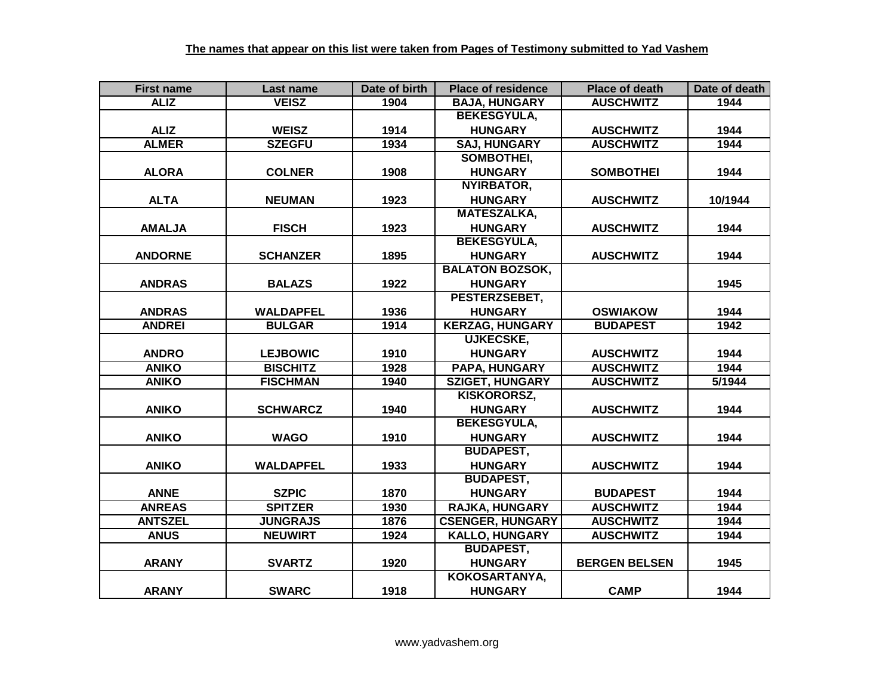| <b>First name</b> | Last name        | Date of birth | <b>Place of residence</b> | <b>Place of death</b> | Date of death |
|-------------------|------------------|---------------|---------------------------|-----------------------|---------------|
| <b>ALIZ</b>       | <b>VEISZ</b>     | 1904          | <b>BAJA, HUNGARY</b>      | <b>AUSCHWITZ</b>      | 1944          |
|                   |                  |               | <b>BEKESGYULA,</b>        |                       |               |
| <b>ALIZ</b>       | <b>WEISZ</b>     | 1914          | <b>HUNGARY</b>            | <b>AUSCHWITZ</b>      | 1944          |
| <b>ALMER</b>      | <b>SZEGFU</b>    | 1934          | <b>SAJ, HUNGARY</b>       | <b>AUSCHWITZ</b>      | 1944          |
|                   |                  |               | <b>SOMBOTHEI,</b>         |                       |               |
| <b>ALORA</b>      | <b>COLNER</b>    | 1908          | <b>HUNGARY</b>            | <b>SOMBOTHEI</b>      | 1944          |
|                   |                  |               | NYIRBATOR,                |                       |               |
| <b>ALTA</b>       | <b>NEUMAN</b>    | 1923          | <b>HUNGARY</b>            | <b>AUSCHWITZ</b>      | 10/1944       |
|                   |                  |               | <b>MATESZALKA,</b>        |                       |               |
| <b>AMALJA</b>     | <b>FISCH</b>     | 1923          | <b>HUNGARY</b>            | <b>AUSCHWITZ</b>      | 1944          |
|                   |                  |               | <b>BEKESGYULA,</b>        |                       |               |
| <b>ANDORNE</b>    | <b>SCHANZER</b>  | 1895          | <b>HUNGARY</b>            | <b>AUSCHWITZ</b>      | 1944          |
|                   |                  |               | <b>BALATON BOZSOK,</b>    |                       |               |
| <b>ANDRAS</b>     | <b>BALAZS</b>    | 1922          | <b>HUNGARY</b>            |                       | 1945          |
|                   |                  |               | PESTERZSEBET,             |                       |               |
| <b>ANDRAS</b>     | <b>WALDAPFEL</b> | 1936          | <b>HUNGARY</b>            | <b>OSWIAKOW</b>       | 1944          |
| <b>ANDREI</b>     | <b>BULGAR</b>    | 1914          | <b>KERZAG, HUNGARY</b>    | <b>BUDAPEST</b>       | 1942          |
|                   |                  |               | <b>UJKECSKE,</b>          |                       |               |
| <b>ANDRO</b>      | <b>LEJBOWIC</b>  | 1910          | <b>HUNGARY</b>            | <b>AUSCHWITZ</b>      | 1944          |
| <b>ANIKO</b>      | <b>BISCHITZ</b>  | 1928          | <b>PAPA, HUNGARY</b>      | <b>AUSCHWITZ</b>      | 1944          |
| <b>ANIKO</b>      | <b>FISCHMAN</b>  | 1940          | <b>SZIGET, HUNGARY</b>    | <b>AUSCHWITZ</b>      | 5/1944        |
|                   |                  |               | KISKORORSZ,               |                       |               |
| <b>ANIKO</b>      | <b>SCHWARCZ</b>  | 1940          | <b>HUNGARY</b>            | <b>AUSCHWITZ</b>      | 1944          |
|                   |                  |               | <b>BEKESGYULA,</b>        |                       |               |
| <b>ANIKO</b>      | <b>WAGO</b>      | 1910          | <b>HUNGARY</b>            | <b>AUSCHWITZ</b>      | 1944          |
|                   |                  |               | <b>BUDAPEST,</b>          |                       |               |
| <b>ANIKO</b>      | <b>WALDAPFEL</b> | 1933          | <b>HUNGARY</b>            | <b>AUSCHWITZ</b>      | 1944          |
|                   |                  |               | <b>BUDAPEST,</b>          |                       |               |
| <b>ANNE</b>       | <b>SZPIC</b>     | 1870          | <b>HUNGARY</b>            | <b>BUDAPEST</b>       | 1944          |
| <b>ANREAS</b>     | <b>SPITZER</b>   | 1930          | <b>RAJKA, HUNGARY</b>     | <b>AUSCHWITZ</b>      | 1944          |
| <b>ANTSZEL</b>    | <b>JUNGRAJS</b>  | 1876          | <b>CSENGER, HUNGARY</b>   | <b>AUSCHWITZ</b>      | 1944          |
| <b>ANUS</b>       | <b>NEUWIRT</b>   | 1924          | <b>KALLO, HUNGARY</b>     | <b>AUSCHWITZ</b>      | 1944          |
|                   |                  |               | <b>BUDAPEST,</b>          |                       |               |
| <b>ARANY</b>      | <b>SVARTZ</b>    | 1920          | <b>HUNGARY</b>            | <b>BERGEN BELSEN</b>  | 1945          |
|                   |                  |               | KOKOSARTANYA,             |                       |               |
| <b>ARANY</b>      | <b>SWARC</b>     | 1918          | <b>HUNGARY</b>            | <b>CAMP</b>           | 1944          |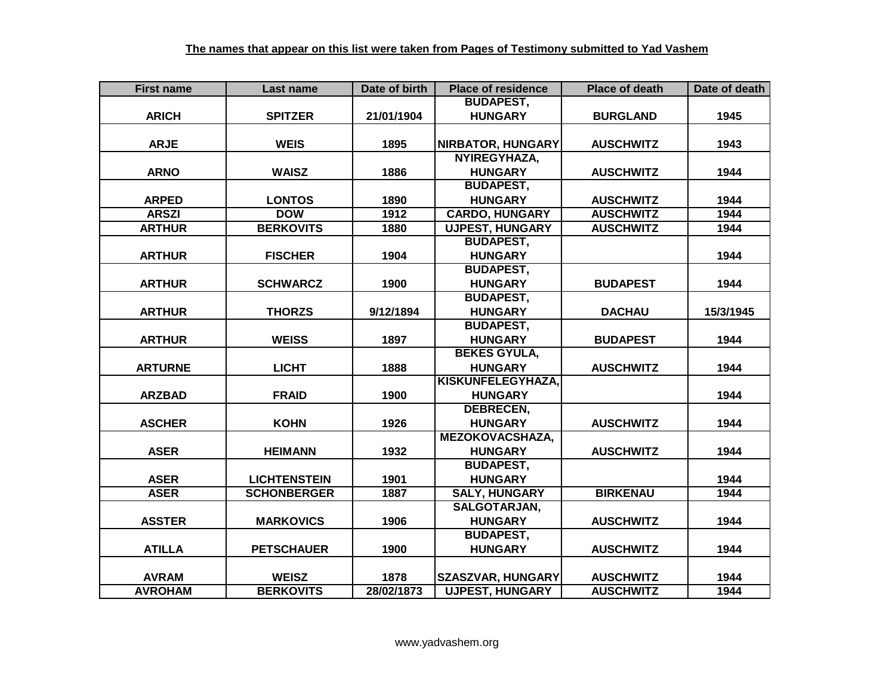| <b>First name</b> | Last name           | Date of birth | <b>Place of residence</b> | <b>Place of death</b> | Date of death |
|-------------------|---------------------|---------------|---------------------------|-----------------------|---------------|
|                   |                     |               | <b>BUDAPEST,</b>          |                       |               |
| <b>ARICH</b>      | <b>SPITZER</b>      | 21/01/1904    | <b>HUNGARY</b>            | <b>BURGLAND</b>       | 1945          |
|                   |                     |               |                           |                       |               |
| <b>ARJE</b>       | <b>WEIS</b>         | 1895          | <b>NIRBATOR, HUNGARY</b>  | <b>AUSCHWITZ</b>      | 1943          |
|                   |                     |               | NYIREGYHAZA,              |                       |               |
| <b>ARNO</b>       | <b>WAISZ</b>        | 1886          | <b>HUNGARY</b>            | <b>AUSCHWITZ</b>      | 1944          |
|                   |                     |               | <b>BUDAPEST,</b>          |                       |               |
| <b>ARPED</b>      | <b>LONTOS</b>       | 1890          | <b>HUNGARY</b>            | <b>AUSCHWITZ</b>      | 1944          |
| <b>ARSZI</b>      | <b>DOW</b>          | 1912          | <b>CARDO, HUNGARY</b>     | <b>AUSCHWITZ</b>      | 1944          |
| <b>ARTHUR</b>     | <b>BERKOVITS</b>    | 1880          | <b>UJPEST, HUNGARY</b>    | <b>AUSCHWITZ</b>      | 1944          |
|                   |                     |               | <b>BUDAPEST,</b>          |                       |               |
| <b>ARTHUR</b>     | <b>FISCHER</b>      | 1904          | <b>HUNGARY</b>            |                       | 1944          |
|                   |                     |               | <b>BUDAPEST,</b>          |                       |               |
| <b>ARTHUR</b>     | <b>SCHWARCZ</b>     | 1900          | <b>HUNGARY</b>            | <b>BUDAPEST</b>       | 1944          |
|                   |                     |               | <b>BUDAPEST,</b>          |                       |               |
| <b>ARTHUR</b>     | <b>THORZS</b>       | 9/12/1894     | <b>HUNGARY</b>            | <b>DACHAU</b>         | 15/3/1945     |
|                   |                     |               | <b>BUDAPEST,</b>          |                       |               |
| <b>ARTHUR</b>     | <b>WEISS</b>        | 1897          | <b>HUNGARY</b>            | <b>BUDAPEST</b>       | 1944          |
|                   |                     |               | <b>BEKES GYULA,</b>       |                       |               |
| <b>ARTURNE</b>    | <b>LICHT</b>        | 1888          | <b>HUNGARY</b>            | <b>AUSCHWITZ</b>      | 1944          |
|                   |                     |               | <b>KISKUNFELEGYHAZA.</b>  |                       |               |
| <b>ARZBAD</b>     | <b>FRAID</b>        | 1900          | <b>HUNGARY</b>            |                       | 1944          |
|                   |                     |               | <b>DEBRECEN,</b>          |                       |               |
| <b>ASCHER</b>     | <b>KOHN</b>         | 1926          | <b>HUNGARY</b>            | <b>AUSCHWITZ</b>      | 1944          |
|                   |                     |               | <b>MEZOKOVACSHAZA,</b>    |                       |               |
| <b>ASER</b>       | <b>HEIMANN</b>      | 1932          | <b>HUNGARY</b>            | <b>AUSCHWITZ</b>      | 1944          |
|                   |                     |               | <b>BUDAPEST,</b>          |                       |               |
| <b>ASER</b>       | <b>LICHTENSTEIN</b> | 1901          | <b>HUNGARY</b>            |                       | 1944          |
| <b>ASER</b>       | <b>SCHONBERGER</b>  | 1887          | <b>SALY, HUNGARY</b>      | <b>BIRKENAU</b>       | 1944          |
|                   |                     |               | <b>SALGOTARJAN,</b>       |                       |               |
| <b>ASSTER</b>     | <b>MARKOVICS</b>    | 1906          | <b>HUNGARY</b>            | <b>AUSCHWITZ</b>      | 1944          |
|                   |                     |               | <b>BUDAPEST,</b>          |                       |               |
| <b>ATILLA</b>     | <b>PETSCHAUER</b>   | 1900          | <b>HUNGARY</b>            | <b>AUSCHWITZ</b>      | 1944          |
|                   |                     |               |                           |                       |               |
| <b>AVRAM</b>      | <b>WEISZ</b>        | 1878          | <b>SZASZVAR, HUNGARY</b>  | <b>AUSCHWITZ</b>      | 1944          |
| <b>AVROHAM</b>    | <b>BERKOVITS</b>    | 28/02/1873    | <b>UJPEST, HUNGARY</b>    | <b>AUSCHWITZ</b>      | 1944          |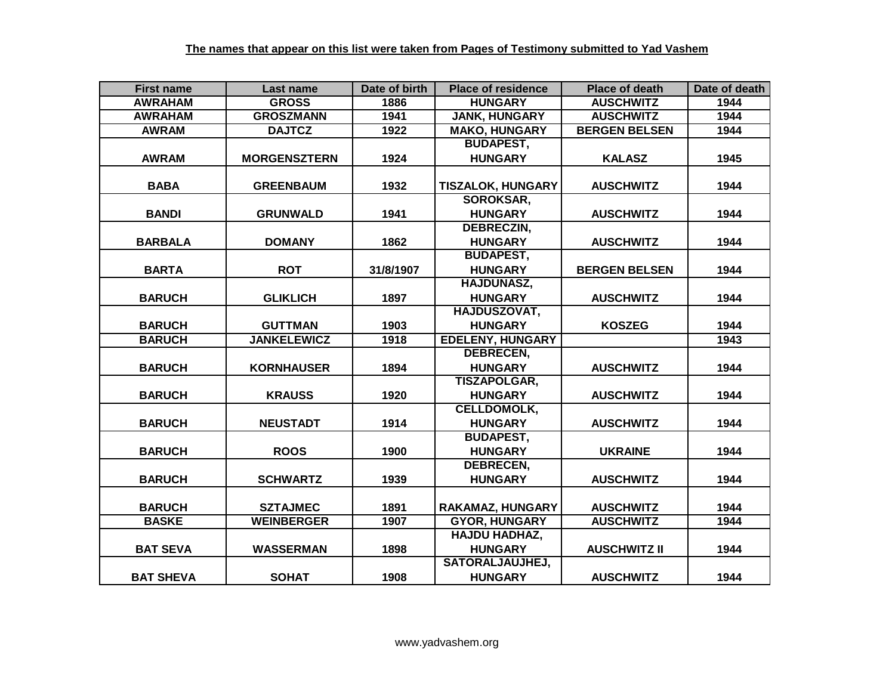| <b>First name</b> | Last name           | Date of birth | <b>Place of residence</b> | <b>Place of death</b> | Date of death |
|-------------------|---------------------|---------------|---------------------------|-----------------------|---------------|
| <b>AWRAHAM</b>    | <b>GROSS</b>        | 1886          | <b>HUNGARY</b>            | <b>AUSCHWITZ</b>      | 1944          |
| <b>AWRAHAM</b>    | <b>GROSZMANN</b>    | 1941          | <b>JANK, HUNGARY</b>      | <b>AUSCHWITZ</b>      | 1944          |
| <b>AWRAM</b>      | <b>DAJTCZ</b>       | 1922          | <b>MAKO, HUNGARY</b>      | <b>BERGEN BELSEN</b>  | 1944          |
|                   |                     |               | <b>BUDAPEST,</b>          |                       |               |
| <b>AWRAM</b>      | <b>MORGENSZTERN</b> | 1924          | <b>HUNGARY</b>            | <b>KALASZ</b>         | 1945          |
|                   |                     |               |                           |                       |               |
| <b>BABA</b>       | <b>GREENBAUM</b>    | 1932          | <b>TISZALOK, HUNGARY</b>  | <b>AUSCHWITZ</b>      | 1944          |
|                   |                     |               | SOROKSAR,                 |                       |               |
| <b>BANDI</b>      | <b>GRUNWALD</b>     | 1941          | <b>HUNGARY</b>            | <b>AUSCHWITZ</b>      | 1944          |
|                   |                     |               | <b>DEBRECZIN,</b>         |                       |               |
| <b>BARBALA</b>    | <b>DOMANY</b>       | 1862          | <b>HUNGARY</b>            | <b>AUSCHWITZ</b>      | 1944          |
|                   |                     |               | <b>BUDAPEST,</b>          |                       |               |
| <b>BARTA</b>      | <b>ROT</b>          | 31/8/1907     | <b>HUNGARY</b>            | <b>BERGEN BELSEN</b>  | 1944          |
|                   |                     |               | <b>HAJDUNASZ,</b>         |                       |               |
| <b>BARUCH</b>     | <b>GLIKLICH</b>     | 1897          | <b>HUNGARY</b>            | <b>AUSCHWITZ</b>      | 1944          |
|                   |                     |               | HAJDUSZOVAT,              |                       |               |
| <b>BARUCH</b>     | <b>GUTTMAN</b>      | 1903          | <b>HUNGARY</b>            | <b>KOSZEG</b>         | 1944          |
| <b>BARUCH</b>     | <b>JANKELEWICZ</b>  | 1918          | <b>EDELENY, HUNGARY</b>   |                       | 1943          |
|                   |                     |               | <b>DEBRECEN,</b>          |                       |               |
| <b>BARUCH</b>     | <b>KORNHAUSER</b>   | 1894          | <b>HUNGARY</b>            | <b>AUSCHWITZ</b>      | 1944          |
|                   |                     |               | TISZAPOLGAR,              |                       |               |
| <b>BARUCH</b>     | <b>KRAUSS</b>       | 1920          | <b>HUNGARY</b>            | <b>AUSCHWITZ</b>      | 1944          |
|                   |                     |               | <b>CELLDOMOLK,</b>        |                       |               |
| <b>BARUCH</b>     | <b>NEUSTADT</b>     | 1914          | <b>HUNGARY</b>            | <b>AUSCHWITZ</b>      | 1944          |
|                   |                     |               | <b>BUDAPEST,</b>          |                       |               |
| <b>BARUCH</b>     | <b>ROOS</b>         | 1900          | <b>HUNGARY</b>            | <b>UKRAINE</b>        | 1944          |
|                   |                     |               | DEBRECEN,                 |                       |               |
| <b>BARUCH</b>     | <b>SCHWARTZ</b>     | 1939          | <b>HUNGARY</b>            | <b>AUSCHWITZ</b>      | 1944          |
|                   |                     |               |                           |                       |               |
| <b>BARUCH</b>     | <b>SZTAJMEC</b>     | 1891          | RAKAMAZ, HUNGARY          | <b>AUSCHWITZ</b>      | 1944          |
| <b>BASKE</b>      | <b>WEINBERGER</b>   | 1907          | <b>GYOR, HUNGARY</b>      | <b>AUSCHWITZ</b>      | 1944          |
|                   |                     |               | <b>HAJDU HADHAZ,</b>      |                       |               |
| <b>BAT SEVA</b>   | <b>WASSERMAN</b>    | 1898          | <b>HUNGARY</b>            | <b>AUSCHWITZ II</b>   | 1944          |
|                   |                     |               | SATORALJAUJHEJ,           |                       |               |
| <b>BAT SHEVA</b>  | <b>SOHAT</b>        | 1908          | <b>HUNGARY</b>            | <b>AUSCHWITZ</b>      | 1944          |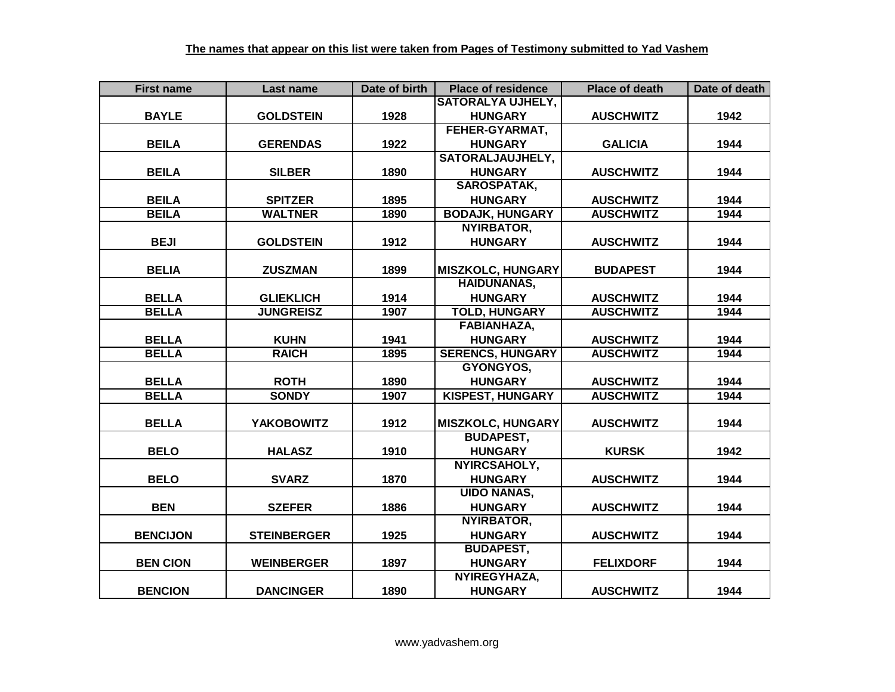| <b>First name</b> | Last name          | Date of birth | <b>Place of residence</b> | <b>Place of death</b> | Date of death |
|-------------------|--------------------|---------------|---------------------------|-----------------------|---------------|
|                   |                    |               | <b>SATORALYA UJHELY,</b>  |                       |               |
| <b>BAYLE</b>      | <b>GOLDSTEIN</b>   | 1928          | <b>HUNGARY</b>            | <b>AUSCHWITZ</b>      | 1942          |
|                   |                    |               | FEHER-GYARMAT,            |                       |               |
| <b>BEILA</b>      | <b>GERENDAS</b>    | 1922          | <b>HUNGARY</b>            | <b>GALICIA</b>        | 1944          |
|                   |                    |               | SATORALJAUJHELY,          |                       |               |
| <b>BEILA</b>      | <b>SILBER</b>      | 1890          | <b>HUNGARY</b>            | <b>AUSCHWITZ</b>      | 1944          |
|                   |                    |               | <b>SAROSPATAK,</b>        |                       |               |
| <b>BEILA</b>      | <b>SPITZER</b>     | 1895          | <b>HUNGARY</b>            | <b>AUSCHWITZ</b>      | 1944          |
| <b>BEILA</b>      | <b>WALTNER</b>     | 1890          | <b>BODAJK, HUNGARY</b>    | <b>AUSCHWITZ</b>      | 1944          |
|                   |                    |               | <b>NYIRBATOR,</b>         |                       |               |
| <b>BEJI</b>       | <b>GOLDSTEIN</b>   | 1912          | <b>HUNGARY</b>            | <b>AUSCHWITZ</b>      | 1944          |
|                   |                    |               |                           |                       |               |
| <b>BELIA</b>      | <b>ZUSZMAN</b>     | 1899          | <b>MISZKOLC, HUNGARY</b>  | <b>BUDAPEST</b>       | 1944          |
|                   |                    |               | <b>HAIDUNANAS,</b>        |                       |               |
| <b>BELLA</b>      | <b>GLIEKLICH</b>   | 1914          | <b>HUNGARY</b>            | <b>AUSCHWITZ</b>      | 1944          |
| <b>BELLA</b>      | <b>JUNGREISZ</b>   | 1907          | <b>TOLD, HUNGARY</b>      | <b>AUSCHWITZ</b>      | 1944          |
|                   |                    |               | <b>FABIANHAZA,</b>        |                       |               |
| <b>BELLA</b>      | <b>KUHN</b>        | 1941          | <b>HUNGARY</b>            | <b>AUSCHWITZ</b>      | 1944          |
| <b>BELLA</b>      | <b>RAICH</b>       | 1895          | <b>SERENCS, HUNGARY</b>   | <b>AUSCHWITZ</b>      | 1944          |
|                   |                    |               | GYONGYOS,                 |                       |               |
| <b>BELLA</b>      | <b>ROTH</b>        | 1890          | <b>HUNGARY</b>            | <b>AUSCHWITZ</b>      | 1944          |
| <b>BELLA</b>      | <b>SONDY</b>       | 1907          | <b>KISPEST, HUNGARY</b>   | <b>AUSCHWITZ</b>      | 1944          |
|                   |                    |               |                           |                       |               |
| <b>BELLA</b>      | <b>YAKOBOWITZ</b>  | 1912          | <b>MISZKOLC, HUNGARY</b>  | <b>AUSCHWITZ</b>      | 1944          |
|                   |                    |               | <b>BUDAPEST,</b>          |                       |               |
| <b>BELO</b>       | <b>HALASZ</b>      | 1910          | <b>HUNGARY</b>            | <b>KURSK</b>          | 1942          |
|                   |                    |               | NYIRCSAHOLY,              |                       |               |
| <b>BELO</b>       | <b>SVARZ</b>       | 1870          | <b>HUNGARY</b>            | <b>AUSCHWITZ</b>      | 1944          |
|                   |                    |               | <b>UIDO NANAS,</b>        |                       |               |
| <b>BEN</b>        | <b>SZEFER</b>      | 1886          | <b>HUNGARY</b>            | <b>AUSCHWITZ</b>      | 1944          |
|                   |                    |               | NYIRBATOR,                |                       |               |
| <b>BENCIJON</b>   | <b>STEINBERGER</b> | 1925          | <b>HUNGARY</b>            | <b>AUSCHWITZ</b>      | 1944          |
|                   |                    |               | <b>BUDAPEST,</b>          |                       |               |
| <b>BEN CION</b>   | <b>WEINBERGER</b>  | 1897          | <b>HUNGARY</b>            | <b>FELIXDORF</b>      | 1944          |
|                   |                    |               | NYIREGYHAZA,              |                       |               |
| <b>BENCION</b>    | <b>DANCINGER</b>   | 1890          | <b>HUNGARY</b>            | <b>AUSCHWITZ</b>      | 1944          |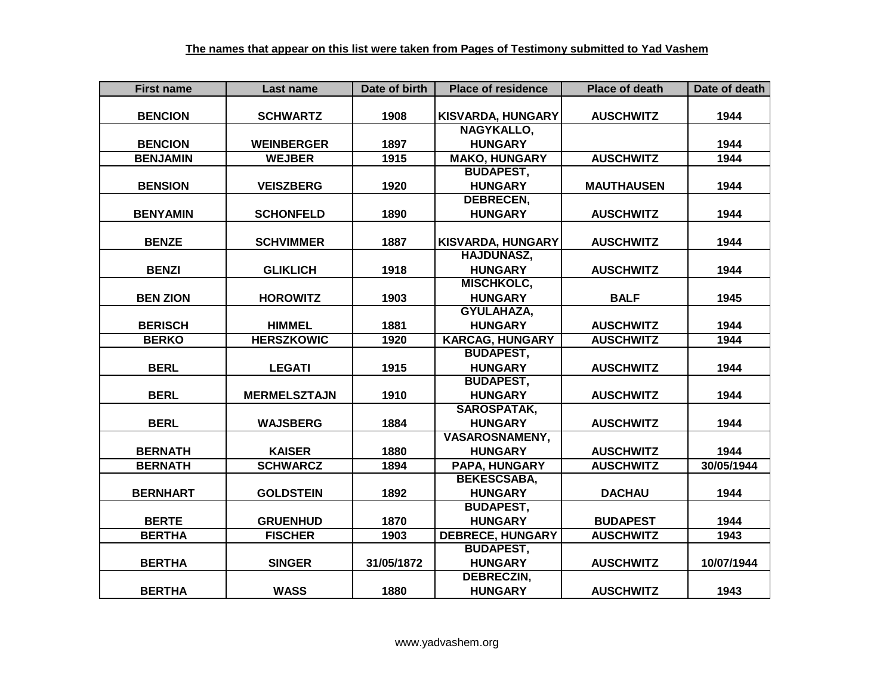| <b>First name</b> | Last name           | Date of birth | <b>Place of residence</b> | <b>Place of death</b> | Date of death |
|-------------------|---------------------|---------------|---------------------------|-----------------------|---------------|
|                   |                     |               |                           |                       |               |
| <b>BENCION</b>    | <b>SCHWARTZ</b>     | 1908          | <b>KISVARDA, HUNGARY</b>  | <b>AUSCHWITZ</b>      | 1944          |
|                   |                     |               | NAGYKALLO,                |                       |               |
| <b>BENCION</b>    | <b>WEINBERGER</b>   | 1897          | <b>HUNGARY</b>            |                       | 1944          |
| <b>BENJAMIN</b>   | <b>WEJBER</b>       | 1915          | <b>MAKO, HUNGARY</b>      | <b>AUSCHWITZ</b>      | 1944          |
|                   |                     |               | <b>BUDAPEST,</b>          |                       |               |
| <b>BENSION</b>    | <b>VEISZBERG</b>    | 1920          | <b>HUNGARY</b>            | <b>MAUTHAUSEN</b>     | 1944          |
|                   |                     |               | <b>DEBRECEN,</b>          |                       |               |
| <b>BENYAMIN</b>   | <b>SCHONFELD</b>    | 1890          | <b>HUNGARY</b>            | <b>AUSCHWITZ</b>      | 1944          |
|                   |                     |               |                           |                       |               |
| <b>BENZE</b>      | <b>SCHVIMMER</b>    | 1887          | <b>KISVARDA, HUNGARY</b>  | <b>AUSCHWITZ</b>      | 1944          |
|                   |                     |               | <b>HAJDUNASZ,</b>         |                       |               |
| <b>BENZI</b>      | <b>GLIKLICH</b>     | 1918          | <b>HUNGARY</b>            | <b>AUSCHWITZ</b>      | 1944          |
|                   |                     |               | <b>MISCHKOLC,</b>         |                       |               |
| <b>BEN ZION</b>   | <b>HOROWITZ</b>     | 1903          | <b>HUNGARY</b>            | <b>BALF</b>           | 1945          |
|                   |                     |               | GYULAHAZA,                |                       |               |
| <b>BERISCH</b>    | <b>HIMMEL</b>       | 1881          | <b>HUNGARY</b>            | <b>AUSCHWITZ</b>      | 1944          |
| <b>BERKO</b>      | <b>HERSZKOWIC</b>   | 1920          | <b>KARCAG, HUNGARY</b>    | <b>AUSCHWITZ</b>      | 1944          |
|                   |                     |               | <b>BUDAPEST,</b>          |                       |               |
| <b>BERL</b>       | <b>LEGATI</b>       | 1915          | <b>HUNGARY</b>            | <b>AUSCHWITZ</b>      | 1944          |
|                   |                     |               | <b>BUDAPEST,</b>          |                       |               |
| <b>BERL</b>       | <b>MERMELSZTAJN</b> | 1910          | <b>HUNGARY</b>            | <b>AUSCHWITZ</b>      | 1944          |
|                   |                     |               | <b>SAROSPATAK,</b>        |                       |               |
| <b>BERL</b>       | <b>WAJSBERG</b>     | 1884          | <b>HUNGARY</b>            | <b>AUSCHWITZ</b>      | 1944          |
|                   |                     |               | <b>VASAROSNAMENY,</b>     |                       |               |
| <b>BERNATH</b>    | <b>KAISER</b>       | 1880          | <b>HUNGARY</b>            | <b>AUSCHWITZ</b>      | 1944          |
| <b>BERNATH</b>    | <b>SCHWARCZ</b>     | 1894          | <b>PAPA, HUNGARY</b>      | <b>AUSCHWITZ</b>      | 30/05/1944    |
|                   |                     |               | <b>BEKESCSABA,</b>        |                       |               |
| <b>BERNHART</b>   | <b>GOLDSTEIN</b>    | 1892          | <b>HUNGARY</b>            | <b>DACHAU</b>         | 1944          |
|                   |                     |               | <b>BUDAPEST,</b>          |                       |               |
| <b>BERTE</b>      | <b>GRUENHUD</b>     | 1870          | <b>HUNGARY</b>            | <b>BUDAPEST</b>       | 1944          |
| <b>BERTHA</b>     | <b>FISCHER</b>      | 1903          | <b>DEBRECE, HUNGARY</b>   | <b>AUSCHWITZ</b>      | 1943          |
|                   |                     |               | <b>BUDAPEST,</b>          |                       |               |
| <b>BERTHA</b>     | <b>SINGER</b>       | 31/05/1872    | <b>HUNGARY</b>            | <b>AUSCHWITZ</b>      | 10/07/1944    |
|                   |                     |               | DEBRECZIN,                |                       |               |
| <b>BERTHA</b>     | <b>WASS</b>         | 1880          | <b>HUNGARY</b>            | <b>AUSCHWITZ</b>      | 1943          |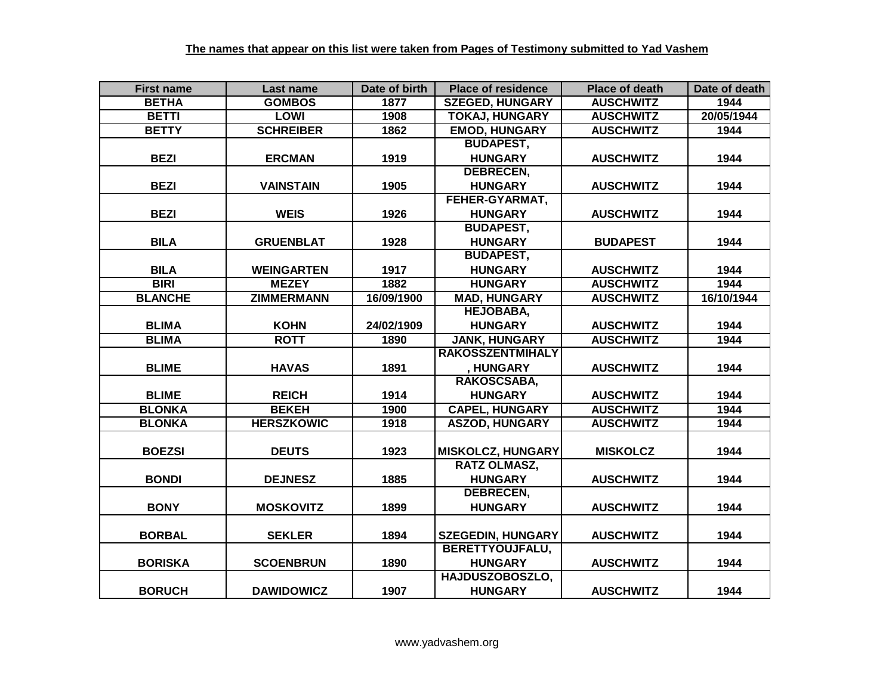| <b>First name</b> | Last name         | Date of birth | <b>Place of residence</b> | <b>Place of death</b> | Date of death |
|-------------------|-------------------|---------------|---------------------------|-----------------------|---------------|
| <b>BETHA</b>      | <b>GOMBOS</b>     | 1877          | <b>SZEGED, HUNGARY</b>    | <b>AUSCHWITZ</b>      | 1944          |
| <b>BETTI</b>      | <b>LOWI</b>       | 1908          | <b>TOKAJ, HUNGARY</b>     | <b>AUSCHWITZ</b>      | 20/05/1944    |
| <b>BETTY</b>      | <b>SCHREIBER</b>  | 1862          | <b>EMOD, HUNGARY</b>      | <b>AUSCHWITZ</b>      | 1944          |
|                   |                   |               | <b>BUDAPEST,</b>          |                       |               |
| <b>BEZI</b>       | <b>ERCMAN</b>     | 1919          | <b>HUNGARY</b>            | <b>AUSCHWITZ</b>      | 1944          |
|                   |                   |               | <b>DEBRECEN,</b>          |                       |               |
| <b>BEZI</b>       | <b>VAINSTAIN</b>  | 1905          | <b>HUNGARY</b>            | <b>AUSCHWITZ</b>      | 1944          |
|                   |                   |               | FEHER-GYARMAT,            |                       |               |
| <b>BEZI</b>       | <b>WEIS</b>       | 1926          | <b>HUNGARY</b>            | <b>AUSCHWITZ</b>      | 1944          |
|                   |                   |               | <b>BUDAPEST,</b>          |                       |               |
| <b>BILA</b>       | <b>GRUENBLAT</b>  | 1928          | <b>HUNGARY</b>            | <b>BUDAPEST</b>       | 1944          |
|                   |                   |               | <b>BUDAPEST,</b>          |                       |               |
| <b>BILA</b>       | <b>WEINGARTEN</b> | 1917          | <b>HUNGARY</b>            | <b>AUSCHWITZ</b>      | 1944          |
| <b>BIRI</b>       | <b>MEZEY</b>      | 1882          | <b>HUNGARY</b>            | <b>AUSCHWITZ</b>      | 1944          |
| <b>BLANCHE</b>    | <b>ZIMMERMANN</b> | 16/09/1900    | <b>MAD, HUNGARY</b>       | <b>AUSCHWITZ</b>      | 16/10/1944    |
|                   |                   |               | <b>HEJOBABA,</b>          |                       |               |
| <b>BLIMA</b>      | <b>KOHN</b>       | 24/02/1909    | <b>HUNGARY</b>            | <b>AUSCHWITZ</b>      | 1944          |
| <b>BLIMA</b>      | <b>ROTT</b>       | 1890          | <b>JANK, HUNGARY</b>      | <b>AUSCHWITZ</b>      | 1944          |
|                   |                   |               | <b>RAKOSSZENTMIHALY</b>   |                       |               |
| <b>BLIME</b>      | <b>HAVAS</b>      | 1891          | , HUNGARY                 | <b>AUSCHWITZ</b>      | 1944          |
|                   |                   |               | RAKOSCSABA,               |                       |               |
| <b>BLIME</b>      | <b>REICH</b>      | 1914          | <b>HUNGARY</b>            | <b>AUSCHWITZ</b>      | 1944          |
| <b>BLONKA</b>     | <b>BEKEH</b>      | 1900          | <b>CAPEL, HUNGARY</b>     | <b>AUSCHWITZ</b>      | 1944          |
| <b>BLONKA</b>     | <b>HERSZKOWIC</b> | 1918          | <b>ASZOD, HUNGARY</b>     | <b>AUSCHWITZ</b>      | 1944          |
|                   |                   |               |                           |                       |               |
| <b>BOEZSI</b>     | <b>DEUTS</b>      | 1923          | <b>MISKOLCZ, HUNGARY</b>  | <b>MISKOLCZ</b>       | 1944          |
|                   |                   |               | <b>RATZ OLMASZ,</b>       |                       |               |
| <b>BONDI</b>      | <b>DEJNESZ</b>    | 1885          | <b>HUNGARY</b>            | <b>AUSCHWITZ</b>      | 1944          |
|                   |                   |               | <b>DEBRECEN,</b>          |                       |               |
| <b>BONY</b>       | <b>MOSKOVITZ</b>  | 1899          | <b>HUNGARY</b>            | <b>AUSCHWITZ</b>      | 1944          |
|                   |                   |               |                           |                       |               |
| <b>BORBAL</b>     | <b>SEKLER</b>     | 1894          | <b>SZEGEDIN, HUNGARY</b>  | <b>AUSCHWITZ</b>      | 1944          |
|                   |                   |               | <b>BERETTYOUJFALU,</b>    |                       |               |
| <b>BORISKA</b>    | <b>SCOENBRUN</b>  | 1890          | <b>HUNGARY</b>            | <b>AUSCHWITZ</b>      | 1944          |
|                   |                   |               | HAJDUSZOBOSZLO,           |                       |               |
| <b>BORUCH</b>     | <b>DAWIDOWICZ</b> | 1907          | <b>HUNGARY</b>            | <b>AUSCHWITZ</b>      | 1944          |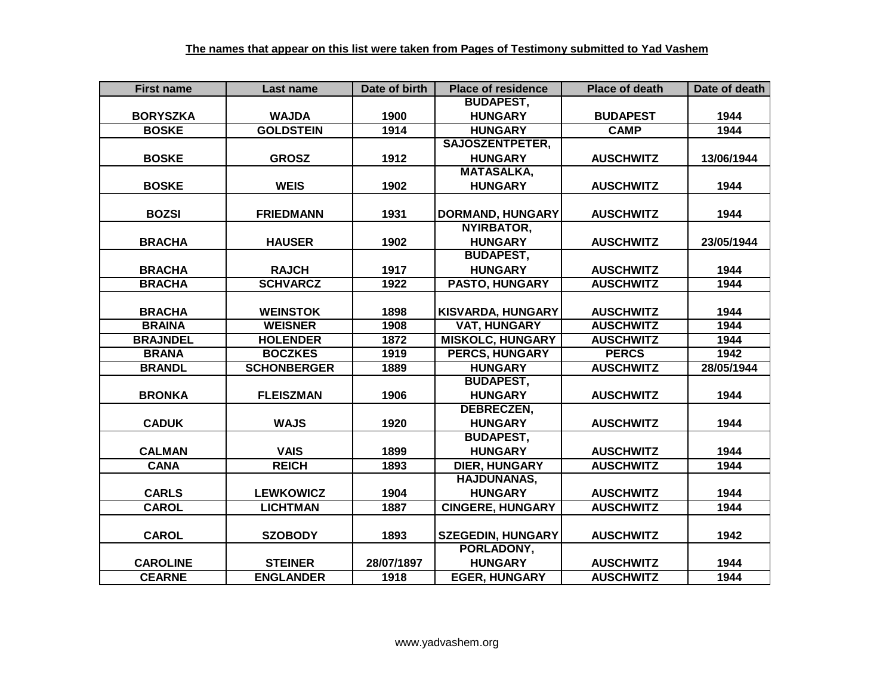| <b>First name</b> | Last name          | Date of birth | <b>Place of residence</b> | <b>Place of death</b> | Date of death |
|-------------------|--------------------|---------------|---------------------------|-----------------------|---------------|
|                   |                    |               | <b>BUDAPEST,</b>          |                       |               |
| <b>BORYSZKA</b>   | <b>WAJDA</b>       | 1900          | <b>HUNGARY</b>            | <b>BUDAPEST</b>       | 1944          |
| <b>BOSKE</b>      | <b>GOLDSTEIN</b>   | 1914          | <b>HUNGARY</b>            | <b>CAMP</b>           | 1944          |
|                   |                    |               | <b>SAJOSZENTPETER,</b>    |                       |               |
| <b>BOSKE</b>      | <b>GROSZ</b>       | 1912          | <b>HUNGARY</b>            | <b>AUSCHWITZ</b>      | 13/06/1944    |
|                   |                    |               | <b>MATASALKA,</b>         |                       |               |
| <b>BOSKE</b>      | <b>WEIS</b>        | 1902          | <b>HUNGARY</b>            | <b>AUSCHWITZ</b>      | 1944          |
|                   |                    |               |                           |                       |               |
| <b>BOZSI</b>      | <b>FRIEDMANN</b>   | 1931          | <b>DORMAND, HUNGARY</b>   | <b>AUSCHWITZ</b>      | 1944          |
|                   |                    |               | <b>NYIRBATOR,</b>         |                       |               |
| <b>BRACHA</b>     | <b>HAUSER</b>      | 1902          | <b>HUNGARY</b>            | <b>AUSCHWITZ</b>      | 23/05/1944    |
|                   |                    |               | <b>BUDAPEST,</b>          |                       |               |
| <b>BRACHA</b>     | <b>RAJCH</b>       | 1917          | <b>HUNGARY</b>            | <b>AUSCHWITZ</b>      | 1944          |
| <b>BRACHA</b>     | <b>SCHVARCZ</b>    | 1922          | PASTO, HUNGARY            | <b>AUSCHWITZ</b>      | 1944          |
|                   |                    |               |                           |                       |               |
| <b>BRACHA</b>     | <b>WEINSTOK</b>    | 1898          | <b>KISVARDA, HUNGARY</b>  | <b>AUSCHWITZ</b>      | 1944          |
| <b>BRAINA</b>     | <b>WEISNER</b>     | 1908          | <b>VAT, HUNGARY</b>       | <b>AUSCHWITZ</b>      | 1944          |
| <b>BRAJNDEL</b>   | <b>HOLENDER</b>    | 1872          | <b>MISKOLC, HUNGARY</b>   | <b>AUSCHWITZ</b>      | 1944          |
| <b>BRANA</b>      | <b>BOCZKES</b>     | 1919          | <b>PERCS, HUNGARY</b>     | <b>PERCS</b>          | 1942          |
| <b>BRANDL</b>     | <b>SCHONBERGER</b> | 1889          | <b>HUNGARY</b>            | <b>AUSCHWITZ</b>      | 28/05/1944    |
|                   |                    |               | <b>BUDAPEST,</b>          |                       |               |
| <b>BRONKA</b>     | <b>FLEISZMAN</b>   | 1906          | <b>HUNGARY</b>            | <b>AUSCHWITZ</b>      | 1944          |
|                   |                    |               | <b>DEBRECZEN,</b>         |                       |               |
| <b>CADUK</b>      | <b>WAJS</b>        | 1920          | <b>HUNGARY</b>            | <b>AUSCHWITZ</b>      | 1944          |
|                   |                    |               | <b>BUDAPEST,</b>          |                       |               |
| <b>CALMAN</b>     | <b>VAIS</b>        | 1899          | <b>HUNGARY</b>            | <b>AUSCHWITZ</b>      | 1944          |
| <b>CANA</b>       | <b>REICH</b>       | 1893          | <b>DIER, HUNGARY</b>      | <b>AUSCHWITZ</b>      | 1944          |
|                   |                    |               | <b>HAJDUNANAS,</b>        |                       |               |
| <b>CARLS</b>      | <b>LEWKOWICZ</b>   | 1904          | <b>HUNGARY</b>            | <b>AUSCHWITZ</b>      | 1944          |
| <b>CAROL</b>      | <b>LICHTMAN</b>    | 1887          | <b>CINGERE, HUNGARY</b>   | <b>AUSCHWITZ</b>      | 1944          |
|                   |                    |               |                           |                       |               |
| <b>CAROL</b>      | <b>SZOBODY</b>     | 1893          | <b>SZEGEDIN, HUNGARY</b>  | <b>AUSCHWITZ</b>      | 1942          |
|                   |                    |               | PORLADONY,                |                       |               |
| <b>CAROLINE</b>   | <b>STEINER</b>     | 28/07/1897    | <b>HUNGARY</b>            | <b>AUSCHWITZ</b>      | 1944          |
| <b>CEARNE</b>     | <b>ENGLANDER</b>   | 1918          | <b>EGER, HUNGARY</b>      | <b>AUSCHWITZ</b>      | 1944          |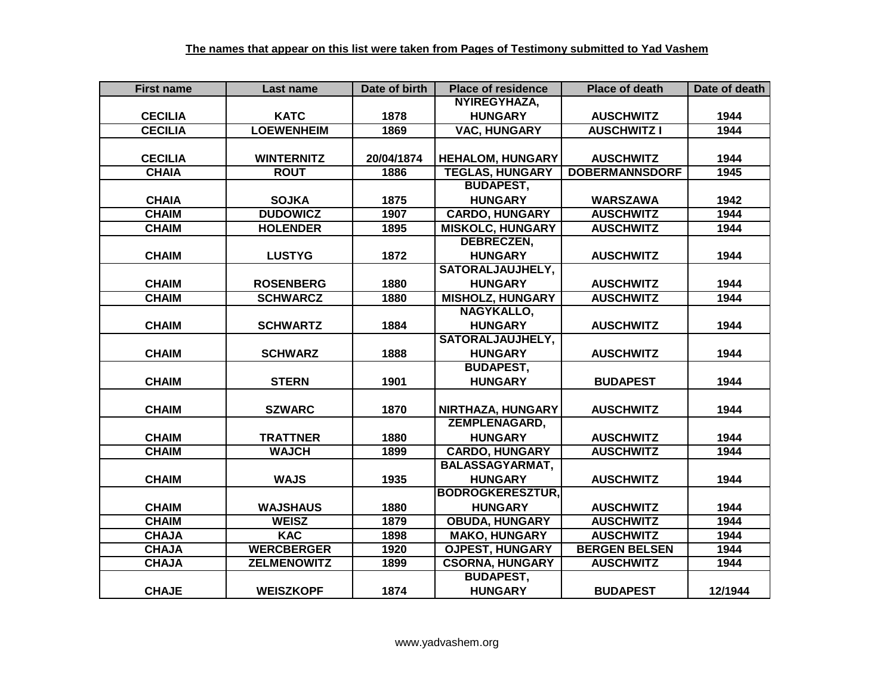| <b>First name</b> | Last name          | Date of birth | <b>Place of residence</b> | <b>Place of death</b> | Date of death |
|-------------------|--------------------|---------------|---------------------------|-----------------------|---------------|
|                   |                    |               | NYIREGYHAZA,              |                       |               |
| <b>CECILIA</b>    | <b>KATC</b>        | 1878          | <b>HUNGARY</b>            | <b>AUSCHWITZ</b>      | 1944          |
| <b>CECILIA</b>    | <b>LOEWENHEIM</b>  | 1869          | <b>VAC, HUNGARY</b>       | <b>AUSCHWITZ I</b>    | 1944          |
|                   |                    |               |                           |                       |               |
| <b>CECILIA</b>    | <b>WINTERNITZ</b>  | 20/04/1874    | <b>HEHALOM, HUNGARY</b>   | <b>AUSCHWITZ</b>      | 1944          |
| <b>CHAIA</b>      | <b>ROUT</b>        | 1886          | <b>TEGLAS, HUNGARY</b>    | <b>DOBERMANNSDORF</b> | 1945          |
|                   |                    |               | <b>BUDAPEST,</b>          |                       |               |
| <b>CHAIA</b>      | <b>SOJKA</b>       | 1875          | <b>HUNGARY</b>            | <b>WARSZAWA</b>       | 1942          |
| <b>CHAIM</b>      | <b>DUDOWICZ</b>    | 1907          | <b>CARDO, HUNGARY</b>     | <b>AUSCHWITZ</b>      | 1944          |
| <b>CHAIM</b>      | <b>HOLENDER</b>    | 1895          | <b>MISKOLC, HUNGARY</b>   | <b>AUSCHWITZ</b>      | 1944          |
|                   |                    |               | DEBRECZEN,                |                       |               |
| <b>CHAIM</b>      | <b>LUSTYG</b>      | 1872          | <b>HUNGARY</b>            | <b>AUSCHWITZ</b>      | 1944          |
|                   |                    |               | SATORALJAUJHELY,          |                       |               |
| <b>CHAIM</b>      | <b>ROSENBERG</b>   | 1880          | <b>HUNGARY</b>            | <b>AUSCHWITZ</b>      | 1944          |
| <b>CHAIM</b>      | <b>SCHWARCZ</b>    | 1880          | <b>MISHOLZ, HUNGARY</b>   | <b>AUSCHWITZ</b>      | 1944          |
|                   |                    |               | <b>NAGYKALLO,</b>         |                       |               |
| <b>CHAIM</b>      | <b>SCHWARTZ</b>    | 1884          | <b>HUNGARY</b>            | <b>AUSCHWITZ</b>      | 1944          |
|                   |                    |               | <b>SATORALJAUJHELY,</b>   |                       |               |
| <b>CHAIM</b>      | <b>SCHWARZ</b>     | 1888          | <b>HUNGARY</b>            | <b>AUSCHWITZ</b>      | 1944          |
|                   |                    |               | <b>BUDAPEST,</b>          |                       |               |
| <b>CHAIM</b>      | <b>STERN</b>       | 1901          | <b>HUNGARY</b>            | <b>BUDAPEST</b>       | 1944          |
|                   |                    |               |                           |                       |               |
| <b>CHAIM</b>      | <b>SZWARC</b>      | 1870          | NIRTHAZA, HUNGARY         | <b>AUSCHWITZ</b>      | 1944          |
|                   |                    |               | <b>ZEMPLENAGARD,</b>      |                       |               |
| <b>CHAIM</b>      | <b>TRATTNER</b>    | 1880          | <b>HUNGARY</b>            | <b>AUSCHWITZ</b>      | 1944          |
| <b>CHAIM</b>      | <b>WAJCH</b>       | 1899          | <b>CARDO, HUNGARY</b>     | <b>AUSCHWITZ</b>      | 1944          |
|                   |                    |               | <b>BALASSAGYARMAT,</b>    |                       |               |
| <b>CHAIM</b>      | <b>WAJS</b>        | 1935          | <b>HUNGARY</b>            | <b>AUSCHWITZ</b>      | 1944          |
|                   |                    |               | <b>BODROGKERESZTUR,</b>   |                       |               |
| <b>CHAIM</b>      | <b>WAJSHAUS</b>    | 1880          | <b>HUNGARY</b>            | <b>AUSCHWITZ</b>      | 1944          |
| <b>CHAIM</b>      | <b>WEISZ</b>       | 1879          | <b>OBUDA, HUNGARY</b>     | <b>AUSCHWITZ</b>      | 1944          |
| <b>CHAJA</b>      | <b>KAC</b>         | 1898          | <b>MAKO, HUNGARY</b>      | <b>AUSCHWITZ</b>      | 1944          |
| <b>CHAJA</b>      | <b>WERCBERGER</b>  | 1920          | <b>OJPEST, HUNGARY</b>    | <b>BERGEN BELSEN</b>  | 1944          |
| <b>CHAJA</b>      | <b>ZELMENOWITZ</b> | 1899          | <b>CSORNA, HUNGARY</b>    | <b>AUSCHWITZ</b>      | 1944          |
|                   |                    |               | <b>BUDAPEST,</b>          |                       |               |
| <b>CHAJE</b>      | <b>WEISZKOPF</b>   | 1874          | <b>HUNGARY</b>            | <b>BUDAPEST</b>       | 12/1944       |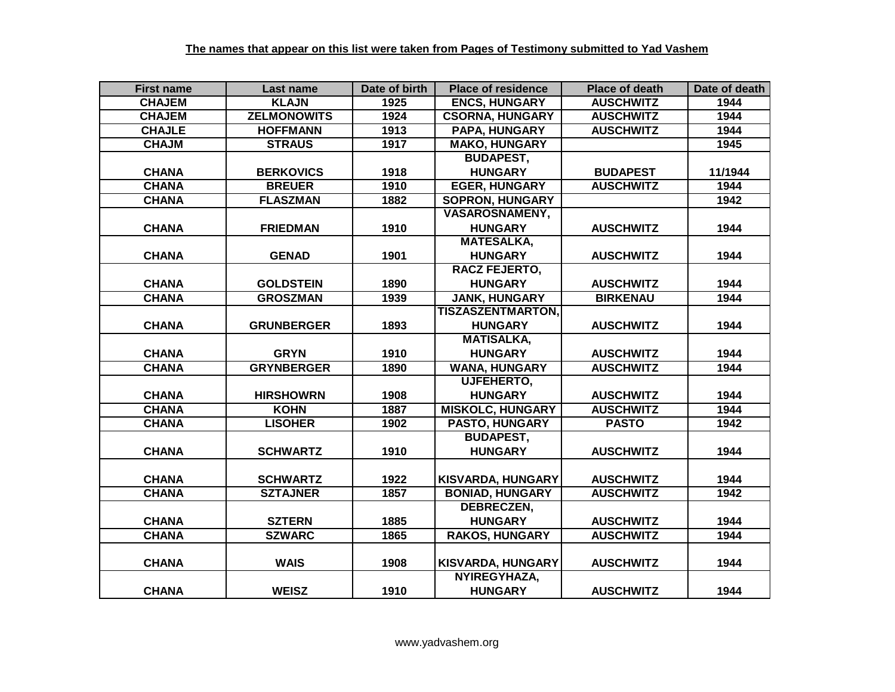| <b>First name</b> | Last name          | Date of birth | <b>Place of residence</b> | <b>Place of death</b> | Date of death |
|-------------------|--------------------|---------------|---------------------------|-----------------------|---------------|
| <b>CHAJEM</b>     | <b>KLAJN</b>       | 1925          | <b>ENCS, HUNGARY</b>      | <b>AUSCHWITZ</b>      | 1944          |
| <b>CHAJEM</b>     | <b>ZELMONOWITS</b> | 1924          | <b>CSORNA, HUNGARY</b>    | <b>AUSCHWITZ</b>      | 1944          |
| <b>CHAJLE</b>     | <b>HOFFMANN</b>    | 1913          | PAPA, HUNGARY             | <b>AUSCHWITZ</b>      | 1944          |
| <b>CHAJM</b>      | <b>STRAUS</b>      | 1917          | <b>MAKO, HUNGARY</b>      |                       | 1945          |
|                   |                    |               | <b>BUDAPEST,</b>          |                       |               |
| <b>CHANA</b>      | <b>BERKOVICS</b>   | 1918          | <b>HUNGARY</b>            | <b>BUDAPEST</b>       | 11/1944       |
| <b>CHANA</b>      | <b>BREUER</b>      | 1910          | <b>EGER, HUNGARY</b>      | <b>AUSCHWITZ</b>      | 1944          |
| <b>CHANA</b>      | <b>FLASZMAN</b>    | 1882          | <b>SOPRON, HUNGARY</b>    |                       | 1942          |
|                   |                    |               | <b>VASAROSNAMENY,</b>     |                       |               |
| <b>CHANA</b>      | <b>FRIEDMAN</b>    | 1910          | <b>HUNGARY</b>            | <b>AUSCHWITZ</b>      | 1944          |
|                   |                    |               | <b>MATESALKA,</b>         |                       |               |
| <b>CHANA</b>      | <b>GENAD</b>       | 1901          | <b>HUNGARY</b>            | <b>AUSCHWITZ</b>      | 1944          |
|                   |                    |               | <b>RACZ FEJERTO,</b>      |                       |               |
| <b>CHANA</b>      | <b>GOLDSTEIN</b>   | 1890          | <b>HUNGARY</b>            | <b>AUSCHWITZ</b>      | 1944          |
| <b>CHANA</b>      | <b>GROSZMAN</b>    | 1939          | <b>JANK, HUNGARY</b>      | <b>BIRKENAU</b>       | 1944          |
|                   |                    |               | <b>TISZASZENTMARTON,</b>  |                       |               |
| <b>CHANA</b>      | <b>GRUNBERGER</b>  | 1893          | <b>HUNGARY</b>            | <b>AUSCHWITZ</b>      | 1944          |
|                   |                    |               | <b>MATISALKA,</b>         |                       |               |
| <b>CHANA</b>      | <b>GRYN</b>        | 1910          | <b>HUNGARY</b>            | <b>AUSCHWITZ</b>      | 1944          |
| <b>CHANA</b>      | <b>GRYNBERGER</b>  | 1890          | <b>WANA, HUNGARY</b>      | <b>AUSCHWITZ</b>      | 1944          |
|                   |                    |               | UJFEHERTO,                |                       |               |
| <b>CHANA</b>      | <b>HIRSHOWRN</b>   | 1908          | <b>HUNGARY</b>            | <b>AUSCHWITZ</b>      | 1944          |
| <b>CHANA</b>      | <b>KOHN</b>        | 1887          | <b>MISKOLC, HUNGARY</b>   | <b>AUSCHWITZ</b>      | 1944          |
| <b>CHANA</b>      | <b>LISOHER</b>     | 1902          | PASTO, HUNGARY            | <b>PASTO</b>          | 1942          |
|                   |                    |               | <b>BUDAPEST,</b>          |                       |               |
| <b>CHANA</b>      | <b>SCHWARTZ</b>    | 1910          | <b>HUNGARY</b>            | <b>AUSCHWITZ</b>      | 1944          |
|                   |                    |               |                           |                       |               |
| <b>CHANA</b>      | <b>SCHWARTZ</b>    | 1922          | <b>KISVARDA, HUNGARY</b>  | <b>AUSCHWITZ</b>      | 1944          |
| <b>CHANA</b>      | <b>SZTAJNER</b>    | 1857          | <b>BONIAD, HUNGARY</b>    | <b>AUSCHWITZ</b>      | 1942          |
|                   |                    |               | <b>DEBRECZEN,</b>         |                       |               |
| <b>CHANA</b>      | <b>SZTERN</b>      | 1885          | <b>HUNGARY</b>            | <b>AUSCHWITZ</b>      | 1944          |
| <b>CHANA</b>      | <b>SZWARC</b>      | 1865          | <b>RAKOS, HUNGARY</b>     | <b>AUSCHWITZ</b>      | 1944          |
|                   |                    |               |                           |                       |               |
| <b>CHANA</b>      | <b>WAIS</b>        | 1908          | <b>KISVARDA, HUNGARY</b>  | <b>AUSCHWITZ</b>      | 1944          |
|                   |                    |               | NYIREGYHAZA,              |                       |               |
| <b>CHANA</b>      | <b>WEISZ</b>       | 1910          | <b>HUNGARY</b>            | <b>AUSCHWITZ</b>      | 1944          |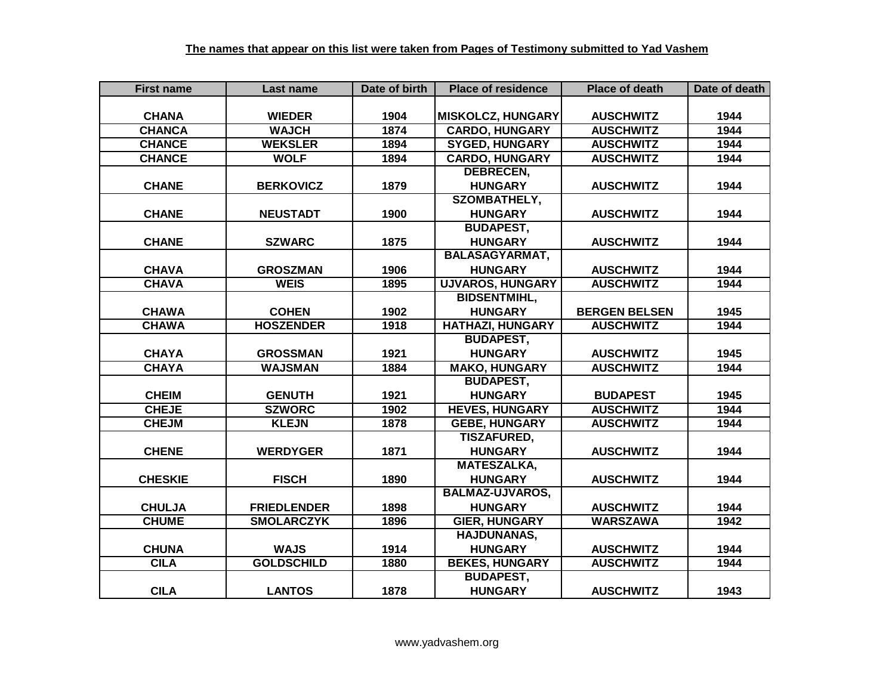| <b>First name</b> | Last name          | Date of birth | <b>Place of residence</b> | <b>Place of death</b> | Date of death |
|-------------------|--------------------|---------------|---------------------------|-----------------------|---------------|
|                   |                    |               |                           |                       |               |
| <b>CHANA</b>      | <b>WIEDER</b>      | 1904          | <b>MISKOLCZ, HUNGARY</b>  | <b>AUSCHWITZ</b>      | 1944          |
| <b>CHANCA</b>     | <b>WAJCH</b>       | 1874          | <b>CARDO, HUNGARY</b>     | <b>AUSCHWITZ</b>      | 1944          |
| <b>CHANCE</b>     | <b>WEKSLER</b>     | 1894          | <b>SYGED, HUNGARY</b>     | <b>AUSCHWITZ</b>      | 1944          |
| <b>CHANCE</b>     | <b>WOLF</b>        | 1894          | <b>CARDO, HUNGARY</b>     | <b>AUSCHWITZ</b>      | 1944          |
|                   |                    |               | <b>DEBRECEN,</b>          |                       |               |
| <b>CHANE</b>      | <b>BERKOVICZ</b>   | 1879          | <b>HUNGARY</b>            | <b>AUSCHWITZ</b>      | 1944          |
|                   |                    |               | <b>SZOMBATHELY,</b>       |                       |               |
| <b>CHANE</b>      | <b>NEUSTADT</b>    | 1900          | <b>HUNGARY</b>            | <b>AUSCHWITZ</b>      | 1944          |
|                   |                    |               | <b>BUDAPEST,</b>          |                       |               |
| <b>CHANE</b>      | <b>SZWARC</b>      | 1875          | <b>HUNGARY</b>            | <b>AUSCHWITZ</b>      | 1944          |
|                   |                    |               | <b>BALASAGYARMAT,</b>     |                       |               |
| <b>CHAVA</b>      | <b>GROSZMAN</b>    | 1906          | <b>HUNGARY</b>            | <b>AUSCHWITZ</b>      | 1944          |
| <b>CHAVA</b>      | <b>WEIS</b>        | 1895          | <b>UJVAROS, HUNGARY</b>   | <b>AUSCHWITZ</b>      | 1944          |
|                   |                    |               | <b>BIDSENTMIHL,</b>       |                       |               |
| <b>CHAWA</b>      | <b>COHEN</b>       | 1902          | <b>HUNGARY</b>            | <b>BERGEN BELSEN</b>  | 1945          |
| <b>CHAWA</b>      | <b>HOSZENDER</b>   | 1918          | <b>HATHAZI, HUNGARY</b>   | <b>AUSCHWITZ</b>      | 1944          |
|                   |                    |               | <b>BUDAPEST,</b>          |                       |               |
| <b>CHAYA</b>      | <b>GROSSMAN</b>    | 1921          | <b>HUNGARY</b>            | <b>AUSCHWITZ</b>      | 1945          |
| <b>CHAYA</b>      | <b>WAJSMAN</b>     | 1884          | <b>MAKO, HUNGARY</b>      | <b>AUSCHWITZ</b>      | 1944          |
|                   |                    |               | <b>BUDAPEST,</b>          |                       |               |
| <b>CHEIM</b>      | <b>GENUTH</b>      | 1921          | <b>HUNGARY</b>            | <b>BUDAPEST</b>       | 1945          |
| <b>CHEJE</b>      | <b>SZWORC</b>      | 1902          | <b>HEVES, HUNGARY</b>     | <b>AUSCHWITZ</b>      | 1944          |
| <b>CHEJM</b>      | <b>KLEJN</b>       | 1878          | <b>GEBE, HUNGARY</b>      | <b>AUSCHWITZ</b>      | 1944          |
|                   |                    |               | <b>TISZAFURED,</b>        |                       |               |
| <b>CHENE</b>      | <b>WERDYGER</b>    | 1871          | <b>HUNGARY</b>            | <b>AUSCHWITZ</b>      | 1944          |
|                   |                    |               | <b>MATESZALKA,</b>        |                       |               |
| <b>CHESKIE</b>    | <b>FISCH</b>       | 1890          | <b>HUNGARY</b>            | <b>AUSCHWITZ</b>      | 1944          |
|                   |                    |               | <b>BALMAZ-UJVAROS,</b>    |                       |               |
| <b>CHULJA</b>     | <b>FRIEDLENDER</b> | 1898          | <b>HUNGARY</b>            | <b>AUSCHWITZ</b>      | 1944          |
| <b>CHUME</b>      | <b>SMOLARCZYK</b>  | 1896          | <b>GIER, HUNGARY</b>      | <b>WARSZAWA</b>       | 1942          |
|                   |                    |               | HAJDUNANAS,               |                       |               |
| <b>CHUNA</b>      | <b>WAJS</b>        | 1914          | <b>HUNGARY</b>            | <b>AUSCHWITZ</b>      | 1944          |
| <b>CILA</b>       | <b>GOLDSCHILD</b>  | 1880          | <b>BEKES, HUNGARY</b>     | <b>AUSCHWITZ</b>      | 1944          |
|                   |                    |               | <b>BUDAPEST,</b>          |                       |               |
| <b>CILA</b>       | <b>LANTOS</b>      | 1878          | <b>HUNGARY</b>            | <b>AUSCHWITZ</b>      | 1943          |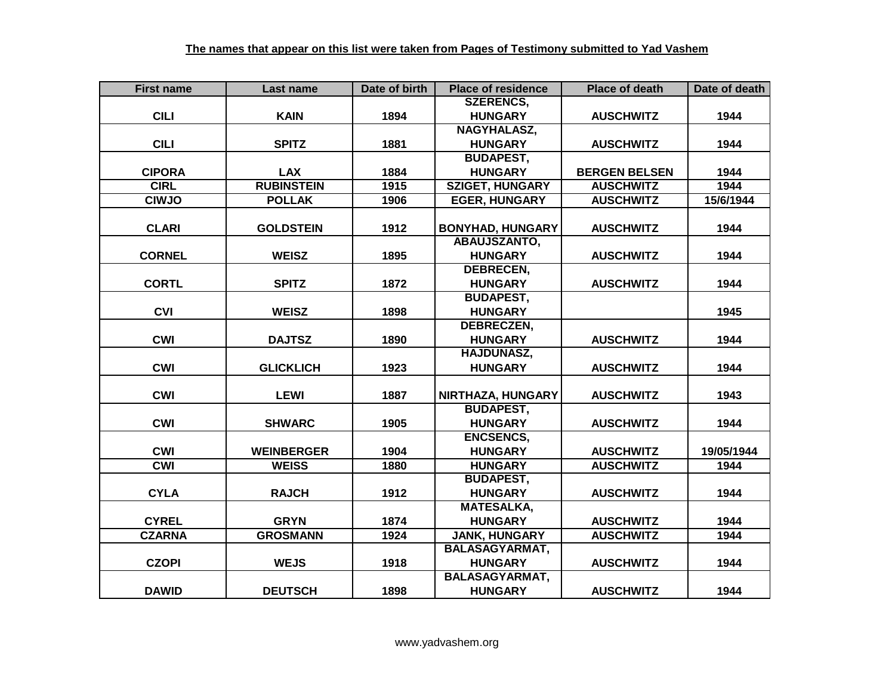| <b>First name</b> | Last name         | Date of birth | <b>Place of residence</b> | <b>Place of death</b> | Date of death |
|-------------------|-------------------|---------------|---------------------------|-----------------------|---------------|
|                   |                   |               | <b>SZERENCS,</b>          |                       |               |
| <b>CILI</b>       | <b>KAIN</b>       | 1894          | <b>HUNGARY</b>            | <b>AUSCHWITZ</b>      | 1944          |
|                   |                   |               | <b>NAGYHALASZ,</b>        |                       |               |
| <b>CILI</b>       | <b>SPITZ</b>      | 1881          | <b>HUNGARY</b>            | <b>AUSCHWITZ</b>      | 1944          |
|                   |                   |               | <b>BUDAPEST,</b>          |                       |               |
| <b>CIPORA</b>     | <b>LAX</b>        | 1884          | <b>HUNGARY</b>            | <b>BERGEN BELSEN</b>  | 1944          |
| <b>CIRL</b>       | <b>RUBINSTEIN</b> | 1915          | <b>SZIGET, HUNGARY</b>    | <b>AUSCHWITZ</b>      | 1944          |
| <b>CIWJO</b>      | <b>POLLAK</b>     | 1906          | <b>EGER, HUNGARY</b>      | <b>AUSCHWITZ</b>      | 15/6/1944     |
|                   |                   |               |                           |                       |               |
| <b>CLARI</b>      | <b>GOLDSTEIN</b>  | 1912          | <b>BONYHAD, HUNGARY</b>   | <b>AUSCHWITZ</b>      | 1944          |
|                   |                   |               | ABAUJSZANTO,              |                       |               |
| <b>CORNEL</b>     | <b>WEISZ</b>      | 1895          | <b>HUNGARY</b>            | <b>AUSCHWITZ</b>      | 1944          |
|                   |                   |               | <b>DEBRECEN,</b>          |                       |               |
| <b>CORTL</b>      | <b>SPITZ</b>      | 1872          | <b>HUNGARY</b>            | <b>AUSCHWITZ</b>      | 1944          |
|                   |                   |               | <b>BUDAPEST,</b>          |                       |               |
| <b>CVI</b>        | <b>WEISZ</b>      | 1898          | <b>HUNGARY</b>            |                       | 1945          |
|                   |                   |               | <b>DEBRECZEN,</b>         |                       |               |
| <b>CWI</b>        | <b>DAJTSZ</b>     | 1890          | <b>HUNGARY</b>            | <b>AUSCHWITZ</b>      | 1944          |
|                   |                   |               | <b>HAJDUNASZ,</b>         |                       |               |
| <b>CWI</b>        | <b>GLICKLICH</b>  | 1923          | <b>HUNGARY</b>            | <b>AUSCHWITZ</b>      | 1944          |
|                   |                   |               |                           |                       |               |
| <b>CWI</b>        | <b>LEWI</b>       | 1887          | NIRTHAZA, HUNGARY         | <b>AUSCHWITZ</b>      | 1943          |
|                   |                   |               | <b>BUDAPEST,</b>          |                       |               |
| <b>CWI</b>        | <b>SHWARC</b>     | 1905          | <b>HUNGARY</b>            | <b>AUSCHWITZ</b>      | 1944          |
|                   |                   |               | <b>ENCSENCS,</b>          |                       |               |
| <b>CWI</b>        | <b>WEINBERGER</b> | 1904          | <b>HUNGARY</b>            | <b>AUSCHWITZ</b>      | 19/05/1944    |
| <b>CWI</b>        | <b>WEISS</b>      | 1880          | <b>HUNGARY</b>            | <b>AUSCHWITZ</b>      | 1944          |
|                   |                   |               | <b>BUDAPEST,</b>          |                       |               |
| <b>CYLA</b>       | <b>RAJCH</b>      | 1912          | <b>HUNGARY</b>            | <b>AUSCHWITZ</b>      | 1944          |
|                   |                   |               | <b>MATESALKA,</b>         |                       |               |
| <b>CYREL</b>      | <b>GRYN</b>       | 1874          | <b>HUNGARY</b>            | <b>AUSCHWITZ</b>      | 1944          |
| <b>CZARNA</b>     | <b>GROSMANN</b>   | 1924          | <b>JANK, HUNGARY</b>      | <b>AUSCHWITZ</b>      | 1944          |
|                   |                   |               | <b>BALASAGYARMAT,</b>     |                       |               |
| <b>CZOPI</b>      | <b>WEJS</b>       | 1918          | <b>HUNGARY</b>            | <b>AUSCHWITZ</b>      | 1944          |
|                   |                   |               | <b>BALASAGYARMAT,</b>     |                       |               |
| <b>DAWID</b>      | <b>DEUTSCH</b>    | 1898          | <b>HUNGARY</b>            | <b>AUSCHWITZ</b>      | 1944          |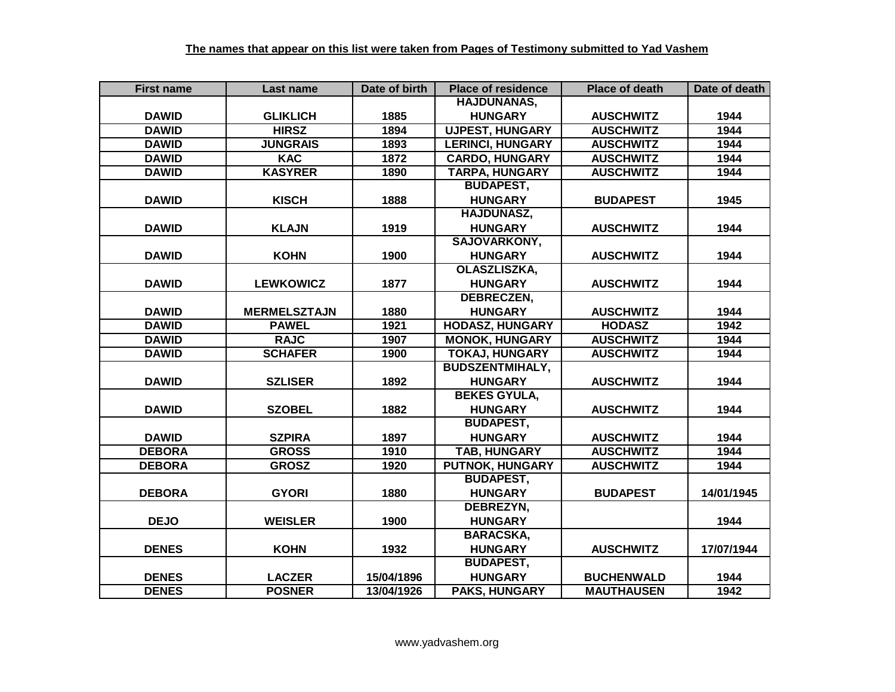| <b>First name</b> | Last name           | Date of birth | <b>Place of residence</b> | <b>Place of death</b> | Date of death |
|-------------------|---------------------|---------------|---------------------------|-----------------------|---------------|
|                   |                     |               | <b>HAJDUNANAS,</b>        |                       |               |
| <b>DAWID</b>      | <b>GLIKLICH</b>     | 1885          | <b>HUNGARY</b>            | <b>AUSCHWITZ</b>      | 1944          |
| <b>DAWID</b>      | <b>HIRSZ</b>        | 1894          | <b>UJPEST, HUNGARY</b>    | <b>AUSCHWITZ</b>      | 1944          |
| <b>DAWID</b>      | <b>JUNGRAIS</b>     | 1893          | <b>LERINCI, HUNGARY</b>   | <b>AUSCHWITZ</b>      | 1944          |
| <b>DAWID</b>      | <b>KAC</b>          | 1872          | <b>CARDO, HUNGARY</b>     | <b>AUSCHWITZ</b>      | 1944          |
| <b>DAWID</b>      | <b>KASYRER</b>      | 1890          | <b>TARPA, HUNGARY</b>     | <b>AUSCHWITZ</b>      | 1944          |
|                   |                     |               | <b>BUDAPEST,</b>          |                       |               |
| <b>DAWID</b>      | <b>KISCH</b>        | 1888          | <b>HUNGARY</b>            | <b>BUDAPEST</b>       | 1945          |
|                   |                     |               | <b>HAJDUNASZ,</b>         |                       |               |
| <b>DAWID</b>      | <b>KLAJN</b>        | 1919          | <b>HUNGARY</b>            | <b>AUSCHWITZ</b>      | 1944          |
|                   |                     |               | SAJOVARKONY,              |                       |               |
| <b>DAWID</b>      | <b>KOHN</b>         | 1900          | <b>HUNGARY</b>            | <b>AUSCHWITZ</b>      | 1944          |
|                   |                     |               | <b>OLASZLISZKA,</b>       |                       |               |
| <b>DAWID</b>      | <b>LEWKOWICZ</b>    | 1877          | <b>HUNGARY</b>            | <b>AUSCHWITZ</b>      | 1944          |
|                   |                     |               | <b>DEBRECZEN,</b>         |                       |               |
| <b>DAWID</b>      | <b>MERMELSZTAJN</b> | 1880          | <b>HUNGARY</b>            | <b>AUSCHWITZ</b>      | 1944          |
| <b>DAWID</b>      | <b>PAWEL</b>        | 1921          | <b>HODASZ, HUNGARY</b>    | <b>HODASZ</b>         | 1942          |
| <b>DAWID</b>      | <b>RAJC</b>         | 1907          | <b>MONOK, HUNGARY</b>     | <b>AUSCHWITZ</b>      | 1944          |
| <b>DAWID</b>      | <b>SCHAFER</b>      | 1900          | <b>TOKAJ, HUNGARY</b>     | <b>AUSCHWITZ</b>      | 1944          |
|                   |                     |               | <b>BUDSZENTMIHALY,</b>    |                       |               |
| <b>DAWID</b>      | <b>SZLISER</b>      | 1892          | <b>HUNGARY</b>            | <b>AUSCHWITZ</b>      | 1944          |
|                   |                     |               | <b>BEKES GYULA,</b>       |                       |               |
| <b>DAWID</b>      | <b>SZOBEL</b>       | 1882          | <b>HUNGARY</b>            | <b>AUSCHWITZ</b>      | 1944          |
|                   |                     |               | <b>BUDAPEST,</b>          |                       |               |
| <b>DAWID</b>      | <b>SZPIRA</b>       | 1897          | <b>HUNGARY</b>            | <b>AUSCHWITZ</b>      | 1944          |
| <b>DEBORA</b>     | <b>GROSS</b>        | 1910          | <b>TAB, HUNGARY</b>       | <b>AUSCHWITZ</b>      | 1944          |
| <b>DEBORA</b>     | <b>GROSZ</b>        | 1920          | <b>PUTNOK, HUNGARY</b>    | <b>AUSCHWITZ</b>      | 1944          |
|                   |                     |               | <b>BUDAPEST,</b>          |                       |               |
| <b>DEBORA</b>     | <b>GYORI</b>        | 1880          | <b>HUNGARY</b>            | <b>BUDAPEST</b>       | 14/01/1945    |
|                   |                     |               | DEBREZYN,                 |                       |               |
| <b>DEJO</b>       | <b>WEISLER</b>      | 1900          | <b>HUNGARY</b>            |                       | 1944          |
|                   |                     |               | <b>BARACSKA,</b>          |                       |               |
| <b>DENES</b>      | <b>KOHN</b>         | 1932          | <b>HUNGARY</b>            | <b>AUSCHWITZ</b>      | 17/07/1944    |
|                   |                     |               | <b>BUDAPEST,</b>          |                       |               |
| <b>DENES</b>      | <b>LACZER</b>       | 15/04/1896    | <b>HUNGARY</b>            | <b>BUCHENWALD</b>     | 1944          |
| <b>DENES</b>      | <b>POSNER</b>       | 13/04/1926    | <b>PAKS, HUNGARY</b>      | <b>MAUTHAUSEN</b>     | 1942          |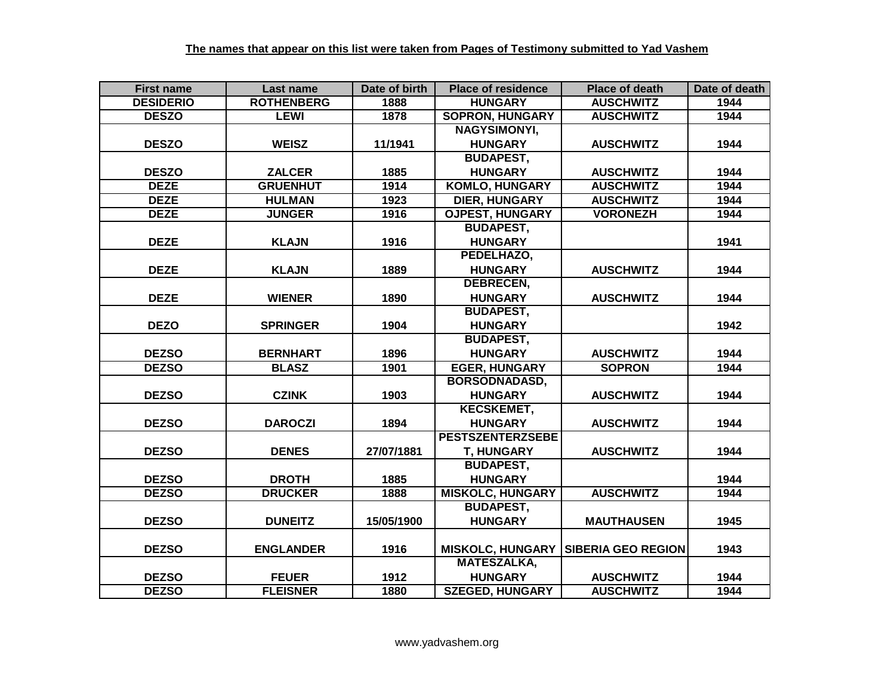| <b>First name</b> | Last name         | Date of birth | <b>Place of residence</b> | <b>Place of death</b>     | Date of death |
|-------------------|-------------------|---------------|---------------------------|---------------------------|---------------|
| <b>DESIDERIO</b>  | <b>ROTHENBERG</b> | 1888          | <b>HUNGARY</b>            | <b>AUSCHWITZ</b>          | 1944          |
| <b>DESZO</b>      | <b>LEWI</b>       | 1878          | <b>SOPRON, HUNGARY</b>    | <b>AUSCHWITZ</b>          | 1944          |
|                   |                   |               | <b>NAGYSIMONYI,</b>       |                           |               |
| <b>DESZO</b>      | <b>WEISZ</b>      | 11/1941       | <b>HUNGARY</b>            | <b>AUSCHWITZ</b>          | 1944          |
|                   |                   |               | <b>BUDAPEST,</b>          |                           |               |
| <b>DESZO</b>      | <b>ZALCER</b>     | 1885          | <b>HUNGARY</b>            | <b>AUSCHWITZ</b>          | 1944          |
| <b>DEZE</b>       | <b>GRUENHUT</b>   | 1914          | <b>KOMLO, HUNGARY</b>     | <b>AUSCHWITZ</b>          | 1944          |
| <b>DEZE</b>       | <b>HULMAN</b>     | 1923          | <b>DIER, HUNGARY</b>      | <b>AUSCHWITZ</b>          | 1944          |
| <b>DEZE</b>       | <b>JUNGER</b>     | 1916          | <b>OJPEST, HUNGARY</b>    | <b>VORONEZH</b>           | 1944          |
|                   |                   |               | <b>BUDAPEST,</b>          |                           |               |
| <b>DEZE</b>       | <b>KLAJN</b>      | 1916          | <b>HUNGARY</b>            |                           | 1941          |
|                   |                   |               | PEDELHAZO,                |                           |               |
| <b>DEZE</b>       | <b>KLAJN</b>      | 1889          | <b>HUNGARY</b>            | <b>AUSCHWITZ</b>          | 1944          |
|                   |                   |               | <b>DEBRECEN,</b>          |                           |               |
| <b>DEZE</b>       | <b>WIENER</b>     | 1890          | <b>HUNGARY</b>            | <b>AUSCHWITZ</b>          | 1944          |
|                   |                   |               | <b>BUDAPEST,</b>          |                           |               |
| <b>DEZO</b>       | <b>SPRINGER</b>   | 1904          | <b>HUNGARY</b>            |                           | 1942          |
|                   |                   |               | <b>BUDAPEST,</b>          |                           |               |
| <b>DEZSO</b>      | <b>BERNHART</b>   | 1896          | <b>HUNGARY</b>            | <b>AUSCHWITZ</b>          | 1944          |
| <b>DEZSO</b>      | <b>BLASZ</b>      | 1901          | <b>EGER, HUNGARY</b>      | <b>SOPRON</b>             | 1944          |
|                   |                   |               | <b>BORSODNADASD,</b>      |                           |               |
| <b>DEZSO</b>      | <b>CZINK</b>      | 1903          | <b>HUNGARY</b>            | <b>AUSCHWITZ</b>          | 1944          |
|                   |                   |               | <b>KECSKEMET,</b>         |                           |               |
| <b>DEZSO</b>      | <b>DAROCZI</b>    | 1894          | <b>HUNGARY</b>            | <b>AUSCHWITZ</b>          | 1944          |
|                   |                   |               | <b>PESTSZENTERZSEBE</b>   |                           |               |
| <b>DEZSO</b>      | <b>DENES</b>      | 27/07/1881    | <b>T. HUNGARY</b>         | <b>AUSCHWITZ</b>          | 1944          |
|                   |                   |               | <b>BUDAPEST,</b>          |                           |               |
| <b>DEZSO</b>      | <b>DROTH</b>      | 1885          | <b>HUNGARY</b>            |                           | 1944          |
| <b>DEZSO</b>      | <b>DRUCKER</b>    | 1888          | <b>MISKOLC, HUNGARY</b>   | <b>AUSCHWITZ</b>          | 1944          |
|                   |                   |               | <b>BUDAPEST,</b>          |                           |               |
| <b>DEZSO</b>      | <b>DUNEITZ</b>    | 15/05/1900    | <b>HUNGARY</b>            | <b>MAUTHAUSEN</b>         | 1945          |
|                   |                   |               |                           |                           |               |
| <b>DEZSO</b>      | <b>ENGLANDER</b>  | 1916          | <b>MISKOLC, HUNGARY</b>   | <b>SIBERIA GEO REGION</b> | 1943          |
|                   |                   |               | <b>MATESZALKA,</b>        |                           |               |
| <b>DEZSO</b>      | <b>FEUER</b>      | 1912          | <b>HUNGARY</b>            | <b>AUSCHWITZ</b>          | 1944          |
| <b>DEZSO</b>      | <b>FLEISNER</b>   | 1880          | <b>SZEGED, HUNGARY</b>    | <b>AUSCHWITZ</b>          | 1944          |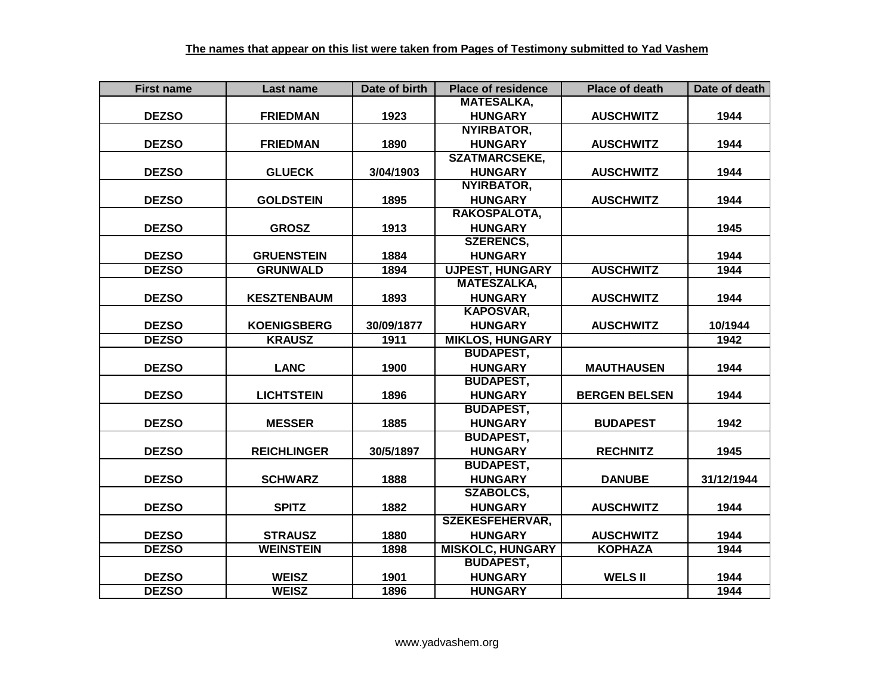| <b>First name</b> | Last name          | Date of birth | <b>Place of residence</b> | <b>Place of death</b> | Date of death |
|-------------------|--------------------|---------------|---------------------------|-----------------------|---------------|
|                   |                    |               | <b>MATESALKA,</b>         |                       |               |
| <b>DEZSO</b>      | <b>FRIEDMAN</b>    | 1923          | <b>HUNGARY</b>            | <b>AUSCHWITZ</b>      | 1944          |
|                   |                    |               | NYIRBATOR,                |                       |               |
| <b>DEZSO</b>      | <b>FRIEDMAN</b>    | 1890          | <b>HUNGARY</b>            | <b>AUSCHWITZ</b>      | 1944          |
|                   |                    |               | <b>SZATMARCSEKE,</b>      |                       |               |
| <b>DEZSO</b>      | <b>GLUECK</b>      | 3/04/1903     | <b>HUNGARY</b>            | <b>AUSCHWITZ</b>      | 1944          |
|                   |                    |               | NYIRBATOR,                |                       |               |
| <b>DEZSO</b>      | <b>GOLDSTEIN</b>   | 1895          | <b>HUNGARY</b>            | <b>AUSCHWITZ</b>      | 1944          |
|                   |                    |               | RAKOSPALOTA,              |                       |               |
| <b>DEZSO</b>      | <b>GROSZ</b>       | 1913          | <b>HUNGARY</b>            |                       | 1945          |
|                   |                    |               | <b>SZERENCS,</b>          |                       |               |
| <b>DEZSO</b>      | <b>GRUENSTEIN</b>  | 1884          | <b>HUNGARY</b>            |                       | 1944          |
| <b>DEZSO</b>      | <b>GRUNWALD</b>    | 1894          | <b>UJPEST, HUNGARY</b>    | <b>AUSCHWITZ</b>      | 1944          |
|                   |                    |               | <b>MATESZALKA,</b>        |                       |               |
| <b>DEZSO</b>      | <b>KESZTENBAUM</b> | 1893          | <b>HUNGARY</b>            | <b>AUSCHWITZ</b>      | 1944          |
|                   |                    |               | <b>KAPOSVAR,</b>          |                       |               |
| <b>DEZSO</b>      | <b>KOENIGSBERG</b> | 30/09/1877    | <b>HUNGARY</b>            | <b>AUSCHWITZ</b>      | 10/1944       |
| <b>DEZSO</b>      | <b>KRAUSZ</b>      | 1911          | <b>MIKLOS, HUNGARY</b>    |                       | 1942          |
|                   |                    |               | <b>BUDAPEST,</b>          |                       |               |
| <b>DEZSO</b>      | <b>LANC</b>        | 1900          | <b>HUNGARY</b>            | <b>MAUTHAUSEN</b>     | 1944          |
|                   |                    |               | <b>BUDAPEST,</b>          |                       |               |
| <b>DEZSO</b>      | <b>LICHTSTEIN</b>  | 1896          | <b>HUNGARY</b>            | <b>BERGEN BELSEN</b>  | 1944          |
|                   |                    |               | <b>BUDAPEST,</b>          |                       |               |
| <b>DEZSO</b>      | <b>MESSER</b>      | 1885          | <b>HUNGARY</b>            | <b>BUDAPEST</b>       | 1942          |
|                   |                    |               | <b>BUDAPEST,</b>          |                       |               |
| <b>DEZSO</b>      | <b>REICHLINGER</b> | 30/5/1897     | <b>HUNGARY</b>            | <b>RECHNITZ</b>       | 1945          |
|                   |                    |               | <b>BUDAPEST,</b>          |                       |               |
| <b>DEZSO</b>      | <b>SCHWARZ</b>     | 1888          | <b>HUNGARY</b>            | <b>DANUBE</b>         | 31/12/1944    |
|                   |                    |               | <b>SZABOLCS,</b>          |                       |               |
| <b>DEZSO</b>      | <b>SPITZ</b>       | 1882          | <b>HUNGARY</b>            | <b>AUSCHWITZ</b>      | 1944          |
|                   |                    |               | <b>SZEKESFEHERVAR,</b>    |                       |               |
| <b>DEZSO</b>      | <b>STRAUSZ</b>     | 1880          | <b>HUNGARY</b>            | <b>AUSCHWITZ</b>      | 1944          |
| <b>DEZSO</b>      | <b>WEINSTEIN</b>   | 1898          | <b>MISKOLC, HUNGARY</b>   | <b>KOPHAZA</b>        | 1944          |
|                   |                    |               | <b>BUDAPEST,</b>          |                       |               |
| <b>DEZSO</b>      | <b>WEISZ</b>       | 1901          | <b>HUNGARY</b>            | <b>WELS II</b>        | 1944          |
| <b>DEZSO</b>      | <b>WEISZ</b>       | 1896          | <b>HUNGARY</b>            |                       | 1944          |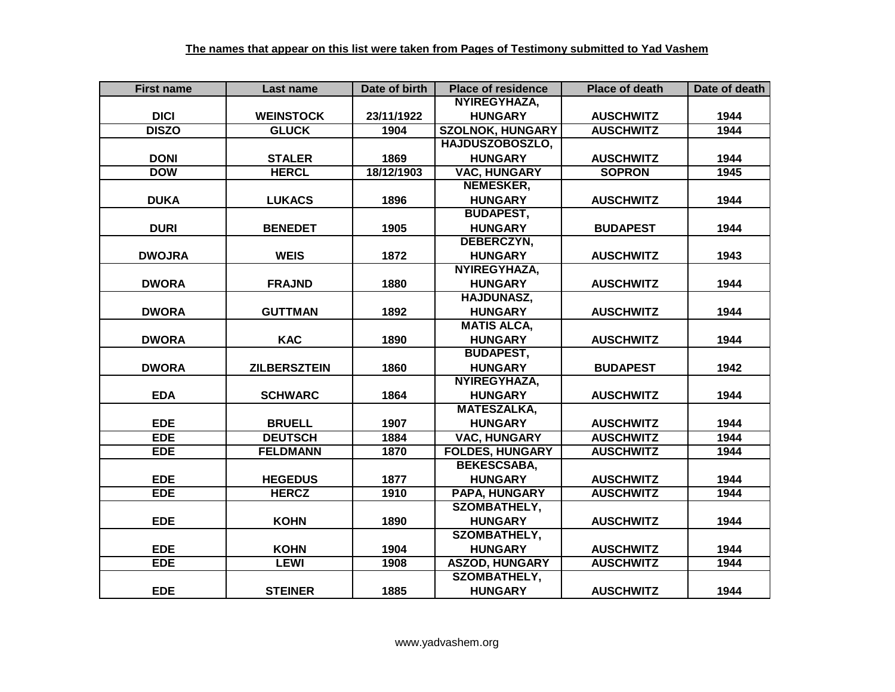| <b>First name</b> | Last name           | Date of birth | <b>Place of residence</b> | <b>Place of death</b> | Date of death |
|-------------------|---------------------|---------------|---------------------------|-----------------------|---------------|
|                   |                     |               | NYIREGYHAZA,              |                       |               |
| <b>DICI</b>       | <b>WEINSTOCK</b>    | 23/11/1922    | <b>HUNGARY</b>            | <b>AUSCHWITZ</b>      | 1944          |
| <b>DISZO</b>      | <b>GLUCK</b>        | 1904          | <b>SZOLNOK, HUNGARY</b>   | <b>AUSCHWITZ</b>      | 1944          |
|                   |                     |               | <b>HAJDUSZOBOSZLO,</b>    |                       |               |
| <b>DONI</b>       | <b>STALER</b>       | 1869          | <b>HUNGARY</b>            | <b>AUSCHWITZ</b>      | 1944          |
| <b>DOW</b>        | <b>HERCL</b>        | 18/12/1903    | <b>VAC, HUNGARY</b>       | <b>SOPRON</b>         | 1945          |
|                   |                     |               | NEMESKER,                 |                       |               |
| <b>DUKA</b>       | <b>LUKACS</b>       | 1896          | <b>HUNGARY</b>            | <b>AUSCHWITZ</b>      | 1944          |
|                   |                     |               | <b>BUDAPEST,</b>          |                       |               |
| <b>DURI</b>       | <b>BENEDET</b>      | 1905          | <b>HUNGARY</b>            | <b>BUDAPEST</b>       | 1944          |
|                   |                     |               | DEBERCZYN,                |                       |               |
| <b>DWOJRA</b>     | <b>WEIS</b>         | 1872          | <b>HUNGARY</b>            | <b>AUSCHWITZ</b>      | 1943          |
|                   |                     |               | NYIREGYHAZA,              |                       |               |
| <b>DWORA</b>      | <b>FRAJND</b>       | 1880          | <b>HUNGARY</b>            | <b>AUSCHWITZ</b>      | 1944          |
|                   |                     |               | <b>HAJDUNASZ,</b>         |                       |               |
| <b>DWORA</b>      | <b>GUTTMAN</b>      | 1892          | <b>HUNGARY</b>            | <b>AUSCHWITZ</b>      | 1944          |
|                   |                     |               | <b>MATIS ALCA,</b>        |                       |               |
| <b>DWORA</b>      | <b>KAC</b>          | 1890          | <b>HUNGARY</b>            | <b>AUSCHWITZ</b>      | 1944          |
|                   |                     |               | <b>BUDAPEST,</b>          |                       |               |
| <b>DWORA</b>      | <b>ZILBERSZTEIN</b> | 1860          | <b>HUNGARY</b>            | <b>BUDAPEST</b>       | 1942          |
|                   |                     |               | NYIREGYHAZA,              |                       |               |
| <b>EDA</b>        | <b>SCHWARC</b>      | 1864          | <b>HUNGARY</b>            | <b>AUSCHWITZ</b>      | 1944          |
|                   |                     |               | <b>MATESZALKA,</b>        |                       |               |
| <b>EDE</b>        | <b>BRUELL</b>       | 1907          | <b>HUNGARY</b>            | <b>AUSCHWITZ</b>      | 1944          |
| <b>EDE</b>        | <b>DEUTSCH</b>      | 1884          | <b>VAC, HUNGARY</b>       | <b>AUSCHWITZ</b>      | 1944          |
| <b>EDE</b>        | <b>FELDMANN</b>     | 1870          | <b>FOLDES, HUNGARY</b>    | <b>AUSCHWITZ</b>      | 1944          |
|                   |                     |               | <b>BEKESCSABA,</b>        |                       |               |
| <b>EDE</b>        | <b>HEGEDUS</b>      | 1877          | <b>HUNGARY</b>            | <b>AUSCHWITZ</b>      | 1944          |
| <b>EDE</b>        | <b>HERCZ</b>        | 1910          | <b>PAPA, HUNGARY</b>      | <b>AUSCHWITZ</b>      | 1944          |
|                   |                     |               | <b>SZOMBATHELY,</b>       |                       |               |
| <b>EDE</b>        | <b>KOHN</b>         | 1890          | <b>HUNGARY</b>            | <b>AUSCHWITZ</b>      | 1944          |
|                   |                     |               | <b>SZOMBATHELY,</b>       |                       |               |
| <b>EDE</b>        | <b>KOHN</b>         | 1904          | <b>HUNGARY</b>            | <b>AUSCHWITZ</b>      | 1944          |
| <b>EDE</b>        | <b>LEWI</b>         | 1908          | <b>ASZOD, HUNGARY</b>     | <b>AUSCHWITZ</b>      | 1944          |
|                   |                     |               | <b>SZOMBATHELY,</b>       |                       |               |
| <b>EDE</b>        | <b>STEINER</b>      | 1885          | <b>HUNGARY</b>            | <b>AUSCHWITZ</b>      | 1944          |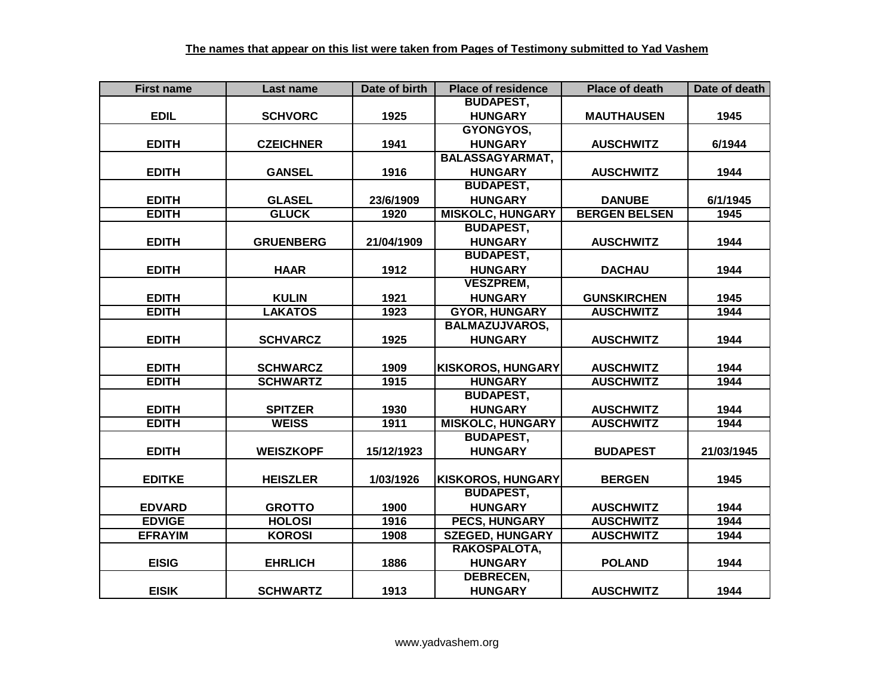| <b>First name</b> | Last name        | Date of birth | <b>Place of residence</b> | <b>Place of death</b> | Date of death |
|-------------------|------------------|---------------|---------------------------|-----------------------|---------------|
|                   |                  |               | <b>BUDAPEST,</b>          |                       |               |
| <b>EDIL</b>       | <b>SCHVORC</b>   | 1925          | <b>HUNGARY</b>            | <b>MAUTHAUSEN</b>     | 1945          |
|                   |                  |               | GYONGYOS,                 |                       |               |
| <b>EDITH</b>      | <b>CZEICHNER</b> | 1941          | <b>HUNGARY</b>            | <b>AUSCHWITZ</b>      | 6/1944        |
|                   |                  |               | <b>BALASSAGYARMAT,</b>    |                       |               |
| <b>EDITH</b>      | <b>GANSEL</b>    | 1916          | <b>HUNGARY</b>            | <b>AUSCHWITZ</b>      | 1944          |
|                   |                  |               | <b>BUDAPEST,</b>          |                       |               |
| <b>EDITH</b>      | <b>GLASEL</b>    | 23/6/1909     | <b>HUNGARY</b>            | <b>DANUBE</b>         | 6/1/1945      |
| <b>EDITH</b>      | <b>GLUCK</b>     | 1920          | <b>MISKOLC, HUNGARY</b>   | <b>BERGEN BELSEN</b>  | 1945          |
|                   |                  |               | <b>BUDAPEST,</b>          |                       |               |
| <b>EDITH</b>      | <b>GRUENBERG</b> | 21/04/1909    | <b>HUNGARY</b>            | <b>AUSCHWITZ</b>      | 1944          |
|                   |                  |               | <b>BUDAPEST,</b>          |                       |               |
| <b>EDITH</b>      | <b>HAAR</b>      | 1912          | <b>HUNGARY</b>            | <b>DACHAU</b>         | 1944          |
|                   |                  |               | <b>VESZPREM,</b>          |                       |               |
| <b>EDITH</b>      | <b>KULIN</b>     | 1921          | <b>HUNGARY</b>            | <b>GUNSKIRCHEN</b>    | 1945          |
| <b>EDITH</b>      | <b>LAKATOS</b>   | 1923          | <b>GYOR, HUNGARY</b>      | <b>AUSCHWITZ</b>      | 1944          |
|                   |                  |               | <b>BALMAZUJVAROS,</b>     |                       |               |
| <b>EDITH</b>      | <b>SCHVARCZ</b>  | 1925          | <b>HUNGARY</b>            | <b>AUSCHWITZ</b>      | 1944          |
|                   |                  |               |                           |                       |               |
| <b>EDITH</b>      | <b>SCHWARCZ</b>  | 1909          | <b>KISKOROS, HUNGARY</b>  | <b>AUSCHWITZ</b>      | 1944          |
| <b>EDITH</b>      | <b>SCHWARTZ</b>  | 1915          | <b>HUNGARY</b>            | <b>AUSCHWITZ</b>      | 1944          |
|                   |                  |               | <b>BUDAPEST,</b>          |                       |               |
| <b>EDITH</b>      | <b>SPITZER</b>   | 1930          | <b>HUNGARY</b>            | <b>AUSCHWITZ</b>      | 1944          |
| <b>EDITH</b>      | <b>WEISS</b>     | 1911          | <b>MISKOLC, HUNGARY</b>   | <b>AUSCHWITZ</b>      | 1944          |
|                   |                  |               | <b>BUDAPEST,</b>          |                       |               |
| <b>EDITH</b>      | <b>WEISZKOPF</b> | 15/12/1923    | <b>HUNGARY</b>            | <b>BUDAPEST</b>       | 21/03/1945    |
|                   |                  |               |                           |                       |               |
| <b>EDITKE</b>     | <b>HEISZLER</b>  | 1/03/1926     | <b>KISKOROS, HUNGARY</b>  | <b>BERGEN</b>         | 1945          |
|                   |                  |               | <b>BUDAPEST,</b>          |                       |               |
| <b>EDVARD</b>     | <b>GROTTO</b>    | 1900          | <b>HUNGARY</b>            | <b>AUSCHWITZ</b>      | 1944          |
| <b>EDVIGE</b>     | <b>HOLOSI</b>    | 1916          | <b>PECS, HUNGARY</b>      | <b>AUSCHWITZ</b>      | 1944          |
| <b>EFRAYIM</b>    | <b>KOROSI</b>    | 1908          | <b>SZEGED, HUNGARY</b>    | <b>AUSCHWITZ</b>      | 1944          |
|                   |                  |               | RAKOSPALOTA,              |                       |               |
| <b>EISIG</b>      | <b>EHRLICH</b>   | 1886          | <b>HUNGARY</b>            | <b>POLAND</b>         | 1944          |
|                   |                  |               | DEBRECEN,                 |                       |               |
| <b>EISIK</b>      | <b>SCHWARTZ</b>  | 1913          | <b>HUNGARY</b>            | <b>AUSCHWITZ</b>      | 1944          |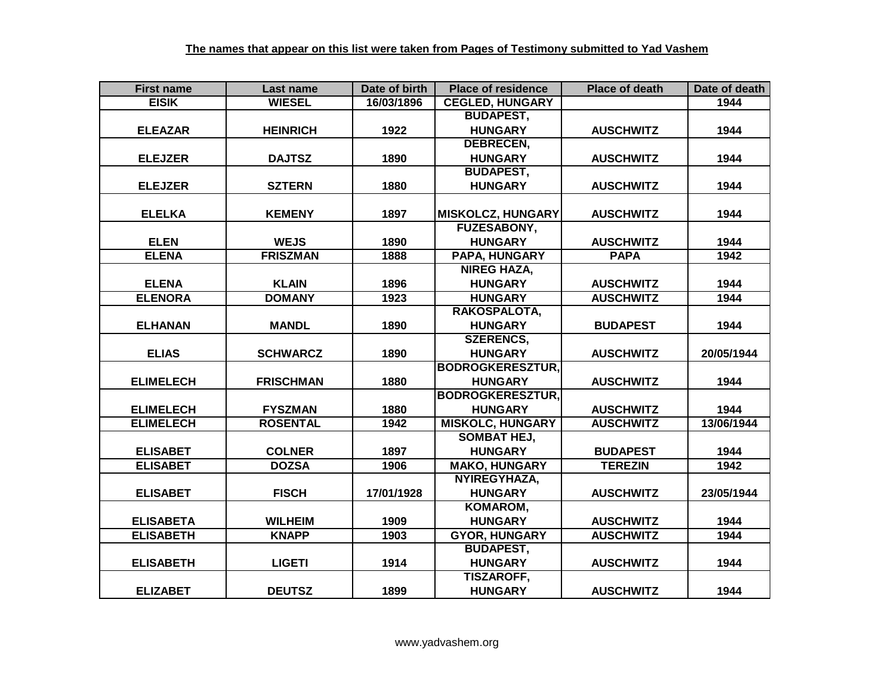| <b>First name</b> | Last name        | Date of birth | <b>Place of residence</b> | <b>Place of death</b> | Date of death |
|-------------------|------------------|---------------|---------------------------|-----------------------|---------------|
| <b>EISIK</b>      | <b>WIESEL</b>    | 16/03/1896    | <b>CEGLED, HUNGARY</b>    |                       | 1944          |
|                   |                  |               | <b>BUDAPEST,</b>          |                       |               |
| <b>ELEAZAR</b>    | <b>HEINRICH</b>  | 1922          | <b>HUNGARY</b>            | <b>AUSCHWITZ</b>      | 1944          |
|                   |                  |               | <b>DEBRECEN,</b>          |                       |               |
| <b>ELEJZER</b>    | <b>DAJTSZ</b>    | 1890          | <b>HUNGARY</b>            | <b>AUSCHWITZ</b>      | 1944          |
|                   |                  |               | <b>BUDAPEST,</b>          |                       |               |
| <b>ELEJZER</b>    | <b>SZTERN</b>    | 1880          | <b>HUNGARY</b>            | <b>AUSCHWITZ</b>      | 1944          |
|                   |                  |               |                           |                       |               |
| <b>ELELKA</b>     | <b>KEMENY</b>    | 1897          | <b>MISKOLCZ, HUNGARY</b>  | <b>AUSCHWITZ</b>      | 1944          |
|                   |                  |               | <b>FUZESABONY,</b>        |                       |               |
| <b>ELEN</b>       | <b>WEJS</b>      | 1890          | <b>HUNGARY</b>            | <b>AUSCHWITZ</b>      | 1944          |
| <b>ELENA</b>      | <b>FRISZMAN</b>  | 1888          | PAPA, HUNGARY             | <b>PAPA</b>           | 1942          |
|                   |                  |               | <b>NIREG HAZA,</b>        |                       |               |
| <b>ELENA</b>      | <b>KLAIN</b>     | 1896          | <b>HUNGARY</b>            | <b>AUSCHWITZ</b>      | 1944          |
| <b>ELENORA</b>    | <b>DOMANY</b>    | 1923          | <b>HUNGARY</b>            | <b>AUSCHWITZ</b>      | 1944          |
|                   |                  |               | RAKOSPALOTA,              |                       |               |
| <b>ELHANAN</b>    | <b>MANDL</b>     | 1890          | <b>HUNGARY</b>            | <b>BUDAPEST</b>       | 1944          |
|                   |                  |               | <b>SZERENCS,</b>          |                       |               |
| <b>ELIAS</b>      | <b>SCHWARCZ</b>  | 1890          | <b>HUNGARY</b>            | <b>AUSCHWITZ</b>      | 20/05/1944    |
|                   |                  |               | <b>BODROGKERESZTUR,</b>   |                       |               |
| <b>ELIMELECH</b>  | <b>FRISCHMAN</b> | 1880          | <b>HUNGARY</b>            | <b>AUSCHWITZ</b>      | 1944          |
|                   |                  |               | <b>BODROGKERESZTUR,</b>   |                       |               |
| <b>ELIMELECH</b>  | <b>FYSZMAN</b>   | 1880          | <b>HUNGARY</b>            | <b>AUSCHWITZ</b>      | 1944          |
| <b>ELIMELECH</b>  | <b>ROSENTAL</b>  | 1942          | <b>MISKOLC, HUNGARY</b>   | <b>AUSCHWITZ</b>      | 13/06/1944    |
|                   |                  |               | <b>SOMBAT HEJ,</b>        |                       |               |
| <b>ELISABET</b>   | <b>COLNER</b>    | 1897          | <b>HUNGARY</b>            | <b>BUDAPEST</b>       | 1944          |
| <b>ELISABET</b>   | <b>DOZSA</b>     | 1906          | <b>MAKO, HUNGARY</b>      | <b>TEREZIN</b>        | 1942          |
|                   |                  |               | NYIREGYHAZA,              |                       |               |
| <b>ELISABET</b>   | <b>FISCH</b>     | 17/01/1928    | <b>HUNGARY</b>            | <b>AUSCHWITZ</b>      | 23/05/1944    |
|                   |                  |               | KOMAROM,                  |                       |               |
| <b>ELISABETA</b>  | <b>WILHEIM</b>   | 1909          | <b>HUNGARY</b>            | <b>AUSCHWITZ</b>      | 1944          |
| <b>ELISABETH</b>  | <b>KNAPP</b>     | 1903          | <b>GYOR, HUNGARY</b>      | <b>AUSCHWITZ</b>      | 1944          |
|                   |                  |               | <b>BUDAPEST,</b>          |                       |               |
| <b>ELISABETH</b>  | <b>LIGETI</b>    | 1914          | <b>HUNGARY</b>            | <b>AUSCHWITZ</b>      | 1944          |
|                   |                  |               | <b>TISZAROFF,</b>         |                       |               |
| <b>ELIZABET</b>   | <b>DEUTSZ</b>    | 1899          | <b>HUNGARY</b>            | <b>AUSCHWITZ</b>      | 1944          |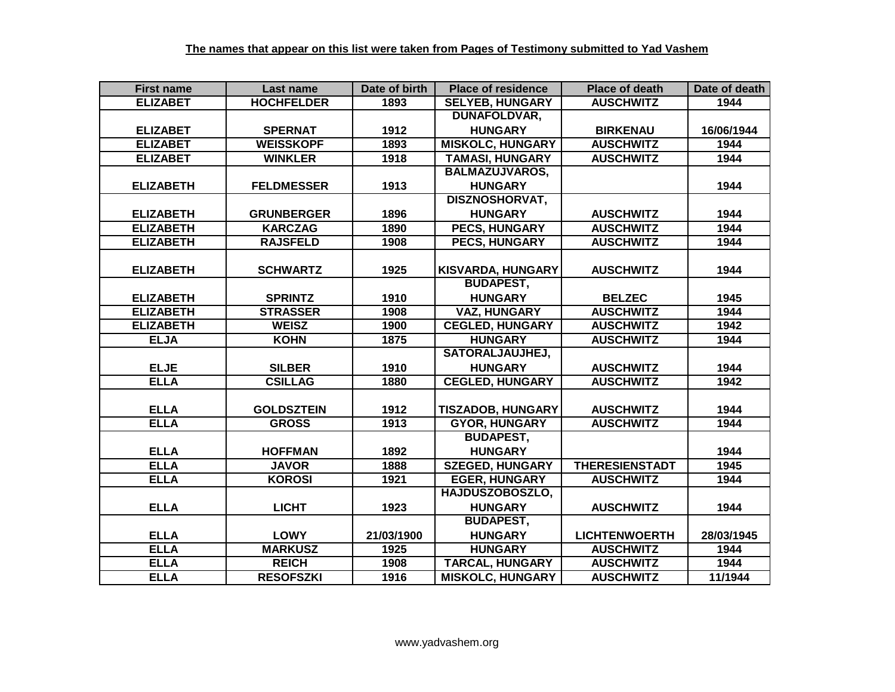| <b>First name</b> | Last name         | Date of birth | <b>Place of residence</b> | <b>Place of death</b> | Date of death |
|-------------------|-------------------|---------------|---------------------------|-----------------------|---------------|
| <b>ELIZABET</b>   | <b>HOCHFELDER</b> | 1893          | <b>SELYEB, HUNGARY</b>    | <b>AUSCHWITZ</b>      | 1944          |
|                   |                   |               | <b>DUNAFOLDVAR,</b>       |                       |               |
| <b>ELIZABET</b>   | <b>SPERNAT</b>    | 1912          | <b>HUNGARY</b>            | <b>BIRKENAU</b>       | 16/06/1944    |
| <b>ELIZABET</b>   | <b>WEISSKOPF</b>  | 1893          | <b>MISKOLC, HUNGARY</b>   | <b>AUSCHWITZ</b>      | 1944          |
| <b>ELIZABET</b>   | <b>WINKLER</b>    | 1918          | <b>TAMASI, HUNGARY</b>    | <b>AUSCHWITZ</b>      | 1944          |
|                   |                   |               | <b>BALMAZUJVAROS,</b>     |                       |               |
| <b>ELIZABETH</b>  | <b>FELDMESSER</b> | 1913          | <b>HUNGARY</b>            |                       | 1944          |
|                   |                   |               | <b>DISZNOSHORVAT,</b>     |                       |               |
| <b>ELIZABETH</b>  | <b>GRUNBERGER</b> | 1896          | <b>HUNGARY</b>            | <b>AUSCHWITZ</b>      | 1944          |
| <b>ELIZABETH</b>  | <b>KARCZAG</b>    | 1890          | <b>PECS, HUNGARY</b>      | <b>AUSCHWITZ</b>      | 1944          |
| <b>ELIZABETH</b>  | <b>RAJSFELD</b>   | 1908          | <b>PECS, HUNGARY</b>      | <b>AUSCHWITZ</b>      | 1944          |
|                   |                   |               |                           |                       |               |
| <b>ELIZABETH</b>  | <b>SCHWARTZ</b>   | 1925          | <b>KISVARDA, HUNGARY</b>  | <b>AUSCHWITZ</b>      | 1944          |
|                   |                   |               | <b>BUDAPEST,</b>          |                       |               |
| <b>ELIZABETH</b>  | <b>SPRINTZ</b>    | 1910          | <b>HUNGARY</b>            | <b>BELZEC</b>         | 1945          |
| <b>ELIZABETH</b>  | <b>STRASSER</b>   | 1908          | <b>VAZ, HUNGARY</b>       | <b>AUSCHWITZ</b>      | 1944          |
| <b>ELIZABETH</b>  | <b>WEISZ</b>      | 1900          | <b>CEGLED, HUNGARY</b>    | <b>AUSCHWITZ</b>      | 1942          |
| <b>ELJA</b>       | <b>KOHN</b>       | 1875          | <b>HUNGARY</b>            | <b>AUSCHWITZ</b>      | 1944          |
|                   |                   |               | <b>SATORALJAUJHEJ,</b>    |                       |               |
| <b>ELJE</b>       | <b>SILBER</b>     | 1910          | <b>HUNGARY</b>            | <b>AUSCHWITZ</b>      | 1944          |
| <b>ELLA</b>       | <b>CSILLAG</b>    | 1880          | <b>CEGLED, HUNGARY</b>    | <b>AUSCHWITZ</b>      | 1942          |
|                   |                   |               |                           |                       |               |
| <b>ELLA</b>       | <b>GOLDSZTEIN</b> | 1912          | <b>TISZADOB, HUNGARY</b>  | <b>AUSCHWITZ</b>      | 1944          |
| <b>ELLA</b>       | <b>GROSS</b>      | 1913          | <b>GYOR, HUNGARY</b>      | <b>AUSCHWITZ</b>      | 1944          |
|                   |                   |               | <b>BUDAPEST,</b>          |                       |               |
| <b>ELLA</b>       | <b>HOFFMAN</b>    | 1892          | <b>HUNGARY</b>            |                       | 1944          |
| <b>ELLA</b>       | <b>JAVOR</b>      | 1888          | <b>SZEGED, HUNGARY</b>    | <b>THERESIENSTADT</b> | 1945          |
| <b>ELLA</b>       | <b>KOROSI</b>     | 1921          | <b>EGER, HUNGARY</b>      | <b>AUSCHWITZ</b>      | 1944          |
|                   |                   |               | <b>HAJDUSZOBOSZLO,</b>    |                       |               |
| <b>ELLA</b>       | <b>LICHT</b>      | 1923          | <b>HUNGARY</b>            | <b>AUSCHWITZ</b>      | 1944          |
|                   |                   |               | <b>BUDAPEST,</b>          |                       |               |
| <b>ELLA</b>       | <b>LOWY</b>       | 21/03/1900    | <b>HUNGARY</b>            | <b>LICHTENWOERTH</b>  | 28/03/1945    |
| <b>ELLA</b>       | <b>MARKUSZ</b>    | 1925          | <b>HUNGARY</b>            | <b>AUSCHWITZ</b>      | 1944          |
| <b>ELLA</b>       | <b>REICH</b>      | 1908          | <b>TARCAL, HUNGARY</b>    | <b>AUSCHWITZ</b>      | 1944          |
| <b>ELLA</b>       | <b>RESOFSZKI</b>  | 1916          | <b>MISKOLC, HUNGARY</b>   | <b>AUSCHWITZ</b>      | 11/1944       |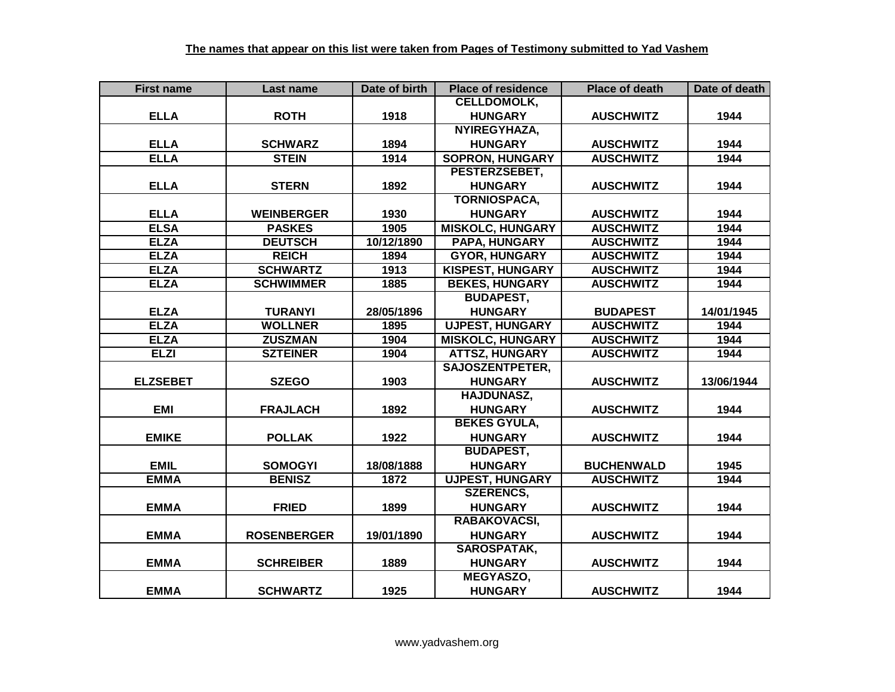| <b>First name</b> | Last name          | Date of birth | <b>Place of residence</b> | <b>Place of death</b> | Date of death |
|-------------------|--------------------|---------------|---------------------------|-----------------------|---------------|
|                   |                    |               | <b>CELLDOMOLK,</b>        |                       |               |
| <b>ELLA</b>       | <b>ROTH</b>        | 1918          | <b>HUNGARY</b>            | <b>AUSCHWITZ</b>      | 1944          |
|                   |                    |               | NYIREGYHAZA,              |                       |               |
| <b>ELLA</b>       | <b>SCHWARZ</b>     | 1894          | <b>HUNGARY</b>            | <b>AUSCHWITZ</b>      | 1944          |
| <b>ELLA</b>       | <b>STEIN</b>       | 1914          | <b>SOPRON, HUNGARY</b>    | <b>AUSCHWITZ</b>      | 1944          |
|                   |                    |               | PESTERZSEBET,             |                       |               |
| <b>ELLA</b>       | <b>STERN</b>       | 1892          | <b>HUNGARY</b>            | <b>AUSCHWITZ</b>      | 1944          |
|                   |                    |               | <b>TORNIOSPACA,</b>       |                       |               |
| <b>ELLA</b>       | <b>WEINBERGER</b>  | 1930          | <b>HUNGARY</b>            | <b>AUSCHWITZ</b>      | 1944          |
| <b>ELSA</b>       | <b>PASKES</b>      | 1905          | <b>MISKOLC, HUNGARY</b>   | <b>AUSCHWITZ</b>      | 1944          |
| <b>ELZA</b>       | <b>DEUTSCH</b>     | 10/12/1890    | PAPA, HUNGARY             | <b>AUSCHWITZ</b>      | 1944          |
| <b>ELZA</b>       | <b>REICH</b>       | 1894          | <b>GYOR, HUNGARY</b>      | <b>AUSCHWITZ</b>      | 1944          |
| <b>ELZA</b>       | <b>SCHWARTZ</b>    | 1913          | <b>KISPEST, HUNGARY</b>   | <b>AUSCHWITZ</b>      | 1944          |
| <b>ELZA</b>       | <b>SCHWIMMER</b>   | 1885          | <b>BEKES, HUNGARY</b>     | <b>AUSCHWITZ</b>      | 1944          |
|                   |                    |               | <b>BUDAPEST,</b>          |                       |               |
| <b>ELZA</b>       | <b>TURANYI</b>     | 28/05/1896    | <b>HUNGARY</b>            | <b>BUDAPEST</b>       | 14/01/1945    |
| <b>ELZA</b>       | <b>WOLLNER</b>     | 1895          | <b>UJPEST, HUNGARY</b>    | <b>AUSCHWITZ</b>      | 1944          |
| <b>ELZA</b>       | <b>ZUSZMAN</b>     | 1904          | <b>MISKOLC, HUNGARY</b>   | <b>AUSCHWITZ</b>      | 1944          |
| <b>ELZI</b>       | <b>SZTEINER</b>    | 1904          | <b>ATTSZ, HUNGARY</b>     | <b>AUSCHWITZ</b>      | 1944          |
|                   |                    |               | <b>SAJOSZENTPETER,</b>    |                       |               |
| <b>ELZSEBET</b>   | <b>SZEGO</b>       | 1903          | <b>HUNGARY</b>            | <b>AUSCHWITZ</b>      | 13/06/1944    |
|                   |                    |               | <b>HAJDUNASZ,</b>         |                       |               |
| <b>EMI</b>        | <b>FRAJLACH</b>    | 1892          | <b>HUNGARY</b>            | <b>AUSCHWITZ</b>      | 1944          |
|                   |                    |               | <b>BEKES GYULA,</b>       |                       |               |
| <b>EMIKE</b>      | <b>POLLAK</b>      | 1922          | <b>HUNGARY</b>            | <b>AUSCHWITZ</b>      | 1944          |
|                   |                    |               | <b>BUDAPEST,</b>          |                       |               |
| <b>EMIL</b>       | <b>SOMOGYI</b>     | 18/08/1888    | <b>HUNGARY</b>            | <b>BUCHENWALD</b>     | 1945          |
| <b>EMMA</b>       | <b>BENISZ</b>      | 1872          | <b>UJPEST, HUNGARY</b>    | <b>AUSCHWITZ</b>      | 1944          |
|                   |                    |               | <b>SZERENCS,</b>          |                       |               |
| <b>EMMA</b>       | <b>FRIED</b>       | 1899          | <b>HUNGARY</b>            | <b>AUSCHWITZ</b>      | 1944          |
|                   |                    |               | RABAKOVACSI,              |                       |               |
| <b>EMMA</b>       | <b>ROSENBERGER</b> | 19/01/1890    | <b>HUNGARY</b>            | <b>AUSCHWITZ</b>      | 1944          |
|                   |                    |               | <b>SAROSPATAK,</b>        |                       |               |
| <b>EMMA</b>       | <b>SCHREIBER</b>   | 1889          | <b>HUNGARY</b>            | <b>AUSCHWITZ</b>      | 1944          |
|                   |                    |               | MEGYASZO,                 |                       |               |
| <b>EMMA</b>       | <b>SCHWARTZ</b>    | 1925          | <b>HUNGARY</b>            | <b>AUSCHWITZ</b>      | 1944          |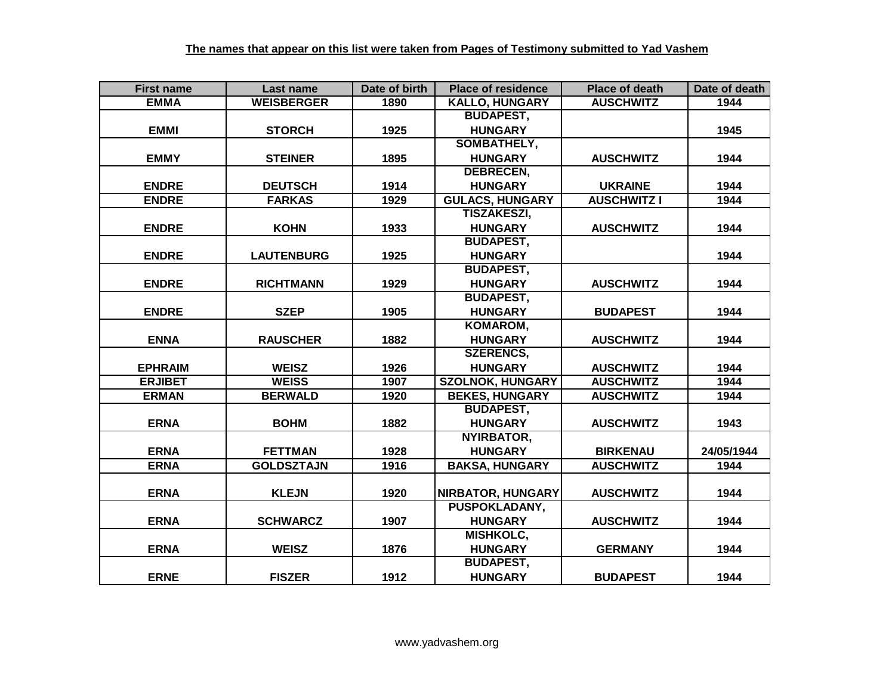| <b>First name</b> | Last name         | Date of birth | <b>Place of residence</b> | <b>Place of death</b> | Date of death |
|-------------------|-------------------|---------------|---------------------------|-----------------------|---------------|
| <b>EMMA</b>       | <b>WEISBERGER</b> | 1890          | <b>KALLO, HUNGARY</b>     | <b>AUSCHWITZ</b>      | 1944          |
|                   |                   |               | <b>BUDAPEST,</b>          |                       |               |
| <b>EMMI</b>       | <b>STORCH</b>     | 1925          | <b>HUNGARY</b>            |                       | 1945          |
|                   |                   |               | SOMBATHELY,               |                       |               |
| <b>EMMY</b>       | <b>STEINER</b>    | 1895          | <b>HUNGARY</b>            | <b>AUSCHWITZ</b>      | 1944          |
|                   |                   |               | <b>DEBRECEN,</b>          |                       |               |
| <b>ENDRE</b>      | <b>DEUTSCH</b>    | 1914          | <b>HUNGARY</b>            | <b>UKRAINE</b>        | 1944          |
| <b>ENDRE</b>      | <b>FARKAS</b>     | 1929          | <b>GULACS, HUNGARY</b>    | <b>AUSCHWITZ I</b>    | 1944          |
|                   |                   |               | <b>TISZAKESZI,</b>        |                       |               |
| <b>ENDRE</b>      | <b>KOHN</b>       | 1933          | <b>HUNGARY</b>            | <b>AUSCHWITZ</b>      | 1944          |
|                   |                   |               | <b>BUDAPEST,</b>          |                       |               |
| <b>ENDRE</b>      | <b>LAUTENBURG</b> | 1925          | <b>HUNGARY</b>            |                       | 1944          |
|                   |                   |               | <b>BUDAPEST,</b>          |                       |               |
| <b>ENDRE</b>      | <b>RICHTMANN</b>  | 1929          | <b>HUNGARY</b>            | <b>AUSCHWITZ</b>      | 1944          |
|                   |                   |               | <b>BUDAPEST,</b>          |                       |               |
| <b>ENDRE</b>      | <b>SZEP</b>       | 1905          | <b>HUNGARY</b>            | <b>BUDAPEST</b>       | 1944          |
|                   |                   |               | KOMAROM,                  |                       |               |
| <b>ENNA</b>       | <b>RAUSCHER</b>   | 1882          | <b>HUNGARY</b>            | <b>AUSCHWITZ</b>      | 1944          |
|                   |                   |               | <b>SZERENCS,</b>          |                       |               |
| <b>EPHRAIM</b>    | <b>WEISZ</b>      | 1926          | <b>HUNGARY</b>            | <b>AUSCHWITZ</b>      | 1944          |
| <b>ERJIBET</b>    | <b>WEISS</b>      | 1907          | <b>SZOLNOK, HUNGARY</b>   | <b>AUSCHWITZ</b>      | 1944          |
| <b>ERMAN</b>      | <b>BERWALD</b>    | 1920          | <b>BEKES, HUNGARY</b>     | <b>AUSCHWITZ</b>      | 1944          |
|                   |                   |               | <b>BUDAPEST,</b>          |                       |               |
| <b>ERNA</b>       | <b>BOHM</b>       | 1882          | <b>HUNGARY</b>            | <b>AUSCHWITZ</b>      | 1943          |
|                   |                   |               | NYIRBATOR,                |                       |               |
| <b>ERNA</b>       | <b>FETTMAN</b>    | 1928          | <b>HUNGARY</b>            | <b>BIRKENAU</b>       | 24/05/1944    |
| <b>ERNA</b>       | <b>GOLDSZTAJN</b> | 1916          | <b>BAKSA, HUNGARY</b>     | <b>AUSCHWITZ</b>      | 1944          |
|                   |                   |               |                           |                       |               |
| <b>ERNA</b>       | <b>KLEJN</b>      | 1920          | <b>NIRBATOR, HUNGARY</b>  | <b>AUSCHWITZ</b>      | 1944          |
|                   |                   |               | <b>PUSPOKLADANY,</b>      |                       |               |
| <b>ERNA</b>       | <b>SCHWARCZ</b>   | 1907          | <b>HUNGARY</b>            | <b>AUSCHWITZ</b>      | 1944          |
|                   |                   |               | MISHKOLC,                 |                       |               |
| <b>ERNA</b>       | <b>WEISZ</b>      | 1876          | <b>HUNGARY</b>            | <b>GERMANY</b>        | 1944          |
|                   |                   |               | <b>BUDAPEST,</b>          |                       |               |
| <b>ERNE</b>       | <b>FISZER</b>     | 1912          | <b>HUNGARY</b>            | <b>BUDAPEST</b>       | 1944          |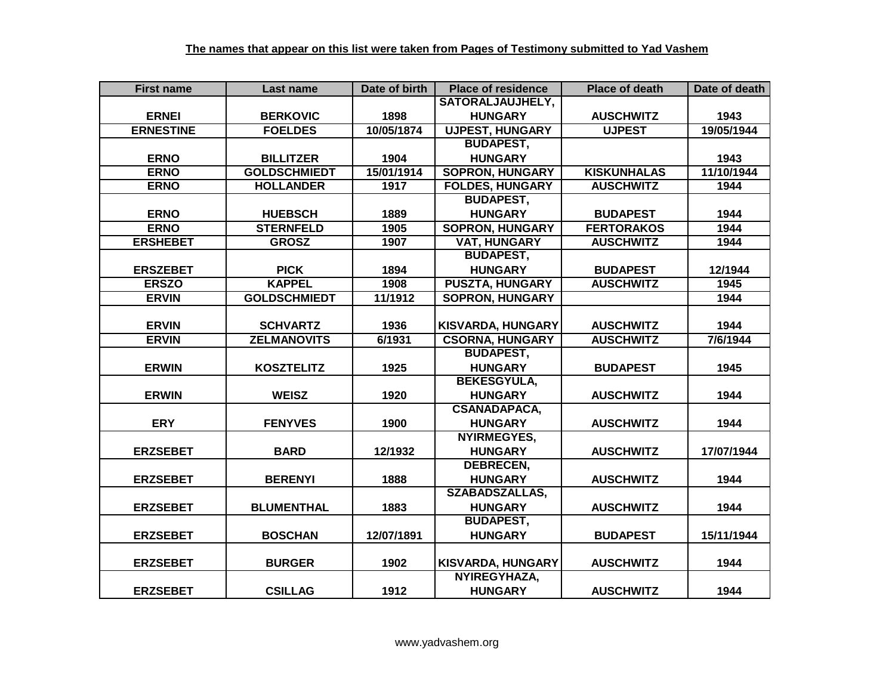| <b>First name</b> | Last name           | Date of birth | <b>Place of residence</b> | <b>Place of death</b> | Date of death |
|-------------------|---------------------|---------------|---------------------------|-----------------------|---------------|
|                   |                     |               | SATORALJAUJHELY,          |                       |               |
| <b>ERNEI</b>      | <b>BERKOVIC</b>     | 1898          | <b>HUNGARY</b>            | <b>AUSCHWITZ</b>      | 1943          |
| <b>ERNESTINE</b>  | <b>FOELDES</b>      | 10/05/1874    | <b>UJPEST, HUNGARY</b>    | <b>UJPEST</b>         | 19/05/1944    |
|                   |                     |               | <b>BUDAPEST,</b>          |                       |               |
| <b>ERNO</b>       | <b>BILLITZER</b>    | 1904          | <b>HUNGARY</b>            |                       | 1943          |
| <b>ERNO</b>       | <b>GOLDSCHMIEDT</b> | 15/01/1914    | <b>SOPRON, HUNGARY</b>    | <b>KISKUNHALAS</b>    | 11/10/1944    |
| <b>ERNO</b>       | <b>HOLLANDER</b>    | 1917          | <b>FOLDES, HUNGARY</b>    | <b>AUSCHWITZ</b>      | 1944          |
|                   |                     |               | <b>BUDAPEST,</b>          |                       |               |
| <b>ERNO</b>       | <b>HUEBSCH</b>      | 1889          | <b>HUNGARY</b>            | <b>BUDAPEST</b>       | 1944          |
| <b>ERNO</b>       | <b>STERNFELD</b>    | 1905          | <b>SOPRON, HUNGARY</b>    | <b>FERTORAKOS</b>     | 1944          |
| <b>ERSHEBET</b>   | <b>GROSZ</b>        | 1907          | VAT, HUNGARY              | <b>AUSCHWITZ</b>      | 1944          |
|                   |                     |               | <b>BUDAPEST,</b>          |                       |               |
| <b>ERSZEBET</b>   | <b>PICK</b>         | 1894          | <b>HUNGARY</b>            | <b>BUDAPEST</b>       | 12/1944       |
| <b>ERSZO</b>      | <b>KAPPEL</b>       | 1908          | <b>PUSZTA, HUNGARY</b>    | <b>AUSCHWITZ</b>      | 1945          |
| <b>ERVIN</b>      | <b>GOLDSCHMIEDT</b> | 11/1912       | <b>SOPRON, HUNGARY</b>    |                       | 1944          |
|                   |                     |               |                           |                       |               |
| <b>ERVIN</b>      | <b>SCHVARTZ</b>     | 1936          | <b>KISVARDA, HUNGARY</b>  | <b>AUSCHWITZ</b>      | 1944          |
| <b>ERVIN</b>      | <b>ZELMANOVITS</b>  | 6/1931        | <b>CSORNA, HUNGARY</b>    | <b>AUSCHWITZ</b>      | 7/6/1944      |
|                   |                     |               | <b>BUDAPEST,</b>          |                       |               |
| <b>ERWIN</b>      | <b>KOSZTELITZ</b>   | 1925          | <b>HUNGARY</b>            | <b>BUDAPEST</b>       | 1945          |
|                   |                     |               | <b>BEKESGYULA,</b>        |                       |               |
| <b>ERWIN</b>      | <b>WEISZ</b>        | 1920          | <b>HUNGARY</b>            | <b>AUSCHWITZ</b>      | 1944          |
|                   |                     |               | <b>CSANADAPACA,</b>       |                       |               |
| <b>ERY</b>        | <b>FENYVES</b>      | 1900          | <b>HUNGARY</b>            | <b>AUSCHWITZ</b>      | 1944          |
|                   |                     |               | NYIRMEGYES,               |                       |               |
| <b>ERZSEBET</b>   | <b>BARD</b>         | 12/1932       | <b>HUNGARY</b>            | <b>AUSCHWITZ</b>      | 17/07/1944    |
|                   |                     |               | <b>DEBRECEN,</b>          |                       |               |
| <b>ERZSEBET</b>   | <b>BERENYI</b>      | 1888          | <b>HUNGARY</b>            | <b>AUSCHWITZ</b>      | 1944          |
|                   |                     |               | <b>SZABADSZALLAS,</b>     |                       |               |
| <b>ERZSEBET</b>   | <b>BLUMENTHAL</b>   | 1883          | <b>HUNGARY</b>            | <b>AUSCHWITZ</b>      | 1944          |
|                   |                     |               | <b>BUDAPEST,</b>          |                       |               |
| <b>ERZSEBET</b>   | <b>BOSCHAN</b>      | 12/07/1891    | <b>HUNGARY</b>            | <b>BUDAPEST</b>       | 15/11/1944    |
|                   |                     |               |                           |                       |               |
| <b>ERZSEBET</b>   | <b>BURGER</b>       | 1902          | <b>KISVARDA, HUNGARY</b>  | <b>AUSCHWITZ</b>      | 1944          |
|                   |                     |               | NYIREGYHAZA,              |                       |               |
| <b>ERZSEBET</b>   | <b>CSILLAG</b>      | 1912          | <b>HUNGARY</b>            | <b>AUSCHWITZ</b>      | 1944          |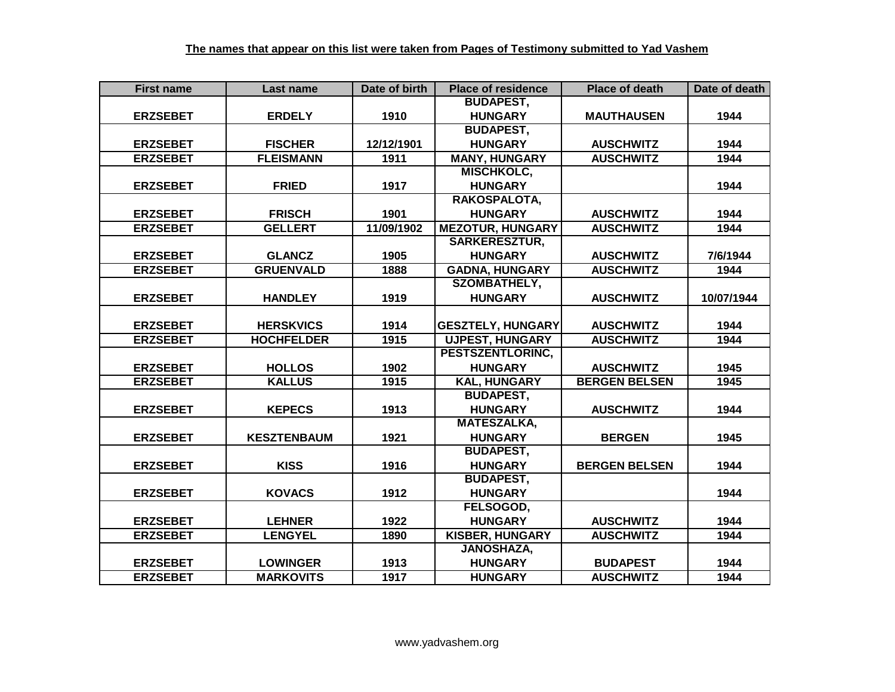| <b>First name</b> | Last name          | Date of birth | <b>Place of residence</b> | <b>Place of death</b> | Date of death |
|-------------------|--------------------|---------------|---------------------------|-----------------------|---------------|
|                   |                    |               | <b>BUDAPEST,</b>          |                       |               |
| <b>ERZSEBET</b>   | <b>ERDELY</b>      | 1910          | <b>HUNGARY</b>            | <b>MAUTHAUSEN</b>     | 1944          |
|                   |                    |               | <b>BUDAPEST,</b>          |                       |               |
| <b>ERZSEBET</b>   | <b>FISCHER</b>     | 12/12/1901    | <b>HUNGARY</b>            | <b>AUSCHWITZ</b>      | 1944          |
| <b>ERZSEBET</b>   | <b>FLEISMANN</b>   | 1911          | <b>MANY, HUNGARY</b>      | <b>AUSCHWITZ</b>      | 1944          |
|                   |                    |               | <b>MISCHKOLC,</b>         |                       |               |
| <b>ERZSEBET</b>   | <b>FRIED</b>       | 1917          | <b>HUNGARY</b>            |                       | 1944          |
|                   |                    |               | RAKOSPALOTA,              |                       |               |
| <b>ERZSEBET</b>   | <b>FRISCH</b>      | 1901          | <b>HUNGARY</b>            | <b>AUSCHWITZ</b>      | 1944          |
| <b>ERZSEBET</b>   | <b>GELLERT</b>     | 11/09/1902    | <b>MEZOTUR, HUNGARY</b>   | <b>AUSCHWITZ</b>      | 1944          |
|                   |                    |               | <b>SARKERESZTUR,</b>      |                       |               |
| <b>ERZSEBET</b>   | <b>GLANCZ</b>      | 1905          | <b>HUNGARY</b>            | <b>AUSCHWITZ</b>      | 7/6/1944      |
| <b>ERZSEBET</b>   | <b>GRUENVALD</b>   | 1888          | <b>GADNA, HUNGARY</b>     | <b>AUSCHWITZ</b>      | 1944          |
|                   |                    |               | <b>SZOMBATHELY,</b>       |                       |               |
| <b>ERZSEBET</b>   | <b>HANDLEY</b>     | 1919          | <b>HUNGARY</b>            | <b>AUSCHWITZ</b>      | 10/07/1944    |
|                   |                    |               |                           |                       |               |
| <b>ERZSEBET</b>   | <b>HERSKVICS</b>   | 1914          | <b>GESZTELY, HUNGARY</b>  | <b>AUSCHWITZ</b>      | 1944          |
| <b>ERZSEBET</b>   | <b>HOCHFELDER</b>  | 1915          | <b>UJPEST, HUNGARY</b>    | <b>AUSCHWITZ</b>      | 1944          |
|                   |                    |               | PESTSZENTLORINC,          |                       |               |
| <b>ERZSEBET</b>   | <b>HOLLOS</b>      | 1902          | <b>HUNGARY</b>            | <b>AUSCHWITZ</b>      | 1945          |
| <b>ERZSEBET</b>   | <b>KALLUS</b>      | 1915          | <b>KAL, HUNGARY</b>       | <b>BERGEN BELSEN</b>  | 1945          |
|                   |                    |               | <b>BUDAPEST,</b>          |                       |               |
| <b>ERZSEBET</b>   | <b>KEPECS</b>      | 1913          | <b>HUNGARY</b>            | <b>AUSCHWITZ</b>      | 1944          |
|                   |                    |               | <b>MATESZALKA,</b>        |                       |               |
| <b>ERZSEBET</b>   | <b>KESZTENBAUM</b> | 1921          | <b>HUNGARY</b>            | <b>BERGEN</b>         | 1945          |
|                   |                    |               | <b>BUDAPEST,</b>          |                       |               |
| <b>ERZSEBET</b>   | <b>KISS</b>        | 1916          | <b>HUNGARY</b>            | <b>BERGEN BELSEN</b>  | 1944          |
|                   |                    |               | <b>BUDAPEST,</b>          |                       |               |
| <b>ERZSEBET</b>   | <b>KOVACS</b>      | 1912          | <b>HUNGARY</b>            |                       | 1944          |
|                   |                    |               | FELSOGOD,                 |                       |               |
| <b>ERZSEBET</b>   | <b>LEHNER</b>      | 1922          | <b>HUNGARY</b>            | <b>AUSCHWITZ</b>      | 1944          |
| <b>ERZSEBET</b>   | <b>LENGYEL</b>     | 1890          | <b>KISBER, HUNGARY</b>    | <b>AUSCHWITZ</b>      | 1944          |
|                   |                    |               | <b>JANOSHAZA,</b>         |                       |               |
| <b>ERZSEBET</b>   | <b>LOWINGER</b>    | 1913          | <b>HUNGARY</b>            | <b>BUDAPEST</b>       | 1944          |
| <b>ERZSEBET</b>   | <b>MARKOVITS</b>   | 1917          | <b>HUNGARY</b>            | <b>AUSCHWITZ</b>      | 1944          |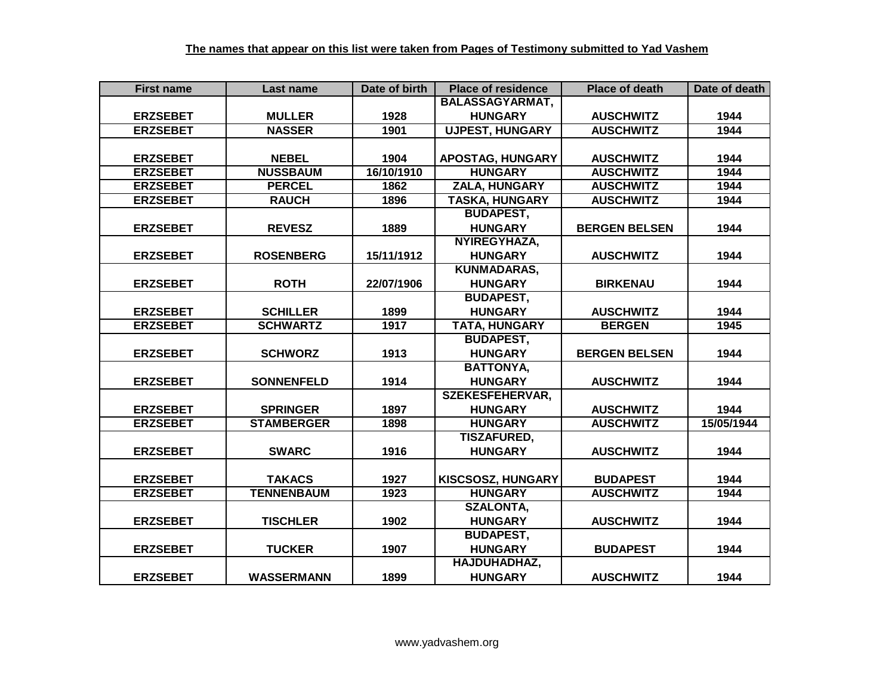| <b>First name</b> | Last name         | Date of birth | <b>Place of residence</b> | <b>Place of death</b> | Date of death |
|-------------------|-------------------|---------------|---------------------------|-----------------------|---------------|
|                   |                   |               | <b>BALASSAGYARMAT,</b>    |                       |               |
| <b>ERZSEBET</b>   | <b>MULLER</b>     | 1928          | <b>HUNGARY</b>            | <b>AUSCHWITZ</b>      | 1944          |
| <b>ERZSEBET</b>   | <b>NASSER</b>     | 1901          | <b>UJPEST, HUNGARY</b>    | <b>AUSCHWITZ</b>      | 1944          |
|                   |                   |               |                           |                       |               |
| <b>ERZSEBET</b>   | <b>NEBEL</b>      | 1904          | <b>APOSTAG, HUNGARY</b>   | <b>AUSCHWITZ</b>      | 1944          |
| <b>ERZSEBET</b>   | <b>NUSSBAUM</b>   | 16/10/1910    | <b>HUNGARY</b>            | <b>AUSCHWITZ</b>      | 1944          |
| <b>ERZSEBET</b>   | <b>PERCEL</b>     | 1862          | <b>ZALA, HUNGARY</b>      | <b>AUSCHWITZ</b>      | 1944          |
| <b>ERZSEBET</b>   | <b>RAUCH</b>      | 1896          | <b>TASKA, HUNGARY</b>     | <b>AUSCHWITZ</b>      | 1944          |
|                   |                   |               | <b>BUDAPEST,</b>          |                       |               |
| <b>ERZSEBET</b>   | <b>REVESZ</b>     | 1889          | <b>HUNGARY</b>            | <b>BERGEN BELSEN</b>  | 1944          |
|                   |                   |               | NYIREGYHAZA,              |                       |               |
| <b>ERZSEBET</b>   | <b>ROSENBERG</b>  | 15/11/1912    | <b>HUNGARY</b>            | <b>AUSCHWITZ</b>      | 1944          |
|                   |                   |               | <b>KUNMADARAS,</b>        |                       |               |
| <b>ERZSEBET</b>   | <b>ROTH</b>       | 22/07/1906    | <b>HUNGARY</b>            | <b>BIRKENAU</b>       | 1944          |
|                   |                   |               | <b>BUDAPEST,</b>          |                       |               |
| <b>ERZSEBET</b>   | <b>SCHILLER</b>   | 1899          | <b>HUNGARY</b>            | <b>AUSCHWITZ</b>      | 1944          |
| <b>ERZSEBET</b>   | <b>SCHWARTZ</b>   | 1917          | TATA, HUNGARY             | <b>BERGEN</b>         | 1945          |
|                   |                   |               | <b>BUDAPEST,</b>          |                       |               |
| <b>ERZSEBET</b>   | <b>SCHWORZ</b>    | 1913          | <b>HUNGARY</b>            | <b>BERGEN BELSEN</b>  | 1944          |
|                   |                   |               | <b>BATTONYA,</b>          |                       |               |
| <b>ERZSEBET</b>   | <b>SONNENFELD</b> | 1914          | <b>HUNGARY</b>            | <b>AUSCHWITZ</b>      | 1944          |
|                   |                   |               | <b>SZEKESFEHERVAR,</b>    |                       |               |
| <b>ERZSEBET</b>   | <b>SPRINGER</b>   | 1897          | <b>HUNGARY</b>            | <b>AUSCHWITZ</b>      | 1944          |
| <b>ERZSEBET</b>   | <b>STAMBERGER</b> | 1898          | <b>HUNGARY</b>            | <b>AUSCHWITZ</b>      | 15/05/1944    |
|                   |                   |               | <b>TISZAFURED,</b>        |                       |               |
| <b>ERZSEBET</b>   | <b>SWARC</b>      | 1916          | <b>HUNGARY</b>            | <b>AUSCHWITZ</b>      | 1944          |
|                   |                   |               |                           |                       |               |
| <b>ERZSEBET</b>   | <b>TAKACS</b>     | 1927          | KISCSOSZ, HUNGARY         | <b>BUDAPEST</b>       | 1944          |
| <b>ERZSEBET</b>   | <b>TENNENBAUM</b> | 1923          | <b>HUNGARY</b>            | <b>AUSCHWITZ</b>      | 1944          |
|                   |                   |               | <b>SZALONTA,</b>          |                       |               |
| <b>ERZSEBET</b>   | <b>TISCHLER</b>   | 1902          | <b>HUNGARY</b>            | <b>AUSCHWITZ</b>      | 1944          |
|                   |                   |               | <b>BUDAPEST,</b>          |                       |               |
| <b>ERZSEBET</b>   | <b>TUCKER</b>     | 1907          | <b>HUNGARY</b>            | <b>BUDAPEST</b>       | 1944          |
|                   |                   |               | HAJDUHADHAZ,              |                       |               |
| <b>ERZSEBET</b>   | <b>WASSERMANN</b> | 1899          | <b>HUNGARY</b>            | <b>AUSCHWITZ</b>      | 1944          |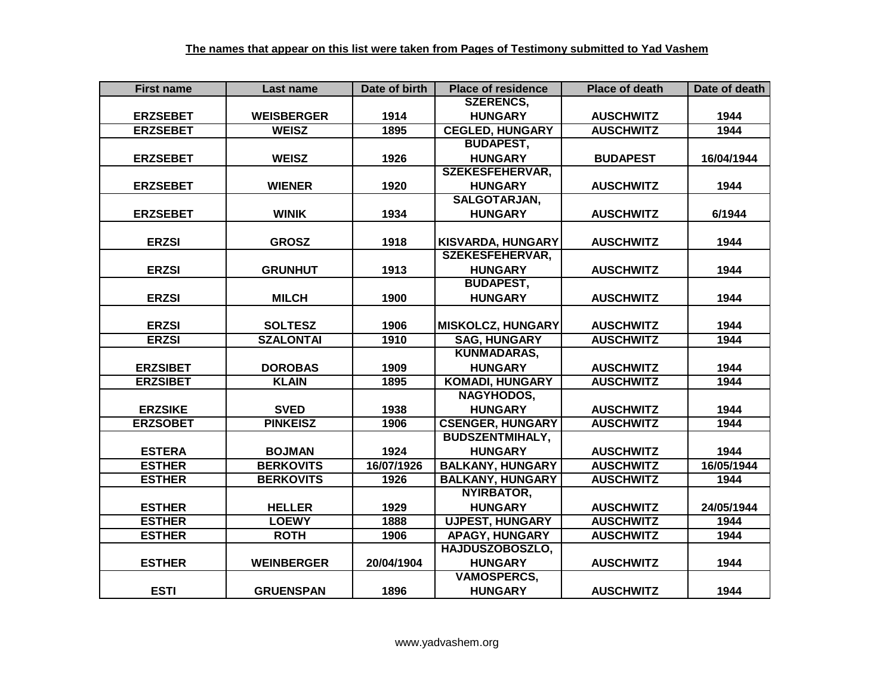| <b>First name</b> | Last name         | Date of birth | <b>Place of residence</b> | <b>Place of death</b> | Date of death |
|-------------------|-------------------|---------------|---------------------------|-----------------------|---------------|
|                   |                   |               | <b>SZERENCS,</b>          |                       |               |
| <b>ERZSEBET</b>   | <b>WEISBERGER</b> | 1914          | <b>HUNGARY</b>            | <b>AUSCHWITZ</b>      | 1944          |
| <b>ERZSEBET</b>   | <b>WEISZ</b>      | 1895          | <b>CEGLED, HUNGARY</b>    | <b>AUSCHWITZ</b>      | 1944          |
|                   |                   |               | <b>BUDAPEST,</b>          |                       |               |
| <b>ERZSEBET</b>   | <b>WEISZ</b>      | 1926          | <b>HUNGARY</b>            | <b>BUDAPEST</b>       | 16/04/1944    |
|                   |                   |               | <b>SZEKESFEHERVAR,</b>    |                       |               |
| <b>ERZSEBET</b>   | <b>WIENER</b>     | 1920          | <b>HUNGARY</b>            | <b>AUSCHWITZ</b>      | 1944          |
|                   |                   |               | SALGOTARJAN,              |                       |               |
| <b>ERZSEBET</b>   | <b>WINIK</b>      | 1934          | <b>HUNGARY</b>            | <b>AUSCHWITZ</b>      | 6/1944        |
|                   |                   |               |                           |                       |               |
| <b>ERZSI</b>      | <b>GROSZ</b>      | 1918          | <b>KISVARDA, HUNGARY</b>  | <b>AUSCHWITZ</b>      | 1944          |
|                   |                   |               | <b>SZEKESFEHERVAR,</b>    |                       |               |
| <b>ERZSI</b>      | <b>GRUNHUT</b>    | 1913          | <b>HUNGARY</b>            | <b>AUSCHWITZ</b>      | 1944          |
|                   |                   |               | <b>BUDAPEST,</b>          |                       |               |
| <b>ERZSI</b>      | <b>MILCH</b>      | 1900          | <b>HUNGARY</b>            | <b>AUSCHWITZ</b>      | 1944          |
|                   |                   |               |                           |                       |               |
| <b>ERZSI</b>      | <b>SOLTESZ</b>    | 1906          | <b>MISKOLCZ, HUNGARY</b>  | <b>AUSCHWITZ</b>      | 1944          |
| <b>ERZSI</b>      | <b>SZALONTAI</b>  | 1910          | <b>SAG, HUNGARY</b>       | <b>AUSCHWITZ</b>      | 1944          |
|                   |                   |               | <b>KUNMADARAS,</b>        |                       |               |
| <b>ERZSIBET</b>   | <b>DOROBAS</b>    | 1909          | <b>HUNGARY</b>            | <b>AUSCHWITZ</b>      | 1944          |
| <b>ERZSIBET</b>   | <b>KLAIN</b>      | 1895          | <b>KOMADI, HUNGARY</b>    | <b>AUSCHWITZ</b>      | 1944          |
|                   |                   |               | <b>NAGYHODOS,</b>         |                       |               |
| <b>ERZSIKE</b>    | <b>SVED</b>       | 1938          | <b>HUNGARY</b>            | <b>AUSCHWITZ</b>      | 1944          |
| <b>ERZSOBET</b>   | <b>PINKEISZ</b>   | 1906          | <b>CSENGER, HUNGARY</b>   | <b>AUSCHWITZ</b>      | 1944          |
|                   |                   |               | <b>BUDSZENTMIHALY,</b>    |                       |               |
| <b>ESTERA</b>     | <b>BOJMAN</b>     | 1924          | <b>HUNGARY</b>            | <b>AUSCHWITZ</b>      | 1944          |
| <b>ESTHER</b>     | <b>BERKOVITS</b>  | 16/07/1926    | <b>BALKANY, HUNGARY</b>   | <b>AUSCHWITZ</b>      | 16/05/1944    |
| <b>ESTHER</b>     | <b>BERKOVITS</b>  | 1926          | <b>BALKANY, HUNGARY</b>   | <b>AUSCHWITZ</b>      | 1944          |
|                   |                   |               | NYIRBATOR,                |                       |               |
| <b>ESTHER</b>     | <b>HELLER</b>     | 1929          | <b>HUNGARY</b>            | <b>AUSCHWITZ</b>      | 24/05/1944    |
| <b>ESTHER</b>     | <b>LOEWY</b>      | 1888          | <b>UJPEST, HUNGARY</b>    | <b>AUSCHWITZ</b>      | 1944          |
| <b>ESTHER</b>     | <b>ROTH</b>       | 1906          | <b>APAGY, HUNGARY</b>     | <b>AUSCHWITZ</b>      | 1944          |
|                   |                   |               | HAJDUSZOBOSZLO,           |                       |               |
| <b>ESTHER</b>     | <b>WEINBERGER</b> | 20/04/1904    | <b>HUNGARY</b>            | <b>AUSCHWITZ</b>      | 1944          |
|                   |                   |               | <b>VAMOSPERCS,</b>        |                       |               |
| <b>ESTI</b>       | <b>GRUENSPAN</b>  | 1896          | <b>HUNGARY</b>            | <b>AUSCHWITZ</b>      | 1944          |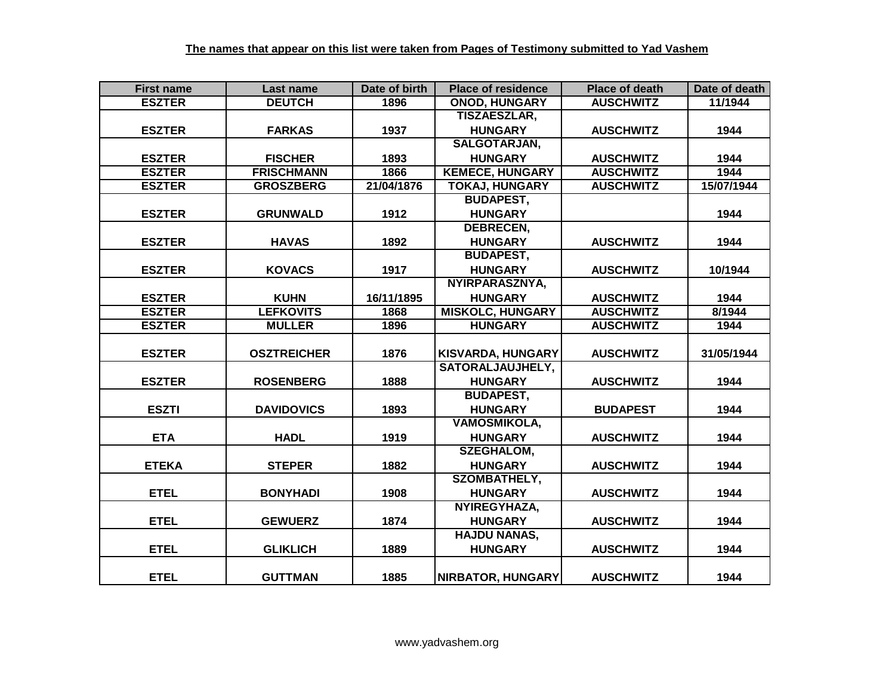| <b>First name</b> | Last name          | Date of birth | <b>Place of residence</b> | <b>Place of death</b> | Date of death |
|-------------------|--------------------|---------------|---------------------------|-----------------------|---------------|
| <b>ESZTER</b>     | <b>DEUTCH</b>      | 1896          | <b>ONOD, HUNGARY</b>      | <b>AUSCHWITZ</b>      | 11/1944       |
|                   |                    |               | <b>TISZAESZLAR,</b>       |                       |               |
| <b>ESZTER</b>     | <b>FARKAS</b>      | 1937          | <b>HUNGARY</b>            | <b>AUSCHWITZ</b>      | 1944          |
|                   |                    |               | SALGOTARJAN,              |                       |               |
| <b>ESZTER</b>     | <b>FISCHER</b>     | 1893          | <b>HUNGARY</b>            | <b>AUSCHWITZ</b>      | 1944          |
| <b>ESZTER</b>     | <b>FRISCHMANN</b>  | 1866          | <b>KEMECE, HUNGARY</b>    | <b>AUSCHWITZ</b>      | 1944          |
| <b>ESZTER</b>     | <b>GROSZBERG</b>   | 21/04/1876    | <b>TOKAJ, HUNGARY</b>     | <b>AUSCHWITZ</b>      | 15/07/1944    |
|                   |                    |               | <b>BUDAPEST,</b>          |                       |               |
| <b>ESZTER</b>     | <b>GRUNWALD</b>    | 1912          | <b>HUNGARY</b>            |                       | 1944          |
|                   |                    |               | <b>DEBRECEN,</b>          |                       |               |
| <b>ESZTER</b>     | <b>HAVAS</b>       | 1892          | <b>HUNGARY</b>            | <b>AUSCHWITZ</b>      | 1944          |
|                   |                    |               | <b>BUDAPEST,</b>          |                       |               |
| <b>ESZTER</b>     | <b>KOVACS</b>      | 1917          | <b>HUNGARY</b>            | <b>AUSCHWITZ</b>      | 10/1944       |
|                   |                    |               | NYIRPARASZNYA,            |                       |               |
| <b>ESZTER</b>     | <b>KUHN</b>        | 16/11/1895    | <b>HUNGARY</b>            | <b>AUSCHWITZ</b>      | 1944          |
| <b>ESZTER</b>     | <b>LEFKOVITS</b>   | 1868          | <b>MISKOLC, HUNGARY</b>   | <b>AUSCHWITZ</b>      | 8/1944        |
| <b>ESZTER</b>     | <b>MULLER</b>      | 1896          | <b>HUNGARY</b>            | <b>AUSCHWITZ</b>      | 1944          |
|                   |                    |               |                           |                       |               |
| <b>ESZTER</b>     | <b>OSZTREICHER</b> | 1876          | <b>KISVARDA, HUNGARY</b>  | <b>AUSCHWITZ</b>      | 31/05/1944    |
|                   |                    |               | <b>SATORALJAUJHELY,</b>   |                       |               |
| <b>ESZTER</b>     | <b>ROSENBERG</b>   | 1888          | <b>HUNGARY</b>            | <b>AUSCHWITZ</b>      | 1944          |
|                   |                    |               | <b>BUDAPEST,</b>          |                       |               |
| <b>ESZTI</b>      | <b>DAVIDOVICS</b>  | 1893          | <b>HUNGARY</b>            | <b>BUDAPEST</b>       | 1944          |
|                   |                    |               | <b>VAMOSMIKOLA,</b>       |                       |               |
| <b>ETA</b>        | <b>HADL</b>        | 1919          | <b>HUNGARY</b>            | <b>AUSCHWITZ</b>      | 1944          |
|                   |                    |               | <b>SZEGHALOM,</b>         |                       |               |
| <b>ETEKA</b>      | <b>STEPER</b>      | 1882          | <b>HUNGARY</b>            | <b>AUSCHWITZ</b>      | 1944          |
|                   |                    |               | <b>SZOMBATHELY,</b>       |                       |               |
| <b>ETEL</b>       | <b>BONYHADI</b>    | 1908          | <b>HUNGARY</b>            | <b>AUSCHWITZ</b>      | 1944          |
|                   |                    |               | NYIREGYHAZA,              |                       |               |
| <b>ETEL</b>       | <b>GEWUERZ</b>     | 1874          | <b>HUNGARY</b>            | <b>AUSCHWITZ</b>      | 1944          |
|                   |                    |               | <b>HAJDU NANAS,</b>       |                       |               |
| <b>ETEL</b>       | <b>GLIKLICH</b>    | 1889          | <b>HUNGARY</b>            | <b>AUSCHWITZ</b>      | 1944          |
|                   |                    |               |                           |                       |               |
| <b>ETEL</b>       | <b>GUTTMAN</b>     | 1885          | <b>NIRBATOR, HUNGARY</b>  | <b>AUSCHWITZ</b>      | 1944          |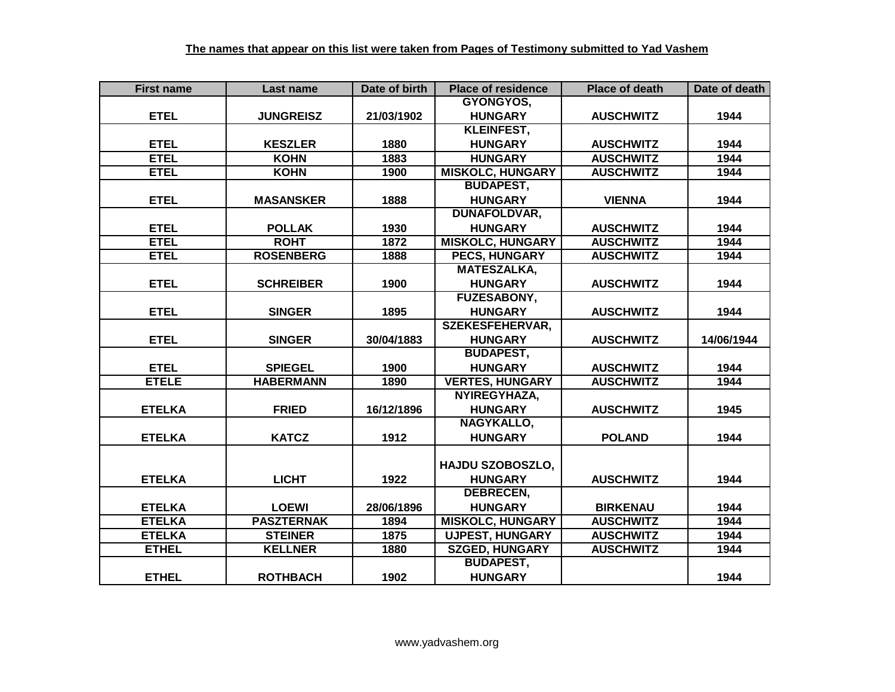| <b>First name</b> | Last name         | Date of birth | <b>Place of residence</b> | <b>Place of death</b> | Date of death |
|-------------------|-------------------|---------------|---------------------------|-----------------------|---------------|
|                   |                   |               | GYONGYOS,                 |                       |               |
| <b>ETEL</b>       | <b>JUNGREISZ</b>  | 21/03/1902    | <b>HUNGARY</b>            | <b>AUSCHWITZ</b>      | 1944          |
|                   |                   |               | <b>KLEINFEST,</b>         |                       |               |
| <b>ETEL</b>       | <b>KESZLER</b>    | 1880          | <b>HUNGARY</b>            | <b>AUSCHWITZ</b>      | 1944          |
| <b>ETEL</b>       | <b>KOHN</b>       | 1883          | <b>HUNGARY</b>            | <b>AUSCHWITZ</b>      | 1944          |
| <b>ETEL</b>       | <b>KOHN</b>       | 1900          | <b>MISKOLC, HUNGARY</b>   | <b>AUSCHWITZ</b>      | 1944          |
|                   |                   |               | <b>BUDAPEST,</b>          |                       |               |
| <b>ETEL</b>       | <b>MASANSKER</b>  | 1888          | <b>HUNGARY</b>            | <b>VIENNA</b>         | 1944          |
|                   |                   |               | <b>DUNAFOLDVAR,</b>       |                       |               |
| <b>ETEL</b>       | <b>POLLAK</b>     | 1930          | <b>HUNGARY</b>            | <b>AUSCHWITZ</b>      | 1944          |
| <b>ETEL</b>       | <b>ROHT</b>       | 1872          | <b>MISKOLC, HUNGARY</b>   | <b>AUSCHWITZ</b>      | 1944          |
| <b>ETEL</b>       | <b>ROSENBERG</b>  | 1888          | <b>PECS, HUNGARY</b>      | <b>AUSCHWITZ</b>      | 1944          |
|                   |                   |               | <b>MATESZALKA,</b>        |                       |               |
| <b>ETEL</b>       | <b>SCHREIBER</b>  | 1900          | <b>HUNGARY</b>            | <b>AUSCHWITZ</b>      | 1944          |
|                   |                   |               | FUZESABONY,               |                       |               |
| <b>ETEL</b>       | <b>SINGER</b>     | 1895          | <b>HUNGARY</b>            | <b>AUSCHWITZ</b>      | 1944          |
|                   |                   |               | <b>SZEKESFEHERVAR,</b>    |                       |               |
| <b>ETEL</b>       | <b>SINGER</b>     | 30/04/1883    | <b>HUNGARY</b>            | <b>AUSCHWITZ</b>      | 14/06/1944    |
|                   |                   |               | <b>BUDAPEST,</b>          |                       |               |
| <b>ETEL</b>       | <b>SPIEGEL</b>    | 1900          | <b>HUNGARY</b>            | <b>AUSCHWITZ</b>      | 1944          |
| <b>ETELE</b>      | <b>HABERMANN</b>  | 1890          | <b>VERTES, HUNGARY</b>    | <b>AUSCHWITZ</b>      | 1944          |
|                   |                   |               | NYIREGYHAZA,              |                       |               |
| <b>ETELKA</b>     | <b>FRIED</b>      | 16/12/1896    | <b>HUNGARY</b>            | <b>AUSCHWITZ</b>      | 1945          |
|                   |                   |               | NAGYKALLO,                |                       |               |
| <b>ETELKA</b>     | <b>KATCZ</b>      | 1912          | <b>HUNGARY</b>            | <b>POLAND</b>         | 1944          |
|                   |                   |               |                           |                       |               |
|                   |                   |               | <b>HAJDU SZOBOSZLO,</b>   |                       |               |
| <b>ETELKA</b>     | <b>LICHT</b>      | 1922          | <b>HUNGARY</b>            | <b>AUSCHWITZ</b>      | 1944          |
|                   |                   |               | <b>DEBRECEN,</b>          |                       |               |
| <b>ETELKA</b>     | <b>LOEWI</b>      | 28/06/1896    | <b>HUNGARY</b>            | <b>BIRKENAU</b>       | 1944          |
| <b>ETELKA</b>     | <b>PASZTERNAK</b> | 1894          | <b>MISKOLC, HUNGARY</b>   | <b>AUSCHWITZ</b>      | 1944          |
| <b>ETELKA</b>     | <b>STEINER</b>    | 1875          | <b>UJPEST, HUNGARY</b>    | <b>AUSCHWITZ</b>      | 1944          |
| <b>ETHEL</b>      | <b>KELLNER</b>    | 1880          | <b>SZGED, HUNGARY</b>     | <b>AUSCHWITZ</b>      | 1944          |
|                   |                   |               | <b>BUDAPEST,</b>          |                       |               |
| <b>ETHEL</b>      | <b>ROTHBACH</b>   | 1902          | <b>HUNGARY</b>            |                       | 1944          |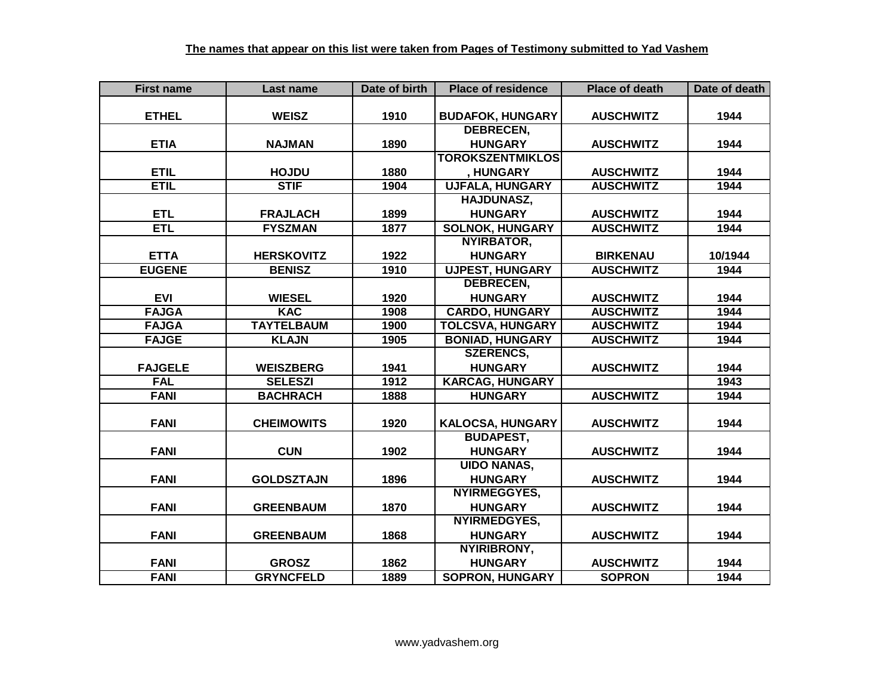| <b>First name</b> | Last name         | Date of birth | <b>Place of residence</b> | <b>Place of death</b> | Date of death |
|-------------------|-------------------|---------------|---------------------------|-----------------------|---------------|
|                   |                   |               |                           |                       |               |
| <b>ETHEL</b>      | <b>WEISZ</b>      | 1910          | <b>BUDAFOK, HUNGARY</b>   | <b>AUSCHWITZ</b>      | 1944          |
|                   |                   |               | <b>DEBRECEN,</b>          |                       |               |
| <b>ETIA</b>       | <b>NAJMAN</b>     | 1890          | <b>HUNGARY</b>            | <b>AUSCHWITZ</b>      | 1944          |
|                   |                   |               | <b>TOROKSZENTMIKLOS</b>   |                       |               |
| <b>ETIL</b>       | <b>HOJDU</b>      | 1880          | , HUNGARY                 | <b>AUSCHWITZ</b>      | 1944          |
| <b>ETIL</b>       | <b>STIF</b>       | 1904          | <b>UJFALA, HUNGARY</b>    | <b>AUSCHWITZ</b>      | 1944          |
|                   |                   |               | <b>HAJDUNASZ,</b>         |                       |               |
| <b>ETL</b>        | <b>FRAJLACH</b>   | 1899          | <b>HUNGARY</b>            | <b>AUSCHWITZ</b>      | 1944          |
| <b>ETL</b>        | <b>FYSZMAN</b>    | 1877          | <b>SOLNOK, HUNGARY</b>    | <b>AUSCHWITZ</b>      | 1944          |
|                   |                   |               | <b>NYIRBATOR,</b>         |                       |               |
| <b>ETTA</b>       | <b>HERSKOVITZ</b> | 1922          | <b>HUNGARY</b>            | <b>BIRKENAU</b>       | 10/1944       |
| <b>EUGENE</b>     | <b>BENISZ</b>     | 1910          | <b>UJPEST, HUNGARY</b>    | <b>AUSCHWITZ</b>      | 1944          |
|                   |                   |               | <b>DEBRECEN,</b>          |                       |               |
| <b>EVI</b>        | <b>WIESEL</b>     | 1920          | <b>HUNGARY</b>            | <b>AUSCHWITZ</b>      | 1944          |
| <b>FAJGA</b>      | <b>KAC</b>        | 1908          | <b>CARDO, HUNGARY</b>     | <b>AUSCHWITZ</b>      | 1944          |
| <b>FAJGA</b>      | <b>TAYTELBAUM</b> | 1900          | <b>TOLCSVA, HUNGARY</b>   | <b>AUSCHWITZ</b>      | 1944          |
| <b>FAJGE</b>      | <b>KLAJN</b>      | 1905          | <b>BONIAD, HUNGARY</b>    | <b>AUSCHWITZ</b>      | 1944          |
|                   |                   |               | <b>SZERENCS,</b>          |                       |               |
| <b>FAJGELE</b>    | <b>WEISZBERG</b>  | 1941          | <b>HUNGARY</b>            | <b>AUSCHWITZ</b>      | 1944          |
| <b>FAL</b>        | <b>SELESZI</b>    | 1912          | <b>KARCAG, HUNGARY</b>    |                       | 1943          |
| <b>FANI</b>       | <b>BACHRACH</b>   | 1888          | <b>HUNGARY</b>            | <b>AUSCHWITZ</b>      | 1944          |
|                   |                   |               |                           |                       |               |
| <b>FANI</b>       | <b>CHEIMOWITS</b> | 1920          | <b>KALOCSA, HUNGARY</b>   | <b>AUSCHWITZ</b>      | 1944          |
|                   |                   |               | <b>BUDAPEST,</b>          |                       |               |
| <b>FANI</b>       | <b>CUN</b>        | 1902          | <b>HUNGARY</b>            | <b>AUSCHWITZ</b>      | 1944          |
|                   |                   |               | <b>UIDO NANAS,</b>        |                       |               |
| <b>FANI</b>       | <b>GOLDSZTAJN</b> | 1896          | <b>HUNGARY</b>            | <b>AUSCHWITZ</b>      | 1944          |
|                   |                   |               | NYIRMEGGYES,              |                       |               |
| <b>FANI</b>       | <b>GREENBAUM</b>  | 1870          | <b>HUNGARY</b>            | <b>AUSCHWITZ</b>      | 1944          |
|                   |                   |               | <b>NYIRMEDGYES,</b>       |                       |               |
| <b>FANI</b>       | <b>GREENBAUM</b>  | 1868          | <b>HUNGARY</b>            | <b>AUSCHWITZ</b>      | 1944          |
|                   |                   |               | NYIRIBRONY,               |                       |               |
| <b>FANI</b>       | <b>GROSZ</b>      | 1862          | <b>HUNGARY</b>            | <b>AUSCHWITZ</b>      | 1944          |
| <b>FANI</b>       | <b>GRYNCFELD</b>  | 1889          | <b>SOPRON, HUNGARY</b>    | <b>SOPRON</b>         | 1944          |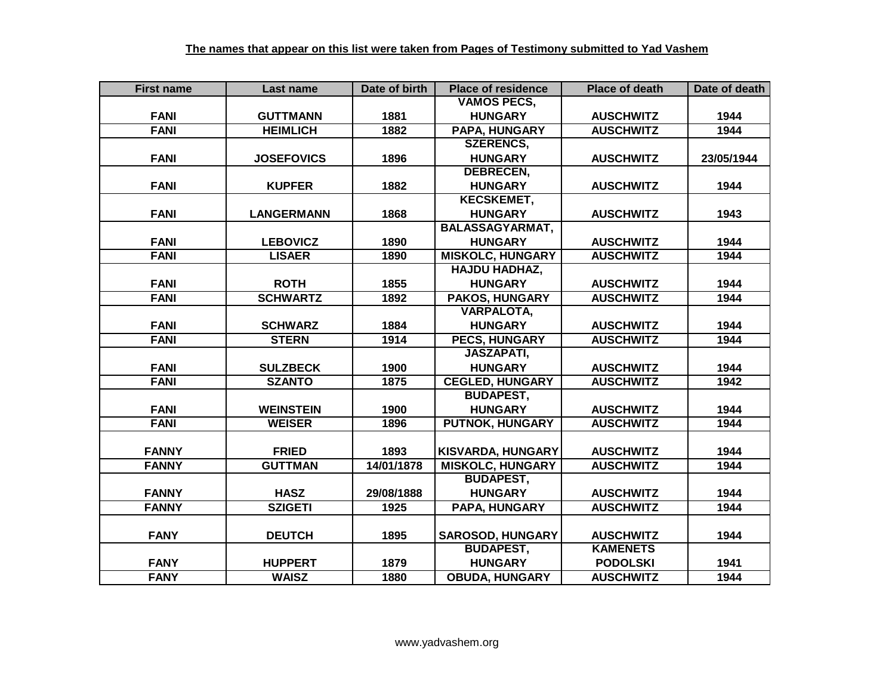| <b>First name</b> | Last name         | Date of birth | <b>Place of residence</b> | <b>Place of death</b> | Date of death |
|-------------------|-------------------|---------------|---------------------------|-----------------------|---------------|
|                   |                   |               | <b>VAMOS PECS,</b>        |                       |               |
| <b>FANI</b>       | <b>GUTTMANN</b>   | 1881          | <b>HUNGARY</b>            | <b>AUSCHWITZ</b>      | 1944          |
| <b>FANI</b>       | <b>HEIMLICH</b>   | 1882          | PAPA, HUNGARY             | <b>AUSCHWITZ</b>      | 1944          |
|                   |                   |               | <b>SZERENCS,</b>          |                       |               |
| <b>FANI</b>       | <b>JOSEFOVICS</b> | 1896          | <b>HUNGARY</b>            | <b>AUSCHWITZ</b>      | 23/05/1944    |
|                   |                   |               | <b>DEBRECEN,</b>          |                       |               |
| <b>FANI</b>       | <b>KUPFER</b>     | 1882          | <b>HUNGARY</b>            | <b>AUSCHWITZ</b>      | 1944          |
|                   |                   |               | <b>KECSKEMET,</b>         |                       |               |
| <b>FANI</b>       | <b>LANGERMANN</b> | 1868          | <b>HUNGARY</b>            | <b>AUSCHWITZ</b>      | 1943          |
|                   |                   |               | <b>BALASSAGYARMAT,</b>    |                       |               |
| <b>FANI</b>       | <b>LEBOVICZ</b>   | 1890          | <b>HUNGARY</b>            | <b>AUSCHWITZ</b>      | 1944          |
| <b>FANI</b>       | <b>LISAER</b>     | 1890          | <b>MISKOLC, HUNGARY</b>   | <b>AUSCHWITZ</b>      | 1944          |
|                   |                   |               | <b>HAJDU HADHAZ,</b>      |                       |               |
| <b>FANI</b>       | <b>ROTH</b>       | 1855          | <b>HUNGARY</b>            | <b>AUSCHWITZ</b>      | 1944          |
| <b>FANI</b>       | <b>SCHWARTZ</b>   | 1892          | <b>PAKOS, HUNGARY</b>     | <b>AUSCHWITZ</b>      | 1944          |
|                   |                   |               | <b>VARPALOTA,</b>         |                       |               |
| <b>FANI</b>       | <b>SCHWARZ</b>    | 1884          | <b>HUNGARY</b>            | <b>AUSCHWITZ</b>      | 1944          |
| <b>FANI</b>       | <b>STERN</b>      | 1914          | <b>PECS, HUNGARY</b>      | <b>AUSCHWITZ</b>      | 1944          |
|                   |                   |               | <b>JASZAPATI,</b>         |                       |               |
| <b>FANI</b>       | <b>SULZBECK</b>   | 1900          | <b>HUNGARY</b>            | <b>AUSCHWITZ</b>      | 1944          |
| <b>FANI</b>       | <b>SZANTO</b>     | 1875          | <b>CEGLED, HUNGARY</b>    | <b>AUSCHWITZ</b>      | 1942          |
|                   |                   |               | <b>BUDAPEST,</b>          |                       |               |
| <b>FANI</b>       | <b>WEINSTEIN</b>  | 1900          | <b>HUNGARY</b>            | <b>AUSCHWITZ</b>      | 1944          |
| <b>FANI</b>       | <b>WEISER</b>     | 1896          | <b>PUTNOK, HUNGARY</b>    | <b>AUSCHWITZ</b>      | 1944          |
|                   |                   |               |                           |                       |               |
| <b>FANNY</b>      | <b>FRIED</b>      | 1893          | <b>KISVARDA, HUNGARY</b>  | <b>AUSCHWITZ</b>      | 1944          |
| <b>FANNY</b>      | <b>GUTTMAN</b>    | 14/01/1878    | <b>MISKOLC, HUNGARY</b>   | <b>AUSCHWITZ</b>      | 1944          |
|                   |                   |               | <b>BUDAPEST,</b>          |                       |               |
| <b>FANNY</b>      | <b>HASZ</b>       | 29/08/1888    | <b>HUNGARY</b>            | <b>AUSCHWITZ</b>      | 1944          |
| <b>FANNY</b>      | <b>SZIGETI</b>    | 1925          | <b>PAPA, HUNGARY</b>      | <b>AUSCHWITZ</b>      | 1944          |
|                   |                   |               |                           |                       |               |
| <b>FANY</b>       | <b>DEUTCH</b>     | 1895          | <b>SAROSOD, HUNGARY</b>   | <b>AUSCHWITZ</b>      | 1944          |
|                   |                   |               | <b>BUDAPEST,</b>          | <b>KAMENETS</b>       |               |
| <b>FANY</b>       | <b>HUPPERT</b>    | 1879          | <b>HUNGARY</b>            | <b>PODOLSKI</b>       | 1941          |
| <b>FANY</b>       | <b>WAISZ</b>      | 1880          | <b>OBUDA, HUNGARY</b>     | <b>AUSCHWITZ</b>      | 1944          |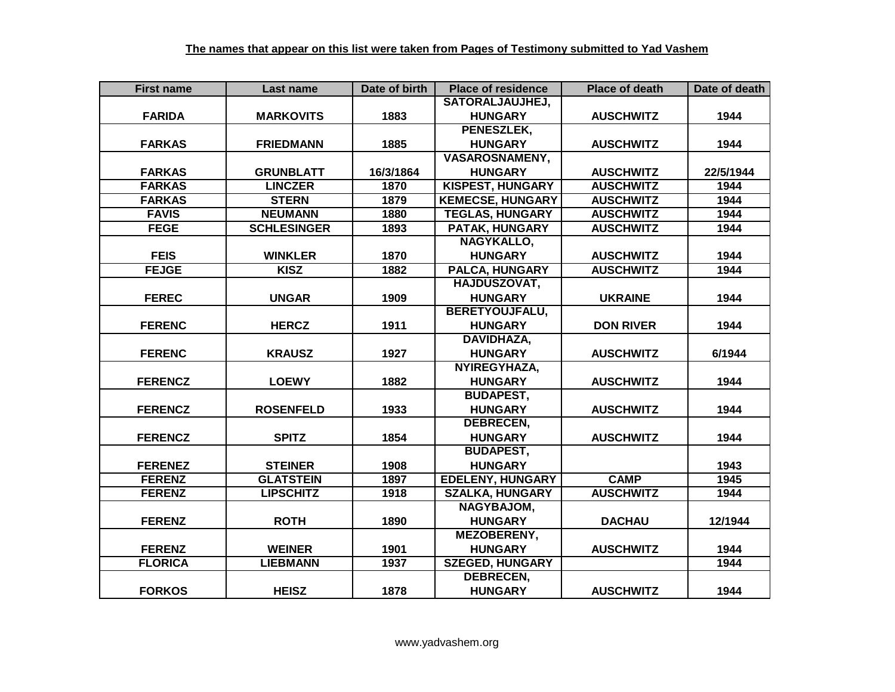| <b>First name</b> | Last name          | Date of birth | <b>Place of residence</b> | <b>Place of death</b> | Date of death |
|-------------------|--------------------|---------------|---------------------------|-----------------------|---------------|
|                   |                    |               | <b>SATORALJAUJHEJ,</b>    |                       |               |
| <b>FARIDA</b>     | <b>MARKOVITS</b>   | 1883          | <b>HUNGARY</b>            | <b>AUSCHWITZ</b>      | 1944          |
|                   |                    |               | PENESZLEK,                |                       |               |
| <b>FARKAS</b>     | <b>FRIEDMANN</b>   | 1885          | <b>HUNGARY</b>            | <b>AUSCHWITZ</b>      | 1944          |
|                   |                    |               | <b>VASAROSNAMENY,</b>     |                       |               |
| <b>FARKAS</b>     | <b>GRUNBLATT</b>   | 16/3/1864     | <b>HUNGARY</b>            | <b>AUSCHWITZ</b>      | 22/5/1944     |
| <b>FARKAS</b>     | <b>LINCZER</b>     | 1870          | <b>KISPEST, HUNGARY</b>   | <b>AUSCHWITZ</b>      | 1944          |
| <b>FARKAS</b>     | <b>STERN</b>       | 1879          | <b>KEMECSE, HUNGARY</b>   | <b>AUSCHWITZ</b>      | 1944          |
| <b>FAVIS</b>      | <b>NEUMANN</b>     | 1880          | <b>TEGLAS, HUNGARY</b>    | <b>AUSCHWITZ</b>      | 1944          |
| <b>FEGE</b>       | <b>SCHLESINGER</b> | 1893          | PATAK, HUNGARY            | <b>AUSCHWITZ</b>      | 1944          |
|                   |                    |               | NAGYKALLO,                |                       |               |
| <b>FEIS</b>       | <b>WINKLER</b>     | 1870          | <b>HUNGARY</b>            | <b>AUSCHWITZ</b>      | 1944          |
| <b>FEJGE</b>      | <b>KISZ</b>        | 1882          | <b>PALCA, HUNGARY</b>     | <b>AUSCHWITZ</b>      | 1944          |
|                   |                    |               | HAJDUSZOVAT,              |                       |               |
| <b>FEREC</b>      | <b>UNGAR</b>       | 1909          | <b>HUNGARY</b>            | <b>UKRAINE</b>        | 1944          |
|                   |                    |               | <b>BERETYOUJFALU,</b>     |                       |               |
| <b>FERENC</b>     | <b>HERCZ</b>       | 1911          | <b>HUNGARY</b>            | <b>DON RIVER</b>      | 1944          |
|                   |                    |               | DAVIDHAZA,                |                       |               |
| <b>FERENC</b>     | <b>KRAUSZ</b>      | 1927          | <b>HUNGARY</b>            | <b>AUSCHWITZ</b>      | 6/1944        |
|                   |                    |               | NYIREGYHAZA,              |                       |               |
| <b>FERENCZ</b>    | <b>LOEWY</b>       | 1882          | <b>HUNGARY</b>            | <b>AUSCHWITZ</b>      | 1944          |
|                   |                    |               | <b>BUDAPEST,</b>          |                       |               |
| <b>FERENCZ</b>    | <b>ROSENFELD</b>   | 1933          | <b>HUNGARY</b>            | <b>AUSCHWITZ</b>      | 1944          |
|                   |                    |               | <b>DEBRECEN,</b>          |                       |               |
| <b>FERENCZ</b>    | <b>SPITZ</b>       | 1854          | <b>HUNGARY</b>            | <b>AUSCHWITZ</b>      | 1944          |
|                   |                    |               | <b>BUDAPEST,</b>          |                       |               |
| <b>FERENEZ</b>    | <b>STEINER</b>     | 1908          | <b>HUNGARY</b>            |                       | 1943          |
| <b>FERENZ</b>     | <b>GLATSTEIN</b>   | 1897          | <b>EDELENY, HUNGARY</b>   | <b>CAMP</b>           | 1945          |
| <b>FERENZ</b>     | <b>LIPSCHITZ</b>   | 1918          | <b>SZALKA, HUNGARY</b>    | <b>AUSCHWITZ</b>      | 1944          |
|                   |                    |               | NAGYBAJOM,                |                       |               |
| <b>FERENZ</b>     | <b>ROTH</b>        | 1890          | <b>HUNGARY</b>            | <b>DACHAU</b>         | 12/1944       |
|                   |                    |               | MEZOBERENY,               |                       |               |
| <b>FERENZ</b>     | <b>WEINER</b>      | 1901          | <b>HUNGARY</b>            | <b>AUSCHWITZ</b>      | 1944          |
| <b>FLORICA</b>    | <b>LIEBMANN</b>    | 1937          | <b>SZEGED, HUNGARY</b>    |                       | 1944          |
|                   |                    |               | DEBRECEN,                 |                       |               |
| <b>FORKOS</b>     | <b>HEISZ</b>       | 1878          | <b>HUNGARY</b>            | <b>AUSCHWITZ</b>      | 1944          |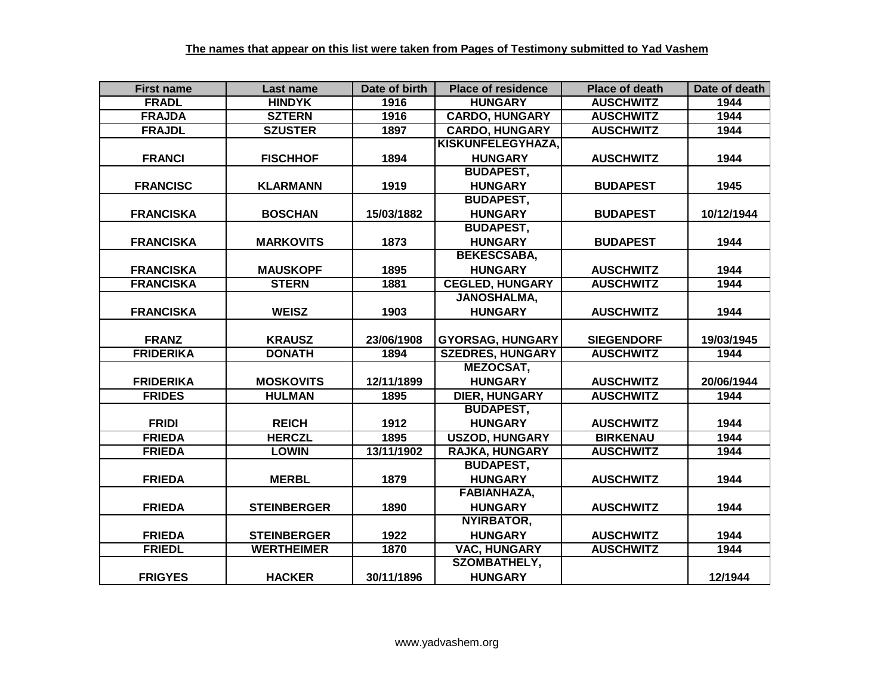| <b>First name</b> | Last name          | Date of birth | <b>Place of residence</b> | <b>Place of death</b> | Date of death |
|-------------------|--------------------|---------------|---------------------------|-----------------------|---------------|
| <b>FRADL</b>      | <b>HINDYK</b>      | 1916          | <b>HUNGARY</b>            | <b>AUSCHWITZ</b>      | 1944          |
| <b>FRAJDA</b>     | <b>SZTERN</b>      | 1916          | <b>CARDO, HUNGARY</b>     | <b>AUSCHWITZ</b>      | 1944          |
| <b>FRAJDL</b>     | <b>SZUSTER</b>     | 1897          | <b>CARDO, HUNGARY</b>     | <b>AUSCHWITZ</b>      | 1944          |
|                   |                    |               | <b>KISKUNFELEGYHAZA,</b>  |                       |               |
| <b>FRANCI</b>     | <b>FISCHHOF</b>    | 1894          | <b>HUNGARY</b>            | <b>AUSCHWITZ</b>      | 1944          |
|                   |                    |               | <b>BUDAPEST,</b>          |                       |               |
| <b>FRANCISC</b>   | <b>KLARMANN</b>    | 1919          | <b>HUNGARY</b>            | <b>BUDAPEST</b>       | 1945          |
|                   |                    |               | <b>BUDAPEST,</b>          |                       |               |
| <b>FRANCISKA</b>  | <b>BOSCHAN</b>     | 15/03/1882    | <b>HUNGARY</b>            | <b>BUDAPEST</b>       | 10/12/1944    |
|                   |                    |               | <b>BUDAPEST,</b>          |                       |               |
| <b>FRANCISKA</b>  | <b>MARKOVITS</b>   | 1873          | <b>HUNGARY</b>            | <b>BUDAPEST</b>       | 1944          |
|                   |                    |               | <b>BEKESCSABA,</b>        |                       |               |
| <b>FRANCISKA</b>  | <b>MAUSKOPF</b>    | 1895          | <b>HUNGARY</b>            | <b>AUSCHWITZ</b>      | 1944          |
| <b>FRANCISKA</b>  | <b>STERN</b>       | 1881          | <b>CEGLED, HUNGARY</b>    | <b>AUSCHWITZ</b>      | 1944          |
|                   |                    |               | <b>JANOSHALMA,</b>        |                       |               |
| <b>FRANCISKA</b>  | <b>WEISZ</b>       | 1903          | <b>HUNGARY</b>            | <b>AUSCHWITZ</b>      | 1944          |
|                   |                    |               |                           |                       |               |
| <b>FRANZ</b>      | <b>KRAUSZ</b>      | 23/06/1908    | <b>GYORSAG, HUNGARY</b>   | <b>SIEGENDORF</b>     | 19/03/1945    |
| <b>FRIDERIKA</b>  | <b>DONATH</b>      | 1894          | <b>SZEDRES, HUNGARY</b>   | <b>AUSCHWITZ</b>      | 1944          |
|                   |                    |               | <b>MEZOCSAT,</b>          |                       |               |
| <b>FRIDERIKA</b>  | <b>MOSKOVITS</b>   | 12/11/1899    | <b>HUNGARY</b>            | <b>AUSCHWITZ</b>      | 20/06/1944    |
| <b>FRIDES</b>     | <b>HULMAN</b>      | 1895          | <b>DIER, HUNGARY</b>      | <b>AUSCHWITZ</b>      | 1944          |
|                   |                    |               | <b>BUDAPEST,</b>          |                       |               |
| <b>FRIDI</b>      | <b>REICH</b>       | 1912          | <b>HUNGARY</b>            | <b>AUSCHWITZ</b>      | 1944          |
| <b>FRIEDA</b>     | <b>HERCZL</b>      | 1895          | <b>USZOD, HUNGARY</b>     | <b>BIRKENAU</b>       | 1944          |
| <b>FRIEDA</b>     | <b>LOWIN</b>       | 13/11/1902    | <b>RAJKA, HUNGARY</b>     | <b>AUSCHWITZ</b>      | 1944          |
|                   |                    |               | <b>BUDAPEST,</b>          |                       |               |
| <b>FRIEDA</b>     | <b>MERBL</b>       | 1879          | <b>HUNGARY</b>            | <b>AUSCHWITZ</b>      | 1944          |
|                   |                    |               | <b>FABIANHAZA,</b>        |                       |               |
| <b>FRIEDA</b>     | <b>STEINBERGER</b> | 1890          | <b>HUNGARY</b>            | <b>AUSCHWITZ</b>      | 1944          |
|                   |                    |               | <b>NYIRBATOR,</b>         |                       |               |
| <b>FRIEDA</b>     | <b>STEINBERGER</b> | 1922          | <b>HUNGARY</b>            | <b>AUSCHWITZ</b>      | 1944          |
| <b>FRIEDL</b>     | <b>WERTHEIMER</b>  | 1870          | VAC, HUNGARY              | <b>AUSCHWITZ</b>      | 1944          |
|                   |                    |               | <b>SZOMBATHELY,</b>       |                       |               |
| <b>FRIGYES</b>    | <b>HACKER</b>      | 30/11/1896    | <b>HUNGARY</b>            |                       | 12/1944       |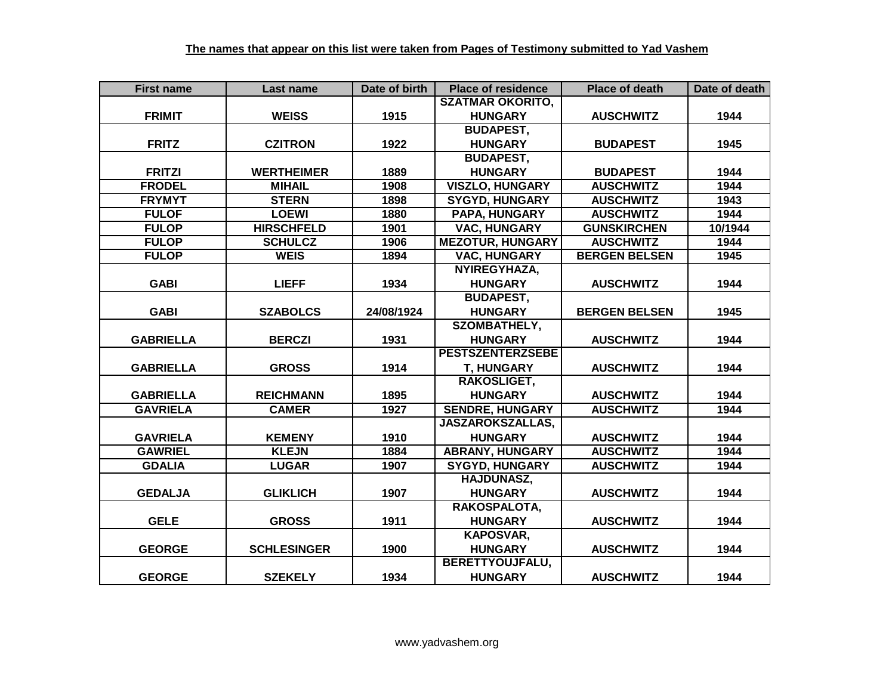| <b>First name</b> | Last name          | Date of birth | <b>Place of residence</b> | <b>Place of death</b> | Date of death |
|-------------------|--------------------|---------------|---------------------------|-----------------------|---------------|
|                   |                    |               | <b>SZATMAR OKORITO,</b>   |                       |               |
| <b>FRIMIT</b>     | <b>WEISS</b>       | 1915          | <b>HUNGARY</b>            | <b>AUSCHWITZ</b>      | 1944          |
|                   |                    |               | <b>BUDAPEST,</b>          |                       |               |
| <b>FRITZ</b>      | <b>CZITRON</b>     | 1922          | <b>HUNGARY</b>            | <b>BUDAPEST</b>       | 1945          |
|                   |                    |               | <b>BUDAPEST,</b>          |                       |               |
| <b>FRITZI</b>     | <b>WERTHEIMER</b>  | 1889          | <b>HUNGARY</b>            | <b>BUDAPEST</b>       | 1944          |
| <b>FRODEL</b>     | <b>MIHAIL</b>      | 1908          | <b>VISZLO, HUNGARY</b>    | <b>AUSCHWITZ</b>      | 1944          |
| <b>FRYMYT</b>     | <b>STERN</b>       | 1898          | <b>SYGYD, HUNGARY</b>     | <b>AUSCHWITZ</b>      | 1943          |
| <b>FULOF</b>      | <b>LOEWI</b>       | 1880          | PAPA, HUNGARY             | <b>AUSCHWITZ</b>      | 1944          |
| <b>FULOP</b>      | <b>HIRSCHFELD</b>  | 1901          | <b>VAC, HUNGARY</b>       | <b>GUNSKIRCHEN</b>    | 10/1944       |
| <b>FULOP</b>      | <b>SCHULCZ</b>     | 1906          | <b>MEZOTUR, HUNGARY</b>   | <b>AUSCHWITZ</b>      | 1944          |
| <b>FULOP</b>      | <b>WEIS</b>        | 1894          | <b>VAC, HUNGARY</b>       | <b>BERGEN BELSEN</b>  | 1945          |
|                   |                    |               | NYIREGYHAZA,              |                       |               |
| <b>GABI</b>       | <b>LIEFF</b>       | 1934          | <b>HUNGARY</b>            | <b>AUSCHWITZ</b>      | 1944          |
|                   |                    |               | <b>BUDAPEST,</b>          |                       |               |
| <b>GABI</b>       | <b>SZABOLCS</b>    | 24/08/1924    | <b>HUNGARY</b>            | <b>BERGEN BELSEN</b>  | 1945          |
|                   |                    |               | <b>SZOMBATHELY,</b>       |                       |               |
| <b>GABRIELLA</b>  | <b>BERCZI</b>      | 1931          | <b>HUNGARY</b>            | <b>AUSCHWITZ</b>      | 1944          |
|                   |                    |               | <b>PESTSZENTERZSEBE</b>   |                       |               |
| <b>GABRIELLA</b>  | <b>GROSS</b>       | 1914          | T, HUNGARY                | <b>AUSCHWITZ</b>      | 1944          |
|                   |                    |               | RAKOSLIGET,               |                       |               |
| <b>GABRIELLA</b>  | <b>REICHMANN</b>   | 1895          | <b>HUNGARY</b>            | <b>AUSCHWITZ</b>      | 1944          |
| <b>GAVRIELA</b>   | <b>CAMER</b>       | 1927          | <b>SENDRE, HUNGARY</b>    | <b>AUSCHWITZ</b>      | 1944          |
|                   |                    |               | <b>JASZAROKSZALLAS,</b>   |                       |               |
| <b>GAVRIELA</b>   | <b>KEMENY</b>      | 1910          | <b>HUNGARY</b>            | <b>AUSCHWITZ</b>      | 1944          |
| <b>GAWRIEL</b>    | <b>KLEJN</b>       | 1884          | <b>ABRANY, HUNGARY</b>    | <b>AUSCHWITZ</b>      | 1944          |
| <b>GDALIA</b>     | <b>LUGAR</b>       | 1907          | <b>SYGYD, HUNGARY</b>     | <b>AUSCHWITZ</b>      | 1944          |
|                   |                    |               | <b>HAJDUNASZ,</b>         |                       |               |
| <b>GEDALJA</b>    | <b>GLIKLICH</b>    | 1907          | <b>HUNGARY</b>            | <b>AUSCHWITZ</b>      | 1944          |
|                   |                    |               | RAKOSPALOTA,              |                       |               |
| <b>GELE</b>       | <b>GROSS</b>       | 1911          | <b>HUNGARY</b>            | <b>AUSCHWITZ</b>      | 1944          |
|                   |                    |               | <b>KAPOSVAR,</b>          |                       |               |
| <b>GEORGE</b>     | <b>SCHLESINGER</b> | 1900          | <b>HUNGARY</b>            | <b>AUSCHWITZ</b>      | 1944          |
|                   |                    |               | <b>BERETTYOUJFALU,</b>    |                       |               |
| <b>GEORGE</b>     | <b>SZEKELY</b>     | 1934          | <b>HUNGARY</b>            | <b>AUSCHWITZ</b>      | 1944          |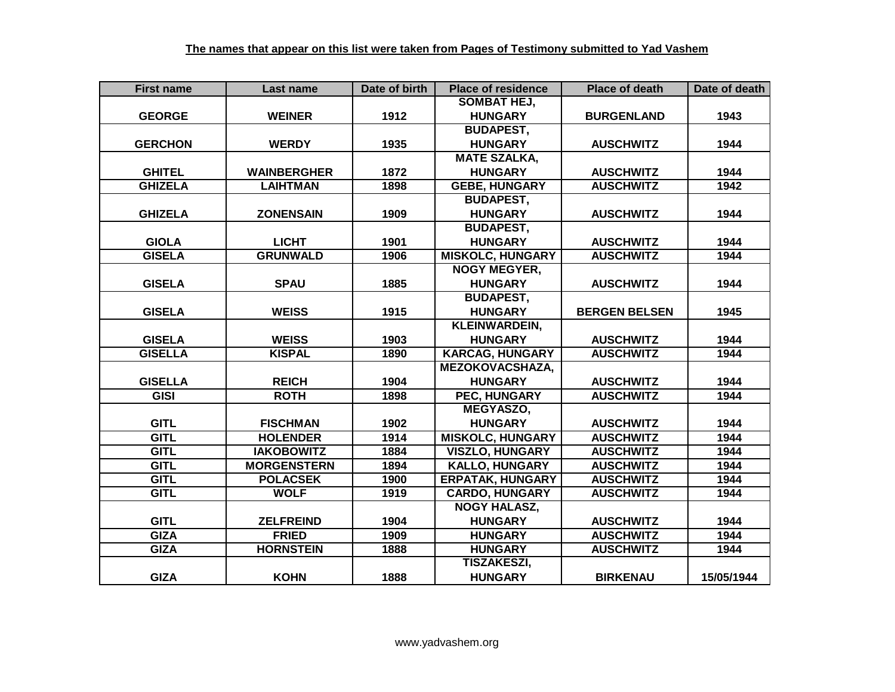| <b>First name</b> | Last name          | Date of birth | <b>Place of residence</b> | <b>Place of death</b> | Date of death |
|-------------------|--------------------|---------------|---------------------------|-----------------------|---------------|
|                   |                    |               | <b>SOMBAT HEJ,</b>        |                       |               |
| <b>GEORGE</b>     | <b>WEINER</b>      | 1912          | <b>HUNGARY</b>            | <b>BURGENLAND</b>     | 1943          |
|                   |                    |               | <b>BUDAPEST,</b>          |                       |               |
| <b>GERCHON</b>    | <b>WERDY</b>       | 1935          | <b>HUNGARY</b>            | <b>AUSCHWITZ</b>      | 1944          |
|                   |                    |               | <b>MATE SZALKA,</b>       |                       |               |
| <b>GHITEL</b>     | <b>WAINBERGHER</b> | 1872          | <b>HUNGARY</b>            | <b>AUSCHWITZ</b>      | 1944          |
| <b>GHIZELA</b>    | <b>LAIHTMAN</b>    | 1898          | <b>GEBE, HUNGARY</b>      | <b>AUSCHWITZ</b>      | 1942          |
|                   |                    |               | <b>BUDAPEST,</b>          |                       |               |
| <b>GHIZELA</b>    | <b>ZONENSAIN</b>   | 1909          | <b>HUNGARY</b>            | <b>AUSCHWITZ</b>      | 1944          |
|                   |                    |               | <b>BUDAPEST,</b>          |                       |               |
| <b>GIOLA</b>      | <b>LICHT</b>       | 1901          | <b>HUNGARY</b>            | <b>AUSCHWITZ</b>      | 1944          |
| <b>GISELA</b>     | <b>GRUNWALD</b>    | 1906          | <b>MISKOLC, HUNGARY</b>   | <b>AUSCHWITZ</b>      | 1944          |
|                   |                    |               | <b>NOGY MEGYER,</b>       |                       |               |
| <b>GISELA</b>     | <b>SPAU</b>        | 1885          | <b>HUNGARY</b>            | <b>AUSCHWITZ</b>      | 1944          |
|                   |                    |               | <b>BUDAPEST,</b>          |                       |               |
| <b>GISELA</b>     | <b>WEISS</b>       | 1915          | <b>HUNGARY</b>            | <b>BERGEN BELSEN</b>  | 1945          |
|                   |                    |               | <b>KLEINWARDEIN,</b>      |                       |               |
| <b>GISELA</b>     | <b>WEISS</b>       | 1903          | <b>HUNGARY</b>            | <b>AUSCHWITZ</b>      | 1944          |
| <b>GISELLA</b>    | <b>KISPAL</b>      | 1890          | <b>KARCAG, HUNGARY</b>    | <b>AUSCHWITZ</b>      | 1944          |
|                   |                    |               | <b>MEZOKOVACSHAZA,</b>    |                       |               |
| <b>GISELLA</b>    | <b>REICH</b>       | 1904          | <b>HUNGARY</b>            | <b>AUSCHWITZ</b>      | 1944          |
| <b>GISI</b>       | <b>ROTH</b>        | 1898          | PEC, HUNGARY              | <b>AUSCHWITZ</b>      | 1944          |
|                   |                    |               | MEGYASZO,                 |                       |               |
| <b>GITL</b>       | <b>FISCHMAN</b>    | 1902          | <b>HUNGARY</b>            | <b>AUSCHWITZ</b>      | 1944          |
| <b>GITL</b>       | <b>HOLENDER</b>    | 1914          | <b>MISKOLC, HUNGARY</b>   | <b>AUSCHWITZ</b>      | 1944          |
| <b>GITL</b>       | <b>IAKOBOWITZ</b>  | 1884          | <b>VISZLO, HUNGARY</b>    | <b>AUSCHWITZ</b>      | 1944          |
| <b>GITL</b>       | <b>MORGENSTERN</b> | 1894          | <b>KALLO, HUNGARY</b>     | <b>AUSCHWITZ</b>      | 1944          |
| <b>GITL</b>       | <b>POLACSEK</b>    | 1900          | <b>ERPATAK, HUNGARY</b>   | <b>AUSCHWITZ</b>      | 1944          |
| <b>GITL</b>       | <b>WOLF</b>        | 1919          | <b>CARDO, HUNGARY</b>     | <b>AUSCHWITZ</b>      | 1944          |
|                   |                    |               | <b>NOGY HALASZ,</b>       |                       |               |
| <b>GITL</b>       | <b>ZELFREIND</b>   | 1904          | <b>HUNGARY</b>            | <b>AUSCHWITZ</b>      | 1944          |
| <b>GIZA</b>       | <b>FRIED</b>       | 1909          | <b>HUNGARY</b>            | <b>AUSCHWITZ</b>      | 1944          |
| <b>GIZA</b>       | <b>HORNSTEIN</b>   | 1888          | <b>HUNGARY</b>            | <b>AUSCHWITZ</b>      | 1944          |
|                   |                    |               | <b>TISZAKESZI,</b>        |                       |               |
| <b>GIZA</b>       | <b>KOHN</b>        | 1888          | <b>HUNGARY</b>            | <b>BIRKENAU</b>       | 15/05/1944    |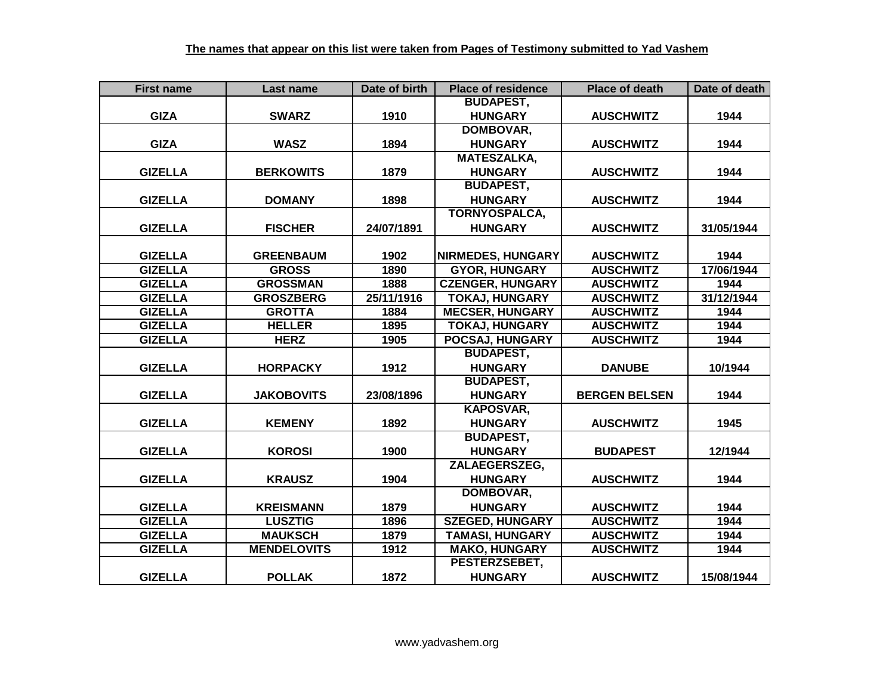| <b>First name</b> | Last name          | Date of birth | <b>Place of residence</b> | <b>Place of death</b> | Date of death |
|-------------------|--------------------|---------------|---------------------------|-----------------------|---------------|
|                   |                    |               | <b>BUDAPEST,</b>          |                       |               |
| <b>GIZA</b>       | <b>SWARZ</b>       | 1910          | <b>HUNGARY</b>            | <b>AUSCHWITZ</b>      | 1944          |
|                   |                    |               | <b>DOMBOVAR,</b>          |                       |               |
| <b>GIZA</b>       | <b>WASZ</b>        | 1894          | <b>HUNGARY</b>            | <b>AUSCHWITZ</b>      | 1944          |
|                   |                    |               | <b>MATESZALKA,</b>        |                       |               |
| <b>GIZELLA</b>    | <b>BERKOWITS</b>   | 1879          | <b>HUNGARY</b>            | <b>AUSCHWITZ</b>      | 1944          |
|                   |                    |               | <b>BUDAPEST,</b>          |                       |               |
| <b>GIZELLA</b>    | <b>DOMANY</b>      | 1898          | <b>HUNGARY</b>            | <b>AUSCHWITZ</b>      | 1944          |
|                   |                    |               | <b>TORNYOSPALCA,</b>      |                       |               |
| <b>GIZELLA</b>    | <b>FISCHER</b>     | 24/07/1891    | <b>HUNGARY</b>            | <b>AUSCHWITZ</b>      | 31/05/1944    |
|                   |                    |               |                           |                       |               |
| <b>GIZELLA</b>    | <b>GREENBAUM</b>   | 1902          | NIRMEDES, HUNGARY         | <b>AUSCHWITZ</b>      | 1944          |
| <b>GIZELLA</b>    | <b>GROSS</b>       | 1890          | <b>GYOR, HUNGARY</b>      | <b>AUSCHWITZ</b>      | 17/06/1944    |
| <b>GIZELLA</b>    | <b>GROSSMAN</b>    | 1888          | <b>CZENGER, HUNGARY</b>   | <b>AUSCHWITZ</b>      | 1944          |
| <b>GIZELLA</b>    | <b>GROSZBERG</b>   | 25/11/1916    | <b>TOKAJ, HUNGARY</b>     | <b>AUSCHWITZ</b>      | 31/12/1944    |
| <b>GIZELLA</b>    | <b>GROTTA</b>      | 1884          | <b>MECSER, HUNGARY</b>    | <b>AUSCHWITZ</b>      | 1944          |
| <b>GIZELLA</b>    | <b>HELLER</b>      | 1895          | <b>TOKAJ, HUNGARY</b>     | <b>AUSCHWITZ</b>      | 1944          |
| <b>GIZELLA</b>    | <b>HERZ</b>        | 1905          | POCSAJ, HUNGARY           | <b>AUSCHWITZ</b>      | 1944          |
|                   |                    |               | <b>BUDAPEST,</b>          |                       |               |
| <b>GIZELLA</b>    | <b>HORPACKY</b>    | 1912          | <b>HUNGARY</b>            | <b>DANUBE</b>         | 10/1944       |
|                   |                    |               | <b>BUDAPEST,</b>          |                       |               |
| <b>GIZELLA</b>    | <b>JAKOBOVITS</b>  | 23/08/1896    | <b>HUNGARY</b>            | <b>BERGEN BELSEN</b>  | 1944          |
|                   |                    |               | <b>KAPOSVAR,</b>          |                       |               |
| <b>GIZELLA</b>    | <b>KEMENY</b>      | 1892          | <b>HUNGARY</b>            | <b>AUSCHWITZ</b>      | 1945          |
|                   |                    |               | <b>BUDAPEST,</b>          |                       |               |
| <b>GIZELLA</b>    | <b>KOROSI</b>      | 1900          | <b>HUNGARY</b>            | <b>BUDAPEST</b>       | 12/1944       |
|                   |                    |               | ZALAEGERSZEG,             |                       |               |
| <b>GIZELLA</b>    | <b>KRAUSZ</b>      | 1904          | <b>HUNGARY</b>            | <b>AUSCHWITZ</b>      | 1944          |
|                   |                    |               | DOMBOVAR,                 |                       |               |
| <b>GIZELLA</b>    | <b>KREISMANN</b>   | 1879          | <b>HUNGARY</b>            | <b>AUSCHWITZ</b>      | 1944          |
| <b>GIZELLA</b>    | <b>LUSZTIG</b>     | 1896          | <b>SZEGED, HUNGARY</b>    | <b>AUSCHWITZ</b>      | 1944          |
| <b>GIZELLA</b>    | <b>MAUKSCH</b>     | 1879          | <b>TAMASI, HUNGARY</b>    | <b>AUSCHWITZ</b>      | 1944          |
| <b>GIZELLA</b>    | <b>MENDELOVITS</b> | 1912          | <b>MAKO, HUNGARY</b>      | <b>AUSCHWITZ</b>      | 1944          |
|                   |                    |               | PESTERZSEBET,             |                       |               |
| <b>GIZELLA</b>    | <b>POLLAK</b>      | 1872          | <b>HUNGARY</b>            | <b>AUSCHWITZ</b>      | 15/08/1944    |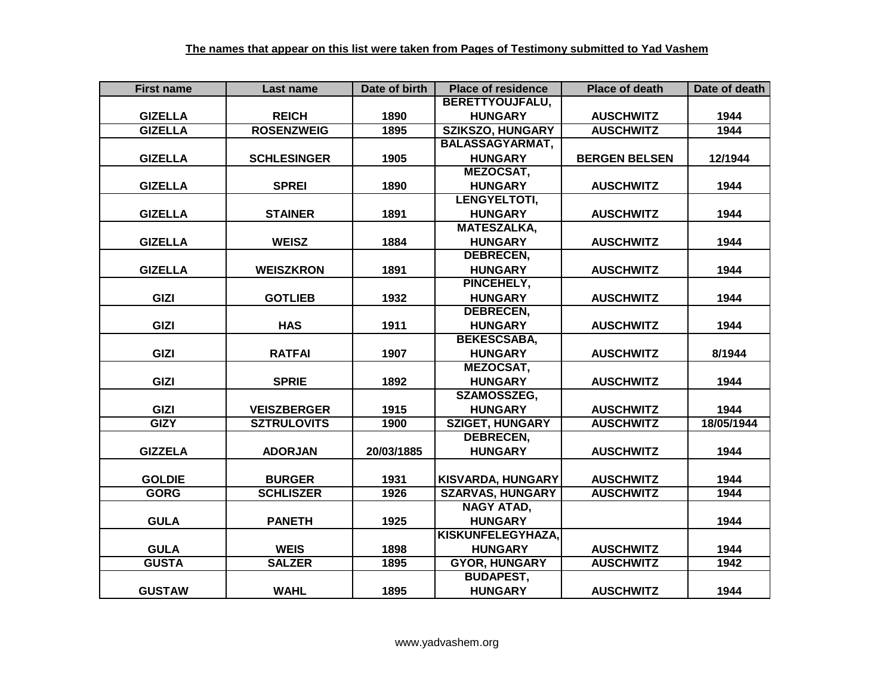| <b>First name</b> | Last name          | Date of birth | <b>Place of residence</b> | <b>Place of death</b> | Date of death |
|-------------------|--------------------|---------------|---------------------------|-----------------------|---------------|
|                   |                    |               | <b>BERETTYOUJFALU,</b>    |                       |               |
| <b>GIZELLA</b>    | <b>REICH</b>       | 1890          | <b>HUNGARY</b>            | <b>AUSCHWITZ</b>      | 1944          |
| <b>GIZELLA</b>    | <b>ROSENZWEIG</b>  | 1895          | <b>SZIKSZO, HUNGARY</b>   | <b>AUSCHWITZ</b>      | 1944          |
|                   |                    |               | <b>BALASSAGYARMAT,</b>    |                       |               |
| <b>GIZELLA</b>    | <b>SCHLESINGER</b> | 1905          | <b>HUNGARY</b>            | <b>BERGEN BELSEN</b>  | 12/1944       |
|                   |                    |               | <b>MEZOCSAT,</b>          |                       |               |
| <b>GIZELLA</b>    | <b>SPREI</b>       | 1890          | <b>HUNGARY</b>            | <b>AUSCHWITZ</b>      | 1944          |
|                   |                    |               | LENGYELTOTI,              |                       |               |
| <b>GIZELLA</b>    | <b>STAINER</b>     | 1891          | <b>HUNGARY</b>            | <b>AUSCHWITZ</b>      | 1944          |
|                   |                    |               | <b>MATESZALKA,</b>        |                       |               |
| <b>GIZELLA</b>    | <b>WEISZ</b>       | 1884          | <b>HUNGARY</b>            | <b>AUSCHWITZ</b>      | 1944          |
|                   |                    |               | <b>DEBRECEN,</b>          |                       |               |
| <b>GIZELLA</b>    | <b>WEISZKRON</b>   | 1891          | <b>HUNGARY</b>            | <b>AUSCHWITZ</b>      | 1944          |
|                   |                    |               | PINCEHELY,                |                       |               |
| <b>GIZI</b>       | <b>GOTLIEB</b>     | 1932          | <b>HUNGARY</b>            | <b>AUSCHWITZ</b>      | 1944          |
|                   |                    |               | <b>DEBRECEN,</b>          |                       |               |
| <b>GIZI</b>       | <b>HAS</b>         | 1911          | <b>HUNGARY</b>            | <b>AUSCHWITZ</b>      | 1944          |
|                   |                    |               | <b>BEKESCSABA,</b>        |                       |               |
| <b>GIZI</b>       | <b>RATFAI</b>      | 1907          | <b>HUNGARY</b>            | <b>AUSCHWITZ</b>      | 8/1944        |
|                   |                    |               | <b>MEZOCSAT,</b>          |                       |               |
| <b>GIZI</b>       | <b>SPRIE</b>       | 1892          | <b>HUNGARY</b>            | <b>AUSCHWITZ</b>      | 1944          |
|                   |                    |               | SZAMOSSZEG,               |                       |               |
| <b>GIZI</b>       | <b>VEISZBERGER</b> | 1915          | <b>HUNGARY</b>            | <b>AUSCHWITZ</b>      | 1944          |
| <b>GIZY</b>       | <b>SZTRULOVITS</b> | 1900          | <b>SZIGET, HUNGARY</b>    | <b>AUSCHWITZ</b>      | 18/05/1944    |
|                   |                    |               | <b>DEBRECEN,</b>          |                       |               |
| <b>GIZZELA</b>    | <b>ADORJAN</b>     | 20/03/1885    | <b>HUNGARY</b>            | <b>AUSCHWITZ</b>      | 1944          |
|                   |                    |               |                           |                       |               |
| <b>GOLDIE</b>     | <b>BURGER</b>      | 1931          | KISVARDA, HUNGARY         | <b>AUSCHWITZ</b>      | 1944          |
| <b>GORG</b>       | <b>SCHLISZER</b>   | 1926          | <b>SZARVAS, HUNGARY</b>   | <b>AUSCHWITZ</b>      | 1944          |
|                   |                    |               | <b>NAGY ATAD,</b>         |                       |               |
| <b>GULA</b>       | <b>PANETH</b>      | 1925          | <b>HUNGARY</b>            |                       | 1944          |
|                   |                    |               | KISKUNFELEGYHAZA,         |                       |               |
| <b>GULA</b>       | <b>WEIS</b>        | 1898          | <b>HUNGARY</b>            | <b>AUSCHWITZ</b>      | 1944          |
| <b>GUSTA</b>      | <b>SALZER</b>      | 1895          | <b>GYOR, HUNGARY</b>      | <b>AUSCHWITZ</b>      | 1942          |
|                   |                    |               | <b>BUDAPEST,</b>          |                       |               |
| <b>GUSTAW</b>     | <b>WAHL</b>        | 1895          | <b>HUNGARY</b>            | <b>AUSCHWITZ</b>      | 1944          |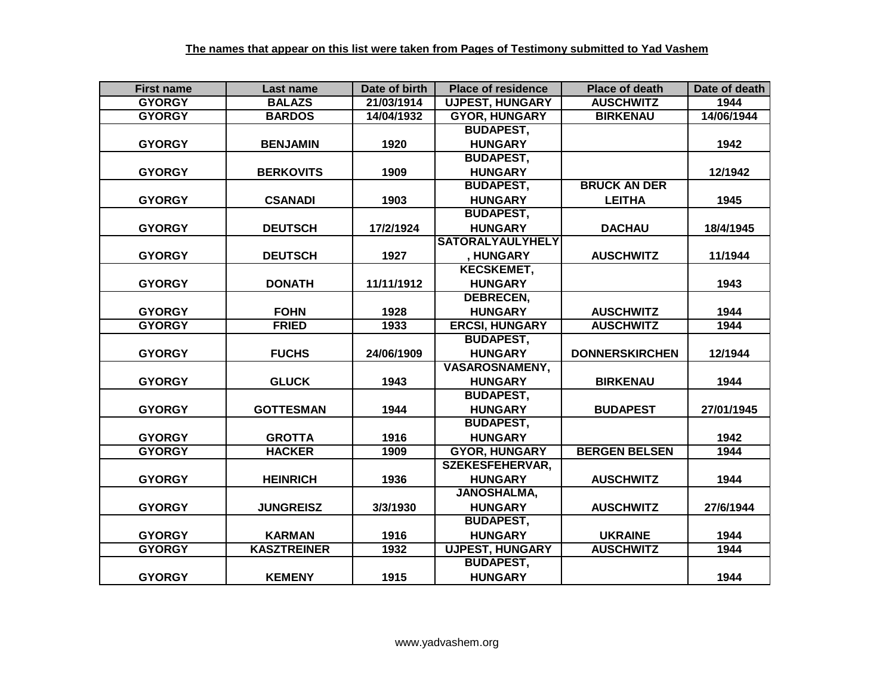| <b>First name</b> | Last name          | Date of birth | <b>Place of residence</b> | <b>Place of death</b> | Date of death |
|-------------------|--------------------|---------------|---------------------------|-----------------------|---------------|
| <b>GYORGY</b>     | <b>BALAZS</b>      | 21/03/1914    | <b>UJPEST, HUNGARY</b>    | <b>AUSCHWITZ</b>      | 1944          |
| <b>GYORGY</b>     | <b>BARDOS</b>      | 14/04/1932    | <b>GYOR, HUNGARY</b>      | <b>BIRKENAU</b>       | 14/06/1944    |
|                   |                    |               | <b>BUDAPEST,</b>          |                       |               |
| <b>GYORGY</b>     | <b>BENJAMIN</b>    | 1920          | <b>HUNGARY</b>            |                       | 1942          |
|                   |                    |               | <b>BUDAPEST,</b>          |                       |               |
| <b>GYORGY</b>     | <b>BERKOVITS</b>   | 1909          | <b>HUNGARY</b>            |                       | 12/1942       |
|                   |                    |               | <b>BUDAPEST,</b>          | <b>BRUCK AN DER</b>   |               |
| <b>GYORGY</b>     | <b>CSANADI</b>     | 1903          | <b>HUNGARY</b>            | <b>LEITHA</b>         | 1945          |
|                   |                    |               | <b>BUDAPEST,</b>          |                       |               |
| <b>GYORGY</b>     | <b>DEUTSCH</b>     | 17/2/1924     | <b>HUNGARY</b>            | <b>DACHAU</b>         | 18/4/1945     |
|                   |                    |               | <b>SATORALYAULYHELY</b>   |                       |               |
| <b>GYORGY</b>     | <b>DEUTSCH</b>     | 1927          | , HUNGARY                 | <b>AUSCHWITZ</b>      | 11/1944       |
|                   |                    |               | <b>KECSKEMET,</b>         |                       |               |
| <b>GYORGY</b>     | <b>DONATH</b>      | 11/11/1912    | <b>HUNGARY</b>            |                       | 1943          |
|                   |                    |               | <b>DEBRECEN,</b>          |                       |               |
| <b>GYORGY</b>     | <b>FOHN</b>        | 1928          | <b>HUNGARY</b>            | <b>AUSCHWITZ</b>      | 1944          |
| <b>GYORGY</b>     | <b>FRIED</b>       | 1933          | <b>ERCSI, HUNGARY</b>     | <b>AUSCHWITZ</b>      | 1944          |
|                   |                    |               | <b>BUDAPEST,</b>          |                       |               |
| <b>GYORGY</b>     | <b>FUCHS</b>       | 24/06/1909    | <b>HUNGARY</b>            | <b>DONNERSKIRCHEN</b> | 12/1944       |
|                   |                    |               | <b>VASAROSNAMENY,</b>     |                       |               |
| <b>GYORGY</b>     | <b>GLUCK</b>       | 1943          | <b>HUNGARY</b>            | <b>BIRKENAU</b>       | 1944          |
|                   |                    |               | <b>BUDAPEST,</b>          |                       |               |
| <b>GYORGY</b>     | <b>GOTTESMAN</b>   | 1944          | <b>HUNGARY</b>            | <b>BUDAPEST</b>       | 27/01/1945    |
|                   |                    |               | <b>BUDAPEST,</b>          |                       |               |
| <b>GYORGY</b>     | <b>GROTTA</b>      | 1916          | <b>HUNGARY</b>            |                       | 1942          |
| <b>GYORGY</b>     | <b>HACKER</b>      | 1909          | <b>GYOR, HUNGARY</b>      | <b>BERGEN BELSEN</b>  | 1944          |
|                   |                    |               | <b>SZEKESFEHERVAR,</b>    |                       |               |
| <b>GYORGY</b>     | <b>HEINRICH</b>    | 1936          | <b>HUNGARY</b>            | <b>AUSCHWITZ</b>      | 1944          |
|                   |                    |               | <b>JANOSHALMA,</b>        |                       |               |
| <b>GYORGY</b>     | <b>JUNGREISZ</b>   | 3/3/1930      | <b>HUNGARY</b>            | <b>AUSCHWITZ</b>      | 27/6/1944     |
|                   |                    |               | <b>BUDAPEST,</b>          |                       |               |
| <b>GYORGY</b>     | <b>KARMAN</b>      | 1916          | <b>HUNGARY</b>            | <b>UKRAINE</b>        | 1944          |
| <b>GYORGY</b>     | <b>KASZTREINER</b> | 1932          | <b>UJPEST, HUNGARY</b>    | <b>AUSCHWITZ</b>      | 1944          |
|                   |                    |               | <b>BUDAPEST,</b>          |                       |               |
| <b>GYORGY</b>     | <b>KEMENY</b>      | 1915          | <b>HUNGARY</b>            |                       | 1944          |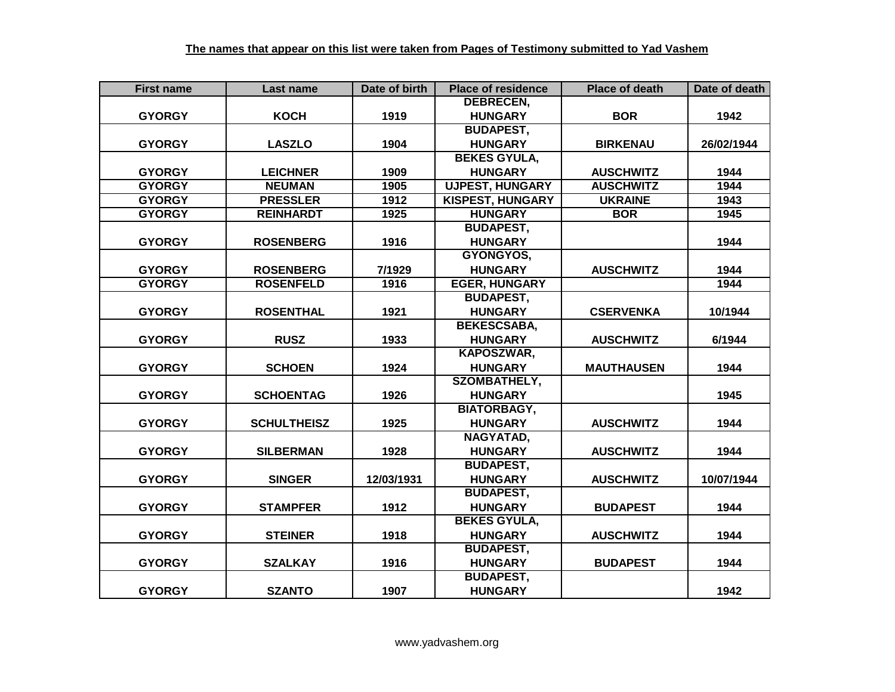| <b>First name</b> | Last name          | Date of birth | <b>Place of residence</b> | <b>Place of death</b> | Date of death |
|-------------------|--------------------|---------------|---------------------------|-----------------------|---------------|
|                   |                    |               | <b>DEBRECEN,</b>          |                       |               |
| <b>GYORGY</b>     | <b>KOCH</b>        | 1919          | <b>HUNGARY</b>            | <b>BOR</b>            | 1942          |
|                   |                    |               | <b>BUDAPEST,</b>          |                       |               |
| <b>GYORGY</b>     | <b>LASZLO</b>      | 1904          | <b>HUNGARY</b>            | <b>BIRKENAU</b>       | 26/02/1944    |
|                   |                    |               | <b>BEKES GYULA,</b>       |                       |               |
| <b>GYORGY</b>     | <b>LEICHNER</b>    | 1909          | <b>HUNGARY</b>            | <b>AUSCHWITZ</b>      | 1944          |
| <b>GYORGY</b>     | <b>NEUMAN</b>      | 1905          | <b>UJPEST, HUNGARY</b>    | <b>AUSCHWITZ</b>      | 1944          |
| <b>GYORGY</b>     | <b>PRESSLER</b>    | 1912          | <b>KISPEST, HUNGARY</b>   | <b>UKRAINE</b>        | 1943          |
| <b>GYORGY</b>     | <b>REINHARDT</b>   | 1925          | <b>HUNGARY</b>            | <b>BOR</b>            | 1945          |
|                   |                    |               | <b>BUDAPEST,</b>          |                       |               |
| <b>GYORGY</b>     | <b>ROSENBERG</b>   | 1916          | <b>HUNGARY</b>            |                       | 1944          |
|                   |                    |               | GYONGYOS,                 |                       |               |
| <b>GYORGY</b>     | <b>ROSENBERG</b>   | 7/1929        | <b>HUNGARY</b>            | <b>AUSCHWITZ</b>      | 1944          |
| <b>GYORGY</b>     | <b>ROSENFELD</b>   | 1916          | <b>EGER, HUNGARY</b>      |                       | 1944          |
|                   |                    |               | <b>BUDAPEST,</b>          |                       |               |
| <b>GYORGY</b>     | <b>ROSENTHAL</b>   | 1921          | <b>HUNGARY</b>            | <b>CSERVENKA</b>      | 10/1944       |
|                   |                    |               | <b>BEKESCSABA,</b>        |                       |               |
| <b>GYORGY</b>     | <b>RUSZ</b>        | 1933          | <b>HUNGARY</b>            | <b>AUSCHWITZ</b>      | 6/1944        |
|                   |                    |               | <b>KAPOSZWAR,</b>         |                       |               |
| <b>GYORGY</b>     | <b>SCHOEN</b>      | 1924          | <b>HUNGARY</b>            | <b>MAUTHAUSEN</b>     | 1944          |
|                   |                    |               | SZOMBATHELY,              |                       |               |
| <b>GYORGY</b>     | <b>SCHOENTAG</b>   | 1926          | <b>HUNGARY</b>            |                       | 1945          |
|                   |                    |               | <b>BIATORBAGY,</b>        |                       |               |
| <b>GYORGY</b>     | <b>SCHULTHEISZ</b> | 1925          | <b>HUNGARY</b>            | <b>AUSCHWITZ</b>      | 1944          |
|                   |                    |               | NAGYATAD,                 |                       |               |
| <b>GYORGY</b>     | <b>SILBERMAN</b>   | 1928          | <b>HUNGARY</b>            | <b>AUSCHWITZ</b>      | 1944          |
|                   |                    |               | <b>BUDAPEST,</b>          |                       |               |
| <b>GYORGY</b>     | <b>SINGER</b>      | 12/03/1931    | <b>HUNGARY</b>            | <b>AUSCHWITZ</b>      | 10/07/1944    |
|                   |                    |               | <b>BUDAPEST,</b>          |                       |               |
| <b>GYORGY</b>     | <b>STAMPFER</b>    | 1912          | <b>HUNGARY</b>            | <b>BUDAPEST</b>       | 1944          |
|                   |                    |               | <b>BEKES GYULA,</b>       |                       |               |
| <b>GYORGY</b>     | <b>STEINER</b>     | 1918          | <b>HUNGARY</b>            | <b>AUSCHWITZ</b>      | 1944          |
|                   |                    |               | <b>BUDAPEST,</b>          |                       |               |
| <b>GYORGY</b>     | <b>SZALKAY</b>     | 1916          | <b>HUNGARY</b>            | <b>BUDAPEST</b>       | 1944          |
|                   |                    |               | <b>BUDAPEST,</b>          |                       |               |
| <b>GYORGY</b>     | <b>SZANTO</b>      | 1907          | <b>HUNGARY</b>            |                       | 1942          |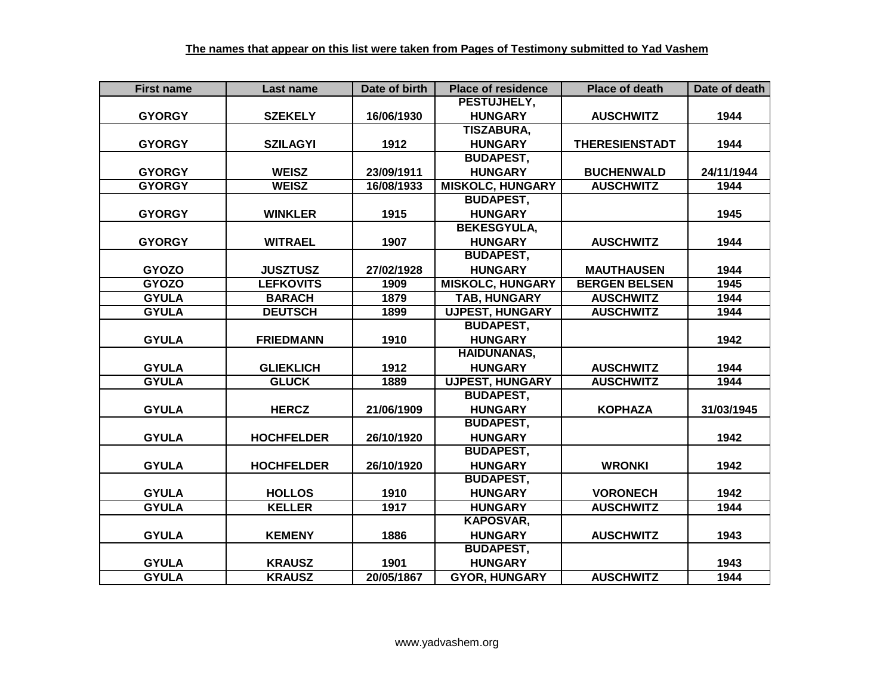| <b>First name</b> | Last name         | Date of birth | <b>Place of residence</b> | <b>Place of death</b> | Date of death |
|-------------------|-------------------|---------------|---------------------------|-----------------------|---------------|
|                   |                   |               | PESTUJHELY,               |                       |               |
| <b>GYORGY</b>     | <b>SZEKELY</b>    | 16/06/1930    | <b>HUNGARY</b>            | <b>AUSCHWITZ</b>      | 1944          |
|                   |                   |               | <b>TISZABURA,</b>         |                       |               |
| <b>GYORGY</b>     | <b>SZILAGYI</b>   | 1912          | <b>HUNGARY</b>            | <b>THERESIENSTADT</b> | 1944          |
|                   |                   |               | <b>BUDAPEST,</b>          |                       |               |
| <b>GYORGY</b>     | <b>WEISZ</b>      | 23/09/1911    | <b>HUNGARY</b>            | <b>BUCHENWALD</b>     | 24/11/1944    |
| <b>GYORGY</b>     | <b>WEISZ</b>      | 16/08/1933    | <b>MISKOLC, HUNGARY</b>   | <b>AUSCHWITZ</b>      | 1944          |
|                   |                   |               | <b>BUDAPEST,</b>          |                       |               |
| <b>GYORGY</b>     | <b>WINKLER</b>    | 1915          | <b>HUNGARY</b>            |                       | 1945          |
|                   |                   |               | <b>BEKESGYULA,</b>        |                       |               |
| <b>GYORGY</b>     | <b>WITRAEL</b>    | 1907          | <b>HUNGARY</b>            | <b>AUSCHWITZ</b>      | 1944          |
|                   |                   |               | <b>BUDAPEST,</b>          |                       |               |
| <b>GYOZO</b>      | <b>JUSZTUSZ</b>   | 27/02/1928    | <b>HUNGARY</b>            | <b>MAUTHAUSEN</b>     | 1944          |
| <b>GYOZO</b>      | <b>LEFKOVITS</b>  | 1909          | <b>MISKOLC, HUNGARY</b>   | <b>BERGEN BELSEN</b>  | 1945          |
| <b>GYULA</b>      | <b>BARACH</b>     | 1879          | <b>TAB, HUNGARY</b>       | <b>AUSCHWITZ</b>      | 1944          |
| <b>GYULA</b>      | <b>DEUTSCH</b>    | 1899          | <b>UJPEST, HUNGARY</b>    | <b>AUSCHWITZ</b>      | 1944          |
|                   |                   |               | <b>BUDAPEST,</b>          |                       |               |
| <b>GYULA</b>      | <b>FRIEDMANN</b>  | 1910          | <b>HUNGARY</b>            |                       | 1942          |
|                   |                   |               | <b>HAIDUNANAS,</b>        |                       |               |
| <b>GYULA</b>      | <b>GLIEKLICH</b>  | 1912          | <b>HUNGARY</b>            | <b>AUSCHWITZ</b>      | 1944          |
| <b>GYULA</b>      | <b>GLUCK</b>      | 1889          | <b>UJPEST, HUNGARY</b>    | <b>AUSCHWITZ</b>      | 1944          |
|                   |                   |               | <b>BUDAPEST,</b>          |                       |               |
| <b>GYULA</b>      | <b>HERCZ</b>      | 21/06/1909    | <b>HUNGARY</b>            | <b>KOPHAZA</b>        | 31/03/1945    |
|                   |                   |               | <b>BUDAPEST,</b>          |                       |               |
| <b>GYULA</b>      | <b>HOCHFELDER</b> | 26/10/1920    | <b>HUNGARY</b>            |                       | 1942          |
|                   |                   |               | <b>BUDAPEST,</b>          |                       |               |
| <b>GYULA</b>      | <b>HOCHFELDER</b> | 26/10/1920    | <b>HUNGARY</b>            | <b>WRONKI</b>         | 1942          |
|                   |                   |               | <b>BUDAPEST,</b>          |                       |               |
| <b>GYULA</b>      | <b>HOLLOS</b>     | 1910          | <b>HUNGARY</b>            | <b>VORONECH</b>       | 1942          |
| <b>GYULA</b>      | <b>KELLER</b>     | 1917          | <b>HUNGARY</b>            | <b>AUSCHWITZ</b>      | 1944          |
|                   |                   |               | <b>KAPOSVAR,</b>          |                       |               |
| <b>GYULA</b>      | <b>KEMENY</b>     | 1886          | <b>HUNGARY</b>            | <b>AUSCHWITZ</b>      | 1943          |
|                   |                   |               | <b>BUDAPEST,</b>          |                       |               |
| <b>GYULA</b>      | <b>KRAUSZ</b>     | 1901          | <b>HUNGARY</b>            |                       | 1943          |
| <b>GYULA</b>      | <b>KRAUSZ</b>     | 20/05/1867    | <b>GYOR, HUNGARY</b>      | <b>AUSCHWITZ</b>      | 1944          |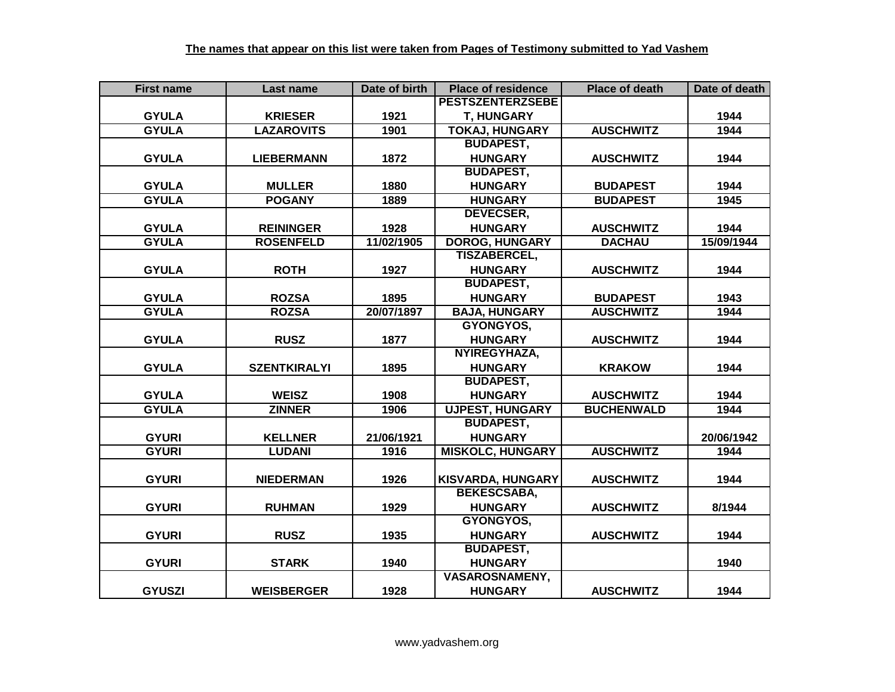| <b>First name</b> | Last name           | Date of birth | <b>Place of residence</b> | <b>Place of death</b> | Date of death |
|-------------------|---------------------|---------------|---------------------------|-----------------------|---------------|
|                   |                     |               | <b>PESTSZENTERZSEBE</b>   |                       |               |
| <b>GYULA</b>      | <b>KRIESER</b>      | 1921          | T, HUNGARY                |                       | 1944          |
| <b>GYULA</b>      | <b>LAZAROVITS</b>   | 1901          | <b>TOKAJ, HUNGARY</b>     | <b>AUSCHWITZ</b>      | 1944          |
|                   |                     |               | <b>BUDAPEST,</b>          |                       |               |
| <b>GYULA</b>      | <b>LIEBERMANN</b>   | 1872          | <b>HUNGARY</b>            | <b>AUSCHWITZ</b>      | 1944          |
|                   |                     |               | <b>BUDAPEST,</b>          |                       |               |
| <b>GYULA</b>      | <b>MULLER</b>       | 1880          | <b>HUNGARY</b>            | <b>BUDAPEST</b>       | 1944          |
| <b>GYULA</b>      | <b>POGANY</b>       | 1889          | <b>HUNGARY</b>            | <b>BUDAPEST</b>       | 1945          |
|                   |                     |               | DEVECSER,                 |                       |               |
| <b>GYULA</b>      | <b>REININGER</b>    | 1928          | <b>HUNGARY</b>            | <b>AUSCHWITZ</b>      | 1944          |
| <b>GYULA</b>      | <b>ROSENFELD</b>    | 11/02/1905    | <b>DOROG, HUNGARY</b>     | <b>DACHAU</b>         | 15/09/1944    |
|                   |                     |               | <b>TISZABERCEL,</b>       |                       |               |
| <b>GYULA</b>      | <b>ROTH</b>         | 1927          | <b>HUNGARY</b>            | <b>AUSCHWITZ</b>      | 1944          |
|                   |                     |               | <b>BUDAPEST,</b>          |                       |               |
| <b>GYULA</b>      | <b>ROZSA</b>        | 1895          | <b>HUNGARY</b>            | <b>BUDAPEST</b>       | 1943          |
| <b>GYULA</b>      | <b>ROZSA</b>        | 20/07/1897    | <b>BAJA, HUNGARY</b>      | <b>AUSCHWITZ</b>      | 1944          |
|                   |                     |               | GYONGYOS,                 |                       |               |
| <b>GYULA</b>      | <b>RUSZ</b>         | 1877          | <b>HUNGARY</b>            | <b>AUSCHWITZ</b>      | 1944          |
|                   |                     |               | NYIREGYHAZA,              |                       |               |
| <b>GYULA</b>      | <b>SZENTKIRALYI</b> | 1895          | <b>HUNGARY</b>            | <b>KRAKOW</b>         | 1944          |
|                   |                     |               | <b>BUDAPEST,</b>          |                       |               |
| <b>GYULA</b>      | <b>WEISZ</b>        | 1908          | <b>HUNGARY</b>            | <b>AUSCHWITZ</b>      | 1944          |
| <b>GYULA</b>      | <b>ZINNER</b>       | 1906          | <b>UJPEST, HUNGARY</b>    | <b>BUCHENWALD</b>     | 1944          |
|                   |                     |               | <b>BUDAPEST,</b>          |                       |               |
| <b>GYURI</b>      | <b>KELLNER</b>      | 21/06/1921    | <b>HUNGARY</b>            |                       | 20/06/1942    |
| <b>GYURI</b>      | <b>LUDANI</b>       | 1916          | <b>MISKOLC, HUNGARY</b>   | <b>AUSCHWITZ</b>      | 1944          |
|                   |                     |               |                           |                       |               |
| <b>GYURI</b>      | <b>NIEDERMAN</b>    | 1926          | <b>KISVARDA, HUNGARY</b>  | <b>AUSCHWITZ</b>      | 1944          |
|                   |                     |               | <b>BEKESCSABA,</b>        |                       |               |
| <b>GYURI</b>      | <b>RUHMAN</b>       | 1929          | <b>HUNGARY</b>            | <b>AUSCHWITZ</b>      | 8/1944        |
|                   |                     |               | GYONGYOS,                 |                       |               |
| <b>GYURI</b>      | <b>RUSZ</b>         | 1935          | <b>HUNGARY</b>            | <b>AUSCHWITZ</b>      | 1944          |
|                   |                     |               | <b>BUDAPEST,</b>          |                       |               |
| <b>GYURI</b>      | <b>STARK</b>        | 1940          | <b>HUNGARY</b>            |                       | 1940          |
|                   |                     |               | <b>VASAROSNAMENY,</b>     |                       |               |
| <b>GYUSZI</b>     | <b>WEISBERGER</b>   | 1928          | <b>HUNGARY</b>            | <b>AUSCHWITZ</b>      | 1944          |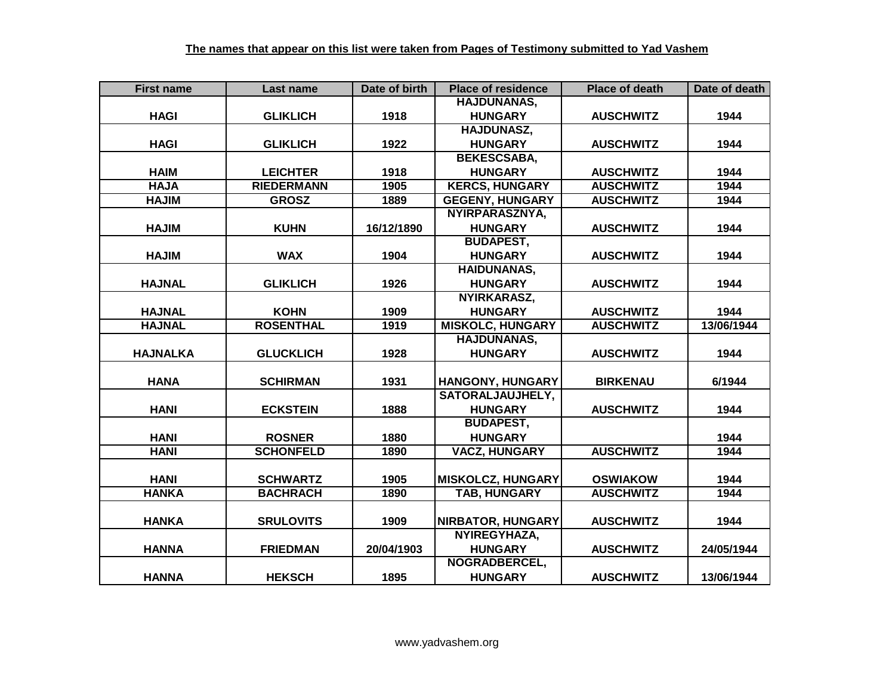| <b>First name</b> | Last name         | Date of birth | <b>Place of residence</b> | <b>Place of death</b> | Date of death |
|-------------------|-------------------|---------------|---------------------------|-----------------------|---------------|
|                   |                   |               | <b>HAJDUNANAS,</b>        |                       |               |
| <b>HAGI</b>       | <b>GLIKLICH</b>   | 1918          | <b>HUNGARY</b>            | <b>AUSCHWITZ</b>      | 1944          |
|                   |                   |               | <b>HAJDUNASZ,</b>         |                       |               |
| <b>HAGI</b>       | <b>GLIKLICH</b>   | 1922          | <b>HUNGARY</b>            | <b>AUSCHWITZ</b>      | 1944          |
|                   |                   |               | <b>BEKESCSABA,</b>        |                       |               |
| <b>HAIM</b>       | <b>LEICHTER</b>   | 1918          | <b>HUNGARY</b>            | <b>AUSCHWITZ</b>      | 1944          |
| <b>HAJA</b>       | <b>RIEDERMANN</b> | 1905          | <b>KERCS, HUNGARY</b>     | <b>AUSCHWITZ</b>      | 1944          |
| <b>HAJIM</b>      | <b>GROSZ</b>      | 1889          | <b>GEGENY, HUNGARY</b>    | <b>AUSCHWITZ</b>      | 1944          |
|                   |                   |               | NYIRPARASZNYA,            |                       |               |
| <b>HAJIM</b>      | <b>KUHN</b>       | 16/12/1890    | <b>HUNGARY</b>            | <b>AUSCHWITZ</b>      | 1944          |
|                   |                   |               | <b>BUDAPEST,</b>          |                       |               |
| <b>HAJIM</b>      | <b>WAX</b>        | 1904          | <b>HUNGARY</b>            | <b>AUSCHWITZ</b>      | 1944          |
|                   |                   |               | <b>HAIDUNANAS,</b>        |                       |               |
| <b>HAJNAL</b>     | <b>GLIKLICH</b>   | 1926          | <b>HUNGARY</b>            | <b>AUSCHWITZ</b>      | 1944          |
|                   |                   |               | NYIRKARASZ,               |                       |               |
| <b>HAJNAL</b>     | <b>KOHN</b>       | 1909          | <b>HUNGARY</b>            | <b>AUSCHWITZ</b>      | 1944          |
| <b>HAJNAL</b>     | <b>ROSENTHAL</b>  | 1919          | <b>MISKOLC, HUNGARY</b>   | <b>AUSCHWITZ</b>      | 13/06/1944    |
|                   |                   |               | <b>HAJDUNANAS,</b>        |                       |               |
| <b>HAJNALKA</b>   | <b>GLUCKLICH</b>  | 1928          | <b>HUNGARY</b>            | <b>AUSCHWITZ</b>      | 1944          |
|                   |                   |               |                           |                       |               |
| <b>HANA</b>       | <b>SCHIRMAN</b>   | 1931          | <b>HANGONY, HUNGARY</b>   | <b>BIRKENAU</b>       | 6/1944        |
|                   |                   |               | <b>SATORALJAUJHELY,</b>   |                       |               |
| <b>HANI</b>       | <b>ECKSTEIN</b>   | 1888          | <b>HUNGARY</b>            | <b>AUSCHWITZ</b>      | 1944          |
|                   |                   |               | <b>BUDAPEST,</b>          |                       |               |
| <b>HANI</b>       | <b>ROSNER</b>     | 1880          | <b>HUNGARY</b>            |                       | 1944          |
| <b>HANI</b>       | <b>SCHONFELD</b>  | 1890          | <b>VACZ, HUNGARY</b>      | <b>AUSCHWITZ</b>      | 1944          |
|                   |                   |               |                           |                       |               |
| <b>HANI</b>       | <b>SCHWARTZ</b>   | 1905          | <b>MISKOLCZ, HUNGARY</b>  | <b>OSWIAKOW</b>       | 1944          |
| <b>HANKA</b>      | <b>BACHRACH</b>   | 1890          | <b>TAB, HUNGARY</b>       | <b>AUSCHWITZ</b>      | 1944          |
|                   |                   |               |                           |                       |               |
| <b>HANKA</b>      | <b>SRULOVITS</b>  | 1909          | <b>NIRBATOR, HUNGARY</b>  | <b>AUSCHWITZ</b>      | 1944          |
|                   |                   |               | NYIREGYHAZA,              |                       |               |
| <b>HANNA</b>      | <b>FRIEDMAN</b>   | 20/04/1903    | <b>HUNGARY</b>            | <b>AUSCHWITZ</b>      | 24/05/1944    |
|                   |                   |               | NOGRADBERCEL,             |                       |               |
| <b>HANNA</b>      | <b>HEKSCH</b>     | 1895          | <b>HUNGARY</b>            | <b>AUSCHWITZ</b>      | 13/06/1944    |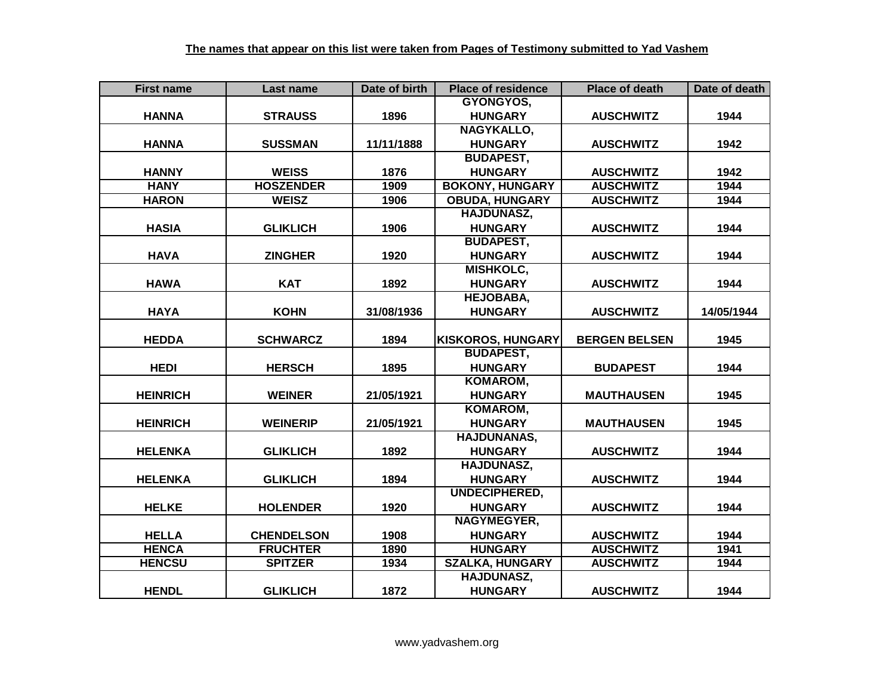| <b>First name</b> | Last name         | Date of birth | <b>Place of residence</b> | <b>Place of death</b> | Date of death |
|-------------------|-------------------|---------------|---------------------------|-----------------------|---------------|
|                   |                   |               | GYONGYOS,                 |                       |               |
| <b>HANNA</b>      | <b>STRAUSS</b>    | 1896          | <b>HUNGARY</b>            | <b>AUSCHWITZ</b>      | 1944          |
|                   |                   |               | NAGYKALLO,                |                       |               |
| <b>HANNA</b>      | <b>SUSSMAN</b>    | 11/11/1888    | <b>HUNGARY</b>            | <b>AUSCHWITZ</b>      | 1942          |
|                   |                   |               | <b>BUDAPEST,</b>          |                       |               |
| <b>HANNY</b>      | <b>WEISS</b>      | 1876          | <b>HUNGARY</b>            | <b>AUSCHWITZ</b>      | 1942          |
| <b>HANY</b>       | <b>HOSZENDER</b>  | 1909          | <b>BOKONY, HUNGARY</b>    | <b>AUSCHWITZ</b>      | 1944          |
| <b>HARON</b>      | <b>WEISZ</b>      | 1906          | <b>OBUDA, HUNGARY</b>     | <b>AUSCHWITZ</b>      | 1944          |
|                   |                   |               | <b>HAJDUNASZ,</b>         |                       |               |
| <b>HASIA</b>      | <b>GLIKLICH</b>   | 1906          | <b>HUNGARY</b>            | <b>AUSCHWITZ</b>      | 1944          |
|                   |                   |               | <b>BUDAPEST,</b>          |                       |               |
| <b>HAVA</b>       | <b>ZINGHER</b>    | 1920          | <b>HUNGARY</b>            | <b>AUSCHWITZ</b>      | 1944          |
|                   |                   |               | <b>MISHKOLC,</b>          |                       |               |
| <b>HAWA</b>       | <b>KAT</b>        | 1892          | <b>HUNGARY</b>            | <b>AUSCHWITZ</b>      | 1944          |
|                   |                   |               | <b>HEJOBABA,</b>          |                       |               |
| <b>HAYA</b>       | <b>KOHN</b>       | 31/08/1936    | <b>HUNGARY</b>            | <b>AUSCHWITZ</b>      | 14/05/1944    |
|                   |                   |               |                           |                       |               |
| <b>HEDDA</b>      | <b>SCHWARCZ</b>   | 1894          | <b>KISKOROS, HUNGARY</b>  | <b>BERGEN BELSEN</b>  | 1945          |
|                   |                   |               | <b>BUDAPEST,</b>          |                       |               |
| <b>HEDI</b>       | <b>HERSCH</b>     | 1895          | <b>HUNGARY</b>            | <b>BUDAPEST</b>       | 1944          |
|                   |                   |               | KOMAROM,                  |                       |               |
| <b>HEINRICH</b>   | <b>WEINER</b>     | 21/05/1921    | <b>HUNGARY</b>            | <b>MAUTHAUSEN</b>     | 1945          |
|                   |                   |               | KOMAROM,                  |                       |               |
| <b>HEINRICH</b>   | <b>WEINERIP</b>   | 21/05/1921    | <b>HUNGARY</b>            | <b>MAUTHAUSEN</b>     | 1945          |
|                   |                   |               | <b>HAJDUNANAS,</b>        |                       |               |
| <b>HELENKA</b>    | <b>GLIKLICH</b>   | 1892          | <b>HUNGARY</b>            | <b>AUSCHWITZ</b>      | 1944          |
|                   |                   |               | <b>HAJDUNASZ,</b>         |                       |               |
| <b>HELENKA</b>    | <b>GLIKLICH</b>   | 1894          | <b>HUNGARY</b>            | <b>AUSCHWITZ</b>      | 1944          |
|                   |                   |               | <b>UNDECIPHERED,</b>      |                       |               |
| <b>HELKE</b>      | <b>HOLENDER</b>   | 1920          | <b>HUNGARY</b>            | <b>AUSCHWITZ</b>      | 1944          |
|                   |                   |               | NAGYMEGYER,               |                       |               |
| <b>HELLA</b>      | <b>CHENDELSON</b> | 1908          | <b>HUNGARY</b>            | <b>AUSCHWITZ</b>      | 1944          |
| <b>HENCA</b>      | <b>FRUCHTER</b>   | 1890          | <b>HUNGARY</b>            | <b>AUSCHWITZ</b>      | 1941          |
| <b>HENCSU</b>     | <b>SPITZER</b>    | 1934          | <b>SZALKA, HUNGARY</b>    | <b>AUSCHWITZ</b>      | 1944          |
|                   |                   |               | <b>HAJDUNASZ,</b>         |                       |               |
| <b>HENDL</b>      | <b>GLIKLICH</b>   | 1872          | <b>HUNGARY</b>            | <b>AUSCHWITZ</b>      | 1944          |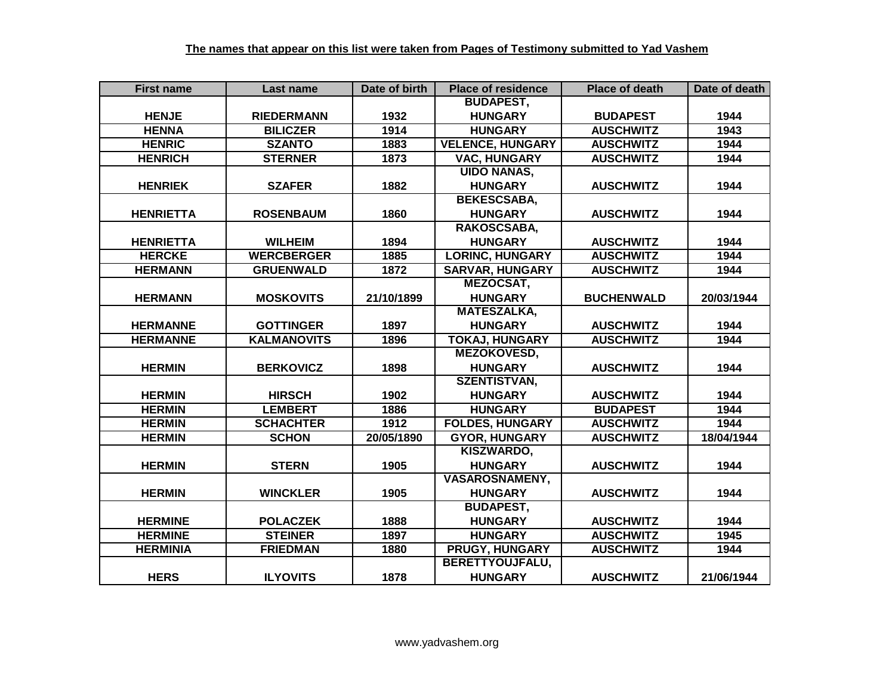| <b>First name</b> | Last name          | Date of birth | <b>Place of residence</b> | <b>Place of death</b> | Date of death |
|-------------------|--------------------|---------------|---------------------------|-----------------------|---------------|
|                   |                    |               | <b>BUDAPEST,</b>          |                       |               |
| <b>HENJE</b>      | <b>RIEDERMANN</b>  | 1932          | <b>HUNGARY</b>            | <b>BUDAPEST</b>       | 1944          |
| <b>HENNA</b>      | <b>BILICZER</b>    | 1914          | <b>HUNGARY</b>            | <b>AUSCHWITZ</b>      | 1943          |
| <b>HENRIC</b>     | <b>SZANTO</b>      | 1883          | <b>VELENCE, HUNGARY</b>   | <b>AUSCHWITZ</b>      | 1944          |
| <b>HENRICH</b>    | <b>STERNER</b>     | 1873          | <b>VAC, HUNGARY</b>       | <b>AUSCHWITZ</b>      | 1944          |
|                   |                    |               | <b>UIDO NANAS,</b>        |                       |               |
| <b>HENRIEK</b>    | <b>SZAFER</b>      | 1882          | <b>HUNGARY</b>            | <b>AUSCHWITZ</b>      | 1944          |
|                   |                    |               | <b>BEKESCSABA,</b>        |                       |               |
| <b>HENRIETTA</b>  | <b>ROSENBAUM</b>   | 1860          | <b>HUNGARY</b>            | <b>AUSCHWITZ</b>      | 1944          |
|                   |                    |               | RAKOSCSABA,               |                       |               |
| <b>HENRIETTA</b>  | <b>WILHEIM</b>     | 1894          | <b>HUNGARY</b>            | <b>AUSCHWITZ</b>      | 1944          |
| <b>HERCKE</b>     | <b>WERCBERGER</b>  | 1885          | <b>LORINC, HUNGARY</b>    | <b>AUSCHWITZ</b>      | 1944          |
| <b>HERMANN</b>    | <b>GRUENWALD</b>   | 1872          | <b>SARVAR, HUNGARY</b>    | <b>AUSCHWITZ</b>      | 1944          |
|                   |                    |               | MEZOCSAT,                 |                       |               |
| <b>HERMANN</b>    | <b>MOSKOVITS</b>   | 21/10/1899    | <b>HUNGARY</b>            | <b>BUCHENWALD</b>     | 20/03/1944    |
|                   |                    |               | <b>MATESZALKA,</b>        |                       |               |
| <b>HERMANNE</b>   | <b>GOTTINGER</b>   | 1897          | <b>HUNGARY</b>            | <b>AUSCHWITZ</b>      | 1944          |
| <b>HERMANNE</b>   | <b>KALMANOVITS</b> | 1896          | <b>TOKAJ, HUNGARY</b>     | <b>AUSCHWITZ</b>      | 1944          |
|                   |                    |               | <b>MEZOKOVESD,</b>        |                       |               |
| <b>HERMIN</b>     | <b>BERKOVICZ</b>   | 1898          | <b>HUNGARY</b>            | <b>AUSCHWITZ</b>      | 1944          |
|                   |                    |               | <b>SZENTISTVAN,</b>       |                       |               |
| <b>HERMIN</b>     | <b>HIRSCH</b>      | 1902          | <b>HUNGARY</b>            | <b>AUSCHWITZ</b>      | 1944          |
| <b>HERMIN</b>     | <b>LEMBERT</b>     | 1886          | <b>HUNGARY</b>            | <b>BUDAPEST</b>       | 1944          |
| <b>HERMIN</b>     | <b>SCHACHTER</b>   | 1912          | <b>FOLDES, HUNGARY</b>    | <b>AUSCHWITZ</b>      | 1944          |
| <b>HERMIN</b>     | <b>SCHON</b>       | 20/05/1890    | <b>GYOR, HUNGARY</b>      | <b>AUSCHWITZ</b>      | 18/04/1944    |
|                   |                    |               | KISZWARDO,                |                       |               |
| <b>HERMIN</b>     | <b>STERN</b>       | 1905          | <b>HUNGARY</b>            | <b>AUSCHWITZ</b>      | 1944          |
|                   |                    |               | <b>VASAROSNAMENY,</b>     |                       |               |
| <b>HERMIN</b>     | <b>WINCKLER</b>    | 1905          | <b>HUNGARY</b>            | <b>AUSCHWITZ</b>      | 1944          |
|                   |                    |               | <b>BUDAPEST,</b>          |                       |               |
| <b>HERMINE</b>    | <b>POLACZEK</b>    | 1888          | <b>HUNGARY</b>            | <b>AUSCHWITZ</b>      | 1944          |
| <b>HERMINE</b>    | <b>STEINER</b>     | 1897          | <b>HUNGARY</b>            | <b>AUSCHWITZ</b>      | 1945          |
| <b>HERMINIA</b>   | <b>FRIEDMAN</b>    | 1880          | PRUGY, HUNGARY            | <b>AUSCHWITZ</b>      | 1944          |
|                   |                    |               | BERETTYOUJFALU,           |                       |               |
| <b>HERS</b>       | <b>ILYOVITS</b>    | 1878          | <b>HUNGARY</b>            | <b>AUSCHWITZ</b>      | 21/06/1944    |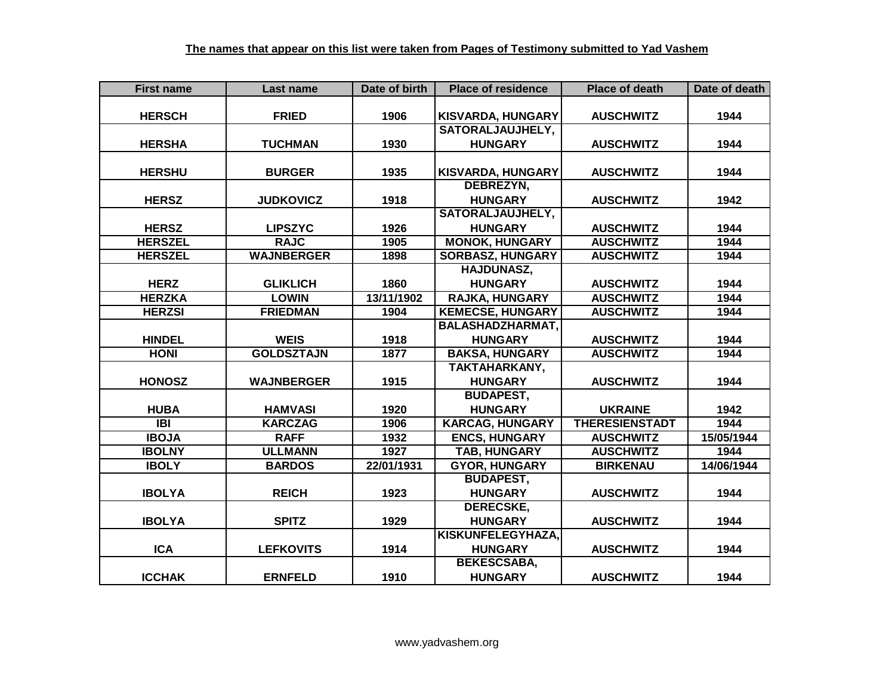| <b>First name</b> | Last name         | Date of birth | <b>Place of residence</b> | <b>Place of death</b> | Date of death |
|-------------------|-------------------|---------------|---------------------------|-----------------------|---------------|
|                   |                   |               |                           |                       |               |
| <b>HERSCH</b>     | <b>FRIED</b>      | 1906          | <b>KISVARDA, HUNGARY</b>  | <b>AUSCHWITZ</b>      | 1944          |
|                   |                   |               | <b>SATORALJAUJHELY,</b>   |                       |               |
| <b>HERSHA</b>     | <b>TUCHMAN</b>    | 1930          | <b>HUNGARY</b>            | <b>AUSCHWITZ</b>      | 1944          |
|                   |                   |               |                           |                       |               |
| <b>HERSHU</b>     | <b>BURGER</b>     | 1935          | <b>KISVARDA, HUNGARY</b>  | <b>AUSCHWITZ</b>      | 1944          |
|                   |                   |               | <b>DEBREZYN,</b>          |                       |               |
| <b>HERSZ</b>      | <b>JUDKOVICZ</b>  | 1918          | <b>HUNGARY</b>            | <b>AUSCHWITZ</b>      | 1942          |
|                   |                   |               | <b>SATORALJAUJHELY,</b>   |                       |               |
| <b>HERSZ</b>      | <b>LIPSZYC</b>    | 1926          | <b>HUNGARY</b>            | <b>AUSCHWITZ</b>      | 1944          |
| <b>HERSZEL</b>    | <b>RAJC</b>       | 1905          | <b>MONOK, HUNGARY</b>     | <b>AUSCHWITZ</b>      | 1944          |
| <b>HERSZEL</b>    | <b>WAJNBERGER</b> | 1898          | <b>SORBASZ, HUNGARY</b>   | <b>AUSCHWITZ</b>      | 1944          |
|                   |                   |               | <b>HAJDUNASZ,</b>         |                       |               |
| <b>HERZ</b>       | <b>GLIKLICH</b>   | 1860          | <b>HUNGARY</b>            | <b>AUSCHWITZ</b>      | 1944          |
| <b>HERZKA</b>     | <b>LOWIN</b>      | 13/11/1902    | <b>RAJKA, HUNGARY</b>     | <b>AUSCHWITZ</b>      | 1944          |
| <b>HERZSI</b>     | <b>FRIEDMAN</b>   | 1904          | <b>KEMECSE, HUNGARY</b>   | <b>AUSCHWITZ</b>      | 1944          |
|                   |                   |               | <b>BALASHADZHARMAT,</b>   |                       |               |
| <b>HINDEL</b>     | <b>WEIS</b>       | 1918          | <b>HUNGARY</b>            | <b>AUSCHWITZ</b>      | 1944          |
| <b>HONI</b>       | <b>GOLDSZTAJN</b> | 1877          | <b>BAKSA, HUNGARY</b>     | <b>AUSCHWITZ</b>      | 1944          |
|                   |                   |               | <b>TAKTAHARKANY,</b>      |                       |               |
| <b>HONOSZ</b>     | <b>WAJNBERGER</b> | 1915          | <b>HUNGARY</b>            | <b>AUSCHWITZ</b>      | 1944          |
|                   |                   |               | <b>BUDAPEST,</b>          |                       |               |
| <b>HUBA</b>       | <b>HAMVASI</b>    | 1920          | <b>HUNGARY</b>            | <b>UKRAINE</b>        | 1942          |
| $\overline{IBI}$  | <b>KARCZAG</b>    | 1906          | <b>KARCAG, HUNGARY</b>    | <b>THERESIENSTADT</b> | 1944          |
| <b>IBOJA</b>      | <b>RAFF</b>       | 1932          | <b>ENCS, HUNGARY</b>      | <b>AUSCHWITZ</b>      | 15/05/1944    |
| <b>IBOLNY</b>     | <b>ULLMANN</b>    | 1927          | <b>TAB, HUNGARY</b>       | <b>AUSCHWITZ</b>      | 1944          |
| <b>IBOLY</b>      | <b>BARDOS</b>     | 22/01/1931    | <b>GYOR, HUNGARY</b>      | <b>BIRKENAU</b>       | 14/06/1944    |
|                   |                   |               | <b>BUDAPEST,</b>          |                       |               |
| <b>IBOLYA</b>     | <b>REICH</b>      | 1923          | <b>HUNGARY</b>            | <b>AUSCHWITZ</b>      | 1944          |
|                   |                   |               | <b>DERECSKE,</b>          |                       |               |
| <b>IBOLYA</b>     | <b>SPITZ</b>      | 1929          | <b>HUNGARY</b>            | <b>AUSCHWITZ</b>      | 1944          |
|                   |                   |               | KISKUNFELEGYHAZA,         |                       |               |
| <b>ICA</b>        | <b>LEFKOVITS</b>  | 1914          | <b>HUNGARY</b>            | <b>AUSCHWITZ</b>      | 1944          |
|                   |                   |               | BEKESCSABA,               |                       |               |
| <b>ICCHAK</b>     | <b>ERNFELD</b>    | 1910          | <b>HUNGARY</b>            | <b>AUSCHWITZ</b>      | 1944          |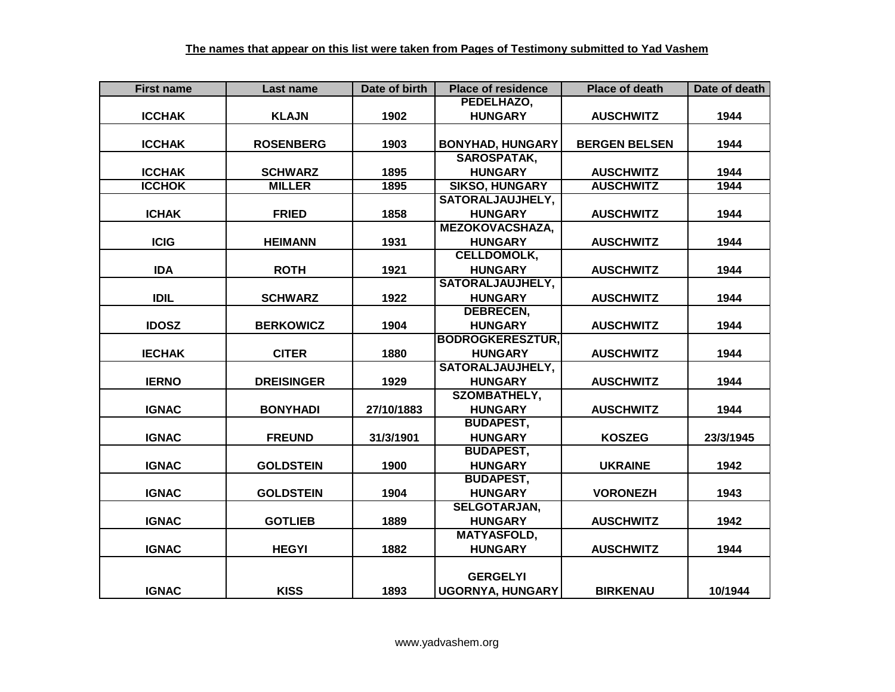| <b>First name</b> | Last name         | Date of birth | <b>Place of residence</b> | <b>Place of death</b> | Date of death |
|-------------------|-------------------|---------------|---------------------------|-----------------------|---------------|
|                   |                   |               | PEDELHAZO,                |                       |               |
| <b>ICCHAK</b>     | <b>KLAJN</b>      | 1902          | <b>HUNGARY</b>            | <b>AUSCHWITZ</b>      | 1944          |
|                   |                   |               |                           |                       |               |
| <b>ICCHAK</b>     | <b>ROSENBERG</b>  | 1903          | <b>BONYHAD, HUNGARY</b>   | <b>BERGEN BELSEN</b>  | 1944          |
|                   |                   |               | <b>SAROSPATAK,</b>        |                       |               |
| <b>ICCHAK</b>     | <b>SCHWARZ</b>    | 1895          | <b>HUNGARY</b>            | <b>AUSCHWITZ</b>      | 1944          |
| <b>ICCHOK</b>     | <b>MILLER</b>     | 1895          | <b>SIKSO, HUNGARY</b>     | <b>AUSCHWITZ</b>      | 1944          |
|                   |                   |               | SATORALJAUJHELY,          |                       |               |
| <b>ICHAK</b>      | <b>FRIED</b>      | 1858          | <b>HUNGARY</b>            | <b>AUSCHWITZ</b>      | 1944          |
|                   |                   |               | MEZOKOVACSHAZA,           |                       |               |
| <b>ICIG</b>       | <b>HEIMANN</b>    | 1931          | <b>HUNGARY</b>            | <b>AUSCHWITZ</b>      | 1944          |
|                   |                   |               | <b>CELLDOMOLK,</b>        |                       |               |
| <b>IDA</b>        | <b>ROTH</b>       | 1921          | <b>HUNGARY</b>            | <b>AUSCHWITZ</b>      | 1944          |
|                   |                   |               | SATORALJAUJHELY,          |                       |               |
| <b>IDIL</b>       | <b>SCHWARZ</b>    | 1922          | <b>HUNGARY</b>            | <b>AUSCHWITZ</b>      | 1944          |
|                   |                   |               | <b>DEBRECEN,</b>          |                       |               |
| <b>IDOSZ</b>      | <b>BERKOWICZ</b>  | 1904          | <b>HUNGARY</b>            | <b>AUSCHWITZ</b>      | 1944          |
|                   |                   |               | <b>BODROGKERESZTUR,</b>   |                       |               |
| <b>IECHAK</b>     | <b>CITER</b>      | 1880          | <b>HUNGARY</b>            | <b>AUSCHWITZ</b>      | 1944          |
|                   |                   |               | SATORALJAUJHELY,          |                       |               |
| <b>IERNO</b>      | <b>DREISINGER</b> | 1929          | <b>HUNGARY</b>            | <b>AUSCHWITZ</b>      | 1944          |
|                   |                   |               | <b>SZOMBATHELY,</b>       |                       |               |
| <b>IGNAC</b>      | <b>BONYHADI</b>   | 27/10/1883    | <b>HUNGARY</b>            | <b>AUSCHWITZ</b>      | 1944          |
|                   |                   |               | <b>BUDAPEST,</b>          |                       |               |
| <b>IGNAC</b>      | <b>FREUND</b>     | 31/3/1901     | <b>HUNGARY</b>            | <b>KOSZEG</b>         | 23/3/1945     |
|                   |                   |               | <b>BUDAPEST,</b>          |                       |               |
| <b>IGNAC</b>      | <b>GOLDSTEIN</b>  | 1900          | <b>HUNGARY</b>            | <b>UKRAINE</b>        | 1942          |
|                   |                   |               | <b>BUDAPEST,</b>          |                       |               |
| <b>IGNAC</b>      | <b>GOLDSTEIN</b>  | 1904          | <b>HUNGARY</b>            | <b>VORONEZH</b>       | 1943          |
|                   |                   |               | <b>SELGOTARJAN,</b>       |                       |               |
| <b>IGNAC</b>      | <b>GOTLIEB</b>    | 1889          | <b>HUNGARY</b>            | <b>AUSCHWITZ</b>      | 1942          |
|                   |                   |               | <b>MATYASFOLD,</b>        |                       |               |
| <b>IGNAC</b>      | <b>HEGYI</b>      | 1882          | <b>HUNGARY</b>            | <b>AUSCHWITZ</b>      | 1944          |
|                   |                   |               |                           |                       |               |
|                   |                   |               | <b>GERGELYI</b>           |                       |               |
| <b>IGNAC</b>      | <b>KISS</b>       | 1893          | <b>UGORNYA, HUNGARY</b>   | <b>BIRKENAU</b>       | 10/1944       |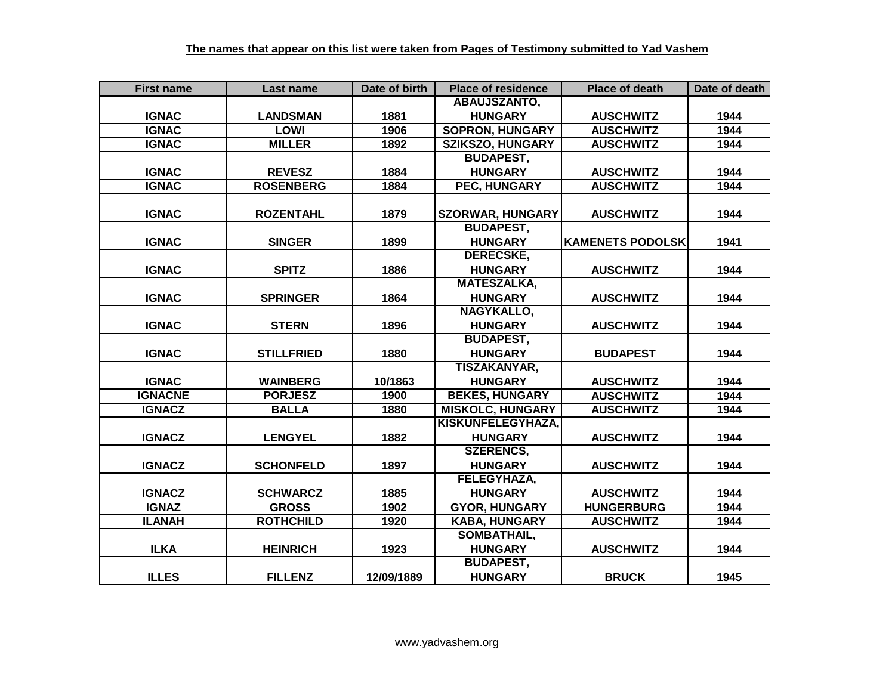| <b>First name</b> | Last name         | Date of birth | <b>Place of residence</b> | <b>Place of death</b>   | Date of death |
|-------------------|-------------------|---------------|---------------------------|-------------------------|---------------|
|                   |                   |               | ABAUJSZANTO,              |                         |               |
| <b>IGNAC</b>      | <b>LANDSMAN</b>   | 1881          | <b>HUNGARY</b>            | <b>AUSCHWITZ</b>        | 1944          |
| <b>IGNAC</b>      | <b>LOWI</b>       | 1906          | <b>SOPRON, HUNGARY</b>    | <b>AUSCHWITZ</b>        | 1944          |
| <b>IGNAC</b>      | <b>MILLER</b>     | 1892          | <b>SZIKSZO, HUNGARY</b>   | <b>AUSCHWITZ</b>        | 1944          |
|                   |                   |               | <b>BUDAPEST,</b>          |                         |               |
| <b>IGNAC</b>      | <b>REVESZ</b>     | 1884          | <b>HUNGARY</b>            | <b>AUSCHWITZ</b>        | 1944          |
| <b>IGNAC</b>      | <b>ROSENBERG</b>  | 1884          | PEC, HUNGARY              | <b>AUSCHWITZ</b>        | 1944          |
|                   |                   |               |                           |                         |               |
| <b>IGNAC</b>      | <b>ROZENTAHL</b>  | 1879          | <b>SZORWAR, HUNGARY</b>   | <b>AUSCHWITZ</b>        | 1944          |
|                   |                   |               | <b>BUDAPEST,</b>          |                         |               |
| <b>IGNAC</b>      | <b>SINGER</b>     | 1899          | <b>HUNGARY</b>            | <b>KAMENETS PODOLSK</b> | 1941          |
|                   |                   |               | <b>DERECSKE,</b>          |                         |               |
| <b>IGNAC</b>      | <b>SPITZ</b>      | 1886          | <b>HUNGARY</b>            | <b>AUSCHWITZ</b>        | 1944          |
|                   |                   |               | <b>MATESZALKA,</b>        |                         |               |
| <b>IGNAC</b>      | <b>SPRINGER</b>   | 1864          | <b>HUNGARY</b>            | <b>AUSCHWITZ</b>        | 1944          |
|                   |                   |               | NAGYKALLO,                |                         |               |
| <b>IGNAC</b>      | <b>STERN</b>      | 1896          | <b>HUNGARY</b>            | <b>AUSCHWITZ</b>        | 1944          |
|                   |                   |               | <b>BUDAPEST,</b>          |                         |               |
| <b>IGNAC</b>      | <b>STILLFRIED</b> | 1880          | <b>HUNGARY</b>            | <b>BUDAPEST</b>         | 1944          |
|                   |                   |               | TISZAKANYAR,              |                         |               |
| <b>IGNAC</b>      | <b>WAINBERG</b>   | 10/1863       | <b>HUNGARY</b>            | <b>AUSCHWITZ</b>        | 1944          |
| <b>IGNACNE</b>    | <b>PORJESZ</b>    | 1900          | <b>BEKES, HUNGARY</b>     | <b>AUSCHWITZ</b>        | 1944          |
| <b>IGNACZ</b>     | <b>BALLA</b>      | 1880          | <b>MISKOLC, HUNGARY</b>   | <b>AUSCHWITZ</b>        | 1944          |
|                   |                   |               | KISKUNFELEGYHAZA,         |                         |               |
| <b>IGNACZ</b>     | <b>LENGYEL</b>    | 1882          | <b>HUNGARY</b>            | <b>AUSCHWITZ</b>        | 1944          |
|                   |                   |               | <b>SZERENCS,</b>          |                         |               |
| <b>IGNACZ</b>     | <b>SCHONFELD</b>  | 1897          | <b>HUNGARY</b>            | <b>AUSCHWITZ</b>        | 1944          |
|                   |                   |               | <b>FELEGYHAZA,</b>        |                         |               |
| <b>IGNACZ</b>     | <b>SCHWARCZ</b>   | 1885          | <b>HUNGARY</b>            | <b>AUSCHWITZ</b>        | 1944          |
| <b>IGNAZ</b>      | <b>GROSS</b>      | 1902          | <b>GYOR, HUNGARY</b>      | <b>HUNGERBURG</b>       | 1944          |
| <b>ILANAH</b>     | <b>ROTHCHILD</b>  | 1920          | <b>KABA, HUNGARY</b>      | <b>AUSCHWITZ</b>        | 1944          |
|                   |                   |               | SOMBATHAIL,               |                         |               |
| <b>ILKA</b>       | <b>HEINRICH</b>   | 1923          | <b>HUNGARY</b>            | <b>AUSCHWITZ</b>        | 1944          |
|                   |                   |               | <b>BUDAPEST,</b>          |                         |               |
| <b>ILLES</b>      | <b>FILLENZ</b>    | 12/09/1889    | <b>HUNGARY</b>            | <b>BRUCK</b>            | 1945          |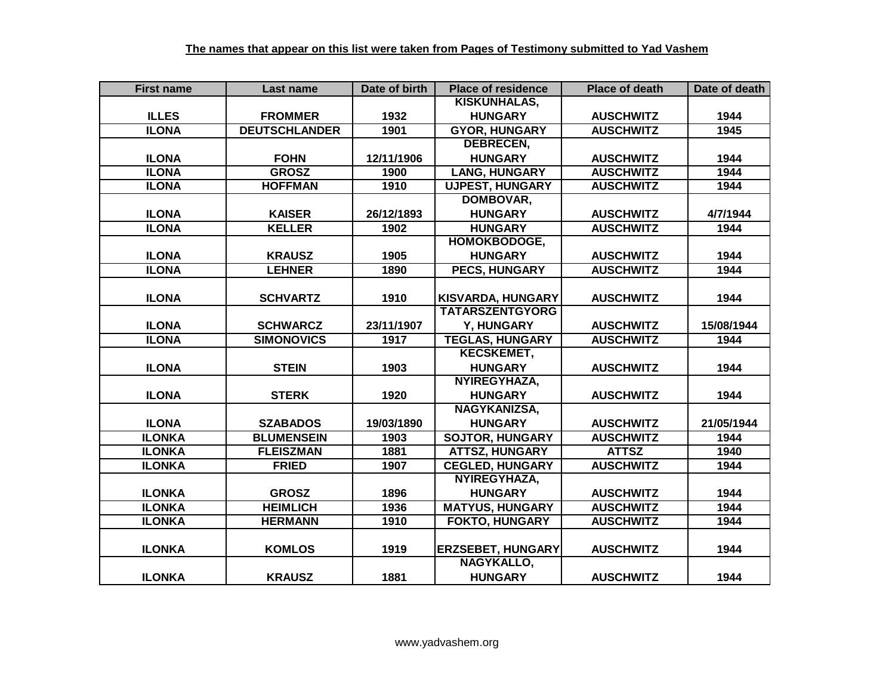| <b>First name</b> | Last name            | Date of birth | <b>Place of residence</b> | <b>Place of death</b> | Date of death |
|-------------------|----------------------|---------------|---------------------------|-----------------------|---------------|
|                   |                      |               | <b>KISKUNHALAS,</b>       |                       |               |
| <b>ILLES</b>      | <b>FROMMER</b>       | 1932          | <b>HUNGARY</b>            | <b>AUSCHWITZ</b>      | 1944          |
| <b>ILONA</b>      | <b>DEUTSCHLANDER</b> | 1901          | <b>GYOR, HUNGARY</b>      | <b>AUSCHWITZ</b>      | 1945          |
|                   |                      |               | <b>DEBRECEN,</b>          |                       |               |
| <b>ILONA</b>      | <b>FOHN</b>          | 12/11/1906    | <b>HUNGARY</b>            | <b>AUSCHWITZ</b>      | 1944          |
| <b>ILONA</b>      | <b>GROSZ</b>         | 1900          | <b>LANG, HUNGARY</b>      | <b>AUSCHWITZ</b>      | 1944          |
| <b>ILONA</b>      | <b>HOFFMAN</b>       | 1910          | <b>UJPEST, HUNGARY</b>    | <b>AUSCHWITZ</b>      | 1944          |
|                   |                      |               | DOMBOVAR,                 |                       |               |
| <b>ILONA</b>      | <b>KAISER</b>        | 26/12/1893    | <b>HUNGARY</b>            | <b>AUSCHWITZ</b>      | 4/7/1944      |
| <b>ILONA</b>      | <b>KELLER</b>        | 1902          | <b>HUNGARY</b>            | <b>AUSCHWITZ</b>      | 1944          |
|                   |                      |               | HOMOKBODOGE,              |                       |               |
| <b>ILONA</b>      | <b>KRAUSZ</b>        | 1905          | <b>HUNGARY</b>            | <b>AUSCHWITZ</b>      | 1944          |
| <b>ILONA</b>      | <b>LEHNER</b>        | 1890          | <b>PECS, HUNGARY</b>      | <b>AUSCHWITZ</b>      | 1944          |
|                   |                      |               |                           |                       |               |
| <b>ILONA</b>      | <b>SCHVARTZ</b>      | 1910          | <b>KISVARDA, HUNGARY</b>  | <b>AUSCHWITZ</b>      | 1944          |
|                   |                      |               | <b>TATARSZENTGYORG</b>    |                       |               |
| <b>ILONA</b>      | <b>SCHWARCZ</b>      | 23/11/1907    | Y, HUNGARY                | <b>AUSCHWITZ</b>      | 15/08/1944    |
| <b>ILONA</b>      | <b>SIMONOVICS</b>    | 1917          | <b>TEGLAS, HUNGARY</b>    | <b>AUSCHWITZ</b>      | 1944          |
|                   |                      |               | <b>KECSKEMET,</b>         |                       |               |
| <b>ILONA</b>      | <b>STEIN</b>         | 1903          | <b>HUNGARY</b>            | <b>AUSCHWITZ</b>      | 1944          |
|                   |                      |               | NYIREGYHAZA,              |                       |               |
| <b>ILONA</b>      | <b>STERK</b>         | 1920          | <b>HUNGARY</b>            | <b>AUSCHWITZ</b>      | 1944          |
|                   |                      |               | NAGYKANIZSA,              |                       |               |
| <b>ILONA</b>      | <b>SZABADOS</b>      | 19/03/1890    | <b>HUNGARY</b>            | <b>AUSCHWITZ</b>      | 21/05/1944    |
| <b>ILONKA</b>     | <b>BLUMENSEIN</b>    | 1903          | <b>SOJTOR, HUNGARY</b>    | <b>AUSCHWITZ</b>      | 1944          |
| <b>ILONKA</b>     | <b>FLEISZMAN</b>     | 1881          | <b>ATTSZ, HUNGARY</b>     | <b>ATTSZ</b>          | 1940          |
| <b>ILONKA</b>     | <b>FRIED</b>         | 1907          | <b>CEGLED, HUNGARY</b>    | <b>AUSCHWITZ</b>      | 1944          |
|                   |                      |               | NYIREGYHAZA,              |                       |               |
| <b>ILONKA</b>     | <b>GROSZ</b>         | 1896          | <b>HUNGARY</b>            | <b>AUSCHWITZ</b>      | 1944          |
| <b>ILONKA</b>     | <b>HEIMLICH</b>      | 1936          | <b>MATYUS, HUNGARY</b>    | <b>AUSCHWITZ</b>      | 1944          |
| <b>ILONKA</b>     | <b>HERMANN</b>       | 1910          | <b>FOKTO, HUNGARY</b>     | <b>AUSCHWITZ</b>      | 1944          |
|                   |                      |               |                           |                       |               |
| <b>ILONKA</b>     | <b>KOMLOS</b>        | 1919          | <b>ERZSEBET, HUNGARY</b>  | <b>AUSCHWITZ</b>      | 1944          |
|                   |                      |               | NAGYKALLO,                |                       |               |
| <b>ILONKA</b>     | <b>KRAUSZ</b>        | 1881          | <b>HUNGARY</b>            | <b>AUSCHWITZ</b>      | 1944          |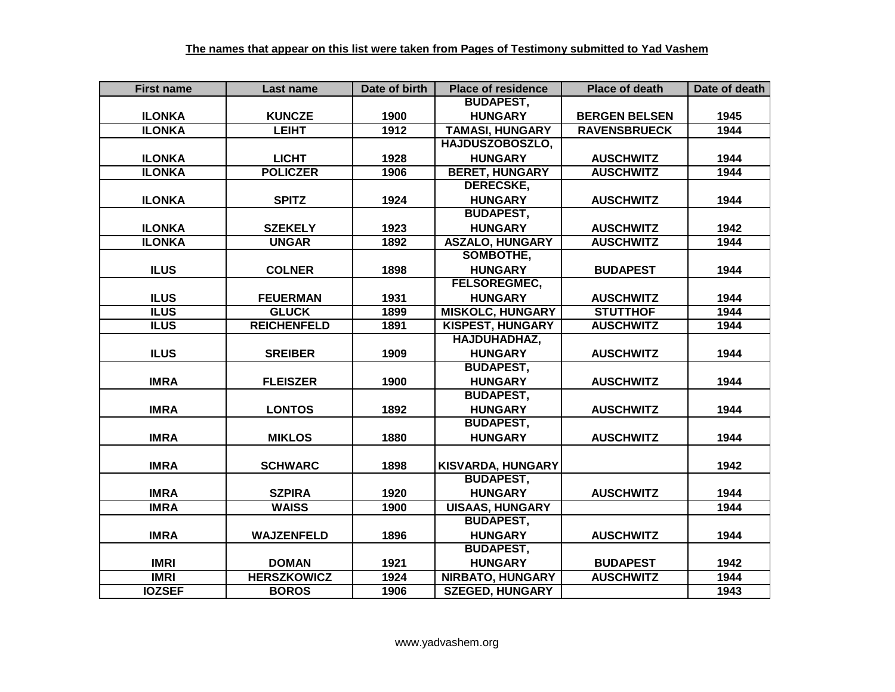| <b>First name</b> | Last name          | Date of birth | <b>Place of residence</b> | <b>Place of death</b> | Date of death |
|-------------------|--------------------|---------------|---------------------------|-----------------------|---------------|
|                   |                    |               | <b>BUDAPEST,</b>          |                       |               |
| <b>ILONKA</b>     | <b>KUNCZE</b>      | 1900          | <b>HUNGARY</b>            | <b>BERGEN BELSEN</b>  | 1945          |
| <b>ILONKA</b>     | <b>LEIHT</b>       | 1912          | <b>TAMASI, HUNGARY</b>    | <b>RAVENSBRUECK</b>   | 1944          |
|                   |                    |               | <b>HAJDUSZOBOSZLO,</b>    |                       |               |
| <b>ILONKA</b>     | <b>LICHT</b>       | 1928          | <b>HUNGARY</b>            | <b>AUSCHWITZ</b>      | 1944          |
| <b>ILONKA</b>     | <b>POLICZER</b>    | 1906          | <b>BERET, HUNGARY</b>     | <b>AUSCHWITZ</b>      | 1944          |
|                   |                    |               | <b>DERECSKE,</b>          |                       |               |
| <b>ILONKA</b>     | <b>SPITZ</b>       | 1924          | <b>HUNGARY</b>            | <b>AUSCHWITZ</b>      | 1944          |
|                   |                    |               | <b>BUDAPEST,</b>          |                       |               |
| <b>ILONKA</b>     | <b>SZEKELY</b>     | 1923          | <b>HUNGARY</b>            | <b>AUSCHWITZ</b>      | 1942          |
| <b>ILONKA</b>     | <b>UNGAR</b>       | 1892          | <b>ASZALO, HUNGARY</b>    | <b>AUSCHWITZ</b>      | 1944          |
|                   |                    |               | <b>SOMBOTHE,</b>          |                       |               |
| <b>ILUS</b>       | <b>COLNER</b>      | 1898          | <b>HUNGARY</b>            | <b>BUDAPEST</b>       | 1944          |
|                   |                    |               | <b>FELSOREGMEC,</b>       |                       |               |
| <b>ILUS</b>       | <b>FEUERMAN</b>    | 1931          | <b>HUNGARY</b>            | <b>AUSCHWITZ</b>      | 1944          |
| <b>ILUS</b>       | <b>GLUCK</b>       | 1899          | <b>MISKOLC, HUNGARY</b>   | <b>STUTTHOF</b>       | 1944          |
| <b>ILUS</b>       | <b>REICHENFELD</b> | 1891          | <b>KISPEST, HUNGARY</b>   | <b>AUSCHWITZ</b>      | 1944          |
|                   |                    |               | HAJDUHADHAZ,              |                       |               |
| <b>ILUS</b>       | <b>SREIBER</b>     | 1909          | <b>HUNGARY</b>            | <b>AUSCHWITZ</b>      | 1944          |
|                   |                    |               | <b>BUDAPEST,</b>          |                       |               |
| <b>IMRA</b>       | <b>FLEISZER</b>    | 1900          | <b>HUNGARY</b>            | <b>AUSCHWITZ</b>      | 1944          |
|                   |                    |               | <b>BUDAPEST,</b>          |                       |               |
| <b>IMRA</b>       | <b>LONTOS</b>      | 1892          | <b>HUNGARY</b>            | <b>AUSCHWITZ</b>      | 1944          |
|                   |                    |               | <b>BUDAPEST,</b>          |                       |               |
| <b>IMRA</b>       | <b>MIKLOS</b>      | 1880          | <b>HUNGARY</b>            | <b>AUSCHWITZ</b>      | 1944          |
|                   |                    |               |                           |                       |               |
| <b>IMRA</b>       | <b>SCHWARC</b>     | 1898          | <b>KISVARDA, HUNGARY</b>  |                       | 1942          |
|                   |                    |               | <b>BUDAPEST,</b>          |                       |               |
| <b>IMRA</b>       | <b>SZPIRA</b>      | 1920          | <b>HUNGARY</b>            | <b>AUSCHWITZ</b>      | 1944          |
| <b>IMRA</b>       | <b>WAISS</b>       | 1900          | <b>UISAAS, HUNGARY</b>    |                       | 1944          |
|                   |                    |               | <b>BUDAPEST,</b>          |                       |               |
| <b>IMRA</b>       | <b>WAJZENFELD</b>  | 1896          | <b>HUNGARY</b>            | <b>AUSCHWITZ</b>      | 1944          |
|                   |                    |               | <b>BUDAPEST,</b>          |                       |               |
| <b>IMRI</b>       | <b>DOMAN</b>       | 1921          | <b>HUNGARY</b>            | <b>BUDAPEST</b>       | 1942          |
| <b>IMRI</b>       | <b>HERSZKOWICZ</b> | 1924          | <b>NIRBATO, HUNGARY</b>   | <b>AUSCHWITZ</b>      | 1944          |
| <b>IOZSEF</b>     | <b>BOROS</b>       | 1906          | <b>SZEGED, HUNGARY</b>    |                       | 1943          |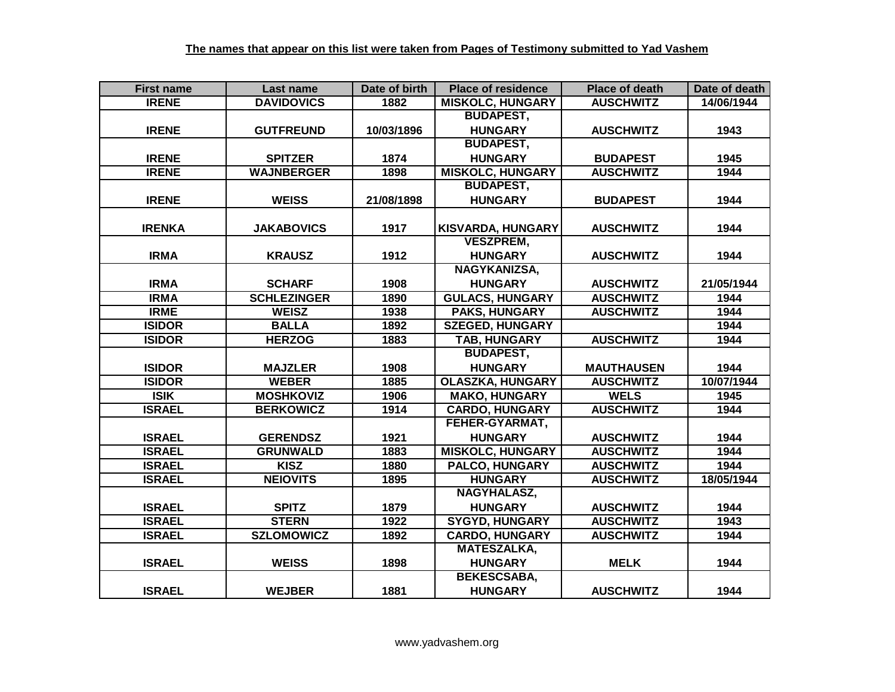| <b>First name</b> | Last name          | Date of birth | <b>Place of residence</b> | <b>Place of death</b> | Date of death |
|-------------------|--------------------|---------------|---------------------------|-----------------------|---------------|
| <b>IRENE</b>      | <b>DAVIDOVICS</b>  | 1882          | <b>MISKOLC, HUNGARY</b>   | <b>AUSCHWITZ</b>      | 14/06/1944    |
|                   |                    |               | <b>BUDAPEST,</b>          |                       |               |
| <b>IRENE</b>      | <b>GUTFREUND</b>   | 10/03/1896    | <b>HUNGARY</b>            | <b>AUSCHWITZ</b>      | 1943          |
|                   |                    |               | <b>BUDAPEST,</b>          |                       |               |
| <b>IRENE</b>      | <b>SPITZER</b>     | 1874          | <b>HUNGARY</b>            | <b>BUDAPEST</b>       | 1945          |
| <b>IRENE</b>      | <b>WAJNBERGER</b>  | 1898          | <b>MISKOLC, HUNGARY</b>   | <b>AUSCHWITZ</b>      | 1944          |
|                   |                    |               | <b>BUDAPEST,</b>          |                       |               |
| <b>IRENE</b>      | <b>WEISS</b>       | 21/08/1898    | <b>HUNGARY</b>            | <b>BUDAPEST</b>       | 1944          |
|                   |                    |               |                           |                       |               |
| <b>IRENKA</b>     | <b>JAKABOVICS</b>  | 1917          | <b>KISVARDA, HUNGARY</b>  | <b>AUSCHWITZ</b>      | 1944          |
|                   |                    |               | <b>VESZPREM,</b>          |                       |               |
| <b>IRMA</b>       | <b>KRAUSZ</b>      | 1912          | <b>HUNGARY</b>            | <b>AUSCHWITZ</b>      | 1944          |
|                   |                    |               | NAGYKANIZSA,              |                       |               |
| <b>IRMA</b>       | <b>SCHARF</b>      | 1908          | <b>HUNGARY</b>            | <b>AUSCHWITZ</b>      | 21/05/1944    |
| <b>IRMA</b>       | <b>SCHLEZINGER</b> | 1890          | <b>GULACS, HUNGARY</b>    | <b>AUSCHWITZ</b>      | 1944          |
| <b>IRME</b>       | <b>WEISZ</b>       | 1938          | <b>PAKS, HUNGARY</b>      | <b>AUSCHWITZ</b>      | 1944          |
| <b>ISIDOR</b>     | <b>BALLA</b>       | 1892          | <b>SZEGED, HUNGARY</b>    |                       | 1944          |
| <b>ISIDOR</b>     | <b>HERZOG</b>      | 1883          | TAB, HUNGARY              | <b>AUSCHWITZ</b>      | 1944          |
|                   |                    |               | <b>BUDAPEST,</b>          |                       |               |
| <b>ISIDOR</b>     | <b>MAJZLER</b>     | 1908          | <b>HUNGARY</b>            | <b>MAUTHAUSEN</b>     | 1944          |
| <b>ISIDOR</b>     | <b>WEBER</b>       | 1885          | <b>OLASZKA, HUNGARY</b>   | <b>AUSCHWITZ</b>      | 10/07/1944    |
| <b>ISIK</b>       | <b>MOSHKOVIZ</b>   | 1906          | <b>MAKO, HUNGARY</b>      | <b>WELS</b>           | 1945          |
| <b>ISRAEL</b>     | <b>BERKOWICZ</b>   | 1914          | <b>CARDO, HUNGARY</b>     | <b>AUSCHWITZ</b>      | 1944          |
|                   |                    |               | FEHER-GYARMAT,            |                       |               |
| <b>ISRAEL</b>     | <b>GERENDSZ</b>    | 1921          | <b>HUNGARY</b>            | <b>AUSCHWITZ</b>      | 1944          |
| <b>ISRAEL</b>     | <b>GRUNWALD</b>    | 1883          | <b>MISKOLC, HUNGARY</b>   | <b>AUSCHWITZ</b>      | 1944          |
| <b>ISRAEL</b>     | <b>KISZ</b>        | 1880          | PALCO, HUNGARY            | <b>AUSCHWITZ</b>      | 1944          |
| <b>ISRAEL</b>     | <b>NEIOVITS</b>    | 1895          | <b>HUNGARY</b>            | <b>AUSCHWITZ</b>      | 18/05/1944    |
|                   |                    |               | NAGYHALASZ,               |                       |               |
| <b>ISRAEL</b>     | <b>SPITZ</b>       | 1879          | <b>HUNGARY</b>            | <b>AUSCHWITZ</b>      | 1944          |
| <b>ISRAEL</b>     | <b>STERN</b>       | 1922          | <b>SYGYD, HUNGARY</b>     | <b>AUSCHWITZ</b>      | 1943          |
| <b>ISRAEL</b>     | <b>SZLOMOWICZ</b>  | 1892          | <b>CARDO, HUNGARY</b>     | <b>AUSCHWITZ</b>      | 1944          |
|                   |                    |               | <b>MATESZALKA,</b>        |                       |               |
| <b>ISRAEL</b>     | <b>WEISS</b>       | 1898          | <b>HUNGARY</b>            | <b>MELK</b>           | 1944          |
|                   |                    |               | <b>BEKESCSABA,</b>        |                       |               |
| <b>ISRAEL</b>     | <b>WEJBER</b>      | 1881          | <b>HUNGARY</b>            | <b>AUSCHWITZ</b>      | 1944          |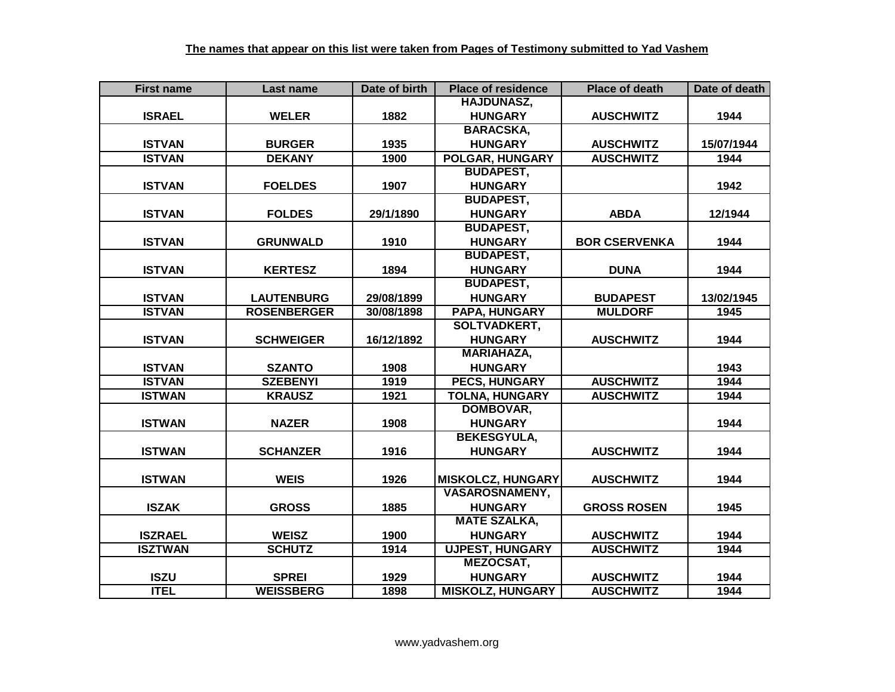| <b>First name</b> | Last name          | Date of birth | <b>Place of residence</b> | <b>Place of death</b> | Date of death |
|-------------------|--------------------|---------------|---------------------------|-----------------------|---------------|
|                   |                    |               | <b>HAJDUNASZ,</b>         |                       |               |
| <b>ISRAEL</b>     | <b>WELER</b>       | 1882          | <b>HUNGARY</b>            | <b>AUSCHWITZ</b>      | 1944          |
|                   |                    |               | <b>BARACSKA,</b>          |                       |               |
| <b>ISTVAN</b>     | <b>BURGER</b>      | 1935          | <b>HUNGARY</b>            | <b>AUSCHWITZ</b>      | 15/07/1944    |
| <b>ISTVAN</b>     | <b>DEKANY</b>      | 1900          | POLGAR, HUNGARY           | <b>AUSCHWITZ</b>      | 1944          |
|                   |                    |               | <b>BUDAPEST,</b>          |                       |               |
| <b>ISTVAN</b>     | <b>FOELDES</b>     | 1907          | <b>HUNGARY</b>            |                       | 1942          |
|                   |                    |               | <b>BUDAPEST,</b>          |                       |               |
| <b>ISTVAN</b>     | <b>FOLDES</b>      | 29/1/1890     | <b>HUNGARY</b>            | <b>ABDA</b>           | 12/1944       |
|                   |                    |               | <b>BUDAPEST,</b>          |                       |               |
| <b>ISTVAN</b>     | <b>GRUNWALD</b>    | 1910          | <b>HUNGARY</b>            | <b>BOR CSERVENKA</b>  | 1944          |
|                   |                    |               | <b>BUDAPEST,</b>          |                       |               |
| <b>ISTVAN</b>     | <b>KERTESZ</b>     | 1894          | <b>HUNGARY</b>            | <b>DUNA</b>           | 1944          |
|                   |                    |               | <b>BUDAPEST,</b>          |                       |               |
| <b>ISTVAN</b>     | <b>LAUTENBURG</b>  | 29/08/1899    | <b>HUNGARY</b>            | <b>BUDAPEST</b>       | 13/02/1945    |
| <b>ISTVAN</b>     | <b>ROSENBERGER</b> | 30/08/1898    | PAPA, HUNGARY             | <b>MULDORF</b>        | 1945          |
|                   |                    |               | <b>SOLTVADKERT,</b>       |                       |               |
| <b>ISTVAN</b>     | <b>SCHWEIGER</b>   | 16/12/1892    | <b>HUNGARY</b>            | <b>AUSCHWITZ</b>      | 1944          |
|                   |                    |               | <b>MARIAHAZA,</b>         |                       |               |
| <b>ISTVAN</b>     | <b>SZANTO</b>      | 1908          | <b>HUNGARY</b>            |                       | 1943          |
| <b>ISTVAN</b>     | <b>SZEBENYI</b>    | 1919          | <b>PECS, HUNGARY</b>      | <b>AUSCHWITZ</b>      | 1944          |
| <b>ISTWAN</b>     | <b>KRAUSZ</b>      | 1921          | <b>TOLNA, HUNGARY</b>     | <b>AUSCHWITZ</b>      | 1944          |
|                   |                    |               | <b>DOMBOVAR,</b>          |                       |               |
| <b>ISTWAN</b>     | <b>NAZER</b>       | 1908          | <b>HUNGARY</b>            |                       | 1944          |
|                   |                    |               | <b>BEKESGYULA,</b>        |                       |               |
| <b>ISTWAN</b>     | <b>SCHANZER</b>    | 1916          | <b>HUNGARY</b>            | <b>AUSCHWITZ</b>      | 1944          |
|                   |                    |               |                           |                       |               |
| <b>ISTWAN</b>     | <b>WEIS</b>        | 1926          | <b>MISKOLCZ, HUNGARY</b>  | <b>AUSCHWITZ</b>      | 1944          |
|                   |                    |               | <b>VASAROSNAMENY,</b>     |                       |               |
| <b>ISZAK</b>      | <b>GROSS</b>       | 1885          | <b>HUNGARY</b>            | <b>GROSS ROSEN</b>    | 1945          |
|                   |                    |               | <b>MATE SZALKA,</b>       |                       |               |
| <b>ISZRAEL</b>    | <b>WEISZ</b>       | 1900          | <b>HUNGARY</b>            | <b>AUSCHWITZ</b>      | 1944          |
| <b>ISZTWAN</b>    | <b>SCHUTZ</b>      | 1914          | <b>UJPEST, HUNGARY</b>    | <b>AUSCHWITZ</b>      | 1944          |
|                   |                    |               | MEZOCSAT,                 |                       |               |
| <b>ISZU</b>       | <b>SPREI</b>       | 1929          | <b>HUNGARY</b>            | <b>AUSCHWITZ</b>      | 1944          |
| <b>ITEL</b>       | <b>WEISSBERG</b>   | 1898          | <b>MISKOLZ, HUNGARY</b>   | <b>AUSCHWITZ</b>      | 1944          |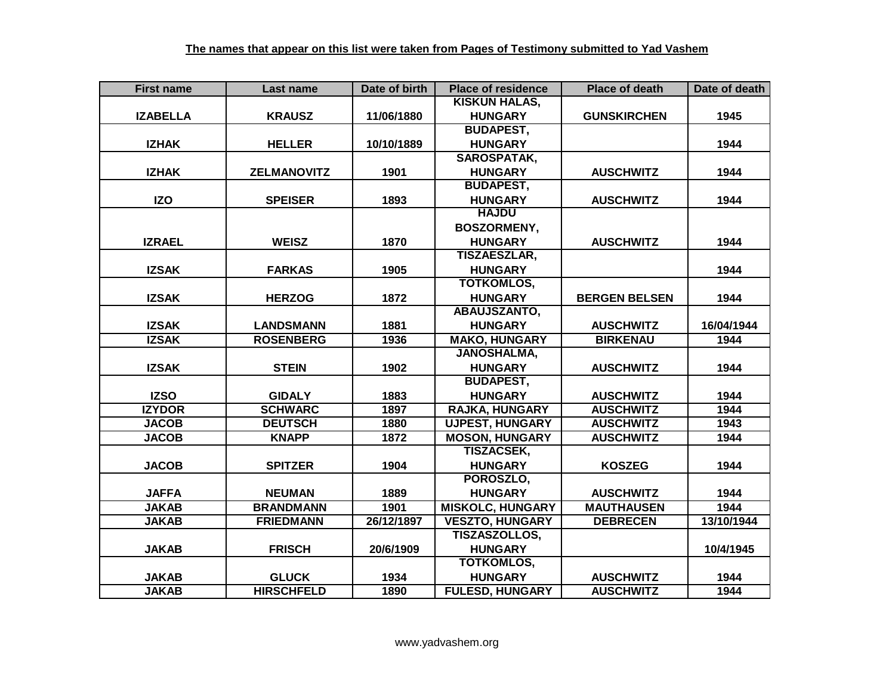| <b>First name</b> | Last name          | Date of birth | <b>Place of residence</b> | <b>Place of death</b> | Date of death |
|-------------------|--------------------|---------------|---------------------------|-----------------------|---------------|
|                   |                    |               | <b>KISKUN HALAS,</b>      |                       |               |
| <b>IZABELLA</b>   | <b>KRAUSZ</b>      | 11/06/1880    | <b>HUNGARY</b>            | <b>GUNSKIRCHEN</b>    | 1945          |
|                   |                    |               | <b>BUDAPEST,</b>          |                       |               |
| <b>IZHAK</b>      | <b>HELLER</b>      | 10/10/1889    | <b>HUNGARY</b>            |                       | 1944          |
|                   |                    |               | <b>SAROSPATAK,</b>        |                       |               |
| <b>IZHAK</b>      | <b>ZELMANOVITZ</b> | 1901          | <b>HUNGARY</b>            | <b>AUSCHWITZ</b>      | 1944          |
|                   |                    |               | <b>BUDAPEST,</b>          |                       |               |
| <b>IZO</b>        | <b>SPEISER</b>     | 1893          | <b>HUNGARY</b>            | <b>AUSCHWITZ</b>      | 1944          |
|                   |                    |               | <b>HAJDU</b>              |                       |               |
|                   |                    |               | <b>BOSZORMENY,</b>        |                       |               |
| <b>IZRAEL</b>     | <b>WEISZ</b>       | 1870          | <b>HUNGARY</b>            | <b>AUSCHWITZ</b>      | 1944          |
|                   |                    |               | <b>TISZAESZLAR,</b>       |                       |               |
| <b>IZSAK</b>      | <b>FARKAS</b>      | 1905          | <b>HUNGARY</b>            |                       | 1944          |
|                   |                    |               | <b>TOTKOMLOS,</b>         |                       |               |
| <b>IZSAK</b>      | <b>HERZOG</b>      | 1872          | <b>HUNGARY</b>            | <b>BERGEN BELSEN</b>  | 1944          |
|                   |                    |               | ABAUJSZANTO,              |                       |               |
| <b>IZSAK</b>      | <b>LANDSMANN</b>   | 1881          | <b>HUNGARY</b>            | <b>AUSCHWITZ</b>      | 16/04/1944    |
| <b>IZSAK</b>      | <b>ROSENBERG</b>   | 1936          | <b>MAKO, HUNGARY</b>      | <b>BIRKENAU</b>       | 1944          |
|                   |                    |               | <b>JANOSHALMA,</b>        |                       |               |
| <b>IZSAK</b>      | <b>STEIN</b>       | 1902          | <b>HUNGARY</b>            | <b>AUSCHWITZ</b>      | 1944          |
|                   |                    |               | <b>BUDAPEST,</b>          |                       |               |
| <b>IZSO</b>       | <b>GIDALY</b>      | 1883          | <b>HUNGARY</b>            | <b>AUSCHWITZ</b>      | 1944          |
| <b>IZYDOR</b>     | <b>SCHWARC</b>     | 1897          | <b>RAJKA, HUNGARY</b>     | <b>AUSCHWITZ</b>      | 1944          |
| <b>JACOB</b>      | <b>DEUTSCH</b>     | 1880          | <b>UJPEST, HUNGARY</b>    | <b>AUSCHWITZ</b>      | 1943          |
| <b>JACOB</b>      | <b>KNAPP</b>       | 1872          | <b>MOSON, HUNGARY</b>     | <b>AUSCHWITZ</b>      | 1944          |
|                   |                    |               | <b>TISZACSEK,</b>         |                       |               |
| <b>JACOB</b>      | <b>SPITZER</b>     | 1904          | <b>HUNGARY</b>            | <b>KOSZEG</b>         | 1944          |
|                   |                    |               | POROSZLO,                 |                       |               |
| <b>JAFFA</b>      | <b>NEUMAN</b>      | 1889          | <b>HUNGARY</b>            | <b>AUSCHWITZ</b>      | 1944          |
| <b>JAKAB</b>      | <b>BRANDMANN</b>   | 1901          | <b>MISKOLC, HUNGARY</b>   | <b>MAUTHAUSEN</b>     | 1944          |
| <b>JAKAB</b>      | <b>FRIEDMANN</b>   | 26/12/1897    | <b>VESZTO, HUNGARY</b>    | <b>DEBRECEN</b>       | 13/10/1944    |
|                   |                    |               | TISZASZOLLOS,             |                       |               |
| <b>JAKAB</b>      | <b>FRISCH</b>      | 20/6/1909     | <b>HUNGARY</b>            |                       | 10/4/1945     |
|                   |                    |               | <b>TOTKOMLOS,</b>         |                       |               |
| <b>JAKAB</b>      | <b>GLUCK</b>       | 1934          | <b>HUNGARY</b>            | <b>AUSCHWITZ</b>      | 1944          |
| <b>JAKAB</b>      | <b>HIRSCHFELD</b>  | 1890          | <b>FULESD, HUNGARY</b>    | <b>AUSCHWITZ</b>      | 1944          |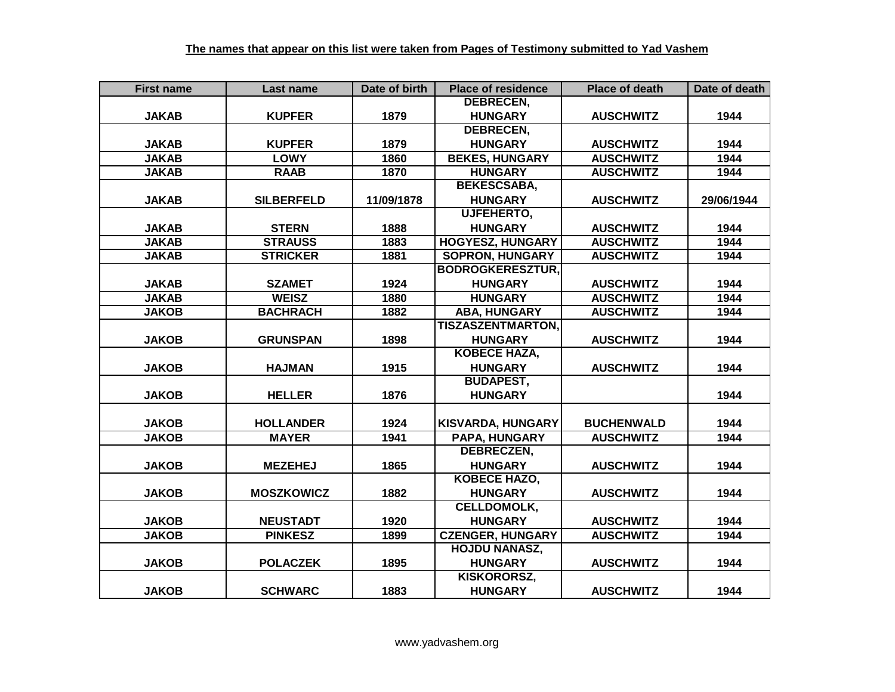| <b>First name</b> | Last name         | Date of birth | <b>Place of residence</b> | <b>Place of death</b> | Date of death |
|-------------------|-------------------|---------------|---------------------------|-----------------------|---------------|
|                   |                   |               | <b>DEBRECEN,</b>          |                       |               |
| <b>JAKAB</b>      | <b>KUPFER</b>     | 1879          | <b>HUNGARY</b>            | <b>AUSCHWITZ</b>      | 1944          |
|                   |                   |               | <b>DEBRECEN,</b>          |                       |               |
| <b>JAKAB</b>      | <b>KUPFER</b>     | 1879          | <b>HUNGARY</b>            | <b>AUSCHWITZ</b>      | 1944          |
| <b>JAKAB</b>      | <b>LOWY</b>       | 1860          | <b>BEKES, HUNGARY</b>     | <b>AUSCHWITZ</b>      | 1944          |
| <b>JAKAB</b>      | <b>RAAB</b>       | 1870          | <b>HUNGARY</b>            | <b>AUSCHWITZ</b>      | 1944          |
|                   |                   |               | <b>BEKESCSABA,</b>        |                       |               |
| <b>JAKAB</b>      | <b>SILBERFELD</b> | 11/09/1878    | <b>HUNGARY</b>            | <b>AUSCHWITZ</b>      | 29/06/1944    |
|                   |                   |               | UJFEHERTO,                |                       |               |
| <b>JAKAB</b>      | <b>STERN</b>      | 1888          | <b>HUNGARY</b>            | <b>AUSCHWITZ</b>      | 1944          |
| <b>JAKAB</b>      | <b>STRAUSS</b>    | 1883          | <b>HOGYESZ, HUNGARY</b>   | <b>AUSCHWITZ</b>      | 1944          |
| <b>JAKAB</b>      | <b>STRICKER</b>   | 1881          | <b>SOPRON, HUNGARY</b>    | <b>AUSCHWITZ</b>      | 1944          |
|                   |                   |               | <b>BODROGKERESZTUR,</b>   |                       |               |
| <b>JAKAB</b>      | <b>SZAMET</b>     | 1924          | <b>HUNGARY</b>            | <b>AUSCHWITZ</b>      | 1944          |
| <b>JAKAB</b>      | <b>WEISZ</b>      | 1880          | <b>HUNGARY</b>            | <b>AUSCHWITZ</b>      | 1944          |
| <b>JAKOB</b>      | <b>BACHRACH</b>   | 1882          | <b>ABA, HUNGARY</b>       | <b>AUSCHWITZ</b>      | 1944          |
|                   |                   |               | <b>TISZASZENTMARTON,</b>  |                       |               |
| <b>JAKOB</b>      | <b>GRUNSPAN</b>   | 1898          | <b>HUNGARY</b>            | <b>AUSCHWITZ</b>      | 1944          |
|                   |                   |               | <b>KOBECE HAZA,</b>       |                       |               |
| <b>JAKOB</b>      | <b>HAJMAN</b>     | 1915          | <b>HUNGARY</b>            | <b>AUSCHWITZ</b>      | 1944          |
|                   |                   |               | <b>BUDAPEST,</b>          |                       |               |
| <b>JAKOB</b>      | <b>HELLER</b>     | 1876          | <b>HUNGARY</b>            |                       | 1944          |
|                   |                   |               |                           |                       |               |
| <b>JAKOB</b>      | <b>HOLLANDER</b>  | 1924          | <b>KISVARDA, HUNGARY</b>  | <b>BUCHENWALD</b>     | 1944          |
| <b>JAKOB</b>      | <b>MAYER</b>      | 1941          | <b>PAPA, HUNGARY</b>      | <b>AUSCHWITZ</b>      | 1944          |
|                   |                   |               | <b>DEBRECZEN,</b>         |                       |               |
| <b>JAKOB</b>      | <b>MEZEHEJ</b>    | 1865          | <b>HUNGARY</b>            | <b>AUSCHWITZ</b>      | 1944          |
|                   |                   |               | <b>KOBECE HAZO,</b>       |                       |               |
| <b>JAKOB</b>      | <b>MOSZKOWICZ</b> | 1882          | <b>HUNGARY</b>            | <b>AUSCHWITZ</b>      | 1944          |
|                   |                   |               | <b>CELLDOMOLK,</b>        |                       |               |
| <b>JAKOB</b>      | <b>NEUSTADT</b>   | 1920          | <b>HUNGARY</b>            | <b>AUSCHWITZ</b>      | 1944          |
| <b>JAKOB</b>      | <b>PINKESZ</b>    | 1899          | <b>CZENGER, HUNGARY</b>   | <b>AUSCHWITZ</b>      | 1944          |
|                   |                   |               | <b>HOJDU NANASZ,</b>      |                       |               |
| <b>JAKOB</b>      | <b>POLACZEK</b>   | 1895          | <b>HUNGARY</b>            | <b>AUSCHWITZ</b>      | 1944          |
|                   |                   |               | KISKORORSZ,               |                       |               |
| <b>JAKOB</b>      | <b>SCHWARC</b>    | 1883          | <b>HUNGARY</b>            | <b>AUSCHWITZ</b>      | 1944          |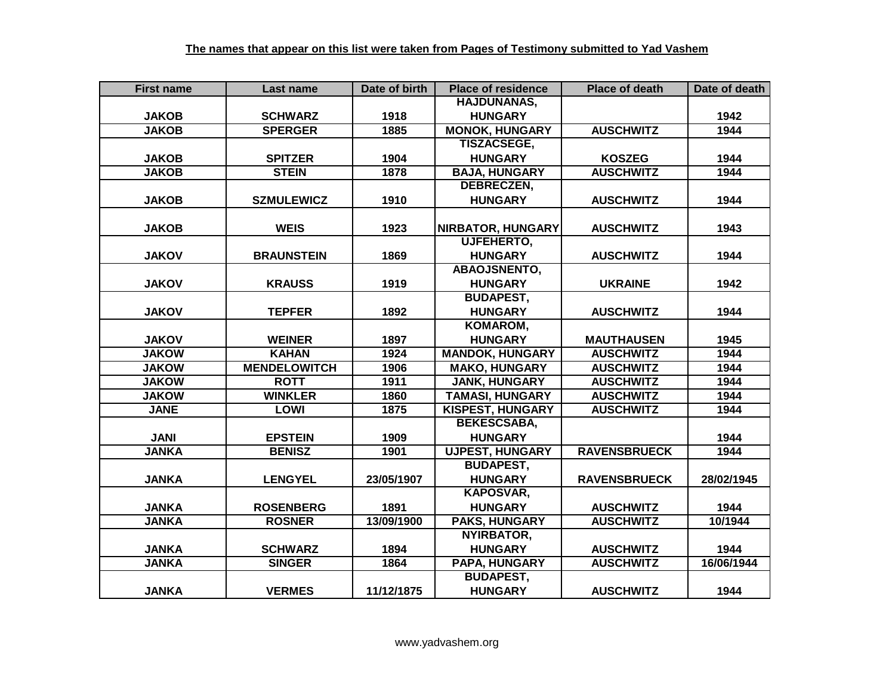| <b>First name</b> | Last name           | Date of birth | <b>Place of residence</b> | <b>Place of death</b> | Date of death |
|-------------------|---------------------|---------------|---------------------------|-----------------------|---------------|
|                   |                     |               | <b>HAJDUNANAS,</b>        |                       |               |
| <b>JAKOB</b>      | <b>SCHWARZ</b>      | 1918          | <b>HUNGARY</b>            |                       | 1942          |
| <b>JAKOB</b>      | <b>SPERGER</b>      | 1885          | <b>MONOK, HUNGARY</b>     | <b>AUSCHWITZ</b>      | 1944          |
|                   |                     |               | <b>TISZACSEGE,</b>        |                       |               |
| <b>JAKOB</b>      | <b>SPITZER</b>      | 1904          | <b>HUNGARY</b>            | <b>KOSZEG</b>         | 1944          |
| <b>JAKOB</b>      | <b>STEIN</b>        | 1878          | <b>BAJA, HUNGARY</b>      | <b>AUSCHWITZ</b>      | 1944          |
|                   |                     |               | <b>DEBRECZEN,</b>         |                       |               |
| <b>JAKOB</b>      | <b>SZMULEWICZ</b>   | 1910          | <b>HUNGARY</b>            | <b>AUSCHWITZ</b>      | 1944          |
|                   |                     |               |                           |                       |               |
| <b>JAKOB</b>      | <b>WEIS</b>         | 1923          | <b>NIRBATOR, HUNGARY</b>  | <b>AUSCHWITZ</b>      | 1943          |
|                   |                     |               | UJFEHERTO,                |                       |               |
| <b>JAKOV</b>      | <b>BRAUNSTEIN</b>   | 1869          | <b>HUNGARY</b>            | <b>AUSCHWITZ</b>      | 1944          |
|                   |                     |               | ABAOJSNENTO,              |                       |               |
| <b>JAKOV</b>      | <b>KRAUSS</b>       | 1919          | <b>HUNGARY</b>            | <b>UKRAINE</b>        | 1942          |
|                   |                     |               | <b>BUDAPEST,</b>          |                       |               |
| <b>JAKOV</b>      | <b>TEPFER</b>       | 1892          | <b>HUNGARY</b>            | <b>AUSCHWITZ</b>      | 1944          |
|                   |                     |               | KOMAROM,                  |                       |               |
| <b>JAKOV</b>      | <b>WEINER</b>       | 1897          | <b>HUNGARY</b>            | <b>MAUTHAUSEN</b>     | 1945          |
| <b>JAKOW</b>      | <b>KAHAN</b>        | 1924          | <b>MANDOK, HUNGARY</b>    | <b>AUSCHWITZ</b>      | 1944          |
| <b>JAKOW</b>      | <b>MENDELOWITCH</b> | 1906          | <b>MAKO, HUNGARY</b>      | <b>AUSCHWITZ</b>      | 1944          |
| <b>JAKOW</b>      | <b>ROTT</b>         | 1911          | <b>JANK, HUNGARY</b>      | <b>AUSCHWITZ</b>      | 1944          |
| <b>JAKOW</b>      | <b>WINKLER</b>      | 1860          | <b>TAMASI, HUNGARY</b>    | <b>AUSCHWITZ</b>      | 1944          |
| <b>JANE</b>       | <b>LOWI</b>         | 1875          | <b>KISPEST, HUNGARY</b>   | <b>AUSCHWITZ</b>      | 1944          |
|                   |                     |               | <b>BEKESCSABA,</b>        |                       |               |
| <b>JANI</b>       | <b>EPSTEIN</b>      | 1909          | <b>HUNGARY</b>            |                       | 1944          |
| <b>JANKA</b>      | <b>BENISZ</b>       | 1901          | <b>UJPEST, HUNGARY</b>    | <b>RAVENSBRUECK</b>   | 1944          |
|                   |                     |               | <b>BUDAPEST,</b>          |                       |               |
| <b>JANKA</b>      | <b>LENGYEL</b>      | 23/05/1907    | <b>HUNGARY</b>            | <b>RAVENSBRUECK</b>   | 28/02/1945    |
|                   |                     |               | <b>KAPOSVAR,</b>          |                       |               |
| <b>JANKA</b>      | <b>ROSENBERG</b>    | 1891          | <b>HUNGARY</b>            | <b>AUSCHWITZ</b>      | 1944          |
| <b>JANKA</b>      | <b>ROSNER</b>       | 13/09/1900    | <b>PAKS, HUNGARY</b>      | <b>AUSCHWITZ</b>      | 10/1944       |
|                   |                     |               | <b>NYIRBATOR,</b>         |                       |               |
| <b>JANKA</b>      | <b>SCHWARZ</b>      | 1894          | <b>HUNGARY</b>            | <b>AUSCHWITZ</b>      | 1944          |
| <b>JANKA</b>      | <b>SINGER</b>       | 1864          | PAPA, HUNGARY             | <b>AUSCHWITZ</b>      | 16/06/1944    |
|                   |                     |               | <b>BUDAPEST,</b>          |                       |               |
| <b>JANKA</b>      | <b>VERMES</b>       | 11/12/1875    | <b>HUNGARY</b>            | <b>AUSCHWITZ</b>      | 1944          |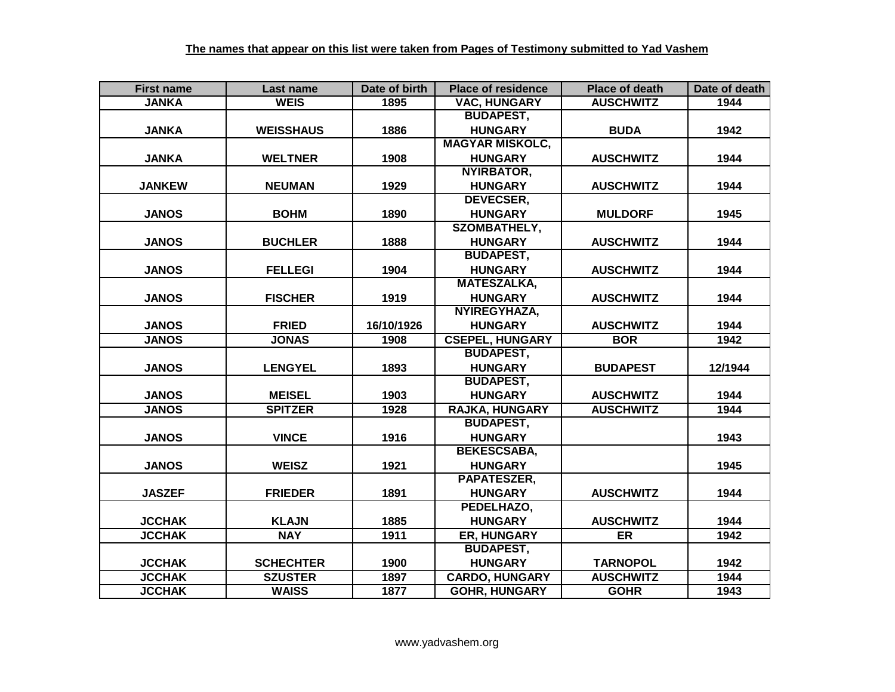| <b>First name</b> | Last name        | Date of birth | <b>Place of residence</b> | <b>Place of death</b> | Date of death |
|-------------------|------------------|---------------|---------------------------|-----------------------|---------------|
| <b>JANKA</b>      | <b>WEIS</b>      | 1895          | <b>VAC, HUNGARY</b>       | <b>AUSCHWITZ</b>      | 1944          |
|                   |                  |               | <b>BUDAPEST,</b>          |                       |               |
| <b>JANKA</b>      | <b>WEISSHAUS</b> | 1886          | <b>HUNGARY</b>            | <b>BUDA</b>           | 1942          |
|                   |                  |               | <b>MAGYAR MISKOLC,</b>    |                       |               |
| <b>JANKA</b>      | <b>WELTNER</b>   | 1908          | <b>HUNGARY</b>            | <b>AUSCHWITZ</b>      | 1944          |
|                   |                  |               | NYIRBATOR,                |                       |               |
| <b>JANKEW</b>     | <b>NEUMAN</b>    | 1929          | <b>HUNGARY</b>            | <b>AUSCHWITZ</b>      | 1944          |
|                   |                  |               | DEVECSER,                 |                       |               |
| <b>JANOS</b>      | <b>BOHM</b>      | 1890          | <b>HUNGARY</b>            | <b>MULDORF</b>        | 1945          |
|                   |                  |               | <b>SZOMBATHELY,</b>       |                       |               |
| <b>JANOS</b>      | <b>BUCHLER</b>   | 1888          | <b>HUNGARY</b>            | <b>AUSCHWITZ</b>      | 1944          |
|                   |                  |               | <b>BUDAPEST,</b>          |                       |               |
| <b>JANOS</b>      | <b>FELLEGI</b>   | 1904          | <b>HUNGARY</b>            | <b>AUSCHWITZ</b>      | 1944          |
|                   |                  |               | <b>MATESZALKA,</b>        |                       |               |
| <b>JANOS</b>      | <b>FISCHER</b>   | 1919          | <b>HUNGARY</b>            | <b>AUSCHWITZ</b>      | 1944          |
|                   |                  |               | NYIREGYHAZA,              |                       |               |
| <b>JANOS</b>      | <b>FRIED</b>     | 16/10/1926    | <b>HUNGARY</b>            | <b>AUSCHWITZ</b>      | 1944          |
| <b>JANOS</b>      | <b>JONAS</b>     | 1908          | <b>CSEPEL, HUNGARY</b>    | <b>BOR</b>            | 1942          |
|                   |                  |               | <b>BUDAPEST,</b>          |                       |               |
| <b>JANOS</b>      | <b>LENGYEL</b>   | 1893          | <b>HUNGARY</b>            | <b>BUDAPEST</b>       | 12/1944       |
|                   |                  |               | <b>BUDAPEST,</b>          |                       |               |
| <b>JANOS</b>      | <b>MEISEL</b>    | 1903          | <b>HUNGARY</b>            | <b>AUSCHWITZ</b>      | 1944          |
| <b>JANOS</b>      | <b>SPITZER</b>   | 1928          | <b>RAJKA, HUNGARY</b>     | <b>AUSCHWITZ</b>      | 1944          |
|                   |                  |               | <b>BUDAPEST,</b>          |                       |               |
| <b>JANOS</b>      | <b>VINCE</b>     | 1916          | <b>HUNGARY</b>            |                       | 1943          |
|                   |                  |               | <b>BEKESCSABA,</b>        |                       |               |
| <b>JANOS</b>      | <b>WEISZ</b>     | 1921          | <b>HUNGARY</b>            |                       | 1945          |
|                   |                  |               | PAPATESZER,               |                       |               |
| <b>JASZEF</b>     | <b>FRIEDER</b>   | 1891          | <b>HUNGARY</b>            | <b>AUSCHWITZ</b>      | 1944          |
|                   |                  |               | PEDELHAZO,                |                       |               |
| <b>JCCHAK</b>     | <b>KLAJN</b>     | 1885          | <b>HUNGARY</b>            | <b>AUSCHWITZ</b>      | 1944          |
| <b>JCCHAK</b>     | <b>NAY</b>       | 1911          | <b>ER, HUNGARY</b>        | <b>ER</b>             | 1942          |
|                   |                  |               | <b>BUDAPEST,</b>          |                       |               |
| <b>JCCHAK</b>     | <b>SCHECHTER</b> | 1900          | <b>HUNGARY</b>            | <b>TARNOPOL</b>       | 1942          |
| <b>JCCHAK</b>     | <b>SZUSTER</b>   | 1897          | <b>CARDO, HUNGARY</b>     | <b>AUSCHWITZ</b>      | 1944          |
| <b>JCCHAK</b>     | <b>WAISS</b>     | 1877          | <b>GOHR, HUNGARY</b>      | <b>GOHR</b>           | 1943          |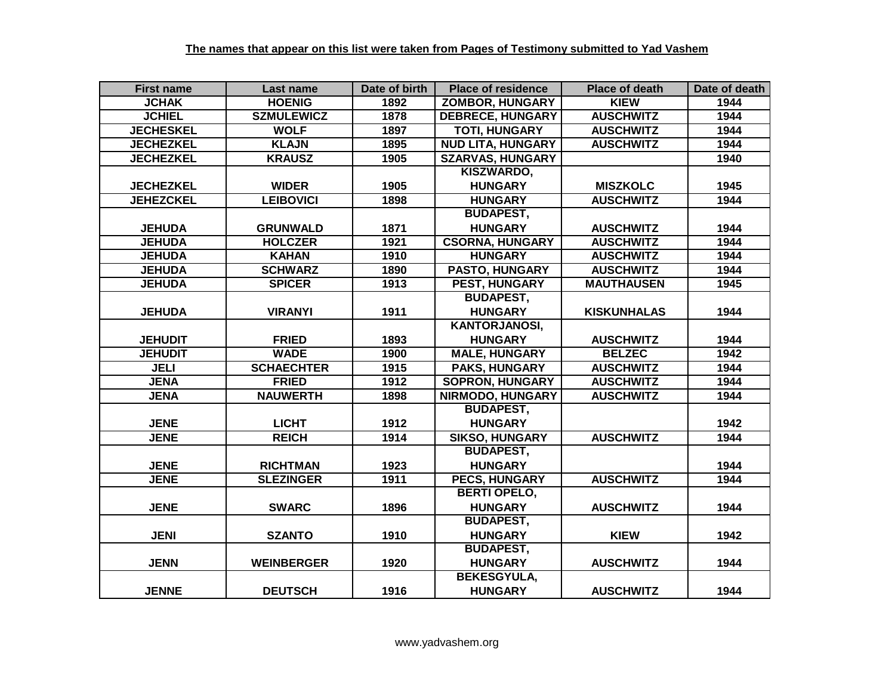| <b>First name</b> | Last name         | Date of birth    | <b>Place of residence</b> | <b>Place of death</b> | Date of death |
|-------------------|-------------------|------------------|---------------------------|-----------------------|---------------|
| <b>JCHAK</b>      | <b>HOENIG</b>     | 1892             | <b>ZOMBOR, HUNGARY</b>    | <b>KIEW</b>           | 1944          |
| <b>JCHIEL</b>     | <b>SZMULEWICZ</b> | 1878             | <b>DEBRECE, HUNGARY</b>   | <b>AUSCHWITZ</b>      | 1944          |
| <b>JECHESKEL</b>  | <b>WOLF</b>       | 1897             | <b>TOTI, HUNGARY</b>      | <b>AUSCHWITZ</b>      | 1944          |
| <b>JECHEZKEL</b>  | <b>KLAJN</b>      | 1895             | <b>NUD LITA, HUNGARY</b>  | <b>AUSCHWITZ</b>      | 1944          |
| <b>JECHEZKEL</b>  | <b>KRAUSZ</b>     | 1905             | <b>SZARVAS, HUNGARY</b>   |                       | 1940          |
|                   |                   |                  | KISZWARDO,                |                       |               |
| <b>JECHEZKEL</b>  | <b>WIDER</b>      | 1905             | <b>HUNGARY</b>            | <b>MISZKOLC</b>       | 1945          |
| <b>JEHEZCKEL</b>  | <b>LEIBOVICI</b>  | 1898             | <b>HUNGARY</b>            | <b>AUSCHWITZ</b>      | 1944          |
|                   |                   |                  | <b>BUDAPEST,</b>          |                       |               |
| <b>JEHUDA</b>     | <b>GRUNWALD</b>   | 1871             | <b>HUNGARY</b>            | <b>AUSCHWITZ</b>      | 1944          |
| <b>JEHUDA</b>     | <b>HOLCZER</b>    | 1921             | <b>CSORNA, HUNGARY</b>    | <b>AUSCHWITZ</b>      | 1944          |
| <b>JEHUDA</b>     | <b>KAHAN</b>      | 1910             | <b>HUNGARY</b>            | <b>AUSCHWITZ</b>      | 1944          |
| <b>JEHUDA</b>     | <b>SCHWARZ</b>    | 1890             | <b>PASTO, HUNGARY</b>     | <b>AUSCHWITZ</b>      | 1944          |
| <b>JEHUDA</b>     | <b>SPICER</b>     | 1913             | PEST, HUNGARY             | <b>MAUTHAUSEN</b>     | 1945          |
|                   |                   |                  | <b>BUDAPEST,</b>          |                       |               |
| <b>JEHUDA</b>     | <b>VIRANYI</b>    | 1911             | <b>HUNGARY</b>            | <b>KISKUNHALAS</b>    | 1944          |
|                   |                   |                  | <b>KANTORJANOSI,</b>      |                       |               |
| <b>JEHUDIT</b>    | <b>FRIED</b>      | 1893             | <b>HUNGARY</b>            | <b>AUSCHWITZ</b>      | 1944          |
| <b>JEHUDIT</b>    | <b>WADE</b>       | 1900             | <b>MALE, HUNGARY</b>      | <b>BELZEC</b>         | 1942          |
| <b>JELI</b>       | <b>SCHAECHTER</b> | 1915             | <b>PAKS, HUNGARY</b>      | <b>AUSCHWITZ</b>      | 1944          |
| <b>JENA</b>       | <b>FRIED</b>      | 1912             | <b>SOPRON, HUNGARY</b>    | <b>AUSCHWITZ</b>      | 1944          |
| <b>JENA</b>       | <b>NAUWERTH</b>   | 1898             | <b>NIRMODO, HUNGARY</b>   | <b>AUSCHWITZ</b>      | 1944          |
|                   |                   |                  | <b>BUDAPEST,</b>          |                       |               |
| <b>JENE</b>       | <b>LICHT</b>      | 1912             | <b>HUNGARY</b>            |                       | 1942          |
| <b>JENE</b>       | <b>REICH</b>      | $\frac{1}{1914}$ | <b>SIKSO, HUNGARY</b>     | <b>AUSCHWITZ</b>      | 1944          |
|                   |                   |                  | <b>BUDAPEST,</b>          |                       |               |
| <b>JENE</b>       | <b>RICHTMAN</b>   | 1923             | <b>HUNGARY</b>            |                       | 1944          |
| <b>JENE</b>       | <b>SLEZINGER</b>  | 1911             | <b>PECS, HUNGARY</b>      | <b>AUSCHWITZ</b>      | 1944          |
|                   |                   |                  | <b>BERTI OPELO,</b>       |                       |               |
| <b>JENE</b>       | <b>SWARC</b>      | 1896             | <b>HUNGARY</b>            | <b>AUSCHWITZ</b>      | 1944          |
|                   |                   |                  | <b>BUDAPEST,</b>          |                       |               |
| <b>JENI</b>       | <b>SZANTO</b>     | 1910             | <b>HUNGARY</b>            | <b>KIEW</b>           | 1942          |
|                   |                   |                  | <b>BUDAPEST,</b>          |                       |               |
| <b>JENN</b>       | <b>WEINBERGER</b> | 1920             | <b>HUNGARY</b>            | <b>AUSCHWITZ</b>      | 1944          |
|                   |                   |                  | <b>BEKESGYULA,</b>        |                       |               |
| <b>JENNE</b>      | <b>DEUTSCH</b>    | 1916             | <b>HUNGARY</b>            | <b>AUSCHWITZ</b>      | 1944          |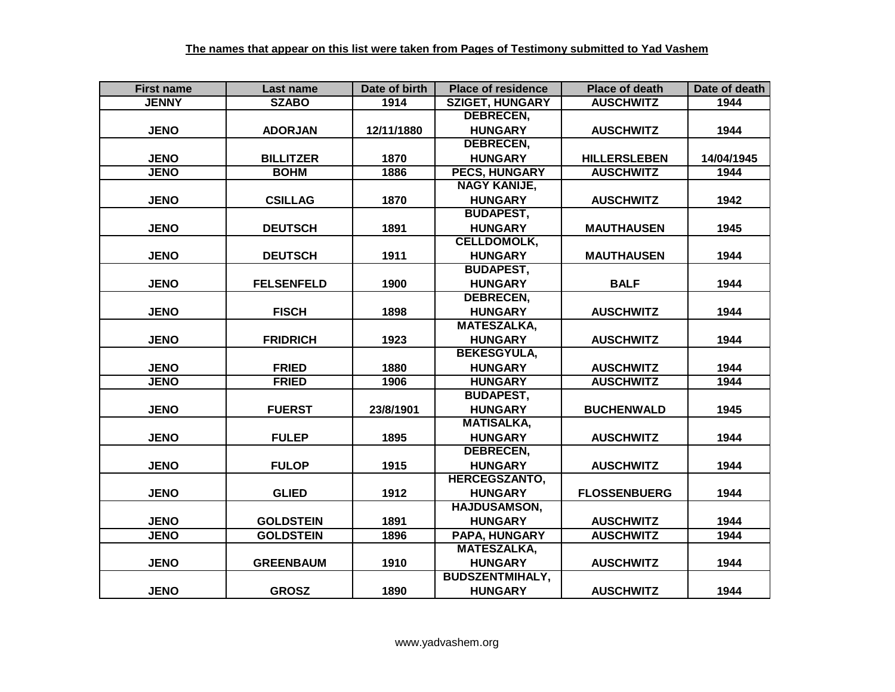| <b>First name</b> | Last name         | Date of birth | <b>Place of residence</b> | <b>Place of death</b> | Date of death |
|-------------------|-------------------|---------------|---------------------------|-----------------------|---------------|
| <b>JENNY</b>      | <b>SZABO</b>      | 1914          | <b>SZIGET, HUNGARY</b>    | <b>AUSCHWITZ</b>      | 1944          |
|                   |                   |               | <b>DEBRECEN,</b>          |                       |               |
| <b>JENO</b>       | <b>ADORJAN</b>    | 12/11/1880    | <b>HUNGARY</b>            | <b>AUSCHWITZ</b>      | 1944          |
|                   |                   |               | <b>DEBRECEN,</b>          |                       |               |
| <b>JENO</b>       | <b>BILLITZER</b>  | 1870          | <b>HUNGARY</b>            | <b>HILLERSLEBEN</b>   | 14/04/1945    |
| <b>JENO</b>       | <b>BOHM</b>       | 1886          | <b>PECS, HUNGARY</b>      | <b>AUSCHWITZ</b>      | 1944          |
|                   |                   |               | <b>NAGY KANIJE,</b>       |                       |               |
| <b>JENO</b>       | <b>CSILLAG</b>    | 1870          | <b>HUNGARY</b>            | <b>AUSCHWITZ</b>      | 1942          |
|                   |                   |               | <b>BUDAPEST,</b>          |                       |               |
| <b>JENO</b>       | <b>DEUTSCH</b>    | 1891          | <b>HUNGARY</b>            | <b>MAUTHAUSEN</b>     | 1945          |
|                   |                   |               | <b>CELLDOMOLK,</b>        |                       |               |
| <b>JENO</b>       | <b>DEUTSCH</b>    | 1911          | <b>HUNGARY</b>            | <b>MAUTHAUSEN</b>     | 1944          |
|                   |                   |               | <b>BUDAPEST,</b>          |                       |               |
| <b>JENO</b>       | <b>FELSENFELD</b> | 1900          | <b>HUNGARY</b>            | <b>BALF</b>           | 1944          |
|                   |                   |               | <b>DEBRECEN,</b>          |                       |               |
| <b>JENO</b>       | <b>FISCH</b>      | 1898          | <b>HUNGARY</b>            | <b>AUSCHWITZ</b>      | 1944          |
|                   |                   |               | <b>MATESZALKA,</b>        |                       |               |
| <b>JENO</b>       | <b>FRIDRICH</b>   | 1923          | <b>HUNGARY</b>            | <b>AUSCHWITZ</b>      | 1944          |
|                   |                   |               | <b>BEKESGYULA,</b>        |                       |               |
| <b>JENO</b>       | <b>FRIED</b>      | 1880          | <b>HUNGARY</b>            | <b>AUSCHWITZ</b>      | 1944          |
| <b>JENO</b>       | <b>FRIED</b>      | 1906          | <b>HUNGARY</b>            | <b>AUSCHWITZ</b>      | 1944          |
|                   |                   |               | <b>BUDAPEST,</b>          |                       |               |
| <b>JENO</b>       | <b>FUERST</b>     | 23/8/1901     | <b>HUNGARY</b>            | <b>BUCHENWALD</b>     | 1945          |
|                   |                   |               | <b>MATISALKA,</b>         |                       |               |
| <b>JENO</b>       | <b>FULEP</b>      | 1895          | <b>HUNGARY</b>            | <b>AUSCHWITZ</b>      | 1944          |
|                   |                   |               | <b>DEBRECEN,</b>          |                       |               |
| <b>JENO</b>       | <b>FULOP</b>      | 1915          | <b>HUNGARY</b>            | <b>AUSCHWITZ</b>      | 1944          |
|                   |                   |               | <b>HERCEGSZANTO,</b>      |                       |               |
| <b>JENO</b>       | <b>GLIED</b>      | 1912          | <b>HUNGARY</b>            | <b>FLOSSENBUERG</b>   | 1944          |
|                   |                   |               | <b>HAJDUSAMSON,</b>       |                       |               |
| <b>JENO</b>       | <b>GOLDSTEIN</b>  | 1891          | <b>HUNGARY</b>            | <b>AUSCHWITZ</b>      | 1944          |
| <b>JENO</b>       | <b>GOLDSTEIN</b>  | 1896          | PAPA, HUNGARY             | <b>AUSCHWITZ</b>      | 1944          |
|                   |                   |               | <b>MATESZALKA,</b>        |                       |               |
| <b>JENO</b>       | <b>GREENBAUM</b>  | 1910          | <b>HUNGARY</b>            | <b>AUSCHWITZ</b>      | 1944          |
|                   |                   |               | <b>BUDSZENTMIHALY,</b>    |                       |               |
| <b>JENO</b>       | <b>GROSZ</b>      | 1890          | <b>HUNGARY</b>            | <b>AUSCHWITZ</b>      | 1944          |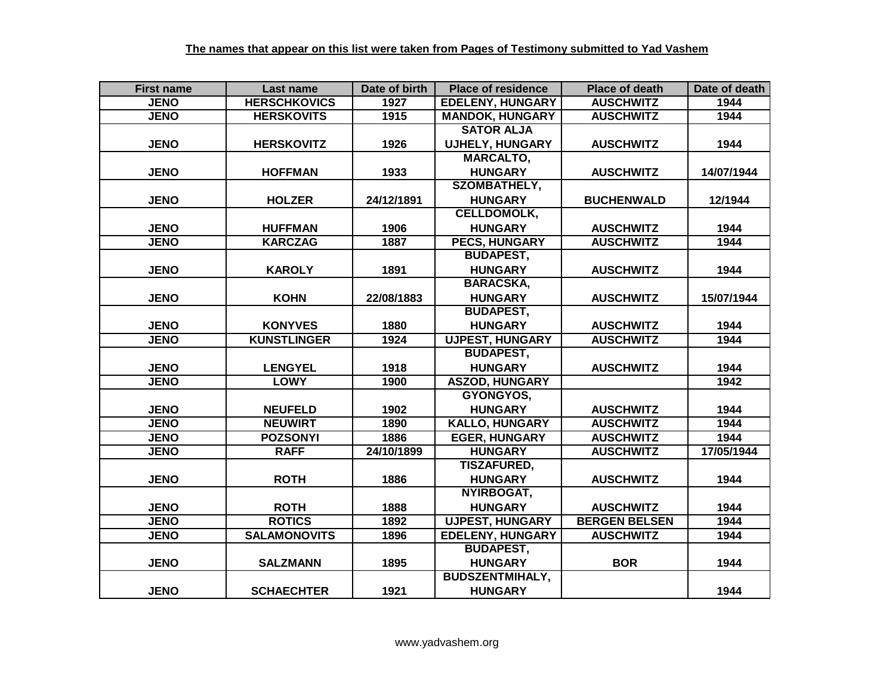| <b>First name</b> | Last name           | Date of birth | <b>Place of residence</b> | <b>Place of death</b> | Date of death |
|-------------------|---------------------|---------------|---------------------------|-----------------------|---------------|
| <b>JENO</b>       | <b>HERSCHKOVICS</b> | 1927          | <b>EDELENY, HUNGARY</b>   | <b>AUSCHWITZ</b>      | 1944          |
| <b>JENO</b>       | <b>HERSKOVITS</b>   | 1915          | <b>MANDOK, HUNGARY</b>    | <b>AUSCHWITZ</b>      | 1944          |
|                   |                     |               | <b>SATOR ALJA</b>         |                       |               |
| <b>JENO</b>       | <b>HERSKOVITZ</b>   | 1926          | <b>UJHELY, HUNGARY</b>    | <b>AUSCHWITZ</b>      | 1944          |
|                   |                     |               | <b>MARCALTO,</b>          |                       |               |
| <b>JENO</b>       | <b>HOFFMAN</b>      | 1933          | <b>HUNGARY</b>            | <b>AUSCHWITZ</b>      | 14/07/1944    |
|                   |                     |               | <b>SZOMBATHELY,</b>       |                       |               |
| <b>JENO</b>       | <b>HOLZER</b>       | 24/12/1891    | <b>HUNGARY</b>            | <b>BUCHENWALD</b>     | 12/1944       |
|                   |                     |               | <b>CELLDOMOLK,</b>        |                       |               |
| <b>JENO</b>       | <b>HUFFMAN</b>      | 1906          | <b>HUNGARY</b>            | <b>AUSCHWITZ</b>      | 1944          |
| <b>JENO</b>       | <b>KARCZAG</b>      | 1887          | <b>PECS, HUNGARY</b>      | <b>AUSCHWITZ</b>      | 1944          |
|                   |                     |               | <b>BUDAPEST,</b>          |                       |               |
| <b>JENO</b>       | <b>KAROLY</b>       | 1891          | <b>HUNGARY</b>            | <b>AUSCHWITZ</b>      | 1944          |
|                   |                     |               | <b>BARACSKA,</b>          |                       |               |
| <b>JENO</b>       | <b>KOHN</b>         | 22/08/1883    | <b>HUNGARY</b>            | <b>AUSCHWITZ</b>      | 15/07/1944    |
|                   |                     |               | <b>BUDAPEST,</b>          |                       |               |
| <b>JENO</b>       | <b>KONYVES</b>      | 1880          | <b>HUNGARY</b>            | <b>AUSCHWITZ</b>      | 1944          |
| <b>JENO</b>       | <b>KUNSTLINGER</b>  | 1924          | <b>UJPEST, HUNGARY</b>    | <b>AUSCHWITZ</b>      | 1944          |
|                   |                     |               | <b>BUDAPEST,</b>          |                       |               |
| <b>JENO</b>       | <b>LENGYEL</b>      | 1918          | <b>HUNGARY</b>            | <b>AUSCHWITZ</b>      | 1944          |
| <b>JENO</b>       | LOWY                | 1900          | <b>ASZOD, HUNGARY</b>     |                       | 1942          |
|                   |                     |               | GYONGYOS,                 |                       |               |
| <b>JENO</b>       | <b>NEUFELD</b>      | 1902          | <b>HUNGARY</b>            | <b>AUSCHWITZ</b>      | 1944          |
| <b>JENO</b>       | <b>NEUWIRT</b>      | 1890          | <b>KALLO, HUNGARY</b>     | <b>AUSCHWITZ</b>      | 1944          |
| <b>JENO</b>       | <b>POZSONYI</b>     | 1886          | <b>EGER, HUNGARY</b>      | <b>AUSCHWITZ</b>      | 1944          |
| <b>JENO</b>       | <b>RAFF</b>         | 24/10/1899    | <b>HUNGARY</b>            | <b>AUSCHWITZ</b>      | 17/05/1944    |
|                   |                     |               | <b>TISZAFURED,</b>        |                       |               |
| <b>JENO</b>       | <b>ROTH</b>         | 1886          | <b>HUNGARY</b>            | <b>AUSCHWITZ</b>      | 1944          |
|                   |                     |               | NYIRBOGAT,                |                       |               |
| <b>JENO</b>       | <b>ROTH</b>         | 1888          | <b>HUNGARY</b>            | <b>AUSCHWITZ</b>      | 1944          |
| <b>JENO</b>       | <b>ROTICS</b>       | 1892          | <b>UJPEST, HUNGARY</b>    | <b>BERGEN BELSEN</b>  | 1944          |
| <b>JENO</b>       | <b>SALAMONOVITS</b> | 1896          | <b>EDELENY, HUNGARY</b>   | <b>AUSCHWITZ</b>      | 1944          |
|                   |                     |               | <b>BUDAPEST,</b>          |                       |               |
| <b>JENO</b>       | <b>SALZMANN</b>     | 1895          | <b>HUNGARY</b>            | <b>BOR</b>            | 1944          |
|                   |                     |               | <b>BUDSZENTMIHALY,</b>    |                       |               |
| <b>JENO</b>       | <b>SCHAECHTER</b>   | 1921          | <b>HUNGARY</b>            |                       | 1944          |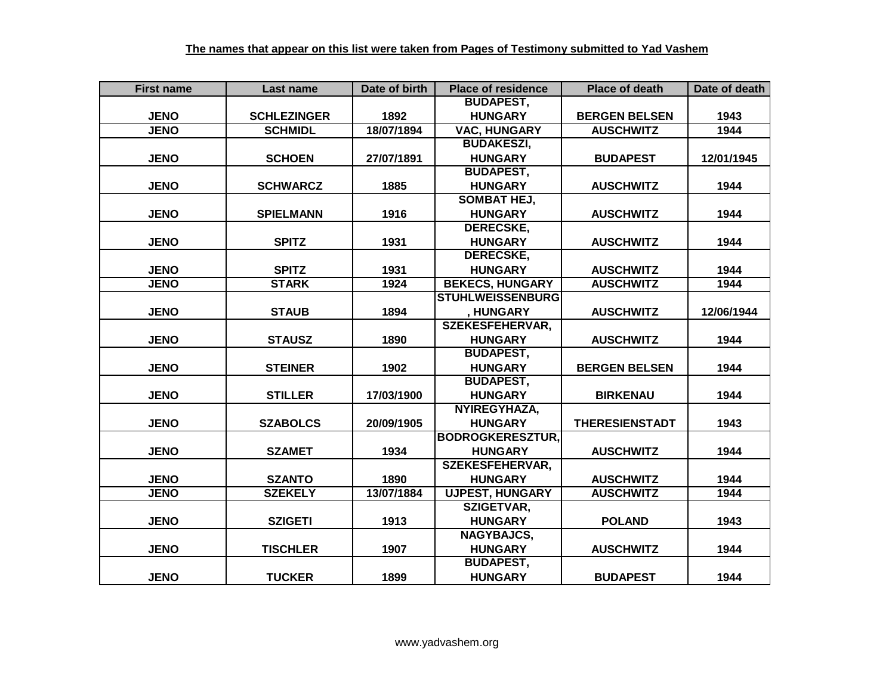| <b>First name</b> | Last name          | Date of birth | <b>Place of residence</b> | <b>Place of death</b> | Date of death |
|-------------------|--------------------|---------------|---------------------------|-----------------------|---------------|
|                   |                    |               | <b>BUDAPEST,</b>          |                       |               |
| <b>JENO</b>       | <b>SCHLEZINGER</b> | 1892          | <b>HUNGARY</b>            | <b>BERGEN BELSEN</b>  | 1943          |
| <b>JENO</b>       | <b>SCHMIDL</b>     | 18/07/1894    | <b>VAC, HUNGARY</b>       | <b>AUSCHWITZ</b>      | 1944          |
|                   |                    |               | <b>BUDAKESZI,</b>         |                       |               |
| <b>JENO</b>       | <b>SCHOEN</b>      | 27/07/1891    | <b>HUNGARY</b>            | <b>BUDAPEST</b>       | 12/01/1945    |
|                   |                    |               | <b>BUDAPEST,</b>          |                       |               |
| <b>JENO</b>       | <b>SCHWARCZ</b>    | 1885          | <b>HUNGARY</b>            | <b>AUSCHWITZ</b>      | 1944          |
|                   |                    |               | <b>SOMBAT HEJ,</b>        |                       |               |
| <b>JENO</b>       | <b>SPIELMANN</b>   | 1916          | <b>HUNGARY</b>            | <b>AUSCHWITZ</b>      | 1944          |
|                   |                    |               | <b>DERECSKE,</b>          |                       |               |
| <b>JENO</b>       | <b>SPITZ</b>       | 1931          | <b>HUNGARY</b>            | <b>AUSCHWITZ</b>      | 1944          |
|                   |                    |               | <b>DERECSKE,</b>          |                       |               |
| <b>JENO</b>       | <b>SPITZ</b>       | 1931          | <b>HUNGARY</b>            | <b>AUSCHWITZ</b>      | 1944          |
| <b>JENO</b>       | <b>STARK</b>       | 1924          | <b>BEKECS, HUNGARY</b>    | <b>AUSCHWITZ</b>      | 1944          |
|                   |                    |               | <b>STUHLWEISSENBURG</b>   |                       |               |
| <b>JENO</b>       | <b>STAUB</b>       | 1894          | , HUNGARY                 | <b>AUSCHWITZ</b>      | 12/06/1944    |
|                   |                    |               | <b>SZEKESFEHERVAR,</b>    |                       |               |
| <b>JENO</b>       | <b>STAUSZ</b>      | 1890          | <b>HUNGARY</b>            | <b>AUSCHWITZ</b>      | 1944          |
|                   |                    |               | <b>BUDAPEST,</b>          |                       |               |
| <b>JENO</b>       | <b>STEINER</b>     | 1902          | <b>HUNGARY</b>            | <b>BERGEN BELSEN</b>  | 1944          |
|                   |                    |               | <b>BUDAPEST,</b>          |                       |               |
| <b>JENO</b>       | <b>STILLER</b>     | 17/03/1900    | <b>HUNGARY</b>            | <b>BIRKENAU</b>       | 1944          |
|                   |                    |               | NYIREGYHAZA,              |                       |               |
| <b>JENO</b>       | <b>SZABOLCS</b>    | 20/09/1905    | <b>HUNGARY</b>            | <b>THERESIENSTADT</b> | 1943          |
|                   |                    |               | <b>BODROGKERESZTUR,</b>   |                       |               |
| <b>JENO</b>       | <b>SZAMET</b>      | 1934          | <b>HUNGARY</b>            | <b>AUSCHWITZ</b>      | 1944          |
|                   |                    |               | <b>SZEKESFEHERVAR,</b>    |                       |               |
| <b>JENO</b>       | <b>SZANTO</b>      | 1890          | <b>HUNGARY</b>            | <b>AUSCHWITZ</b>      | 1944          |
| <b>JENO</b>       | <b>SZEKELY</b>     | 13/07/1884    | <b>UJPEST, HUNGARY</b>    | <b>AUSCHWITZ</b>      | 1944          |
|                   |                    |               | <b>SZIGETVAR,</b>         |                       |               |
| <b>JENO</b>       | <b>SZIGETI</b>     | 1913          | <b>HUNGARY</b>            | <b>POLAND</b>         | 1943          |
|                   |                    |               | <b>NAGYBAJCS,</b>         |                       |               |
| <b>JENO</b>       | <b>TISCHLER</b>    | 1907          | <b>HUNGARY</b>            | <b>AUSCHWITZ</b>      | 1944          |
|                   |                    |               | <b>BUDAPEST,</b>          |                       |               |
| <b>JENO</b>       | <b>TUCKER</b>      | 1899          | <b>HUNGARY</b>            | <b>BUDAPEST</b>       | 1944          |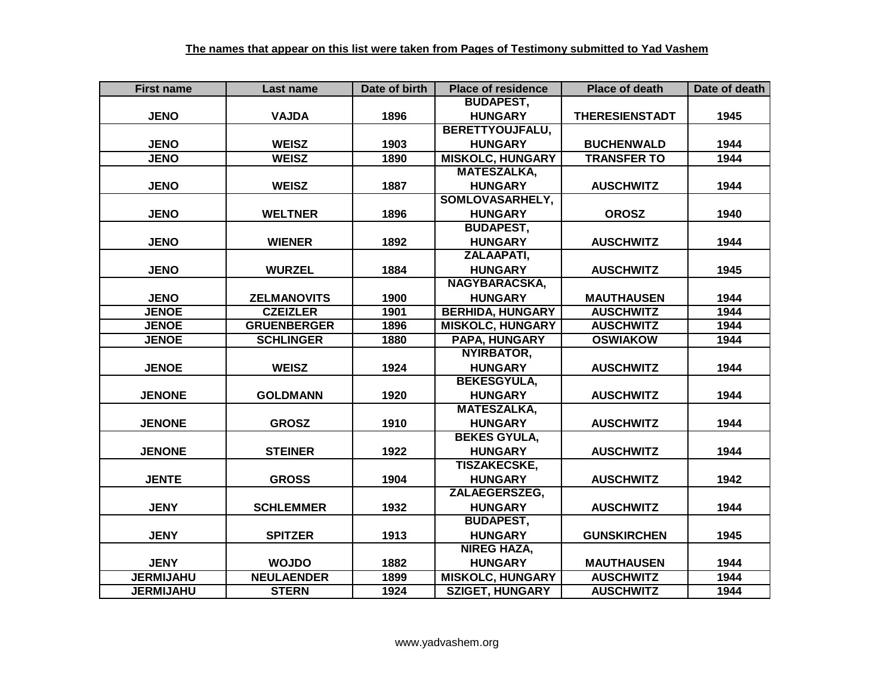| <b>First name</b> | Last name          | Date of birth | <b>Place of residence</b> | <b>Place of death</b> | Date of death |
|-------------------|--------------------|---------------|---------------------------|-----------------------|---------------|
|                   |                    |               | <b>BUDAPEST,</b>          |                       |               |
| <b>JENO</b>       | <b>VAJDA</b>       | 1896          | <b>HUNGARY</b>            | <b>THERESIENSTADT</b> | 1945          |
|                   |                    |               | <b>BERETTYOUJFALU,</b>    |                       |               |
| <b>JENO</b>       | <b>WEISZ</b>       | 1903          | <b>HUNGARY</b>            | <b>BUCHENWALD</b>     | 1944          |
| <b>JENO</b>       | <b>WEISZ</b>       | 1890          | <b>MISKOLC, HUNGARY</b>   | <b>TRANSFER TO</b>    | 1944          |
|                   |                    |               | <b>MATESZALKA,</b>        |                       |               |
| <b>JENO</b>       | <b>WEISZ</b>       | 1887          | <b>HUNGARY</b>            | <b>AUSCHWITZ</b>      | 1944          |
|                   |                    |               | SOMLOVASARHELY,           |                       |               |
| <b>JENO</b>       | <b>WELTNER</b>     | 1896          | <b>HUNGARY</b>            | <b>OROSZ</b>          | 1940          |
|                   |                    |               | <b>BUDAPEST,</b>          |                       |               |
| <b>JENO</b>       | <b>WIENER</b>      | 1892          | <b>HUNGARY</b>            | <b>AUSCHWITZ</b>      | 1944          |
|                   |                    |               | ZALAAPATI,                |                       |               |
| <b>JENO</b>       | <b>WURZEL</b>      | 1884          | <b>HUNGARY</b>            | <b>AUSCHWITZ</b>      | 1945          |
|                   |                    |               | NAGYBARACSKA,             |                       |               |
| <b>JENO</b>       | <b>ZELMANOVITS</b> | 1900          | <b>HUNGARY</b>            | <b>MAUTHAUSEN</b>     | 1944          |
| <b>JENOE</b>      | <b>CZEIZLER</b>    | 1901          | <b>BERHIDA, HUNGARY</b>   | <b>AUSCHWITZ</b>      | 1944          |
| <b>JENOE</b>      | <b>GRUENBERGER</b> | 1896          | <b>MISKOLC, HUNGARY</b>   | <b>AUSCHWITZ</b>      | 1944          |
| <b>JENOE</b>      | <b>SCHLINGER</b>   | 1880          | PAPA, HUNGARY             | <b>OSWIAKOW</b>       | 1944          |
|                   |                    |               | <b>NYIRBATOR,</b>         |                       |               |
| <b>JENOE</b>      | <b>WEISZ</b>       | 1924          | <b>HUNGARY</b>            | <b>AUSCHWITZ</b>      | 1944          |
|                   |                    |               | <b>BEKESGYULA,</b>        |                       |               |
| <b>JENONE</b>     | <b>GOLDMANN</b>    | 1920          | <b>HUNGARY</b>            | <b>AUSCHWITZ</b>      | 1944          |
|                   |                    |               | <b>MATESZALKA,</b>        |                       |               |
| <b>JENONE</b>     | <b>GROSZ</b>       | 1910          | <b>HUNGARY</b>            | <b>AUSCHWITZ</b>      | 1944          |
|                   |                    |               | <b>BEKES GYULA,</b>       |                       |               |
| <b>JENONE</b>     | <b>STEINER</b>     | 1922          | <b>HUNGARY</b>            | <b>AUSCHWITZ</b>      | 1944          |
|                   |                    |               | <b>TISZAKECSKE,</b>       |                       |               |
| <b>JENTE</b>      | <b>GROSS</b>       | 1904          | <b>HUNGARY</b>            | <b>AUSCHWITZ</b>      | 1942          |
|                   |                    |               | <b>ZALAEGERSZEG,</b>      |                       |               |
| <b>JENY</b>       | <b>SCHLEMMER</b>   | 1932          | <b>HUNGARY</b>            | <b>AUSCHWITZ</b>      | 1944          |
|                   |                    |               | <b>BUDAPEST,</b>          |                       |               |
| <b>JENY</b>       | <b>SPITZER</b>     | 1913          | <b>HUNGARY</b>            | <b>GUNSKIRCHEN</b>    | 1945          |
|                   |                    |               | <b>NIREG HAZA,</b>        |                       |               |
| <b>JENY</b>       | <b>WOJDO</b>       | 1882          | <b>HUNGARY</b>            | <b>MAUTHAUSEN</b>     | 1944          |
| <b>JERMIJAHU</b>  | <b>NEULAENDER</b>  | 1899          | <b>MISKOLC, HUNGARY</b>   | <b>AUSCHWITZ</b>      | 1944          |
| <b>JERMIJAHU</b>  | <b>STERN</b>       | 1924          | <b>SZIGET, HUNGARY</b>    | <b>AUSCHWITZ</b>      | 1944          |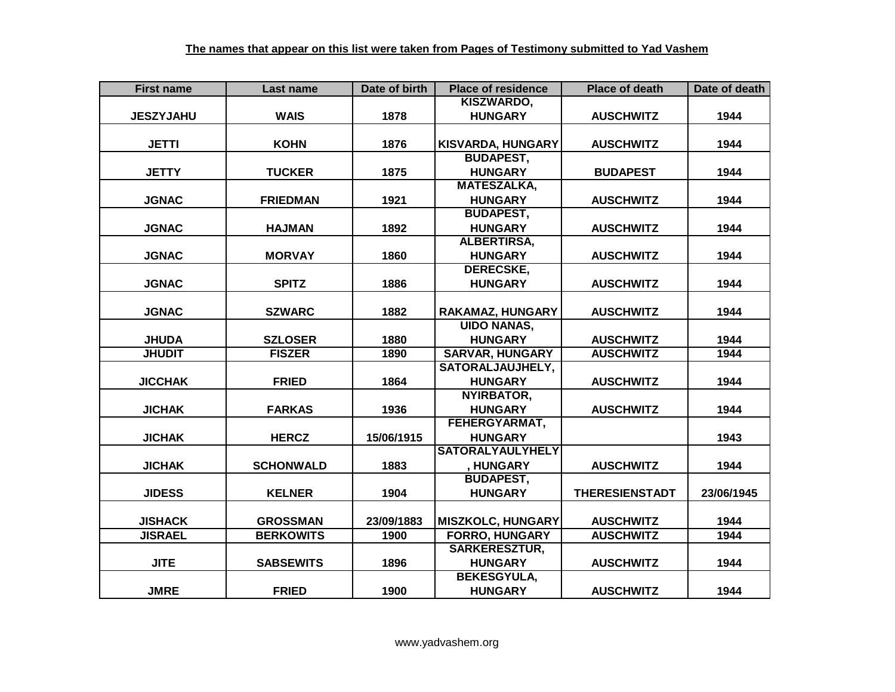| <b>First name</b> | Last name        | Date of birth | <b>Place of residence</b> | <b>Place of death</b> | Date of death |
|-------------------|------------------|---------------|---------------------------|-----------------------|---------------|
|                   |                  |               | KISZWARDO,                |                       |               |
| <b>JESZYJAHU</b>  | <b>WAIS</b>      | 1878          | <b>HUNGARY</b>            | <b>AUSCHWITZ</b>      | 1944          |
|                   |                  |               |                           |                       |               |
| <b>JETTI</b>      | <b>KOHN</b>      | 1876          | <b>KISVARDA, HUNGARY</b>  | <b>AUSCHWITZ</b>      | 1944          |
|                   |                  |               | <b>BUDAPEST,</b>          |                       |               |
| <b>JETTY</b>      | <b>TUCKER</b>    | 1875          | <b>HUNGARY</b>            | <b>BUDAPEST</b>       | 1944          |
|                   |                  |               | <b>MATESZALKA,</b>        |                       |               |
| <b>JGNAC</b>      | <b>FRIEDMAN</b>  | 1921          | <b>HUNGARY</b>            | <b>AUSCHWITZ</b>      | 1944          |
|                   |                  |               | <b>BUDAPEST,</b>          |                       |               |
| <b>JGNAC</b>      | <b>HAJMAN</b>    | 1892          | <b>HUNGARY</b>            | <b>AUSCHWITZ</b>      | 1944          |
|                   |                  |               | ALBERTIRSA,               |                       |               |
| <b>JGNAC</b>      | <b>MORVAY</b>    | 1860          | <b>HUNGARY</b>            | <b>AUSCHWITZ</b>      | 1944          |
|                   |                  |               | <b>DERECSKE,</b>          |                       |               |
| <b>JGNAC</b>      | <b>SPITZ</b>     | 1886          | <b>HUNGARY</b>            | <b>AUSCHWITZ</b>      | 1944          |
|                   |                  |               |                           |                       |               |
| <b>JGNAC</b>      | <b>SZWARC</b>    | 1882          | <b>RAKAMAZ, HUNGARY</b>   | <b>AUSCHWITZ</b>      | 1944          |
|                   |                  |               | <b>UIDO NANAS,</b>        |                       |               |
| <b>JHUDA</b>      | <b>SZLOSER</b>   | 1880          | <b>HUNGARY</b>            | <b>AUSCHWITZ</b>      | 1944          |
| <b>JHUDIT</b>     | <b>FISZER</b>    | 1890          | <b>SARVAR, HUNGARY</b>    | <b>AUSCHWITZ</b>      | 1944          |
|                   |                  |               | SATORALJAUJHELY,          |                       |               |
| <b>JICCHAK</b>    | <b>FRIED</b>     | 1864          | <b>HUNGARY</b>            | <b>AUSCHWITZ</b>      | 1944          |
|                   |                  |               | <b>NYIRBATOR,</b>         |                       |               |
| <b>JICHAK</b>     | <b>FARKAS</b>    | 1936          | <b>HUNGARY</b>            | <b>AUSCHWITZ</b>      | 1944          |
|                   |                  |               | <b>FEHERGYARMAT,</b>      |                       |               |
| <b>JICHAK</b>     | <b>HERCZ</b>     | 15/06/1915    | <b>HUNGARY</b>            |                       | 1943          |
|                   |                  |               | <b>SATORALYAULYHELY</b>   |                       |               |
| <b>JICHAK</b>     | <b>SCHONWALD</b> | 1883          | , HUNGARY                 | <b>AUSCHWITZ</b>      | 1944          |
|                   |                  |               | <b>BUDAPEST,</b>          |                       |               |
| <b>JIDESS</b>     | <b>KELNER</b>    | 1904          | <b>HUNGARY</b>            | <b>THERESIENSTADT</b> | 23/06/1945    |
|                   |                  |               |                           |                       |               |
| <b>JISHACK</b>    | <b>GROSSMAN</b>  | 23/09/1883    | <b>MISZKOLC, HUNGARY</b>  | <b>AUSCHWITZ</b>      | 1944          |
| <b>JISRAEL</b>    | <b>BERKOWITS</b> | 1900          | <b>FORRO, HUNGARY</b>     | <b>AUSCHWITZ</b>      | 1944          |
|                   |                  |               | <b>SARKERESZTUR,</b>      |                       |               |
| <b>JITE</b>       | <b>SABSEWITS</b> | 1896          | <b>HUNGARY</b>            | <b>AUSCHWITZ</b>      | 1944          |
|                   |                  |               | <b>BEKESGYULA,</b>        |                       |               |
| <b>JMRE</b>       | <b>FRIED</b>     | 1900          | <b>HUNGARY</b>            | <b>AUSCHWITZ</b>      | 1944          |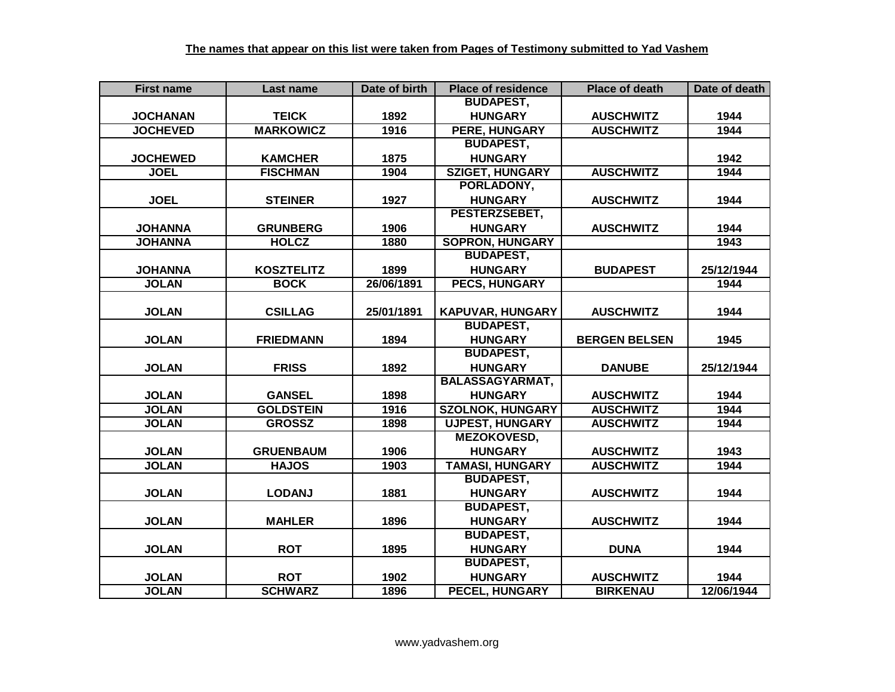| <b>First name</b> | Last name         | Date of birth | <b>Place of residence</b> | <b>Place of death</b> | Date of death |
|-------------------|-------------------|---------------|---------------------------|-----------------------|---------------|
|                   |                   |               | <b>BUDAPEST,</b>          |                       |               |
| <b>JOCHANAN</b>   | <b>TEICK</b>      | 1892          | <b>HUNGARY</b>            | <b>AUSCHWITZ</b>      | 1944          |
| <b>JOCHEVED</b>   | <b>MARKOWICZ</b>  | 1916          | PERE, HUNGARY             | <b>AUSCHWITZ</b>      | 1944          |
|                   |                   |               | <b>BUDAPEST,</b>          |                       |               |
| <b>JOCHEWED</b>   | <b>KAMCHER</b>    | 1875          | <b>HUNGARY</b>            |                       | 1942          |
| <b>JOEL</b>       | <b>FISCHMAN</b>   | 1904          | <b>SZIGET, HUNGARY</b>    | <b>AUSCHWITZ</b>      | 1944          |
|                   |                   |               | PORLADONY,                |                       |               |
| <b>JOEL</b>       | <b>STEINER</b>    | 1927          | <b>HUNGARY</b>            | <b>AUSCHWITZ</b>      | 1944          |
|                   |                   |               | PESTERZSEBET,             |                       |               |
| <b>JOHANNA</b>    | <b>GRUNBERG</b>   | 1906          | <b>HUNGARY</b>            | <b>AUSCHWITZ</b>      | 1944          |
| <b>JOHANNA</b>    | <b>HOLCZ</b>      | 1880          | <b>SOPRON, HUNGARY</b>    |                       | 1943          |
|                   |                   |               | <b>BUDAPEST,</b>          |                       |               |
| <b>JOHANNA</b>    | <b>KOSZTELITZ</b> | 1899          | <b>HUNGARY</b>            | <b>BUDAPEST</b>       | 25/12/1944    |
| <b>JOLAN</b>      | <b>BOCK</b>       | 26/06/1891    | <b>PECS, HUNGARY</b>      |                       | 1944          |
|                   |                   |               |                           |                       |               |
| <b>JOLAN</b>      | <b>CSILLAG</b>    | 25/01/1891    | <b>KAPUVAR, HUNGARY</b>   | <b>AUSCHWITZ</b>      | 1944          |
|                   |                   |               | <b>BUDAPEST,</b>          |                       |               |
| <b>JOLAN</b>      | <b>FRIEDMANN</b>  | 1894          | <b>HUNGARY</b>            | <b>BERGEN BELSEN</b>  | 1945          |
|                   |                   |               | <b>BUDAPEST,</b>          |                       |               |
| <b>JOLAN</b>      | <b>FRISS</b>      | 1892          | <b>HUNGARY</b>            | <b>DANUBE</b>         | 25/12/1944    |
|                   |                   |               | <b>BALASSAGYARMAT,</b>    |                       |               |
| <b>JOLAN</b>      | <b>GANSEL</b>     | 1898          | <b>HUNGARY</b>            | <b>AUSCHWITZ</b>      | 1944          |
| <b>JOLAN</b>      | <b>GOLDSTEIN</b>  | 1916          | <b>SZOLNOK, HUNGARY</b>   | <b>AUSCHWITZ</b>      | 1944          |
| <b>JOLAN</b>      | <b>GROSSZ</b>     | 1898          | <b>UJPEST, HUNGARY</b>    | <b>AUSCHWITZ</b>      | 1944          |
|                   |                   |               | <b>MEZOKOVESD,</b>        |                       |               |
| <b>JOLAN</b>      | <b>GRUENBAUM</b>  | 1906          | <b>HUNGARY</b>            | <b>AUSCHWITZ</b>      | 1943          |
| <b>JOLAN</b>      | <b>HAJOS</b>      | 1903          | <b>TAMASI, HUNGARY</b>    | <b>AUSCHWITZ</b>      | 1944          |
|                   |                   |               | <b>BUDAPEST,</b>          |                       |               |
| <b>JOLAN</b>      | <b>LODANJ</b>     | 1881          | <b>HUNGARY</b>            | <b>AUSCHWITZ</b>      | 1944          |
|                   |                   |               | <b>BUDAPEST,</b>          |                       |               |
| <b>JOLAN</b>      | <b>MAHLER</b>     | 1896          | <b>HUNGARY</b>            | <b>AUSCHWITZ</b>      | 1944          |
|                   |                   |               | <b>BUDAPEST,</b>          |                       |               |
| <b>JOLAN</b>      | <b>ROT</b>        | 1895          | <b>HUNGARY</b>            | <b>DUNA</b>           | 1944          |
|                   |                   |               | <b>BUDAPEST,</b>          |                       |               |
| <b>JOLAN</b>      | <b>ROT</b>        | 1902          | <b>HUNGARY</b>            | <b>AUSCHWITZ</b>      | 1944          |
| <b>JOLAN</b>      | <b>SCHWARZ</b>    | 1896          | <b>PECEL, HUNGARY</b>     | <b>BIRKENAU</b>       | 12/06/1944    |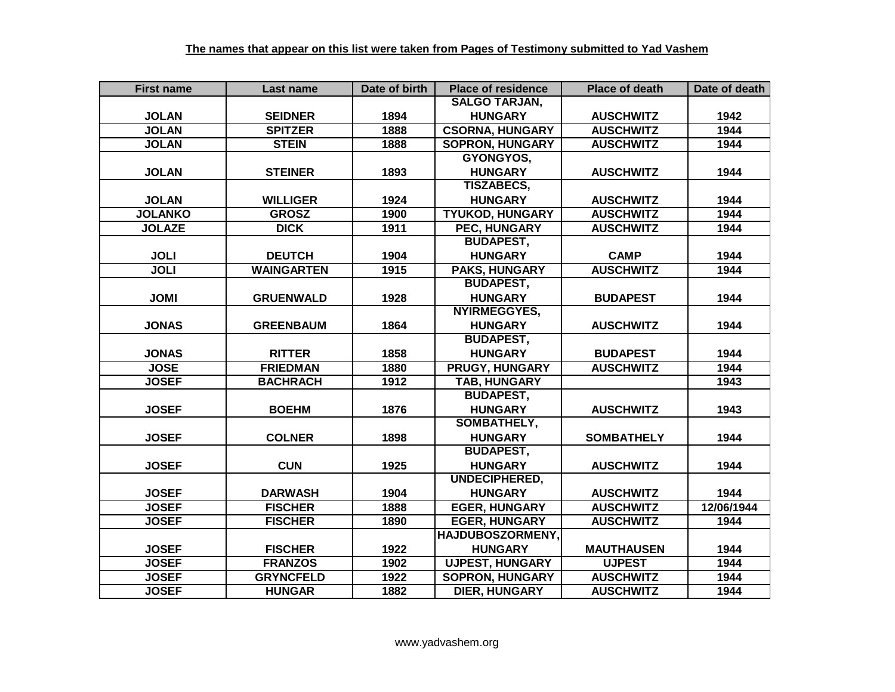| <b>First name</b> | Last name         | Date of birth | <b>Place of residence</b> | <b>Place of death</b> | Date of death |
|-------------------|-------------------|---------------|---------------------------|-----------------------|---------------|
|                   |                   |               | <b>SALGO TARJAN,</b>      |                       |               |
| <b>JOLAN</b>      | <b>SEIDNER</b>    | 1894          | <b>HUNGARY</b>            | <b>AUSCHWITZ</b>      | 1942          |
| <b>JOLAN</b>      | <b>SPITZER</b>    | 1888          | <b>CSORNA, HUNGARY</b>    | <b>AUSCHWITZ</b>      | 1944          |
| <b>JOLAN</b>      | <b>STEIN</b>      | 1888          | <b>SOPRON, HUNGARY</b>    | <b>AUSCHWITZ</b>      | 1944          |
|                   |                   |               | GYONGYOS,                 |                       |               |
| <b>JOLAN</b>      | <b>STEINER</b>    | 1893          | <b>HUNGARY</b>            | <b>AUSCHWITZ</b>      | 1944          |
|                   |                   |               | <b>TISZABECS,</b>         |                       |               |
| <b>JOLAN</b>      | <b>WILLIGER</b>   | 1924          | <b>HUNGARY</b>            | <b>AUSCHWITZ</b>      | 1944          |
| <b>JOLANKO</b>    | <b>GROSZ</b>      | 1900          | <b>TYUKOD, HUNGARY</b>    | <b>AUSCHWITZ</b>      | 1944          |
| <b>JOLAZE</b>     | <b>DICK</b>       | 1911          | PEC, HUNGARY              | <b>AUSCHWITZ</b>      | 1944          |
|                   |                   |               | <b>BUDAPEST,</b>          |                       |               |
| <b>JOLI</b>       | <b>DEUTCH</b>     | 1904          | <b>HUNGARY</b>            | <b>CAMP</b>           | 1944          |
| <b>JOLI</b>       | <b>WAINGARTEN</b> | 1915          | <b>PAKS, HUNGARY</b>      | <b>AUSCHWITZ</b>      | 1944          |
|                   |                   |               | <b>BUDAPEST,</b>          |                       |               |
| <b>JOMI</b>       | <b>GRUENWALD</b>  | 1928          | <b>HUNGARY</b>            | <b>BUDAPEST</b>       | 1944          |
|                   |                   |               | <b>NYIRMEGGYES,</b>       |                       |               |
| <b>JONAS</b>      | <b>GREENBAUM</b>  | 1864          | <b>HUNGARY</b>            | <b>AUSCHWITZ</b>      | 1944          |
|                   |                   |               | <b>BUDAPEST,</b>          |                       |               |
| <b>JONAS</b>      | <b>RITTER</b>     | 1858          | <b>HUNGARY</b>            | <b>BUDAPEST</b>       | 1944          |
| <b>JOSE</b>       | <b>FRIEDMAN</b>   | 1880          | <b>PRUGY, HUNGARY</b>     | <b>AUSCHWITZ</b>      | 1944          |
| <b>JOSEF</b>      | <b>BACHRACH</b>   | 1912          | <b>TAB, HUNGARY</b>       |                       | 1943          |
|                   |                   |               | <b>BUDAPEST,</b>          |                       |               |
| <b>JOSEF</b>      | <b>BOEHM</b>      | 1876          | <b>HUNGARY</b>            | <b>AUSCHWITZ</b>      | 1943          |
|                   |                   |               | <b>SOMBATHELY,</b>        |                       |               |
| <b>JOSEF</b>      | <b>COLNER</b>     | 1898          | <b>HUNGARY</b>            | <b>SOMBATHELY</b>     | 1944          |
|                   |                   |               | <b>BUDAPEST,</b>          |                       |               |
| <b>JOSEF</b>      | <b>CUN</b>        | 1925          | <b>HUNGARY</b>            | <b>AUSCHWITZ</b>      | 1944          |
|                   |                   |               | <b>UNDECIPHERED,</b>      |                       |               |
| <b>JOSEF</b>      | <b>DARWASH</b>    | 1904          | <b>HUNGARY</b>            | <b>AUSCHWITZ</b>      | 1944          |
| <b>JOSEF</b>      | <b>FISCHER</b>    | 1888          | <b>EGER, HUNGARY</b>      | <b>AUSCHWITZ</b>      | 12/06/1944    |
| <b>JOSEF</b>      | <b>FISCHER</b>    | 1890          | <b>EGER, HUNGARY</b>      | <b>AUSCHWITZ</b>      | 1944          |
|                   |                   |               | HAJDUBOSZORMENY,          |                       |               |
| <b>JOSEF</b>      | <b>FISCHER</b>    | 1922          | <b>HUNGARY</b>            | <b>MAUTHAUSEN</b>     | 1944          |
| <b>JOSEF</b>      | <b>FRANZOS</b>    | 1902          | <b>UJPEST, HUNGARY</b>    | <b>UJPEST</b>         | 1944          |
| <b>JOSEF</b>      | <b>GRYNCFELD</b>  | 1922          | <b>SOPRON, HUNGARY</b>    | <b>AUSCHWITZ</b>      | 1944          |
| <b>JOSEF</b>      | <b>HUNGAR</b>     | 1882          | <b>DIER, HUNGARY</b>      | <b>AUSCHWITZ</b>      | 1944          |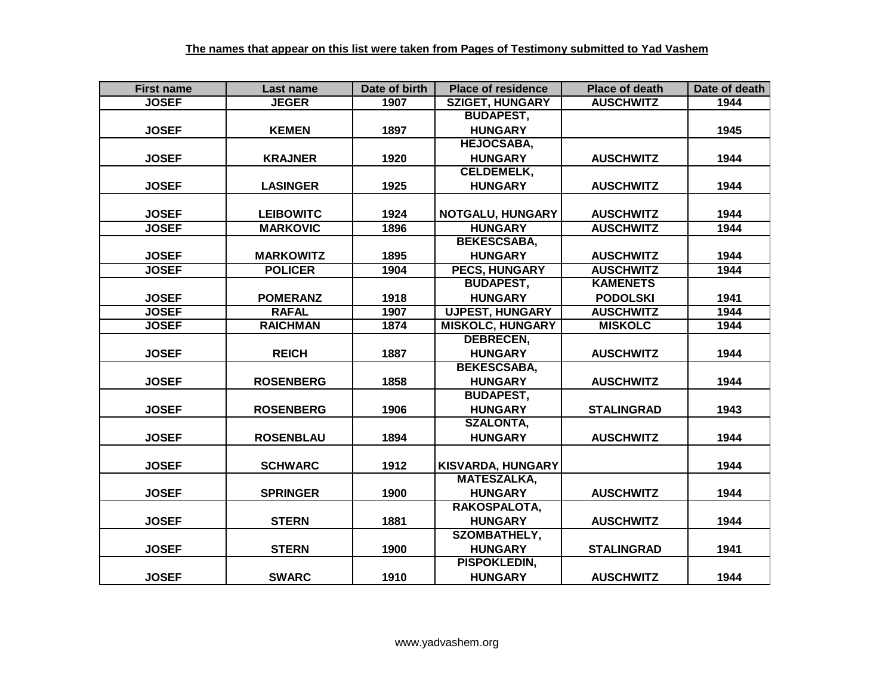| <b>First name</b> | Last name        | Date of birth | <b>Place of residence</b> | <b>Place of death</b> | Date of death |
|-------------------|------------------|---------------|---------------------------|-----------------------|---------------|
| <b>JOSEF</b>      | <b>JEGER</b>     | 1907          | <b>SZIGET, HUNGARY</b>    | <b>AUSCHWITZ</b>      | 1944          |
|                   |                  |               | <b>BUDAPEST,</b>          |                       |               |
| <b>JOSEF</b>      | <b>KEMEN</b>     | 1897          | <b>HUNGARY</b>            |                       | 1945          |
|                   |                  |               | <b>HEJOCSABA,</b>         |                       |               |
| <b>JOSEF</b>      | <b>KRAJNER</b>   | 1920          | <b>HUNGARY</b>            | <b>AUSCHWITZ</b>      | 1944          |
|                   |                  |               | <b>CELDEMELK,</b>         |                       |               |
| <b>JOSEF</b>      | <b>LASINGER</b>  | 1925          | <b>HUNGARY</b>            | <b>AUSCHWITZ</b>      | 1944          |
|                   |                  |               |                           |                       |               |
| <b>JOSEF</b>      | <b>LEIBOWITC</b> | 1924          | NOTGALU, HUNGARY          | <b>AUSCHWITZ</b>      | 1944          |
| <b>JOSEF</b>      | <b>MARKOVIC</b>  | 1896          | <b>HUNGARY</b>            | <b>AUSCHWITZ</b>      | 1944          |
|                   |                  |               | <b>BEKESCSABA,</b>        |                       |               |
| <b>JOSEF</b>      | <b>MARKOWITZ</b> | 1895          | <b>HUNGARY</b>            | <b>AUSCHWITZ</b>      | 1944          |
| <b>JOSEF</b>      | <b>POLICER</b>   | 1904          | PECS, HUNGARY             | <b>AUSCHWITZ</b>      | 1944          |
|                   |                  |               | <b>BUDAPEST,</b>          | <b>KAMENETS</b>       |               |
| <b>JOSEF</b>      | <b>POMERANZ</b>  | 1918          | <b>HUNGARY</b>            | <b>PODOLSKI</b>       | 1941          |
| <b>JOSEF</b>      | <b>RAFAL</b>     | 1907          | <b>UJPEST, HUNGARY</b>    | <b>AUSCHWITZ</b>      | 1944          |
| <b>JOSEF</b>      | <b>RAICHMAN</b>  | 1874          | <b>MISKOLC, HUNGARY</b>   | <b>MISKOLC</b>        | 1944          |
|                   |                  |               | <b>DEBRECEN,</b>          |                       |               |
| <b>JOSEF</b>      | <b>REICH</b>     | 1887          | <b>HUNGARY</b>            | <b>AUSCHWITZ</b>      | 1944          |
|                   |                  |               | <b>BEKESCSABA,</b>        |                       |               |
| <b>JOSEF</b>      | <b>ROSENBERG</b> | 1858          | <b>HUNGARY</b>            | <b>AUSCHWITZ</b>      | 1944          |
|                   |                  |               | <b>BUDAPEST,</b>          |                       |               |
| <b>JOSEF</b>      | <b>ROSENBERG</b> | 1906          | <b>HUNGARY</b>            | <b>STALINGRAD</b>     | 1943          |
|                   |                  |               | <b>SZALONTA,</b>          |                       |               |
| <b>JOSEF</b>      | <b>ROSENBLAU</b> | 1894          | <b>HUNGARY</b>            | <b>AUSCHWITZ</b>      | 1944          |
|                   |                  |               |                           |                       |               |
| <b>JOSEF</b>      | <b>SCHWARC</b>   | 1912          | <b>KISVARDA, HUNGARY</b>  |                       | 1944          |
|                   |                  |               | <b>MATESZALKA,</b>        |                       |               |
| <b>JOSEF</b>      | <b>SPRINGER</b>  | 1900          | <b>HUNGARY</b>            | <b>AUSCHWITZ</b>      | 1944          |
|                   |                  |               | RAKOSPALOTA,              |                       |               |
| <b>JOSEF</b>      | <b>STERN</b>     | 1881          | <b>HUNGARY</b>            | <b>AUSCHWITZ</b>      | 1944          |
|                   |                  |               | <b>SZOMBATHELY,</b>       |                       |               |
| <b>JOSEF</b>      | <b>STERN</b>     | 1900          | <b>HUNGARY</b>            | <b>STALINGRAD</b>     | 1941          |
|                   |                  |               | PISPOKLEDIN,              |                       |               |
| <b>JOSEF</b>      | <b>SWARC</b>     | 1910          | <b>HUNGARY</b>            | <b>AUSCHWITZ</b>      | 1944          |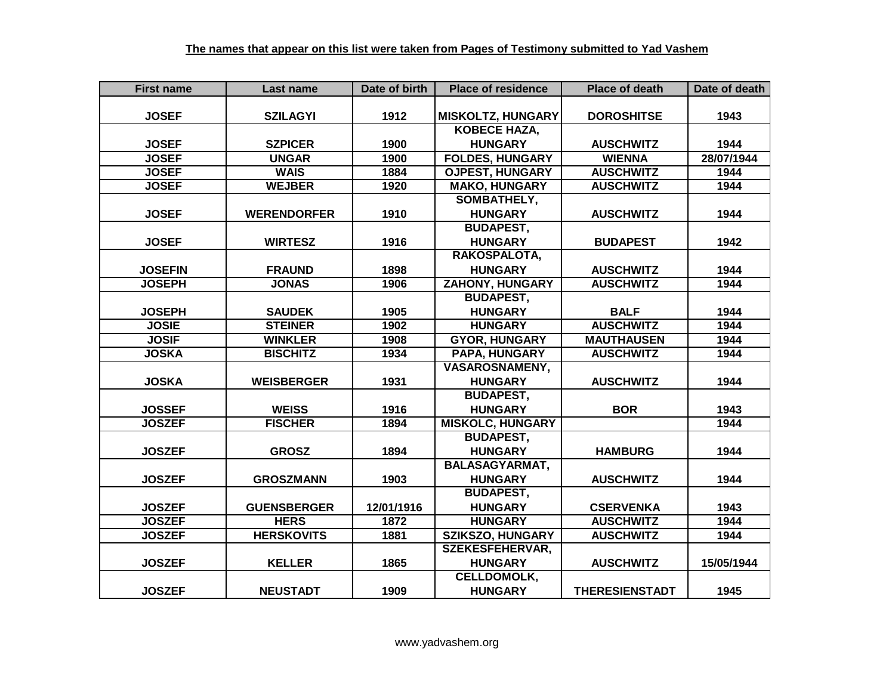| <b>First name</b> | Last name          | Date of birth | <b>Place of residence</b> | <b>Place of death</b> | Date of death |
|-------------------|--------------------|---------------|---------------------------|-----------------------|---------------|
|                   |                    |               |                           |                       |               |
| <b>JOSEF</b>      | <b>SZILAGYI</b>    | 1912          | <b>MISKOLTZ, HUNGARY</b>  | <b>DOROSHITSE</b>     | 1943          |
|                   |                    |               | <b>KOBECE HAZA,</b>       |                       |               |
| <b>JOSEF</b>      | <b>SZPICER</b>     | 1900          | <b>HUNGARY</b>            | <b>AUSCHWITZ</b>      | 1944          |
| <b>JOSEF</b>      | <b>UNGAR</b>       | 1900          | <b>FOLDES, HUNGARY</b>    | <b>WIENNA</b>         | 28/07/1944    |
| <b>JOSEF</b>      | <b>WAIS</b>        | 1884          | <b>OJPEST, HUNGARY</b>    | <b>AUSCHWITZ</b>      | 1944          |
| <b>JOSEF</b>      | <b>WEJBER</b>      | 1920          | <b>MAKO, HUNGARY</b>      | <b>AUSCHWITZ</b>      | 1944          |
|                   |                    |               | SOMBATHELY,               |                       |               |
| <b>JOSEF</b>      | <b>WERENDORFER</b> | 1910          | <b>HUNGARY</b>            | <b>AUSCHWITZ</b>      | 1944          |
|                   |                    |               | <b>BUDAPEST,</b>          |                       |               |
| <b>JOSEF</b>      | <b>WIRTESZ</b>     | 1916          | <b>HUNGARY</b>            | <b>BUDAPEST</b>       | 1942          |
|                   |                    |               | RAKOSPALOTA,              |                       |               |
| <b>JOSEFIN</b>    | <b>FRAUND</b>      | 1898          | <b>HUNGARY</b>            | <b>AUSCHWITZ</b>      | 1944          |
| <b>JOSEPH</b>     | <b>JONAS</b>       | 1906          | <b>ZAHONY, HUNGARY</b>    | <b>AUSCHWITZ</b>      | 1944          |
|                   |                    |               | <b>BUDAPEST,</b>          |                       |               |
| <b>JOSEPH</b>     | <b>SAUDEK</b>      | 1905          | <b>HUNGARY</b>            | <b>BALF</b>           | 1944          |
| <b>JOSIE</b>      | <b>STEINER</b>     | 1902          | <b>HUNGARY</b>            | <b>AUSCHWITZ</b>      | 1944          |
| <b>JOSIF</b>      | <b>WINKLER</b>     | 1908          | <b>GYOR, HUNGARY</b>      | <b>MAUTHAUSEN</b>     | 1944          |
| <b>JOSKA</b>      | <b>BISCHITZ</b>    | 1934          | PAPA, HUNGARY             | <b>AUSCHWITZ</b>      | 1944          |
|                   |                    |               | <b>VASAROSNAMENY,</b>     |                       |               |
| <b>JOSKA</b>      | <b>WEISBERGER</b>  | 1931          | <b>HUNGARY</b>            | <b>AUSCHWITZ</b>      | 1944          |
|                   |                    |               | <b>BUDAPEST,</b>          |                       |               |
| <b>JOSSEF</b>     | <b>WEISS</b>       | 1916          | <b>HUNGARY</b>            | <b>BOR</b>            | 1943          |
| <b>JOSZEF</b>     | <b>FISCHER</b>     | 1894          | <b>MISKOLC, HUNGARY</b>   |                       | 1944          |
|                   |                    |               | <b>BUDAPEST,</b>          |                       |               |
| <b>JOSZEF</b>     | <b>GROSZ</b>       | 1894          | <b>HUNGARY</b>            | <b>HAMBURG</b>        | 1944          |
|                   |                    |               | <b>BALASAGYARMAT,</b>     |                       |               |
| <b>JOSZEF</b>     | <b>GROSZMANN</b>   | 1903          | <b>HUNGARY</b>            | <b>AUSCHWITZ</b>      | 1944          |
|                   |                    |               | <b>BUDAPEST,</b>          |                       |               |
| <b>JOSZEF</b>     | <b>GUENSBERGER</b> | 12/01/1916    | <b>HUNGARY</b>            | <b>CSERVENKA</b>      | 1943          |
| <b>JOSZEF</b>     | <b>HERS</b>        | 1872          | <b>HUNGARY</b>            | <b>AUSCHWITZ</b>      | 1944          |
| <b>JOSZEF</b>     | <b>HERSKOVITS</b>  | 1881          | <b>SZIKSZO, HUNGARY</b>   | <b>AUSCHWITZ</b>      | 1944          |
|                   |                    |               | <b>SZEKESFEHERVAR,</b>    |                       |               |
| <b>JOSZEF</b>     | <b>KELLER</b>      | 1865          | <b>HUNGARY</b>            | <b>AUSCHWITZ</b>      | 15/05/1944    |
|                   |                    |               | <b>CELLDOMOLK,</b>        |                       |               |
| <b>JOSZEF</b>     | <b>NEUSTADT</b>    | 1909          | <b>HUNGARY</b>            | <b>THERESIENSTADT</b> | 1945          |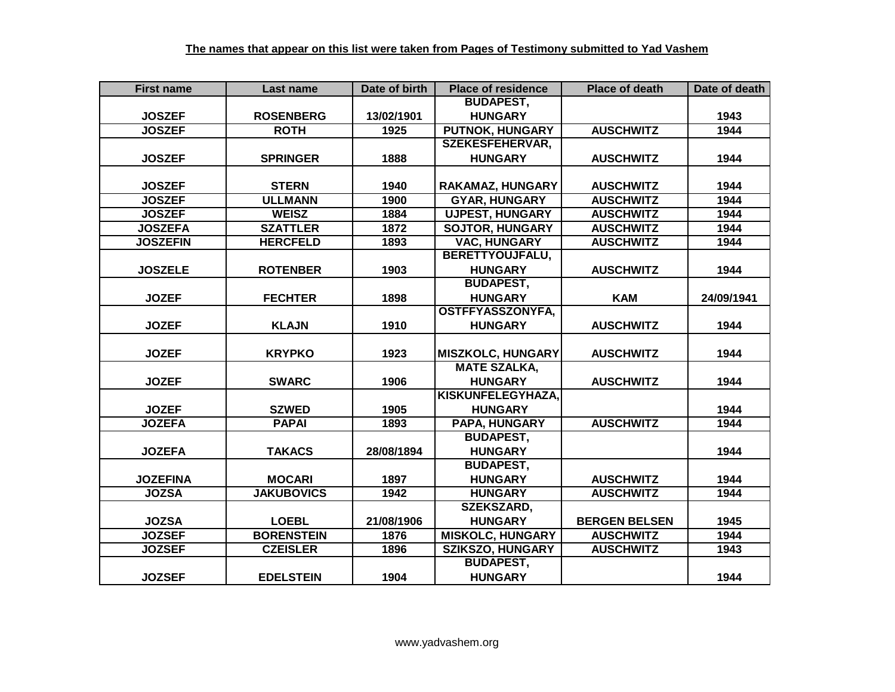| <b>First name</b> | Last name         | Date of birth | <b>Place of residence</b> | <b>Place of death</b> | Date of death |
|-------------------|-------------------|---------------|---------------------------|-----------------------|---------------|
|                   |                   |               | <b>BUDAPEST,</b>          |                       |               |
| <b>JOSZEF</b>     | <b>ROSENBERG</b>  | 13/02/1901    | <b>HUNGARY</b>            |                       | 1943          |
| <b>JOSZEF</b>     | <b>ROTH</b>       | 1925          | <b>PUTNOK, HUNGARY</b>    | <b>AUSCHWITZ</b>      | 1944          |
|                   |                   |               | <b>SZEKESFEHERVAR,</b>    |                       |               |
| <b>JOSZEF</b>     | <b>SPRINGER</b>   | 1888          | <b>HUNGARY</b>            | <b>AUSCHWITZ</b>      | 1944          |
|                   |                   |               |                           |                       |               |
| <b>JOSZEF</b>     | <b>STERN</b>      | 1940          | RAKAMAZ, HUNGARY          | <b>AUSCHWITZ</b>      | 1944          |
| <b>JOSZEF</b>     | <b>ULLMANN</b>    | 1900          | <b>GYAR, HUNGARY</b>      | <b>AUSCHWITZ</b>      | 1944          |
| <b>JOSZEF</b>     | <b>WEISZ</b>      | 1884          | <b>UJPEST, HUNGARY</b>    | <b>AUSCHWITZ</b>      | 1944          |
| <b>JOSZEFA</b>    | <b>SZATTLER</b>   | 1872          | <b>SOJTOR, HUNGARY</b>    | <b>AUSCHWITZ</b>      | 1944          |
| <b>JOSZEFIN</b>   | <b>HERCFELD</b>   | 1893          | <b>VAC, HUNGARY</b>       | <b>AUSCHWITZ</b>      | 1944          |
|                   |                   |               | <b>BERETTYOUJFALU,</b>    |                       |               |
| <b>JOSZELE</b>    | <b>ROTENBER</b>   | 1903          | <b>HUNGARY</b>            | <b>AUSCHWITZ</b>      | 1944          |
|                   |                   |               | <b>BUDAPEST,</b>          |                       |               |
| <b>JOZEF</b>      | <b>FECHTER</b>    | 1898          | <b>HUNGARY</b>            | <b>KAM</b>            | 24/09/1941    |
|                   |                   |               | <b>OSTFFYASSZONYFA,</b>   |                       |               |
| <b>JOZEF</b>      | <b>KLAJN</b>      | 1910          | <b>HUNGARY</b>            | <b>AUSCHWITZ</b>      | 1944          |
|                   |                   |               |                           |                       |               |
| <b>JOZEF</b>      | <b>KRYPKO</b>     | 1923          | <b>MISZKOLC, HUNGARY</b>  | <b>AUSCHWITZ</b>      | 1944          |
|                   |                   |               | <b>MATE SZALKA,</b>       |                       |               |
| <b>JOZEF</b>      | <b>SWARC</b>      | 1906          | <b>HUNGARY</b>            | <b>AUSCHWITZ</b>      | 1944          |
|                   |                   |               | KISKUNFELEGYHAZA,         |                       |               |
| <b>JOZEF</b>      | <b>SZWED</b>      | 1905          | <b>HUNGARY</b>            |                       | 1944          |
| <b>JOZEFA</b>     | <b>PAPAI</b>      | 1893          | <b>PAPA, HUNGARY</b>      | <b>AUSCHWITZ</b>      | 1944          |
|                   |                   |               | <b>BUDAPEST,</b>          |                       |               |
| <b>JOZEFA</b>     | <b>TAKACS</b>     | 28/08/1894    | <b>HUNGARY</b>            |                       | 1944          |
|                   |                   |               | <b>BUDAPEST,</b>          |                       |               |
| <b>JOZEFINA</b>   | <b>MOCARI</b>     | 1897          | <b>HUNGARY</b>            | <b>AUSCHWITZ</b>      | 1944          |
| <b>JOZSA</b>      | <b>JAKUBOVICS</b> | 1942          | <b>HUNGARY</b>            | <b>AUSCHWITZ</b>      | 1944          |
|                   |                   |               | <b>SZEKSZARD,</b>         |                       |               |
| <b>JOZSA</b>      | <b>LOEBL</b>      | 21/08/1906    | <b>HUNGARY</b>            | <b>BERGEN BELSEN</b>  | 1945          |
| <b>JOZSEF</b>     | <b>BORENSTEIN</b> | 1876          | <b>MISKOLC, HUNGARY</b>   | <b>AUSCHWITZ</b>      | 1944          |
| <b>JOZSEF</b>     | <b>CZEISLER</b>   | 1896          | <b>SZIKSZO, HUNGARY</b>   | <b>AUSCHWITZ</b>      | 1943          |
|                   |                   |               | <b>BUDAPEST,</b>          |                       |               |
| <b>JOZSEF</b>     | <b>EDELSTEIN</b>  | 1904          | <b>HUNGARY</b>            |                       | 1944          |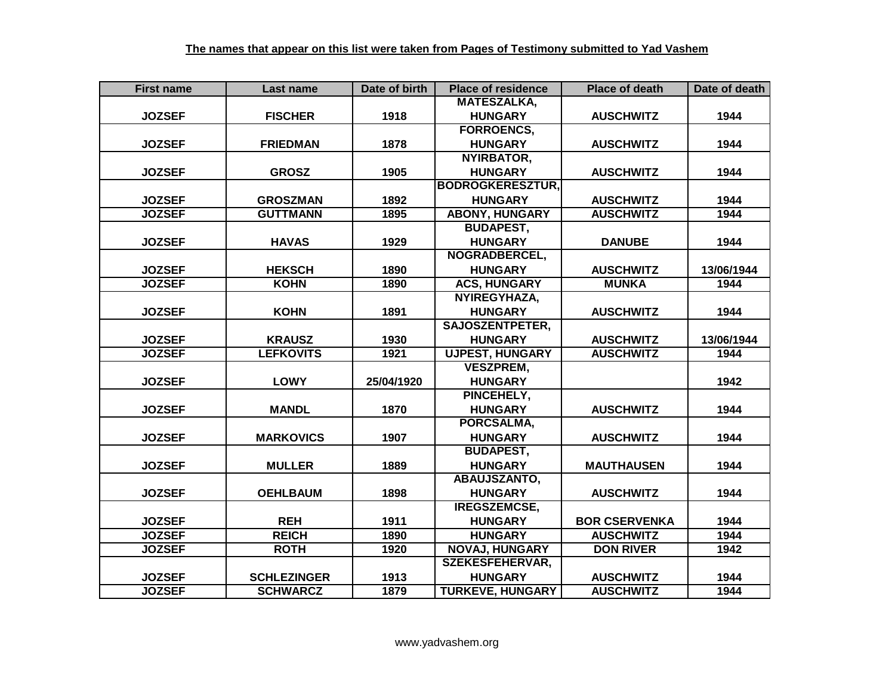| <b>First name</b> | Last name          | Date of birth | <b>Place of residence</b> | <b>Place of death</b> | Date of death |
|-------------------|--------------------|---------------|---------------------------|-----------------------|---------------|
|                   |                    |               | <b>MATESZALKA,</b>        |                       |               |
| <b>JOZSEF</b>     | <b>FISCHER</b>     | 1918          | <b>HUNGARY</b>            | <b>AUSCHWITZ</b>      | 1944          |
|                   |                    |               | <b>FORROENCS,</b>         |                       |               |
| <b>JOZSEF</b>     | <b>FRIEDMAN</b>    | 1878          | <b>HUNGARY</b>            | <b>AUSCHWITZ</b>      | 1944          |
|                   |                    |               | <b>NYIRBATOR,</b>         |                       |               |
| <b>JOZSEF</b>     | <b>GROSZ</b>       | 1905          | <b>HUNGARY</b>            | <b>AUSCHWITZ</b>      | 1944          |
|                   |                    |               | <b>BODROGKERESZTUR,</b>   |                       |               |
| <b>JOZSEF</b>     | <b>GROSZMAN</b>    | 1892          | <b>HUNGARY</b>            | <b>AUSCHWITZ</b>      | 1944          |
| <b>JOZSEF</b>     | <b>GUTTMANN</b>    | 1895          | <b>ABONY, HUNGARY</b>     | <b>AUSCHWITZ</b>      | 1944          |
|                   |                    |               | <b>BUDAPEST,</b>          |                       |               |
| <b>JOZSEF</b>     | <b>HAVAS</b>       | 1929          | <b>HUNGARY</b>            | <b>DANUBE</b>         | 1944          |
|                   |                    |               | NOGRADBERCEL,             |                       |               |
| <b>JOZSEF</b>     | <b>HEKSCH</b>      | 1890          | <b>HUNGARY</b>            | <b>AUSCHWITZ</b>      | 13/06/1944    |
| <b>JOZSEF</b>     | <b>KOHN</b>        | 1890          | <b>ACS, HUNGARY</b>       | <b>MUNKA</b>          | 1944          |
|                   |                    |               | NYIREGYHAZA,              |                       |               |
| <b>JOZSEF</b>     | <b>KOHN</b>        | 1891          | <b>HUNGARY</b>            | <b>AUSCHWITZ</b>      | 1944          |
|                   |                    |               | <b>SAJOSZENTPETER,</b>    |                       |               |
| <b>JOZSEF</b>     | <b>KRAUSZ</b>      | 1930          | <b>HUNGARY</b>            | <b>AUSCHWITZ</b>      | 13/06/1944    |
| <b>JOZSEF</b>     | <b>LEFKOVITS</b>   | 1921          | <b>UJPEST, HUNGARY</b>    | <b>AUSCHWITZ</b>      | 1944          |
|                   |                    |               | <b>VESZPREM,</b>          |                       |               |
| <b>JOZSEF</b>     | <b>LOWY</b>        | 25/04/1920    | <b>HUNGARY</b>            |                       | 1942          |
|                   |                    |               | PINCEHELY,                |                       |               |
| <b>JOZSEF</b>     | <b>MANDL</b>       | 1870          | <b>HUNGARY</b>            | <b>AUSCHWITZ</b>      | 1944          |
|                   |                    |               | PORCSALMA,                |                       |               |
| <b>JOZSEF</b>     | <b>MARKOVICS</b>   | 1907          | <b>HUNGARY</b>            | <b>AUSCHWITZ</b>      | 1944          |
|                   |                    |               | <b>BUDAPEST,</b>          |                       |               |
| <b>JOZSEF</b>     | <b>MULLER</b>      | 1889          | <b>HUNGARY</b>            | <b>MAUTHAUSEN</b>     | 1944          |
|                   |                    |               | <b>ABAUJSZANTO,</b>       |                       |               |
| <b>JOZSEF</b>     | <b>OEHLBAUM</b>    | 1898          | <b>HUNGARY</b>            | <b>AUSCHWITZ</b>      | 1944          |
|                   |                    |               | <b>IREGSZEMCSE,</b>       |                       |               |
| <b>JOZSEF</b>     | <b>REH</b>         | 1911          | <b>HUNGARY</b>            | <b>BOR CSERVENKA</b>  | 1944          |
| <b>JOZSEF</b>     | <b>REICH</b>       | 1890          | <b>HUNGARY</b>            | <b>AUSCHWITZ</b>      | 1944          |
| <b>JOZSEF</b>     | <b>ROTH</b>        | 1920          | <b>NOVAJ, HUNGARY</b>     | <b>DON RIVER</b>      | 1942          |
|                   |                    |               | <b>SZEKESFEHERVAR,</b>    |                       |               |
| <b>JOZSEF</b>     | <b>SCHLEZINGER</b> | 1913          | <b>HUNGARY</b>            | <b>AUSCHWITZ</b>      | 1944          |
| <b>JOZSEF</b>     | <b>SCHWARCZ</b>    | 1879          | <b>TURKEVE, HUNGARY</b>   | <b>AUSCHWITZ</b>      | 1944          |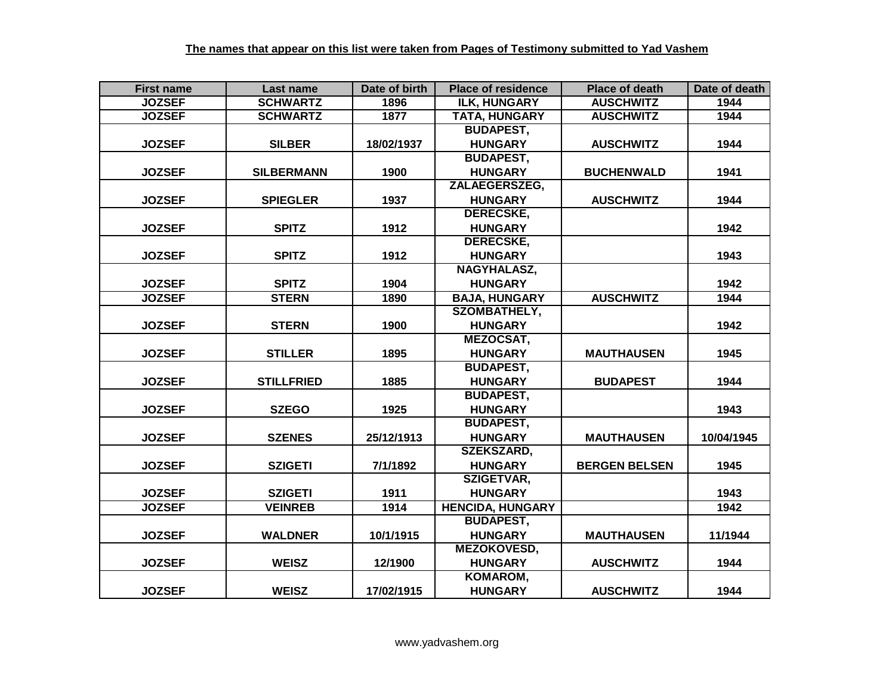| <b>First name</b> | Last name         | Date of birth | <b>Place of residence</b> | <b>Place of death</b> | Date of death |
|-------------------|-------------------|---------------|---------------------------|-----------------------|---------------|
| <b>JOZSEF</b>     | <b>SCHWARTZ</b>   | 1896          | ILK, HUNGARY              | <b>AUSCHWITZ</b>      | 1944          |
| <b>JOZSEF</b>     | <b>SCHWARTZ</b>   | 1877          | <b>TATA, HUNGARY</b>      | <b>AUSCHWITZ</b>      | 1944          |
|                   |                   |               | <b>BUDAPEST,</b>          |                       |               |
| <b>JOZSEF</b>     | <b>SILBER</b>     | 18/02/1937    | <b>HUNGARY</b>            | <b>AUSCHWITZ</b>      | 1944          |
|                   |                   |               | <b>BUDAPEST,</b>          |                       |               |
| <b>JOZSEF</b>     | <b>SILBERMANN</b> | 1900          | <b>HUNGARY</b>            | <b>BUCHENWALD</b>     | 1941          |
|                   |                   |               | <b>ZALAEGERSZEG,</b>      |                       |               |
| <b>JOZSEF</b>     | <b>SPIEGLER</b>   | 1937          | <b>HUNGARY</b>            | <b>AUSCHWITZ</b>      | 1944          |
|                   |                   |               | <b>DERECSKE,</b>          |                       |               |
| <b>JOZSEF</b>     | <b>SPITZ</b>      | 1912          | <b>HUNGARY</b>            |                       | 1942          |
|                   |                   |               | <b>DERECSKE,</b>          |                       |               |
| <b>JOZSEF</b>     | <b>SPITZ</b>      | 1912          | <b>HUNGARY</b>            |                       | 1943          |
|                   |                   |               | NAGYHALASZ,               |                       |               |
| <b>JOZSEF</b>     | <b>SPITZ</b>      | 1904          | <b>HUNGARY</b>            |                       | 1942          |
| <b>JOZSEF</b>     | <b>STERN</b>      | 1890          | <b>BAJA, HUNGARY</b>      | <b>AUSCHWITZ</b>      | 1944          |
|                   |                   |               | <b>SZOMBATHELY,</b>       |                       |               |
| <b>JOZSEF</b>     | <b>STERN</b>      | 1900          | <b>HUNGARY</b>            |                       | 1942          |
|                   |                   |               | <b>MEZOCSAT,</b>          |                       |               |
| <b>JOZSEF</b>     | <b>STILLER</b>    | 1895          | <b>HUNGARY</b>            | <b>MAUTHAUSEN</b>     | 1945          |
|                   |                   |               | <b>BUDAPEST,</b>          |                       |               |
| <b>JOZSEF</b>     | <b>STILLFRIED</b> | 1885          | <b>HUNGARY</b>            | <b>BUDAPEST</b>       | 1944          |
|                   |                   |               | <b>BUDAPEST,</b>          |                       |               |
| <b>JOZSEF</b>     | <b>SZEGO</b>      | 1925          | <b>HUNGARY</b>            |                       | 1943          |
|                   |                   |               | <b>BUDAPEST,</b>          |                       |               |
| <b>JOZSEF</b>     | <b>SZENES</b>     | 25/12/1913    | <b>HUNGARY</b>            | <b>MAUTHAUSEN</b>     | 10/04/1945    |
|                   |                   |               | <b>SZEKSZARD,</b>         |                       |               |
| <b>JOZSEF</b>     | <b>SZIGETI</b>    | 7/1/1892      | <b>HUNGARY</b>            | <b>BERGEN BELSEN</b>  | 1945          |
|                   |                   |               | SZIGETVAR,                |                       |               |
| <b>JOZSEF</b>     | <b>SZIGETI</b>    | 1911          | <b>HUNGARY</b>            |                       | 1943          |
| <b>JOZSEF</b>     | <b>VEINREB</b>    | 1914          | <b>HENCIDA, HUNGARY</b>   |                       | 1942          |
|                   |                   |               | <b>BUDAPEST,</b>          |                       |               |
| <b>JOZSEF</b>     | <b>WALDNER</b>    | 10/1/1915     | <b>HUNGARY</b>            | <b>MAUTHAUSEN</b>     | 11/1944       |
|                   |                   |               | MEZOKOVESD,               |                       |               |
| <b>JOZSEF</b>     | <b>WEISZ</b>      | 12/1900       | <b>HUNGARY</b>            | <b>AUSCHWITZ</b>      | 1944          |
|                   |                   |               | KOMAROM,                  |                       |               |
| <b>JOZSEF</b>     | <b>WEISZ</b>      | 17/02/1915    | <b>HUNGARY</b>            | <b>AUSCHWITZ</b>      | 1944          |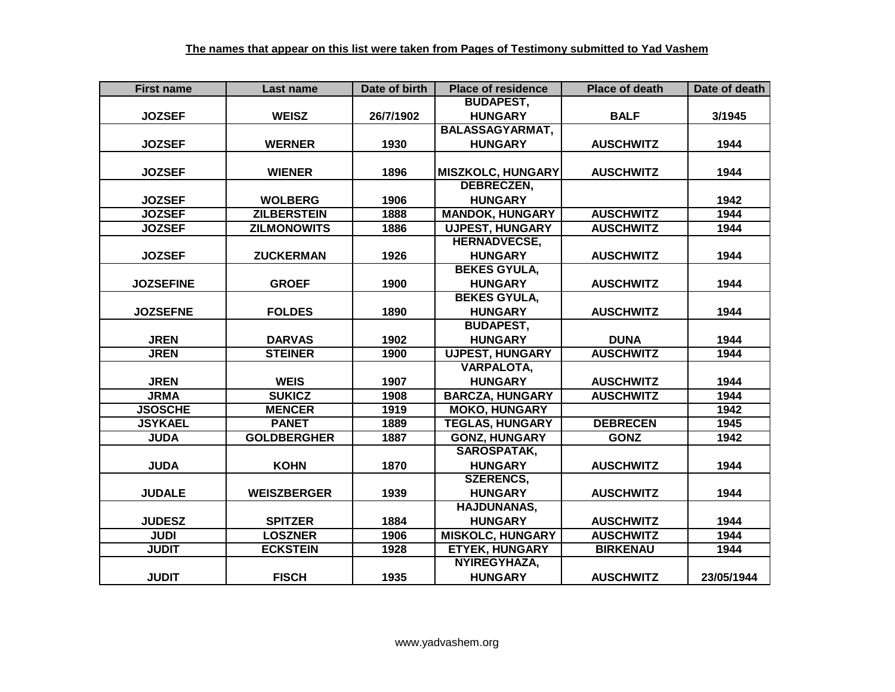| <b>First name</b> | Last name          | Date of birth | <b>Place of residence</b> | <b>Place of death</b> | Date of death |
|-------------------|--------------------|---------------|---------------------------|-----------------------|---------------|
|                   |                    |               | <b>BUDAPEST,</b>          |                       |               |
| <b>JOZSEF</b>     | <b>WEISZ</b>       | 26/7/1902     | <b>HUNGARY</b>            | <b>BALF</b>           | 3/1945        |
|                   |                    |               | <b>BALASSAGYARMAT,</b>    |                       |               |
| <b>JOZSEF</b>     | <b>WERNER</b>      | 1930          | <b>HUNGARY</b>            | <b>AUSCHWITZ</b>      | 1944          |
|                   |                    |               |                           |                       |               |
| <b>JOZSEF</b>     | <b>WIENER</b>      | 1896          | <b>MISZKOLC, HUNGARY</b>  | <b>AUSCHWITZ</b>      | 1944          |
|                   |                    |               | <b>DEBRECZEN,</b>         |                       |               |
| <b>JOZSEF</b>     | <b>WOLBERG</b>     | 1906          | <b>HUNGARY</b>            |                       | 1942          |
| <b>JOZSEF</b>     | <b>ZILBERSTEIN</b> | 1888          | <b>MANDOK, HUNGARY</b>    | <b>AUSCHWITZ</b>      | 1944          |
| <b>JOZSEF</b>     | <b>ZILMONOWITS</b> | 1886          | <b>UJPEST, HUNGARY</b>    | <b>AUSCHWITZ</b>      | 1944          |
|                   |                    |               | <b>HERNADVECSE,</b>       |                       |               |
| <b>JOZSEF</b>     | <b>ZUCKERMAN</b>   | 1926          | <b>HUNGARY</b>            | <b>AUSCHWITZ</b>      | 1944          |
|                   |                    |               | <b>BEKES GYULA,</b>       |                       |               |
| <b>JOZSEFINE</b>  | <b>GROEF</b>       | 1900          | <b>HUNGARY</b>            | <b>AUSCHWITZ</b>      | 1944          |
|                   |                    |               | <b>BEKES GYULA,</b>       |                       |               |
| <b>JOZSEFNE</b>   | <b>FOLDES</b>      | 1890          | <b>HUNGARY</b>            | <b>AUSCHWITZ</b>      | 1944          |
|                   |                    |               | <b>BUDAPEST,</b>          |                       |               |
| <b>JREN</b>       | <b>DARVAS</b>      | 1902          | <b>HUNGARY</b>            | <b>DUNA</b>           | 1944          |
| <b>JREN</b>       | <b>STEINER</b>     | 1900          | <b>UJPEST, HUNGARY</b>    | <b>AUSCHWITZ</b>      | 1944          |
|                   |                    |               | <b>VARPALOTA,</b>         |                       |               |
| <b>JREN</b>       | <b>WEIS</b>        | 1907          | <b>HUNGARY</b>            | <b>AUSCHWITZ</b>      | 1944          |
| <b>JRMA</b>       | <b>SUKICZ</b>      | 1908          | <b>BARCZA, HUNGARY</b>    | <b>AUSCHWITZ</b>      | 1944          |
| <b>JSOSCHE</b>    | <b>MENCER</b>      | 1919          | <b>MOKO, HUNGARY</b>      |                       | 1942          |
| <b>JSYKAEL</b>    | <b>PANET</b>       | 1889          | <b>TEGLAS, HUNGARY</b>    | <b>DEBRECEN</b>       | 1945          |
| <b>JUDA</b>       | <b>GOLDBERGHER</b> | 1887          | <b>GONZ, HUNGARY</b>      | <b>GONZ</b>           | 1942          |
|                   |                    |               | <b>SAROSPATAK,</b>        |                       |               |
| <b>JUDA</b>       | <b>KOHN</b>        | 1870          | <b>HUNGARY</b>            | <b>AUSCHWITZ</b>      | 1944          |
|                   |                    |               | <b>SZERENCS,</b>          |                       |               |
| <b>JUDALE</b>     | <b>WEISZBERGER</b> | 1939          | <b>HUNGARY</b>            | <b>AUSCHWITZ</b>      | 1944          |
|                   |                    |               | <b>HAJDUNANAS,</b>        |                       |               |
| <b>JUDESZ</b>     | <b>SPITZER</b>     | 1884          | <b>HUNGARY</b>            | <b>AUSCHWITZ</b>      | 1944          |
| <b>JUDI</b>       | <b>LOSZNER</b>     | 1906          | <b>MISKOLC, HUNGARY</b>   | <b>AUSCHWITZ</b>      | 1944          |
| <b>JUDIT</b>      | <b>ECKSTEIN</b>    | 1928          | <b>ETYEK, HUNGARY</b>     | <b>BIRKENAU</b>       | 1944          |
|                   |                    |               | NYIREGYHAZA,              |                       |               |
| <b>JUDIT</b>      | <b>FISCH</b>       | 1935          | <b>HUNGARY</b>            | <b>AUSCHWITZ</b>      | 23/05/1944    |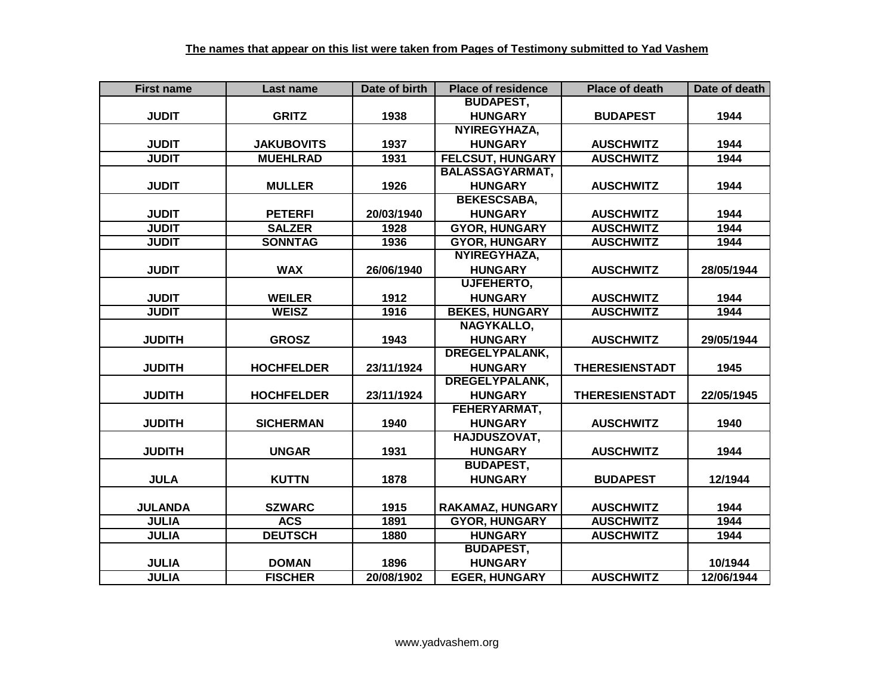| <b>First name</b> | Last name         | Date of birth | <b>Place of residence</b> | <b>Place of death</b> | Date of death |
|-------------------|-------------------|---------------|---------------------------|-----------------------|---------------|
|                   |                   |               | <b>BUDAPEST,</b>          |                       |               |
| <b>JUDIT</b>      | <b>GRITZ</b>      | 1938          | <b>HUNGARY</b>            | <b>BUDAPEST</b>       | 1944          |
|                   |                   |               | NYIREGYHAZA,              |                       |               |
| <b>JUDIT</b>      | <b>JAKUBOVITS</b> | 1937          | <b>HUNGARY</b>            | <b>AUSCHWITZ</b>      | 1944          |
| <b>JUDIT</b>      | <b>MUEHLRAD</b>   | 1931          | <b>FELCSUT, HUNGARY</b>   | <b>AUSCHWITZ</b>      | 1944          |
|                   |                   |               | <b>BALASSAGYARMAT,</b>    |                       |               |
| <b>JUDIT</b>      | <b>MULLER</b>     | 1926          | <b>HUNGARY</b>            | <b>AUSCHWITZ</b>      | 1944          |
|                   |                   |               | <b>BEKESCSABA,</b>        |                       |               |
| <b>JUDIT</b>      | <b>PETERFI</b>    | 20/03/1940    | <b>HUNGARY</b>            | <b>AUSCHWITZ</b>      | 1944          |
| <b>JUDIT</b>      | <b>SALZER</b>     | 1928          | <b>GYOR, HUNGARY</b>      | <b>AUSCHWITZ</b>      | 1944          |
| <b>JUDIT</b>      | <b>SONNTAG</b>    | 1936          | <b>GYOR, HUNGARY</b>      | <b>AUSCHWITZ</b>      | 1944          |
|                   |                   |               | NYIREGYHAZA,              |                       |               |
| <b>JUDIT</b>      | <b>WAX</b>        | 26/06/1940    | <b>HUNGARY</b>            | <b>AUSCHWITZ</b>      | 28/05/1944    |
|                   |                   |               | UJFEHERTO,                |                       |               |
| <b>JUDIT</b>      | <b>WEILER</b>     | 1912          | <b>HUNGARY</b>            | <b>AUSCHWITZ</b>      | 1944          |
| <b>JUDIT</b>      | <b>WEISZ</b>      | 1916          | <b>BEKES, HUNGARY</b>     | <b>AUSCHWITZ</b>      | 1944          |
|                   |                   |               | NAGYKALLO,                |                       |               |
| <b>JUDITH</b>     | <b>GROSZ</b>      | 1943          | <b>HUNGARY</b>            | <b>AUSCHWITZ</b>      | 29/05/1944    |
|                   |                   |               | <b>DREGELYPALANK,</b>     |                       |               |
| <b>JUDITH</b>     | <b>HOCHFELDER</b> | 23/11/1924    | <b>HUNGARY</b>            | <b>THERESIENSTADT</b> | 1945          |
|                   |                   |               | <b>DREGELYPALANK,</b>     |                       |               |
| <b>JUDITH</b>     | <b>HOCHFELDER</b> | 23/11/1924    | <b>HUNGARY</b>            | <b>THERESIENSTADT</b> | 22/05/1945    |
|                   |                   |               | FEHERYARMAT,              |                       |               |
| <b>JUDITH</b>     | <b>SICHERMAN</b>  | 1940          | <b>HUNGARY</b>            | <b>AUSCHWITZ</b>      | 1940          |
|                   |                   |               | <b>HAJDUSZOVAT,</b>       |                       |               |
| <b>JUDITH</b>     | <b>UNGAR</b>      | 1931          | <b>HUNGARY</b>            | <b>AUSCHWITZ</b>      | 1944          |
|                   |                   |               | <b>BUDAPEST,</b>          |                       |               |
| <b>JULA</b>       | <b>KUTTN</b>      | 1878          | <b>HUNGARY</b>            | <b>BUDAPEST</b>       | 12/1944       |
|                   |                   |               |                           |                       |               |
| <b>JULANDA</b>    | <b>SZWARC</b>     | 1915          | RAKAMAZ, HUNGARY          | <b>AUSCHWITZ</b>      | 1944          |
| <b>JULIA</b>      | <b>ACS</b>        | 1891          | <b>GYOR, HUNGARY</b>      | <b>AUSCHWITZ</b>      | 1944          |
| <b>JULIA</b>      | <b>DEUTSCH</b>    | 1880          | <b>HUNGARY</b>            | <b>AUSCHWITZ</b>      | 1944          |
|                   |                   |               | <b>BUDAPEST,</b>          |                       |               |
| <b>JULIA</b>      | <b>DOMAN</b>      | 1896          | <b>HUNGARY</b>            |                       | 10/1944       |
| <b>JULIA</b>      | <b>FISCHER</b>    | 20/08/1902    | <b>EGER, HUNGARY</b>      | <b>AUSCHWITZ</b>      | 12/06/1944    |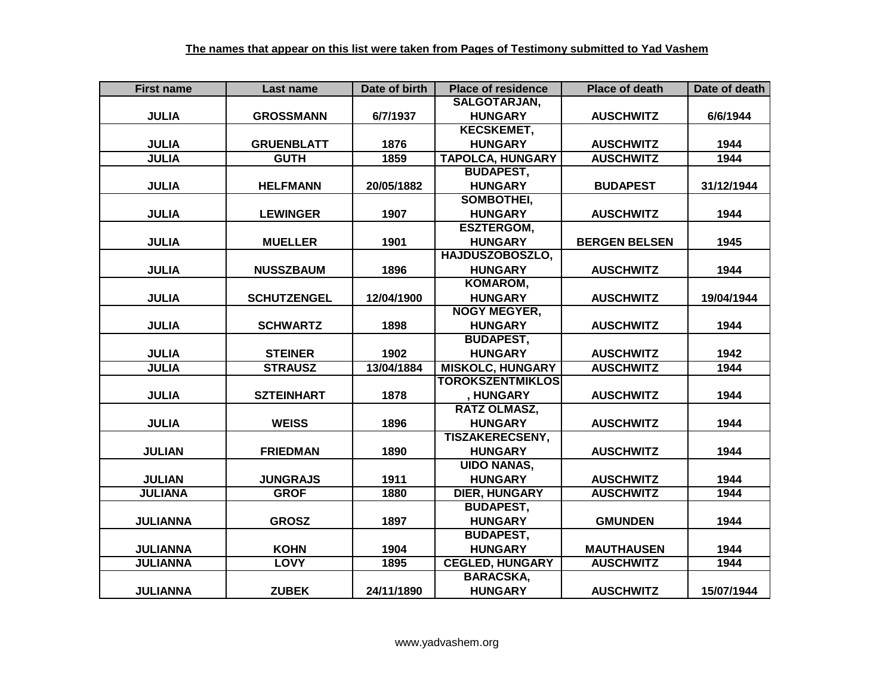| <b>First name</b> | Last name          | Date of birth | <b>Place of residence</b> | <b>Place of death</b> | Date of death |
|-------------------|--------------------|---------------|---------------------------|-----------------------|---------------|
|                   |                    |               | SALGOTARJAN,              |                       |               |
| <b>JULIA</b>      | <b>GROSSMANN</b>   | 6/7/1937      | <b>HUNGARY</b>            | <b>AUSCHWITZ</b>      | 6/6/1944      |
|                   |                    |               | <b>KECSKEMET,</b>         |                       |               |
| <b>JULIA</b>      | <b>GRUENBLATT</b>  | 1876          | <b>HUNGARY</b>            | <b>AUSCHWITZ</b>      | 1944          |
| <b>JULIA</b>      | <b>GUTH</b>        | 1859          | <b>TAPOLCA, HUNGARY</b>   | <b>AUSCHWITZ</b>      | 1944          |
|                   |                    |               | <b>BUDAPEST,</b>          |                       |               |
| <b>JULIA</b>      | <b>HELFMANN</b>    | 20/05/1882    | <b>HUNGARY</b>            | <b>BUDAPEST</b>       | 31/12/1944    |
|                   |                    |               | SOMBOTHEI,                |                       |               |
| <b>JULIA</b>      | <b>LEWINGER</b>    | 1907          | <b>HUNGARY</b>            | <b>AUSCHWITZ</b>      | 1944          |
|                   |                    |               | <b>ESZTERGOM,</b>         |                       |               |
| <b>JULIA</b>      | <b>MUELLER</b>     | 1901          | <b>HUNGARY</b>            | <b>BERGEN BELSEN</b>  | 1945          |
|                   |                    |               | <b>HAJDUSZOBOSZLO,</b>    |                       |               |
| <b>JULIA</b>      | <b>NUSSZBAUM</b>   | 1896          | <b>HUNGARY</b>            | <b>AUSCHWITZ</b>      | 1944          |
|                   |                    |               | KOMAROM,                  |                       |               |
| <b>JULIA</b>      | <b>SCHUTZENGEL</b> | 12/04/1900    | <b>HUNGARY</b>            | <b>AUSCHWITZ</b>      | 19/04/1944    |
|                   |                    |               | <b>NOGY MEGYER,</b>       |                       |               |
| <b>JULIA</b>      | <b>SCHWARTZ</b>    | 1898          | <b>HUNGARY</b>            | <b>AUSCHWITZ</b>      | 1944          |
|                   |                    |               | <b>BUDAPEST,</b>          |                       |               |
| <b>JULIA</b>      | <b>STEINER</b>     | 1902          | <b>HUNGARY</b>            | <b>AUSCHWITZ</b>      | 1942          |
| <b>JULIA</b>      | <b>STRAUSZ</b>     | 13/04/1884    | <b>MISKOLC, HUNGARY</b>   | <b>AUSCHWITZ</b>      | 1944          |
|                   |                    |               | <b>TOROKSZENTMIKLOS</b>   |                       |               |
| <b>JULIA</b>      | <b>SZTEINHART</b>  | 1878          | , HUNGARY                 | <b>AUSCHWITZ</b>      | 1944          |
|                   |                    |               | <b>RATZ OLMASZ,</b>       |                       |               |
| <b>JULIA</b>      | <b>WEISS</b>       | 1896          | <b>HUNGARY</b>            | <b>AUSCHWITZ</b>      | 1944          |
|                   |                    |               | <b>TISZAKERECSENY,</b>    |                       |               |
| <b>JULIAN</b>     | <b>FRIEDMAN</b>    | 1890          | <b>HUNGARY</b>            | <b>AUSCHWITZ</b>      | 1944          |
|                   |                    |               | <b>UIDO NANAS,</b>        |                       |               |
| <b>JULIAN</b>     | <b>JUNGRAJS</b>    | 1911          | <b>HUNGARY</b>            | <b>AUSCHWITZ</b>      | 1944          |
| <b>JULIANA</b>    | <b>GROF</b>        | 1880          | <b>DIER, HUNGARY</b>      | <b>AUSCHWITZ</b>      | 1944          |
|                   |                    |               | <b>BUDAPEST,</b>          |                       |               |
| <b>JULIANNA</b>   | <b>GROSZ</b>       | 1897          | <b>HUNGARY</b>            | <b>GMUNDEN</b>        | 1944          |
|                   |                    |               | <b>BUDAPEST,</b>          |                       |               |
| <b>JULIANNA</b>   | <b>KOHN</b>        | 1904          | <b>HUNGARY</b>            | <b>MAUTHAUSEN</b>     | 1944          |
| <b>JULIANNA</b>   | <b>LOVY</b>        | 1895          | <b>CEGLED, HUNGARY</b>    | <b>AUSCHWITZ</b>      | 1944          |
|                   |                    |               | <b>BARACSKA,</b>          |                       |               |
| <b>JULIANNA</b>   | <b>ZUBEK</b>       | 24/11/1890    | <b>HUNGARY</b>            | <b>AUSCHWITZ</b>      | 15/07/1944    |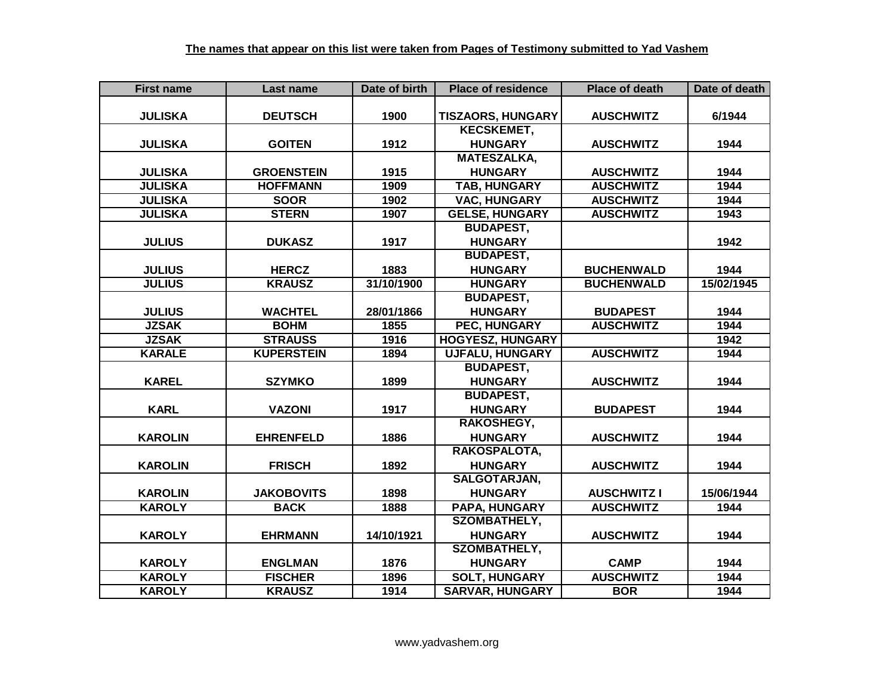| <b>First name</b> | Last name         | Date of birth | <b>Place of residence</b> | <b>Place of death</b> | Date of death |
|-------------------|-------------------|---------------|---------------------------|-----------------------|---------------|
|                   |                   |               |                           |                       |               |
| <b>JULISKA</b>    | <b>DEUTSCH</b>    | 1900          | <b>TISZAORS, HUNGARY</b>  | <b>AUSCHWITZ</b>      | 6/1944        |
|                   |                   |               | <b>KECSKEMET,</b>         |                       |               |
| <b>JULISKA</b>    | <b>GOITEN</b>     | 1912          | <b>HUNGARY</b>            | <b>AUSCHWITZ</b>      | 1944          |
|                   |                   |               | <b>MATESZALKA,</b>        |                       |               |
| <b>JULISKA</b>    | <b>GROENSTEIN</b> | 1915          | <b>HUNGARY</b>            | <b>AUSCHWITZ</b>      | 1944          |
| <b>JULISKA</b>    | <b>HOFFMANN</b>   | 1909          | <b>TAB, HUNGARY</b>       | <b>AUSCHWITZ</b>      | 1944          |
| <b>JULISKA</b>    | <b>SOOR</b>       | 1902          | <b>VAC, HUNGARY</b>       | <b>AUSCHWITZ</b>      | 1944          |
| <b>JULISKA</b>    | <b>STERN</b>      | 1907          | <b>GELSE, HUNGARY</b>     | <b>AUSCHWITZ</b>      | 1943          |
|                   |                   |               | <b>BUDAPEST,</b>          |                       |               |
| <b>JULIUS</b>     | <b>DUKASZ</b>     | 1917          | <b>HUNGARY</b>            |                       | 1942          |
|                   |                   |               | <b>BUDAPEST,</b>          |                       |               |
| <b>JULIUS</b>     | <b>HERCZ</b>      | 1883          | <b>HUNGARY</b>            | <b>BUCHENWALD</b>     | 1944          |
| <b>JULIUS</b>     | <b>KRAUSZ</b>     | 31/10/1900    | <b>HUNGARY</b>            | <b>BUCHENWALD</b>     | 15/02/1945    |
|                   |                   |               | <b>BUDAPEST,</b>          |                       |               |
| <b>JULIUS</b>     | <b>WACHTEL</b>    | 28/01/1866    | <b>HUNGARY</b>            | <b>BUDAPEST</b>       | 1944          |
| <b>JZSAK</b>      | <b>BOHM</b>       | 1855          | <b>PEC, HUNGARY</b>       | <b>AUSCHWITZ</b>      | 1944          |
| <b>JZSAK</b>      | <b>STRAUSS</b>    | 1916          | <b>HOGYESZ, HUNGARY</b>   |                       | 1942          |
| <b>KARALE</b>     | <b>KUPERSTEIN</b> | 1894          | <b>UJFALU, HUNGARY</b>    | <b>AUSCHWITZ</b>      | 1944          |
|                   |                   |               | <b>BUDAPEST,</b>          |                       |               |
| <b>KAREL</b>      | <b>SZYMKO</b>     | 1899          | <b>HUNGARY</b>            | <b>AUSCHWITZ</b>      | 1944          |
|                   |                   |               | <b>BUDAPEST,</b>          |                       |               |
| <b>KARL</b>       | <b>VAZONI</b>     | 1917          | <b>HUNGARY</b>            | <b>BUDAPEST</b>       | 1944          |
|                   |                   |               | <b>RAKOSHEGY,</b>         |                       |               |
| <b>KAROLIN</b>    | <b>EHRENFELD</b>  | 1886          | <b>HUNGARY</b>            | <b>AUSCHWITZ</b>      | 1944          |
|                   |                   |               | RAKOSPALOTA,              |                       |               |
| <b>KAROLIN</b>    | <b>FRISCH</b>     | 1892          | <b>HUNGARY</b>            | <b>AUSCHWITZ</b>      | 1944          |
|                   |                   |               | SALGOTARJAN,              |                       |               |
| <b>KAROLIN</b>    | <b>JAKOBOVITS</b> | 1898          | <b>HUNGARY</b>            | <b>AUSCHWITZ I</b>    | 15/06/1944    |
| <b>KAROLY</b>     | <b>BACK</b>       | 1888          | <b>PAPA, HUNGARY</b>      | <b>AUSCHWITZ</b>      | 1944          |
|                   |                   |               | <b>SZOMBATHELY,</b>       |                       |               |
| <b>KAROLY</b>     | <b>EHRMANN</b>    | 14/10/1921    | <b>HUNGARY</b>            | <b>AUSCHWITZ</b>      | 1944          |
|                   |                   |               | <b>SZOMBATHELY,</b>       |                       |               |
| <b>KAROLY</b>     | <b>ENGLMAN</b>    | 1876          | <b>HUNGARY</b>            | <b>CAMP</b>           | 1944          |
| <b>KAROLY</b>     | <b>FISCHER</b>    | 1896          | <b>SOLT, HUNGARY</b>      | <b>AUSCHWITZ</b>      | 1944          |
| <b>KAROLY</b>     | <b>KRAUSZ</b>     | 1914          | <b>SARVAR, HUNGARY</b>    | <b>BOR</b>            | 1944          |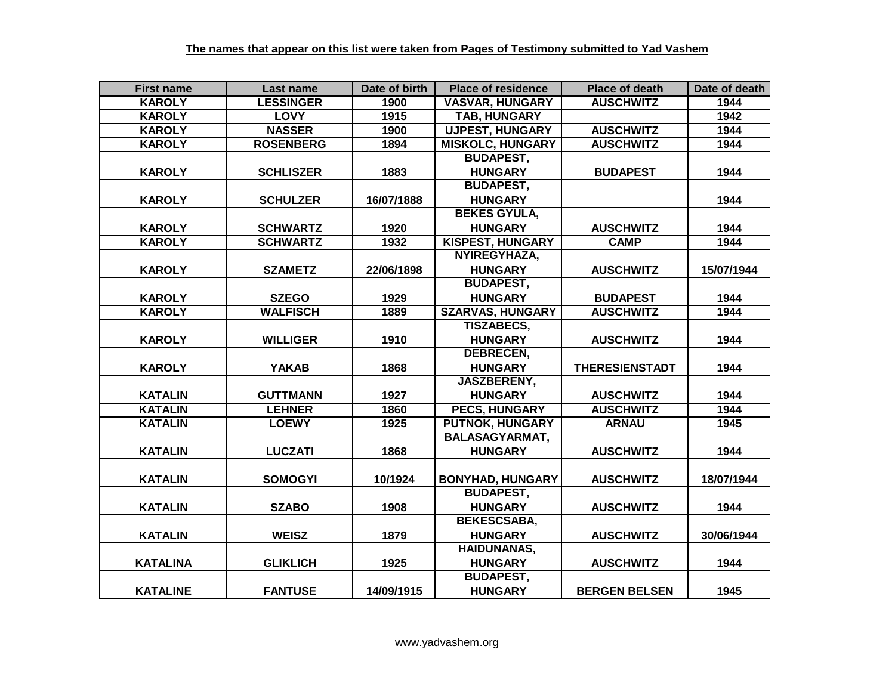| <b>First name</b> | Last name        | Date of birth | <b>Place of residence</b> | <b>Place of death</b> | Date of death |
|-------------------|------------------|---------------|---------------------------|-----------------------|---------------|
| <b>KAROLY</b>     | <b>LESSINGER</b> | 1900          | <b>VASVAR, HUNGARY</b>    | <b>AUSCHWITZ</b>      | 1944          |
| <b>KAROLY</b>     | <b>LOVY</b>      | 1915          | <b>TAB, HUNGARY</b>       |                       | 1942          |
| <b>KAROLY</b>     | <b>NASSER</b>    | 1900          | <b>UJPEST, HUNGARY</b>    | <b>AUSCHWITZ</b>      | 1944          |
| <b>KAROLY</b>     | <b>ROSENBERG</b> | 1894          | <b>MISKOLC, HUNGARY</b>   | <b>AUSCHWITZ</b>      | 1944          |
|                   |                  |               | <b>BUDAPEST,</b>          |                       |               |
| <b>KAROLY</b>     | <b>SCHLISZER</b> | 1883          | <b>HUNGARY</b>            | <b>BUDAPEST</b>       | 1944          |
|                   |                  |               | <b>BUDAPEST,</b>          |                       |               |
| <b>KAROLY</b>     | <b>SCHULZER</b>  | 16/07/1888    | <b>HUNGARY</b>            |                       | 1944          |
|                   |                  |               | <b>BEKES GYULA,</b>       |                       |               |
| <b>KAROLY</b>     | <b>SCHWARTZ</b>  | 1920          | <b>HUNGARY</b>            | <b>AUSCHWITZ</b>      | 1944          |
| <b>KAROLY</b>     | <b>SCHWARTZ</b>  | 1932          | <b>KISPEST, HUNGARY</b>   | <b>CAMP</b>           | 1944          |
|                   |                  |               | NYIREGYHAZA,              |                       |               |
| <b>KAROLY</b>     | <b>SZAMETZ</b>   | 22/06/1898    | <b>HUNGARY</b>            | <b>AUSCHWITZ</b>      | 15/07/1944    |
|                   |                  |               | <b>BUDAPEST,</b>          |                       |               |
| <b>KAROLY</b>     | <b>SZEGO</b>     | 1929          | <b>HUNGARY</b>            | <b>BUDAPEST</b>       | 1944          |
| <b>KAROLY</b>     | <b>WALFISCH</b>  | 1889          | <b>SZARVAS, HUNGARY</b>   | <b>AUSCHWITZ</b>      | 1944          |
|                   |                  |               | <b>TISZABECS,</b>         |                       |               |
| <b>KAROLY</b>     | <b>WILLIGER</b>  | 1910          | <b>HUNGARY</b>            | <b>AUSCHWITZ</b>      | 1944          |
|                   |                  |               | <b>DEBRECEN,</b>          |                       |               |
| <b>KAROLY</b>     | <b>YAKAB</b>     | 1868          | <b>HUNGARY</b>            | <b>THERESIENSTADT</b> | 1944          |
|                   |                  |               | <b>JASZBERENY,</b>        |                       |               |
| <b>KATALIN</b>    | <b>GUTTMANN</b>  | 1927          | <b>HUNGARY</b>            | <b>AUSCHWITZ</b>      | 1944          |
| <b>KATALIN</b>    | <b>LEHNER</b>    | 1860          | <b>PECS, HUNGARY</b>      | <b>AUSCHWITZ</b>      | 1944          |
| <b>KATALIN</b>    | <b>LOEWY</b>     | 1925          | <b>PUTNOK, HUNGARY</b>    | <b>ARNAU</b>          | 1945          |
|                   |                  |               | <b>BALASAGYARMAT,</b>     |                       |               |
| <b>KATALIN</b>    | <b>LUCZATI</b>   | 1868          | <b>HUNGARY</b>            | <b>AUSCHWITZ</b>      | 1944          |
|                   |                  |               |                           |                       |               |
| <b>KATALIN</b>    | <b>SOMOGYI</b>   | 10/1924       | <b>BONYHAD, HUNGARY</b>   | <b>AUSCHWITZ</b>      | 18/07/1944    |
|                   |                  |               | <b>BUDAPEST,</b>          |                       |               |
| <b>KATALIN</b>    | <b>SZABO</b>     | 1908          | <b>HUNGARY</b>            | <b>AUSCHWITZ</b>      | 1944          |
|                   |                  |               | <b>BEKESCSABA,</b>        |                       |               |
| <b>KATALIN</b>    | <b>WEISZ</b>     | 1879          | <b>HUNGARY</b>            | <b>AUSCHWITZ</b>      | 30/06/1944    |
|                   |                  |               | <b>HAIDUNANAS,</b>        |                       |               |
| <b>KATALINA</b>   | <b>GLIKLICH</b>  | 1925          | <b>HUNGARY</b>            | <b>AUSCHWITZ</b>      | 1944          |
|                   |                  |               | <b>BUDAPEST,</b>          |                       |               |
| <b>KATALINE</b>   | <b>FANTUSE</b>   | 14/09/1915    | <b>HUNGARY</b>            | <b>BERGEN BELSEN</b>  | 1945          |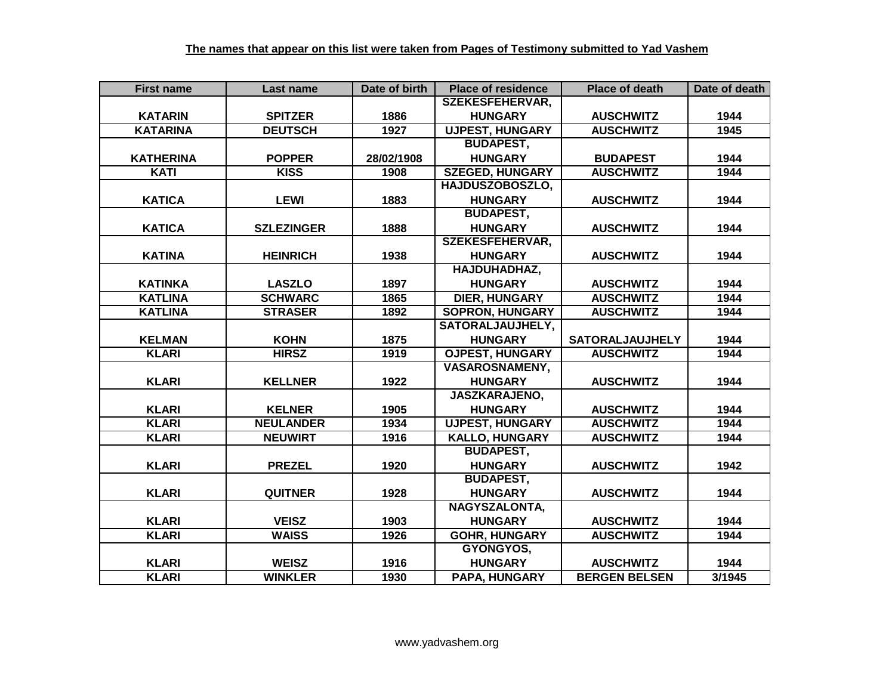| <b>First name</b> | Last name         | Date of birth | <b>Place of residence</b> | <b>Place of death</b>  | Date of death |
|-------------------|-------------------|---------------|---------------------------|------------------------|---------------|
|                   |                   |               | <b>SZEKESFEHERVAR,</b>    |                        |               |
| <b>KATARIN</b>    | <b>SPITZER</b>    | 1886          | <b>HUNGARY</b>            | <b>AUSCHWITZ</b>       | 1944          |
| <b>KATARINA</b>   | <b>DEUTSCH</b>    | 1927          | <b>UJPEST, HUNGARY</b>    | <b>AUSCHWITZ</b>       | 1945          |
|                   |                   |               | <b>BUDAPEST,</b>          |                        |               |
| <b>KATHERINA</b>  | <b>POPPER</b>     | 28/02/1908    | <b>HUNGARY</b>            | <b>BUDAPEST</b>        | 1944          |
| <b>KATI</b>       | <b>KISS</b>       | 1908          | <b>SZEGED, HUNGARY</b>    | <b>AUSCHWITZ</b>       | 1944          |
|                   |                   |               | <b>HAJDUSZOBOSZLO,</b>    |                        |               |
| <b>KATICA</b>     | <b>LEWI</b>       | 1883          | <b>HUNGARY</b>            | <b>AUSCHWITZ</b>       | 1944          |
|                   |                   |               | <b>BUDAPEST,</b>          |                        |               |
| <b>KATICA</b>     | <b>SZLEZINGER</b> | 1888          | <b>HUNGARY</b>            | <b>AUSCHWITZ</b>       | 1944          |
|                   |                   |               | <b>SZEKESFEHERVAR,</b>    |                        |               |
| <b>KATINA</b>     | <b>HEINRICH</b>   | 1938          | <b>HUNGARY</b>            | <b>AUSCHWITZ</b>       | 1944          |
|                   |                   |               | HAJDUHADHAZ,              |                        |               |
| <b>KATINKA</b>    | <b>LASZLO</b>     | 1897          | <b>HUNGARY</b>            | <b>AUSCHWITZ</b>       | 1944          |
| <b>KATLINA</b>    | <b>SCHWARC</b>    | 1865          | <b>DIER, HUNGARY</b>      | <b>AUSCHWITZ</b>       | 1944          |
| <b>KATLINA</b>    | <b>STRASER</b>    | 1892          | <b>SOPRON, HUNGARY</b>    | <b>AUSCHWITZ</b>       | 1944          |
|                   |                   |               | SATORALJAUJHELY,          |                        |               |
| <b>KELMAN</b>     | <b>KOHN</b>       | 1875          | <b>HUNGARY</b>            | <b>SATORALJAUJHELY</b> | 1944          |
| <b>KLARI</b>      | <b>HIRSZ</b>      | 1919          | <b>OJPEST, HUNGARY</b>    | <b>AUSCHWITZ</b>       | 1944          |
|                   |                   |               |                           |                        |               |
|                   |                   |               | <b>VASAROSNAMENY,</b>     |                        |               |
| <b>KLARI</b>      | <b>KELLNER</b>    | 1922          | <b>HUNGARY</b>            | <b>AUSCHWITZ</b>       | 1944          |
|                   |                   |               | <b>JASZKARAJENO,</b>      |                        |               |
| <b>KLARI</b>      | <b>KELNER</b>     | 1905          | <b>HUNGARY</b>            | <b>AUSCHWITZ</b>       | 1944          |
| <b>KLARI</b>      | <b>NEULANDER</b>  | 1934          | <b>UJPEST, HUNGARY</b>    | <b>AUSCHWITZ</b>       | 1944          |
| <b>KLARI</b>      | <b>NEUWIRT</b>    | 1916          | <b>KALLO, HUNGARY</b>     | <b>AUSCHWITZ</b>       | 1944          |
|                   |                   |               | <b>BUDAPEST,</b>          |                        |               |
| <b>KLARI</b>      | <b>PREZEL</b>     | 1920          | <b>HUNGARY</b>            | <b>AUSCHWITZ</b>       | 1942          |
|                   |                   |               | <b>BUDAPEST,</b>          |                        |               |
| <b>KLARI</b>      | <b>QUITNER</b>    | 1928          | <b>HUNGARY</b>            | <b>AUSCHWITZ</b>       | 1944          |
|                   |                   |               | NAGYSZALONTA,             |                        |               |
| <b>KLARI</b>      | <b>VEISZ</b>      | 1903          | <b>HUNGARY</b>            | <b>AUSCHWITZ</b>       | 1944          |
| <b>KLARI</b>      | <b>WAISS</b>      | 1926          | <b>GOHR, HUNGARY</b>      | <b>AUSCHWITZ</b>       | 1944          |
|                   |                   |               | GYONGYOS,                 |                        |               |
| <b>KLARI</b>      | <b>WEISZ</b>      | 1916          | <b>HUNGARY</b>            | <b>AUSCHWITZ</b>       | 1944          |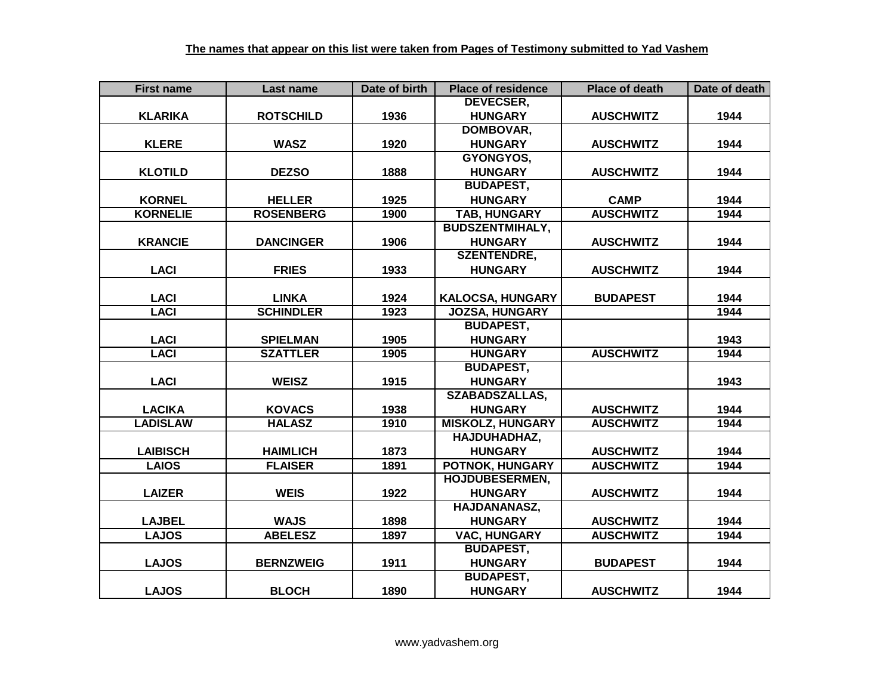| <b>First name</b> | Last name        | Date of birth | <b>Place of residence</b> | <b>Place of death</b> | Date of death |
|-------------------|------------------|---------------|---------------------------|-----------------------|---------------|
|                   |                  |               | <b>DEVECSER,</b>          |                       |               |
| <b>KLARIKA</b>    | <b>ROTSCHILD</b> | 1936          | <b>HUNGARY</b>            | <b>AUSCHWITZ</b>      | 1944          |
|                   |                  |               | DOMBOVAR,                 |                       |               |
| <b>KLERE</b>      | <b>WASZ</b>      | 1920          | <b>HUNGARY</b>            | <b>AUSCHWITZ</b>      | 1944          |
|                   |                  |               | GYONGYOS,                 |                       |               |
| <b>KLOTILD</b>    | <b>DEZSO</b>     | 1888          | <b>HUNGARY</b>            | <b>AUSCHWITZ</b>      | 1944          |
|                   |                  |               | <b>BUDAPEST,</b>          |                       |               |
| <b>KORNEL</b>     | <b>HELLER</b>    | 1925          | <b>HUNGARY</b>            | <b>CAMP</b>           | 1944          |
| <b>KORNELIE</b>   | <b>ROSENBERG</b> | 1900          | TAB, HUNGARY              | <b>AUSCHWITZ</b>      | 1944          |
|                   |                  |               | <b>BUDSZENTMIHALY,</b>    |                       |               |
| <b>KRANCIE</b>    | <b>DANCINGER</b> | 1906          | <b>HUNGARY</b>            | <b>AUSCHWITZ</b>      | 1944          |
|                   |                  |               | <b>SZENTENDRE,</b>        |                       |               |
| <b>LACI</b>       | <b>FRIES</b>     | 1933          | <b>HUNGARY</b>            | <b>AUSCHWITZ</b>      | 1944          |
|                   |                  |               |                           |                       |               |
| <b>LACI</b>       | <b>LINKA</b>     | 1924          | <b>KALOCSA, HUNGARY</b>   | <b>BUDAPEST</b>       | 1944          |
| <b>LACI</b>       | <b>SCHINDLER</b> | 1923          | <b>JOZSA, HUNGARY</b>     |                       | 1944          |
|                   |                  |               | <b>BUDAPEST,</b>          |                       |               |
| <b>LACI</b>       | <b>SPIELMAN</b>  | 1905          | <b>HUNGARY</b>            |                       | 1943          |
| <b>LACI</b>       | <b>SZATTLER</b>  | 1905          | <b>HUNGARY</b>            | <b>AUSCHWITZ</b>      | 1944          |
|                   |                  |               | <b>BUDAPEST,</b>          |                       |               |
| <b>LACI</b>       | <b>WEISZ</b>     | 1915          | <b>HUNGARY</b>            |                       | 1943          |
|                   |                  |               | <b>SZABADSZALLAS,</b>     |                       |               |
| <b>LACIKA</b>     | <b>KOVACS</b>    | 1938          | <b>HUNGARY</b>            | <b>AUSCHWITZ</b>      | 1944          |
| <b>LADISLAW</b>   | <b>HALASZ</b>    | 1910          | <b>MISKOLZ, HUNGARY</b>   | <b>AUSCHWITZ</b>      | 1944          |
|                   |                  |               | HAJDUHADHAZ,              |                       |               |
| <b>LAIBISCH</b>   | <b>HAIMLICH</b>  | 1873          | <b>HUNGARY</b>            | <b>AUSCHWITZ</b>      | 1944          |
| <b>LAIOS</b>      | <b>FLAISER</b>   | 1891          | <b>POTNOK, HUNGARY</b>    | <b>AUSCHWITZ</b>      | 1944          |
|                   |                  |               | <b>HOJDUBESERMEN,</b>     |                       |               |
| <b>LAIZER</b>     | <b>WEIS</b>      | 1922          | <b>HUNGARY</b>            | <b>AUSCHWITZ</b>      | 1944          |
|                   |                  |               | HAJDANANASZ,              |                       |               |
| <b>LAJBEL</b>     | <b>WAJS</b>      | 1898          | <b>HUNGARY</b>            | <b>AUSCHWITZ</b>      | 1944          |
| <b>LAJOS</b>      | <b>ABELESZ</b>   | 1897          | <b>VAC, HUNGARY</b>       | <b>AUSCHWITZ</b>      | 1944          |
|                   |                  |               | <b>BUDAPEST,</b>          |                       |               |
| <b>LAJOS</b>      | <b>BERNZWEIG</b> | 1911          | <b>HUNGARY</b>            | <b>BUDAPEST</b>       | 1944          |
|                   |                  |               | <b>BUDAPEST,</b>          |                       |               |
| <b>LAJOS</b>      | <b>BLOCH</b>     | 1890          | <b>HUNGARY</b>            | <b>AUSCHWITZ</b>      | 1944          |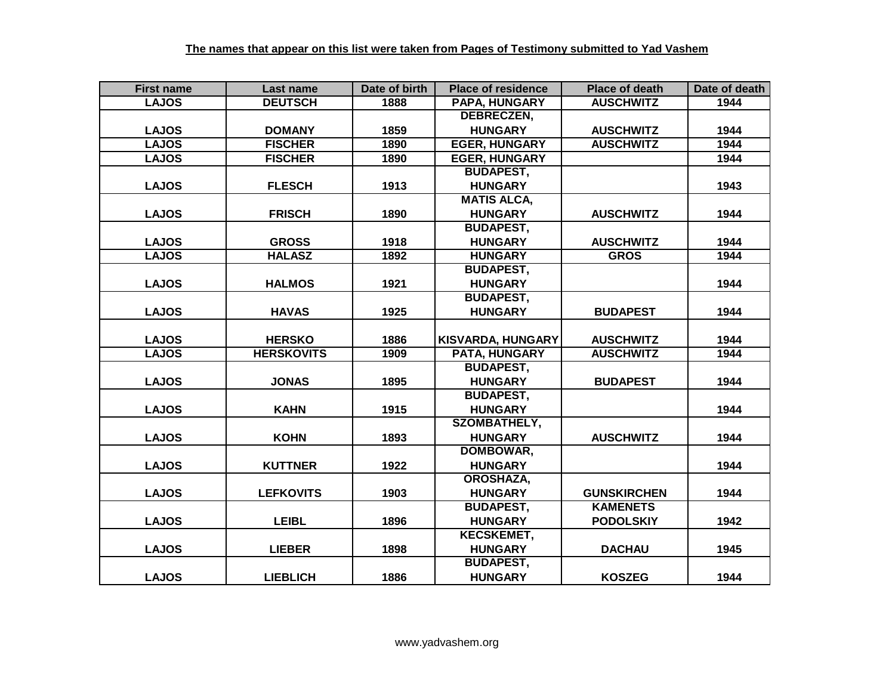| <b>First name</b> | Last name         | Date of birth | <b>Place of residence</b> | <b>Place of death</b> | Date of death |
|-------------------|-------------------|---------------|---------------------------|-----------------------|---------------|
| <b>LAJOS</b>      | <b>DEUTSCH</b>    | 1888          | PAPA, HUNGARY             | <b>AUSCHWITZ</b>      | 1944          |
|                   |                   |               | <b>DEBRECZEN,</b>         |                       |               |
| <b>LAJOS</b>      | <b>DOMANY</b>     | 1859          | <b>HUNGARY</b>            | <b>AUSCHWITZ</b>      | 1944          |
| <b>LAJOS</b>      | <b>FISCHER</b>    | 1890          | <b>EGER, HUNGARY</b>      | <b>AUSCHWITZ</b>      | 1944          |
| <b>LAJOS</b>      | <b>FISCHER</b>    | 1890          | <b>EGER, HUNGARY</b>      |                       | 1944          |
|                   |                   |               | <b>BUDAPEST,</b>          |                       |               |
| <b>LAJOS</b>      | <b>FLESCH</b>     | 1913          | <b>HUNGARY</b>            |                       | 1943          |
|                   |                   |               | <b>MATIS ALCA,</b>        |                       |               |
| <b>LAJOS</b>      | <b>FRISCH</b>     | 1890          | <b>HUNGARY</b>            | <b>AUSCHWITZ</b>      | 1944          |
|                   |                   |               | <b>BUDAPEST,</b>          |                       |               |
| <b>LAJOS</b>      | <b>GROSS</b>      | 1918          | <b>HUNGARY</b>            | <b>AUSCHWITZ</b>      | 1944          |
| <b>LAJOS</b>      | <b>HALASZ</b>     | 1892          | <b>HUNGARY</b>            | <b>GROS</b>           | 1944          |
|                   |                   |               | <b>BUDAPEST,</b>          |                       |               |
| <b>LAJOS</b>      | <b>HALMOS</b>     | 1921          | <b>HUNGARY</b>            |                       | 1944          |
|                   |                   |               | <b>BUDAPEST,</b>          |                       |               |
| <b>LAJOS</b>      | <b>HAVAS</b>      | 1925          | <b>HUNGARY</b>            | <b>BUDAPEST</b>       | 1944          |
|                   |                   |               |                           |                       |               |
| <b>LAJOS</b>      | <b>HERSKO</b>     | 1886          | <b>KISVARDA, HUNGARY</b>  | <b>AUSCHWITZ</b>      | 1944          |
| <b>LAJOS</b>      | <b>HERSKOVITS</b> | 1909          | <b>PATA, HUNGARY</b>      | <b>AUSCHWITZ</b>      | 1944          |
|                   |                   |               | <b>BUDAPEST,</b>          |                       |               |
| <b>LAJOS</b>      | <b>JONAS</b>      | 1895          | <b>HUNGARY</b>            | <b>BUDAPEST</b>       | 1944          |
|                   |                   |               | <b>BUDAPEST,</b>          |                       |               |
| <b>LAJOS</b>      | <b>KAHN</b>       | 1915          | <b>HUNGARY</b>            |                       | 1944          |
|                   |                   |               | <b>SZOMBATHELY,</b>       |                       |               |
| <b>LAJOS</b>      | <b>KOHN</b>       | 1893          | <b>HUNGARY</b>            | <b>AUSCHWITZ</b>      | 1944          |
|                   |                   |               | DOMBOWAR,                 |                       |               |
| <b>LAJOS</b>      | <b>KUTTNER</b>    | 1922          | <b>HUNGARY</b>            |                       | 1944          |
|                   |                   |               | OROSHAZA,                 |                       |               |
| <b>LAJOS</b>      | <b>LEFKOVITS</b>  | 1903          | <b>HUNGARY</b>            | <b>GUNSKIRCHEN</b>    | 1944          |
|                   |                   |               | <b>BUDAPEST,</b>          | <b>KAMENETS</b>       |               |
| <b>LAJOS</b>      | <b>LEIBL</b>      | 1896          | <b>HUNGARY</b>            | <b>PODOLSKIY</b>      | 1942          |
|                   |                   |               | <b>KECSKEMET,</b>         |                       |               |
| <b>LAJOS</b>      | <b>LIEBER</b>     | 1898          | <b>HUNGARY</b>            | <b>DACHAU</b>         | 1945          |
|                   |                   |               | <b>BUDAPEST,</b>          |                       |               |
| <b>LAJOS</b>      | <b>LIEBLICH</b>   | 1886          | <b>HUNGARY</b>            | <b>KOSZEG</b>         | 1944          |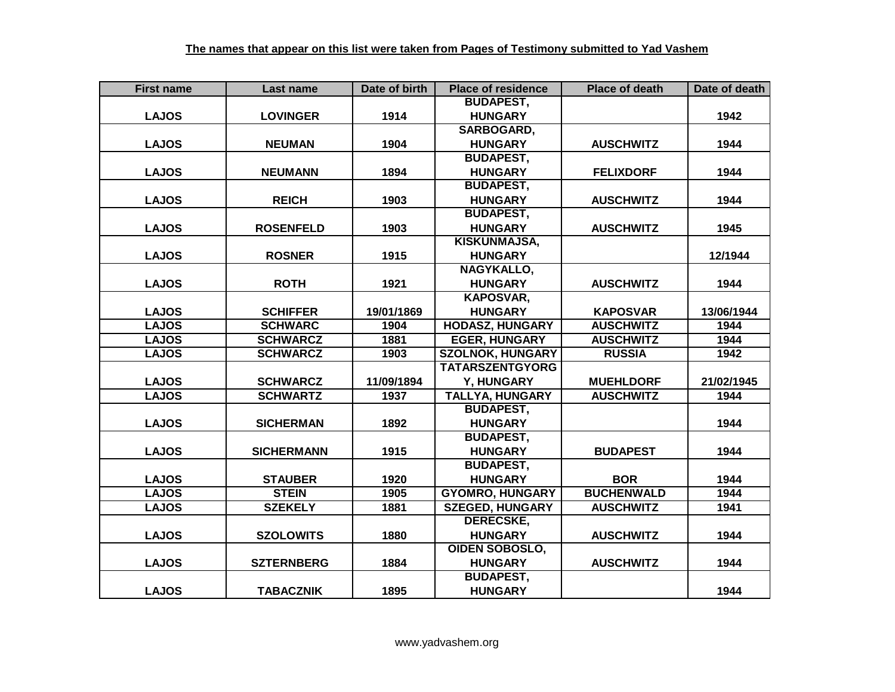| <b>First name</b> | Last name         | Date of birth | <b>Place of residence</b> | <b>Place of death</b> | Date of death |
|-------------------|-------------------|---------------|---------------------------|-----------------------|---------------|
|                   |                   |               | <b>BUDAPEST,</b>          |                       |               |
| <b>LAJOS</b>      | <b>LOVINGER</b>   | 1914          | <b>HUNGARY</b>            |                       | 1942          |
|                   |                   |               | <b>SARBOGARD,</b>         |                       |               |
| <b>LAJOS</b>      | <b>NEUMAN</b>     | 1904          | <b>HUNGARY</b>            | <b>AUSCHWITZ</b>      | 1944          |
|                   |                   |               | <b>BUDAPEST,</b>          |                       |               |
| <b>LAJOS</b>      | <b>NEUMANN</b>    | 1894          | <b>HUNGARY</b>            | <b>FELIXDORF</b>      | 1944          |
|                   |                   |               | <b>BUDAPEST,</b>          |                       |               |
| <b>LAJOS</b>      | <b>REICH</b>      | 1903          | <b>HUNGARY</b>            | <b>AUSCHWITZ</b>      | 1944          |
|                   |                   |               | <b>BUDAPEST,</b>          |                       |               |
| <b>LAJOS</b>      | <b>ROSENFELD</b>  | 1903          | <b>HUNGARY</b>            | <b>AUSCHWITZ</b>      | 1945          |
|                   |                   |               | KISKUNMAJSA,              |                       |               |
| <b>LAJOS</b>      | <b>ROSNER</b>     | 1915          | <b>HUNGARY</b>            |                       | 12/1944       |
|                   |                   |               | NAGYKALLO,                |                       |               |
| <b>LAJOS</b>      | <b>ROTH</b>       | 1921          | <b>HUNGARY</b>            | <b>AUSCHWITZ</b>      | 1944          |
|                   |                   |               | <b>KAPOSVAR,</b>          |                       |               |
| <b>LAJOS</b>      | <b>SCHIFFER</b>   | 19/01/1869    | <b>HUNGARY</b>            | <b>KAPOSVAR</b>       | 13/06/1944    |
| <b>LAJOS</b>      | <b>SCHWARC</b>    | 1904          | <b>HODASZ, HUNGARY</b>    | <b>AUSCHWITZ</b>      | 1944          |
| <b>LAJOS</b>      | <b>SCHWARCZ</b>   | 1881          | <b>EGER, HUNGARY</b>      | <b>AUSCHWITZ</b>      | 1944          |
| <b>LAJOS</b>      | <b>SCHWARCZ</b>   | 1903          | <b>SZOLNOK, HUNGARY</b>   | <b>RUSSIA</b>         | 1942          |
|                   |                   |               | <b>TATARSZENTGYORG</b>    |                       |               |
| <b>LAJOS</b>      | <b>SCHWARCZ</b>   | 11/09/1894    | Y, HUNGARY                | <b>MUEHLDORF</b>      | 21/02/1945    |
| <b>LAJOS</b>      | <b>SCHWARTZ</b>   | 1937          | <b>TALLYA, HUNGARY</b>    | <b>AUSCHWITZ</b>      | 1944          |
|                   |                   |               | <b>BUDAPEST,</b>          |                       |               |
| <b>LAJOS</b>      | <b>SICHERMAN</b>  | 1892          | <b>HUNGARY</b>            |                       | 1944          |
|                   |                   |               | <b>BUDAPEST,</b>          |                       |               |
| <b>LAJOS</b>      | <b>SICHERMANN</b> | 1915          | <b>HUNGARY</b>            | <b>BUDAPEST</b>       | 1944          |
|                   |                   |               | <b>BUDAPEST,</b>          |                       |               |
| <b>LAJOS</b>      | <b>STAUBER</b>    | 1920          | <b>HUNGARY</b>            | <b>BOR</b>            | 1944          |
| <b>LAJOS</b>      | <b>STEIN</b>      | 1905          | <b>GYOMRO, HUNGARY</b>    | <b>BUCHENWALD</b>     | 1944          |
| <b>LAJOS</b>      | <b>SZEKELY</b>    | 1881          | <b>SZEGED, HUNGARY</b>    | <b>AUSCHWITZ</b>      | 1941          |
|                   |                   |               | <b>DERECSKE,</b>          |                       |               |
| <b>LAJOS</b>      | <b>SZOLOWITS</b>  | 1880          | <b>HUNGARY</b>            | <b>AUSCHWITZ</b>      | 1944          |
|                   |                   |               | <b>OIDEN SOBOSLO,</b>     |                       |               |
| <b>LAJOS</b>      | <b>SZTERNBERG</b> | 1884          | <b>HUNGARY</b>            | <b>AUSCHWITZ</b>      | 1944          |
|                   |                   |               | <b>BUDAPEST,</b>          |                       |               |
| <b>LAJOS</b>      | <b>TABACZNIK</b>  | 1895          | <b>HUNGARY</b>            |                       | 1944          |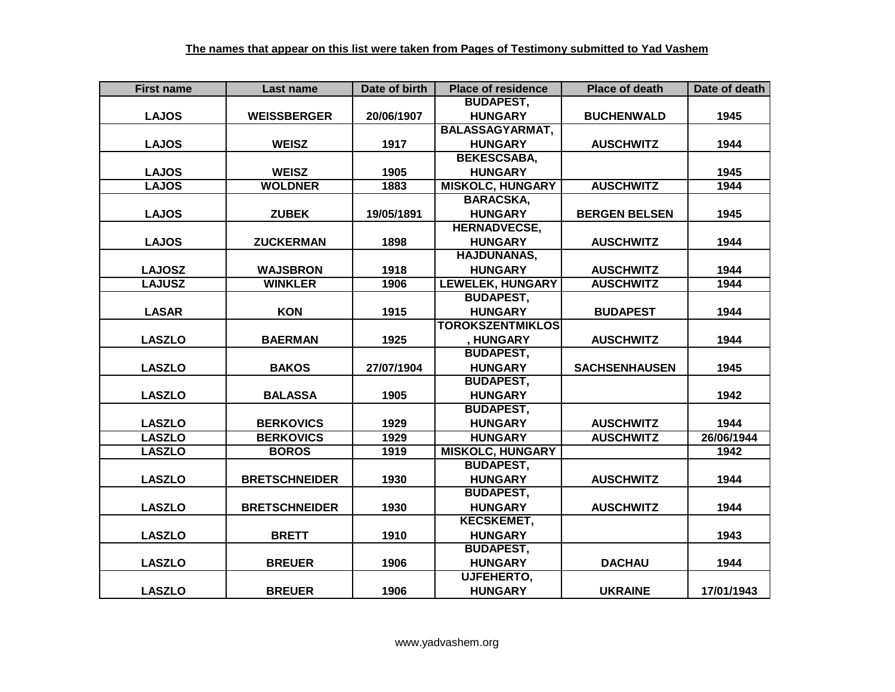| <b>First name</b> | Last name            | Date of birth | <b>Place of residence</b> | <b>Place of death</b> | Date of death |
|-------------------|----------------------|---------------|---------------------------|-----------------------|---------------|
|                   |                      |               | <b>BUDAPEST,</b>          |                       |               |
| <b>LAJOS</b>      | <b>WEISSBERGER</b>   | 20/06/1907    | <b>HUNGARY</b>            | <b>BUCHENWALD</b>     | 1945          |
|                   |                      |               | <b>BALASSAGYARMAT,</b>    |                       |               |
| <b>LAJOS</b>      | <b>WEISZ</b>         | 1917          | <b>HUNGARY</b>            | <b>AUSCHWITZ</b>      | 1944          |
|                   |                      |               | <b>BEKESCSABA,</b>        |                       |               |
| <b>LAJOS</b>      | <b>WEISZ</b>         | 1905          | <b>HUNGARY</b>            |                       | 1945          |
| <b>LAJOS</b>      | <b>WOLDNER</b>       | 1883          | <b>MISKOLC, HUNGARY</b>   | <b>AUSCHWITZ</b>      | 1944          |
|                   |                      |               | <b>BARACSKA,</b>          |                       |               |
| <b>LAJOS</b>      | <b>ZUBEK</b>         | 19/05/1891    | <b>HUNGARY</b>            | <b>BERGEN BELSEN</b>  | 1945          |
|                   |                      |               | <b>HERNADVECSE,</b>       |                       |               |
| <b>LAJOS</b>      | <b>ZUCKERMAN</b>     | 1898          | <b>HUNGARY</b>            | <b>AUSCHWITZ</b>      | 1944          |
|                   |                      |               | <b>HAJDUNANAS,</b>        |                       |               |
| <b>LAJOSZ</b>     | <b>WAJSBRON</b>      | 1918          | <b>HUNGARY</b>            | <b>AUSCHWITZ</b>      | 1944          |
| <b>LAJUSZ</b>     | <b>WINKLER</b>       | 1906          | <b>LEWELEK, HUNGARY</b>   | <b>AUSCHWITZ</b>      | 1944          |
|                   |                      |               | <b>BUDAPEST,</b>          |                       |               |
| <b>LASAR</b>      | <b>KON</b>           | 1915          | <b>HUNGARY</b>            | <b>BUDAPEST</b>       | 1944          |
|                   |                      |               | <b>TOROKSZENTMIKLOS</b>   |                       |               |
| <b>LASZLO</b>     | <b>BAERMAN</b>       | 1925          | , HUNGARY                 | <b>AUSCHWITZ</b>      | 1944          |
|                   |                      |               | <b>BUDAPEST,</b>          |                       |               |
| <b>LASZLO</b>     | <b>BAKOS</b>         | 27/07/1904    | <b>HUNGARY</b>            | <b>SACHSENHAUSEN</b>  | 1945          |
|                   |                      |               | <b>BUDAPEST,</b>          |                       |               |
| <b>LASZLO</b>     | <b>BALASSA</b>       | 1905          | <b>HUNGARY</b>            |                       | 1942          |
|                   |                      |               | <b>BUDAPEST,</b>          |                       |               |
| <b>LASZLO</b>     | <b>BERKOVICS</b>     | 1929          | <b>HUNGARY</b>            | <b>AUSCHWITZ</b>      | 1944          |
| <b>LASZLO</b>     | <b>BERKOVICS</b>     | 1929          | <b>HUNGARY</b>            | <b>AUSCHWITZ</b>      | 26/06/1944    |
| <b>LASZLO</b>     | <b>BOROS</b>         | 1919          | <b>MISKOLC, HUNGARY</b>   |                       | 1942          |
|                   |                      |               | <b>BUDAPEST,</b>          |                       |               |
| <b>LASZLO</b>     | <b>BRETSCHNEIDER</b> | 1930          | <b>HUNGARY</b>            | <b>AUSCHWITZ</b>      | 1944          |
|                   |                      |               | <b>BUDAPEST,</b>          |                       |               |
| <b>LASZLO</b>     | <b>BRETSCHNEIDER</b> | 1930          | <b>HUNGARY</b>            | <b>AUSCHWITZ</b>      | 1944          |
|                   |                      |               | <b>KECSKEMET,</b>         |                       |               |
| <b>LASZLO</b>     | <b>BRETT</b>         | 1910          | <b>HUNGARY</b>            |                       | 1943          |
|                   |                      |               | <b>BUDAPEST,</b>          |                       |               |
| <b>LASZLO</b>     | <b>BREUER</b>        | 1906          | <b>HUNGARY</b>            | <b>DACHAU</b>         | 1944          |
|                   |                      |               | UJFEHERTO,                |                       |               |
| <b>LASZLO</b>     | <b>BREUER</b>        | 1906          | <b>HUNGARY</b>            | <b>UKRAINE</b>        | 17/01/1943    |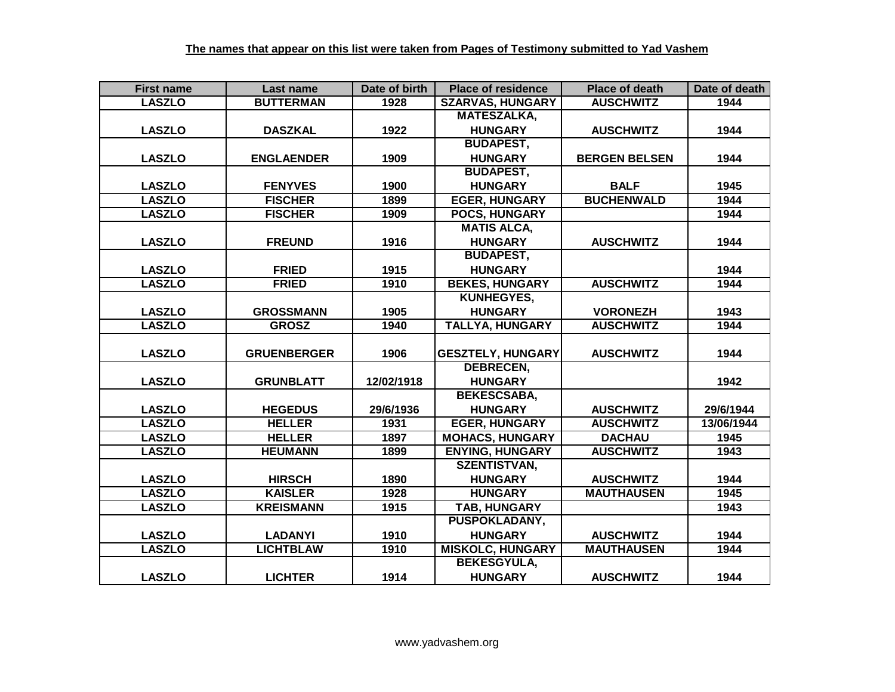| <b>First name</b> | Last name          | Date of birth | <b>Place of residence</b> | <b>Place of death</b> | Date of death |
|-------------------|--------------------|---------------|---------------------------|-----------------------|---------------|
| <b>LASZLO</b>     | <b>BUTTERMAN</b>   | 1928          | <b>SZARVAS, HUNGARY</b>   | <b>AUSCHWITZ</b>      | 1944          |
|                   |                    |               | <b>MATESZALKA,</b>        |                       |               |
| <b>LASZLO</b>     | <b>DASZKAL</b>     | 1922          | <b>HUNGARY</b>            | <b>AUSCHWITZ</b>      | 1944          |
|                   |                    |               | <b>BUDAPEST,</b>          |                       |               |
| <b>LASZLO</b>     | <b>ENGLAENDER</b>  | 1909          | <b>HUNGARY</b>            | <b>BERGEN BELSEN</b>  | 1944          |
|                   |                    |               | <b>BUDAPEST,</b>          |                       |               |
| <b>LASZLO</b>     | <b>FENYVES</b>     | 1900          | <b>HUNGARY</b>            | <b>BALF</b>           | 1945          |
| <b>LASZLO</b>     | <b>FISCHER</b>     | 1899          | <b>EGER, HUNGARY</b>      | <b>BUCHENWALD</b>     | 1944          |
| <b>LASZLO</b>     | <b>FISCHER</b>     | 1909          | <b>POCS, HUNGARY</b>      |                       | 1944          |
|                   |                    |               | <b>MATIS ALCA,</b>        |                       |               |
| <b>LASZLO</b>     | <b>FREUND</b>      | 1916          | <b>HUNGARY</b>            | <b>AUSCHWITZ</b>      | 1944          |
|                   |                    |               | <b>BUDAPEST,</b>          |                       |               |
| <b>LASZLO</b>     | <b>FRIED</b>       | 1915          | <b>HUNGARY</b>            |                       | 1944          |
| <b>LASZLO</b>     | <b>FRIED</b>       | 1910          | <b>BEKES, HUNGARY</b>     | <b>AUSCHWITZ</b>      | 1944          |
|                   |                    |               | <b>KUNHEGYES,</b>         |                       |               |
| <b>LASZLO</b>     | <b>GROSSMANN</b>   | 1905          | <b>HUNGARY</b>            | <b>VORONEZH</b>       | 1943          |
| <b>LASZLO</b>     | <b>GROSZ</b>       | 1940          | <b>TALLYA, HUNGARY</b>    | <b>AUSCHWITZ</b>      | 1944          |
|                   |                    |               |                           |                       |               |
| <b>LASZLO</b>     | <b>GRUENBERGER</b> | 1906          | <b>GESZTELY, HUNGARY</b>  | <b>AUSCHWITZ</b>      | 1944          |
|                   |                    |               | <b>DEBRECEN,</b>          |                       |               |
| <b>LASZLO</b>     | <b>GRUNBLATT</b>   | 12/02/1918    | <b>HUNGARY</b>            |                       | 1942          |
|                   |                    |               | <b>BEKESCSABA,</b>        |                       |               |
| <b>LASZLO</b>     | <b>HEGEDUS</b>     | 29/6/1936     | <b>HUNGARY</b>            | <b>AUSCHWITZ</b>      | 29/6/1944     |
| <b>LASZLO</b>     | <b>HELLER</b>      | 1931          | <b>EGER, HUNGARY</b>      | <b>AUSCHWITZ</b>      | 13/06/1944    |
| <b>LASZLO</b>     | <b>HELLER</b>      | 1897          | <b>MOHACS, HUNGARY</b>    | <b>DACHAU</b>         | 1945          |
| <b>LASZLO</b>     | <b>HEUMANN</b>     | 1899          | <b>ENYING, HUNGARY</b>    | <b>AUSCHWITZ</b>      | 1943          |
|                   |                    |               | <b>SZENTISTVAN,</b>       |                       |               |
| <b>LASZLO</b>     | <b>HIRSCH</b>      | 1890          | <b>HUNGARY</b>            | <b>AUSCHWITZ</b>      | 1944          |
| <b>LASZLO</b>     | <b>KAISLER</b>     | 1928          | <b>HUNGARY</b>            | <b>MAUTHAUSEN</b>     | 1945          |
| <b>LASZLO</b>     | <b>KREISMANN</b>   | 1915          | TAB, HUNGARY              |                       | 1943          |
|                   |                    |               | <b>PUSPOKLADANY,</b>      |                       |               |
| <b>LASZLO</b>     | <b>LADANYI</b>     | 1910          | <b>HUNGARY</b>            | <b>AUSCHWITZ</b>      | 1944          |
| <b>LASZLO</b>     | <b>LICHTBLAW</b>   | 1910          | <b>MISKOLC, HUNGARY</b>   | <b>MAUTHAUSEN</b>     | 1944          |
|                   |                    |               | <b>BEKESGYULA,</b>        |                       |               |
| <b>LASZLO</b>     | <b>LICHTER</b>     | 1914          | <b>HUNGARY</b>            | <b>AUSCHWITZ</b>      | 1944          |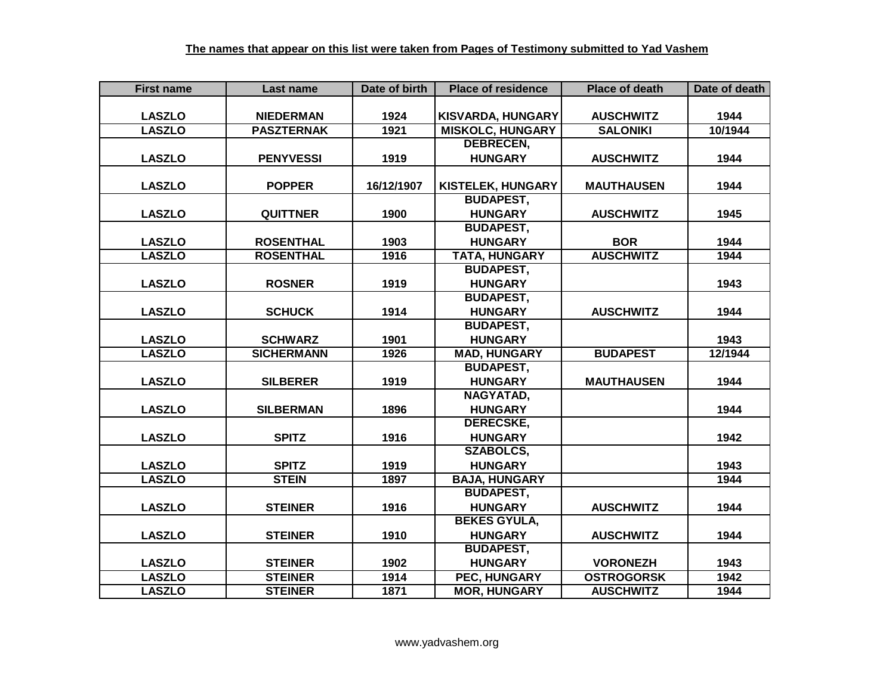| <b>First name</b> | Last name         | Date of birth | <b>Place of residence</b> | <b>Place of death</b> | Date of death |
|-------------------|-------------------|---------------|---------------------------|-----------------------|---------------|
|                   |                   |               |                           |                       |               |
| <b>LASZLO</b>     | <b>NIEDERMAN</b>  | 1924          | <b>KISVARDA, HUNGARY</b>  | <b>AUSCHWITZ</b>      | 1944          |
| <b>LASZLO</b>     | <b>PASZTERNAK</b> | 1921          | <b>MISKOLC, HUNGARY</b>   | <b>SALONIKI</b>       | 10/1944       |
|                   |                   |               | <b>DEBRECEN,</b>          |                       |               |
| <b>LASZLO</b>     | <b>PENYVESSI</b>  | 1919          | <b>HUNGARY</b>            | <b>AUSCHWITZ</b>      | 1944          |
|                   |                   |               |                           |                       |               |
| <b>LASZLO</b>     | <b>POPPER</b>     | 16/12/1907    | KISTELEK, HUNGARY         | <b>MAUTHAUSEN</b>     | 1944          |
|                   |                   |               | <b>BUDAPEST,</b>          |                       |               |
| <b>LASZLO</b>     | <b>QUITTNER</b>   | 1900          | <b>HUNGARY</b>            | <b>AUSCHWITZ</b>      | 1945          |
|                   |                   |               | <b>BUDAPEST,</b>          |                       |               |
| <b>LASZLO</b>     | <b>ROSENTHAL</b>  | 1903          | <b>HUNGARY</b>            | <b>BOR</b>            | 1944          |
| <b>LASZLO</b>     | <b>ROSENTHAL</b>  | 1916          | TATA, HUNGARY             | <b>AUSCHWITZ</b>      | 1944          |
|                   |                   |               | <b>BUDAPEST,</b>          |                       |               |
| <b>LASZLO</b>     | <b>ROSNER</b>     | 1919          | <b>HUNGARY</b>            |                       | 1943          |
|                   |                   |               | <b>BUDAPEST,</b>          |                       |               |
| <b>LASZLO</b>     | <b>SCHUCK</b>     | 1914          | <b>HUNGARY</b>            | <b>AUSCHWITZ</b>      | 1944          |
|                   |                   |               | <b>BUDAPEST,</b>          |                       |               |
| <b>LASZLO</b>     | <b>SCHWARZ</b>    | 1901          | <b>HUNGARY</b>            |                       | 1943          |
| <b>LASZLO</b>     | <b>SICHERMANN</b> | 1926          | <b>MAD, HUNGARY</b>       | <b>BUDAPEST</b>       | 12/1944       |
|                   |                   |               | <b>BUDAPEST,</b>          |                       |               |
| <b>LASZLO</b>     | <b>SILBERER</b>   | 1919          | <b>HUNGARY</b>            | <b>MAUTHAUSEN</b>     | 1944          |
|                   |                   |               | NAGYATAD,                 |                       |               |
| <b>LASZLO</b>     | <b>SILBERMAN</b>  | 1896          | <b>HUNGARY</b>            |                       | 1944          |
|                   |                   |               | <b>DERECSKE,</b>          |                       |               |
| <b>LASZLO</b>     | <b>SPITZ</b>      | 1916          | <b>HUNGARY</b>            |                       | 1942          |
|                   |                   |               | <b>SZABOLCS,</b>          |                       |               |
| <b>LASZLO</b>     | <b>SPITZ</b>      | 1919          | <b>HUNGARY</b>            |                       | 1943          |
| <b>LASZLO</b>     | <b>STEIN</b>      | 1897          | <b>BAJA, HUNGARY</b>      |                       | 1944          |
|                   |                   |               | <b>BUDAPEST,</b>          |                       |               |
| <b>LASZLO</b>     | <b>STEINER</b>    | 1916          | <b>HUNGARY</b>            | <b>AUSCHWITZ</b>      | 1944          |
|                   |                   |               | <b>BEKES GYULA,</b>       |                       |               |
| <b>LASZLO</b>     | <b>STEINER</b>    | 1910          | <b>HUNGARY</b>            | <b>AUSCHWITZ</b>      | 1944          |
|                   |                   |               | <b>BUDAPEST,</b>          |                       |               |
| <b>LASZLO</b>     | <b>STEINER</b>    | 1902          | <b>HUNGARY</b>            | <b>VORONEZH</b>       | 1943          |
| <b>LASZLO</b>     | <b>STEINER</b>    | 1914          | PEC, HUNGARY              | <b>OSTROGORSK</b>     | 1942          |
| <b>LASZLO</b>     | <b>STEINER</b>    | 1871          | <b>MOR, HUNGARY</b>       | <b>AUSCHWITZ</b>      | 1944          |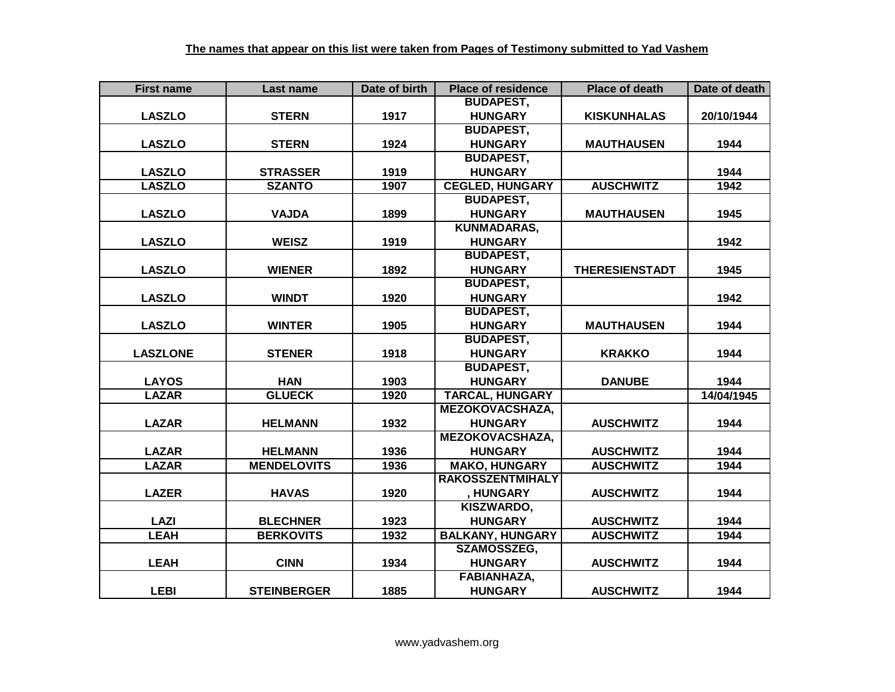| <b>First name</b> | Last name          | Date of birth | <b>Place of residence</b> | <b>Place of death</b> | Date of death |
|-------------------|--------------------|---------------|---------------------------|-----------------------|---------------|
|                   |                    |               | <b>BUDAPEST,</b>          |                       |               |
| <b>LASZLO</b>     | <b>STERN</b>       | 1917          | <b>HUNGARY</b>            | <b>KISKUNHALAS</b>    | 20/10/1944    |
|                   |                    |               | <b>BUDAPEST,</b>          |                       |               |
| <b>LASZLO</b>     | <b>STERN</b>       | 1924          | <b>HUNGARY</b>            | <b>MAUTHAUSEN</b>     | 1944          |
|                   |                    |               | <b>BUDAPEST,</b>          |                       |               |
| <b>LASZLO</b>     | <b>STRASSER</b>    | 1919          | <b>HUNGARY</b>            |                       | 1944          |
| <b>LASZLO</b>     | <b>SZANTO</b>      | 1907          | <b>CEGLED, HUNGARY</b>    | <b>AUSCHWITZ</b>      | 1942          |
|                   |                    |               | <b>BUDAPEST,</b>          |                       |               |
| <b>LASZLO</b>     | <b>VAJDA</b>       | 1899          | <b>HUNGARY</b>            | <b>MAUTHAUSEN</b>     | 1945          |
|                   |                    |               | <b>KUNMADARAS,</b>        |                       |               |
| <b>LASZLO</b>     | <b>WEISZ</b>       | 1919          | <b>HUNGARY</b>            |                       | 1942          |
|                   |                    |               | <b>BUDAPEST,</b>          |                       |               |
| <b>LASZLO</b>     | <b>WIENER</b>      | 1892          | <b>HUNGARY</b>            | <b>THERESIENSTADT</b> | 1945          |
|                   |                    |               | <b>BUDAPEST,</b>          |                       |               |
| <b>LASZLO</b>     | <b>WINDT</b>       | 1920          | <b>HUNGARY</b>            |                       | 1942          |
|                   |                    |               | <b>BUDAPEST,</b>          |                       |               |
| <b>LASZLO</b>     | <b>WINTER</b>      | 1905          | <b>HUNGARY</b>            | <b>MAUTHAUSEN</b>     | 1944          |
|                   |                    |               | <b>BUDAPEST,</b>          |                       |               |
| <b>LASZLONE</b>   | <b>STENER</b>      | 1918          | <b>HUNGARY</b>            | <b>KRAKKO</b>         | 1944          |
|                   |                    |               | <b>BUDAPEST,</b>          |                       |               |
| <b>LAYOS</b>      | <b>HAN</b>         | 1903          | <b>HUNGARY</b>            | <b>DANUBE</b>         | 1944          |
| <b>LAZAR</b>      | <b>GLUECK</b>      | 1920          | <b>TARCAL, HUNGARY</b>    |                       | 14/04/1945    |
|                   |                    |               | <b>MEZOKOVACSHAZA,</b>    |                       |               |
| <b>LAZAR</b>      | <b>HELMANN</b>     | 1932          | <b>HUNGARY</b>            | <b>AUSCHWITZ</b>      | 1944          |
|                   |                    |               | <b>MEZOKOVACSHAZA,</b>    |                       |               |
| <b>LAZAR</b>      | <b>HELMANN</b>     | 1936          | <b>HUNGARY</b>            | <b>AUSCHWITZ</b>      | 1944          |
| <b>LAZAR</b>      | <b>MENDELOVITS</b> | 1936          | <b>MAKO, HUNGARY</b>      | <b>AUSCHWITZ</b>      | 1944          |
|                   |                    |               | <b>RAKOSSZENTMIHALY</b>   |                       |               |
| <b>LAZER</b>      | <b>HAVAS</b>       | 1920          | , HUNGARY                 | <b>AUSCHWITZ</b>      | 1944          |
|                   |                    |               | KISZWARDO,                |                       |               |
| <b>LAZI</b>       | <b>BLECHNER</b>    | 1923          | <b>HUNGARY</b>            | <b>AUSCHWITZ</b>      | 1944          |
| <b>LEAH</b>       | <b>BERKOVITS</b>   | 1932          | <b>BALKANY, HUNGARY</b>   | <b>AUSCHWITZ</b>      | 1944          |
|                   |                    |               | SZAMOSSZEG,               |                       |               |
| <b>LEAH</b>       | <b>CINN</b>        | 1934          | <b>HUNGARY</b>            | <b>AUSCHWITZ</b>      | 1944          |
|                   |                    |               | FABIANHAZA,               |                       |               |
| <b>LEBI</b>       | <b>STEINBERGER</b> | 1885          | <b>HUNGARY</b>            | <b>AUSCHWITZ</b>      | 1944          |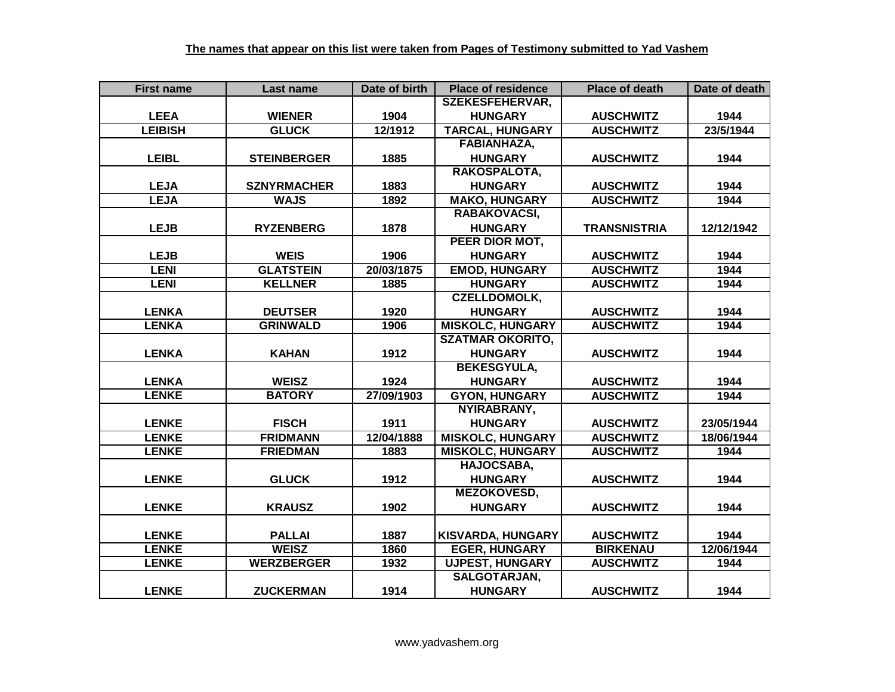| <b>First name</b> | Last name          | Date of birth | <b>Place of residence</b> | <b>Place of death</b> | Date of death |
|-------------------|--------------------|---------------|---------------------------|-----------------------|---------------|
|                   |                    |               | <b>SZEKESFEHERVAR,</b>    |                       |               |
| <b>LEEA</b>       | <b>WIENER</b>      | 1904          | <b>HUNGARY</b>            | <b>AUSCHWITZ</b>      | 1944          |
| <b>LEIBISH</b>    | <b>GLUCK</b>       | 12/1912       | <b>TARCAL, HUNGARY</b>    | <b>AUSCHWITZ</b>      | 23/5/1944     |
|                   |                    |               | <b>FABIANHAZA,</b>        |                       |               |
| <b>LEIBL</b>      | <b>STEINBERGER</b> | 1885          | <b>HUNGARY</b>            | <b>AUSCHWITZ</b>      | 1944          |
|                   |                    |               | RAKOSPALOTA,              |                       |               |
| <b>LEJA</b>       | <b>SZNYRMACHER</b> | 1883          | <b>HUNGARY</b>            | <b>AUSCHWITZ</b>      | 1944          |
| <b>LEJA</b>       | <b>WAJS</b>        | 1892          | <b>MAKO, HUNGARY</b>      | <b>AUSCHWITZ</b>      | 1944          |
|                   |                    |               | RABAKOVACSI,              |                       |               |
| <b>LEJB</b>       | <b>RYZENBERG</b>   | 1878          | <b>HUNGARY</b>            | <b>TRANSNISTRIA</b>   | 12/12/1942    |
|                   |                    |               | PEER DIOR MOT,            |                       |               |
| <b>LEJB</b>       | <b>WEIS</b>        | 1906          | <b>HUNGARY</b>            | <b>AUSCHWITZ</b>      | 1944          |
| <b>LENI</b>       | <b>GLATSTEIN</b>   | 20/03/1875    | <b>EMOD, HUNGARY</b>      | <b>AUSCHWITZ</b>      | 1944          |
| <b>LENI</b>       | <b>KELLNER</b>     | 1885          | <b>HUNGARY</b>            | <b>AUSCHWITZ</b>      | 1944          |
|                   |                    |               | <b>CZELLDOMOLK,</b>       |                       |               |
| <b>LENKA</b>      | <b>DEUTSER</b>     | 1920          | <b>HUNGARY</b>            | <b>AUSCHWITZ</b>      | 1944          |
| <b>LENKA</b>      | <b>GRINWALD</b>    | 1906          | <b>MISKOLC, HUNGARY</b>   | <b>AUSCHWITZ</b>      | 1944          |
|                   |                    |               | <b>SZATMAR OKORITO,</b>   |                       |               |
| <b>LENKA</b>      | <b>KAHAN</b>       | 1912          | <b>HUNGARY</b>            | <b>AUSCHWITZ</b>      | 1944          |
|                   |                    |               | <b>BEKESGYULA,</b>        |                       |               |
| <b>LENKA</b>      | <b>WEISZ</b>       | 1924          | <b>HUNGARY</b>            | <b>AUSCHWITZ</b>      | 1944          |
| <b>LENKE</b>      | <b>BATORY</b>      | 27/09/1903    | <b>GYON, HUNGARY</b>      | <b>AUSCHWITZ</b>      | 1944          |
|                   |                    |               | NYIRABRANY,               |                       |               |
| <b>LENKE</b>      | <b>FISCH</b>       | 1911          | <b>HUNGARY</b>            | <b>AUSCHWITZ</b>      | 23/05/1944    |
| <b>LENKE</b>      | <b>FRIDMANN</b>    | 12/04/1888    | <b>MISKOLC, HUNGARY</b>   | <b>AUSCHWITZ</b>      | 18/06/1944    |
| <b>LENKE</b>      | <b>FRIEDMAN</b>    | 1883          | <b>MISKOLC, HUNGARY</b>   | <b>AUSCHWITZ</b>      | 1944          |
|                   |                    |               | HAJOCSABA,                |                       |               |
| <b>LENKE</b>      | <b>GLUCK</b>       | 1912          | <b>HUNGARY</b>            | <b>AUSCHWITZ</b>      | 1944          |
|                   |                    |               | <b>MEZOKOVESD,</b>        |                       |               |
| <b>LENKE</b>      | <b>KRAUSZ</b>      | 1902          | <b>HUNGARY</b>            | <b>AUSCHWITZ</b>      | 1944          |
|                   |                    |               |                           |                       |               |
| <b>LENKE</b>      | <b>PALLAI</b>      | 1887          | <b>KISVARDA, HUNGARY</b>  | <b>AUSCHWITZ</b>      | 1944          |
| <b>LENKE</b>      | <b>WEISZ</b>       | 1860          | <b>EGER, HUNGARY</b>      | <b>BIRKENAU</b>       | 12/06/1944    |
| <b>LENKE</b>      | <b>WERZBERGER</b>  | 1932          | <b>UJPEST, HUNGARY</b>    | <b>AUSCHWITZ</b>      | 1944          |
|                   |                    |               | SALGOTARJAN,              |                       |               |
| <b>LENKE</b>      | <b>ZUCKERMAN</b>   | 1914          | <b>HUNGARY</b>            | <b>AUSCHWITZ</b>      | 1944          |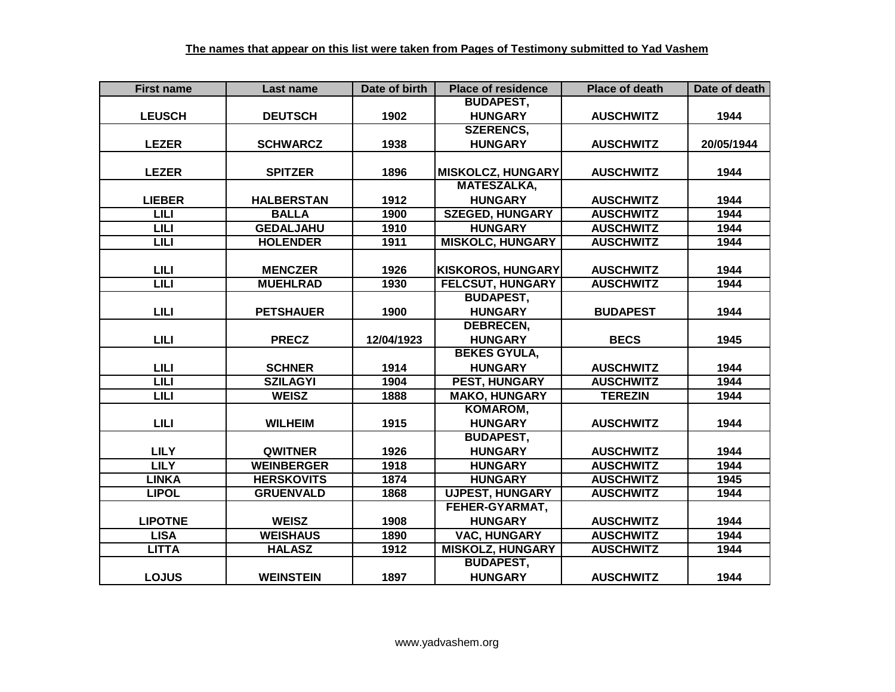| <b>First name</b> | Last name         | Date of birth | <b>Place of residence</b> | <b>Place of death</b> | Date of death |
|-------------------|-------------------|---------------|---------------------------|-----------------------|---------------|
|                   |                   |               | <b>BUDAPEST,</b>          |                       |               |
| <b>LEUSCH</b>     | <b>DEUTSCH</b>    | 1902          | <b>HUNGARY</b>            | <b>AUSCHWITZ</b>      | 1944          |
|                   |                   |               | <b>SZERENCS,</b>          |                       |               |
| <b>LEZER</b>      | <b>SCHWARCZ</b>   | 1938          | <b>HUNGARY</b>            | <b>AUSCHWITZ</b>      | 20/05/1944    |
|                   |                   |               |                           |                       |               |
| <b>LEZER</b>      | <b>SPITZER</b>    | 1896          | <b>MISKOLCZ, HUNGARY</b>  | <b>AUSCHWITZ</b>      | 1944          |
|                   |                   |               | <b>MATESZALKA,</b>        |                       |               |
| <b>LIEBER</b>     | <b>HALBERSTAN</b> | 1912          | <b>HUNGARY</b>            | <b>AUSCHWITZ</b>      | 1944          |
| LIL               | <b>BALLA</b>      | 1900          | <b>SZEGED, HUNGARY</b>    | <b>AUSCHWITZ</b>      | 1944          |
| <b>LILI</b>       | <b>GEDALJAHU</b>  | 1910          | <b>HUNGARY</b>            | <b>AUSCHWITZ</b>      | 1944          |
| <b>LILI</b>       | <b>HOLENDER</b>   | 1911          | <b>MISKOLC, HUNGARY</b>   | <b>AUSCHWITZ</b>      | 1944          |
|                   |                   |               |                           |                       |               |
| <b>LILI</b>       | <b>MENCZER</b>    | 1926          | <b>KISKOROS, HUNGARY</b>  | <b>AUSCHWITZ</b>      | 1944          |
| <b>LILI</b>       | <b>MUEHLRAD</b>   | 1930          | <b>FELCSUT, HUNGARY</b>   | <b>AUSCHWITZ</b>      | 1944          |
|                   |                   |               | <b>BUDAPEST,</b>          |                       |               |
| <b>LILI</b>       | <b>PETSHAUER</b>  | 1900          | <b>HUNGARY</b>            | <b>BUDAPEST</b>       | 1944          |
|                   |                   |               | <b>DEBRECEN,</b>          |                       |               |
| <b>LILI</b>       | <b>PRECZ</b>      | 12/04/1923    | <b>HUNGARY</b>            | <b>BECS</b>           | 1945          |
|                   |                   |               | <b>BEKES GYULA,</b>       |                       |               |
| <b>LILI</b>       | <b>SCHNER</b>     | 1914          | <b>HUNGARY</b>            | <b>AUSCHWITZ</b>      | 1944          |
| <b>LILI</b>       | <b>SZILAGYI</b>   | 1904          | <b>PEST, HUNGARY</b>      | <b>AUSCHWITZ</b>      | 1944          |
| LILI              | <b>WEISZ</b>      | 1888          | <b>MAKO, HUNGARY</b>      | <b>TEREZIN</b>        | 1944          |
|                   |                   |               | <b>KOMAROM,</b>           |                       |               |
| LILI              | <b>WILHEIM</b>    | 1915          | <b>HUNGARY</b>            | <b>AUSCHWITZ</b>      | 1944          |
|                   |                   |               | <b>BUDAPEST,</b>          |                       |               |
| <b>LILY</b>       | <b>QWITNER</b>    | 1926          | <b>HUNGARY</b>            | <b>AUSCHWITZ</b>      | 1944          |
| <b>LILY</b>       | <b>WEINBERGER</b> | 1918          | <b>HUNGARY</b>            | <b>AUSCHWITZ</b>      | 1944          |
| <b>LINKA</b>      | <b>HERSKOVITS</b> | 1874          | <b>HUNGARY</b>            | <b>AUSCHWITZ</b>      | 1945          |
| <b>LIPOL</b>      | <b>GRUENVALD</b>  | 1868          | <b>UJPEST, HUNGARY</b>    | <b>AUSCHWITZ</b>      | 1944          |
|                   |                   |               | FEHER-GYARMAT,            |                       |               |
| <b>LIPOTNE</b>    | <b>WEISZ</b>      | 1908          | <b>HUNGARY</b>            | <b>AUSCHWITZ</b>      | 1944          |
| <b>LISA</b>       | <b>WEISHAUS</b>   | 1890          | <b>VAC, HUNGARY</b>       | <b>AUSCHWITZ</b>      | 1944          |
| <b>LITTA</b>      | <b>HALASZ</b>     | 1912          | <b>MISKOLZ, HUNGARY</b>   | <b>AUSCHWITZ</b>      | 1944          |
|                   |                   |               | <b>BUDAPEST,</b>          |                       |               |
| <b>LOJUS</b>      | <b>WEINSTEIN</b>  | 1897          | <b>HUNGARY</b>            | <b>AUSCHWITZ</b>      | 1944          |